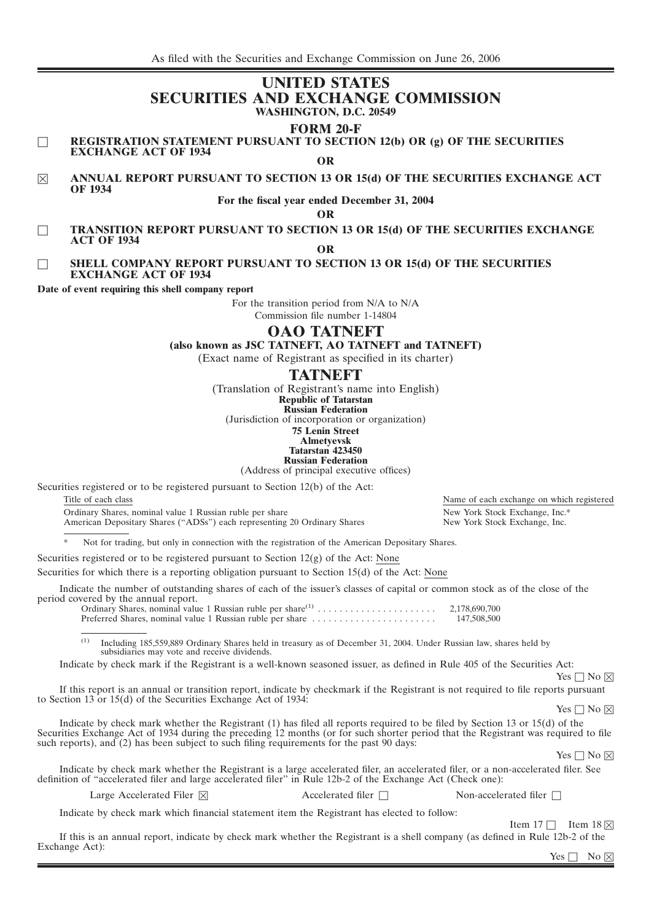# **UNITED STATES SECURITIES AND EXCHANGE COMMISSION WASHINGTON, D.C. 20549**

# **FORM 20-F**

□ **REGISTRATION STATEMENT PURSUANT TO SECTION 12(b) OR (g) OF THE SECURITIES EXCHANGE ACT OF 1934**

**OR**

 $\boxtimes$  **ANNUAL REPORT PURSUANT TO SECTION 13 OR 15(d) OF THE SECURITIES EXCHANGE ACT OF 1934**

## **For the fiscal year ended December 31, 2004**

**OR**

□ **TRANSITION REPORT PURSUANT TO SECTION 13 OR 15(d) OF THE SECURITIES EXCHANGE ACT OF 1934 OR**

#### □ **SHELL COMPANY REPORT PURSUANT TO SECTION 13 OR 15(d) OF THE SECURITIES EXCHANGE ACT OF 1934**

**Date of event requiring this shell company report**

For the transition period from N/A to N/A

Commission file number 1-14804

# **OAO TATNEFT**

**(also known as JSC TATNEFT, AO TATNEFT and TATNEFT)**

(Exact name of Registrant as specified in its charter)

# **TATNEFT**

(Translation of Registrant's name into English)

**Republic of Tatarstan Russian Federation**

(Jurisdiction of incorporation or organization)

**75 Lenin Street**

**Almetyevsk Tatarstan 423450**

**Russian Federation**

(Address of principal executive offices)

Securities registered or to be registered pursuant to Section 12(b) of the Act:

Title of each class Name of each exchange on which registered Ordinary Shares, nominal value 1 Russian ruble per share New York Stock Exchange, Inc.\*<br>American Depositary Shares ("ADSs") each representing 20 Ordinary Shares New York Stock Exchange, Inc.

American Depositary Shares ("ADSs") each representing 20 Ordinary Shares

Not for trading, but only in connection with the registration of the American Depositary Shares.

Securities registered or to be registered pursuant to Section  $12(g)$  of the Act: None

Securities for which there is a reporting obligation pursuant to Section 15(d) of the Act: None

Indicate the number of outstanding shares of each of the issuer's classes of capital or common stock as of the close of the period covered by the annual report.

Ordinary Shares, nominal value 1 Russian ruble per share(1) ...................... 2,178,690,700 Preferred Shares, nominal value 1 Russian ruble per share .......................

(1) Including 185,559,889 Ordinary Shares held in treasury as of December 31, 2004. Under Russian law, shares held by subsidiaries may vote and receive dividends.

Indicate by check mark if the Registrant is a well-known seasoned issuer, as defined in Rule 405 of the Securities Act:

 $Yes \Box No \boxtimes$ 

If this report is an annual or transition report, indicate by checkmark if the Registrant is not required to file reports pursuant to Section 13 or 15(d) of the Securities Exchange Act of 1934:

 $Yes \Box No \boxtimes$ 

Indicate by check mark whether the Registrant (1) has filed all reports required to be filed by Section 13 or 15(d) of the Securities Exchange Act of 1934 during the preceding 12 months (or for such shorter period that the Registrant was required to file such reports), and  $(2)$  has been subject to such filing requirements for the past 90 days:

 $Yes \Box No \boxtimes$ 

Indicate by check mark whether the Registrant is a large accelerated filer, an accelerated filer, or a non-accelerated filer. See definition of ''accelerated filer and large accelerated filer'' in Rule 12b-2 of the Exchange Act (Check one):

Large Accelerated Filer  $\boxtimes$ 

Accelerated filer □ Non-accelerated filer □

Indicate by check mark which financial statement item the Registrant has elected to follow:

Item  $17 \Box$  Item  $18 \boxtimes$ 

If this is an annual report, indicate by check mark whether the Registrant is a shell company (as defined in Rule 12b-2 of the Exchange Act):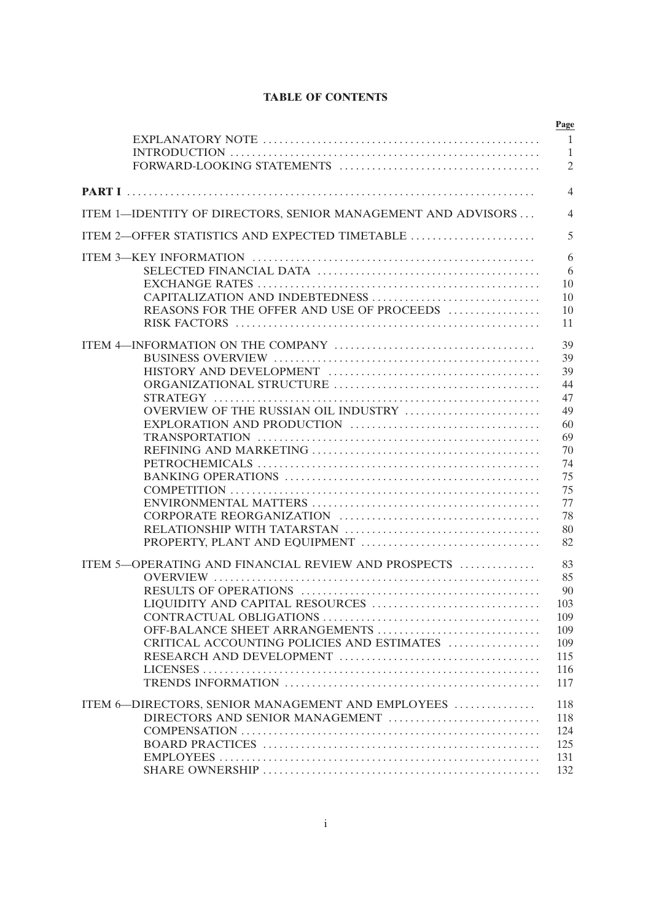# **TABLE OF CONTENTS**

| ITEM 1-IDENTITY OF DIRECTORS, SENIOR MANAGEMENT AND ADVISORS |
|--------------------------------------------------------------|
| ITEM 2-OFFER STATISTICS AND EXPECTED TIMETABLE               |
|                                                              |
|                                                              |
|                                                              |
| CAPITALIZATION AND INDEBTEDNESS                              |
| REASONS FOR THE OFFER AND USE OF PROCEEDS                    |
|                                                              |
|                                                              |
|                                                              |
|                                                              |
|                                                              |
|                                                              |
| OVERVIEW OF THE RUSSIAN OIL INDUSTRY                         |
|                                                              |
|                                                              |
|                                                              |
|                                                              |
|                                                              |
|                                                              |
|                                                              |
|                                                              |
|                                                              |
|                                                              |
| ITEM 5-OPERATING AND FINANCIAL REVIEW AND PROSPECTS          |
|                                                              |
|                                                              |
| LIQUIDITY AND CAPITAL RESOURCES                              |
|                                                              |
| OFF-BALANCE SHEET ARRANGEMENTS                               |
| CRITICAL ACCOUNTING POLICIES AND ESTIMATES                   |
|                                                              |
|                                                              |
|                                                              |
| ITEM 6-DIRECTORS, SENIOR MANAGEMENT AND EMPLOYEES            |
| DIRECTORS AND SENIOR MANAGEMENT                              |
|                                                              |
|                                                              |
|                                                              |
|                                                              |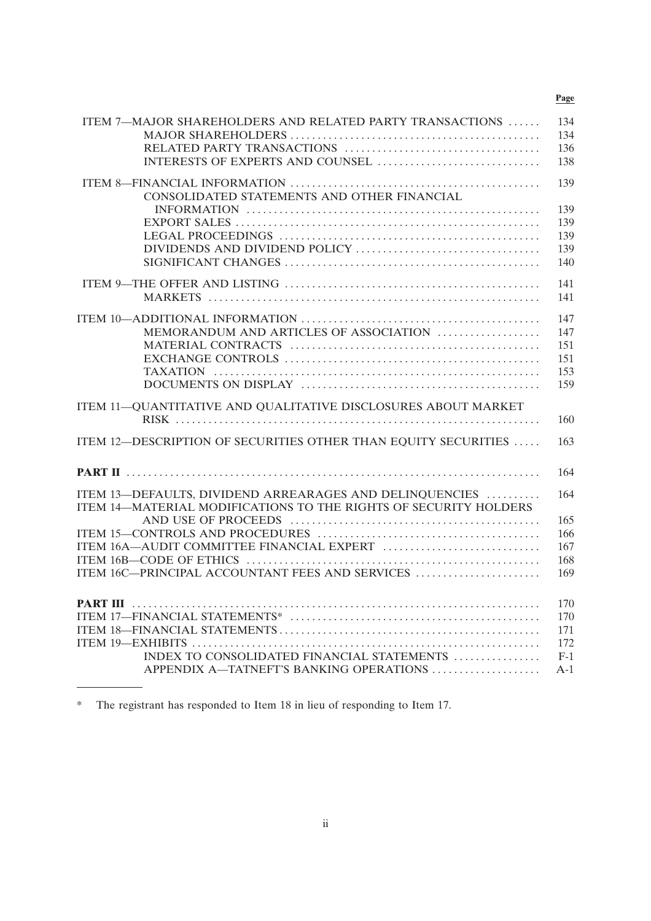# **Page**

| ITEM 7-MAJOR SHAREHOLDERS AND RELATED PARTY TRANSACTIONS         | 134<br>134 |
|------------------------------------------------------------------|------------|
|                                                                  |            |
|                                                                  | 136        |
| INTERESTS OF EXPERTS AND COUNSEL                                 | 138        |
|                                                                  | 139        |
| CONSOLIDATED STATEMENTS AND OTHER FINANCIAL                      |            |
|                                                                  | 139        |
|                                                                  | 139        |
|                                                                  | 139        |
|                                                                  | 139        |
|                                                                  | 140        |
|                                                                  |            |
|                                                                  | 141        |
|                                                                  | 141        |
|                                                                  | 147        |
| MEMORANDUM AND ARTICLES OF ASSOCIATION                           | 147        |
|                                                                  | 151        |
|                                                                  | 151        |
|                                                                  | 153        |
|                                                                  | 159        |
|                                                                  |            |
| ITEM 11-QUANTITATIVE AND QUALITATIVE DISCLOSURES ABOUT MARKET    |            |
|                                                                  | 160        |
| ITEM 12-DESCRIPTION OF SECURITIES OTHER THAN EQUITY SECURITIES   | 163        |
|                                                                  |            |
|                                                                  | 164        |
|                                                                  |            |
| ITEM 13—DEFAULTS, DIVIDEND ARREARAGES AND DELINQUENCIES          | 164        |
| ITEM 14-MATERIAL MODIFICATIONS TO THE RIGHTS OF SECURITY HOLDERS |            |
|                                                                  | 165        |
|                                                                  | 166        |
| ITEM 16A-AUDIT COMMITTEE FINANCIAL EXPERT                        | 167        |
|                                                                  | 168        |
| ITEM 16C-PRINCIPAL ACCOUNTANT FEES AND SERVICES                  | 169        |
|                                                                  |            |
|                                                                  | 170        |
|                                                                  | 170        |
|                                                                  | 171        |
|                                                                  | 172        |
| INDEX TO CONSOLIDATED FINANCIAL STATEMENTS                       | $F-1$      |
| APPENDIX A-TATNEFT'S BANKING OPERATIONS                          | $A-1$      |
|                                                                  |            |

<sup>\*</sup> The registrant has responded to Item 18 in lieu of responding to Item 17.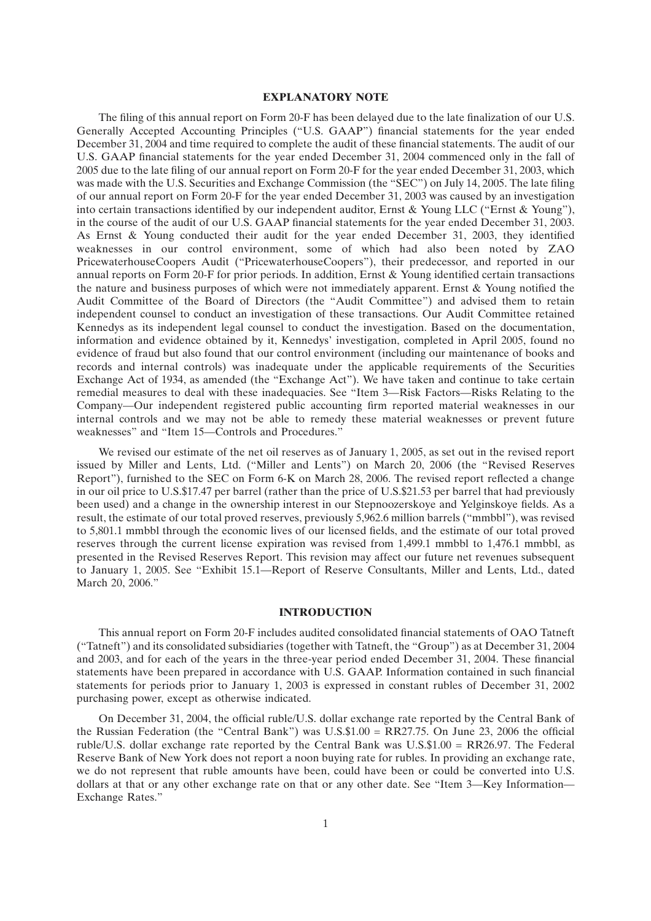#### **EXPLANATORY NOTE**

The filing of this annual report on Form 20-F has been delayed due to the late finalization of our U.S. Generally Accepted Accounting Principles (''U.S. GAAP'') financial statements for the year ended December 31, 2004 and time required to complete the audit of these financial statements. The audit of our U.S. GAAP financial statements for the year ended December 31, 2004 commenced only in the fall of 2005 due to the late filing of our annual report on Form 20-F for the year ended December 31, 2003, which was made with the U.S. Securities and Exchange Commission (the "SEC") on July 14, 2005. The late filing of our annual report on Form 20-F for the year ended December 31, 2003 was caused by an investigation into certain transactions identified by our independent auditor, Ernst & Young LLC (''Ernst & Young''), in the course of the audit of our U.S. GAAP financial statements for the year ended December 31, 2003. As Ernst & Young conducted their audit for the year ended December 31, 2003, they identified weaknesses in our control environment, some of which had also been noted by ZAO PricewaterhouseCoopers Audit (''PricewaterhouseCoopers''), their predecessor, and reported in our annual reports on Form 20-F for prior periods. In addition, Ernst & Young identified certain transactions the nature and business purposes of which were not immediately apparent. Ernst & Young notified the Audit Committee of the Board of Directors (the ''Audit Committee'') and advised them to retain independent counsel to conduct an investigation of these transactions. Our Audit Committee retained Kennedys as its independent legal counsel to conduct the investigation. Based on the documentation, information and evidence obtained by it, Kennedys' investigation, completed in April 2005, found no evidence of fraud but also found that our control environment (including our maintenance of books and records and internal controls) was inadequate under the applicable requirements of the Securities Exchange Act of 1934, as amended (the "Exchange Act"). We have taken and continue to take certain remedial measures to deal with these inadequacies. See ''Item 3—Risk Factors—Risks Relating to the Company—Our independent registered public accounting firm reported material weaknesses in our internal controls and we may not be able to remedy these material weaknesses or prevent future weaknesses'' and ''Item 15—Controls and Procedures.''

We revised our estimate of the net oil reserves as of January 1, 2005, as set out in the revised report issued by Miller and Lents, Ltd. (''Miller and Lents'') on March 20, 2006 (the ''Revised Reserves Report''), furnished to the SEC on Form 6-K on March 28, 2006. The revised report reflected a change in our oil price to U.S.\$17.47 per barrel (rather than the price of U.S.\$21.53 per barrel that had previously been used) and a change in the ownership interest in our Stepnoozerskoye and Yelginskoye fields. As a result, the estimate of our total proved reserves, previously 5,962.6 million barrels (''mmbbl''), was revised to 5,801.1 mmbbl through the economic lives of our licensed fields, and the estimate of our total proved reserves through the current license expiration was revised from 1,499.1 mmbbl to 1,476.1 mmbbl, as presented in the Revised Reserves Report. This revision may affect our future net revenues subsequent to January 1, 2005. See ''Exhibit 15.1—Report of Reserve Consultants, Miller and Lents, Ltd., dated March 20, 2006.''

#### **INTRODUCTION**

This annual report on Form 20-F includes audited consolidated financial statements of OAO Tatneft (''Tatneft'') and its consolidated subsidiaries (together with Tatneft, the ''Group'') as at December 31, 2004 and 2003, and for each of the years in the three-year period ended December 31, 2004. These financial statements have been prepared in accordance with U.S. GAAP. Information contained in such financial statements for periods prior to January 1, 2003 is expressed in constant rubles of December 31, 2002 purchasing power, except as otherwise indicated.

On December 31, 2004, the official ruble/U.S. dollar exchange rate reported by the Central Bank of the Russian Federation (the "Central Bank") was  $U.S.\$ \$1.00 = RR27.75. On June 23, 2006 the official ruble/U.S. dollar exchange rate reported by the Central Bank was U.S.\$1.00 = RR26.97. The Federal Reserve Bank of New York does not report a noon buying rate for rubles. In providing an exchange rate, we do not represent that ruble amounts have been, could have been or could be converted into U.S. dollars at that or any other exchange rate on that or any other date. See "Item 3—Key Information— Exchange Rates.''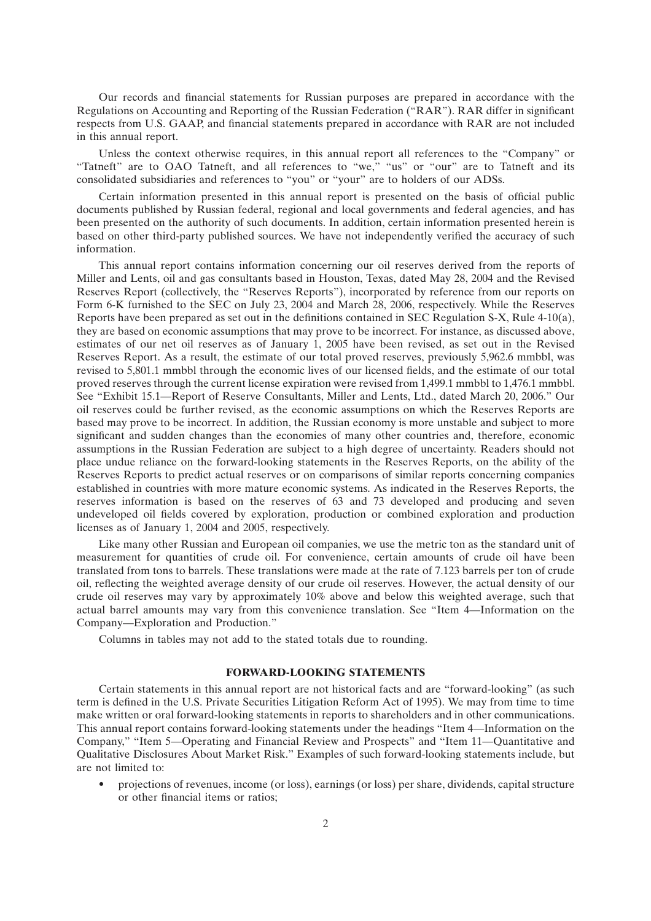Our records and financial statements for Russian purposes are prepared in accordance with the Regulations on Accounting and Reporting of the Russian Federation (''RAR''). RAR differ in significant respects from U.S. GAAP, and financial statements prepared in accordance with RAR are not included in this annual report.

Unless the context otherwise requires, in this annual report all references to the ''Company'' or "Tatneft" are to OAO Tatneft, and all references to "we," "us" or "our" are to Tatneft and its consolidated subsidiaries and references to ''you'' or ''your'' are to holders of our ADSs.

Certain information presented in this annual report is presented on the basis of official public documents published by Russian federal, regional and local governments and federal agencies, and has been presented on the authority of such documents. In addition, certain information presented herein is based on other third-party published sources. We have not independently verified the accuracy of such information.

This annual report contains information concerning our oil reserves derived from the reports of Miller and Lents, oil and gas consultants based in Houston, Texas, dated May 28, 2004 and the Revised Reserves Report (collectively, the ''Reserves Reports''), incorporated by reference from our reports on Form 6-K furnished to the SEC on July 23, 2004 and March 28, 2006, respectively. While the Reserves Reports have been prepared as set out in the definitions contained in SEC Regulation S-X, Rule 4-10(a), they are based on economic assumptions that may prove to be incorrect. For instance, as discussed above, estimates of our net oil reserves as of January 1, 2005 have been revised, as set out in the Revised Reserves Report. As a result, the estimate of our total proved reserves, previously 5,962.6 mmbbl, was revised to 5,801.1 mmbbl through the economic lives of our licensed fields, and the estimate of our total proved reserves through the current license expiration were revised from 1,499.1 mmbbl to 1,476.1 mmbbl. See ''Exhibit 15.1—Report of Reserve Consultants, Miller and Lents, Ltd., dated March 20, 2006.'' Our oil reserves could be further revised, as the economic assumptions on which the Reserves Reports are based may prove to be incorrect. In addition, the Russian economy is more unstable and subject to more significant and sudden changes than the economies of many other countries and, therefore, economic assumptions in the Russian Federation are subject to a high degree of uncertainty. Readers should not place undue reliance on the forward-looking statements in the Reserves Reports, on the ability of the Reserves Reports to predict actual reserves or on comparisons of similar reports concerning companies established in countries with more mature economic systems. As indicated in the Reserves Reports, the reserves information is based on the reserves of 63 and 73 developed and producing and seven undeveloped oil fields covered by exploration, production or combined exploration and production licenses as of January 1, 2004 and 2005, respectively.

Like many other Russian and European oil companies, we use the metric ton as the standard unit of measurement for quantities of crude oil. For convenience, certain amounts of crude oil have been translated from tons to barrels. These translations were made at the rate of 7.123 barrels per ton of crude oil, reflecting the weighted average density of our crude oil reserves. However, the actual density of our crude oil reserves may vary by approximately 10% above and below this weighted average, such that actual barrel amounts may vary from this convenience translation. See ''Item 4—Information on the Company—Exploration and Production.''

Columns in tables may not add to the stated totals due to rounding.

#### **FORWARD-LOOKING STATEMENTS**

Certain statements in this annual report are not historical facts and are ''forward-looking'' (as such term is defined in the U.S. Private Securities Litigation Reform Act of 1995). We may from time to time make written or oral forward-looking statements in reports to shareholders and in other communications. This annual report contains forward-looking statements under the headings ''Item 4—Information on the Company,'' ''Item 5—Operating and Financial Review and Prospects'' and ''Item 11—Quantitative and Qualitative Disclosures About Market Risk.'' Examples of such forward-looking statements include, but are not limited to:

• projections of revenues, income (or loss), earnings (or loss) per share, dividends, capital structure or other financial items or ratios;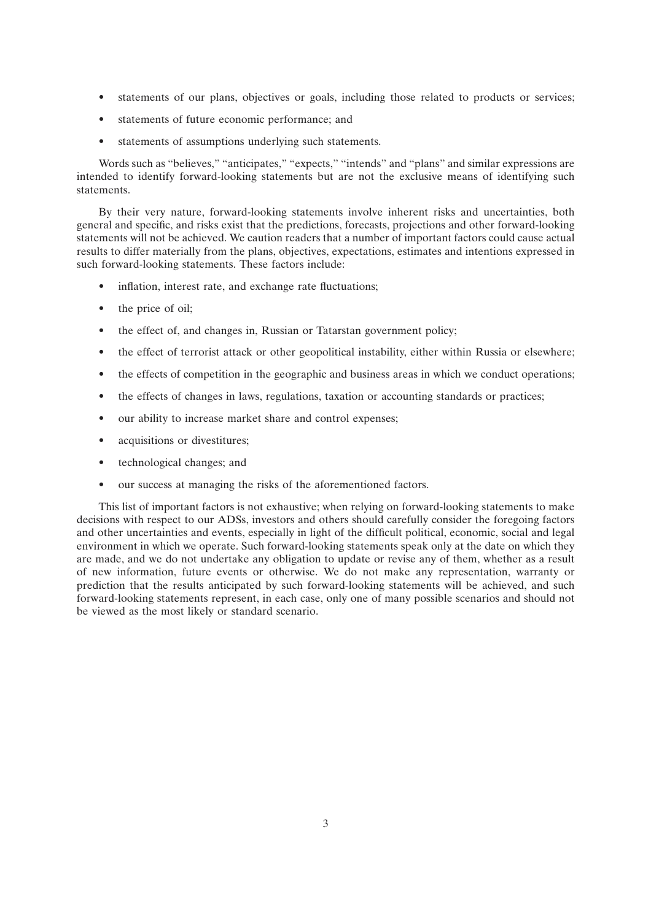- statements of our plans, objectives or goals, including those related to products or services;
- statements of future economic performance; and
- statements of assumptions underlying such statements.

Words such as "believes," "anticipates," "expects," "intends" and "plans" and similar expressions are intended to identify forward-looking statements but are not the exclusive means of identifying such statements.

By their very nature, forward-looking statements involve inherent risks and uncertainties, both general and specific, and risks exist that the predictions, forecasts, projections and other forward-looking statements will not be achieved. We caution readers that a number of important factors could cause actual results to differ materially from the plans, objectives, expectations, estimates and intentions expressed in such forward-looking statements. These factors include:

- inflation, interest rate, and exchange rate fluctuations;
- the price of oil:
- the effect of, and changes in, Russian or Tatarstan government policy;
- the effect of terrorist attack or other geopolitical instability, either within Russia or elsewhere;
- the effects of competition in the geographic and business areas in which we conduct operations;
- the effects of changes in laws, regulations, taxation or accounting standards or practices;
- our ability to increase market share and control expenses;
- acquisitions or divestitures;
- technological changes; and
- our success at managing the risks of the aforementioned factors.

This list of important factors is not exhaustive; when relying on forward-looking statements to make decisions with respect to our ADSs, investors and others should carefully consider the foregoing factors and other uncertainties and events, especially in light of the difficult political, economic, social and legal environment in which we operate. Such forward-looking statements speak only at the date on which they are made, and we do not undertake any obligation to update or revise any of them, whether as a result of new information, future events or otherwise. We do not make any representation, warranty or prediction that the results anticipated by such forward-looking statements will be achieved, and such forward-looking statements represent, in each case, only one of many possible scenarios and should not be viewed as the most likely or standard scenario.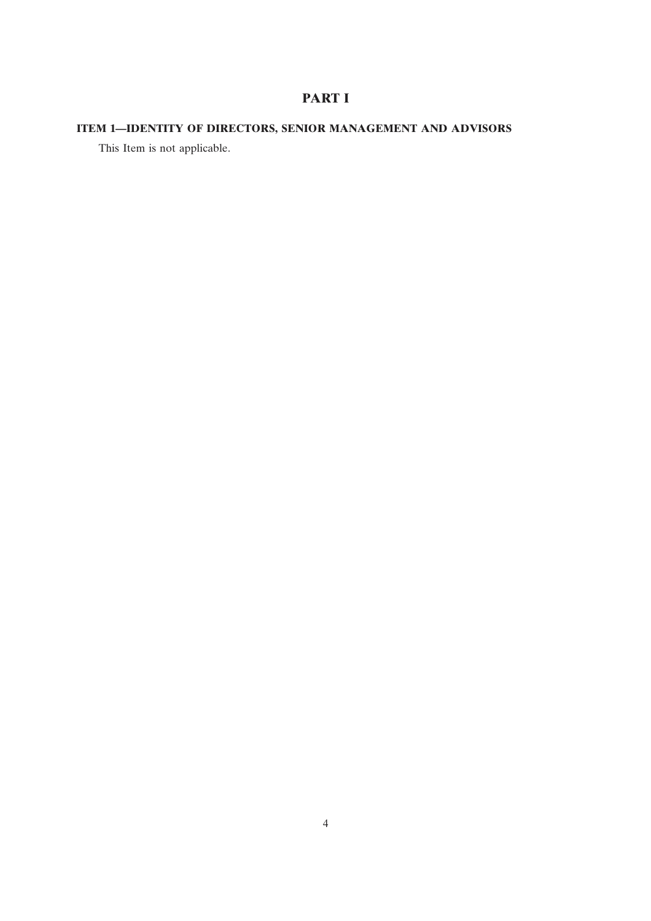# **PART I**

# **ITEM 1—IDENTITY OF DIRECTORS, SENIOR MANAGEMENT AND ADVISORS**

This Item is not applicable.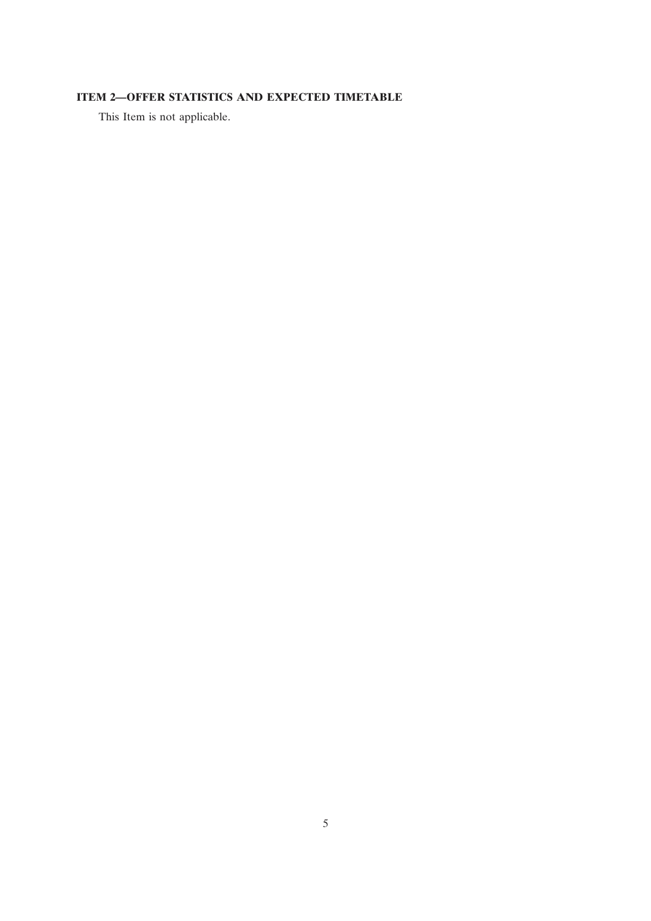# **ITEM 2—OFFER STATISTICS AND EXPECTED TIMETABLE**

This Item is not applicable.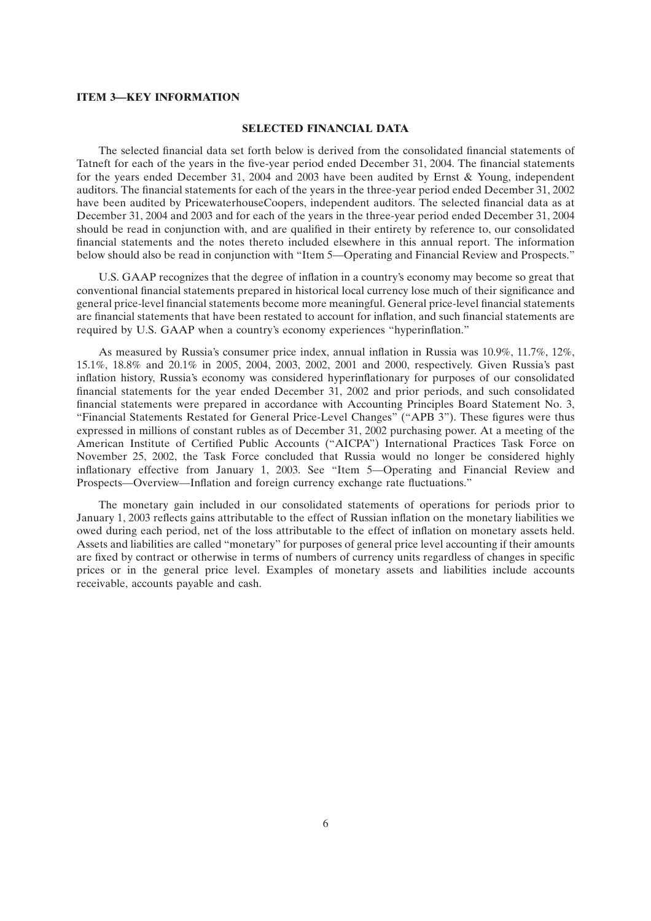## **ITEM 3—KEY INFORMATION**

#### **SELECTED FINANCIAL DATA**

The selected financial data set forth below is derived from the consolidated financial statements of Tatneft for each of the years in the five-year period ended December 31, 2004. The financial statements for the years ended December 31, 2004 and 2003 have been audited by Ernst & Young, independent auditors. The financial statements for each of the years in the three-year period ended December 31, 2002 have been audited by PricewaterhouseCoopers, independent auditors. The selected financial data as at December 31, 2004 and 2003 and for each of the years in the three-year period ended December 31, 2004 should be read in conjunction with, and are qualified in their entirety by reference to, our consolidated financial statements and the notes thereto included elsewhere in this annual report. The information below should also be read in conjunction with ''Item 5—Operating and Financial Review and Prospects.''

U.S. GAAP recognizes that the degree of inflation in a country's economy may become so great that conventional financial statements prepared in historical local currency lose much of their significance and general price-level financial statements become more meaningful. General price-level financial statements are financial statements that have been restated to account for inflation, and such financial statements are required by U.S. GAAP when a country's economy experiences ''hyperinflation.''

As measured by Russia's consumer price index, annual inflation in Russia was 10.9%, 11.7%, 12%, 15.1%, 18.8% and 20.1% in 2005, 2004, 2003, 2002, 2001 and 2000, respectively. Given Russia's past inflation history, Russia's economy was considered hyperinflationary for purposes of our consolidated financial statements for the year ended December 31, 2002 and prior periods, and such consolidated financial statements were prepared in accordance with Accounting Principles Board Statement No. 3, ''Financial Statements Restated for General Price-Level Changes'' (''APB 3''). These figures were thus expressed in millions of constant rubles as of December 31, 2002 purchasing power. At a meeting of the American Institute of Certified Public Accounts (''AICPA'') International Practices Task Force on November 25, 2002, the Task Force concluded that Russia would no longer be considered highly inflationary effective from January 1, 2003. See ''Item 5—Operating and Financial Review and Prospects—Overview—Inflation and foreign currency exchange rate fluctuations.''

The monetary gain included in our consolidated statements of operations for periods prior to January 1, 2003 reflects gains attributable to the effect of Russian inflation on the monetary liabilities we owed during each period, net of the loss attributable to the effect of inflation on monetary assets held. Assets and liabilities are called ''monetary'' for purposes of general price level accounting if their amounts are fixed by contract or otherwise in terms of numbers of currency units regardless of changes in specific prices or in the general price level. Examples of monetary assets and liabilities include accounts receivable, accounts payable and cash.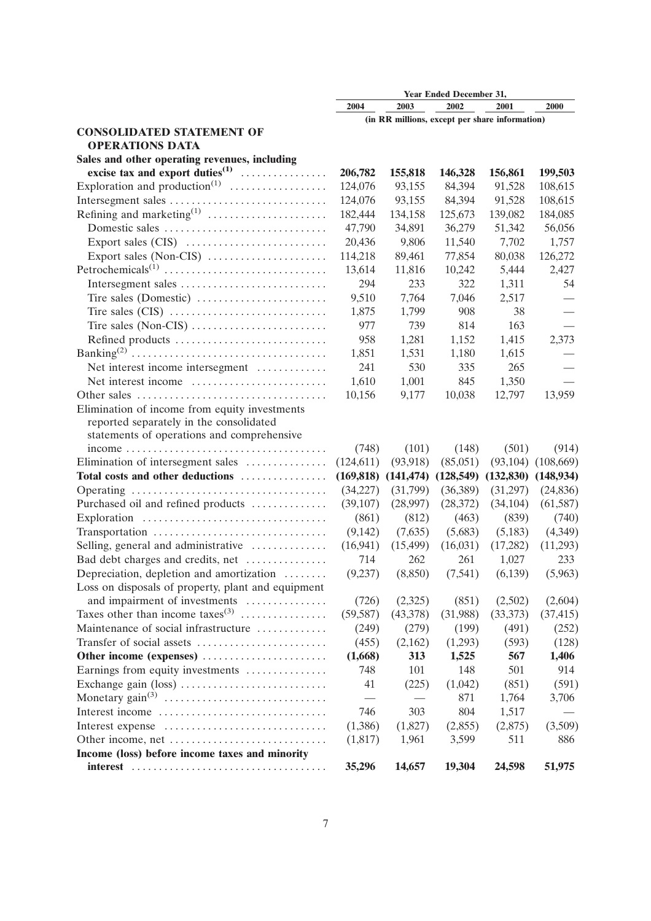|                                                                                              | Year Ended December 31, |           |                                     |                                                |            |
|----------------------------------------------------------------------------------------------|-------------------------|-----------|-------------------------------------|------------------------------------------------|------------|
|                                                                                              | 2004                    | 2003      | 2002                                | 2001                                           | 2000       |
|                                                                                              |                         |           |                                     | (in RR millions, except per share information) |            |
| <b>CONSOLIDATED STATEMENT OF</b>                                                             |                         |           |                                     |                                                |            |
| <b>OPERATIONS DATA</b>                                                                       |                         |           |                                     |                                                |            |
| Sales and other operating revenues, including                                                |                         |           |                                     |                                                |            |
| excise tax and export duties <sup>(1)</sup>                                                  | 206,782                 | 155,818   | 146,328                             | 156,861                                        | 199,503    |
|                                                                                              | 124,076                 | 93,155    | 84,394                              | 91,528                                         | 108,615    |
| Intersegment sales                                                                           | 124,076                 | 93,155    | 84,394                              | 91,528                                         | 108,615    |
| Refining and marketing $^{(1)}$ $\cdots\cdots\cdots\cdots\cdots\cdots\cdots$                 | 182,444                 | 134,158   | 125,673                             | 139,082                                        | 184,085    |
| Domestic sales                                                                               | 47,790                  | 34,891    | 36,279                              | 51,342                                         | 56,056     |
|                                                                                              | 20,436                  | 9,806     | 11,540                              | 7,702                                          | 1,757      |
| Export sales (Non-CIS) $\dots\dots\dots\dots\dots\dots\dots$                                 | 114,218                 | 89,461    | 77,854                              | 80,038                                         | 126,272    |
|                                                                                              | 13,614                  | 11,816    | 10,242                              | 5,444                                          | 2,427      |
| Intersegment sales                                                                           | 294                     | 233       | 322                                 | 1,311                                          | 54         |
| Tire sales (Domestic) $\dots \dots \dots \dots \dots \dots \dots$                            | 9,510                   | 7,764     | 7,046                               | 2,517                                          |            |
|                                                                                              | 1,875                   | 1,799     | 908                                 | 38                                             |            |
| Tire sales (Non-CIS) $\dots \dots \dots \dots \dots \dots \dots \dots$                       | 977                     | 739       | 814                                 | 163                                            |            |
| Refined products                                                                             | 958                     | 1,281     | 1,152                               | 1,415                                          | 2,373      |
|                                                                                              | 1,851                   | 1,531     | 1,180                               | 1,615                                          |            |
| Net interest income intersegment                                                             | 241                     | 530       | 335                                 | 265                                            |            |
| Net interest income                                                                          | 1,610                   | 1,001     | 845                                 | 1,350                                          |            |
|                                                                                              | 10,156                  | 9,177     | 10,038                              | 12,797                                         | 13,959     |
| Elimination of income from equity investments                                                |                         |           |                                     |                                                |            |
| reported separately in the consolidated                                                      |                         |           |                                     |                                                |            |
| statements of operations and comprehensive                                                   |                         |           |                                     |                                                |            |
| $income \ldots \ldots \ldots \ldots \ldots \ldots \ldots \ldots \ldots \ldots \ldots \ldots$ | (748)                   | (101)     | (148)                               | (501)                                          | (914)      |
| Elimination of intersegment sales                                                            | (124, 611)              | (93, 918) | (85,051)                            | (93, 104)                                      | (108, 669) |
| Total costs and other deductions                                                             |                         |           | $(169,818)$ $(141,474)$ $(128,549)$ | $(132,830)$ $(148,934)$                        |            |
|                                                                                              | (34,227)                | (31,799)  | (36,389)                            | (31,297)                                       | (24, 836)  |
| Purchased oil and refined products                                                           | (39,107)                | (28,997)  | (28,372)                            | (34, 104)                                      | (61, 587)  |
|                                                                                              | (861)                   | (812)     | (463)                               | (839)                                          | (740)      |
| Transportation                                                                               | (9,142)                 | (7,635)   | (5,683)                             | (5,183)                                        | (4,349)    |
| Selling, general and administrative                                                          | (16,941)                | (15,499)  | (16,031)                            | (17,282)                                       | (11,293)   |
| Bad debt charges and credits, net                                                            | 714                     | 262       | 261                                 | 1,027                                          | 233        |
| Depreciation, depletion and amortization                                                     | (9,237)                 | (8,850)   | (7,541)                             | (6, 139)                                       | (5,963)    |
|                                                                                              |                         |           |                                     |                                                |            |
| Loss on disposals of property, plant and equipment                                           |                         |           | (851)                               |                                                |            |
| and impairment of investments<br>Taxes other than income taxes <sup>(3)</sup>                | (726)                   | (2,325)   |                                     | (2,502)                                        | (2,604)    |
|                                                                                              | (59, 587)               | (43,378)  | (31,988)                            | (33,373)                                       | (37, 415)  |
| Maintenance of social infrastructure                                                         | (249)                   | (279)     | (199)                               | (491)                                          | (252)      |
|                                                                                              | (455)                   | (2,162)   | (1,293)                             | (593)                                          | (128)      |
| Other income (expenses)                                                                      | (1,668)                 | 313       | 1,525                               | 567                                            | 1,406      |
| Earnings from equity investments                                                             | 748                     | 101       | 148                                 | 501                                            | 914        |
|                                                                                              | 41                      | (225)     | (1,042)                             | (851)                                          | (591)      |
|                                                                                              |                         |           | 871                                 | 1,764                                          | 3,706      |
| Interest income                                                                              | 746                     | 303       | 804                                 | 1,517                                          |            |
| Interest expense                                                                             | (1,386)                 | (1,827)   | (2,855)                             | (2,875)                                        | (3,509)    |
|                                                                                              | (1,817)                 | 1,961     | 3,599                               | 511                                            | 886        |
| Income (loss) before income taxes and minority                                               |                         |           |                                     |                                                |            |
|                                                                                              | 35,296                  | 14,657    | 19,304                              | 24,598                                         | 51,975     |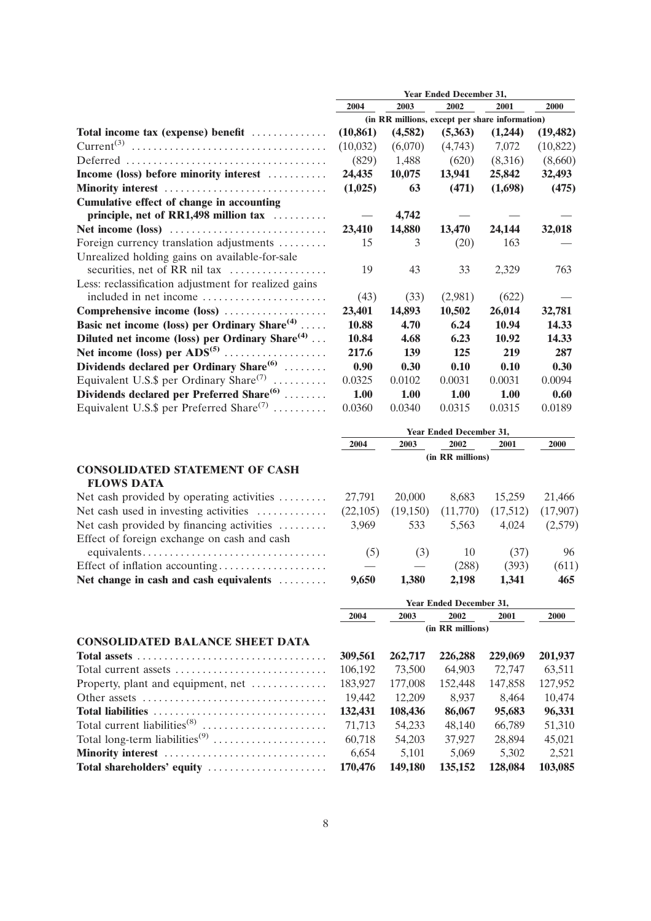|                                                             | <b>Year Ended December 31,</b>                 |         |                                |         |           |  |
|-------------------------------------------------------------|------------------------------------------------|---------|--------------------------------|---------|-----------|--|
|                                                             | 2004                                           | 2003    | 2002                           | 2001    | 2000      |  |
|                                                             | (in RR millions, except per share information) |         |                                |         |           |  |
| Total income tax (expense) benefit                          | (10, 861)                                      | (4,582) | (5,363)                        | (1,244) | (19, 482) |  |
|                                                             | (10,032)                                       | (6,070) | (4,743)                        | 7,072   | (10, 822) |  |
|                                                             | (829)                                          | 1,488   | (620)                          | (8,316) | (8,660)   |  |
| Income (loss) before minority interest                      | 24,435                                         | 10,075  | 13,941                         | 25,842  | 32,493    |  |
| Minority interest                                           | (1,025)                                        | 63      | (471)                          | (1,698) | (475)     |  |
| Cumulative effect of change in accounting                   |                                                |         |                                |         |           |  |
| principle, net of RR1,498 million tax                       |                                                | 4,742   |                                |         |           |  |
|                                                             | 23,410                                         | 14,880  | 13,470                         | 24,144  | 32,018    |  |
| Foreign currency translation adjustments                    | 15                                             | 3       | (20)                           | 163     |           |  |
| Unrealized holding gains on available-for-sale              |                                                |         |                                |         |           |  |
| securities, net of RR nil tax                               | 19                                             | 43      | 33                             | 2,329   | 763       |  |
| Less: reclassification adjustment for realized gains        |                                                |         |                                |         |           |  |
| included in net income                                      | (43)                                           | (33)    | (2,981)                        | (622)   |           |  |
| Comprehensive income (loss)                                 | 23,401                                         | 14,893  | 10,502                         | 26,014  | 32,781    |  |
| Basic net income (loss) per Ordinary Share <sup>(4)</sup>   | 10.88                                          | 4.70    | 6.24                           | 10.94   | 14.33     |  |
| Diluted net income (loss) per Ordinary Share <sup>(4)</sup> | 10.84                                          | 4.68    | 6.23                           | 10.92   | 14.33     |  |
|                                                             | 217.6                                          | 139     | 125                            | 219     | 287       |  |
| Dividends declared per Ordinary Share <sup>(6)</sup>        | 0.90                                           | 0.30    | 0.10                           | 0.10    | 0.30      |  |
| Equivalent U.S.\$ per Ordinary Share <sup>(7)</sup>         | 0.0325                                         | 0.0102  | 0.0031                         | 0.0031  | 0.0094    |  |
| Dividends declared per Preferred Share <sup>(6)</sup>       | 1.00                                           | 1.00    | 1.00                           | 1.00    | 0.60      |  |
| Equivalent U.S.\$ per Preferred Share <sup>(7)</sup>        | 0.0360                                         | 0.0340  | 0.0315                         | 0.0315  | 0.0189    |  |
|                                                             |                                                |         | <b>Year Ended December 31,</b> |         |           |  |

|                                                              | 2004     | 2003     | 2002     | 2001     | 2000     |
|--------------------------------------------------------------|----------|----------|----------|----------|----------|
|                                                              |          |          |          |          |          |
| <b>CONSOLIDATED STATEMENT OF CASH</b>                        |          |          |          |          |          |
| <b>FLOWS DATA</b>                                            |          |          |          |          |          |
| Net cash provided by operating activities $\dots\dots\dots$  | 27.791   | 20,000   | 8.683    | 15.259   | 21,466   |
| Net cash used in investing activities $\dots\dots\dots\dots$ | (22,105) | (19,150) | (11,770) | (17,512) | (17,907) |
| Net cash provided by financing activities                    | 3.969    | 533      | 5.563    | 4.024    | (2,579)  |
| Effect of foreign exchange on cash and cash                  |          |          |          |          |          |
|                                                              | (5)      | (3)      | 10       | (37)     | 96       |
| Effect of inflation accounting                               |          |          | (288)    | (393)    | (611)    |
| Net change in cash and cash equivalents                      | 9,650    | 1,380    | 2.198    | 1,341    | 465      |

|                                                                                        | (in RR millions) |         |         |         |         |  |
|----------------------------------------------------------------------------------------|------------------|---------|---------|---------|---------|--|
| <b>CONSOLIDATED BALANCE SHEET DATA</b>                                                 |                  |         |         |         |         |  |
| Total assets $\dots \dots \dots \dots \dots \dots \dots \dots \dots \dots \dots \dots$ | 309,561          | 262,717 | 226,288 | 229,069 | 201,937 |  |
| Total current assets                                                                   | 106,192          | 73.500  | 64,903  | 72,747  | 63,511  |  |
| Property, plant and equipment, net $\dots\dots\dots\dots$                              | 183,927          | 177,008 | 152,448 | 147,858 | 127,952 |  |
| Other assets $\dots\dots\dots\dots\dots\dots\dots\dots\dots\dots\dots\dots\dots$       | 19.442           | 12.209  | 8.937   | 8.464   | 10,474  |  |
|                                                                                        | 132,431          | 108,436 | 86,067  | 95,683  | 96,331  |  |
|                                                                                        | 71.713           | 54,233  | 48.140  | 66.789  | 51,310  |  |
| Total long-term liabilities <sup>(9)</sup>                                             | 60.718           | 54,203  | 37,927  | 28.894  | 45,021  |  |
| Minority interest                                                                      | 6.654            | 5.101   | 5.069   | 5.302   | 2,521   |  |
| Total shareholders' equity contracts of the contracts of 170.476                       |                  | 149.180 | 135.152 | 128.084 | 103.085 |  |

| 9,650            | 1,380   | 2.198   | 1.341   | 465                            |  |  |
|------------------|---------|---------|---------|--------------------------------|--|--|
|                  |         |         |         |                                |  |  |
| 2004             | 2003    | 2002    | 2001    | <b>2000</b>                    |  |  |
| (in RR millions) |         |         |         |                                |  |  |
|                  |         |         |         |                                |  |  |
| 309,561          | 262,717 | 226,288 | 229,069 | 201,937                        |  |  |
| 106.192          | 73.500  | 64,903  | 72,747  | 63,511                         |  |  |
| 183,927          | 177,008 | 152,448 | 147,858 | 127,952                        |  |  |
| 19.442           | 12.209  | 8.937   | 8.464   | 10.474                         |  |  |
| 132,431          | 108,436 | 86,067  | 95,683  | 96,331                         |  |  |
| 71.713           | 54,233  | 48.140  | 66.789  | 51,310                         |  |  |
| 60.718           | 54,203  | 37,927  | 28,894  | 45,021                         |  |  |
| 6.654            | 5.101   | 5.069   | 5.302   | 2.521                          |  |  |
| 170,476          | 149,180 | 135,152 | 128,084 | 103,085                        |  |  |
|                  |         |         |         | <b>Year Ended December 31,</b> |  |  |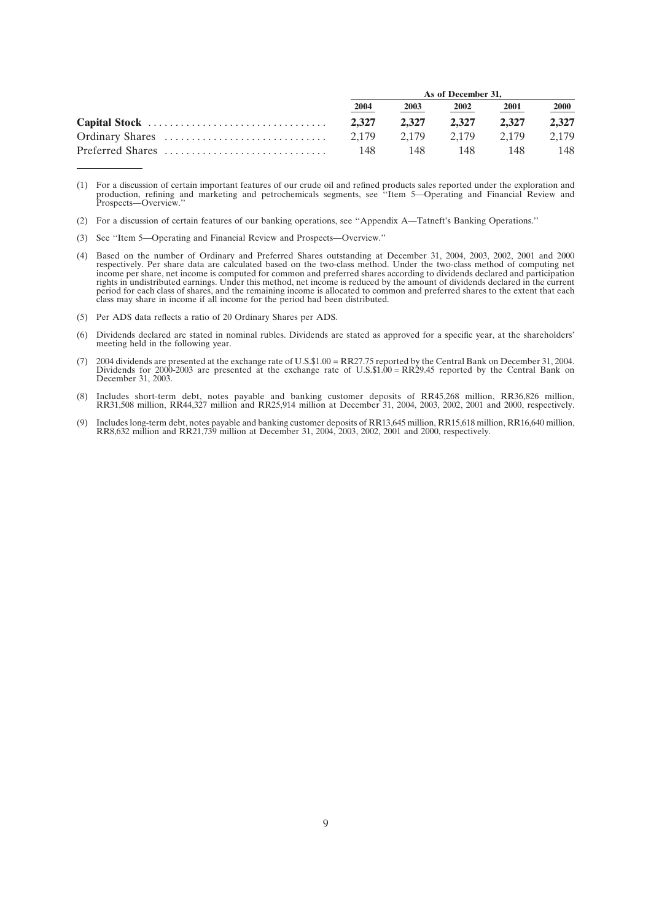|                  | As of December 31. |       |       |       |       |  |
|------------------|--------------------|-------|-------|-------|-------|--|
|                  | 2004               | 2003  | 2002  | 2001  | 2000  |  |
|                  | 2.327              | 2.327 | 2.327 | 2.327 | 2,327 |  |
|                  | 2.179              | 2.179 | 2.179 | 2.179 | 2.179 |  |
| Preferred Shares | 148                | 148   | 148   | 148   | 148   |  |

<sup>(1)</sup> For a discussion of certain important features of our crude oil and refined products sales reported under the exploration and production, refining and marketing and petrochemicals segments, see "Item 5—Operating and Fi

- (3) See ''Item 5—Operating and Financial Review and Prospects—Overview.''
- (4) Based on the number of Ordinary and Preferred Shares outstanding at December 31, 2004, 2003, 2002, 2001 and 2000 respectively. Per share data are calculated based on the two-class method. Under the two-class method of rights in undistributed earnings. Under this method, net income is reduced by the amount of dividends declared in the current period for each class of shares, and the remaining income is allocated to common and preferred shares to the extent that each class may share in income if all income for the period had been distributed.
- (5) Per ADS data reflects a ratio of 20 Ordinary Shares per ADS.
- (6) Dividends declared are stated in nominal rubles. Dividends are stated as approved for a specific year, at the shareholders' meeting held in the following year.
- (7) 2004 dividends are presented at the exchange rate of U.S.\$1.00 = RR27.75 reported by the Central Bank on December 31, 2004. Dividends for 2000-2003 are presented at the exchange rate of U.S.\$1.00 = RR29.45 reported by the Central Bank on December 31, 2003.
- (8) Includes short-term debt, notes payable and banking customer deposits of RR45,268 million, RR36,826 million,<br>RR31,508 million, RR44,327 million and RR25,914 million at December 31, 2004, 2003, 2002, 2001 and 2000, resp
- (9) Includes long-term debt, notes payable and banking customer deposits of RR13,645 million, RR15,618 million, RR16,640 million,<br>RR8,632 million and RR21,739 million at December 31, 2004, 2003, 2002, 2001 and 2000, respec

<sup>(2)</sup> For a discussion of certain features of our banking operations, see ''Appendix A—Tatneft's Banking Operations.''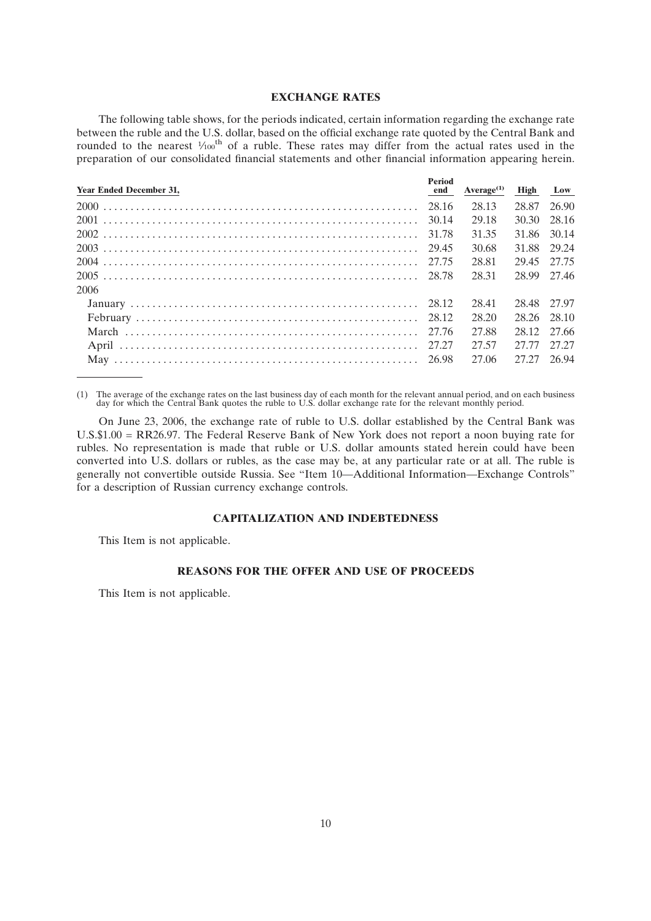## **EXCHANGE RATES**

The following table shows, for the periods indicated, certain information regarding the exchange rate between the ruble and the U.S. dollar, based on the official exchange rate quoted by the Central Bank and rounded to the nearest  $\frac{1}{100}$ <sup>th</sup> of a ruble. These rates may differ from the actual rates used in the preparation of our consolidated financial statements and other financial information appearing herein.

| <b>Period</b><br>end |       |                                                                                                                                                                                            |
|----------------------|-------|--------------------------------------------------------------------------------------------------------------------------------------------------------------------------------------------|
|                      | 28.13 |                                                                                                                                                                                            |
|                      | 29.18 |                                                                                                                                                                                            |
|                      | 31.35 |                                                                                                                                                                                            |
|                      | 30.68 |                                                                                                                                                                                            |
|                      | 28.81 |                                                                                                                                                                                            |
|                      | 28.31 |                                                                                                                                                                                            |
|                      |       |                                                                                                                                                                                            |
|                      | 28.41 |                                                                                                                                                                                            |
|                      | 28.20 |                                                                                                                                                                                            |
|                      | 27.88 |                                                                                                                                                                                            |
|                      | 27.57 |                                                                                                                                                                                            |
|                      | 27.06 |                                                                                                                                                                                            |
|                      |       | $Average(1)$ High Low<br>28.87 26.90<br>30.30 28.16<br>31.86 30.14<br>31.88 29.24<br>29.45 27.75<br>28.99 27.46<br>28.48 27.97<br>28.26 28.10<br>28.12 27.66<br>27.77 27.27<br>27.27 26.94 |

(1) The average of the exchange rates on the last business day of each month for the relevant annual period, and on each business day for which the Central Bank quotes the ruble to U.S. dollar exchange rate for the relevan

On June 23, 2006, the exchange rate of ruble to U.S. dollar established by the Central Bank was U.S.\$1.00 = RR26.97. The Federal Reserve Bank of New York does not report a noon buying rate for rubles. No representation is made that ruble or U.S. dollar amounts stated herein could have been converted into U.S. dollars or rubles, as the case may be, at any particular rate or at all. The ruble is generally not convertible outside Russia. See ''Item 10—Additional Information—Exchange Controls'' for a description of Russian currency exchange controls.

# **CAPITALIZATION AND INDEBTEDNESS**

This Item is not applicable.

#### **REASONS FOR THE OFFER AND USE OF PROCEEDS**

This Item is not applicable.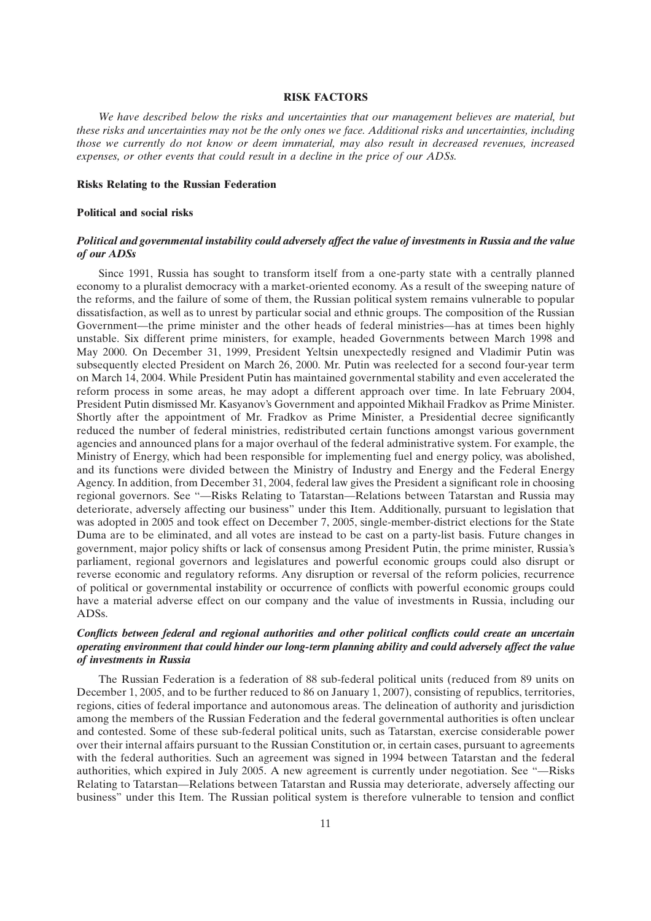#### **RISK FACTORS**

*We have described below the risks and uncertainties that our management believes are material, but these risks and uncertainties may not be the only ones we face. Additional risks and uncertainties, including those we currently do not know or deem immaterial, may also result in decreased revenues, increased expenses, or other events that could result in a decline in the price of our ADSs.*

#### **Risks Relating to the Russian Federation**

#### **Political and social risks**

## *Political and governmental instability could adversely affect the value of investments in Russia and the value of our ADSs*

Since 1991, Russia has sought to transform itself from a one-party state with a centrally planned economy to a pluralist democracy with a market-oriented economy. As a result of the sweeping nature of the reforms, and the failure of some of them, the Russian political system remains vulnerable to popular dissatisfaction, as well as to unrest by particular social and ethnic groups. The composition of the Russian Government—the prime minister and the other heads of federal ministries—has at times been highly unstable. Six different prime ministers, for example, headed Governments between March 1998 and May 2000. On December 31, 1999, President Yeltsin unexpectedly resigned and Vladimir Putin was subsequently elected President on March 26, 2000. Mr. Putin was reelected for a second four-year term on March 14, 2004. While President Putin has maintained governmental stability and even accelerated the reform process in some areas, he may adopt a different approach over time. In late February 2004, President Putin dismissed Mr. Kasyanov's Government and appointed Mikhail Fradkov as Prime Minister. Shortly after the appointment of Mr. Fradkov as Prime Minister, a Presidential decree significantly reduced the number of federal ministries, redistributed certain functions amongst various government agencies and announced plans for a major overhaul of the federal administrative system. For example, the Ministry of Energy, which had been responsible for implementing fuel and energy policy, was abolished, and its functions were divided between the Ministry of Industry and Energy and the Federal Energy Agency. In addition, from December 31, 2004, federal law gives the President a significant role in choosing regional governors. See "—Risks Relating to Tatarstan—Relations between Tatarstan and Russia may deteriorate, adversely affecting our business'' under this Item. Additionally, pursuant to legislation that was adopted in 2005 and took effect on December 7, 2005, single-member-district elections for the State Duma are to be eliminated, and all votes are instead to be cast on a party-list basis. Future changes in government, major policy shifts or lack of consensus among President Putin, the prime minister, Russia's parliament, regional governors and legislatures and powerful economic groups could also disrupt or reverse economic and regulatory reforms. Any disruption or reversal of the reform policies, recurrence of political or governmental instability or occurrence of conflicts with powerful economic groups could have a material adverse effect on our company and the value of investments in Russia, including our ADSs.

## *Conflicts between federal and regional authorities and other political conflicts could create an uncertain operating environment that could hinder our long-term planning ability and could adversely affect the value of investments in Russia*

The Russian Federation is a federation of 88 sub-federal political units (reduced from 89 units on December 1, 2005, and to be further reduced to 86 on January 1, 2007), consisting of republics, territories, regions, cities of federal importance and autonomous areas. The delineation of authority and jurisdiction among the members of the Russian Federation and the federal governmental authorities is often unclear and contested. Some of these sub-federal political units, such as Tatarstan, exercise considerable power over their internal affairs pursuant to the Russian Constitution or, in certain cases, pursuant to agreements with the federal authorities. Such an agreement was signed in 1994 between Tatarstan and the federal authorities, which expired in July 2005. A new agreement is currently under negotiation. See "-Risks Relating to Tatarstan—Relations between Tatarstan and Russia may deteriorate, adversely affecting our business'' under this Item. The Russian political system is therefore vulnerable to tension and conflict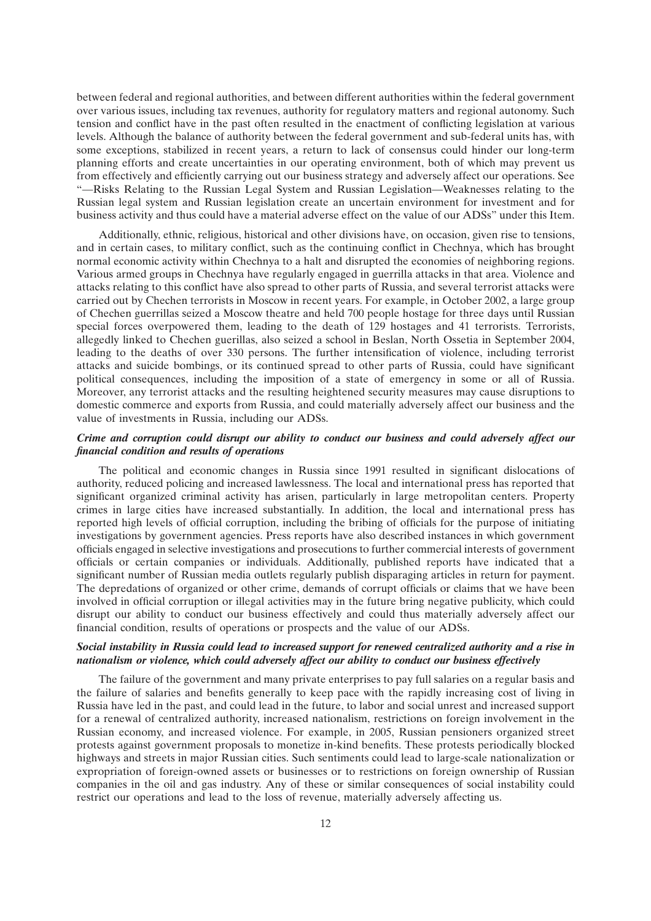between federal and regional authorities, and between different authorities within the federal government over various issues, including tax revenues, authority for regulatory matters and regional autonomy. Such tension and conflict have in the past often resulted in the enactment of conflicting legislation at various levels. Although the balance of authority between the federal government and sub-federal units has, with some exceptions, stabilized in recent years, a return to lack of consensus could hinder our long-term planning efforts and create uncertainties in our operating environment, both of which may prevent us from effectively and efficiently carrying out our business strategy and adversely affect our operations. See ''—Risks Relating to the Russian Legal System and Russian Legislation—Weaknesses relating to the Russian legal system and Russian legislation create an uncertain environment for investment and for business activity and thus could have a material adverse effect on the value of our ADSs'' under this Item.

Additionally, ethnic, religious, historical and other divisions have, on occasion, given rise to tensions, and in certain cases, to military conflict, such as the continuing conflict in Chechnya, which has brought normal economic activity within Chechnya to a halt and disrupted the economies of neighboring regions. Various armed groups in Chechnya have regularly engaged in guerrilla attacks in that area. Violence and attacks relating to this conflict have also spread to other parts of Russia, and several terrorist attacks were carried out by Chechen terrorists in Moscow in recent years. For example, in October 2002, a large group of Chechen guerrillas seized a Moscow theatre and held 700 people hostage for three days until Russian special forces overpowered them, leading to the death of 129 hostages and 41 terrorists. Terrorists, allegedly linked to Chechen guerillas, also seized a school in Beslan, North Ossetia in September 2004, leading to the deaths of over 330 persons. The further intensification of violence, including terrorist attacks and suicide bombings, or its continued spread to other parts of Russia, could have significant political consequences, including the imposition of a state of emergency in some or all of Russia. Moreover, any terrorist attacks and the resulting heightened security measures may cause disruptions to domestic commerce and exports from Russia, and could materially adversely affect our business and the value of investments in Russia, including our ADSs.

## *Crime and corruption could disrupt our ability to conduct our business and could adversely affect our financial condition and results of operations*

The political and economic changes in Russia since 1991 resulted in significant dislocations of authority, reduced policing and increased lawlessness. The local and international press has reported that significant organized criminal activity has arisen, particularly in large metropolitan centers. Property crimes in large cities have increased substantially. In addition, the local and international press has reported high levels of official corruption, including the bribing of officials for the purpose of initiating investigations by government agencies. Press reports have also described instances in which government officials engaged in selective investigations and prosecutions to further commercial interests of government officials or certain companies or individuals. Additionally, published reports have indicated that a significant number of Russian media outlets regularly publish disparaging articles in return for payment. The depredations of organized or other crime, demands of corrupt officials or claims that we have been involved in official corruption or illegal activities may in the future bring negative publicity, which could disrupt our ability to conduct our business effectively and could thus materially adversely affect our financial condition, results of operations or prospects and the value of our ADSs.

## *Social instability in Russia could lead to increased support for renewed centralized authority and a rise in nationalism or violence, which could adversely affect our ability to conduct our business effectively*

The failure of the government and many private enterprises to pay full salaries on a regular basis and the failure of salaries and benefits generally to keep pace with the rapidly increasing cost of living in Russia have led in the past, and could lead in the future, to labor and social unrest and increased support for a renewal of centralized authority, increased nationalism, restrictions on foreign involvement in the Russian economy, and increased violence. For example, in 2005, Russian pensioners organized street protests against government proposals to monetize in-kind benefits. These protests periodically blocked highways and streets in major Russian cities. Such sentiments could lead to large-scale nationalization or expropriation of foreign-owned assets or businesses or to restrictions on foreign ownership of Russian companies in the oil and gas industry. Any of these or similar consequences of social instability could restrict our operations and lead to the loss of revenue, materially adversely affecting us.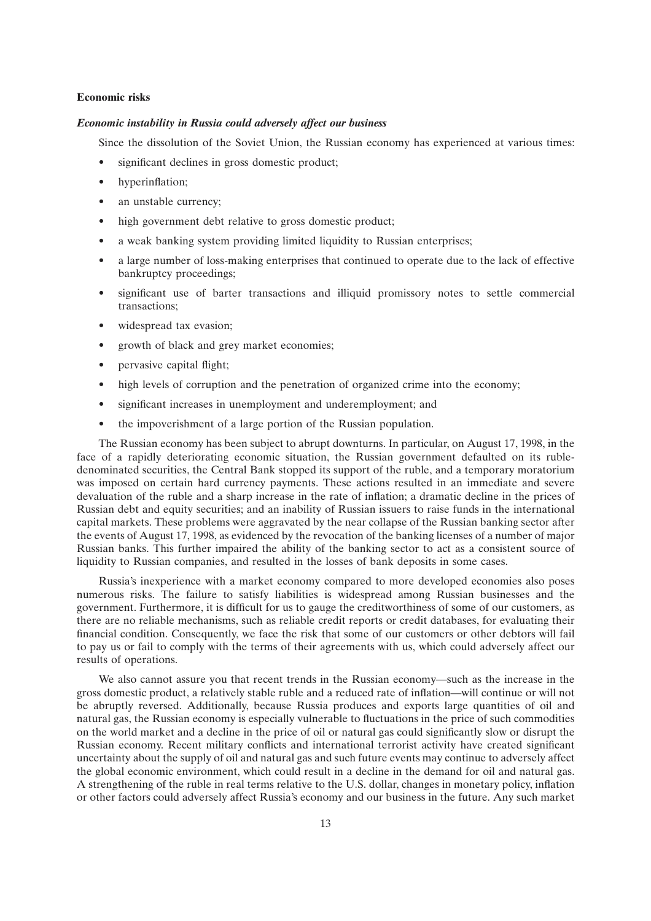### **Economic risks**

#### *Economic instability in Russia could adversely affect our business*

Since the dissolution of the Soviet Union, the Russian economy has experienced at various times:

- significant declines in gross domestic product;
- hyperinflation:
- an unstable currency;
- high government debt relative to gross domestic product;
- a weak banking system providing limited liquidity to Russian enterprises;
- a large number of loss-making enterprises that continued to operate due to the lack of effective bankruptcy proceedings;
- significant use of barter transactions and illiquid promissory notes to settle commercial transactions;
- widespread tax evasion;
- growth of black and grey market economies;
- pervasive capital flight;
- high levels of corruption and the penetration of organized crime into the economy;
- significant increases in unemployment and underemployment; and
- the impoverishment of a large portion of the Russian population.

The Russian economy has been subject to abrupt downturns. In particular, on August 17, 1998, in the face of a rapidly deteriorating economic situation, the Russian government defaulted on its rubledenominated securities, the Central Bank stopped its support of the ruble, and a temporary moratorium was imposed on certain hard currency payments. These actions resulted in an immediate and severe devaluation of the ruble and a sharp increase in the rate of inflation; a dramatic decline in the prices of Russian debt and equity securities; and an inability of Russian issuers to raise funds in the international capital markets. These problems were aggravated by the near collapse of the Russian banking sector after the events of August 17, 1998, as evidenced by the revocation of the banking licenses of a number of major Russian banks. This further impaired the ability of the banking sector to act as a consistent source of liquidity to Russian companies, and resulted in the losses of bank deposits in some cases.

Russia's inexperience with a market economy compared to more developed economies also poses numerous risks. The failure to satisfy liabilities is widespread among Russian businesses and the government. Furthermore, it is difficult for us to gauge the creditworthiness of some of our customers, as there are no reliable mechanisms, such as reliable credit reports or credit databases, for evaluating their financial condition. Consequently, we face the risk that some of our customers or other debtors will fail to pay us or fail to comply with the terms of their agreements with us, which could adversely affect our results of operations.

We also cannot assure you that recent trends in the Russian economy—such as the increase in the gross domestic product, a relatively stable ruble and a reduced rate of inflation—will continue or will not be abruptly reversed. Additionally, because Russia produces and exports large quantities of oil and natural gas, the Russian economy is especially vulnerable to fluctuations in the price of such commodities on the world market and a decline in the price of oil or natural gas could significantly slow or disrupt the Russian economy. Recent military conflicts and international terrorist activity have created significant uncertainty about the supply of oil and natural gas and such future events may continue to adversely affect the global economic environment, which could result in a decline in the demand for oil and natural gas. A strengthening of the ruble in real terms relative to the U.S. dollar, changes in monetary policy, inflation or other factors could adversely affect Russia's economy and our business in the future. Any such market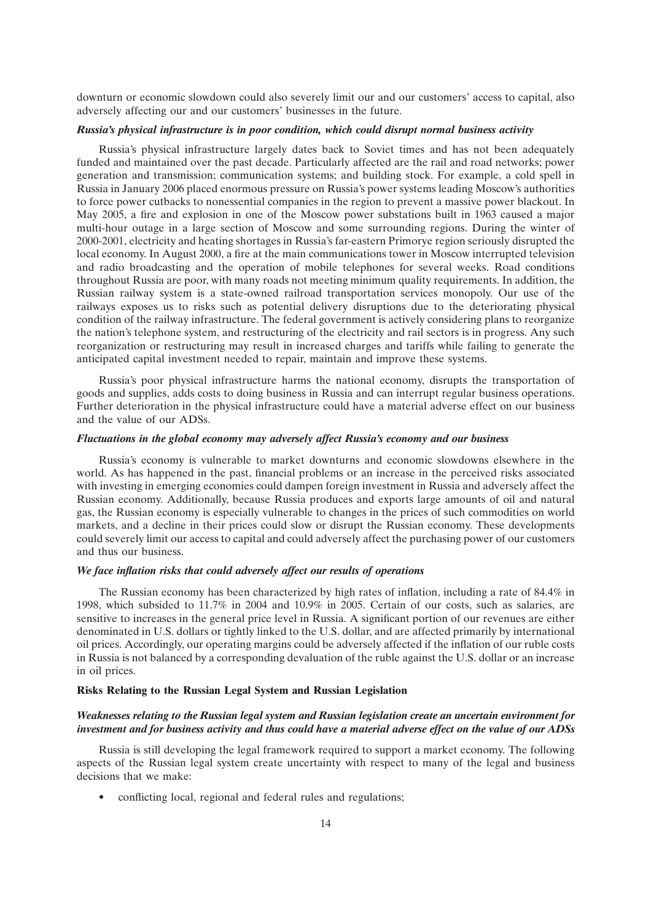downturn or economic slowdown could also severely limit our and our customers' access to capital, also adversely affecting our and our customers' businesses in the future.

#### *Russia's physical infrastructure is in poor condition, which could disrupt normal business activity*

Russia's physical infrastructure largely dates back to Soviet times and has not been adequately funded and maintained over the past decade. Particularly affected are the rail and road networks; power generation and transmission; communication systems; and building stock. For example, a cold spell in Russia in January 2006 placed enormous pressure on Russia's power systems leading Moscow's authorities to force power cutbacks to nonessential companies in the region to prevent a massive power blackout. In May 2005, a fire and explosion in one of the Moscow power substations built in 1963 caused a major multi-hour outage in a large section of Moscow and some surrounding regions. During the winter of 2000-2001, electricity and heating shortages in Russia's far-eastern Primorye region seriously disrupted the local economy. In August 2000, a fire at the main communications tower in Moscow interrupted television and radio broadcasting and the operation of mobile telephones for several weeks. Road conditions throughout Russia are poor, with many roads not meeting minimum quality requirements. In addition, the Russian railway system is a state-owned railroad transportation services monopoly. Our use of the railways exposes us to risks such as potential delivery disruptions due to the deteriorating physical condition of the railway infrastructure. The federal government is actively considering plans to reorganize the nation's telephone system, and restructuring of the electricity and rail sectors is in progress. Any such reorganization or restructuring may result in increased charges and tariffs while failing to generate the anticipated capital investment needed to repair, maintain and improve these systems.

Russia's poor physical infrastructure harms the national economy, disrupts the transportation of goods and supplies, adds costs to doing business in Russia and can interrupt regular business operations. Further deterioration in the physical infrastructure could have a material adverse effect on our business and the value of our ADSs.

## *Fluctuations in the global economy may adversely affect Russia's economy and our business*

Russia's economy is vulnerable to market downturns and economic slowdowns elsewhere in the world. As has happened in the past, financial problems or an increase in the perceived risks associated with investing in emerging economies could dampen foreign investment in Russia and adversely affect the Russian economy. Additionally, because Russia produces and exports large amounts of oil and natural gas, the Russian economy is especially vulnerable to changes in the prices of such commodities on world markets, and a decline in their prices could slow or disrupt the Russian economy. These developments could severely limit our access to capital and could adversely affect the purchasing power of our customers and thus our business.

#### *We face inflation risks that could adversely affect our results of operations*

The Russian economy has been characterized by high rates of inflation, including a rate of 84.4% in 1998, which subsided to 11.7% in 2004 and 10.9% in 2005. Certain of our costs, such as salaries, are sensitive to increases in the general price level in Russia. A significant portion of our revenues are either denominated in U.S. dollars or tightly linked to the U.S. dollar, and are affected primarily by international oil prices. Accordingly, our operating margins could be adversely affected if the inflation of our ruble costs in Russia is not balanced by a corresponding devaluation of the ruble against the U.S. dollar or an increase in oil prices.

## **Risks Relating to the Russian Legal System and Russian Legislation**

## *Weaknesses relating to the Russian legal system and Russian legislation create an uncertain environment for investment and for business activity and thus could have a material adverse effect on the value of our ADSs*

Russia is still developing the legal framework required to support a market economy. The following aspects of the Russian legal system create uncertainty with respect to many of the legal and business decisions that we make:

• conflicting local, regional and federal rules and regulations;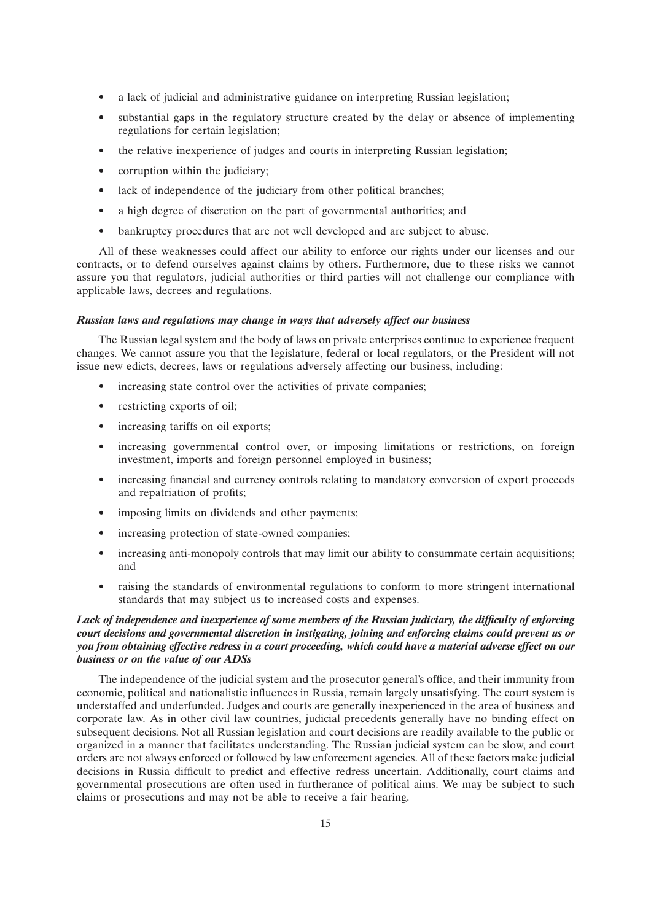- a lack of judicial and administrative guidance on interpreting Russian legislation;
- substantial gaps in the regulatory structure created by the delay or absence of implementing regulations for certain legislation;
- the relative inexperience of judges and courts in interpreting Russian legislation;
- corruption within the judiciary;
- lack of independence of the judiciary from other political branches;
- a high degree of discretion on the part of governmental authorities; and
- bankruptcy procedures that are not well developed and are subject to abuse.

All of these weaknesses could affect our ability to enforce our rights under our licenses and our contracts, or to defend ourselves against claims by others. Furthermore, due to these risks we cannot assure you that regulators, judicial authorities or third parties will not challenge our compliance with applicable laws, decrees and regulations.

#### *Russian laws and regulations may change in ways that adversely affect our business*

The Russian legal system and the body of laws on private enterprises continue to experience frequent changes. We cannot assure you that the legislature, federal or local regulators, or the President will not issue new edicts, decrees, laws or regulations adversely affecting our business, including:

- increasing state control over the activities of private companies;
- restricting exports of oil;
- increasing tariffs on oil exports:
- increasing governmental control over, or imposing limitations or restrictions, on foreign investment, imports and foreign personnel employed in business;
- increasing financial and currency controls relating to mandatory conversion of export proceeds and repatriation of profits;
- imposing limits on dividends and other payments;
- increasing protection of state-owned companies;
- increasing anti-monopoly controls that may limit our ability to consummate certain acquisitions; and
- raising the standards of environmental regulations to conform to more stringent international standards that may subject us to increased costs and expenses.

## *Lack of independence and inexperience of some members of the Russian judiciary, the difficulty of enforcing court decisions and governmental discretion in instigating, joining and enforcing claims could prevent us or you from obtaining effective redress in a court proceeding, which could have a material adverse effect on our business or on the value of our ADSs*

The independence of the judicial system and the prosecutor general's office, and their immunity from economic, political and nationalistic influences in Russia, remain largely unsatisfying. The court system is understaffed and underfunded. Judges and courts are generally inexperienced in the area of business and corporate law. As in other civil law countries, judicial precedents generally have no binding effect on subsequent decisions. Not all Russian legislation and court decisions are readily available to the public or organized in a manner that facilitates understanding. The Russian judicial system can be slow, and court orders are not always enforced or followed by law enforcement agencies. All of these factors make judicial decisions in Russia difficult to predict and effective redress uncertain. Additionally, court claims and governmental prosecutions are often used in furtherance of political aims. We may be subject to such claims or prosecutions and may not be able to receive a fair hearing.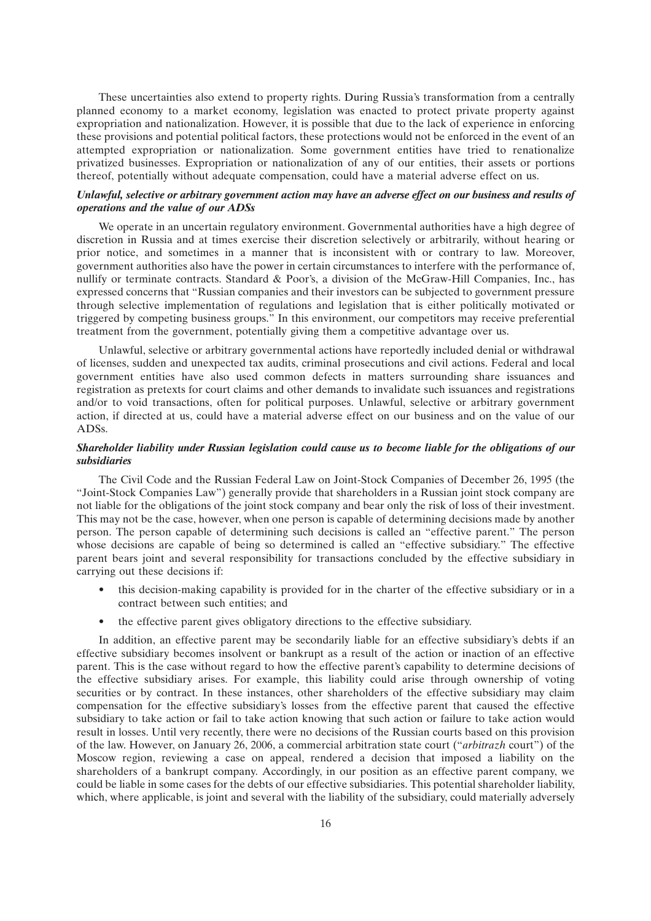These uncertainties also extend to property rights. During Russia's transformation from a centrally planned economy to a market economy, legislation was enacted to protect private property against expropriation and nationalization. However, it is possible that due to the lack of experience in enforcing these provisions and potential political factors, these protections would not be enforced in the event of an attempted expropriation or nationalization. Some government entities have tried to renationalize privatized businesses. Expropriation or nationalization of any of our entities, their assets or portions thereof, potentially without adequate compensation, could have a material adverse effect on us.

## *Unlawful, selective or arbitrary government action may have an adverse effect on our business and results of operations and the value of our ADSs*

We operate in an uncertain regulatory environment. Governmental authorities have a high degree of discretion in Russia and at times exercise their discretion selectively or arbitrarily, without hearing or prior notice, and sometimes in a manner that is inconsistent with or contrary to law. Moreover, government authorities also have the power in certain circumstances to interfere with the performance of, nullify or terminate contracts. Standard & Poor's, a division of the McGraw-Hill Companies, Inc., has expressed concerns that ''Russian companies and their investors can be subjected to government pressure through selective implementation of regulations and legislation that is either politically motivated or triggered by competing business groups.'' In this environment, our competitors may receive preferential treatment from the government, potentially giving them a competitive advantage over us.

Unlawful, selective or arbitrary governmental actions have reportedly included denial or withdrawal of licenses, sudden and unexpected tax audits, criminal prosecutions and civil actions. Federal and local government entities have also used common defects in matters surrounding share issuances and registration as pretexts for court claims and other demands to invalidate such issuances and registrations and/or to void transactions, often for political purposes. Unlawful, selective or arbitrary government action, if directed at us, could have a material adverse effect on our business and on the value of our ADSs.

## *Shareholder liability under Russian legislation could cause us to become liable for the obligations of our subsidiaries*

The Civil Code and the Russian Federal Law on Joint-Stock Companies of December 26, 1995 (the ''Joint-Stock Companies Law'') generally provide that shareholders in a Russian joint stock company are not liable for the obligations of the joint stock company and bear only the risk of loss of their investment. This may not be the case, however, when one person is capable of determining decisions made by another person. The person capable of determining such decisions is called an ''effective parent.'' The person whose decisions are capable of being so determined is called an "effective subsidiary." The effective parent bears joint and several responsibility for transactions concluded by the effective subsidiary in carrying out these decisions if:

- this decision-making capability is provided for in the charter of the effective subsidiary or in a contract between such entities; and
- the effective parent gives obligatory directions to the effective subsidiary.

In addition, an effective parent may be secondarily liable for an effective subsidiary's debts if an effective subsidiary becomes insolvent or bankrupt as a result of the action or inaction of an effective parent. This is the case without regard to how the effective parent's capability to determine decisions of the effective subsidiary arises. For example, this liability could arise through ownership of voting securities or by contract. In these instances, other shareholders of the effective subsidiary may claim compensation for the effective subsidiary's losses from the effective parent that caused the effective subsidiary to take action or fail to take action knowing that such action or failure to take action would result in losses. Until very recently, there were no decisions of the Russian courts based on this provision of the law. However, on January 26, 2006, a commercial arbitration state court (''*arbitrazh* court'') of the Moscow region, reviewing a case on appeal, rendered a decision that imposed a liability on the shareholders of a bankrupt company. Accordingly, in our position as an effective parent company, we could be liable in some cases for the debts of our effective subsidiaries. This potential shareholder liability, which, where applicable, is joint and several with the liability of the subsidiary, could materially adversely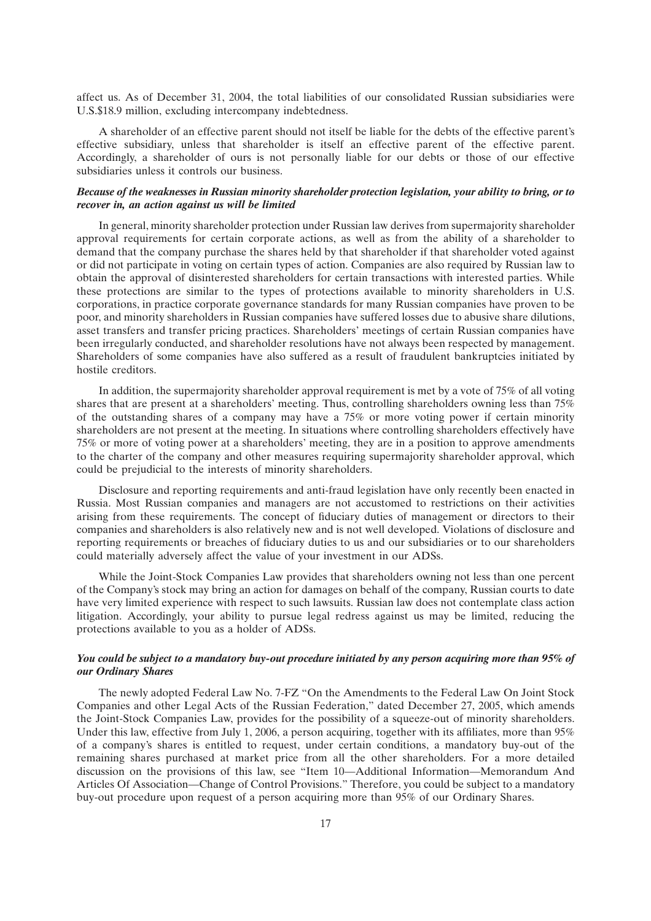affect us. As of December 31, 2004, the total liabilities of our consolidated Russian subsidiaries were U.S.\$18.9 million, excluding intercompany indebtedness.

A shareholder of an effective parent should not itself be liable for the debts of the effective parent's effective subsidiary, unless that shareholder is itself an effective parent of the effective parent. Accordingly, a shareholder of ours is not personally liable for our debts or those of our effective subsidiaries unless it controls our business.

## *Because of the weaknesses in Russian minority shareholder protection legislation, your ability to bring, or to recover in, an action against us will be limited*

In general, minority shareholder protection under Russian law derives from supermajority shareholder approval requirements for certain corporate actions, as well as from the ability of a shareholder to demand that the company purchase the shares held by that shareholder if that shareholder voted against or did not participate in voting on certain types of action. Companies are also required by Russian law to obtain the approval of disinterested shareholders for certain transactions with interested parties. While these protections are similar to the types of protections available to minority shareholders in U.S. corporations, in practice corporate governance standards for many Russian companies have proven to be poor, and minority shareholders in Russian companies have suffered losses due to abusive share dilutions, asset transfers and transfer pricing practices. Shareholders' meetings of certain Russian companies have been irregularly conducted, and shareholder resolutions have not always been respected by management. Shareholders of some companies have also suffered as a result of fraudulent bankruptcies initiated by hostile creditors.

In addition, the supermajority shareholder approval requirement is met by a vote of 75% of all voting shares that are present at a shareholders' meeting. Thus, controlling shareholders owning less than 75% of the outstanding shares of a company may have a 75% or more voting power if certain minority shareholders are not present at the meeting. In situations where controlling shareholders effectively have 75% or more of voting power at a shareholders' meeting, they are in a position to approve amendments to the charter of the company and other measures requiring supermajority shareholder approval, which could be prejudicial to the interests of minority shareholders.

Disclosure and reporting requirements and anti-fraud legislation have only recently been enacted in Russia. Most Russian companies and managers are not accustomed to restrictions on their activities arising from these requirements. The concept of fiduciary duties of management or directors to their companies and shareholders is also relatively new and is not well developed. Violations of disclosure and reporting requirements or breaches of fiduciary duties to us and our subsidiaries or to our shareholders could materially adversely affect the value of your investment in our ADSs.

While the Joint-Stock Companies Law provides that shareholders owning not less than one percent of the Company's stock may bring an action for damages on behalf of the company, Russian courts to date have very limited experience with respect to such lawsuits. Russian law does not contemplate class action litigation. Accordingly, your ability to pursue legal redress against us may be limited, reducing the protections available to you as a holder of ADSs.

## *You could be subject to a mandatory buy-out procedure initiated by any person acquiring more than 95% of our Ordinary Shares*

The newly adopted Federal Law No. 7-FZ ''On the Amendments to the Federal Law On Joint Stock Companies and other Legal Acts of the Russian Federation,'' dated December 27, 2005, which amends the Joint-Stock Companies Law, provides for the possibility of a squeeze-out of minority shareholders. Under this law, effective from July 1, 2006, a person acquiring, together with its affiliates, more than 95% of a company's shares is entitled to request, under certain conditions, a mandatory buy-out of the remaining shares purchased at market price from all the other shareholders. For a more detailed discussion on the provisions of this law, see ''Item 10—Additional Information—Memorandum And Articles Of Association—Change of Control Provisions.'' Therefore, you could be subject to a mandatory buy-out procedure upon request of a person acquiring more than 95% of our Ordinary Shares.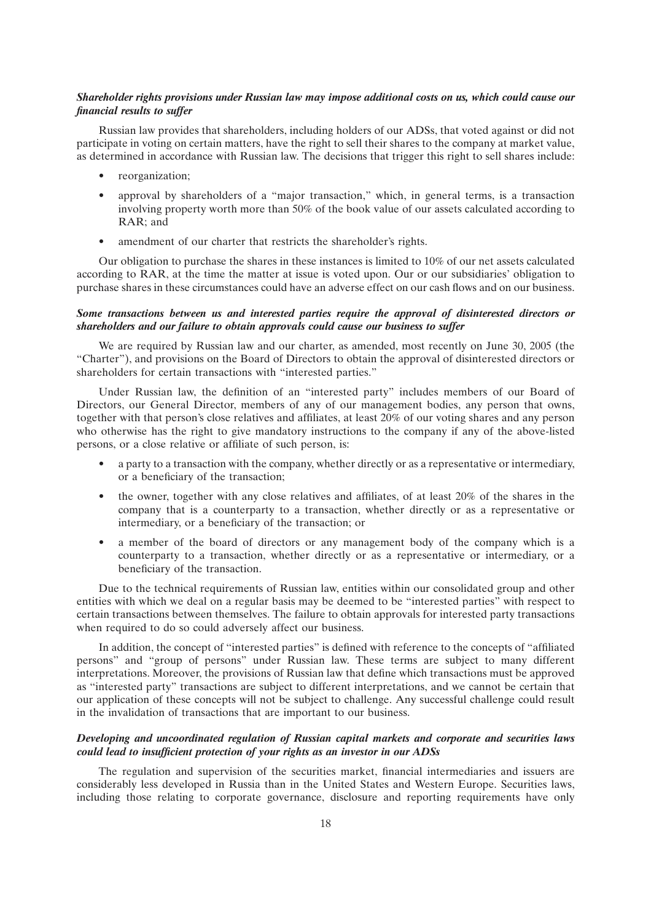## *Shareholder rights provisions under Russian law may impose additional costs on us, which could cause our financial results to suffer*

Russian law provides that shareholders, including holders of our ADSs, that voted against or did not participate in voting on certain matters, have the right to sell their shares to the company at market value, as determined in accordance with Russian law. The decisions that trigger this right to sell shares include:

- reorganization;
- approval by shareholders of a "major transaction," which, in general terms, is a transaction involving property worth more than 50% of the book value of our assets calculated according to RAR; and
- amendment of our charter that restricts the shareholder's rights.

Our obligation to purchase the shares in these instances is limited to 10% of our net assets calculated according to RAR, at the time the matter at issue is voted upon. Our or our subsidiaries' obligation to purchase shares in these circumstances could have an adverse effect on our cash flows and on our business.

## *Some transactions between us and interested parties require the approval of disinterested directors or shareholders and our failure to obtain approvals could cause our business to suffer*

We are required by Russian law and our charter, as amended, most recently on June 30, 2005 (the ''Charter''), and provisions on the Board of Directors to obtain the approval of disinterested directors or shareholders for certain transactions with ''interested parties.''

Under Russian law, the definition of an ''interested party'' includes members of our Board of Directors, our General Director, members of any of our management bodies, any person that owns, together with that person's close relatives and affiliates, at least 20% of our voting shares and any person who otherwise has the right to give mandatory instructions to the company if any of the above-listed persons, or a close relative or affiliate of such person, is:

- a party to a transaction with the company, whether directly or as a representative or intermediary, or a beneficiary of the transaction;
- the owner, together with any close relatives and affiliates, of at least 20% of the shares in the company that is a counterparty to a transaction, whether directly or as a representative or intermediary, or a beneficiary of the transaction; or
- a member of the board of directors or any management body of the company which is a counterparty to a transaction, whether directly or as a representative or intermediary, or a beneficiary of the transaction.

Due to the technical requirements of Russian law, entities within our consolidated group and other entities with which we deal on a regular basis may be deemed to be ''interested parties'' with respect to certain transactions between themselves. The failure to obtain approvals for interested party transactions when required to do so could adversely affect our business.

In addition, the concept of ''interested parties'' is defined with reference to the concepts of ''affiliated persons'' and ''group of persons'' under Russian law. These terms are subject to many different interpretations. Moreover, the provisions of Russian law that define which transactions must be approved as ''interested party'' transactions are subject to different interpretations, and we cannot be certain that our application of these concepts will not be subject to challenge. Any successful challenge could result in the invalidation of transactions that are important to our business.

## *Developing and uncoordinated regulation of Russian capital markets and corporate and securities laws could lead to insufficient protection of your rights as an investor in our ADSs*

The regulation and supervision of the securities market, financial intermediaries and issuers are considerably less developed in Russia than in the United States and Western Europe. Securities laws, including those relating to corporate governance, disclosure and reporting requirements have only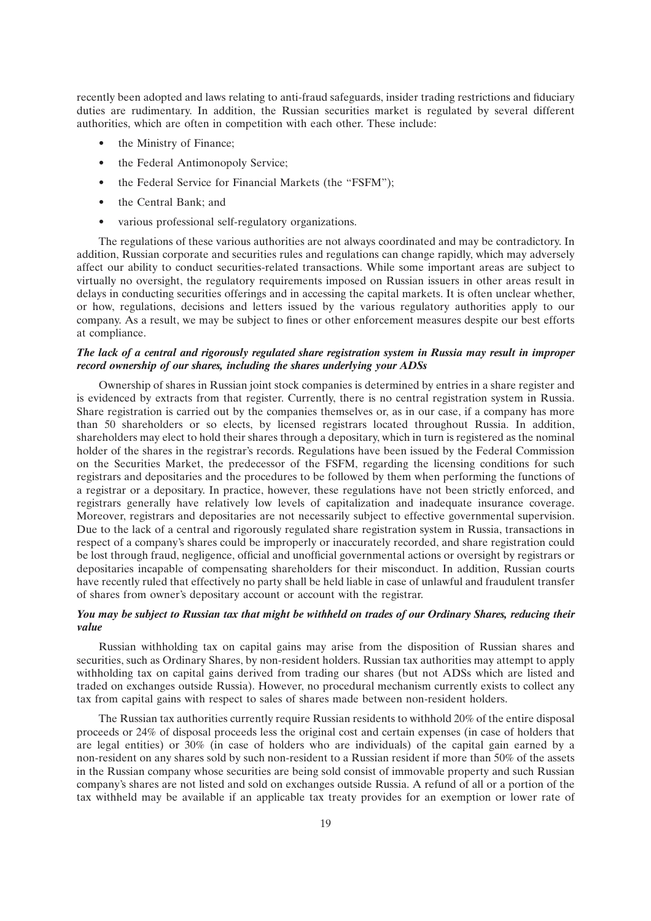recently been adopted and laws relating to anti-fraud safeguards, insider trading restrictions and fiduciary duties are rudimentary. In addition, the Russian securities market is regulated by several different authorities, which are often in competition with each other. These include:

- the Ministry of Finance:
- the Federal Antimonopoly Service:
- the Federal Service for Financial Markets (the "FSFM");
- the Central Bank; and
- various professional self-regulatory organizations.

The regulations of these various authorities are not always coordinated and may be contradictory. In addition, Russian corporate and securities rules and regulations can change rapidly, which may adversely affect our ability to conduct securities-related transactions. While some important areas are subject to virtually no oversight, the regulatory requirements imposed on Russian issuers in other areas result in delays in conducting securities offerings and in accessing the capital markets. It is often unclear whether, or how, regulations, decisions and letters issued by the various regulatory authorities apply to our company. As a result, we may be subject to fines or other enforcement measures despite our best efforts at compliance.

## *The lack of a central and rigorously regulated share registration system in Russia may result in improper record ownership of our shares, including the shares underlying your ADSs*

Ownership of shares in Russian joint stock companies is determined by entries in a share register and is evidenced by extracts from that register. Currently, there is no central registration system in Russia. Share registration is carried out by the companies themselves or, as in our case, if a company has more than 50 shareholders or so elects, by licensed registrars located throughout Russia. In addition, shareholders may elect to hold their shares through a depositary, which in turn is registered as the nominal holder of the shares in the registrar's records. Regulations have been issued by the Federal Commission on the Securities Market, the predecessor of the FSFM, regarding the licensing conditions for such registrars and depositaries and the procedures to be followed by them when performing the functions of a registrar or a depositary. In practice, however, these regulations have not been strictly enforced, and registrars generally have relatively low levels of capitalization and inadequate insurance coverage. Moreover, registrars and depositaries are not necessarily subject to effective governmental supervision. Due to the lack of a central and rigorously regulated share registration system in Russia, transactions in respect of a company's shares could be improperly or inaccurately recorded, and share registration could be lost through fraud, negligence, official and unofficial governmental actions or oversight by registrars or depositaries incapable of compensating shareholders for their misconduct. In addition, Russian courts have recently ruled that effectively no party shall be held liable in case of unlawful and fraudulent transfer of shares from owner's depositary account or account with the registrar.

## *You may be subject to Russian tax that might be withheld on trades of our Ordinary Shares, reducing their value*

Russian withholding tax on capital gains may arise from the disposition of Russian shares and securities, such as Ordinary Shares, by non-resident holders. Russian tax authorities may attempt to apply withholding tax on capital gains derived from trading our shares (but not ADSs which are listed and traded on exchanges outside Russia). However, no procedural mechanism currently exists to collect any tax from capital gains with respect to sales of shares made between non-resident holders.

The Russian tax authorities currently require Russian residents to withhold 20% of the entire disposal proceeds or 24% of disposal proceeds less the original cost and certain expenses (in case of holders that are legal entities) or 30% (in case of holders who are individuals) of the capital gain earned by a non-resident on any shares sold by such non-resident to a Russian resident if more than 50% of the assets in the Russian company whose securities are being sold consist of immovable property and such Russian company's shares are not listed and sold on exchanges outside Russia. A refund of all or a portion of the tax withheld may be available if an applicable tax treaty provides for an exemption or lower rate of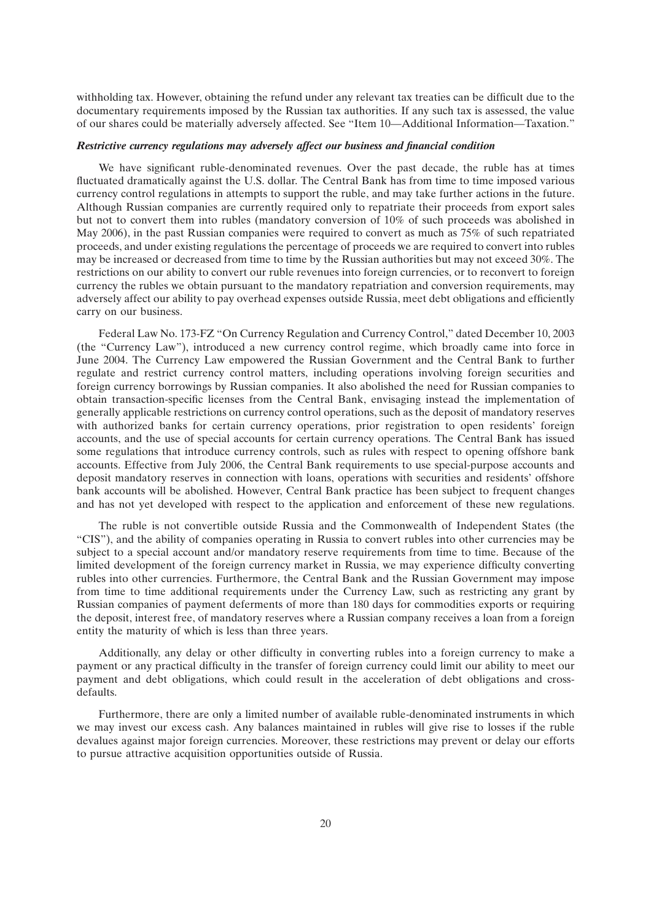withholding tax. However, obtaining the refund under any relevant tax treaties can be difficult due to the documentary requirements imposed by the Russian tax authorities. If any such tax is assessed, the value of our shares could be materially adversely affected. See ''Item 10—Additional Information—Taxation.''

### *Restrictive currency regulations may adversely affect our business and financial condition*

We have significant ruble-denominated revenues. Over the past decade, the ruble has at times fluctuated dramatically against the U.S. dollar. The Central Bank has from time to time imposed various currency control regulations in attempts to support the ruble, and may take further actions in the future. Although Russian companies are currently required only to repatriate their proceeds from export sales but not to convert them into rubles (mandatory conversion of 10% of such proceeds was abolished in May 2006), in the past Russian companies were required to convert as much as 75% of such repatriated proceeds, and under existing regulations the percentage of proceeds we are required to convert into rubles may be increased or decreased from time to time by the Russian authorities but may not exceed 30%. The restrictions on our ability to convert our ruble revenues into foreign currencies, or to reconvert to foreign currency the rubles we obtain pursuant to the mandatory repatriation and conversion requirements, may adversely affect our ability to pay overhead expenses outside Russia, meet debt obligations and efficiently carry on our business.

Federal Law No. 173-FZ ''On Currency Regulation and Currency Control,'' dated December 10, 2003 (the ''Currency Law''), introduced a new currency control regime, which broadly came into force in June 2004. The Currency Law empowered the Russian Government and the Central Bank to further regulate and restrict currency control matters, including operations involving foreign securities and foreign currency borrowings by Russian companies. It also abolished the need for Russian companies to obtain transaction-specific licenses from the Central Bank, envisaging instead the implementation of generally applicable restrictions on currency control operations, such as the deposit of mandatory reserves with authorized banks for certain currency operations, prior registration to open residents' foreign accounts, and the use of special accounts for certain currency operations. The Central Bank has issued some regulations that introduce currency controls, such as rules with respect to opening offshore bank accounts. Effective from July 2006, the Central Bank requirements to use special-purpose accounts and deposit mandatory reserves in connection with loans, operations with securities and residents' offshore bank accounts will be abolished. However, Central Bank practice has been subject to frequent changes and has not yet developed with respect to the application and enforcement of these new regulations.

The ruble is not convertible outside Russia and the Commonwealth of Independent States (the ''CIS''), and the ability of companies operating in Russia to convert rubles into other currencies may be subject to a special account and/or mandatory reserve requirements from time to time. Because of the limited development of the foreign currency market in Russia, we may experience difficulty converting rubles into other currencies. Furthermore, the Central Bank and the Russian Government may impose from time to time additional requirements under the Currency Law, such as restricting any grant by Russian companies of payment deferments of more than 180 days for commodities exports or requiring the deposit, interest free, of mandatory reserves where a Russian company receives a loan from a foreign entity the maturity of which is less than three years.

Additionally, any delay or other difficulty in converting rubles into a foreign currency to make a payment or any practical difficulty in the transfer of foreign currency could limit our ability to meet our payment and debt obligations, which could result in the acceleration of debt obligations and crossdefaults.

Furthermore, there are only a limited number of available ruble-denominated instruments in which we may invest our excess cash. Any balances maintained in rubles will give rise to losses if the ruble devalues against major foreign currencies. Moreover, these restrictions may prevent or delay our efforts to pursue attractive acquisition opportunities outside of Russia.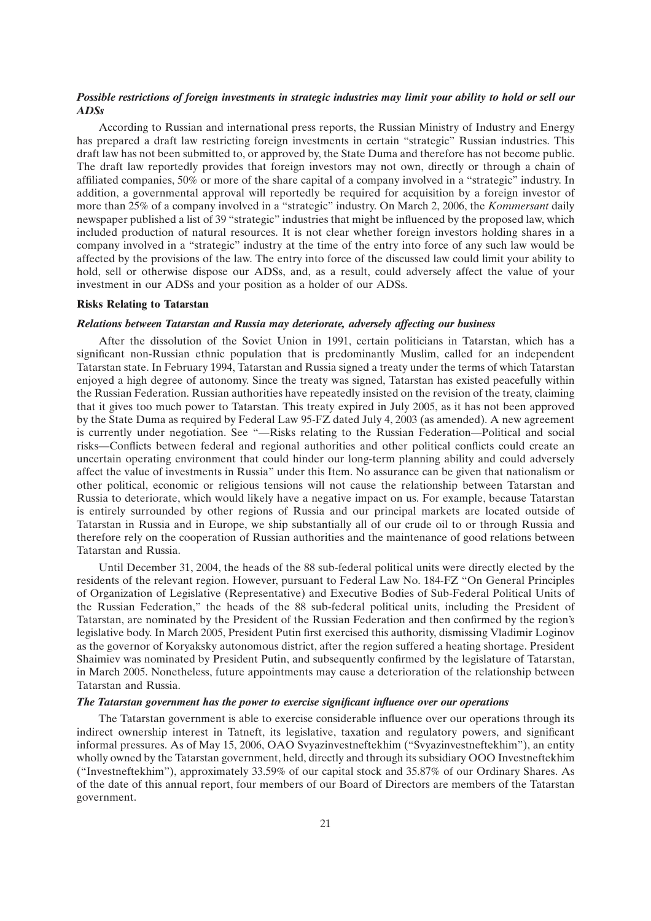## *Possible restrictions of foreign investments in strategic industries may limit your ability to hold or sell our ADSs*

According to Russian and international press reports, the Russian Ministry of Industry and Energy has prepared a draft law restricting foreign investments in certain ''strategic'' Russian industries. This draft law has not been submitted to, or approved by, the State Duma and therefore has not become public. The draft law reportedly provides that foreign investors may not own, directly or through a chain of affiliated companies, 50% or more of the share capital of a company involved in a ''strategic'' industry. In addition, a governmental approval will reportedly be required for acquisition by a foreign investor of more than 25% of a company involved in a ''strategic'' industry. On March 2, 2006, the *Kommersant* daily newspaper published a list of 39 ''strategic'' industries that might be influenced by the proposed law, which included production of natural resources. It is not clear whether foreign investors holding shares in a company involved in a ''strategic'' industry at the time of the entry into force of any such law would be affected by the provisions of the law. The entry into force of the discussed law could limit your ability to hold, sell or otherwise dispose our ADSs, and, as a result, could adversely affect the value of your investment in our ADSs and your position as a holder of our ADSs.

#### **Risks Relating to Tatarstan**

#### *Relations between Tatarstan and Russia may deteriorate, adversely affecting our business*

After the dissolution of the Soviet Union in 1991, certain politicians in Tatarstan, which has a significant non-Russian ethnic population that is predominantly Muslim, called for an independent Tatarstan state. In February 1994, Tatarstan and Russia signed a treaty under the terms of which Tatarstan enjoyed a high degree of autonomy. Since the treaty was signed, Tatarstan has existed peacefully within the Russian Federation. Russian authorities have repeatedly insisted on the revision of the treaty, claiming that it gives too much power to Tatarstan. This treaty expired in July 2005, as it has not been approved by the State Duma as required by Federal Law 95-FZ dated July 4, 2003 (as amended). A new agreement is currently under negotiation. See ''—Risks relating to the Russian Federation—Political and social risks—Conflicts between federal and regional authorities and other political conflicts could create an uncertain operating environment that could hinder our long-term planning ability and could adversely affect the value of investments in Russia'' under this Item. No assurance can be given that nationalism or other political, economic or religious tensions will not cause the relationship between Tatarstan and Russia to deteriorate, which would likely have a negative impact on us. For example, because Tatarstan is entirely surrounded by other regions of Russia and our principal markets are located outside of Tatarstan in Russia and in Europe, we ship substantially all of our crude oil to or through Russia and therefore rely on the cooperation of Russian authorities and the maintenance of good relations between Tatarstan and Russia.

Until December 31, 2004, the heads of the 88 sub-federal political units were directly elected by the residents of the relevant region. However, pursuant to Federal Law No. 184-FZ ''On General Principles of Organization of Legislative (Representative) and Executive Bodies of Sub-Federal Political Units of the Russian Federation,'' the heads of the 88 sub-federal political units, including the President of Tatarstan, are nominated by the President of the Russian Federation and then confirmed by the region's legislative body. In March 2005, President Putin first exercised this authority, dismissing Vladimir Loginov as the governor of Koryaksky autonomous district, after the region suffered a heating shortage. President Shaimiev was nominated by President Putin, and subsequently confirmed by the legislature of Tatarstan, in March 2005. Nonetheless, future appointments may cause a deterioration of the relationship between Tatarstan and Russia.

#### *The Tatarstan government has the power to exercise significant influence over our operations*

The Tatarstan government is able to exercise considerable influence over our operations through its indirect ownership interest in Tatneft, its legislative, taxation and regulatory powers, and significant informal pressures. As of May 15, 2006, OAO Svyazinvestneftekhim (''Svyazinvestneftekhim''), an entity wholly owned by the Tatarstan government, held, directly and through its subsidiary OOO Investneftekhim (''Investneftekhim''), approximately 33.59% of our capital stock and 35.87% of our Ordinary Shares. As of the date of this annual report, four members of our Board of Directors are members of the Tatarstan government.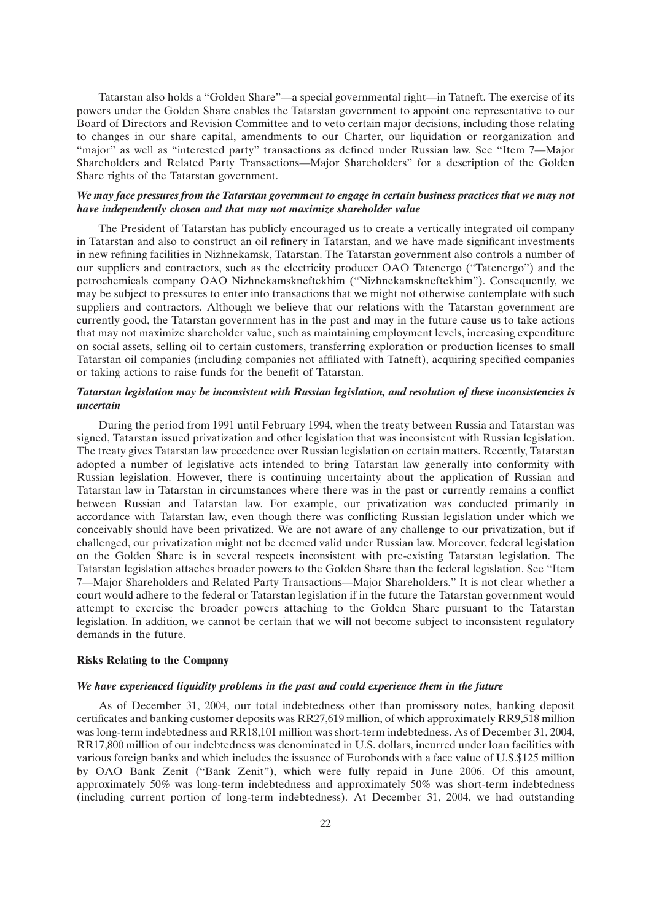Tatarstan also holds a ''Golden Share''—a special governmental right—in Tatneft. The exercise of its powers under the Golden Share enables the Tatarstan government to appoint one representative to our Board of Directors and Revision Committee and to veto certain major decisions, including those relating to changes in our share capital, amendments to our Charter, our liquidation or reorganization and ''major'' as well as ''interested party'' transactions as defined under Russian law. See ''Item 7—Major Shareholders and Related Party Transactions—Major Shareholders'' for a description of the Golden Share rights of the Tatarstan government.

#### *We may face pressures from the Tatarstan government to engage in certain business practices that we may not have independently chosen and that may not maximize shareholder value*

The President of Tatarstan has publicly encouraged us to create a vertically integrated oil company in Tatarstan and also to construct an oil refinery in Tatarstan, and we have made significant investments in new refining facilities in Nizhnekamsk, Tatarstan. The Tatarstan government also controls a number of our suppliers and contractors, such as the electricity producer OAO Tatenergo (''Tatenergo'') and the petrochemicals company OAO Nizhnekamskneftekhim (''Nizhnekamskneftekhim''). Consequently, we may be subject to pressures to enter into transactions that we might not otherwise contemplate with such suppliers and contractors. Although we believe that our relations with the Tatarstan government are currently good, the Tatarstan government has in the past and may in the future cause us to take actions that may not maximize shareholder value, such as maintaining employment levels, increasing expenditure on social assets, selling oil to certain customers, transferring exploration or production licenses to small Tatarstan oil companies (including companies not affiliated with Tatneft), acquiring specified companies or taking actions to raise funds for the benefit of Tatarstan.

## *Tatarstan legislation may be inconsistent with Russian legislation, and resolution of these inconsistencies is uncertain*

During the period from 1991 until February 1994, when the treaty between Russia and Tatarstan was signed, Tatarstan issued privatization and other legislation that was inconsistent with Russian legislation. The treaty gives Tatarstan law precedence over Russian legislation on certain matters. Recently, Tatarstan adopted a number of legislative acts intended to bring Tatarstan law generally into conformity with Russian legislation. However, there is continuing uncertainty about the application of Russian and Tatarstan law in Tatarstan in circumstances where there was in the past or currently remains a conflict between Russian and Tatarstan law. For example, our privatization was conducted primarily in accordance with Tatarstan law, even though there was conflicting Russian legislation under which we conceivably should have been privatized. We are not aware of any challenge to our privatization, but if challenged, our privatization might not be deemed valid under Russian law. Moreover, federal legislation on the Golden Share is in several respects inconsistent with pre-existing Tatarstan legislation. The Tatarstan legislation attaches broader powers to the Golden Share than the federal legislation. See ''Item 7—Major Shareholders and Related Party Transactions—Major Shareholders.'' It is not clear whether a court would adhere to the federal or Tatarstan legislation if in the future the Tatarstan government would attempt to exercise the broader powers attaching to the Golden Share pursuant to the Tatarstan legislation. In addition, we cannot be certain that we will not become subject to inconsistent regulatory demands in the future.

## **Risks Relating to the Company**

#### *We have experienced liquidity problems in the past and could experience them in the future*

As of December 31, 2004, our total indebtedness other than promissory notes, banking deposit certificates and banking customer deposits was RR27,619 million, of which approximately RR9,518 million was long-term indebtedness and RR18,101 million was short-term indebtedness. As of December 31, 2004, RR17,800 million of our indebtedness was denominated in U.S. dollars, incurred under loan facilities with various foreign banks and which includes the issuance of Eurobonds with a face value of U.S.\$125 million by OAO Bank Zenit (''Bank Zenit''), which were fully repaid in June 2006. Of this amount, approximately 50% was long-term indebtedness and approximately 50% was short-term indebtedness (including current portion of long-term indebtedness). At December 31, 2004, we had outstanding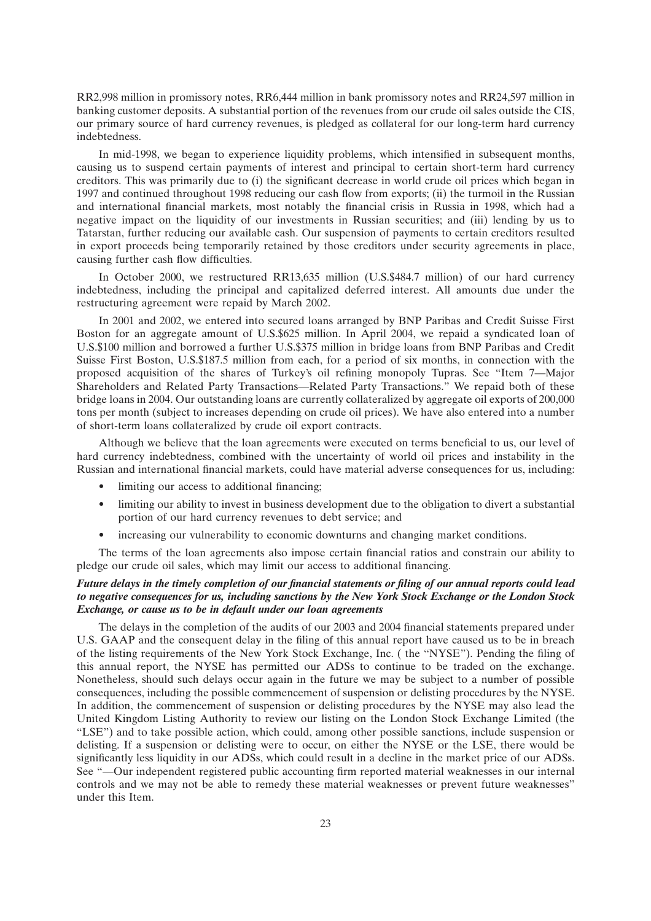RR2,998 million in promissory notes, RR6,444 million in bank promissory notes and RR24,597 million in banking customer deposits. A substantial portion of the revenues from our crude oil sales outside the CIS, our primary source of hard currency revenues, is pledged as collateral for our long-term hard currency indebtedness.

In mid-1998, we began to experience liquidity problems, which intensified in subsequent months, causing us to suspend certain payments of interest and principal to certain short-term hard currency creditors. This was primarily due to (i) the significant decrease in world crude oil prices which began in 1997 and continued throughout 1998 reducing our cash flow from exports; (ii) the turmoil in the Russian and international financial markets, most notably the financial crisis in Russia in 1998, which had a negative impact on the liquidity of our investments in Russian securities; and (iii) lending by us to Tatarstan, further reducing our available cash. Our suspension of payments to certain creditors resulted in export proceeds being temporarily retained by those creditors under security agreements in place, causing further cash flow difficulties.

In October 2000, we restructured RR13,635 million (U.S.\$484.7 million) of our hard currency indebtedness, including the principal and capitalized deferred interest. All amounts due under the restructuring agreement were repaid by March 2002.

In 2001 and 2002, we entered into secured loans arranged by BNP Paribas and Credit Suisse First Boston for an aggregate amount of U.S.\$625 million. In April 2004, we repaid a syndicated loan of U.S.\$100 million and borrowed a further U.S.\$375 million in bridge loans from BNP Paribas and Credit Suisse First Boston, U.S.\$187.5 million from each, for a period of six months, in connection with the proposed acquisition of the shares of Turkey's oil refining monopoly Tupras. See ''Item 7—Major Shareholders and Related Party Transactions—Related Party Transactions.'' We repaid both of these bridge loans in 2004. Our outstanding loans are currently collateralized by aggregate oil exports of 200,000 tons per month (subject to increases depending on crude oil prices). We have also entered into a number of short-term loans collateralized by crude oil export contracts.

Although we believe that the loan agreements were executed on terms beneficial to us, our level of hard currency indebtedness, combined with the uncertainty of world oil prices and instability in the Russian and international financial markets, could have material adverse consequences for us, including:

- limiting our access to additional financing;
- limiting our ability to invest in business development due to the obligation to divert a substantial portion of our hard currency revenues to debt service; and
- increasing our vulnerability to economic downturns and changing market conditions.

The terms of the loan agreements also impose certain financial ratios and constrain our ability to pledge our crude oil sales, which may limit our access to additional financing.

## *Future delays in the timely completion of our financial statements or filing of our annual reports could lead to negative consequences for us, including sanctions by the New York Stock Exchange or the London Stock Exchange, or cause us to be in default under our loan agreements*

The delays in the completion of the audits of our 2003 and 2004 financial statements prepared under U.S. GAAP and the consequent delay in the filing of this annual report have caused us to be in breach of the listing requirements of the New York Stock Exchange, Inc. ( the ''NYSE''). Pending the filing of this annual report, the NYSE has permitted our ADSs to continue to be traded on the exchange. Nonetheless, should such delays occur again in the future we may be subject to a number of possible consequences, including the possible commencement of suspension or delisting procedures by the NYSE. In addition, the commencement of suspension or delisting procedures by the NYSE may also lead the United Kingdom Listing Authority to review our listing on the London Stock Exchange Limited (the ''LSE'') and to take possible action, which could, among other possible sanctions, include suspension or delisting. If a suspension or delisting were to occur, on either the NYSE or the LSE, there would be significantly less liquidity in our ADSs, which could result in a decline in the market price of our ADSs. See ''—Our independent registered public accounting firm reported material weaknesses in our internal controls and we may not be able to remedy these material weaknesses or prevent future weaknesses'' under this Item.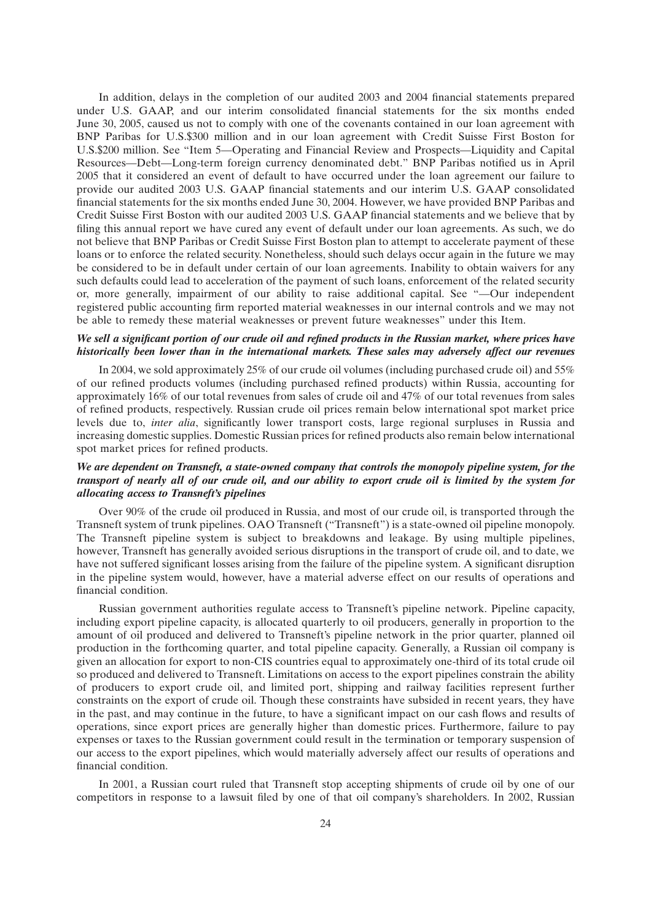In addition, delays in the completion of our audited 2003 and 2004 financial statements prepared under U.S. GAAP, and our interim consolidated financial statements for the six months ended June 30, 2005, caused us not to comply with one of the covenants contained in our loan agreement with BNP Paribas for U.S.\$300 million and in our loan agreement with Credit Suisse First Boston for U.S.\$200 million. See ''Item 5—Operating and Financial Review and Prospects—Liquidity and Capital Resources—Debt—Long-term foreign currency denominated debt.'' BNP Paribas notified us in April 2005 that it considered an event of default to have occurred under the loan agreement our failure to provide our audited 2003 U.S. GAAP financial statements and our interim U.S. GAAP consolidated financial statements for the six months ended June 30, 2004. However, we have provided BNP Paribas and Credit Suisse First Boston with our audited 2003 U.S. GAAP financial statements and we believe that by filing this annual report we have cured any event of default under our loan agreements. As such, we do not believe that BNP Paribas or Credit Suisse First Boston plan to attempt to accelerate payment of these loans or to enforce the related security. Nonetheless, should such delays occur again in the future we may be considered to be in default under certain of our loan agreements. Inability to obtain waivers for any such defaults could lead to acceleration of the payment of such loans, enforcement of the related security or, more generally, impairment of our ability to raise additional capital. See ''—Our independent registered public accounting firm reported material weaknesses in our internal controls and we may not be able to remedy these material weaknesses or prevent future weaknesses'' under this Item.

## *We sell a significant portion of our crude oil and refined products in the Russian market, where prices have historically been lower than in the international markets. These sales may adversely affect our revenues*

In 2004, we sold approximately 25% of our crude oil volumes (including purchased crude oil) and 55% of our refined products volumes (including purchased refined products) within Russia, accounting for approximately 16% of our total revenues from sales of crude oil and 47% of our total revenues from sales of refined products, respectively. Russian crude oil prices remain below international spot market price levels due to, *inter alia*, significantly lower transport costs, large regional surpluses in Russia and increasing domestic supplies. Domestic Russian prices for refined products also remain below international spot market prices for refined products.

## *We are dependent on Transneft, a state-owned company that controls the monopoly pipeline system, for the transport of nearly all of our crude oil, and our ability to export crude oil is limited by the system for allocating access to Transneft's pipelines*

Over 90% of the crude oil produced in Russia, and most of our crude oil, is transported through the Transneft system of trunk pipelines. OAO Transneft (''Transneft'') is a state-owned oil pipeline monopoly. The Transneft pipeline system is subject to breakdowns and leakage. By using multiple pipelines, however, Transneft has generally avoided serious disruptions in the transport of crude oil, and to date, we have not suffered significant losses arising from the failure of the pipeline system. A significant disruption in the pipeline system would, however, have a material adverse effect on our results of operations and financial condition.

Russian government authorities regulate access to Transneft's pipeline network. Pipeline capacity, including export pipeline capacity, is allocated quarterly to oil producers, generally in proportion to the amount of oil produced and delivered to Transneft's pipeline network in the prior quarter, planned oil production in the forthcoming quarter, and total pipeline capacity. Generally, a Russian oil company is given an allocation for export to non-CIS countries equal to approximately one-third of its total crude oil so produced and delivered to Transneft. Limitations on access to the export pipelines constrain the ability of producers to export crude oil, and limited port, shipping and railway facilities represent further constraints on the export of crude oil. Though these constraints have subsided in recent years, they have in the past, and may continue in the future, to have a significant impact on our cash flows and results of operations, since export prices are generally higher than domestic prices. Furthermore, failure to pay expenses or taxes to the Russian government could result in the termination or temporary suspension of our access to the export pipelines, which would materially adversely affect our results of operations and financial condition.

In 2001, a Russian court ruled that Transneft stop accepting shipments of crude oil by one of our competitors in response to a lawsuit filed by one of that oil company's shareholders. In 2002, Russian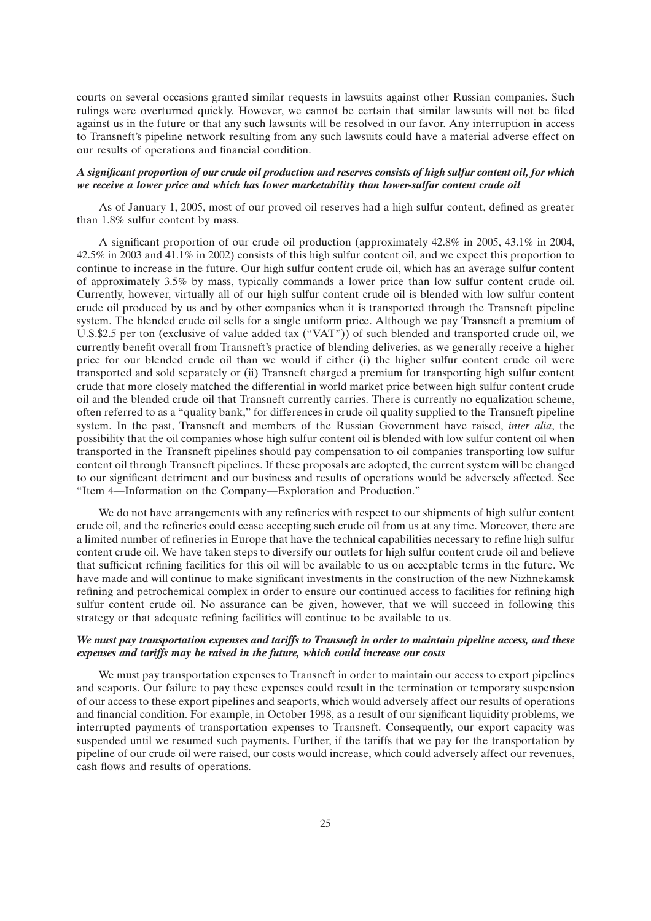courts on several occasions granted similar requests in lawsuits against other Russian companies. Such rulings were overturned quickly. However, we cannot be certain that similar lawsuits will not be filed against us in the future or that any such lawsuits will be resolved in our favor. Any interruption in access to Transneft's pipeline network resulting from any such lawsuits could have a material adverse effect on our results of operations and financial condition.

#### *A significant proportion of our crude oil production and reserves consists of high sulfur content oil, for which we receive a lower price and which has lower marketability than lower-sulfur content crude oil*

As of January 1, 2005, most of our proved oil reserves had a high sulfur content, defined as greater than 1.8% sulfur content by mass.

A significant proportion of our crude oil production (approximately 42.8% in 2005, 43.1% in 2004, 42.5% in 2003 and 41.1% in 2002) consists of this high sulfur content oil, and we expect this proportion to continue to increase in the future. Our high sulfur content crude oil, which has an average sulfur content of approximately 3.5% by mass, typically commands a lower price than low sulfur content crude oil. Currently, however, virtually all of our high sulfur content crude oil is blended with low sulfur content crude oil produced by us and by other companies when it is transported through the Transneft pipeline system. The blended crude oil sells for a single uniform price. Although we pay Transneft a premium of U.S.\$2.5 per ton (exclusive of value added tax (''VAT'')) of such blended and transported crude oil, we currently benefit overall from Transneft's practice of blending deliveries, as we generally receive a higher price for our blended crude oil than we would if either (i) the higher sulfur content crude oil were transported and sold separately or (ii) Transneft charged a premium for transporting high sulfur content crude that more closely matched the differential in world market price between high sulfur content crude oil and the blended crude oil that Transneft currently carries. There is currently no equalization scheme, often referred to as a ''quality bank,'' for differences in crude oil quality supplied to the Transneft pipeline system. In the past, Transneft and members of the Russian Government have raised, *inter alia*, the possibility that the oil companies whose high sulfur content oil is blended with low sulfur content oil when transported in the Transneft pipelines should pay compensation to oil companies transporting low sulfur content oil through Transneft pipelines. If these proposals are adopted, the current system will be changed to our significant detriment and our business and results of operations would be adversely affected. See ''Item 4—Information on the Company—Exploration and Production.''

We do not have arrangements with any refineries with respect to our shipments of high sulfur content crude oil, and the refineries could cease accepting such crude oil from us at any time. Moreover, there are a limited number of refineries in Europe that have the technical capabilities necessary to refine high sulfur content crude oil. We have taken steps to diversify our outlets for high sulfur content crude oil and believe that sufficient refining facilities for this oil will be available to us on acceptable terms in the future. We have made and will continue to make significant investments in the construction of the new Nizhnekamsk refining and petrochemical complex in order to ensure our continued access to facilities for refining high sulfur content crude oil. No assurance can be given, however, that we will succeed in following this strategy or that adequate refining facilities will continue to be available to us.

## *We must pay transportation expenses and tariffs to Transneft in order to maintain pipeline access, and these expenses and tariffs may be raised in the future, which could increase our costs*

We must pay transportation expenses to Transneft in order to maintain our access to export pipelines and seaports. Our failure to pay these expenses could result in the termination or temporary suspension of our access to these export pipelines and seaports, which would adversely affect our results of operations and financial condition. For example, in October 1998, as a result of our significant liquidity problems, we interrupted payments of transportation expenses to Transneft. Consequently, our export capacity was suspended until we resumed such payments. Further, if the tariffs that we pay for the transportation by pipeline of our crude oil were raised, our costs would increase, which could adversely affect our revenues, cash flows and results of operations.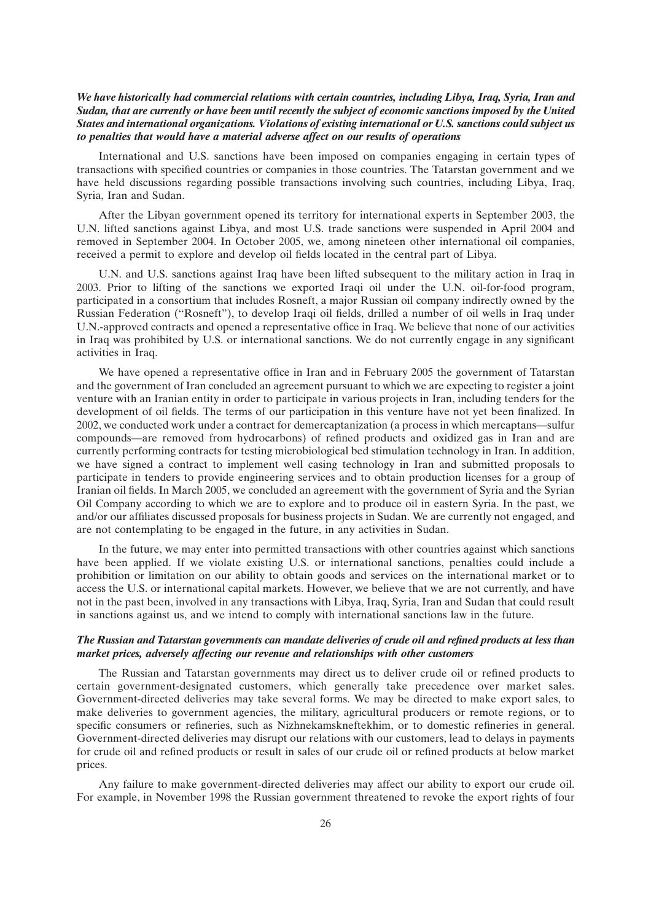## *We have historically had commercial relations with certain countries, including Libya, Iraq, Syria, Iran and Sudan, that are currently or have been until recently the subject of economic sanctions imposed by the United States and international organizations. Violations of existing international or U.S. sanctions could subject us to penalties that would have a material adverse affect on our results of operations*

International and U.S. sanctions have been imposed on companies engaging in certain types of transactions with specified countries or companies in those countries. The Tatarstan government and we have held discussions regarding possible transactions involving such countries, including Libya, Iraq, Syria, Iran and Sudan.

After the Libyan government opened its territory for international experts in September 2003, the U.N. lifted sanctions against Libya, and most U.S. trade sanctions were suspended in April 2004 and removed in September 2004. In October 2005, we, among nineteen other international oil companies, received a permit to explore and develop oil fields located in the central part of Libya.

U.N. and U.S. sanctions against Iraq have been lifted subsequent to the military action in Iraq in 2003. Prior to lifting of the sanctions we exported Iraqi oil under the U.N. oil-for-food program, participated in a consortium that includes Rosneft, a major Russian oil company indirectly owned by the Russian Federation (''Rosneft''), to develop Iraqi oil fields, drilled a number of oil wells in Iraq under U.N.-approved contracts and opened a representative office in Iraq. We believe that none of our activities in Iraq was prohibited by U.S. or international sanctions. We do not currently engage in any significant activities in Iraq.

We have opened a representative office in Iran and in February 2005 the government of Tatarstan and the government of Iran concluded an agreement pursuant to which we are expecting to register a joint venture with an Iranian entity in order to participate in various projects in Iran, including tenders for the development of oil fields. The terms of our participation in this venture have not yet been finalized. In 2002, we conducted work under a contract for demercaptanization (a process in which mercaptans—sulfur compounds—are removed from hydrocarbons) of refined products and oxidized gas in Iran and are currently performing contracts for testing microbiological bed stimulation technology in Iran. In addition, we have signed a contract to implement well casing technology in Iran and submitted proposals to participate in tenders to provide engineering services and to obtain production licenses for a group of Iranian oil fields. In March 2005, we concluded an agreement with the government of Syria and the Syrian Oil Company according to which we are to explore and to produce oil in eastern Syria. In the past, we and/or our affiliates discussed proposals for business projects in Sudan. We are currently not engaged, and are not contemplating to be engaged in the future, in any activities in Sudan.

In the future, we may enter into permitted transactions with other countries against which sanctions have been applied. If we violate existing U.S. or international sanctions, penalties could include a prohibition or limitation on our ability to obtain goods and services on the international market or to access the U.S. or international capital markets. However, we believe that we are not currently, and have not in the past been, involved in any transactions with Libya, Iraq, Syria, Iran and Sudan that could result in sanctions against us, and we intend to comply with international sanctions law in the future.

## *The Russian and Tatarstan governments can mandate deliveries of crude oil and refined products at less than market prices, adversely affecting our revenue and relationships with other customers*

The Russian and Tatarstan governments may direct us to deliver crude oil or refined products to certain government-designated customers, which generally take precedence over market sales. Government-directed deliveries may take several forms. We may be directed to make export sales, to make deliveries to government agencies, the military, agricultural producers or remote regions, or to specific consumers or refineries, such as Nizhnekamskneftekhim, or to domestic refineries in general. Government-directed deliveries may disrupt our relations with our customers, lead to delays in payments for crude oil and refined products or result in sales of our crude oil or refined products at below market prices.

Any failure to make government-directed deliveries may affect our ability to export our crude oil. For example, in November 1998 the Russian government threatened to revoke the export rights of four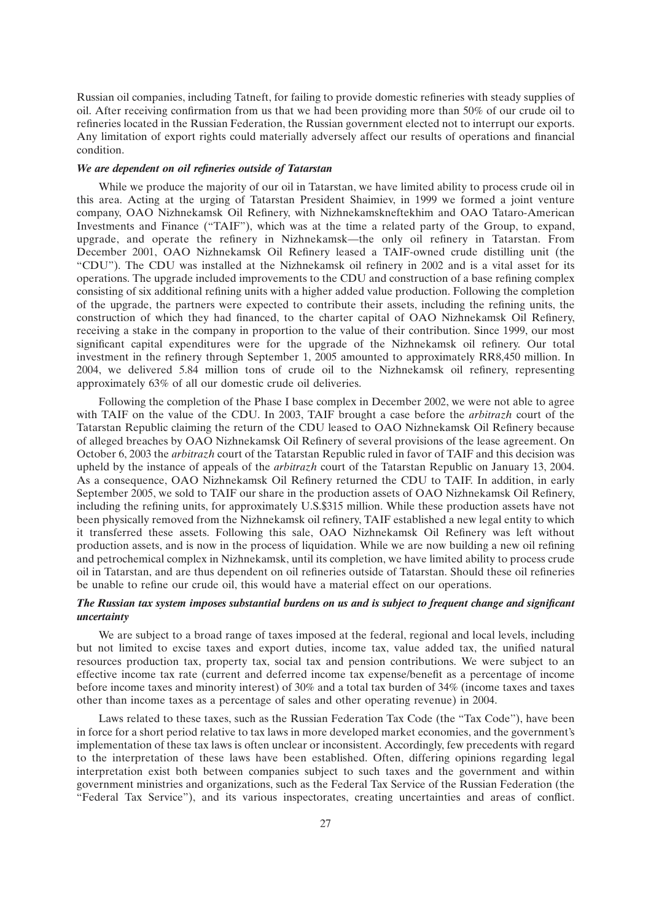Russian oil companies, including Tatneft, for failing to provide domestic refineries with steady supplies of oil. After receiving confirmation from us that we had been providing more than 50% of our crude oil to refineries located in the Russian Federation, the Russian government elected not to interrupt our exports. Any limitation of export rights could materially adversely affect our results of operations and financial condition.

## *We are dependent on oil refineries outside of Tatarstan*

While we produce the majority of our oil in Tatarstan, we have limited ability to process crude oil in this area. Acting at the urging of Tatarstan President Shaimiev, in 1999 we formed a joint venture company, OAO Nizhnekamsk Oil Refinery, with Nizhnekamskneftekhim and OAO Tataro-American Investments and Finance (''TAIF''), which was at the time a related party of the Group, to expand, upgrade, and operate the refinery in Nizhnekamsk—the only oil refinery in Tatarstan. From December 2001, OAO Nizhnekamsk Oil Refinery leased a TAIF-owned crude distilling unit (the ''CDU''). The CDU was installed at the Nizhnekamsk oil refinery in 2002 and is a vital asset for its operations. The upgrade included improvements to the CDU and construction of a base refining complex consisting of six additional refining units with a higher added value production. Following the completion of the upgrade, the partners were expected to contribute their assets, including the refining units, the construction of which they had financed, to the charter capital of OAO Nizhnekamsk Oil Refinery, receiving a stake in the company in proportion to the value of their contribution. Since 1999, our most significant capital expenditures were for the upgrade of the Nizhnekamsk oil refinery. Our total investment in the refinery through September 1, 2005 amounted to approximately RR8,450 million. In 2004, we delivered 5.84 million tons of crude oil to the Nizhnekamsk oil refinery, representing approximately 63% of all our domestic crude oil deliveries.

Following the completion of the Phase I base complex in December 2002, we were not able to agree with TAIF on the value of the CDU. In 2003, TAIF brought a case before the *arbitrazh* court of the Tatarstan Republic claiming the return of the CDU leased to OAO Nizhnekamsk Oil Refinery because of alleged breaches by OAO Nizhnekamsk Oil Refinery of several provisions of the lease agreement. On October 6, 2003 the *arbitrazh* court of the Tatarstan Republic ruled in favor of TAIF and this decision was upheld by the instance of appeals of the *arbitrazh* court of the Tatarstan Republic on January 13, 2004. As a consequence, OAO Nizhnekamsk Oil Refinery returned the CDU to TAIF. In addition, in early September 2005, we sold to TAIF our share in the production assets of OAO Nizhnekamsk Oil Refinery, including the refining units, for approximately U.S.\$315 million. While these production assets have not been physically removed from the Nizhnekamsk oil refinery, TAIF established a new legal entity to which it transferred these assets. Following this sale, OAO Nizhnekamsk Oil Refinery was left without production assets, and is now in the process of liquidation. While we are now building a new oil refining and petrochemical complex in Nizhnekamsk, until its completion, we have limited ability to process crude oil in Tatarstan, and are thus dependent on oil refineries outside of Tatarstan. Should these oil refineries be unable to refine our crude oil, this would have a material effect on our operations.

## *The Russian tax system imposes substantial burdens on us and is subject to frequent change and significant uncertainty*

We are subject to a broad range of taxes imposed at the federal, regional and local levels, including but not limited to excise taxes and export duties, income tax, value added tax, the unified natural resources production tax, property tax, social tax and pension contributions. We were subject to an effective income tax rate (current and deferred income tax expense/benefit as a percentage of income before income taxes and minority interest) of 30% and a total tax burden of 34% (income taxes and taxes other than income taxes as a percentage of sales and other operating revenue) in 2004.

Laws related to these taxes, such as the Russian Federation Tax Code (the ''Tax Code''), have been in force for a short period relative to tax laws in more developed market economies, and the government's implementation of these tax laws is often unclear or inconsistent. Accordingly, few precedents with regard to the interpretation of these laws have been established. Often, differing opinions regarding legal interpretation exist both between companies subject to such taxes and the government and within government ministries and organizations, such as the Federal Tax Service of the Russian Federation (the ''Federal Tax Service''), and its various inspectorates, creating uncertainties and areas of conflict.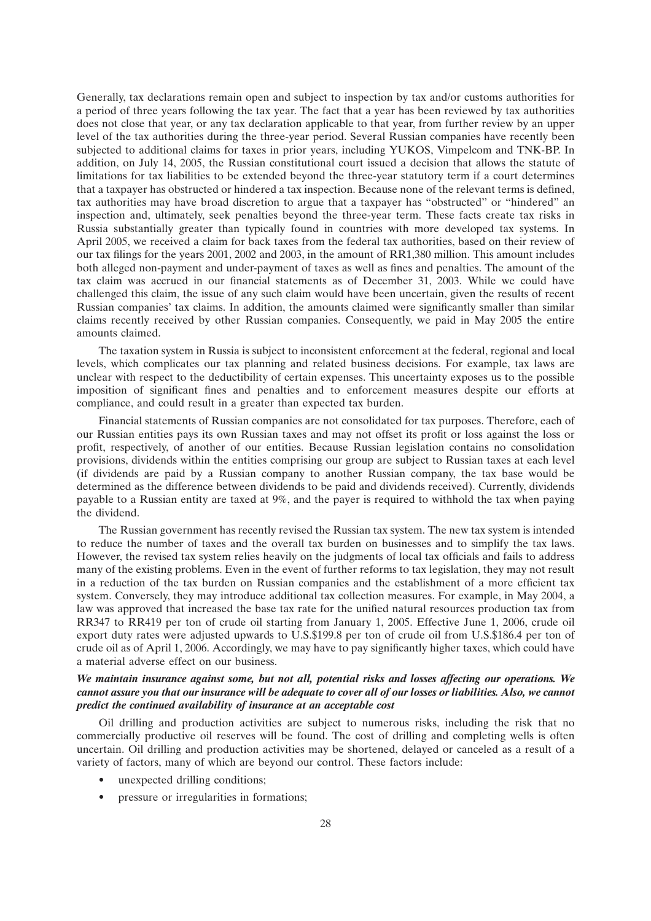Generally, tax declarations remain open and subject to inspection by tax and/or customs authorities for a period of three years following the tax year. The fact that a year has been reviewed by tax authorities does not close that year, or any tax declaration applicable to that year, from further review by an upper level of the tax authorities during the three-year period. Several Russian companies have recently been subjected to additional claims for taxes in prior years, including YUKOS, Vimpelcom and TNK-BP. In addition, on July 14, 2005, the Russian constitutional court issued a decision that allows the statute of limitations for tax liabilities to be extended beyond the three-year statutory term if a court determines that a taxpayer has obstructed or hindered a tax inspection. Because none of the relevant terms is defined, tax authorities may have broad discretion to argue that a taxpayer has ''obstructed'' or ''hindered'' an inspection and, ultimately, seek penalties beyond the three-year term. These facts create tax risks in Russia substantially greater than typically found in countries with more developed tax systems. In April 2005, we received a claim for back taxes from the federal tax authorities, based on their review of our tax filings for the years 2001, 2002 and 2003, in the amount of RR1,380 million. This amount includes both alleged non-payment and under-payment of taxes as well as fines and penalties. The amount of the tax claim was accrued in our financial statements as of December 31, 2003. While we could have challenged this claim, the issue of any such claim would have been uncertain, given the results of recent Russian companies' tax claims. In addition, the amounts claimed were significantly smaller than similar claims recently received by other Russian companies. Consequently, we paid in May 2005 the entire amounts claimed.

The taxation system in Russia is subject to inconsistent enforcement at the federal, regional and local levels, which complicates our tax planning and related business decisions. For example, tax laws are unclear with respect to the deductibility of certain expenses. This uncertainty exposes us to the possible imposition of significant fines and penalties and to enforcement measures despite our efforts at compliance, and could result in a greater than expected tax burden.

Financial statements of Russian companies are not consolidated for tax purposes. Therefore, each of our Russian entities pays its own Russian taxes and may not offset its profit or loss against the loss or profit, respectively, of another of our entities. Because Russian legislation contains no consolidation provisions, dividends within the entities comprising our group are subject to Russian taxes at each level (if dividends are paid by a Russian company to another Russian company, the tax base would be determined as the difference between dividends to be paid and dividends received). Currently, dividends payable to a Russian entity are taxed at 9%, and the payer is required to withhold the tax when paying the dividend.

The Russian government has recently revised the Russian tax system. The new tax system is intended to reduce the number of taxes and the overall tax burden on businesses and to simplify the tax laws. However, the revised tax system relies heavily on the judgments of local tax officials and fails to address many of the existing problems. Even in the event of further reforms to tax legislation, they may not result in a reduction of the tax burden on Russian companies and the establishment of a more efficient tax system. Conversely, they may introduce additional tax collection measures. For example, in May 2004, a law was approved that increased the base tax rate for the unified natural resources production tax from RR347 to RR419 per ton of crude oil starting from January 1, 2005. Effective June 1, 2006, crude oil export duty rates were adjusted upwards to U.S.\$199.8 per ton of crude oil from U.S.\$186.4 per ton of crude oil as of April 1, 2006. Accordingly, we may have to pay significantly higher taxes, which could have a material adverse effect on our business.

# *We maintain insurance against some, but not all, potential risks and losses affecting our operations. We cannot assure you that our insurance will be adequate to cover all of our losses or liabilities. Also, we cannot predict the continued availability of insurance at an acceptable cost*

Oil drilling and production activities are subject to numerous risks, including the risk that no commercially productive oil reserves will be found. The cost of drilling and completing wells is often uncertain. Oil drilling and production activities may be shortened, delayed or canceled as a result of a variety of factors, many of which are beyond our control. These factors include:

- unexpected drilling conditions:
- pressure or irregularities in formations;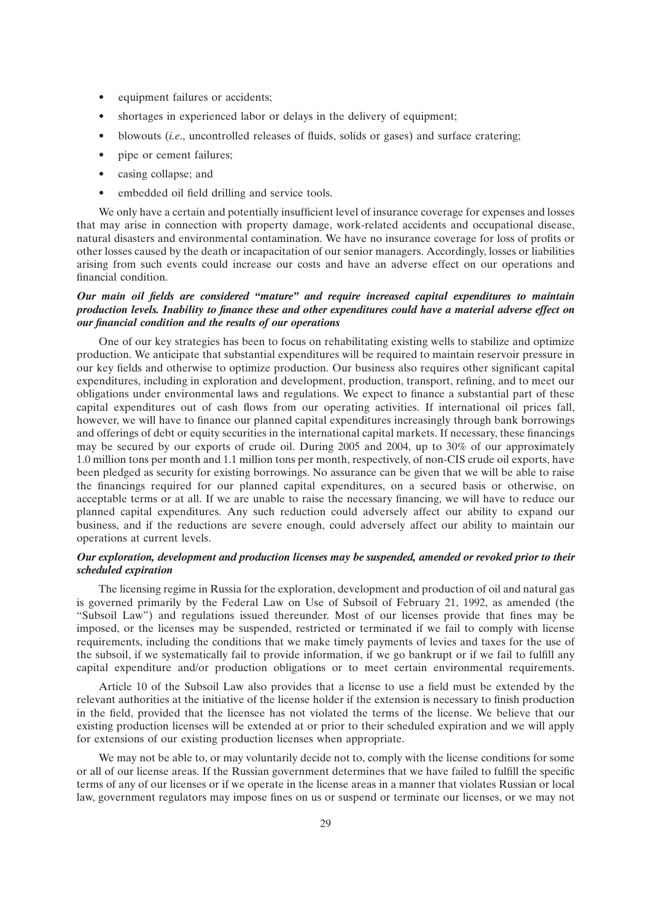- equipment failures or accidents;
- shortages in experienced labor or delays in the delivery of equipment;
- blowouts (*i.e*., uncontrolled releases of fluids, solids or gases) and surface cratering;
- pipe or cement failures;
- casing collapse; and
- embedded oil field drilling and service tools.

We only have a certain and potentially insufficient level of insurance coverage for expenses and losses that may arise in connection with property damage, work-related accidents and occupational disease, natural disasters and environmental contamination. We have no insurance coverage for loss of profits or other losses caused by the death or incapacitation of our senior managers. Accordingly, losses or liabilities arising from such events could increase our costs and have an adverse effect on our operations and financial condition.

## *Our main oil fields are considered ''mature'' and require increased capital expenditures to maintain production levels. Inability to finance these and other expenditures could have a material adverse effect on our financial condition and the results of our operations*

One of our key strategies has been to focus on rehabilitating existing wells to stabilize and optimize production. We anticipate that substantial expenditures will be required to maintain reservoir pressure in our key fields and otherwise to optimize production. Our business also requires other significant capital expenditures, including in exploration and development, production, transport, refining, and to meet our obligations under environmental laws and regulations. We expect to finance a substantial part of these capital expenditures out of cash flows from our operating activities. If international oil prices fall, however, we will have to finance our planned capital expenditures increasingly through bank borrowings and offerings of debt or equity securities in the international capital markets. If necessary, these financings may be secured by our exports of crude oil. During 2005 and 2004, up to 30% of our approximately 1.0 million tons per month and 1.1 million tons per month, respectively, of non-CIS crude oil exports, have been pledged as security for existing borrowings. No assurance can be given that we will be able to raise the financings required for our planned capital expenditures, on a secured basis or otherwise, on acceptable terms or at all. If we are unable to raise the necessary financing, we will have to reduce our planned capital expenditures. Any such reduction could adversely affect our ability to expand our business, and if the reductions are severe enough, could adversely affect our ability to maintain our operations at current levels.

# *Our exploration, development and production licenses may be suspended, amended or revoked prior to their scheduled expiration*

The licensing regime in Russia for the exploration, development and production of oil and natural gas is governed primarily by the Federal Law on Use of Subsoil of February 21, 1992, as amended (the ''Subsoil Law'') and regulations issued thereunder. Most of our licenses provide that fines may be imposed, or the licenses may be suspended, restricted or terminated if we fail to comply with license requirements, including the conditions that we make timely payments of levies and taxes for the use of the subsoil, if we systematically fail to provide information, if we go bankrupt or if we fail to fulfill any capital expenditure and/or production obligations or to meet certain environmental requirements.

Article 10 of the Subsoil Law also provides that a license to use a field must be extended by the relevant authorities at the initiative of the license holder if the extension is necessary to finish production in the field, provided that the licensee has not violated the terms of the license. We believe that our existing production licenses will be extended at or prior to their scheduled expiration and we will apply for extensions of our existing production licenses when appropriate.

We may not be able to, or may voluntarily decide not to, comply with the license conditions for some or all of our license areas. If the Russian government determines that we have failed to fulfill the specific terms of any of our licenses or if we operate in the license areas in a manner that violates Russian or local law, government regulators may impose fines on us or suspend or terminate our licenses, or we may not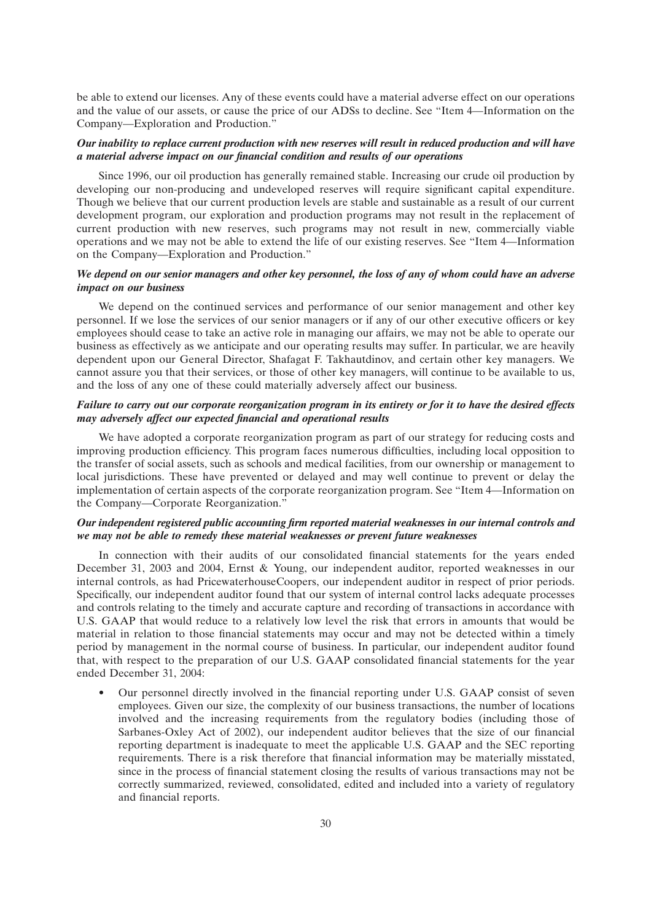be able to extend our licenses. Any of these events could have a material adverse effect on our operations and the value of our assets, or cause the price of our ADSs to decline. See ''Item 4—Information on the Company—Exploration and Production.''

## *Our inability to replace current production with new reserves will result in reduced production and will have a material adverse impact on our financial condition and results of our operations*

Since 1996, our oil production has generally remained stable. Increasing our crude oil production by developing our non-producing and undeveloped reserves will require significant capital expenditure. Though we believe that our current production levels are stable and sustainable as a result of our current development program, our exploration and production programs may not result in the replacement of current production with new reserves, such programs may not result in new, commercially viable operations and we may not be able to extend the life of our existing reserves. See ''Item 4—Information on the Company—Exploration and Production.''

## *We depend on our senior managers and other key personnel, the loss of any of whom could have an adverse impact on our business*

We depend on the continued services and performance of our senior management and other key personnel. If we lose the services of our senior managers or if any of our other executive officers or key employees should cease to take an active role in managing our affairs, we may not be able to operate our business as effectively as we anticipate and our operating results may suffer. In particular, we are heavily dependent upon our General Director, Shafagat F. Takhautdinov, and certain other key managers. We cannot assure you that their services, or those of other key managers, will continue to be available to us, and the loss of any one of these could materially adversely affect our business.

## *Failure to carry out our corporate reorganization program in its entirety or for it to have the desired effects may adversely affect our expected financial and operational results*

We have adopted a corporate reorganization program as part of our strategy for reducing costs and improving production efficiency. This program faces numerous difficulties, including local opposition to the transfer of social assets, such as schools and medical facilities, from our ownership or management to local jurisdictions. These have prevented or delayed and may well continue to prevent or delay the implementation of certain aspects of the corporate reorganization program. See ''Item 4—Information on the Company—Corporate Reorganization.''

## *Our independent registered public accounting firm reported material weaknesses in our internal controls and we may not be able to remedy these material weaknesses or prevent future weaknesses*

In connection with their audits of our consolidated financial statements for the years ended December 31, 2003 and 2004, Ernst & Young, our independent auditor, reported weaknesses in our internal controls, as had PricewaterhouseCoopers, our independent auditor in respect of prior periods. Specifically, our independent auditor found that our system of internal control lacks adequate processes and controls relating to the timely and accurate capture and recording of transactions in accordance with U.S. GAAP that would reduce to a relatively low level the risk that errors in amounts that would be material in relation to those financial statements may occur and may not be detected within a timely period by management in the normal course of business. In particular, our independent auditor found that, with respect to the preparation of our U.S. GAAP consolidated financial statements for the year ended December 31, 2004:

• Our personnel directly involved in the financial reporting under U.S. GAAP consist of seven employees. Given our size, the complexity of our business transactions, the number of locations involved and the increasing requirements from the regulatory bodies (including those of Sarbanes-Oxley Act of 2002), our independent auditor believes that the size of our financial reporting department is inadequate to meet the applicable U.S. GAAP and the SEC reporting requirements. There is a risk therefore that financial information may be materially misstated, since in the process of financial statement closing the results of various transactions may not be correctly summarized, reviewed, consolidated, edited and included into a variety of regulatory and financial reports.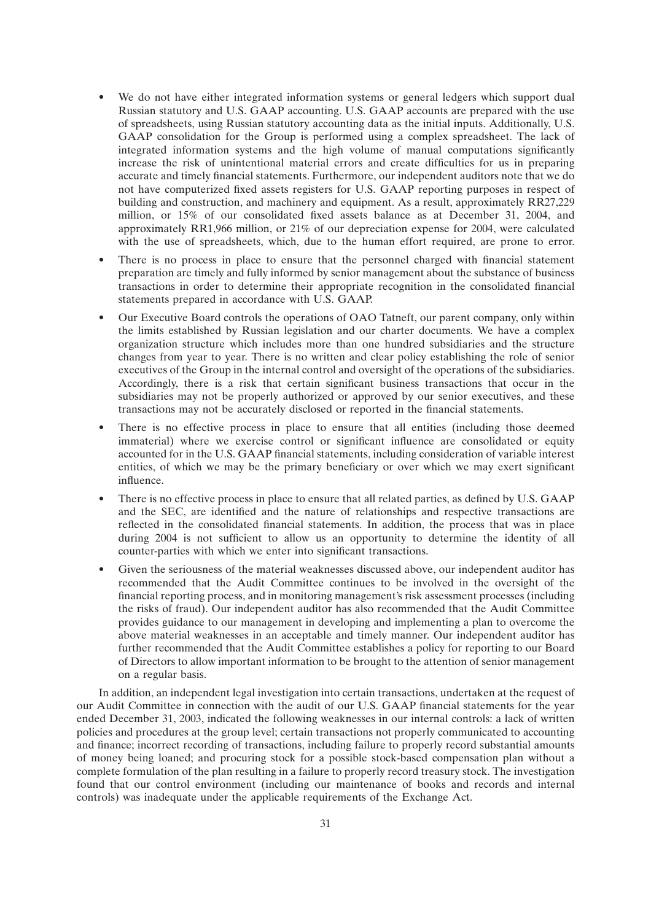- We do not have either integrated information systems or general ledgers which support dual Russian statutory and U.S. GAAP accounting. U.S. GAAP accounts are prepared with the use of spreadsheets, using Russian statutory accounting data as the initial inputs. Additionally, U.S. GAAP consolidation for the Group is performed using a complex spreadsheet. The lack of integrated information systems and the high volume of manual computations significantly increase the risk of unintentional material errors and create difficulties for us in preparing accurate and timely financial statements. Furthermore, our independent auditors note that we do not have computerized fixed assets registers for U.S. GAAP reporting purposes in respect of building and construction, and machinery and equipment. As a result, approximately RR27,229 million, or 15% of our consolidated fixed assets balance as at December 31, 2004, and approximately RR1,966 million, or 21% of our depreciation expense for 2004, were calculated with the use of spreadsheets, which, due to the human effort required, are prone to error.
- There is no process in place to ensure that the personnel charged with financial statement preparation are timely and fully informed by senior management about the substance of business transactions in order to determine their appropriate recognition in the consolidated financial statements prepared in accordance with U.S. GAAP.
- Our Executive Board controls the operations of OAO Tatneft, our parent company, only within the limits established by Russian legislation and our charter documents. We have a complex organization structure which includes more than one hundred subsidiaries and the structure changes from year to year. There is no written and clear policy establishing the role of senior executives of the Group in the internal control and oversight of the operations of the subsidiaries. Accordingly, there is a risk that certain significant business transactions that occur in the subsidiaries may not be properly authorized or approved by our senior executives, and these transactions may not be accurately disclosed or reported in the financial statements.
- There is no effective process in place to ensure that all entities (including those deemed immaterial) where we exercise control or significant influence are consolidated or equity accounted for in the U.S. GAAP financial statements, including consideration of variable interest entities, of which we may be the primary beneficiary or over which we may exert significant influence.
- There is no effective process in place to ensure that all related parties, as defined by U.S. GAAP and the SEC, are identified and the nature of relationships and respective transactions are reflected in the consolidated financial statements. In addition, the process that was in place during 2004 is not sufficient to allow us an opportunity to determine the identity of all counter-parties with which we enter into significant transactions.
- Given the seriousness of the material weaknesses discussed above, our independent auditor has recommended that the Audit Committee continues to be involved in the oversight of the financial reporting process, and in monitoring management's risk assessment processes (including the risks of fraud). Our independent auditor has also recommended that the Audit Committee provides guidance to our management in developing and implementing a plan to overcome the above material weaknesses in an acceptable and timely manner. Our independent auditor has further recommended that the Audit Committee establishes a policy for reporting to our Board of Directors to allow important information to be brought to the attention of senior management on a regular basis.

In addition, an independent legal investigation into certain transactions, undertaken at the request of our Audit Committee in connection with the audit of our U.S. GAAP financial statements for the year ended December 31, 2003, indicated the following weaknesses in our internal controls: a lack of written policies and procedures at the group level; certain transactions not properly communicated to accounting and finance; incorrect recording of transactions, including failure to properly record substantial amounts of money being loaned; and procuring stock for a possible stock-based compensation plan without a complete formulation of the plan resulting in a failure to properly record treasury stock. The investigation found that our control environment (including our maintenance of books and records and internal controls) was inadequate under the applicable requirements of the Exchange Act.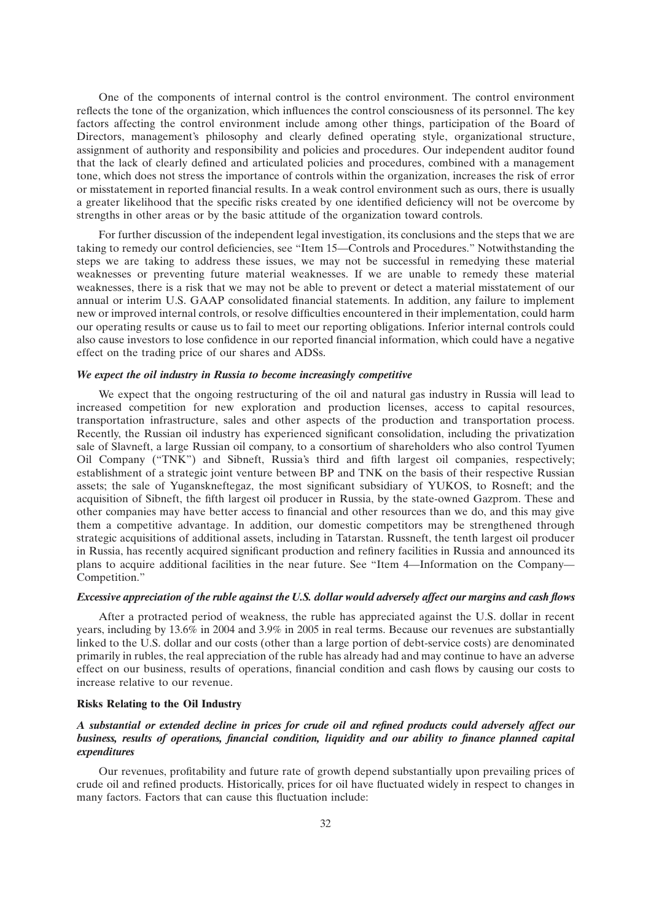One of the components of internal control is the control environment. The control environment reflects the tone of the organization, which influences the control consciousness of its personnel. The key factors affecting the control environment include among other things, participation of the Board of Directors, management's philosophy and clearly defined operating style, organizational structure, assignment of authority and responsibility and policies and procedures. Our independent auditor found that the lack of clearly defined and articulated policies and procedures, combined with a management tone, which does not stress the importance of controls within the organization, increases the risk of error or misstatement in reported financial results. In a weak control environment such as ours, there is usually a greater likelihood that the specific risks created by one identified deficiency will not be overcome by strengths in other areas or by the basic attitude of the organization toward controls.

For further discussion of the independent legal investigation, its conclusions and the steps that we are taking to remedy our control deficiencies, see ''Item 15—Controls and Procedures.'' Notwithstanding the steps we are taking to address these issues, we may not be successful in remedying these material weaknesses or preventing future material weaknesses. If we are unable to remedy these material weaknesses, there is a risk that we may not be able to prevent or detect a material misstatement of our annual or interim U.S. GAAP consolidated financial statements. In addition, any failure to implement new or improved internal controls, or resolve difficulties encountered in their implementation, could harm our operating results or cause us to fail to meet our reporting obligations. Inferior internal controls could also cause investors to lose confidence in our reported financial information, which could have a negative effect on the trading price of our shares and ADSs.

#### *We expect the oil industry in Russia to become increasingly competitive*

We expect that the ongoing restructuring of the oil and natural gas industry in Russia will lead to increased competition for new exploration and production licenses, access to capital resources, transportation infrastructure, sales and other aspects of the production and transportation process. Recently, the Russian oil industry has experienced significant consolidation, including the privatization sale of Slavneft, a large Russian oil company, to a consortium of shareholders who also control Tyumen Oil Company (''TNK'') and Sibneft, Russia's third and fifth largest oil companies, respectively; establishment of a strategic joint venture between BP and TNK on the basis of their respective Russian assets; the sale of Yuganskneftegaz, the most significant subsidiary of YUKOS, to Rosneft; and the acquisition of Sibneft, the fifth largest oil producer in Russia, by the state-owned Gazprom. These and other companies may have better access to financial and other resources than we do, and this may give them a competitive advantage. In addition, our domestic competitors may be strengthened through strategic acquisitions of additional assets, including in Tatarstan. Russneft, the tenth largest oil producer in Russia, has recently acquired significant production and refinery facilities in Russia and announced its plans to acquire additional facilities in the near future. See ''Item 4—Information on the Company— Competition.''

#### *Excessive appreciation of the ruble against the U.S. dollar would adversely affect our margins and cash flows*

After a protracted period of weakness, the ruble has appreciated against the U.S. dollar in recent years, including by 13.6% in 2004 and 3.9% in 2005 in real terms. Because our revenues are substantially linked to the U.S. dollar and our costs (other than a large portion of debt-service costs) are denominated primarily in rubles, the real appreciation of the ruble has already had and may continue to have an adverse effect on our business, results of operations, financial condition and cash flows by causing our costs to increase relative to our revenue.

#### **Risks Relating to the Oil Industry**

## *A substantial or extended decline in prices for crude oil and refined products could adversely affect our business, results of operations, financial condition, liquidity and our ability to finance planned capital expenditures*

Our revenues, profitability and future rate of growth depend substantially upon prevailing prices of crude oil and refined products. Historically, prices for oil have fluctuated widely in respect to changes in many factors. Factors that can cause this fluctuation include: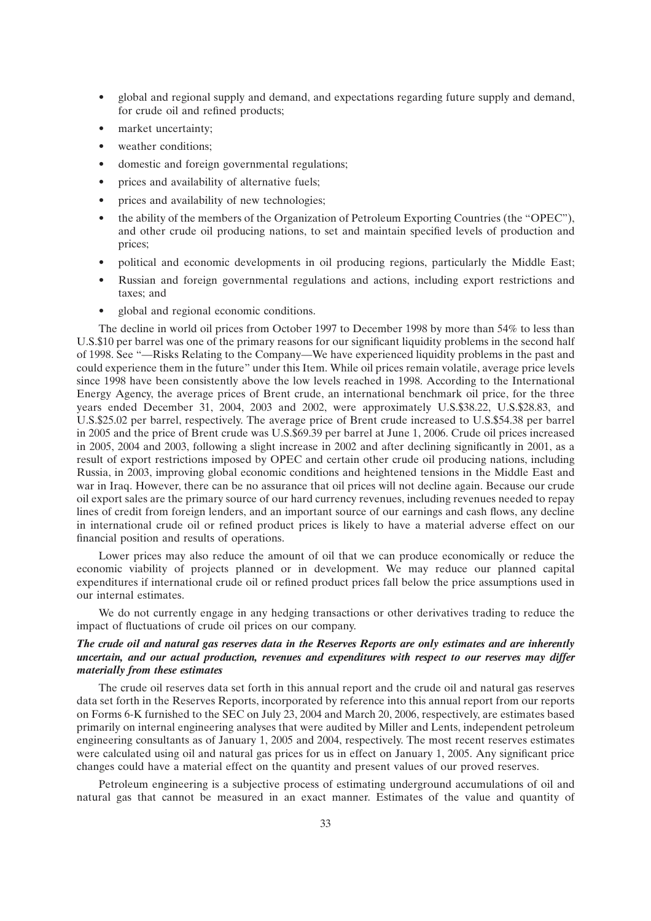- global and regional supply and demand, and expectations regarding future supply and demand, for crude oil and refined products;
- market uncertainty;
- weather conditions;
- domestic and foreign governmental regulations;
- prices and availability of alternative fuels;
- prices and availability of new technologies;
- the ability of the members of the Organization of Petroleum Exporting Countries (the ''OPEC''), and other crude oil producing nations, to set and maintain specified levels of production and prices;
- political and economic developments in oil producing regions, particularly the Middle East;
- Russian and foreign governmental regulations and actions, including export restrictions and taxes; and
- global and regional economic conditions.

The decline in world oil prices from October 1997 to December 1998 by more than 54% to less than U.S.\$10 per barrel was one of the primary reasons for our significant liquidity problems in the second half of 1998. See ''—Risks Relating to the Company—We have experienced liquidity problems in the past and could experience them in the future'' under this Item. While oil prices remain volatile, average price levels since 1998 have been consistently above the low levels reached in 1998. According to the International Energy Agency, the average prices of Brent crude, an international benchmark oil price, for the three years ended December 31, 2004, 2003 and 2002, were approximately U.S.\$38.22, U.S.\$28.83, and U.S.\$25.02 per barrel, respectively. The average price of Brent crude increased to U.S.\$54.38 per barrel in 2005 and the price of Brent crude was U.S.\$69.39 per barrel at June 1, 2006. Crude oil prices increased in 2005, 2004 and 2003, following a slight increase in 2002 and after declining significantly in 2001, as a result of export restrictions imposed by OPEC and certain other crude oil producing nations, including Russia, in 2003, improving global economic conditions and heightened tensions in the Middle East and war in Iraq. However, there can be no assurance that oil prices will not decline again. Because our crude oil export sales are the primary source of our hard currency revenues, including revenues needed to repay lines of credit from foreign lenders, and an important source of our earnings and cash flows, any decline in international crude oil or refined product prices is likely to have a material adverse effect on our financial position and results of operations.

Lower prices may also reduce the amount of oil that we can produce economically or reduce the economic viability of projects planned or in development. We may reduce our planned capital expenditures if international crude oil or refined product prices fall below the price assumptions used in our internal estimates.

We do not currently engage in any hedging transactions or other derivatives trading to reduce the impact of fluctuations of crude oil prices on our company.

## *The crude oil and natural gas reserves data in the Reserves Reports are only estimates and are inherently uncertain, and our actual production, revenues and expenditures with respect to our reserves may differ materially from these estimates*

The crude oil reserves data set forth in this annual report and the crude oil and natural gas reserves data set forth in the Reserves Reports, incorporated by reference into this annual report from our reports on Forms 6-K furnished to the SEC on July 23, 2004 and March 20, 2006, respectively, are estimates based primarily on internal engineering analyses that were audited by Miller and Lents, independent petroleum engineering consultants as of January 1, 2005 and 2004, respectively. The most recent reserves estimates were calculated using oil and natural gas prices for us in effect on January 1, 2005. Any significant price changes could have a material effect on the quantity and present values of our proved reserves.

Petroleum engineering is a subjective process of estimating underground accumulations of oil and natural gas that cannot be measured in an exact manner. Estimates of the value and quantity of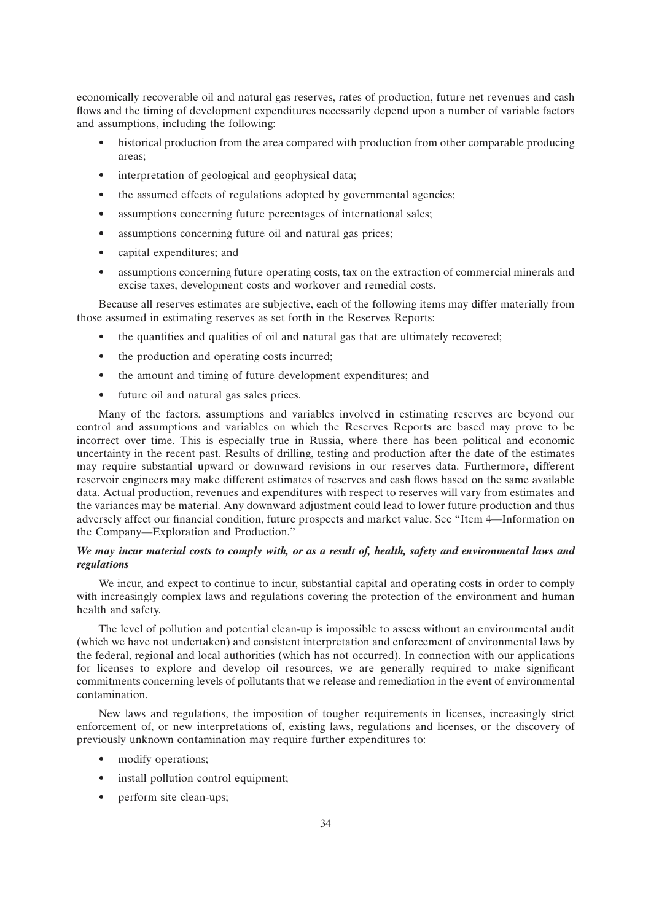economically recoverable oil and natural gas reserves, rates of production, future net revenues and cash flows and the timing of development expenditures necessarily depend upon a number of variable factors and assumptions, including the following:

- historical production from the area compared with production from other comparable producing areas;
- interpretation of geological and geophysical data;
- the assumed effects of regulations adopted by governmental agencies;
- assumptions concerning future percentages of international sales;
- assumptions concerning future oil and natural gas prices;
- capital expenditures; and
- assumptions concerning future operating costs, tax on the extraction of commercial minerals and excise taxes, development costs and workover and remedial costs.

Because all reserves estimates are subjective, each of the following items may differ materially from those assumed in estimating reserves as set forth in the Reserves Reports:

- the quantities and qualities of oil and natural gas that are ultimately recovered;
- the production and operating costs incurred;
- the amount and timing of future development expenditures; and
- future oil and natural gas sales prices.

Many of the factors, assumptions and variables involved in estimating reserves are beyond our control and assumptions and variables on which the Reserves Reports are based may prove to be incorrect over time. This is especially true in Russia, where there has been political and economic uncertainty in the recent past. Results of drilling, testing and production after the date of the estimates may require substantial upward or downward revisions in our reserves data. Furthermore, different reservoir engineers may make different estimates of reserves and cash flows based on the same available data. Actual production, revenues and expenditures with respect to reserves will vary from estimates and the variances may be material. Any downward adjustment could lead to lower future production and thus adversely affect our financial condition, future prospects and market value. See ''Item 4—Information on the Company—Exploration and Production.''

# *We may incur material costs to comply with, or as a result of, health, safety and environmental laws and regulations*

We incur, and expect to continue to incur, substantial capital and operating costs in order to comply with increasingly complex laws and regulations covering the protection of the environment and human health and safety.

The level of pollution and potential clean-up is impossible to assess without an environmental audit (which we have not undertaken) and consistent interpretation and enforcement of environmental laws by the federal, regional and local authorities (which has not occurred). In connection with our applications for licenses to explore and develop oil resources, we are generally required to make significant commitments concerning levels of pollutants that we release and remediation in the event of environmental contamination.

New laws and regulations, the imposition of tougher requirements in licenses, increasingly strict enforcement of, or new interpretations of, existing laws, regulations and licenses, or the discovery of previously unknown contamination may require further expenditures to:

- modify operations;
- install pollution control equipment;
- perform site clean-ups;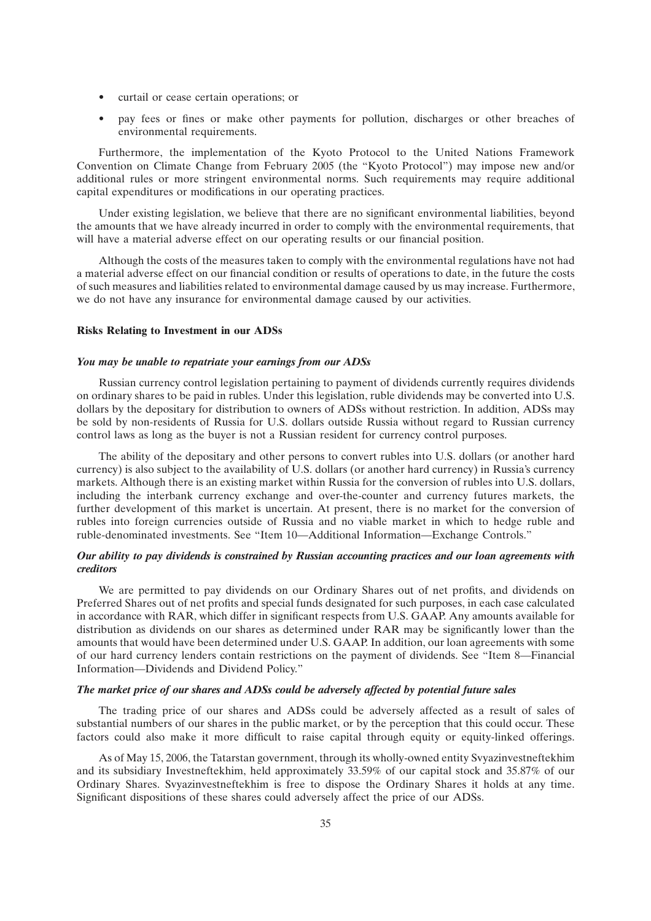- curtail or cease certain operations; or
- pay fees or fines or make other payments for pollution, discharges or other breaches of environmental requirements.

Furthermore, the implementation of the Kyoto Protocol to the United Nations Framework Convention on Climate Change from February 2005 (the ''Kyoto Protocol'') may impose new and/or additional rules or more stringent environmental norms. Such requirements may require additional capital expenditures or modifications in our operating practices.

Under existing legislation, we believe that there are no significant environmental liabilities, beyond the amounts that we have already incurred in order to comply with the environmental requirements, that will have a material adverse effect on our operating results or our financial position.

Although the costs of the measures taken to comply with the environmental regulations have not had a material adverse effect on our financial condition or results of operations to date, in the future the costs of such measures and liabilities related to environmental damage caused by us may increase. Furthermore, we do not have any insurance for environmental damage caused by our activities.

#### **Risks Relating to Investment in our ADSs**

#### *You may be unable to repatriate your earnings from our ADSs*

Russian currency control legislation pertaining to payment of dividends currently requires dividends on ordinary shares to be paid in rubles. Under this legislation, ruble dividends may be converted into U.S. dollars by the depositary for distribution to owners of ADSs without restriction. In addition, ADSs may be sold by non-residents of Russia for U.S. dollars outside Russia without regard to Russian currency control laws as long as the buyer is not a Russian resident for currency control purposes.

The ability of the depositary and other persons to convert rubles into U.S. dollars (or another hard currency) is also subject to the availability of U.S. dollars (or another hard currency) in Russia's currency markets. Although there is an existing market within Russia for the conversion of rubles into U.S. dollars, including the interbank currency exchange and over-the-counter and currency futures markets, the further development of this market is uncertain. At present, there is no market for the conversion of rubles into foreign currencies outside of Russia and no viable market in which to hedge ruble and ruble-denominated investments. See ''Item 10—Additional Information—Exchange Controls.''

# *Our ability to pay dividends is constrained by Russian accounting practices and our loan agreements with creditors*

We are permitted to pay dividends on our Ordinary Shares out of net profits, and dividends on Preferred Shares out of net profits and special funds designated for such purposes, in each case calculated in accordance with RAR, which differ in significant respects from U.S. GAAP. Any amounts available for distribution as dividends on our shares as determined under RAR may be significantly lower than the amounts that would have been determined under U.S. GAAP. In addition, our loan agreements with some of our hard currency lenders contain restrictions on the payment of dividends. See ''Item 8—Financial Information—Dividends and Dividend Policy.''

# *The market price of our shares and ADSs could be adversely affected by potential future sales*

The trading price of our shares and ADSs could be adversely affected as a result of sales of substantial numbers of our shares in the public market, or by the perception that this could occur. These factors could also make it more difficult to raise capital through equity or equity-linked offerings.

As of May 15, 2006, the Tatarstan government, through its wholly-owned entity Svyazinvestneftekhim and its subsidiary Investneftekhim, held approximately 33.59% of our capital stock and 35.87% of our Ordinary Shares. Svyazinvestneftekhim is free to dispose the Ordinary Shares it holds at any time. Significant dispositions of these shares could adversely affect the price of our ADSs.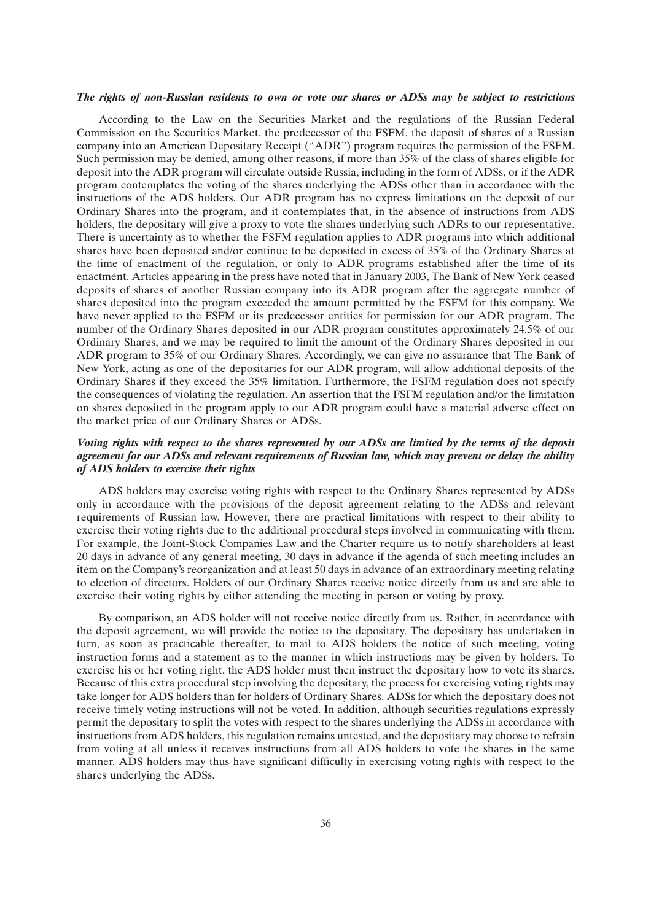#### *The rights of non-Russian residents to own or vote our shares or ADSs may be subject to restrictions*

According to the Law on the Securities Market and the regulations of the Russian Federal Commission on the Securities Market, the predecessor of the FSFM, the deposit of shares of a Russian company into an American Depositary Receipt (''ADR'') program requires the permission of the FSFM. Such permission may be denied, among other reasons, if more than 35% of the class of shares eligible for deposit into the ADR program will circulate outside Russia, including in the form of ADSs, or if the ADR program contemplates the voting of the shares underlying the ADSs other than in accordance with the instructions of the ADS holders. Our ADR program has no express limitations on the deposit of our Ordinary Shares into the program, and it contemplates that, in the absence of instructions from ADS holders, the depositary will give a proxy to vote the shares underlying such ADRs to our representative. There is uncertainty as to whether the FSFM regulation applies to ADR programs into which additional shares have been deposited and/or continue to be deposited in excess of 35% of the Ordinary Shares at the time of enactment of the regulation, or only to ADR programs established after the time of its enactment. Articles appearing in the press have noted that in January 2003, The Bank of New York ceased deposits of shares of another Russian company into its ADR program after the aggregate number of shares deposited into the program exceeded the amount permitted by the FSFM for this company. We have never applied to the FSFM or its predecessor entities for permission for our ADR program. The number of the Ordinary Shares deposited in our ADR program constitutes approximately 24.5% of our Ordinary Shares, and we may be required to limit the amount of the Ordinary Shares deposited in our ADR program to 35% of our Ordinary Shares. Accordingly, we can give no assurance that The Bank of New York, acting as one of the depositaries for our ADR program, will allow additional deposits of the Ordinary Shares if they exceed the 35% limitation. Furthermore, the FSFM regulation does not specify the consequences of violating the regulation. An assertion that the FSFM regulation and/or the limitation on shares deposited in the program apply to our ADR program could have a material adverse effect on the market price of our Ordinary Shares or ADSs.

# *Voting rights with respect to the shares represented by our ADSs are limited by the terms of the deposit agreement for our ADSs and relevant requirements of Russian law, which may prevent or delay the ability of ADS holders to exercise their rights*

ADS holders may exercise voting rights with respect to the Ordinary Shares represented by ADSs only in accordance with the provisions of the deposit agreement relating to the ADSs and relevant requirements of Russian law. However, there are practical limitations with respect to their ability to exercise their voting rights due to the additional procedural steps involved in communicating with them. For example, the Joint-Stock Companies Law and the Charter require us to notify shareholders at least 20 days in advance of any general meeting, 30 days in advance if the agenda of such meeting includes an item on the Company's reorganization and at least 50 days in advance of an extraordinary meeting relating to election of directors. Holders of our Ordinary Shares receive notice directly from us and are able to exercise their voting rights by either attending the meeting in person or voting by proxy.

By comparison, an ADS holder will not receive notice directly from us. Rather, in accordance with the deposit agreement, we will provide the notice to the depositary. The depositary has undertaken in turn, as soon as practicable thereafter, to mail to ADS holders the notice of such meeting, voting instruction forms and a statement as to the manner in which instructions may be given by holders. To exercise his or her voting right, the ADS holder must then instruct the depositary how to vote its shares. Because of this extra procedural step involving the depositary, the process for exercising voting rights may take longer for ADS holders than for holders of Ordinary Shares. ADSs for which the depositary does not receive timely voting instructions will not be voted. In addition, although securities regulations expressly permit the depositary to split the votes with respect to the shares underlying the ADSs in accordance with instructions from ADS holders, this regulation remains untested, and the depositary may choose to refrain from voting at all unless it receives instructions from all ADS holders to vote the shares in the same manner. ADS holders may thus have significant difficulty in exercising voting rights with respect to the shares underlying the ADSs.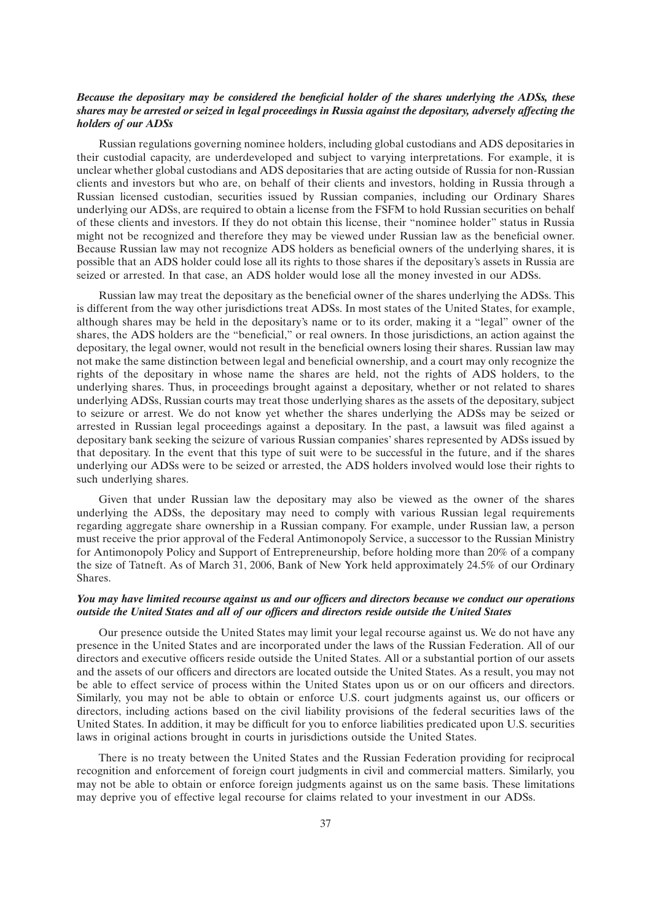# *Because the depositary may be considered the beneficial holder of the shares underlying the ADSs, these shares may be arrested or seized in legal proceedings in Russia against the depositary, adversely affecting the holders of our ADSs*

Russian regulations governing nominee holders, including global custodians and ADS depositaries in their custodial capacity, are underdeveloped and subject to varying interpretations. For example, it is unclear whether global custodians and ADS depositaries that are acting outside of Russia for non-Russian clients and investors but who are, on behalf of their clients and investors, holding in Russia through a Russian licensed custodian, securities issued by Russian companies, including our Ordinary Shares underlying our ADSs, are required to obtain a license from the FSFM to hold Russian securities on behalf of these clients and investors. If they do not obtain this license, their ''nominee holder'' status in Russia might not be recognized and therefore they may be viewed under Russian law as the beneficial owner. Because Russian law may not recognize ADS holders as beneficial owners of the underlying shares, it is possible that an ADS holder could lose all its rights to those shares if the depositary's assets in Russia are seized or arrested. In that case, an ADS holder would lose all the money invested in our ADSs.

Russian law may treat the depositary as the beneficial owner of the shares underlying the ADSs. This is different from the way other jurisdictions treat ADSs. In most states of the United States, for example, although shares may be held in the depositary's name or to its order, making it a ''legal'' owner of the shares, the ADS holders are the ''beneficial,'' or real owners. In those jurisdictions, an action against the depositary, the legal owner, would not result in the beneficial owners losing their shares. Russian law may not make the same distinction between legal and beneficial ownership, and a court may only recognize the rights of the depositary in whose name the shares are held, not the rights of ADS holders, to the underlying shares. Thus, in proceedings brought against a depositary, whether or not related to shares underlying ADSs, Russian courts may treat those underlying shares as the assets of the depositary, subject to seizure or arrest. We do not know yet whether the shares underlying the ADSs may be seized or arrested in Russian legal proceedings against a depositary. In the past, a lawsuit was filed against a depositary bank seeking the seizure of various Russian companies' shares represented by ADSs issued by that depositary. In the event that this type of suit were to be successful in the future, and if the shares underlying our ADSs were to be seized or arrested, the ADS holders involved would lose their rights to such underlying shares.

Given that under Russian law the depositary may also be viewed as the owner of the shares underlying the ADSs, the depositary may need to comply with various Russian legal requirements regarding aggregate share ownership in a Russian company. For example, under Russian law, a person must receive the prior approval of the Federal Antimonopoly Service, a successor to the Russian Ministry for Antimonopoly Policy and Support of Entrepreneurship, before holding more than 20% of a company the size of Tatneft. As of March 31, 2006, Bank of New York held approximately 24.5% of our Ordinary Shares.

# *You may have limited recourse against us and our officers and directors because we conduct our operations outside the United States and all of our officers and directors reside outside the United States*

Our presence outside the United States may limit your legal recourse against us. We do not have any presence in the United States and are incorporated under the laws of the Russian Federation. All of our directors and executive officers reside outside the United States. All or a substantial portion of our assets and the assets of our officers and directors are located outside the United States. As a result, you may not be able to effect service of process within the United States upon us or on our officers and directors. Similarly, you may not be able to obtain or enforce U.S. court judgments against us, our officers or directors, including actions based on the civil liability provisions of the federal securities laws of the United States. In addition, it may be difficult for you to enforce liabilities predicated upon U.S. securities laws in original actions brought in courts in jurisdictions outside the United States.

There is no treaty between the United States and the Russian Federation providing for reciprocal recognition and enforcement of foreign court judgments in civil and commercial matters. Similarly, you may not be able to obtain or enforce foreign judgments against us on the same basis. These limitations may deprive you of effective legal recourse for claims related to your investment in our ADSs.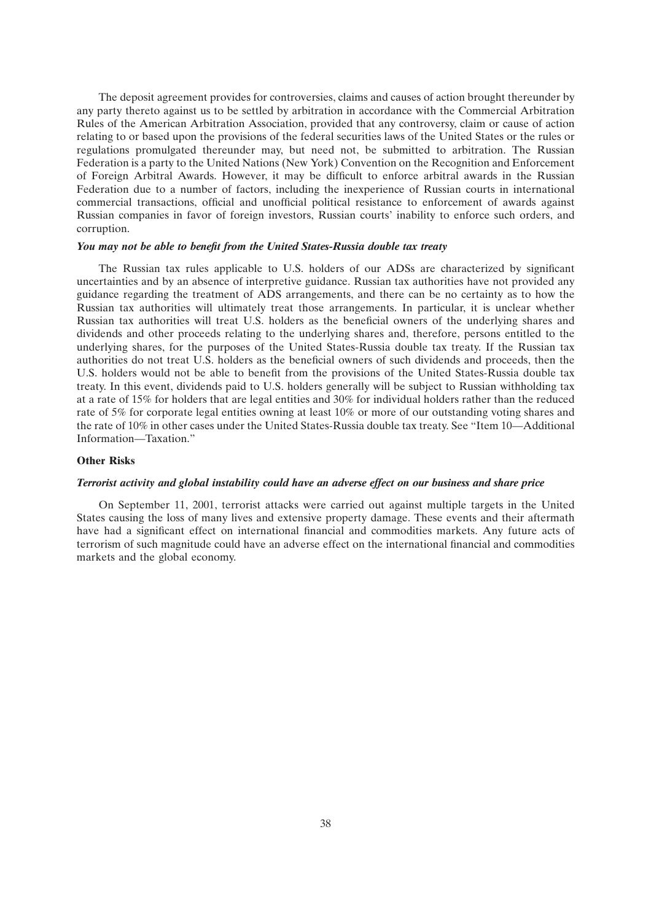The deposit agreement provides for controversies, claims and causes of action brought thereunder by any party thereto against us to be settled by arbitration in accordance with the Commercial Arbitration Rules of the American Arbitration Association, provided that any controversy, claim or cause of action relating to or based upon the provisions of the federal securities laws of the United States or the rules or regulations promulgated thereunder may, but need not, be submitted to arbitration. The Russian Federation is a party to the United Nations (New York) Convention on the Recognition and Enforcement of Foreign Arbitral Awards. However, it may be difficult to enforce arbitral awards in the Russian Federation due to a number of factors, including the inexperience of Russian courts in international commercial transactions, official and unofficial political resistance to enforcement of awards against Russian companies in favor of foreign investors, Russian courts' inability to enforce such orders, and corruption.

# *You may not be able to benefit from the United States-Russia double tax treaty*

The Russian tax rules applicable to U.S. holders of our ADSs are characterized by significant uncertainties and by an absence of interpretive guidance. Russian tax authorities have not provided any guidance regarding the treatment of ADS arrangements, and there can be no certainty as to how the Russian tax authorities will ultimately treat those arrangements. In particular, it is unclear whether Russian tax authorities will treat U.S. holders as the beneficial owners of the underlying shares and dividends and other proceeds relating to the underlying shares and, therefore, persons entitled to the underlying shares, for the purposes of the United States-Russia double tax treaty. If the Russian tax authorities do not treat U.S. holders as the beneficial owners of such dividends and proceeds, then the U.S. holders would not be able to benefit from the provisions of the United States-Russia double tax treaty. In this event, dividends paid to U.S. holders generally will be subject to Russian withholding tax at a rate of 15% for holders that are legal entities and 30% for individual holders rather than the reduced rate of 5% for corporate legal entities owning at least 10% or more of our outstanding voting shares and the rate of 10% in other cases under the United States-Russia double tax treaty. See ''Item 10—Additional Information—Taxation.''

# **Other Risks**

# *Terrorist activity and global instability could have an adverse effect on our business and share price*

On September 11, 2001, terrorist attacks were carried out against multiple targets in the United States causing the loss of many lives and extensive property damage. These events and their aftermath have had a significant effect on international financial and commodities markets. Any future acts of terrorism of such magnitude could have an adverse effect on the international financial and commodities markets and the global economy.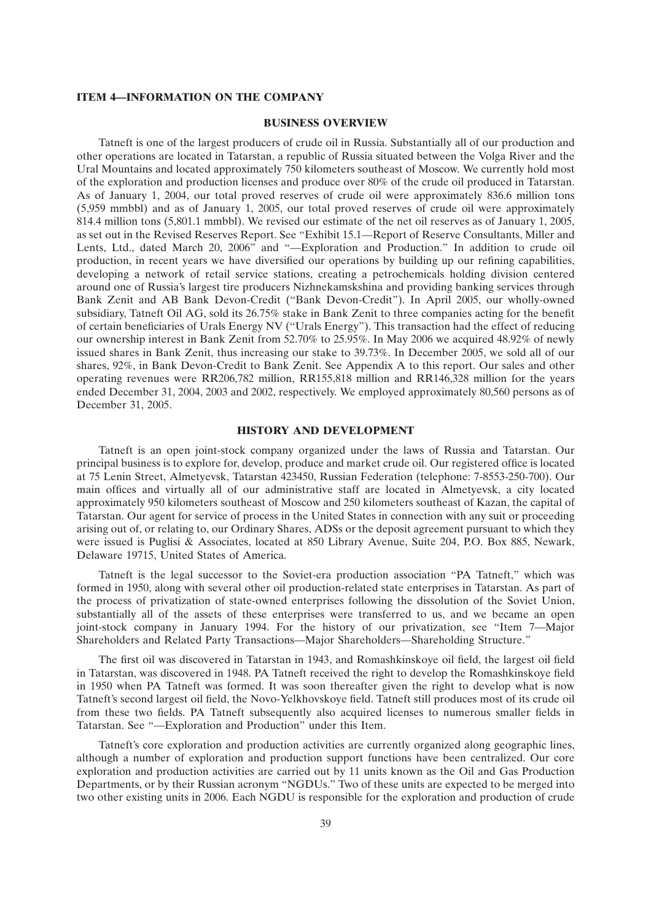# **ITEM 4—INFORMATION ON THE COMPANY**

# **BUSINESS OVERVIEW**

Tatneft is one of the largest producers of crude oil in Russia. Substantially all of our production and other operations are located in Tatarstan, a republic of Russia situated between the Volga River and the Ural Mountains and located approximately 750 kilometers southeast of Moscow. We currently hold most of the exploration and production licenses and produce over 80% of the crude oil produced in Tatarstan. As of January 1, 2004, our total proved reserves of crude oil were approximately 836.6 million tons (5,959 mmbbl) and as of January 1, 2005, our total proved reserves of crude oil were approximately 814.4 million tons (5,801.1 mmbbl). We revised our estimate of the net oil reserves as of January 1, 2005, as set out in the Revised Reserves Report. See ''Exhibit 15.1—Report of Reserve Consultants, Miller and Lents, Ltd., dated March 20, 2006'' and ''—Exploration and Production.'' In addition to crude oil production, in recent years we have diversified our operations by building up our refining capabilities, developing a network of retail service stations, creating a petrochemicals holding division centered around one of Russia's largest tire producers Nizhnekamskshina and providing banking services through Bank Zenit and AB Bank Devon-Credit (''Bank Devon-Credit''). In April 2005, our wholly-owned subsidiary, Tatneft Oil AG, sold its 26.75% stake in Bank Zenit to three companies acting for the benefit of certain beneficiaries of Urals Energy NV (''Urals Energy''). This transaction had the effect of reducing our ownership interest in Bank Zenit from 52.70% to 25.95%. In May 2006 we acquired 48.92% of newly issued shares in Bank Zenit, thus increasing our stake to 39.73%. In December 2005, we sold all of our shares, 92%, in Bank Devon-Credit to Bank Zenit. See Appendix A to this report. Our sales and other operating revenues were RR206,782 million, RR155,818 million and RR146,328 million for the years ended December 31, 2004, 2003 and 2002, respectively. We employed approximately 80,560 persons as of December 31, 2005.

### **HISTORY AND DEVELOPMENT**

Tatneft is an open joint-stock company organized under the laws of Russia and Tatarstan. Our principal business is to explore for, develop, produce and market crude oil. Our registered office is located at 75 Lenin Street, Almetyevsk, Tatarstan 423450, Russian Federation (telephone: 7-8553-250-700). Our main offices and virtually all of our administrative staff are located in Almetyevsk, a city located approximately 950 kilometers southeast of Moscow and 250 kilometers southeast of Kazan, the capital of Tatarstan. Our agent for service of process in the United States in connection with any suit or proceeding arising out of, or relating to, our Ordinary Shares, ADSs or the deposit agreement pursuant to which they were issued is Puglisi & Associates, located at 850 Library Avenue, Suite 204, P.O. Box 885, Newark, Delaware 19715, United States of America.

Tatneft is the legal successor to the Soviet-era production association ''PA Tatneft,'' which was formed in 1950, along with several other oil production-related state enterprises in Tatarstan. As part of the process of privatization of state-owned enterprises following the dissolution of the Soviet Union, substantially all of the assets of these enterprises were transferred to us, and we became an open joint-stock company in January 1994. For the history of our privatization, see "Item 7-Major Shareholders and Related Party Transactions—Major Shareholders—Shareholding Structure.''

The first oil was discovered in Tatarstan in 1943, and Romashkinskoye oil field, the largest oil field in Tatarstan, was discovered in 1948. PA Tatneft received the right to develop the Romashkinskoye field in 1950 when PA Tatneft was formed. It was soon thereafter given the right to develop what is now Tatneft's second largest oil field, the Novo-Yelkhovskoye field. Tatneft still produces most of its crude oil from these two fields. PA Tatneft subsequently also acquired licenses to numerous smaller fields in Tatarstan. See ''—Exploration and Production'' under this Item.

Tatneft's core exploration and production activities are currently organized along geographic lines, although a number of exploration and production support functions have been centralized. Our core exploration and production activities are carried out by 11 units known as the Oil and Gas Production Departments, or by their Russian acronym "NGDUs." Two of these units are expected to be merged into two other existing units in 2006. Each NGDU is responsible for the exploration and production of crude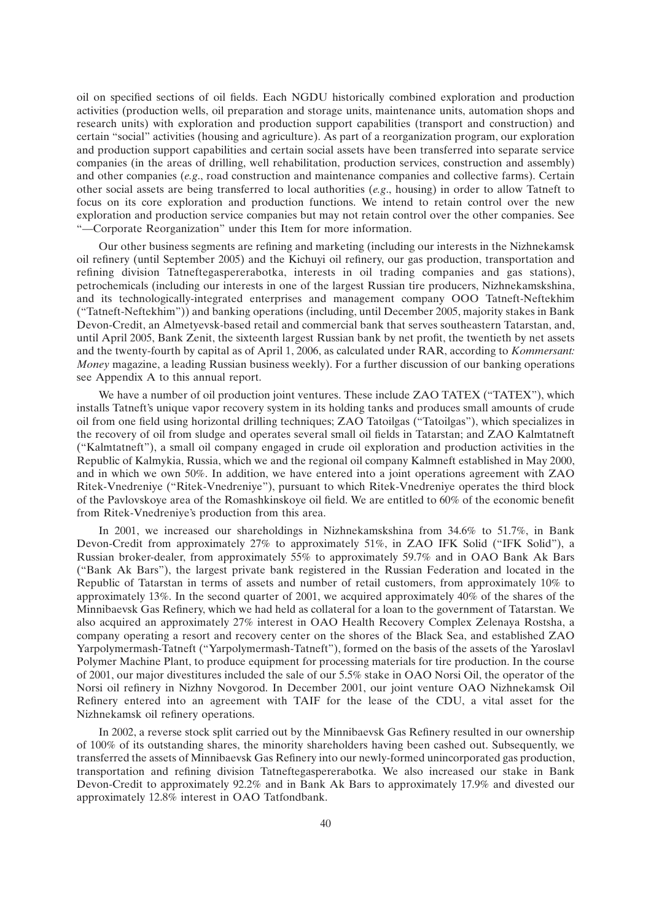oil on specified sections of oil fields. Each NGDU historically combined exploration and production activities (production wells, oil preparation and storage units, maintenance units, automation shops and research units) with exploration and production support capabilities (transport and construction) and certain ''social'' activities (housing and agriculture). As part of a reorganization program, our exploration and production support capabilities and certain social assets have been transferred into separate service companies (in the areas of drilling, well rehabilitation, production services, construction and assembly) and other companies (*e.g*., road construction and maintenance companies and collective farms). Certain other social assets are being transferred to local authorities (*e.g*., housing) in order to allow Tatneft to focus on its core exploration and production functions. We intend to retain control over the new exploration and production service companies but may not retain control over the other companies. See ''—Corporate Reorganization'' under this Item for more information.

Our other business segments are refining and marketing (including our interests in the Nizhnekamsk oil refinery (until September 2005) and the Kichuyi oil refinery, our gas production, transportation and refining division Tatneftegaspererabotka, interests in oil trading companies and gas stations), petrochemicals (including our interests in one of the largest Russian tire producers, Nizhnekamskshina, and its technologically-integrated enterprises and management company OOO Tatneft-Neftekhim (''Tatneft-Neftekhim'')) and banking operations (including, until December 2005, majority stakes in Bank Devon-Credit, an Almetyevsk-based retail and commercial bank that serves southeastern Tatarstan, and, until April 2005, Bank Zenit, the sixteenth largest Russian bank by net profit, the twentieth by net assets and the twenty-fourth by capital as of April 1, 2006, as calculated under RAR, according to *Kommersant: Money* magazine, a leading Russian business weekly). For a further discussion of our banking operations see Appendix A to this annual report.

We have a number of oil production joint ventures. These include ZAO TATEX ("TATEX"), which installs Tatneft's unique vapor recovery system in its holding tanks and produces small amounts of crude oil from one field using horizontal drilling techniques; ZAO Tatoilgas (''Tatoilgas''), which specializes in the recovery of oil from sludge and operates several small oil fields in Tatarstan; and ZAO Kalmtatneft (''Kalmtatneft''), a small oil company engaged in crude oil exploration and production activities in the Republic of Kalmykia, Russia, which we and the regional oil company Kalmneft established in May 2000, and in which we own 50%. In addition, we have entered into a joint operations agreement with ZAO Ritek-Vnedreniye (''Ritek-Vnedreniye''), pursuant to which Ritek-Vnedreniye operates the third block of the Pavlovskoye area of the Romashkinskoye oil field. We are entitled to 60% of the economic benefit from Ritek-Vnedreniye's production from this area.

In 2001, we increased our shareholdings in Nizhnekamskshina from 34.6% to 51.7%, in Bank Devon-Credit from approximately 27% to approximately 51%, in ZAO IFK Solid (''IFK Solid''), a Russian broker-dealer, from approximately 55% to approximately 59.7% and in OAO Bank Ak Bars (''Bank Ak Bars''), the largest private bank registered in the Russian Federation and located in the Republic of Tatarstan in terms of assets and number of retail customers, from approximately 10% to approximately 13%. In the second quarter of 2001, we acquired approximately 40% of the shares of the Minnibaevsk Gas Refinery, which we had held as collateral for a loan to the government of Tatarstan. We also acquired an approximately 27% interest in OAO Health Recovery Complex Zelenaya Rostsha, a company operating a resort and recovery center on the shores of the Black Sea, and established ZAO Yarpolymermash-Tatneft (''Yarpolymermash-Tatneft''), formed on the basis of the assets of the Yaroslavl Polymer Machine Plant, to produce equipment for processing materials for tire production. In the course of 2001, our major divestitures included the sale of our 5.5% stake in OAO Norsi Oil, the operator of the Norsi oil refinery in Nizhny Novgorod. In December 2001, our joint venture OAO Nizhnekamsk Oil Refinery entered into an agreement with TAIF for the lease of the CDU, a vital asset for the Nizhnekamsk oil refinery operations.

In 2002, a reverse stock split carried out by the Minnibaevsk Gas Refinery resulted in our ownership of 100% of its outstanding shares, the minority shareholders having been cashed out. Subsequently, we transferred the assets of Minnibaevsk Gas Refinery into our newly-formed unincorporated gas production, transportation and refining division Tatneftegaspererabotka. We also increased our stake in Bank Devon-Credit to approximately 92.2% and in Bank Ak Bars to approximately 17.9% and divested our approximately 12.8% interest in OAO Tatfondbank.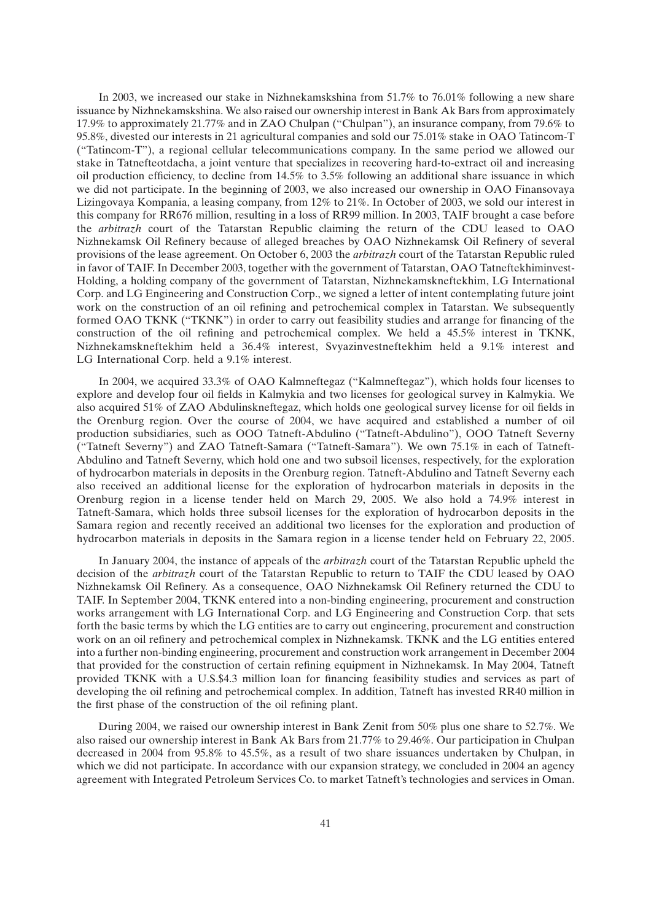In 2003, we increased our stake in Nizhnekamskshina from 51.7% to 76.01% following a new share issuance by Nizhnekamskshina. We also raised our ownership interest in Bank Ak Bars from approximately 17.9% to approximately 21.77% and in ZAO Chulpan (''Chulpan''), an insurance company, from 79.6% to 95.8%, divested our interests in 21 agricultural companies and sold our 75.01% stake in OAO Tatincom-T (''Tatincom-T''), a regional cellular telecommunications company. In the same period we allowed our stake in Tatnefteotdacha, a joint venture that specializes in recovering hard-to-extract oil and increasing oil production efficiency, to decline from 14.5% to 3.5% following an additional share issuance in which we did not participate. In the beginning of 2003, we also increased our ownership in OAO Finansovaya Lizingovaya Kompania, a leasing company, from 12% to 21%. In October of 2003, we sold our interest in this company for RR676 million, resulting in a loss of RR99 million. In 2003, TAIF brought a case before the *arbitrazh* court of the Tatarstan Republic claiming the return of the CDU leased to OAO Nizhnekamsk Oil Refinery because of alleged breaches by OAO Nizhnekamsk Oil Refinery of several provisions of the lease agreement. On October 6, 2003 the *arbitrazh* court of the Tatarstan Republic ruled in favor of TAIF. In December 2003, together with the government of Tatarstan, OAO Tatneftekhiminvest-Holding, a holding company of the government of Tatarstan, Nizhnekamskneftekhim, LG International Corp. and LG Engineering and Construction Corp., we signed a letter of intent contemplating future joint work on the construction of an oil refining and petrochemical complex in Tatarstan. We subsequently formed OAO TKNK (''TKNK'') in order to carry out feasibility studies and arrange for financing of the construction of the oil refining and petrochemical complex. We held a 45.5% interest in TKNK, Nizhnekamskneftekhim held a 36.4% interest, Svyazinvestneftekhim held a 9.1% interest and LG International Corp. held a 9.1% interest.

In 2004, we acquired 33.3% of OAO Kalmneftegaz (''Kalmneftegaz''), which holds four licenses to explore and develop four oil fields in Kalmykia and two licenses for geological survey in Kalmykia. We also acquired 51% of ZAO Abdulinskneftegaz, which holds one geological survey license for oil fields in the Orenburg region. Over the course of 2004, we have acquired and established a number of oil production subsidiaries, such as OOO Tatneft-Abdulino (''Tatneft-Abdulino''), OOO Tatneft Severny (''Tatneft Severny'') and ZAO Tatneft-Samara (''Tatneft-Samara''). We own 75.1% in each of Tatneft-Abdulino and Tatneft Severny, which hold one and two subsoil licenses, respectively, for the exploration of hydrocarbon materials in deposits in the Orenburg region. Tatneft-Abdulino and Tatneft Severny each also received an additional license for the exploration of hydrocarbon materials in deposits in the Orenburg region in a license tender held on March 29, 2005. We also hold a 74.9% interest in Tatneft-Samara, which holds three subsoil licenses for the exploration of hydrocarbon deposits in the Samara region and recently received an additional two licenses for the exploration and production of hydrocarbon materials in deposits in the Samara region in a license tender held on February 22, 2005.

In January 2004, the instance of appeals of the *arbitrazh* court of the Tatarstan Republic upheld the decision of the *arbitrazh* court of the Tatarstan Republic to return to TAIF the CDU leased by OAO Nizhnekamsk Oil Refinery. As a consequence, OAO Nizhnekamsk Oil Refinery returned the CDU to TAIF. In September 2004, TKNK entered into a non-binding engineering, procurement and construction works arrangement with LG International Corp. and LG Engineering and Construction Corp. that sets forth the basic terms by which the LG entities are to carry out engineering, procurement and construction work on an oil refinery and petrochemical complex in Nizhnekamsk. TKNK and the LG entities entered into a further non-binding engineering, procurement and construction work arrangement in December 2004 that provided for the construction of certain refining equipment in Nizhnekamsk. In May 2004, Tatneft provided TKNK with a U.S.\$4.3 million loan for financing feasibility studies and services as part of developing the oil refining and petrochemical complex. In addition, Tatneft has invested RR40 million in the first phase of the construction of the oil refining plant.

During 2004, we raised our ownership interest in Bank Zenit from 50% plus one share to 52.7%. We also raised our ownership interest in Bank Ak Bars from 21.77% to 29.46%. Our participation in Chulpan decreased in 2004 from 95.8% to 45.5%, as a result of two share issuances undertaken by Chulpan, in which we did not participate. In accordance with our expansion strategy, we concluded in 2004 an agency agreement with Integrated Petroleum Services Co. to market Tatneft's technologies and services in Oman.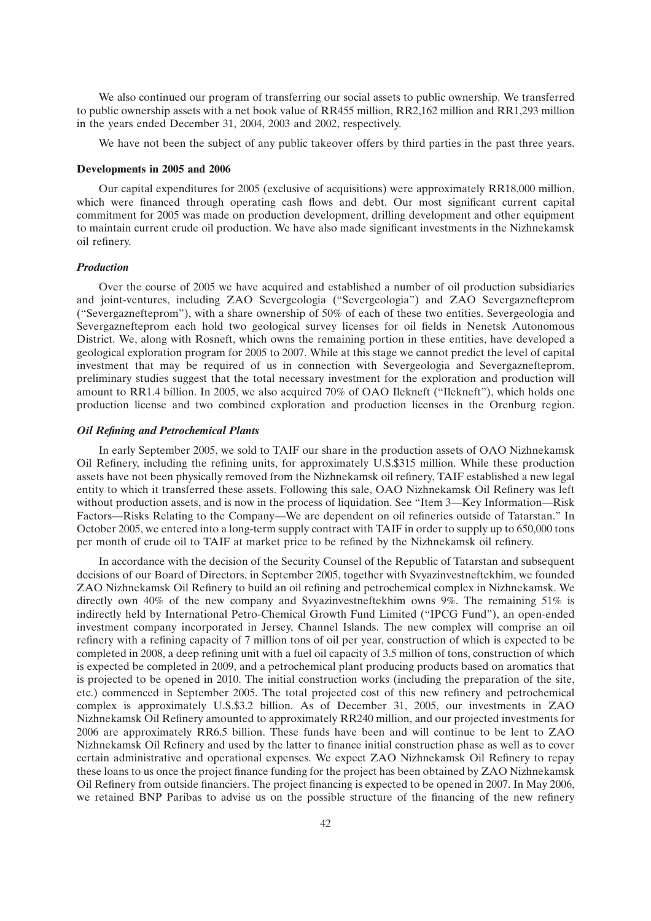We also continued our program of transferring our social assets to public ownership. We transferred to public ownership assets with a net book value of RR455 million, RR2,162 million and RR1,293 million in the years ended December 31, 2004, 2003 and 2002, respectively.

We have not been the subject of any public takeover offers by third parties in the past three years.

### **Developments in 2005 and 2006**

Our capital expenditures for 2005 (exclusive of acquisitions) were approximately RR18,000 million, which were financed through operating cash flows and debt. Our most significant current capital commitment for 2005 was made on production development, drilling development and other equipment to maintain current crude oil production. We have also made significant investments in the Nizhnekamsk oil refinery.

### *Production*

Over the course of 2005 we have acquired and established a number of oil production subsidiaries and joint-ventures, including ZAO Severgeologia (''Severgeologia'') and ZAO Severgaznefteprom (''Severgaznefteprom''), with a share ownership of 50% of each of these two entities. Severgeologia and Severgaznefteprom each hold two geological survey licenses for oil fields in Nenetsk Autonomous District. We, along with Rosneft, which owns the remaining portion in these entities, have developed a geological exploration program for 2005 to 2007. While at this stage we cannot predict the level of capital investment that may be required of us in connection with Severgeologia and Severgaznefteprom, preliminary studies suggest that the total necessary investment for the exploration and production will amount to RR1.4 billion. In 2005, we also acquired 70% of OAO Ilekneft (''Ilekneft''), which holds one production license and two combined exploration and production licenses in the Orenburg region.

## *Oil Refining and Petrochemical Plants*

In early September 2005, we sold to TAIF our share in the production assets of OAO Nizhnekamsk Oil Refinery, including the refining units, for approximately U.S.\$315 million. While these production assets have not been physically removed from the Nizhnekamsk oil refinery, TAIF established a new legal entity to which it transferred these assets. Following this sale, OAO Nizhnekamsk Oil Refinery was left without production assets, and is now in the process of liquidation. See "Item 3—Key Information—Risk Factors—Risks Relating to the Company—We are dependent on oil refineries outside of Tatarstan.'' In October 2005, we entered into a long-term supply contract with TAIF in order to supply up to 650,000 tons per month of crude oil to TAIF at market price to be refined by the Nizhnekamsk oil refinery.

In accordance with the decision of the Security Counsel of the Republic of Tatarstan and subsequent decisions of our Board of Directors, in September 2005, together with Svyazinvestneftekhim, we founded ZAO Nizhnekamsk Oil Refinery to build an oil refining and petrochemical complex in Nizhnekamsk. We directly own 40% of the new company and Svyazinvestneftekhim owns 9%. The remaining 51% is indirectly held by International Petro-Chemical Growth Fund Limited (''IPCG Fund''), an open-ended investment company incorporated in Jersey, Channel Islands. The new complex will comprise an oil refinery with a refining capacity of 7 million tons of oil per year, construction of which is expected to be completed in 2008, a deep refining unit with a fuel oil capacity of 3.5 million of tons, construction of which is expected be completed in 2009, and a petrochemical plant producing products based on aromatics that is projected to be opened in 2010. The initial construction works (including the preparation of the site, etc.) commenced in September 2005. The total projected cost of this new refinery and petrochemical complex is approximately U.S.\$3.2 billion. As of December 31, 2005, our investments in ZAO Nizhnekamsk Oil Refinery amounted to approximately RR240 million, and our projected investments for 2006 are approximately RR6.5 billion. These funds have been and will continue to be lent to ZAO Nizhnekamsk Oil Refinery and used by the latter to finance initial construction phase as well as to cover certain administrative and operational expenses. We expect ZAO Nizhnekamsk Oil Refinery to repay these loans to us once the project finance funding for the project has been obtained by ZAO Nizhnekamsk Oil Refinery from outside financiers. The project financing is expected to be opened in 2007. In May 2006, we retained BNP Paribas to advise us on the possible structure of the financing of the new refinery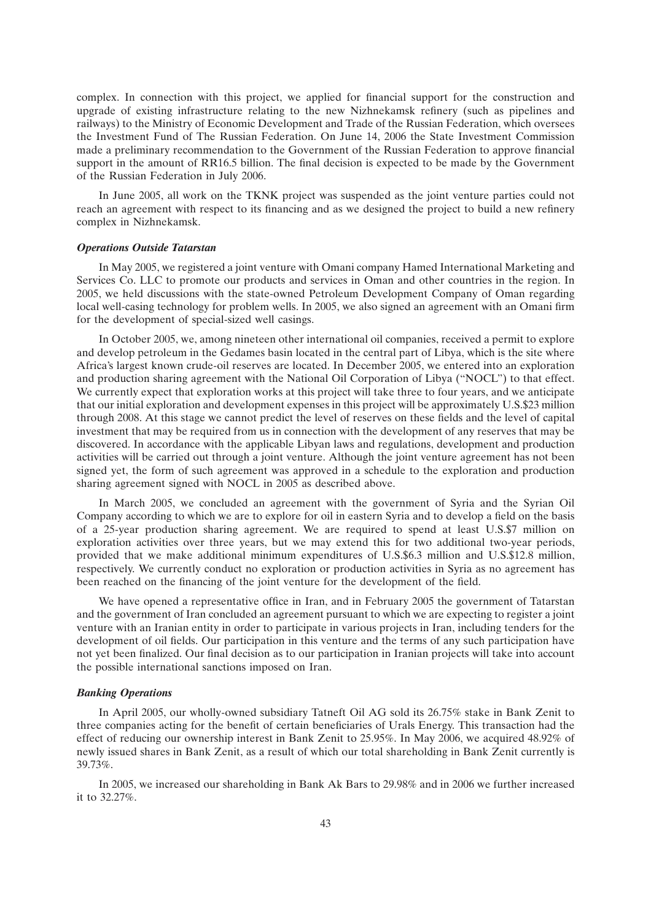complex. In connection with this project, we applied for financial support for the construction and upgrade of existing infrastructure relating to the new Nizhnekamsk refinery (such as pipelines and railways) to the Ministry of Economic Development and Trade of the Russian Federation, which oversees the Investment Fund of The Russian Federation. On June 14, 2006 the State Investment Commission made a preliminary recommendation to the Government of the Russian Federation to approve financial support in the amount of RR16.5 billion. The final decision is expected to be made by the Government of the Russian Federation in July 2006.

In June 2005, all work on the TKNK project was suspended as the joint venture parties could not reach an agreement with respect to its financing and as we designed the project to build a new refinery complex in Nizhnekamsk.

#### *Operations Outside Tatarstan*

In May 2005, we registered a joint venture with Omani company Hamed International Marketing and Services Co. LLC to promote our products and services in Oman and other countries in the region. In 2005, we held discussions with the state-owned Petroleum Development Company of Oman regarding local well-casing technology for problem wells. In 2005, we also signed an agreement with an Omani firm for the development of special-sized well casings.

In October 2005, we, among nineteen other international oil companies, received a permit to explore and develop petroleum in the Gedames basin located in the central part of Libya, which is the site where Africa's largest known crude-oil reserves are located. In December 2005, we entered into an exploration and production sharing agreement with the National Oil Corporation of Libya (''NOCL'') to that effect. We currently expect that exploration works at this project will take three to four years, and we anticipate that our initial exploration and development expenses in this project will be approximately U.S.\$23 million through 2008. At this stage we cannot predict the level of reserves on these fields and the level of capital investment that may be required from us in connection with the development of any reserves that may be discovered. In accordance with the applicable Libyan laws and regulations, development and production activities will be carried out through a joint venture. Although the joint venture agreement has not been signed yet, the form of such agreement was approved in a schedule to the exploration and production sharing agreement signed with NOCL in 2005 as described above.

In March 2005, we concluded an agreement with the government of Syria and the Syrian Oil Company according to which we are to explore for oil in eastern Syria and to develop a field on the basis of a 25-year production sharing agreement. We are required to spend at least U.S.\$7 million on exploration activities over three years, but we may extend this for two additional two-year periods, provided that we make additional minimum expenditures of U.S.\$6.3 million and U.S.\$12.8 million, respectively. We currently conduct no exploration or production activities in Syria as no agreement has been reached on the financing of the joint venture for the development of the field.

We have opened a representative office in Iran, and in February 2005 the government of Tatarstan and the government of Iran concluded an agreement pursuant to which we are expecting to register a joint venture with an Iranian entity in order to participate in various projects in Iran, including tenders for the development of oil fields. Our participation in this venture and the terms of any such participation have not yet been finalized. Our final decision as to our participation in Iranian projects will take into account the possible international sanctions imposed on Iran.

## *Banking Operations*

In April 2005, our wholly-owned subsidiary Tatneft Oil AG sold its 26.75% stake in Bank Zenit to three companies acting for the benefit of certain beneficiaries of Urals Energy. This transaction had the effect of reducing our ownership interest in Bank Zenit to 25.95%. In May 2006, we acquired 48.92% of newly issued shares in Bank Zenit, as a result of which our total shareholding in Bank Zenit currently is 39.73%.

In 2005, we increased our shareholding in Bank Ak Bars to 29.98% and in 2006 we further increased it to 32.27%.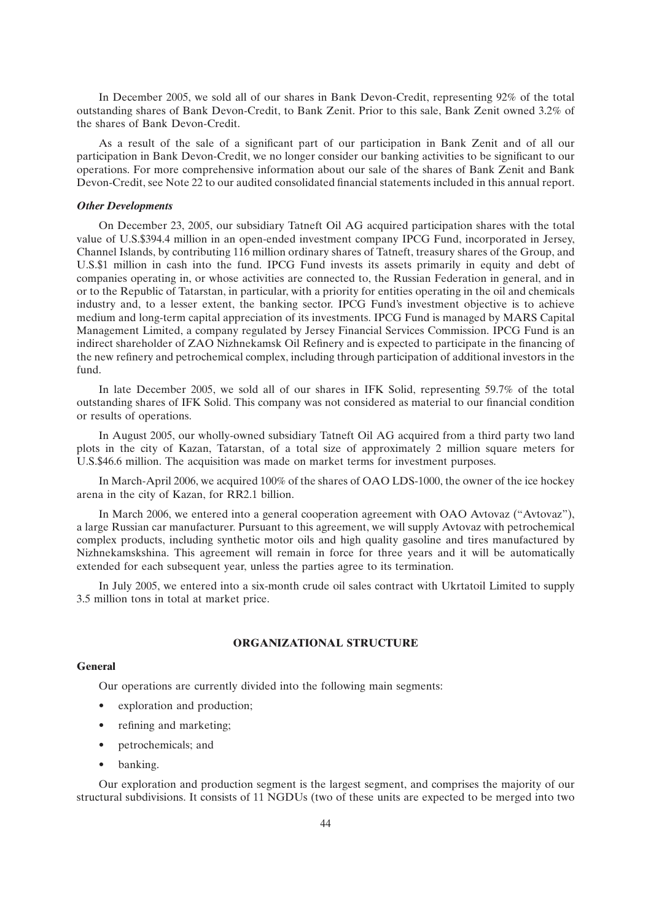In December 2005, we sold all of our shares in Bank Devon-Credit, representing 92% of the total outstanding shares of Bank Devon-Credit, to Bank Zenit. Prior to this sale, Bank Zenit owned 3.2% of the shares of Bank Devon-Credit.

As a result of the sale of a significant part of our participation in Bank Zenit and of all our participation in Bank Devon-Credit, we no longer consider our banking activities to be significant to our operations. For more comprehensive information about our sale of the shares of Bank Zenit and Bank Devon-Credit, see Note 22 to our audited consolidated financial statements included in this annual report.

#### *Other Developments*

On December 23, 2005, our subsidiary Tatneft Oil AG acquired participation shares with the total value of U.S.\$394.4 million in an open-ended investment company IPCG Fund, incorporated in Jersey, Channel Islands, by contributing 116 million ordinary shares of Tatneft, treasury shares of the Group, and U.S.\$1 million in cash into the fund. IPCG Fund invests its assets primarily in equity and debt of companies operating in, or whose activities are connected to, the Russian Federation in general, and in or to the Republic of Tatarstan, in particular, with a priority for entities operating in the oil and chemicals industry and, to a lesser extent, the banking sector. IPCG Fund's investment objective is to achieve medium and long-term capital appreciation of its investments. IPCG Fund is managed by MARS Capital Management Limited, a company regulated by Jersey Financial Services Commission. IPCG Fund is an indirect shareholder of ZAO Nizhnekamsk Oil Refinery and is expected to participate in the financing of the new refinery and petrochemical complex, including through participation of additional investors in the fund.

In late December 2005, we sold all of our shares in IFK Solid, representing 59.7% of the total outstanding shares of IFK Solid. This company was not considered as material to our financial condition or results of operations.

In August 2005, our wholly-owned subsidiary Tatneft Oil AG acquired from a third party two land plots in the city of Kazan, Tatarstan, of a total size of approximately 2 million square meters for U.S.\$46.6 million. The acquisition was made on market terms for investment purposes.

In March-April 2006, we acquired 100% of the shares of OAO LDS-1000, the owner of the ice hockey arena in the city of Kazan, for RR2.1 billion.

In March 2006, we entered into a general cooperation agreement with OAO Avtovaz (''Avtovaz''), a large Russian car manufacturer. Pursuant to this agreement, we will supply Avtovaz with petrochemical complex products, including synthetic motor oils and high quality gasoline and tires manufactured by Nizhnekamskshina. This agreement will remain in force for three years and it will be automatically extended for each subsequent year, unless the parties agree to its termination.

In July 2005, we entered into a six-month crude oil sales contract with Ukrtatoil Limited to supply 3.5 million tons in total at market price.

# **ORGANIZATIONAL STRUCTURE**

# **General**

Our operations are currently divided into the following main segments:

- exploration and production;
- refining and marketing;
- petrochemicals; and
- banking.

Our exploration and production segment is the largest segment, and comprises the majority of our structural subdivisions. It consists of 11 NGDUs (two of these units are expected to be merged into two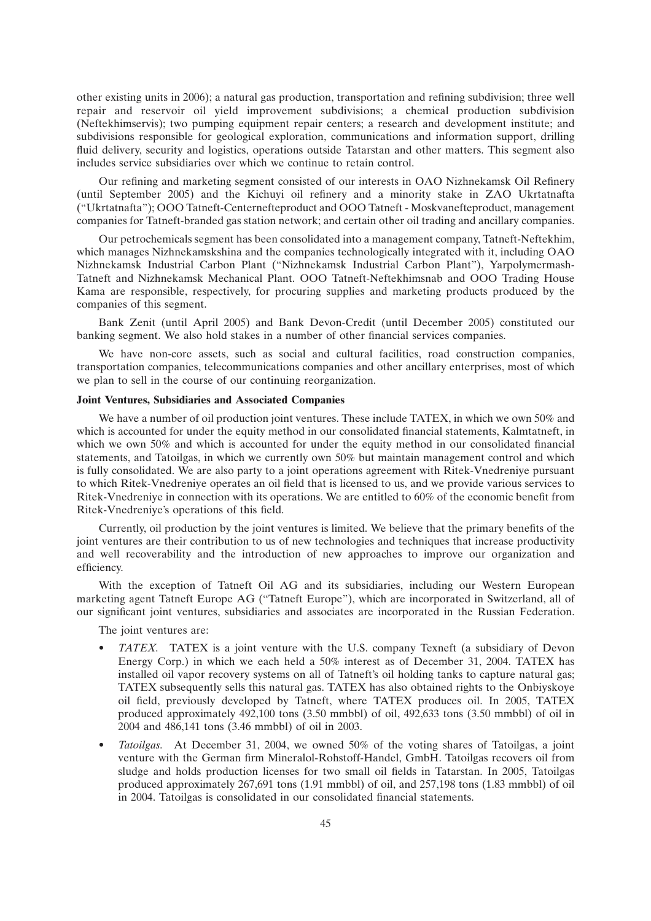other existing units in 2006); a natural gas production, transportation and refining subdivision; three well repair and reservoir oil yield improvement subdivisions; a chemical production subdivision (Neftekhimservis); two pumping equipment repair centers; a research and development institute; and subdivisions responsible for geological exploration, communications and information support, drilling fluid delivery, security and logistics, operations outside Tatarstan and other matters. This segment also includes service subsidiaries over which we continue to retain control.

Our refining and marketing segment consisted of our interests in OAO Nizhnekamsk Oil Refinery (until September 2005) and the Kichuyi oil refinery and a minority stake in ZAO Ukrtatnafta (''Ukrtatnafta''); OOO Tatneft-Centernefteproduct and OOO Tatneft - Moskvanefteproduct, management companies for Tatneft-branded gas station network; and certain other oil trading and ancillary companies.

Our petrochemicals segment has been consolidated into a management company, Tatneft-Neftekhim, which manages Nizhnekamskshina and the companies technologically integrated with it, including OAO Nizhnekamsk Industrial Carbon Plant (''Nizhnekamsk Industrial Carbon Plant''), Yarpolymermash-Tatneft and Nizhnekamsk Mechanical Plant. OOO Tatneft-Neftekhimsnab and OOO Trading House Kama are responsible, respectively, for procuring supplies and marketing products produced by the companies of this segment.

Bank Zenit (until April 2005) and Bank Devon-Credit (until December 2005) constituted our banking segment. We also hold stakes in a number of other financial services companies.

We have non-core assets, such as social and cultural facilities, road construction companies, transportation companies, telecommunications companies and other ancillary enterprises, most of which we plan to sell in the course of our continuing reorganization.

# **Joint Ventures, Subsidiaries and Associated Companies**

We have a number of oil production joint ventures. These include TATEX, in which we own 50% and which is accounted for under the equity method in our consolidated financial statements, Kalmtatneft, in which we own 50% and which is accounted for under the equity method in our consolidated financial statements, and Tatoilgas, in which we currently own 50% but maintain management control and which is fully consolidated. We are also party to a joint operations agreement with Ritek-Vnedreniye pursuant to which Ritek-Vnedreniye operates an oil field that is licensed to us, and we provide various services to Ritek-Vnedreniye in connection with its operations. We are entitled to 60% of the economic benefit from Ritek-Vnedreniye's operations of this field.

Currently, oil production by the joint ventures is limited. We believe that the primary benefits of the joint ventures are their contribution to us of new technologies and techniques that increase productivity and well recoverability and the introduction of new approaches to improve our organization and efficiency.

With the exception of Tatneft Oil AG and its subsidiaries, including our Western European marketing agent Tatneft Europe AG (''Tatneft Europe''), which are incorporated in Switzerland, all of our significant joint ventures, subsidiaries and associates are incorporated in the Russian Federation.

The joint ventures are:

- *TATEX.* TATEX is a joint venture with the U.S. company Texneft (a subsidiary of Devon Energy Corp.) in which we each held a 50% interest as of December 31, 2004. TATEX has installed oil vapor recovery systems on all of Tatneft's oil holding tanks to capture natural gas; TATEX subsequently sells this natural gas. TATEX has also obtained rights to the Onbiyskoye oil field, previously developed by Tatneft, where TATEX produces oil. In 2005, TATEX produced approximately 492,100 tons (3.50 mmbbl) of oil, 492,633 tons (3.50 mmbbl) of oil in 2004 and 486,141 tons (3.46 mmbbl) of oil in 2003.
- *Tatoilgas.* At December 31, 2004, we owned 50% of the voting shares of Tatoilgas, a joint venture with the German firm Mineralol-Rohstoff-Handel, GmbH. Tatoilgas recovers oil from sludge and holds production licenses for two small oil fields in Tatarstan. In 2005, Tatoilgas produced approximately 267,691 tons (1.91 mmbbl) of oil, and 257,198 tons (1.83 mmbbl) of oil in 2004. Tatoilgas is consolidated in our consolidated financial statements.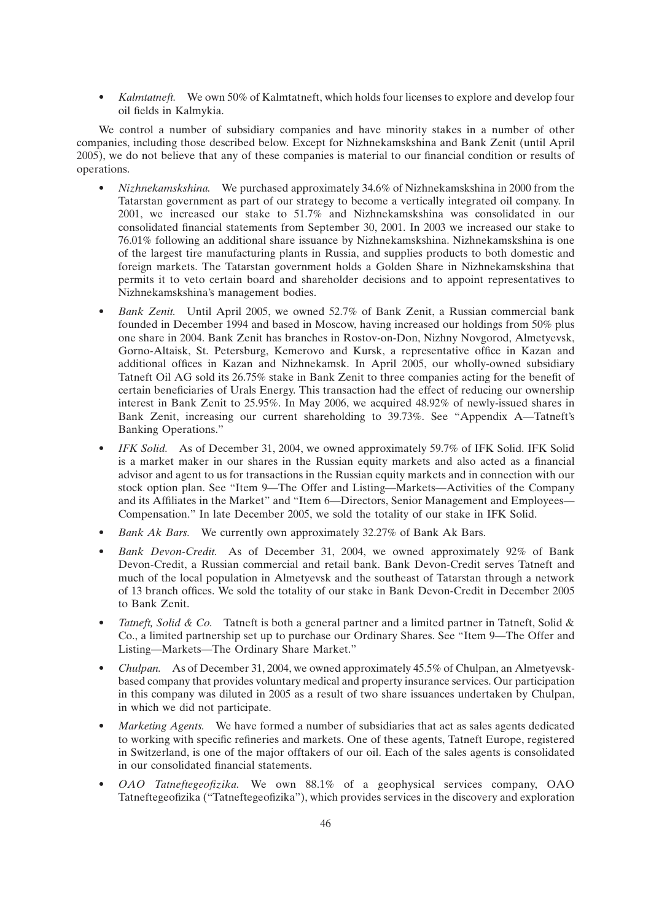• *Kalmtatneft.* We own 50% of Kalmtatneft, which holds four licenses to explore and develop four oil fields in Kalmykia.

We control a number of subsidiary companies and have minority stakes in a number of other companies, including those described below. Except for Nizhnekamskshina and Bank Zenit (until April 2005), we do not believe that any of these companies is material to our financial condition or results of operations.

- *Nizhnekamskshina.* We purchased approximately 34.6% of Nizhnekamskshina in 2000 from the Tatarstan government as part of our strategy to become a vertically integrated oil company. In 2001, we increased our stake to 51.7% and Nizhnekamskshina was consolidated in our consolidated financial statements from September 30, 2001. In 2003 we increased our stake to 76.01% following an additional share issuance by Nizhnekamskshina. Nizhnekamskshina is one of the largest tire manufacturing plants in Russia, and supplies products to both domestic and foreign markets. The Tatarstan government holds a Golden Share in Nizhnekamskshina that permits it to veto certain board and shareholder decisions and to appoint representatives to Nizhnekamskshina's management bodies.
- *Bank Zenit.* Until April 2005, we owned 52.7% of Bank Zenit, a Russian commercial bank founded in December 1994 and based in Moscow, having increased our holdings from 50% plus one share in 2004. Bank Zenit has branches in Rostov-on-Don, Nizhny Novgorod, Almetyevsk, Gorno-Altaisk, St. Petersburg, Kemerovo and Kursk, a representative office in Kazan and additional offices in Kazan and Nizhnekamsk. In April 2005, our wholly-owned subsidiary Tatneft Oil AG sold its 26.75% stake in Bank Zenit to three companies acting for the benefit of certain beneficiaries of Urals Energy. This transaction had the effect of reducing our ownership interest in Bank Zenit to 25.95%. In May 2006, we acquired 48.92% of newly-issued shares in Bank Zenit, increasing our current shareholding to 39.73%. See ''Appendix A—Tatneft's Banking Operations.''
- *IFK Solid.* As of December 31, 2004, we owned approximately 59.7% of IFK Solid. IFK Solid is a market maker in our shares in the Russian equity markets and also acted as a financial advisor and agent to us for transactions in the Russian equity markets and in connection with our stock option plan. See ''Item 9—The Offer and Listing—Markets—Activities of the Company and its Affiliates in the Market'' and ''Item 6—Directors, Senior Management and Employees— Compensation.'' In late December 2005, we sold the totality of our stake in IFK Solid.
- *Bank Ak Bars.* We currently own approximately 32.27% of Bank Ak Bars.
- *Bank Devon-Credit.* As of December 31, 2004, we owned approximately 92% of Bank Devon-Credit, a Russian commercial and retail bank. Bank Devon-Credit serves Tatneft and much of the local population in Almetyevsk and the southeast of Tatarstan through a network of 13 branch offices. We sold the totality of our stake in Bank Devon-Credit in December 2005 to Bank Zenit.
- *Tatneft, Solid & Co.* Tatneft is both a general partner and a limited partner in Tatneft, Solid & Co., a limited partnership set up to purchase our Ordinary Shares. See ''Item 9—The Offer and Listing—Markets—The Ordinary Share Market.''
- *Chulpan.* As of December 31, 2004, we owned approximately 45.5% of Chulpan, an Almetyevskbased company that provides voluntary medical and property insurance services. Our participation in this company was diluted in 2005 as a result of two share issuances undertaken by Chulpan, in which we did not participate.
- *Marketing Agents.* We have formed a number of subsidiaries that act as sales agents dedicated to working with specific refineries and markets. One of these agents, Tatneft Europe, registered in Switzerland, is one of the major offtakers of our oil. Each of the sales agents is consolidated in our consolidated financial statements.
- *OAO Tatneftegeofizika.* We own 88.1% of a geophysical services company, OAO Tatneftegeofizika (''Tatneftegeofizika''), which provides services in the discovery and exploration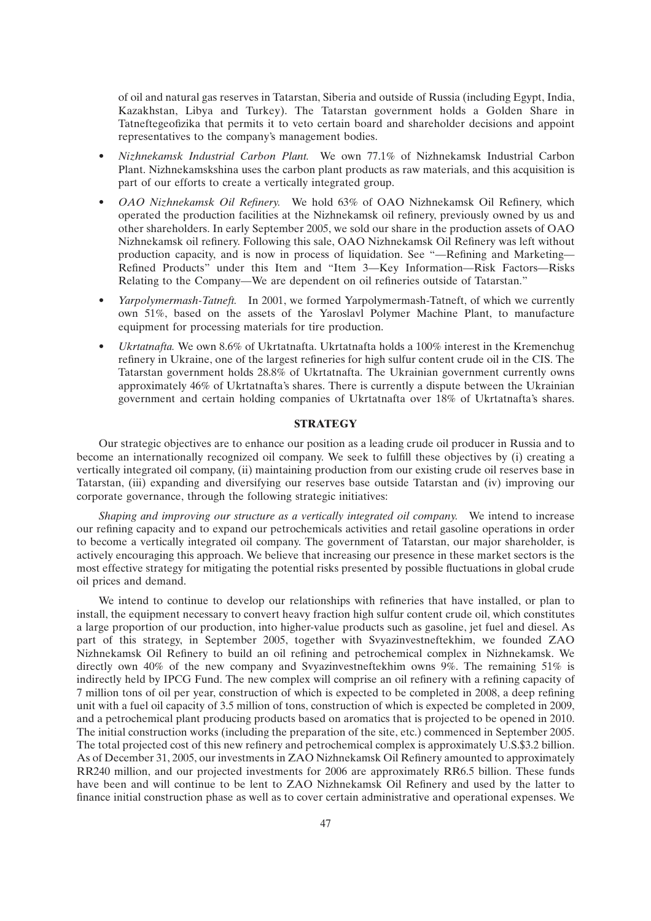of oil and natural gas reserves in Tatarstan, Siberia and outside of Russia (including Egypt, India, Kazakhstan, Libya and Turkey). The Tatarstan government holds a Golden Share in Tatneftegeofizika that permits it to veto certain board and shareholder decisions and appoint representatives to the company's management bodies.

- *Nizhnekamsk Industrial Carbon Plant.* We own 77.1% of Nizhnekamsk Industrial Carbon Plant. Nizhnekamskshina uses the carbon plant products as raw materials, and this acquisition is part of our efforts to create a vertically integrated group.
- *OAO Nizhnekamsk Oil Refinery.* We hold 63% of OAO Nizhnekamsk Oil Refinery, which operated the production facilities at the Nizhnekamsk oil refinery, previously owned by us and other shareholders. In early September 2005, we sold our share in the production assets of OAO Nizhnekamsk oil refinery. Following this sale, OAO Nizhnekamsk Oil Refinery was left without production capacity, and is now in process of liquidation. See ''—Refining and Marketing— Refined Products'' under this Item and ''Item 3—Key Information—Risk Factors—Risks Relating to the Company—We are dependent on oil refineries outside of Tatarstan.''
- *Yarpolymermash-Tatneft.* In 2001, we formed Yarpolymermash-Tatneft, of which we currently own 51%, based on the assets of the Yaroslavl Polymer Machine Plant, to manufacture equipment for processing materials for tire production.
- *Ukrtatnafta.* We own 8.6% of Ukrtatnafta. Ukrtatnafta holds a 100% interest in the Kremenchug refinery in Ukraine, one of the largest refineries for high sulfur content crude oil in the CIS. The Tatarstan government holds 28.8% of Ukrtatnafta. The Ukrainian government currently owns approximately 46% of Ukrtatnafta's shares. There is currently a dispute between the Ukrainian government and certain holding companies of Ukrtatnafta over 18% of Ukrtatnafta's shares.

# **STRATEGY**

Our strategic objectives are to enhance our position as a leading crude oil producer in Russia and to become an internationally recognized oil company. We seek to fulfill these objectives by (i) creating a vertically integrated oil company, (ii) maintaining production from our existing crude oil reserves base in Tatarstan, (iii) expanding and diversifying our reserves base outside Tatarstan and (iv) improving our corporate governance, through the following strategic initiatives:

*Shaping and improving our structure as a vertically integrated oil company.* We intend to increase our refining capacity and to expand our petrochemicals activities and retail gasoline operations in order to become a vertically integrated oil company. The government of Tatarstan, our major shareholder, is actively encouraging this approach. We believe that increasing our presence in these market sectors is the most effective strategy for mitigating the potential risks presented by possible fluctuations in global crude oil prices and demand.

We intend to continue to develop our relationships with refineries that have installed, or plan to install, the equipment necessary to convert heavy fraction high sulfur content crude oil, which constitutes a large proportion of our production, into higher-value products such as gasoline, jet fuel and diesel. As part of this strategy, in September 2005, together with Svyazinvestneftekhim, we founded ZAO Nizhnekamsk Oil Refinery to build an oil refining and petrochemical complex in Nizhnekamsk. We directly own 40% of the new company and Svyazinvestneftekhim owns 9%. The remaining 51% is indirectly held by IPCG Fund. The new complex will comprise an oil refinery with a refining capacity of 7 million tons of oil per year, construction of which is expected to be completed in 2008, a deep refining unit with a fuel oil capacity of 3.5 million of tons, construction of which is expected be completed in 2009, and a petrochemical plant producing products based on aromatics that is projected to be opened in 2010. The initial construction works (including the preparation of the site, etc.) commenced in September 2005. The total projected cost of this new refinery and petrochemical complex is approximately U.S.\$3.2 billion. As of December 31, 2005, our investments in ZAO Nizhnekamsk Oil Refinery amounted to approximately RR240 million, and our projected investments for 2006 are approximately RR6.5 billion. These funds have been and will continue to be lent to ZAO Nizhnekamsk Oil Refinery and used by the latter to finance initial construction phase as well as to cover certain administrative and operational expenses. We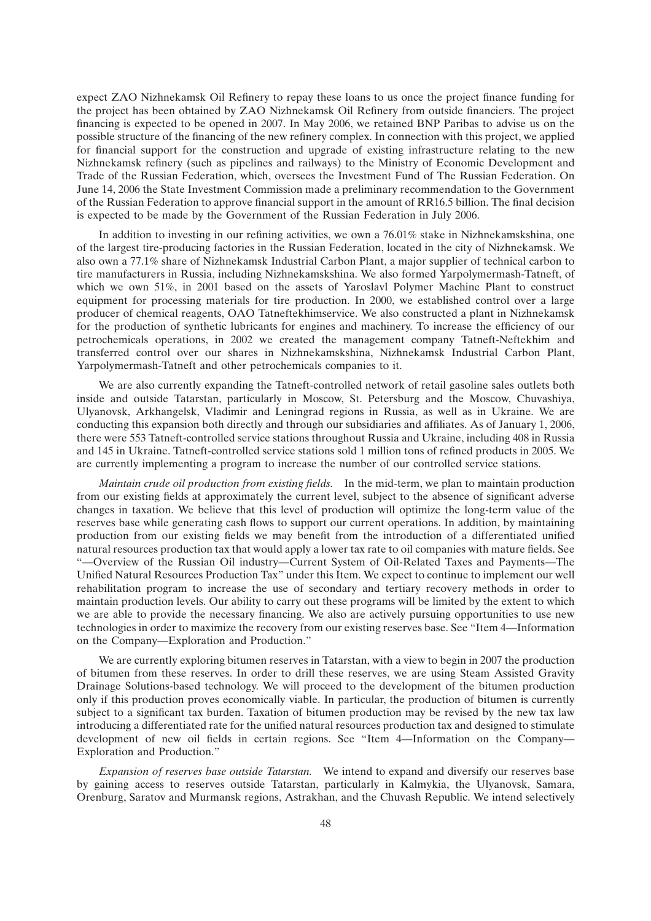expect ZAO Nizhnekamsk Oil Refinery to repay these loans to us once the project finance funding for the project has been obtained by ZAO Nizhnekamsk Oil Refinery from outside financiers. The project financing is expected to be opened in 2007. In May 2006, we retained BNP Paribas to advise us on the possible structure of the financing of the new refinery complex. In connection with this project, we applied for financial support for the construction and upgrade of existing infrastructure relating to the new Nizhnekamsk refinery (such as pipelines and railways) to the Ministry of Economic Development and Trade of the Russian Federation, which, oversees the Investment Fund of The Russian Federation. On June 14, 2006 the State Investment Commission made a preliminary recommendation to the Government of the Russian Federation to approve financial support in the amount of RR16.5 billion. The final decision is expected to be made by the Government of the Russian Federation in July 2006.

In addition to investing in our refining activities, we own a 76.01% stake in Nizhnekamskshina, one of the largest tire-producing factories in the Russian Federation, located in the city of Nizhnekamsk. We also own a 77.1% share of Nizhnekamsk Industrial Carbon Plant, a major supplier of technical carbon to tire manufacturers in Russia, including Nizhnekamskshina. We also formed Yarpolymermash-Tatneft, of which we own 51%, in 2001 based on the assets of Yaroslavl Polymer Machine Plant to construct equipment for processing materials for tire production. In 2000, we established control over a large producer of chemical reagents, OAO Tatneftekhimservice. We also constructed a plant in Nizhnekamsk for the production of synthetic lubricants for engines and machinery. To increase the efficiency of our petrochemicals operations, in 2002 we created the management company Tatneft-Neftekhim and transferred control over our shares in Nizhnekamskshina, Nizhnekamsk Industrial Carbon Plant, Yarpolymermash-Tatneft and other petrochemicals companies to it.

We are also currently expanding the Tatneft-controlled network of retail gasoline sales outlets both inside and outside Tatarstan, particularly in Moscow, St. Petersburg and the Moscow, Chuvashiya, Ulyanovsk, Arkhangelsk, Vladimir and Leningrad regions in Russia, as well as in Ukraine. We are conducting this expansion both directly and through our subsidiaries and affiliates. As of January 1, 2006, there were 553 Tatneft-controlled service stations throughout Russia and Ukraine, including 408 in Russia and 145 in Ukraine. Tatneft-controlled service stations sold 1 million tons of refined products in 2005. We are currently implementing a program to increase the number of our controlled service stations.

*Maintain crude oil production from existing fields.* In the mid-term, we plan to maintain production from our existing fields at approximately the current level, subject to the absence of significant adverse changes in taxation. We believe that this level of production will optimize the long-term value of the reserves base while generating cash flows to support our current operations. In addition, by maintaining production from our existing fields we may benefit from the introduction of a differentiated unified natural resources production tax that would apply a lower tax rate to oil companies with mature fields. See ''—Overview of the Russian Oil industry—Current System of Oil-Related Taxes and Payments—The Unified Natural Resources Production Tax'' under this Item. We expect to continue to implement our well rehabilitation program to increase the use of secondary and tertiary recovery methods in order to maintain production levels. Our ability to carry out these programs will be limited by the extent to which we are able to provide the necessary financing. We also are actively pursuing opportunities to use new technologies in order to maximize the recovery from our existing reserves base. See ''Item 4—Information on the Company—Exploration and Production.''

We are currently exploring bitumen reserves in Tatarstan, with a view to begin in 2007 the production of bitumen from these reserves. In order to drill these reserves, we are using Steam Assisted Gravity Drainage Solutions-based technology. We will proceed to the development of the bitumen production only if this production proves economically viable. In particular, the production of bitumen is currently subject to a significant tax burden. Taxation of bitumen production may be revised by the new tax law introducing a differentiated rate for the unified natural resources production tax and designed to stimulate development of new oil fields in certain regions. See ''Item 4—Information on the Company— Exploration and Production.''

*Expansion of reserves base outside Tatarstan.* We intend to expand and diversify our reserves base by gaining access to reserves outside Tatarstan, particularly in Kalmykia, the Ulyanovsk, Samara, Orenburg, Saratov and Murmansk regions, Astrakhan, and the Chuvash Republic. We intend selectively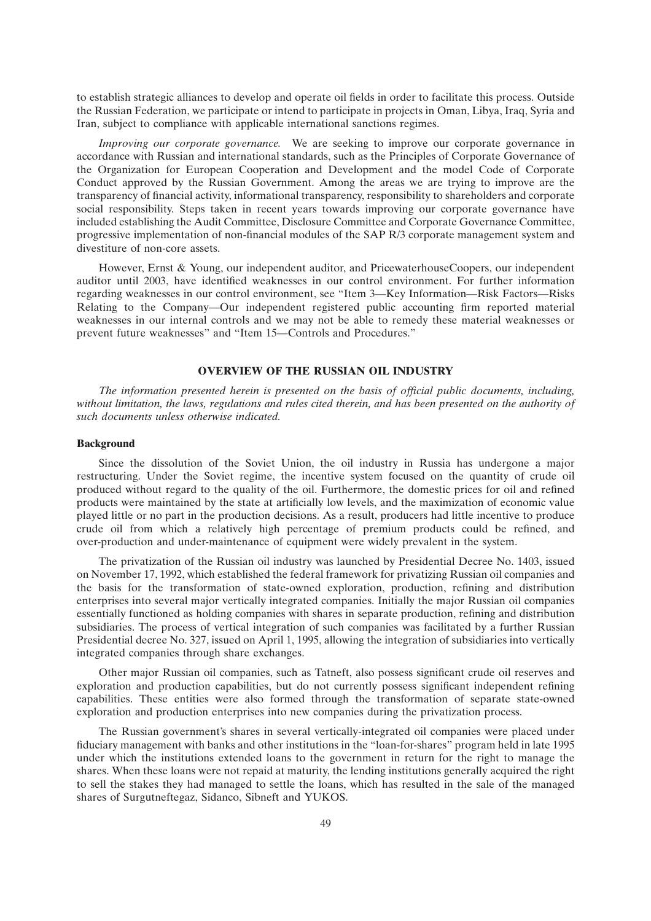to establish strategic alliances to develop and operate oil fields in order to facilitate this process. Outside the Russian Federation, we participate or intend to participate in projects in Oman, Libya, Iraq, Syria and Iran, subject to compliance with applicable international sanctions regimes.

*Improving our corporate governance.* We are seeking to improve our corporate governance in accordance with Russian and international standards, such as the Principles of Corporate Governance of the Organization for European Cooperation and Development and the model Code of Corporate Conduct approved by the Russian Government. Among the areas we are trying to improve are the transparency of financial activity, informational transparency, responsibility to shareholders and corporate social responsibility. Steps taken in recent years towards improving our corporate governance have included establishing the Audit Committee, Disclosure Committee and Corporate Governance Committee, progressive implementation of non-financial modules of the SAP R/3 corporate management system and divestiture of non-core assets.

However, Ernst & Young, our independent auditor, and PricewaterhouseCoopers, our independent auditor until 2003, have identified weaknesses in our control environment. For further information regarding weaknesses in our control environment, see ''Item 3—Key Information—Risk Factors—Risks Relating to the Company—Our independent registered public accounting firm reported material weaknesses in our internal controls and we may not be able to remedy these material weaknesses or prevent future weaknesses'' and ''Item 15—Controls and Procedures.''

## **OVERVIEW OF THE RUSSIAN OIL INDUSTRY**

*The information presented herein is presented on the basis of official public documents, including, without limitation, the laws, regulations and rules cited therein, and has been presented on the authority of such documents unless otherwise indicated.*

### **Background**

Since the dissolution of the Soviet Union, the oil industry in Russia has undergone a major restructuring. Under the Soviet regime, the incentive system focused on the quantity of crude oil produced without regard to the quality of the oil. Furthermore, the domestic prices for oil and refined products were maintained by the state at artificially low levels, and the maximization of economic value played little or no part in the production decisions. As a result, producers had little incentive to produce crude oil from which a relatively high percentage of premium products could be refined, and over-production and under-maintenance of equipment were widely prevalent in the system.

The privatization of the Russian oil industry was launched by Presidential Decree No. 1403, issued on November 17, 1992, which established the federal framework for privatizing Russian oil companies and the basis for the transformation of state-owned exploration, production, refining and distribution enterprises into several major vertically integrated companies. Initially the major Russian oil companies essentially functioned as holding companies with shares in separate production, refining and distribution subsidiaries. The process of vertical integration of such companies was facilitated by a further Russian Presidential decree No. 327, issued on April 1, 1995, allowing the integration of subsidiaries into vertically integrated companies through share exchanges.

Other major Russian oil companies, such as Tatneft, also possess significant crude oil reserves and exploration and production capabilities, but do not currently possess significant independent refining capabilities. These entities were also formed through the transformation of separate state-owned exploration and production enterprises into new companies during the privatization process.

The Russian government's shares in several vertically-integrated oil companies were placed under fiduciary management with banks and other institutions in the ''loan-for-shares'' program held in late 1995 under which the institutions extended loans to the government in return for the right to manage the shares. When these loans were not repaid at maturity, the lending institutions generally acquired the right to sell the stakes they had managed to settle the loans, which has resulted in the sale of the managed shares of Surgutneftegaz, Sidanco, Sibneft and YUKOS.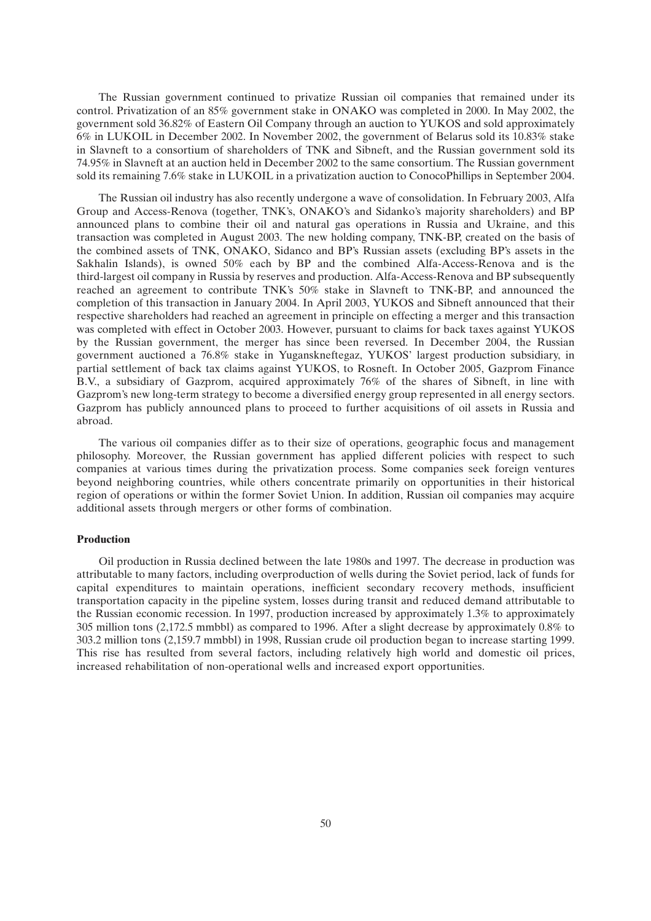The Russian government continued to privatize Russian oil companies that remained under its control. Privatization of an 85% government stake in ONAKO was completed in 2000. In May 2002, the government sold 36.82% of Eastern Oil Company through an auction to YUKOS and sold approximately 6% in LUKOIL in December 2002. In November 2002, the government of Belarus sold its 10.83% stake in Slavneft to a consortium of shareholders of TNK and Sibneft, and the Russian government sold its 74.95% in Slavneft at an auction held in December 2002 to the same consortium. The Russian government sold its remaining 7.6% stake in LUKOIL in a privatization auction to ConocoPhillips in September 2004.

The Russian oil industry has also recently undergone a wave of consolidation. In February 2003, Alfa Group and Access-Renova (together, TNK's, ONAKO's and Sidanko's majority shareholders) and BP announced plans to combine their oil and natural gas operations in Russia and Ukraine, and this transaction was completed in August 2003. The new holding company, TNK-BP, created on the basis of the combined assets of TNK, ONAKO, Sidanco and BP's Russian assets (excluding BP's assets in the Sakhalin Islands), is owned 50% each by BP and the combined Alfa-Access-Renova and is the third-largest oil company in Russia by reserves and production. Alfa-Access-Renova and BP subsequently reached an agreement to contribute TNK's 50% stake in Slavneft to TNK-BP, and announced the completion of this transaction in January 2004. In April 2003, YUKOS and Sibneft announced that their respective shareholders had reached an agreement in principle on effecting a merger and this transaction was completed with effect in October 2003. However, pursuant to claims for back taxes against YUKOS by the Russian government, the merger has since been reversed. In December 2004, the Russian government auctioned a 76.8% stake in Yuganskneftegaz, YUKOS' largest production subsidiary, in partial settlement of back tax claims against YUKOS, to Rosneft. In October 2005, Gazprom Finance B.V., a subsidiary of Gazprom, acquired approximately 76% of the shares of Sibneft, in line with Gazprom's new long-term strategy to become a diversified energy group represented in all energy sectors. Gazprom has publicly announced plans to proceed to further acquisitions of oil assets in Russia and abroad.

The various oil companies differ as to their size of operations, geographic focus and management philosophy. Moreover, the Russian government has applied different policies with respect to such companies at various times during the privatization process. Some companies seek foreign ventures beyond neighboring countries, while others concentrate primarily on opportunities in their historical region of operations or within the former Soviet Union. In addition, Russian oil companies may acquire additional assets through mergers or other forms of combination.

#### **Production**

Oil production in Russia declined between the late 1980s and 1997. The decrease in production was attributable to many factors, including overproduction of wells during the Soviet period, lack of funds for capital expenditures to maintain operations, inefficient secondary recovery methods, insufficient transportation capacity in the pipeline system, losses during transit and reduced demand attributable to the Russian economic recession. In 1997, production increased by approximately 1.3% to approximately 305 million tons (2,172.5 mmbbl) as compared to 1996. After a slight decrease by approximately 0.8% to 303.2 million tons (2,159.7 mmbbl) in 1998, Russian crude oil production began to increase starting 1999. This rise has resulted from several factors, including relatively high world and domestic oil prices, increased rehabilitation of non-operational wells and increased export opportunities.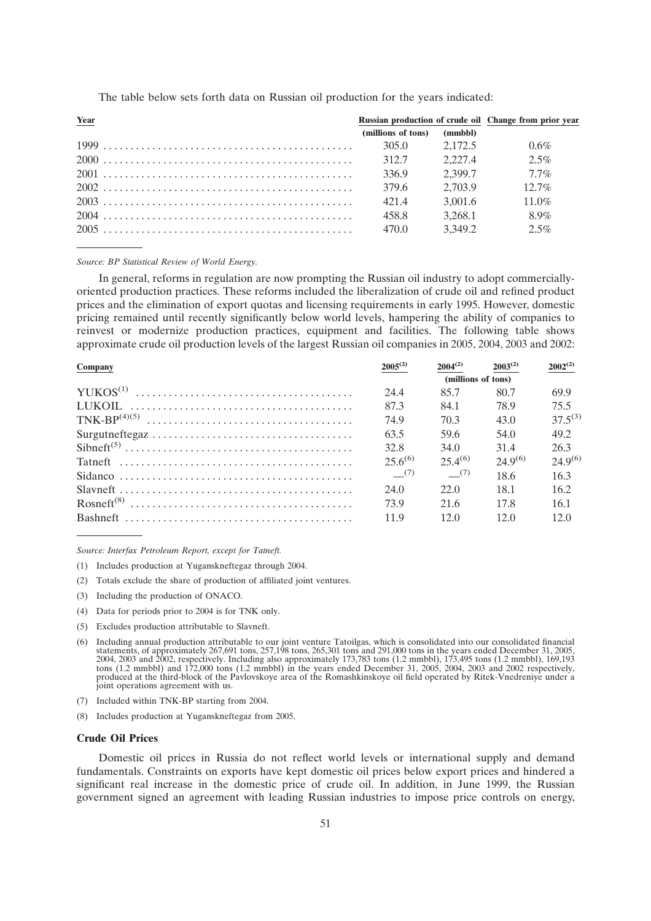| Year |                    | Russian production of crude oil Change from prior year |          |
|------|--------------------|--------------------------------------------------------|----------|
|      | (millions of tons) | (mmbbl)                                                |          |
|      | 305.0 2.172.5      |                                                        | $0.6\%$  |
|      | 312.7              | 2.227.4                                                | 2.5%     |
|      | 336.9              | 2.399.7                                                | $7.7\%$  |
|      | 379.6              | 2.703.9                                                | $12.7\%$ |
|      | 4214               | 3.001.6                                                | $11.0\%$ |
|      | 458.8              | 3.268.1                                                | 8.9%     |
|      | 470.0              | 3,349.2                                                | 2.5%     |

The table below sets forth data on Russian oil production for the years indicated:

### *Source: BP Statistical Review of World Energy.*

In general, reforms in regulation are now prompting the Russian oil industry to adopt commerciallyoriented production practices. These reforms included the liberalization of crude oil and refined product prices and the elimination of export quotas and licensing requirements in early 1995. However, domestic pricing remained until recently significantly below world levels, hampering the ability of companies to reinvest or modernize production practices, equipment and facilities. The following table shows approximate crude oil production levels of the largest Russian oil companies in 2005, 2004, 2003 and 2002:

| Company |              | $2004^{(2)}$       | $2003^{(2)}$ | $2002^{(2)}$ |
|---------|--------------|--------------------|--------------|--------------|
|         |              | (millions of tons) |              |              |
|         | 24.4         | 85.7               | 80.7         | 69.9         |
|         | 873          | 84.1               | 78.9         | 75.5         |
|         | 74.9         | 70.3               | 43.0         | $37.5^{(3)}$ |
|         | 63.5         | 59.6               | 54.0         | 49.2         |
|         | 32.8         | 34.0               | 31.4         | 26.3         |
|         | $25.6^{(6)}$ | $25.4^{(6)}$       | $24.9^{(6)}$ | $24.9^{(6)}$ |
|         | (7)          | (7)                | 18.6         | 16.3         |
|         | 24.0         | 22.0               | 18.1         | 16.2.        |
|         | 73.9         | 21.6               | 17.8         | 16.1         |
|         | 119          | 12.0               | 120          | 12.0         |

*Source: Interfax Petroleum Report, except for Tatneft.*

- (1) Includes production at Yuganskneftegaz through 2004.
- (2) Totals exclude the share of production of affiliated joint ventures.
- (3) Including the production of ONACO.
- (4) Data for periods prior to 2004 is for TNK only.
- (5) Excludes production attributable to Slavneft.
- (6) Including annual production attributable to our joint venture Tatoilgas, which is consolidated into our consolidated financial statements, of approximately 267,691 tons, 257,198 tons, 265,301 tons and 291,000 tons in the years ended December 31, 2005, 2004, 2003 and 2002, respectively. Including also approximately 173,783 tons (1.2 mmbbl), 173,495 tons (1.2 mmbbl), 169,193<br>tons (1.2 mmbbl) and 172,000 tons (1.2 mmbbl) in the years ended December 31, 2005, 2004, 2003 and produced at the third-block of the Pavlovskoye area of the Romashkinskoye oil field operated by Ritek-Vnedreniye under a joint operations agreement with us.
- (7) Included within TNK-BP starting from 2004.
- (8) Includes production at Yuganskneftegaz from 2005.

# **Crude Oil Prices**

Domestic oil prices in Russia do not reflect world levels or international supply and demand fundamentals. Constraints on exports have kept domestic oil prices below export prices and hindered a significant real increase in the domestic price of crude oil. In addition, in June 1999, the Russian government signed an agreement with leading Russian industries to impose price controls on energy,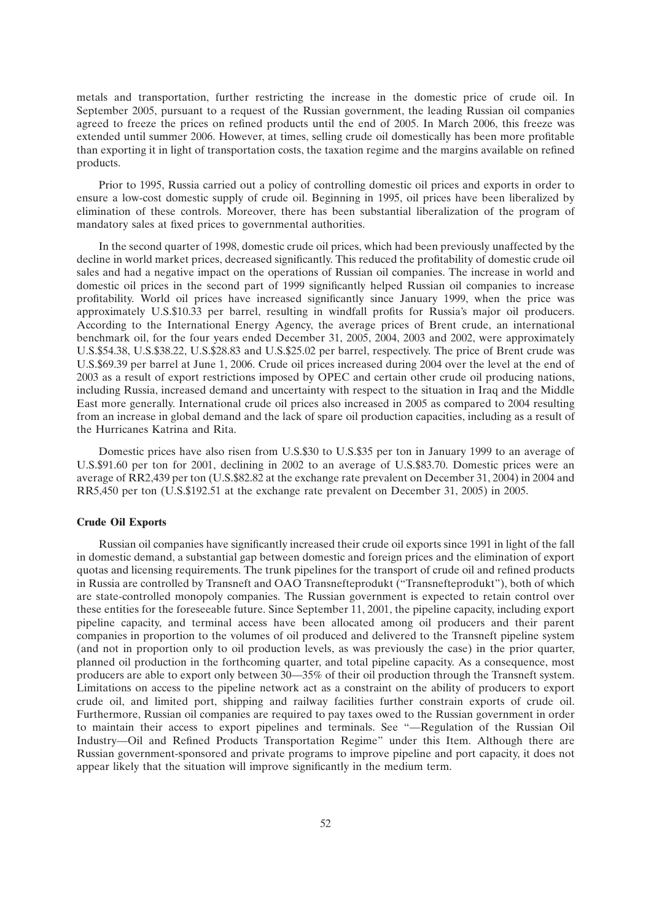metals and transportation, further restricting the increase in the domestic price of crude oil. In September 2005, pursuant to a request of the Russian government, the leading Russian oil companies agreed to freeze the prices on refined products until the end of 2005. In March 2006, this freeze was extended until summer 2006. However, at times, selling crude oil domestically has been more profitable than exporting it in light of transportation costs, the taxation regime and the margins available on refined products.

Prior to 1995, Russia carried out a policy of controlling domestic oil prices and exports in order to ensure a low-cost domestic supply of crude oil. Beginning in 1995, oil prices have been liberalized by elimination of these controls. Moreover, there has been substantial liberalization of the program of mandatory sales at fixed prices to governmental authorities.

In the second quarter of 1998, domestic crude oil prices, which had been previously unaffected by the decline in world market prices, decreased significantly. This reduced the profitability of domestic crude oil sales and had a negative impact on the operations of Russian oil companies. The increase in world and domestic oil prices in the second part of 1999 significantly helped Russian oil companies to increase profitability. World oil prices have increased significantly since January 1999, when the price was approximately U.S.\$10.33 per barrel, resulting in windfall profits for Russia's major oil producers. According to the International Energy Agency, the average prices of Brent crude, an international benchmark oil, for the four years ended December 31, 2005, 2004, 2003 and 2002, were approximately U.S.\$54.38, U.S.\$38.22, U.S.\$28.83 and U.S.\$25.02 per barrel, respectively. The price of Brent crude was U.S.\$69.39 per barrel at June 1, 2006. Crude oil prices increased during 2004 over the level at the end of 2003 as a result of export restrictions imposed by OPEC and certain other crude oil producing nations, including Russia, increased demand and uncertainty with respect to the situation in Iraq and the Middle East more generally. International crude oil prices also increased in 2005 as compared to 2004 resulting from an increase in global demand and the lack of spare oil production capacities, including as a result of the Hurricanes Katrina and Rita.

Domestic prices have also risen from U.S.\$30 to U.S.\$35 per ton in January 1999 to an average of U.S.\$91.60 per ton for 2001, declining in 2002 to an average of U.S.\$83.70. Domestic prices were an average of RR2,439 per ton (U.S.\$82.82 at the exchange rate prevalent on December 31, 2004) in 2004 and RR5,450 per ton (U.S.\$192.51 at the exchange rate prevalent on December 31, 2005) in 2005.

# **Crude Oil Exports**

Russian oil companies have significantly increased their crude oil exports since 1991 in light of the fall in domestic demand, a substantial gap between domestic and foreign prices and the elimination of export quotas and licensing requirements. The trunk pipelines for the transport of crude oil and refined products in Russia are controlled by Transneft and OAO Transnefteprodukt (''Transnefteprodukt''), both of which are state-controlled monopoly companies. The Russian government is expected to retain control over these entities for the foreseeable future. Since September 11, 2001, the pipeline capacity, including export pipeline capacity, and terminal access have been allocated among oil producers and their parent companies in proportion to the volumes of oil produced and delivered to the Transneft pipeline system (and not in proportion only to oil production levels, as was previously the case) in the prior quarter, planned oil production in the forthcoming quarter, and total pipeline capacity. As a consequence, most producers are able to export only between 30—35% of their oil production through the Transneft system. Limitations on access to the pipeline network act as a constraint on the ability of producers to export crude oil, and limited port, shipping and railway facilities further constrain exports of crude oil. Furthermore, Russian oil companies are required to pay taxes owed to the Russian government in order to maintain their access to export pipelines and terminals. See ''—Regulation of the Russian Oil Industry—Oil and Refined Products Transportation Regime'' under this Item. Although there are Russian government-sponsored and private programs to improve pipeline and port capacity, it does not appear likely that the situation will improve significantly in the medium term.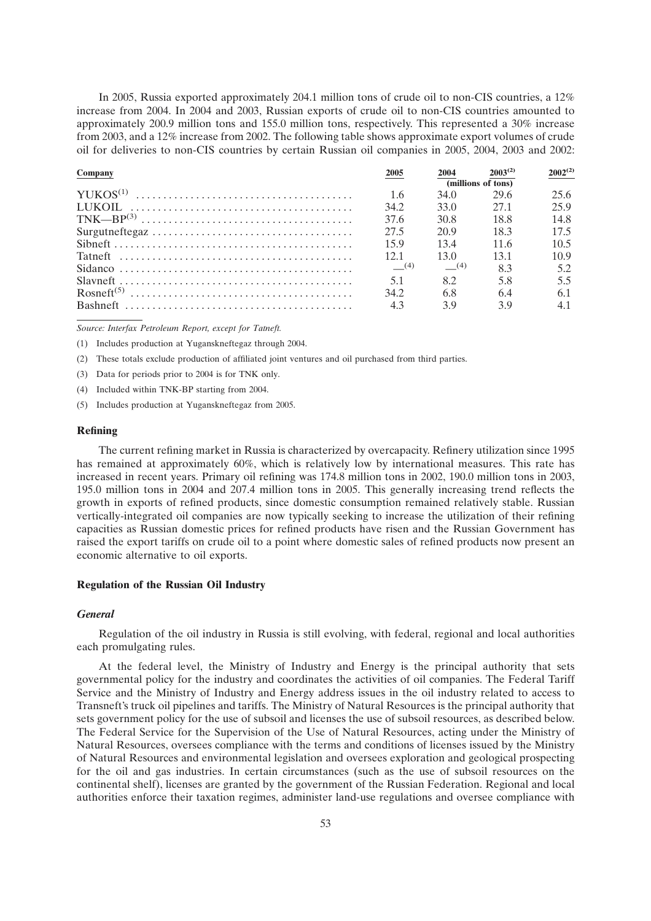In 2005, Russia exported approximately 204.1 million tons of crude oil to non-CIS countries, a 12% increase from 2004. In 2004 and 2003, Russian exports of crude oil to non-CIS countries amounted to approximately 200.9 million tons and 155.0 million tons, respectively. This represented a 30% increase from 2003, and a 12% increase from 2002. The following table shows approximate export volumes of crude oil for deliveries to non-CIS countries by certain Russian oil companies in 2005, 2004, 2003 and 2002:

| Company | 2005 | 2004               | $2003^{(2)}$ | $2002^{(2)}$ |
|---------|------|--------------------|--------------|--------------|
|         |      | (millions of tons) |              |              |
|         | 1.6  | 34.0               | 29.6         | 25.6         |
|         | 34.2 | 33.0               | 27.1         | 25.9         |
|         | 37.6 | 30.8               | 18.8         | 14.8         |
|         | 27.5 | 20.9               | 18.3         | 17.5         |
|         | 159  | 134                | 11.6         | 10.5         |
|         | 12.1 | 130                | 131          | 10.9         |
|         | (4)  | (4)                | 8.3          | 5.2          |
|         | 5.1  | 82                 | 5.8          | 5.5          |
|         | 34.2 | 68                 | 64           | 6.1          |
|         | 4.3  | 39                 | 39           | 4.1          |

*Source: Interfax Petroleum Report, except for Tatneft.*

(1) Includes production at Yuganskneftegaz through 2004.

(2) These totals exclude production of affiliated joint ventures and oil purchased from third parties.

(3) Data for periods prior to 2004 is for TNK only.

(4) Included within TNK-BP starting from 2004.

(5) Includes production at Yuganskneftegaz from 2005.

#### **Refining**

The current refining market in Russia is characterized by overcapacity. Refinery utilization since 1995 has remained at approximately 60%, which is relatively low by international measures. This rate has increased in recent years. Primary oil refining was 174.8 million tons in 2002, 190.0 million tons in 2003, 195.0 million tons in 2004 and 207.4 million tons in 2005. This generally increasing trend reflects the growth in exports of refined products, since domestic consumption remained relatively stable. Russian vertically-integrated oil companies are now typically seeking to increase the utilization of their refining capacities as Russian domestic prices for refined products have risen and the Russian Government has raised the export tariffs on crude oil to a point where domestic sales of refined products now present an economic alternative to oil exports.

## **Regulation of the Russian Oil Industry**

#### *General*

Regulation of the oil industry in Russia is still evolving, with federal, regional and local authorities each promulgating rules.

At the federal level, the Ministry of Industry and Energy is the principal authority that sets governmental policy for the industry and coordinates the activities of oil companies. The Federal Tariff Service and the Ministry of Industry and Energy address issues in the oil industry related to access to Transneft's truck oil pipelines and tariffs. The Ministry of Natural Resources is the principal authority that sets government policy for the use of subsoil and licenses the use of subsoil resources, as described below. The Federal Service for the Supervision of the Use of Natural Resources, acting under the Ministry of Natural Resources, oversees compliance with the terms and conditions of licenses issued by the Ministry of Natural Resources and environmental legislation and oversees exploration and geological prospecting for the oil and gas industries. In certain circumstances (such as the use of subsoil resources on the continental shelf), licenses are granted by the government of the Russian Federation. Regional and local authorities enforce their taxation regimes, administer land-use regulations and oversee compliance with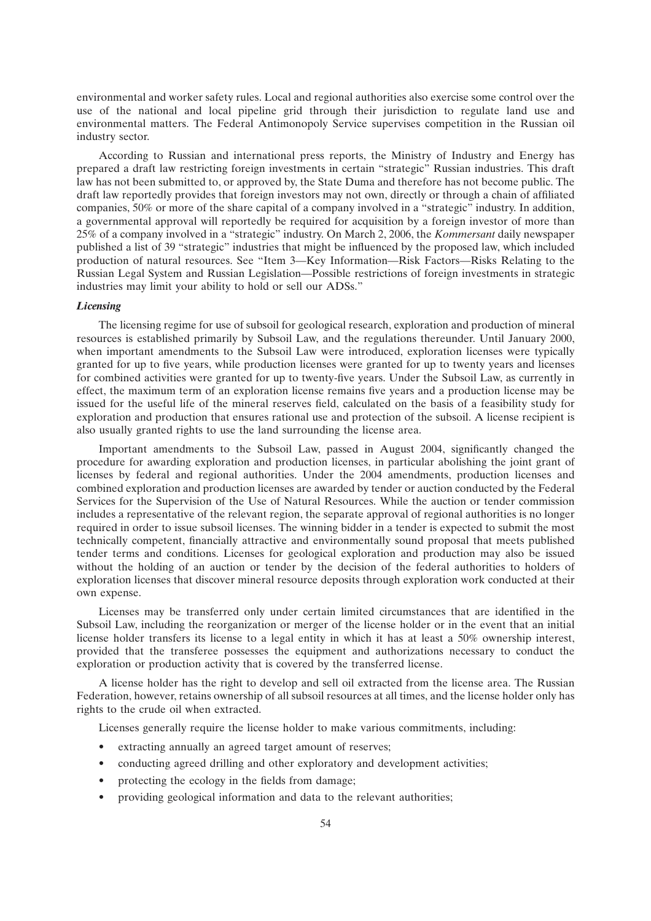environmental and worker safety rules. Local and regional authorities also exercise some control over the use of the national and local pipeline grid through their jurisdiction to regulate land use and environmental matters. The Federal Antimonopoly Service supervises competition in the Russian oil industry sector.

According to Russian and international press reports, the Ministry of Industry and Energy has prepared a draft law restricting foreign investments in certain ''strategic'' Russian industries. This draft law has not been submitted to, or approved by, the State Duma and therefore has not become public. The draft law reportedly provides that foreign investors may not own, directly or through a chain of affiliated companies, 50% or more of the share capital of a company involved in a ''strategic'' industry. In addition, a governmental approval will reportedly be required for acquisition by a foreign investor of more than 25% of a company involved in a ''strategic'' industry. On March 2, 2006, the *Kommersant* daily newspaper published a list of 39 "strategic" industries that might be influenced by the proposed law, which included production of natural resources. See ''Item 3—Key Information—Risk Factors—Risks Relating to the Russian Legal System and Russian Legislation—Possible restrictions of foreign investments in strategic industries may limit your ability to hold or sell our ADSs.''

### *Licensing*

The licensing regime for use of subsoil for geological research, exploration and production of mineral resources is established primarily by Subsoil Law, and the regulations thereunder. Until January 2000, when important amendments to the Subsoil Law were introduced, exploration licenses were typically granted for up to five years, while production licenses were granted for up to twenty years and licenses for combined activities were granted for up to twenty-five years. Under the Subsoil Law, as currently in effect, the maximum term of an exploration license remains five years and a production license may be issued for the useful life of the mineral reserves field, calculated on the basis of a feasibility study for exploration and production that ensures rational use and protection of the subsoil. A license recipient is also usually granted rights to use the land surrounding the license area.

Important amendments to the Subsoil Law, passed in August 2004, significantly changed the procedure for awarding exploration and production licenses, in particular abolishing the joint grant of licenses by federal and regional authorities. Under the 2004 amendments, production licenses and combined exploration and production licenses are awarded by tender or auction conducted by the Federal Services for the Supervision of the Use of Natural Resources. While the auction or tender commission includes a representative of the relevant region, the separate approval of regional authorities is no longer required in order to issue subsoil licenses. The winning bidder in a tender is expected to submit the most technically competent, financially attractive and environmentally sound proposal that meets published tender terms and conditions. Licenses for geological exploration and production may also be issued without the holding of an auction or tender by the decision of the federal authorities to holders of exploration licenses that discover mineral resource deposits through exploration work conducted at their own expense.

Licenses may be transferred only under certain limited circumstances that are identified in the Subsoil Law, including the reorganization or merger of the license holder or in the event that an initial license holder transfers its license to a legal entity in which it has at least a 50% ownership interest, provided that the transferee possesses the equipment and authorizations necessary to conduct the exploration or production activity that is covered by the transferred license.

A license holder has the right to develop and sell oil extracted from the license area. The Russian Federation, however, retains ownership of all subsoil resources at all times, and the license holder only has rights to the crude oil when extracted.

Licenses generally require the license holder to make various commitments, including:

- extracting annually an agreed target amount of reserves;
- conducting agreed drilling and other exploratory and development activities;
- protecting the ecology in the fields from damage;
- providing geological information and data to the relevant authorities;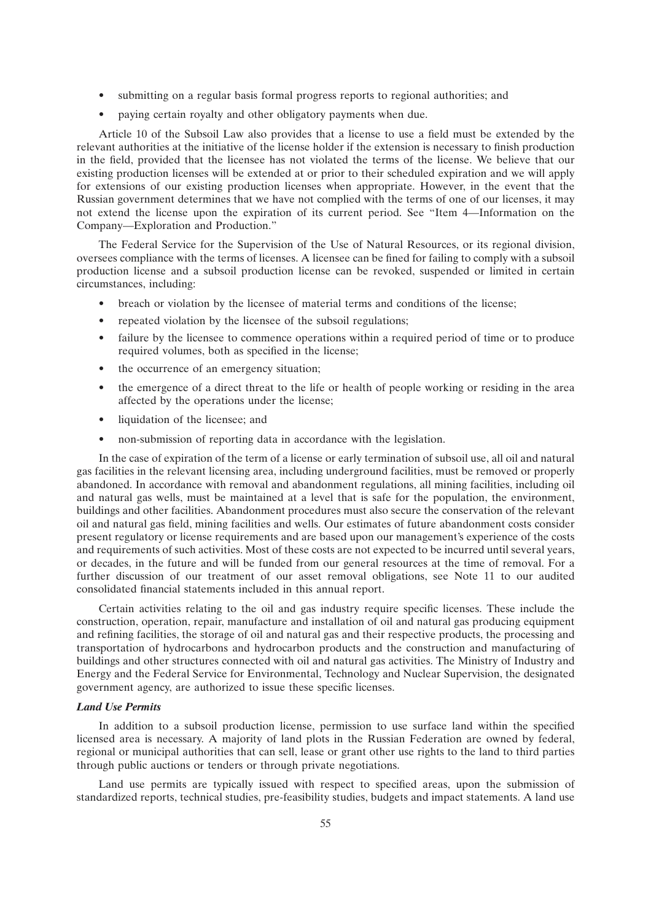- submitting on a regular basis formal progress reports to regional authorities; and
- paying certain royalty and other obligatory payments when due.

Article 10 of the Subsoil Law also provides that a license to use a field must be extended by the relevant authorities at the initiative of the license holder if the extension is necessary to finish production in the field, provided that the licensee has not violated the terms of the license. We believe that our existing production licenses will be extended at or prior to their scheduled expiration and we will apply for extensions of our existing production licenses when appropriate. However, in the event that the Russian government determines that we have not complied with the terms of one of our licenses, it may not extend the license upon the expiration of its current period. See ''Item 4—Information on the Company—Exploration and Production.''

The Federal Service for the Supervision of the Use of Natural Resources, or its regional division, oversees compliance with the terms of licenses. A licensee can be fined for failing to comply with a subsoil production license and a subsoil production license can be revoked, suspended or limited in certain circumstances, including:

- breach or violation by the licensee of material terms and conditions of the license;
- repeated violation by the licensee of the subsoil regulations;
- failure by the licensee to commence operations within a required period of time or to produce required volumes, both as specified in the license;
- the occurrence of an emergency situation;
- the emergence of a direct threat to the life or health of people working or residing in the area affected by the operations under the license;
- liquidation of the licensee; and
- non-submission of reporting data in accordance with the legislation.

In the case of expiration of the term of a license or early termination of subsoil use, all oil and natural gas facilities in the relevant licensing area, including underground facilities, must be removed or properly abandoned. In accordance with removal and abandonment regulations, all mining facilities, including oil and natural gas wells, must be maintained at a level that is safe for the population, the environment, buildings and other facilities. Abandonment procedures must also secure the conservation of the relevant oil and natural gas field, mining facilities and wells. Our estimates of future abandonment costs consider present regulatory or license requirements and are based upon our management's experience of the costs and requirements of such activities. Most of these costs are not expected to be incurred until several years, or decades, in the future and will be funded from our general resources at the time of removal. For a further discussion of our treatment of our asset removal obligations, see Note 11 to our audited consolidated financial statements included in this annual report.

Certain activities relating to the oil and gas industry require specific licenses. These include the construction, operation, repair, manufacture and installation of oil and natural gas producing equipment and refining facilities, the storage of oil and natural gas and their respective products, the processing and transportation of hydrocarbons and hydrocarbon products and the construction and manufacturing of buildings and other structures connected with oil and natural gas activities. The Ministry of Industry and Energy and the Federal Service for Environmental, Technology and Nuclear Supervision, the designated government agency, are authorized to issue these specific licenses.

# *Land Use Permits*

In addition to a subsoil production license, permission to use surface land within the specified licensed area is necessary. A majority of land plots in the Russian Federation are owned by federal, regional or municipal authorities that can sell, lease or grant other use rights to the land to third parties through public auctions or tenders or through private negotiations.

Land use permits are typically issued with respect to specified areas, upon the submission of standardized reports, technical studies, pre-feasibility studies, budgets and impact statements. A land use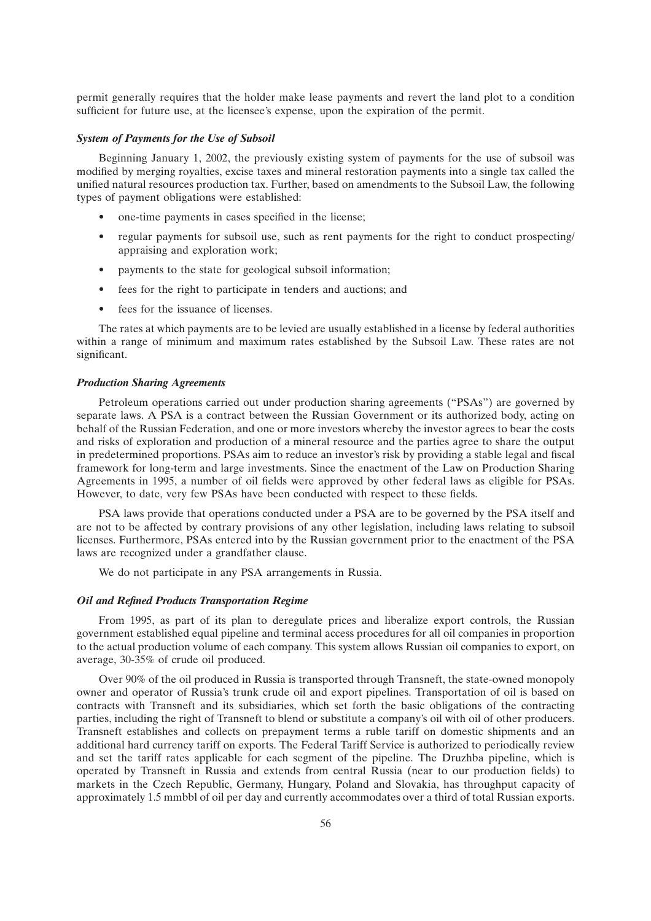permit generally requires that the holder make lease payments and revert the land plot to a condition sufficient for future use, at the licensee's expense, upon the expiration of the permit.

# *System of Payments for the Use of Subsoil*

Beginning January 1, 2002, the previously existing system of payments for the use of subsoil was modified by merging royalties, excise taxes and mineral restoration payments into a single tax called the unified natural resources production tax. Further, based on amendments to the Subsoil Law, the following types of payment obligations were established:

- one-time payments in cases specified in the license;
- regular payments for subsoil use, such as rent payments for the right to conduct prospecting/ appraising and exploration work;
- payments to the state for geological subsoil information;
- fees for the right to participate in tenders and auctions; and
- fees for the issuance of licenses.

The rates at which payments are to be levied are usually established in a license by federal authorities within a range of minimum and maximum rates established by the Subsoil Law. These rates are not significant.

#### *Production Sharing Agreements*

Petroleum operations carried out under production sharing agreements (''PSAs'') are governed by separate laws. A PSA is a contract between the Russian Government or its authorized body, acting on behalf of the Russian Federation, and one or more investors whereby the investor agrees to bear the costs and risks of exploration and production of a mineral resource and the parties agree to share the output in predetermined proportions. PSAs aim to reduce an investor's risk by providing a stable legal and fiscal framework for long-term and large investments. Since the enactment of the Law on Production Sharing Agreements in 1995, a number of oil fields were approved by other federal laws as eligible for PSAs. However, to date, very few PSAs have been conducted with respect to these fields.

PSA laws provide that operations conducted under a PSA are to be governed by the PSA itself and are not to be affected by contrary provisions of any other legislation, including laws relating to subsoil licenses. Furthermore, PSAs entered into by the Russian government prior to the enactment of the PSA laws are recognized under a grandfather clause.

We do not participate in any PSA arrangements in Russia.

### *Oil and Refined Products Transportation Regime*

From 1995, as part of its plan to deregulate prices and liberalize export controls, the Russian government established equal pipeline and terminal access procedures for all oil companies in proportion to the actual production volume of each company. This system allows Russian oil companies to export, on average, 30-35% of crude oil produced.

Over 90% of the oil produced in Russia is transported through Transneft, the state-owned monopoly owner and operator of Russia's trunk crude oil and export pipelines. Transportation of oil is based on contracts with Transneft and its subsidiaries, which set forth the basic obligations of the contracting parties, including the right of Transneft to blend or substitute a company's oil with oil of other producers. Transneft establishes and collects on prepayment terms a ruble tariff on domestic shipments and an additional hard currency tariff on exports. The Federal Tariff Service is authorized to periodically review and set the tariff rates applicable for each segment of the pipeline. The Druzhba pipeline, which is operated by Transneft in Russia and extends from central Russia (near to our production fields) to markets in the Czech Republic, Germany, Hungary, Poland and Slovakia, has throughput capacity of approximately 1.5 mmbbl of oil per day and currently accommodates over a third of total Russian exports.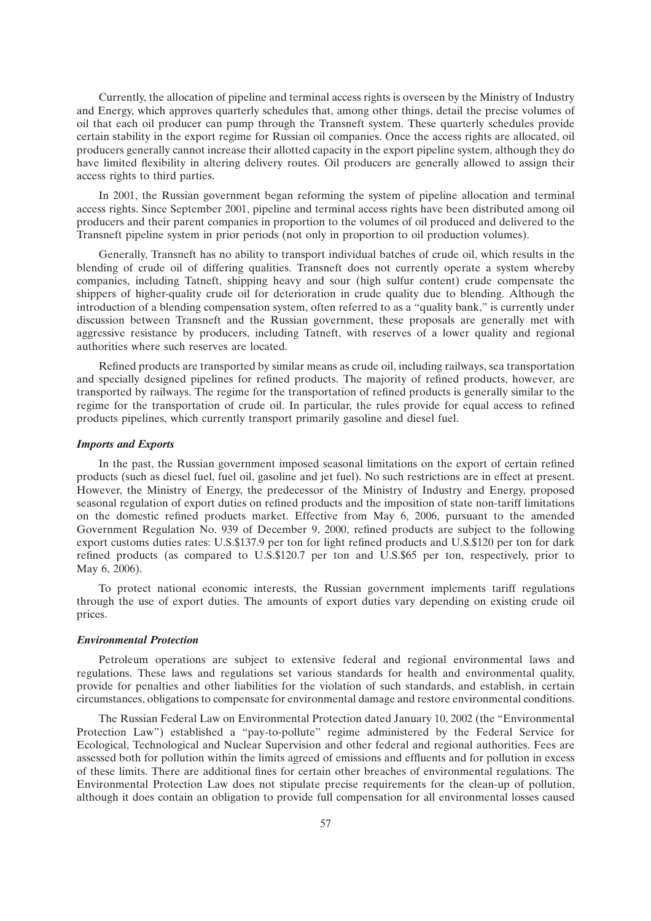Currently, the allocation of pipeline and terminal access rights is overseen by the Ministry of Industry and Energy, which approves quarterly schedules that, among other things, detail the precise volumes of oil that each oil producer can pump through the Transneft system. These quarterly schedules provide certain stability in the export regime for Russian oil companies. Once the access rights are allocated, oil producers generally cannot increase their allotted capacity in the export pipeline system, although they do have limited flexibility in altering delivery routes. Oil producers are generally allowed to assign their access rights to third parties.

In 2001, the Russian government began reforming the system of pipeline allocation and terminal access rights. Since September 2001, pipeline and terminal access rights have been distributed among oil producers and their parent companies in proportion to the volumes of oil produced and delivered to the Transneft pipeline system in prior periods (not only in proportion to oil production volumes).

Generally, Transneft has no ability to transport individual batches of crude oil, which results in the blending of crude oil of differing qualities. Transneft does not currently operate a system whereby companies, including Tatneft, shipping heavy and sour (high sulfur content) crude compensate the shippers of higher-quality crude oil for deterioration in crude quality due to blending. Although the introduction of a blending compensation system, often referred to as a "quality bank," is currently under discussion between Transneft and the Russian government, these proposals are generally met with aggressive resistance by producers, including Tatneft, with reserves of a lower quality and regional authorities where such reserves are located.

Refined products are transported by similar means as crude oil, including railways, sea transportation and specially designed pipelines for refined products. The majority of refined products, however, are transported by railways. The regime for the transportation of refined products is generally similar to the regime for the transportation of crude oil. In particular, the rules provide for equal access to refined products pipelines, which currently transport primarily gasoline and diesel fuel.

#### *Imports and Exports*

In the past, the Russian government imposed seasonal limitations on the export of certain refined products (such as diesel fuel, fuel oil, gasoline and jet fuel). No such restrictions are in effect at present. However, the Ministry of Energy, the predecessor of the Ministry of Industry and Energy, proposed seasonal regulation of export duties on refined products and the imposition of state non-tariff limitations on the domestic refined products market. Effective from May 6, 2006, pursuant to the amended Government Regulation No. 939 of December 9, 2000, refined products are subject to the following export customs duties rates: U.S.\$137.9 per ton for light refined products and U.S.\$120 per ton for dark refined products (as compared to U.S.\$120.7 per ton and U.S.\$65 per ton, respectively, prior to May 6, 2006).

To protect national economic interests, the Russian government implements tariff regulations through the use of export duties. The amounts of export duties vary depending on existing crude oil prices.

## *Environmental Protection*

Petroleum operations are subject to extensive federal and regional environmental laws and regulations. These laws and regulations set various standards for health and environmental quality, provide for penalties and other liabilities for the violation of such standards, and establish, in certain circumstances, obligations to compensate for environmental damage and restore environmental conditions.

The Russian Federal Law on Environmental Protection dated January 10, 2002 (the ''Environmental Protection Law") established a "pay-to-pollute" regime administered by the Federal Service for Ecological, Technological and Nuclear Supervision and other federal and regional authorities. Fees are assessed both for pollution within the limits agreed of emissions and effluents and for pollution in excess of these limits. There are additional fines for certain other breaches of environmental regulations. The Environmental Protection Law does not stipulate precise requirements for the clean-up of pollution, although it does contain an obligation to provide full compensation for all environmental losses caused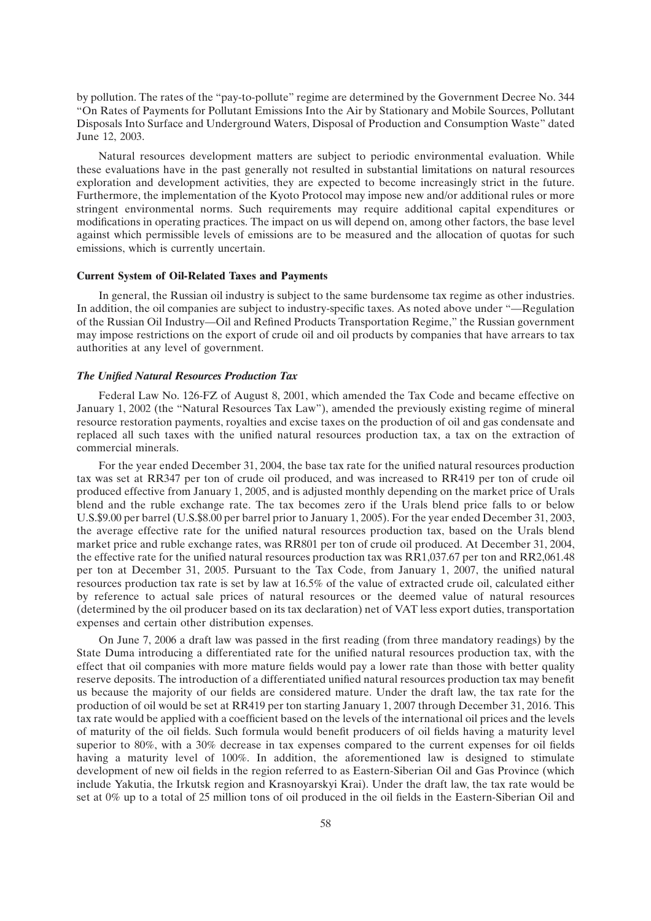by pollution. The rates of the ''pay-to-pollute'' regime are determined by the Government Decree No. 344 ''On Rates of Payments for Pollutant Emissions Into the Air by Stationary and Mobile Sources, Pollutant Disposals Into Surface and Underground Waters, Disposal of Production and Consumption Waste'' dated June 12, 2003.

Natural resources development matters are subject to periodic environmental evaluation. While these evaluations have in the past generally not resulted in substantial limitations on natural resources exploration and development activities, they are expected to become increasingly strict in the future. Furthermore, the implementation of the Kyoto Protocol may impose new and/or additional rules or more stringent environmental norms. Such requirements may require additional capital expenditures or modifications in operating practices. The impact on us will depend on, among other factors, the base level against which permissible levels of emissions are to be measured and the allocation of quotas for such emissions, which is currently uncertain.

#### **Current System of Oil-Related Taxes and Payments**

In general, the Russian oil industry is subject to the same burdensome tax regime as other industries. In addition, the oil companies are subject to industry-specific taxes. As noted above under ''—Regulation of the Russian Oil Industry—Oil and Refined Products Transportation Regime,'' the Russian government may impose restrictions on the export of crude oil and oil products by companies that have arrears to tax authorities at any level of government.

# *The Unified Natural Resources Production Tax*

Federal Law No. 126-FZ of August 8, 2001, which amended the Tax Code and became effective on January 1, 2002 (the ''Natural Resources Tax Law''), amended the previously existing regime of mineral resource restoration payments, royalties and excise taxes on the production of oil and gas condensate and replaced all such taxes with the unified natural resources production tax, a tax on the extraction of commercial minerals.

For the year ended December 31, 2004, the base tax rate for the unified natural resources production tax was set at RR347 per ton of crude oil produced, and was increased to RR419 per ton of crude oil produced effective from January 1, 2005, and is adjusted monthly depending on the market price of Urals blend and the ruble exchange rate. The tax becomes zero if the Urals blend price falls to or below U.S.\$9.00 per barrel (U.S.\$8.00 per barrel prior to January 1, 2005). For the year ended December 31, 2003, the average effective rate for the unified natural resources production tax, based on the Urals blend market price and ruble exchange rates, was RR801 per ton of crude oil produced. At December 31, 2004, the effective rate for the unified natural resources production tax was RR1,037.67 per ton and RR2,061.48 per ton at December 31, 2005. Pursuant to the Tax Code, from January 1, 2007, the unified natural resources production tax rate is set by law at 16.5% of the value of extracted crude oil, calculated either by reference to actual sale prices of natural resources or the deemed value of natural resources (determined by the oil producer based on its tax declaration) net of VAT less export duties, transportation expenses and certain other distribution expenses.

On June 7, 2006 a draft law was passed in the first reading (from three mandatory readings) by the State Duma introducing a differentiated rate for the unified natural resources production tax, with the effect that oil companies with more mature fields would pay a lower rate than those with better quality reserve deposits. The introduction of a differentiated unified natural resources production tax may benefit us because the majority of our fields are considered mature. Under the draft law, the tax rate for the production of oil would be set at RR419 per ton starting January 1, 2007 through December 31, 2016. This tax rate would be applied with a coefficient based on the levels of the international oil prices and the levels of maturity of the oil fields. Such formula would benefit producers of oil fields having a maturity level superior to 80%, with a 30% decrease in tax expenses compared to the current expenses for oil fields having a maturity level of 100%. In addition, the aforementioned law is designed to stimulate development of new oil fields in the region referred to as Eastern-Siberian Oil and Gas Province (which include Yakutia, the Irkutsk region and Krasnoyarskyi Krai). Under the draft law, the tax rate would be set at 0% up to a total of 25 million tons of oil produced in the oil fields in the Eastern-Siberian Oil and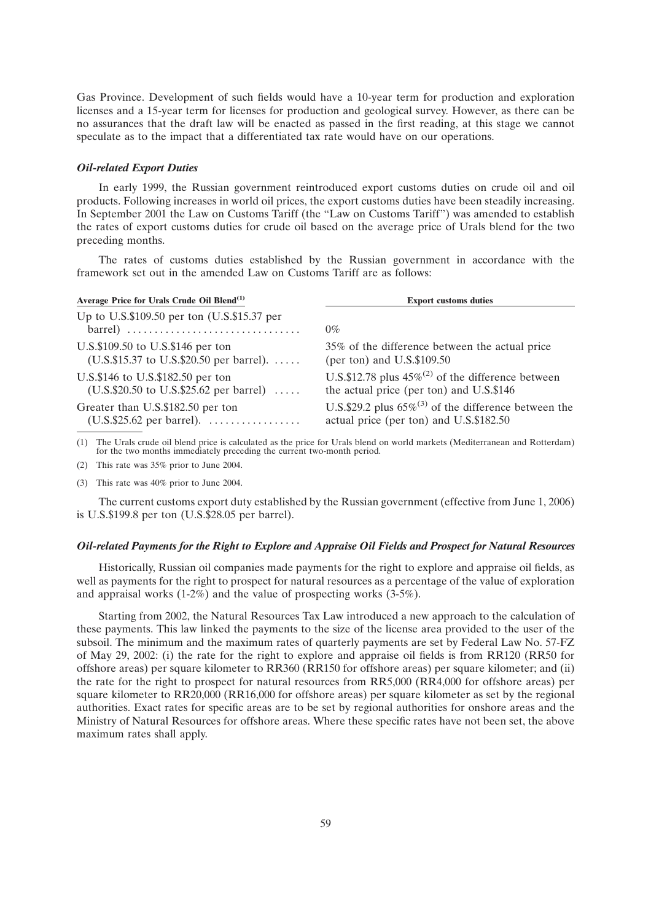Gas Province. Development of such fields would have a 10-year term for production and exploration licenses and a 15-year term for licenses for production and geological survey. However, as there can be no assurances that the draft law will be enacted as passed in the first reading, at this stage we cannot speculate as to the impact that a differentiated tax rate would have on our operations.

#### *Oil-related Export Duties*

In early 1999, the Russian government reintroduced export customs duties on crude oil and oil products. Following increases in world oil prices, the export customs duties have been steadily increasing. In September 2001 the Law on Customs Tariff (the "Law on Customs Tariff") was amended to establish the rates of export customs duties for crude oil based on the average price of Urals blend for the two preceding months.

The rates of customs duties established by the Russian government in accordance with the framework set out in the amended Law on Customs Tariff are as follows:

| Average Price for Urals Crude Oil Blend <sup>(1)</sup>           | <b>Export customs duties</b>                               |  |  |  |  |  |
|------------------------------------------------------------------|------------------------------------------------------------|--|--|--|--|--|
| Up to U.S.\$109.50 per ton $(U.S.\$15.37$ per                    | $0\%$                                                      |  |  |  |  |  |
| U.S.\$109.50 to U.S.\$146 per ton                                | 35% of the difference between the actual price             |  |  |  |  |  |
| (U.S.\$15.37 to U.S.\$20.50 per barrel). $\dots$                 | (per ton) and $U.S.\$109.50$                               |  |  |  |  |  |
| U.S.\$146 to U.S.\$182.50 per ton                                | U.S.\$12.78 plus $45\%^{(2)}$ of the difference between    |  |  |  |  |  |
| $(U.S.\$20.50 \text{ to } U.S.\$25.62 \text{ per barrel}) \dots$ | the actual price (per ton) and U.S.\$146                   |  |  |  |  |  |
| Greater than U.S.\$182.50 per ton                                | U.S.\$29.2 plus $65\%^{(3)}$ of the difference between the |  |  |  |  |  |
| $(U.S.\$25.62$ per barrel).                                      | actual price (per ton) and U.S.\$182.50                    |  |  |  |  |  |

(1) The Urals crude oil blend price is calculated as the price for Urals blend on world markets (Mediterranean and Rotterdam) for the two months immediately preceding the current two-month period.

(2) This rate was 35% prior to June 2004.

(3) This rate was 40% prior to June 2004.

The current customs export duty established by the Russian government (effective from June 1, 2006) is U.S.\$199.8 per ton (U.S.\$28.05 per barrel).

## *Oil-related Payments for the Right to Explore and Appraise Oil Fields and Prospect for Natural Resources*

Historically, Russian oil companies made payments for the right to explore and appraise oil fields, as well as payments for the right to prospect for natural resources as a percentage of the value of exploration and appraisal works (1-2%) and the value of prospecting works (3-5%).

Starting from 2002, the Natural Resources Tax Law introduced a new approach to the calculation of these payments. This law linked the payments to the size of the license area provided to the user of the subsoil. The minimum and the maximum rates of quarterly payments are set by Federal Law No. 57-FZ of May 29, 2002: (i) the rate for the right to explore and appraise oil fields is from RR120 (RR50 for offshore areas) per square kilometer to RR360 (RR150 for offshore areas) per square kilometer; and (ii) the rate for the right to prospect for natural resources from RR5,000 (RR4,000 for offshore areas) per square kilometer to RR20,000 (RR16,000 for offshore areas) per square kilometer as set by the regional authorities. Exact rates for specific areas are to be set by regional authorities for onshore areas and the Ministry of Natural Resources for offshore areas. Where these specific rates have not been set, the above maximum rates shall apply.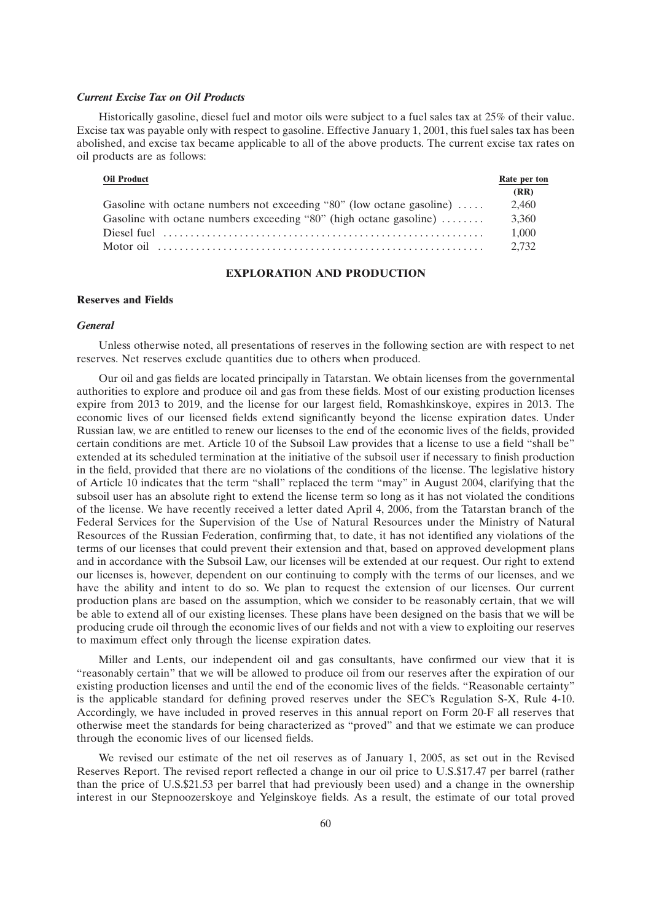#### *Current Excise Tax on Oil Products*

Historically gasoline, diesel fuel and motor oils were subject to a fuel sales tax at 25% of their value. Excise tax was payable only with respect to gasoline. Effective January 1, 2001, this fuel sales tax has been abolished, and excise tax became applicable to all of the above products. The current excise tax rates on oil products are as follows:

| <b>Oil Product</b>                                                                                                               | Rate per ton |
|----------------------------------------------------------------------------------------------------------------------------------|--------------|
|                                                                                                                                  | (RR)         |
| Gasoline with octane numbers not exceeding "80" (low octane gasoline)                                                            | 2.460        |
| Gasoline with octane numbers exceeding "80" (high octane gasoline) $\dots\dots$                                                  | 3.360        |
| Diesel fuel $\cdots$ $\cdots$ $\cdots$ $\cdots$ $\cdots$ $\cdots$ $\cdots$ $\cdots$ $\cdots$ $\cdots$ $\cdots$ $\cdots$ $\cdots$ | 1.000        |
|                                                                                                                                  | 2.732        |

### **EXPLORATION AND PRODUCTION**

#### **Reserves and Fields**

## *General*

Unless otherwise noted, all presentations of reserves in the following section are with respect to net reserves. Net reserves exclude quantities due to others when produced.

Our oil and gas fields are located principally in Tatarstan. We obtain licenses from the governmental authorities to explore and produce oil and gas from these fields. Most of our existing production licenses expire from 2013 to 2019, and the license for our largest field, Romashkinskoye, expires in 2013. The economic lives of our licensed fields extend significantly beyond the license expiration dates. Under Russian law, we are entitled to renew our licenses to the end of the economic lives of the fields, provided certain conditions are met. Article 10 of the Subsoil Law provides that a license to use a field ''shall be'' extended at its scheduled termination at the initiative of the subsoil user if necessary to finish production in the field, provided that there are no violations of the conditions of the license. The legislative history of Article 10 indicates that the term ''shall'' replaced the term ''may'' in August 2004, clarifying that the subsoil user has an absolute right to extend the license term so long as it has not violated the conditions of the license. We have recently received a letter dated April 4, 2006, from the Tatarstan branch of the Federal Services for the Supervision of the Use of Natural Resources under the Ministry of Natural Resources of the Russian Federation, confirming that, to date, it has not identified any violations of the terms of our licenses that could prevent their extension and that, based on approved development plans and in accordance with the Subsoil Law, our licenses will be extended at our request. Our right to extend our licenses is, however, dependent on our continuing to comply with the terms of our licenses, and we have the ability and intent to do so. We plan to request the extension of our licenses. Our current production plans are based on the assumption, which we consider to be reasonably certain, that we will be able to extend all of our existing licenses. These plans have been designed on the basis that we will be producing crude oil through the economic lives of our fields and not with a view to exploiting our reserves to maximum effect only through the license expiration dates.

Miller and Lents, our independent oil and gas consultants, have confirmed our view that it is ''reasonably certain'' that we will be allowed to produce oil from our reserves after the expiration of our existing production licenses and until the end of the economic lives of the fields. ''Reasonable certainty'' is the applicable standard for defining proved reserves under the SEC's Regulation S-X, Rule 4-10. Accordingly, we have included in proved reserves in this annual report on Form 20-F all reserves that otherwise meet the standards for being characterized as ''proved'' and that we estimate we can produce through the economic lives of our licensed fields.

We revised our estimate of the net oil reserves as of January 1, 2005, as set out in the Revised Reserves Report. The revised report reflected a change in our oil price to U.S.\$17.47 per barrel (rather than the price of U.S.\$21.53 per barrel that had previously been used) and a change in the ownership interest in our Stepnoozerskoye and Yelginskoye fields. As a result, the estimate of our total proved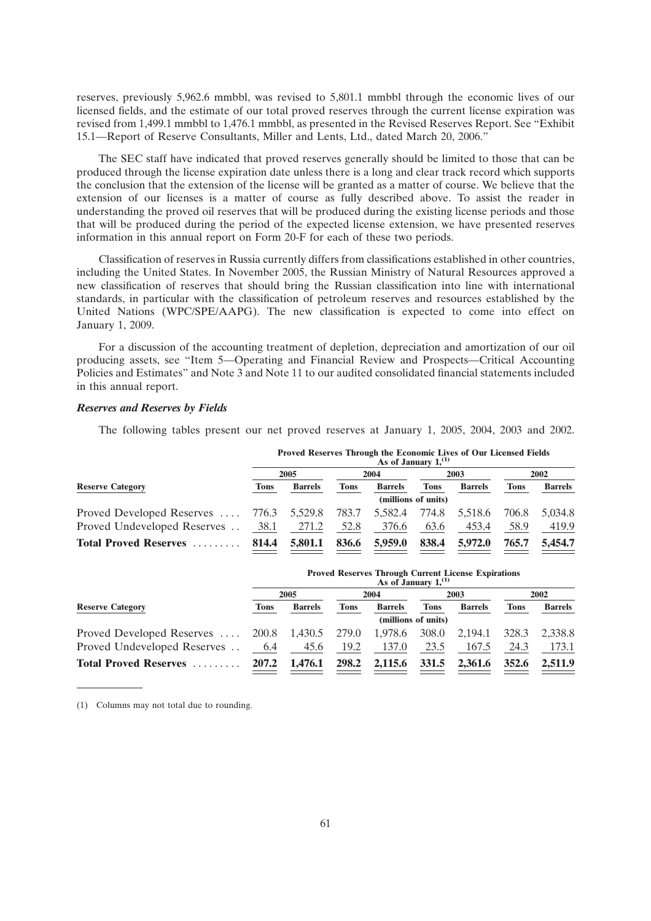reserves, previously 5,962.6 mmbbl, was revised to 5,801.1 mmbbl through the economic lives of our licensed fields, and the estimate of our total proved reserves through the current license expiration was revised from 1,499.1 mmbbl to 1,476.1 mmbbl, as presented in the Revised Reserves Report. See ''Exhibit 15.1—Report of Reserve Consultants, Miller and Lents, Ltd., dated March 20, 2006.''

The SEC staff have indicated that proved reserves generally should be limited to those that can be produced through the license expiration date unless there is a long and clear track record which supports the conclusion that the extension of the license will be granted as a matter of course. We believe that the extension of our licenses is a matter of course as fully described above. To assist the reader in understanding the proved oil reserves that will be produced during the existing license periods and those that will be produced during the period of the expected license extension, we have presented reserves information in this annual report on Form 20-F for each of these two periods.

Classification of reserves in Russia currently differs from classifications established in other countries, including the United States. In November 2005, the Russian Ministry of Natural Resources approved a new classification of reserves that should bring the Russian classification into line with international standards, in particular with the classification of petroleum reserves and resources established by the United Nations (WPC/SPE/AAPG). The new classification is expected to come into effect on January 1, 2009.

For a discussion of the accounting treatment of depletion, depreciation and amortization of our oil producing assets, see ''Item 5—Operating and Financial Review and Prospects—Critical Accounting Policies and Estimates'' and Note 3 and Note 11 to our audited consolidated financial statements included in this annual report.

### *Reserves and Reserves by Fields*

The following tables present our net proved reserves at January 1, 2005, 2004, 2003 and 2002.

| <b>Reserve Category</b>                   | <b>Proved Reserves Through the Economic Lives of Our Licensed Fields</b><br>As of January $1^{(1)}$ |                |             |                |                     |                |             |                |  |
|-------------------------------------------|-----------------------------------------------------------------------------------------------------|----------------|-------------|----------------|---------------------|----------------|-------------|----------------|--|
|                                           | 2005                                                                                                |                | 2004        |                | 2003                |                | 2002        |                |  |
|                                           | <b>Tons</b>                                                                                         | <b>Barrels</b> | <b>Tons</b> | <b>Barrels</b> | <b>Tons</b>         | <b>Barrels</b> | <b>Tons</b> | <b>Barrels</b> |  |
|                                           |                                                                                                     |                |             |                | (millions of units) |                |             |                |  |
| Proved Developed Reserves $776.3$ 5,529.8 |                                                                                                     |                | 783.7       | 5,582.4        | 774.8               | 5,518.6        | 706.8       | 5.034.8        |  |
| Proved Undeveloped Reserves               | 38.1                                                                                                | 271.2          | 52.8        | 376.6          | 63.6                | 453.4          | 58.9        | 419.9          |  |
| <b>Total Proved Reserves</b>              | 814.4                                                                                               | 5,801.1        | 836.6       | 5,959.0        | 838.4               | 5,972.0        | 765.7       | 5,454.7        |  |

| <b>Reserve Category</b>                         | Thorea reserves Through Current Electise Explorations<br>As of January $1^{(1)}$ |                |       |                |             |                |       |                |  |
|-------------------------------------------------|----------------------------------------------------------------------------------|----------------|-------|----------------|-------------|----------------|-------|----------------|--|
|                                                 | 2005                                                                             |                | 2004  |                | 2003        |                | 2002  |                |  |
|                                                 | Tons                                                                             | <b>Barrels</b> | Tons  | <b>Barrels</b> | <b>Tons</b> | <b>Barrels</b> | Tons  | <b>Barrels</b> |  |
|                                                 | (millions of units)                                                              |                |       |                |             |                |       |                |  |
| Proved Developed Reserves $200.8$ 1,430.5 279.0 |                                                                                  |                |       | 1,978.6        | 308.0       | 2,194.1        | 328.3 | 2,338.8        |  |
| Proved Undeveloped Reserves                     | 6.4                                                                              | 45.6           | 19.2  | 137.0          | 23.5        | 167.5          | 24.3  | 173.1          |  |
| <b>Total Proved Reserves</b>                    | 207.2                                                                            | 1.476.1        | 298.2 | 2,115.6        | 331.5       | 2,361.6        | 352.6 | 2.511.9        |  |

**Proved Reserves Through Current License Expirations**

(1) Columns may not total due to rounding.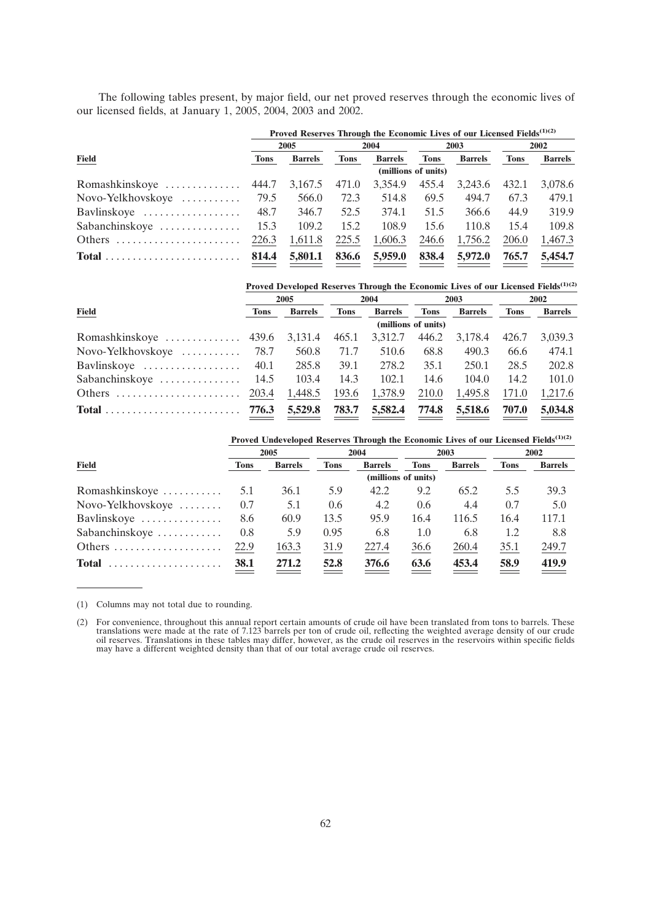The following tables present, by major field, our net proved reserves through the economic lives of our licensed fields, at January 1, 2005, 2004, 2003 and 2002.

|                       | Proved Reserves Through the Economic Lives of our Licensed Fields <sup>(1)(2)</sup> |                |             |                |                     |                |             |                |  |
|-----------------------|-------------------------------------------------------------------------------------|----------------|-------------|----------------|---------------------|----------------|-------------|----------------|--|
|                       | 2005                                                                                |                | 2004        |                | 2003                |                | 2002        |                |  |
| <b>Field</b>          | <b>Tons</b>                                                                         | <b>Barrels</b> | <b>Tons</b> | <b>Barrels</b> | <b>Tons</b>         | <b>Barrels</b> | <b>Tons</b> | <b>Barrels</b> |  |
|                       |                                                                                     |                |             |                | (millions of units) |                |             |                |  |
| Romashkinskoye  444.7 |                                                                                     | 3,167.5        | 471.0       | 3.354.9        | 455.4               | 3,243.6        | 432.1       | 3.078.6        |  |
| Novo-Yelkhovskoye     | 79.5                                                                                | 566.0          | 72.3        | 514.8          | 69.5                | 494.7          | 67.3        | 479.1          |  |
| Bavlinskoye           | 48.7                                                                                | 346.7          | 52.5        | 374.1          | 51.5                | 366.6          | 44.9        | 319.9          |  |
| Sabanchinskoye        | 15.3                                                                                | 109.2          | 15.2        | 108.9          | 15.6                | 110.8          | 15.4        | 109.8          |  |
| Others                | 226.3                                                                               | 1,611.8        | 225.5       | 1,606.3        | 246.6               | 1,756.2        | 206.0       | 1,467.3        |  |
|                       | 814.4                                                                               | 5,801.1        | 836.6       | 5,959.0        | 838.4               | 5,972.0        | 765.7       | 5,454.7        |  |

|                                                       | Proved Developed Reserves Through the Economic Lives of our Licensed Fields <sup>(1)(2)</sup> |                |             |                |                     |                |             |                |  |
|-------------------------------------------------------|-----------------------------------------------------------------------------------------------|----------------|-------------|----------------|---------------------|----------------|-------------|----------------|--|
|                                                       | 2005                                                                                          |                |             | 2004           | 2003                |                | 2002        |                |  |
| <b>Field</b>                                          | <b>Tons</b>                                                                                   | <b>Barrels</b> | <b>Tons</b> | <b>Barrels</b> | <b>Tons</b>         | <b>Barrels</b> | <b>Tons</b> | <b>Barrels</b> |  |
|                                                       |                                                                                               |                |             |                | (millions of units) |                |             |                |  |
| Romashkinskoye  439.6 3,131.4                         |                                                                                               |                | 465.1       | 3,312.7        | 446.2               | 3,178.4        | 426.7       | 3.039.3        |  |
| Novo-Yelkhovskoye $\ldots$ 78.7                       |                                                                                               | 560.8          | 71.7        | 510.6          | 68.8                | 490.3          | 66.6        | 474.1          |  |
| Bavlinskoye $\ldots \ldots \ldots \ldots \ldots$ 40.1 |                                                                                               | 285.8          | 39.1        | 278.2          | 35.1                | 250.1          | 28.5        | 202.8          |  |
| Sabanchinskoye $\dots \dots \dots \dots \dots$ 14.5   |                                                                                               | 103.4          | 14.3        | 102.1          | 14.6                | 104.0          | 14.2        | 101.0          |  |
|                                                       |                                                                                               | 1,448.5        | 193.6       | 1,378.9        | 210.0               | 1,495.8        | 171.0       | 1,217.6        |  |
|                                                       |                                                                                               | 5,529.8        | 783.7       | 5,582.4        | 774.8               | 5,518.6        | 707.0       | 5,034.8        |  |

**Proved Undeveloped Reserves Through the Economic Lives of our Licensed Fields<sup>(1)(2)</sup>** 

|                   | 2005        |                |               | 2004           |                     | 2003           | 2002        |                |
|-------------------|-------------|----------------|---------------|----------------|---------------------|----------------|-------------|----------------|
| <b>Field</b>      | <b>Tons</b> | <b>Barrels</b> | <b>Tons</b>   | <b>Barrels</b> | <b>Tons</b>         | <b>Barrels</b> | <b>Tons</b> | <b>Barrels</b> |
|                   |             |                |               |                | (millions of units) |                |             |                |
| Romashkinskoye    | 5.1         | 36.1           | 5.9           | 42.2           | 9.2                 | 65.2           | 5.5         | 39.3           |
| Novo-Yelkhovskoye | 0.7         | 5.1            | $0.6^{\circ}$ | 4.2            | 0.6                 | 4.4            | 0.7         | 5.0            |
| Bavlinskoye       | 8.6         | 60.9           | 13.5          | 95.9           | 16.4                | 116.5          | 16.4        | 117.1          |
| Sabanchinskoye    | 0.8         | 5.9            | 0.95          | 6.8            | 1.0                 | 6.8            | 1.2         | 8.8            |
| Others            | 22.9        | 163.3          | 31.9          | 227.4          | 36.6                | 260.4          | 35.1        | 249.7          |
| <b>Total</b>      | 38.1        | 271.2          | 52.8          | 376.6          | 63.6                | 453.4          | 58.9        | 419.9          |

(1) Columns may not total due to rounding.

(2) For convenience, throughout this annual report certain amounts of crude oil have been translated from tons to barrels. These translations were made at the rate of 7.123 barrels per ton of crude oil, reflecting the weig may have a different weighted density than that of our total average crude oil reserves.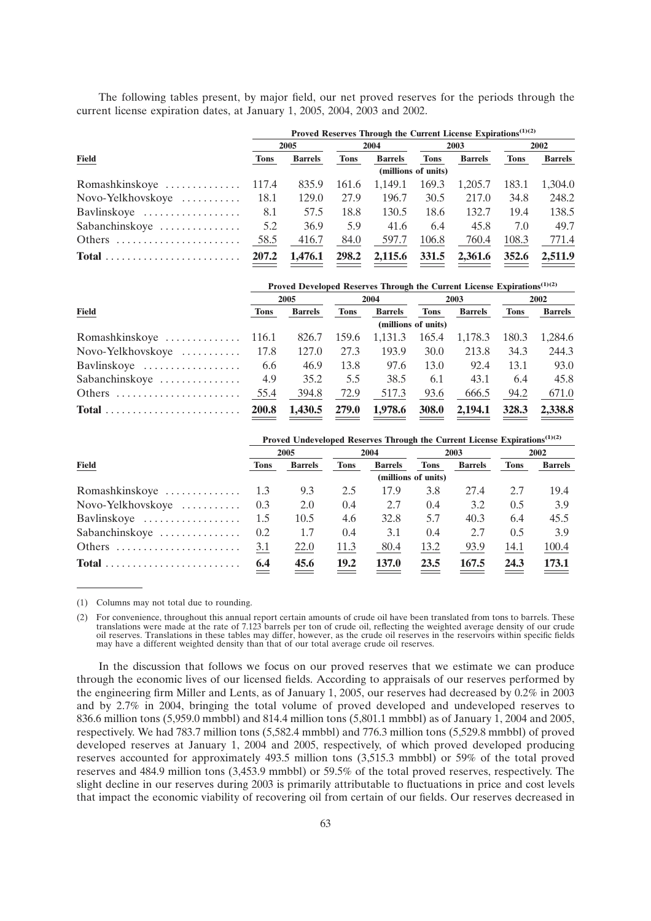The following tables present, by major field, our net proved reserves for the periods through the current license expiration dates, at January 1, 2005, 2004, 2003 and 2002.

|                                                         | Proved Reserves Through the Current License Expirations <sup>(1)(2)</sup> |                |             |                |                     |                |             |                |  |
|---------------------------------------------------------|---------------------------------------------------------------------------|----------------|-------------|----------------|---------------------|----------------|-------------|----------------|--|
|                                                         | 2005                                                                      |                |             | 2004           | 2003                |                | 2002        |                |  |
| <b>Field</b>                                            | <b>Tons</b>                                                               | <b>Barrels</b> | <b>Tons</b> | <b>Barrels</b> | <b>Tons</b>         | <b>Barrels</b> | <b>Tons</b> | <b>Barrels</b> |  |
|                                                         |                                                                           |                |             |                | (millions of units) |                |             |                |  |
| Romashkinskoye $\dots \dots \dots \dots \dots 117.4$    |                                                                           | 835.9          | 161.6       | 1.149.1        | 169.3               | 1,205.7        | 183.1       | 1.304.0        |  |
| Novo-Yelkhovskoye                                       | 18.1                                                                      | 129.0          | 27.9        | 196.7          | 30.5                | 217.0          | 34.8        | 248.2          |  |
| Bavlinskove                                             | 8.1                                                                       | 57.5           | 18.8        | 130.5          | 18.6                | 132.7          | 19.4        | 138.5          |  |
| Sabanchinskoye                                          | 5.2                                                                       | 36.9           | 5.9         | 41.6           | 6.4                 | 45.8           | 7.0         | 49.7           |  |
| Others $\dots\dots\dots\dots\dots\dots\dots\dots\dots$  | 58.5                                                                      | 416.7          | 84.0        | 597.7          | 106.8               | 760.4          | 108.3       | 771.4          |  |
| $Total \dots \dots \dots \dots \dots \dots \dots \dots$ | 207.2                                                                     | 1,476.1        | 298.2       | 2,115.6        | 331.5               | 2,361.6        | 352.6       | 2,511.9        |  |

|                                                         | Proved Developed Reserves Through the Current License Expirations <sup>(1)(2)</sup> |                |             |                |                     |                |             |                |  |
|---------------------------------------------------------|-------------------------------------------------------------------------------------|----------------|-------------|----------------|---------------------|----------------|-------------|----------------|--|
|                                                         | 2005                                                                                |                | 2004        |                | 2003                |                | 2002        |                |  |
| <b>Field</b>                                            | <b>Tons</b>                                                                         | <b>Barrels</b> | <b>Tons</b> | <b>Barrels</b> | <b>Tons</b>         | <b>Barrels</b> | <b>Tons</b> | <b>Barrels</b> |  |
|                                                         |                                                                                     |                |             |                | (millions of units) |                |             |                |  |
|                                                         |                                                                                     | 826.7          | 159.6       | 1.131.3        | 165.4               | 1,178.3        | 180.3       | 1.284.6        |  |
| Novo-Yelkhovskoye                                       | 17.8                                                                                | 127.0          | 27.3        | 193.9          | 30.0                | 213.8          | 34.3        | 244.3          |  |
| Bavlinskove                                             | 6.6                                                                                 | 46.9           | 13.8        | 97.6           | 13.0                | 92.4           | 13.1        | 93.0           |  |
| Sabanchinskoye                                          | 4.9                                                                                 | 35.2           | 5.5         | 38.5           | 6.1                 | 43.1           | 6.4         | 45.8           |  |
| Others                                                  | 55.4                                                                                | 394.8          | 72.9        | 517.3          | 93.6                | 666.5          | 94.2        | 671.0          |  |
| $Total \dots \dots \dots \dots \dots \dots \dots \dots$ | <b>200.8</b>                                                                        | 1.430.5        | 279.0       | 1,978.6        | <b>308.0</b>        | 2,194.1        | 328.3       | 2,338.8        |  |

| Proved Undeveloped Reserves Through the Current License Expirations <sup>(1)(2)</sup> |             |                |             |                |                     |                |      |                |  |
|---------------------------------------------------------------------------------------|-------------|----------------|-------------|----------------|---------------------|----------------|------|----------------|--|
|                                                                                       | 2005        |                | 2004        |                | 2003                |                | 2002 |                |  |
| <b>Field</b>                                                                          | <b>Tons</b> | <b>Barrels</b> | <b>Tons</b> | <b>Barrels</b> | <b>Tons</b>         | <b>Barrels</b> | Tons | <b>Barrels</b> |  |
|                                                                                       |             |                |             |                | (millions of units) |                |      |                |  |
| Romashkinskoye                                                                        | -1.3        | 9.3            | 2.5         | 17.9           | 3.8                 | 27.4           | 2.7  | 19.4           |  |
| Novo-Yelkhovskoye                                                                     | 0.3         | 2.0            | 0.4         | 2.7            | 0.4                 | 3.2            | 0.5  | 3.9            |  |
| Bavlinskove                                                                           | 1.5         | 10.5           | 4.6         | 32.8           | 5.7                 | 40.3           | 6.4  | 45.5           |  |
| Sabanchinskoye                                                                        | 0.2         | 1.7            | 0.4         | 3.1            | 0.4                 | 2.7            | 0.5  | 3.9            |  |
| Others                                                                                | 3.1         | 22.0           | 11.3        | 80.4           | 13.2                | 93.9           | 14.1 | 100.4          |  |
|                                                                                       | 6.4         | 45.6           | 19.2        | <b>137.0</b>   | 23.5                | 167.5          | 24.3 | 173.1          |  |

(1) Columns may not total due to rounding.

(2) For convenience, throughout this annual report certain amounts of crude oil have been translated from tons to barrels. These translations were made at the rate of 7.123 barrels per ton of crude oil, reflecting the weighted average density of our crude<br>oil reserves. Translations in these tables may differ, however, as the crude oil reserves in th may have a different weighted density than that of our total average crude oil reserves.

In the discussion that follows we focus on our proved reserves that we estimate we can produce through the economic lives of our licensed fields. According to appraisals of our reserves performed by the engineering firm Miller and Lents, as of January 1, 2005, our reserves had decreased by 0.2% in 2003 and by 2.7% in 2004, bringing the total volume of proved developed and undeveloped reserves to 836.6 million tons (5,959.0 mmbbl) and 814.4 million tons (5,801.1 mmbbl) as of January 1, 2004 and 2005, respectively. We had 783.7 million tons (5,582.4 mmbbl) and 776.3 million tons (5,529.8 mmbbl) of proved developed reserves at January 1, 2004 and 2005, respectively, of which proved developed producing reserves accounted for approximately 493.5 million tons (3,515.3 mmbbl) or 59% of the total proved reserves and 484.9 million tons (3,453.9 mmbbl) or 59.5% of the total proved reserves, respectively. The slight decline in our reserves during 2003 is primarily attributable to fluctuations in price and cost levels that impact the economic viability of recovering oil from certain of our fields. Our reserves decreased in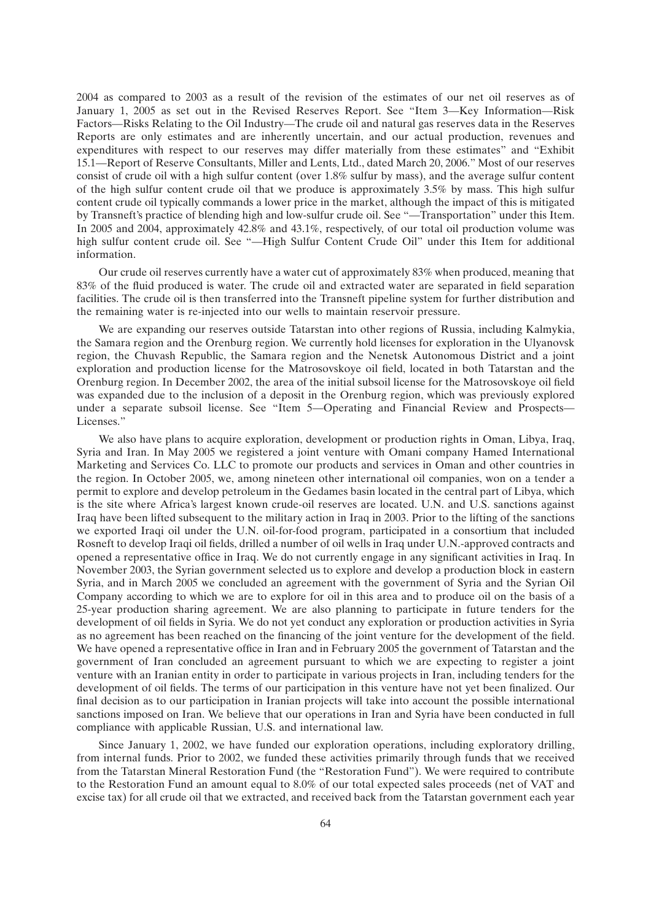2004 as compared to 2003 as a result of the revision of the estimates of our net oil reserves as of January 1, 2005 as set out in the Revised Reserves Report. See ''Item 3—Key Information—Risk Factors—Risks Relating to the Oil Industry—The crude oil and natural gas reserves data in the Reserves Reports are only estimates and are inherently uncertain, and our actual production, revenues and expenditures with respect to our reserves may differ materially from these estimates'' and ''Exhibit 15.1—Report of Reserve Consultants, Miller and Lents, Ltd., dated March 20, 2006.'' Most of our reserves consist of crude oil with a high sulfur content (over 1.8% sulfur by mass), and the average sulfur content of the high sulfur content crude oil that we produce is approximately 3.5% by mass. This high sulfur content crude oil typically commands a lower price in the market, although the impact of this is mitigated by Transneft's practice of blending high and low-sulfur crude oil. See ''—Transportation'' under this Item. In 2005 and 2004, approximately 42.8% and 43.1%, respectively, of our total oil production volume was high sulfur content crude oil. See "-High Sulfur Content Crude Oil" under this Item for additional information.

Our crude oil reserves currently have a water cut of approximately 83% when produced, meaning that 83% of the fluid produced is water. The crude oil and extracted water are separated in field separation facilities. The crude oil is then transferred into the Transneft pipeline system for further distribution and the remaining water is re-injected into our wells to maintain reservoir pressure.

We are expanding our reserves outside Tatarstan into other regions of Russia, including Kalmykia, the Samara region and the Orenburg region. We currently hold licenses for exploration in the Ulyanovsk region, the Chuvash Republic, the Samara region and the Nenetsk Autonomous District and a joint exploration and production license for the Matrosovskoye oil field, located in both Tatarstan and the Orenburg region. In December 2002, the area of the initial subsoil license for the Matrosovskoye oil field was expanded due to the inclusion of a deposit in the Orenburg region, which was previously explored under a separate subsoil license. See ''Item 5—Operating and Financial Review and Prospects— Licenses.''

We also have plans to acquire exploration, development or production rights in Oman, Libya, Iraq, Syria and Iran. In May 2005 we registered a joint venture with Omani company Hamed International Marketing and Services Co. LLC to promote our products and services in Oman and other countries in the region. In October 2005, we, among nineteen other international oil companies, won on a tender a permit to explore and develop petroleum in the Gedames basin located in the central part of Libya, which is the site where Africa's largest known crude-oil reserves are located. U.N. and U.S. sanctions against Iraq have been lifted subsequent to the military action in Iraq in 2003. Prior to the lifting of the sanctions we exported Iraqi oil under the U.N. oil-for-food program, participated in a consortium that included Rosneft to develop Iraqi oil fields, drilled a number of oil wells in Iraq under U.N.-approved contracts and opened a representative office in Iraq. We do not currently engage in any significant activities in Iraq. In November 2003, the Syrian government selected us to explore and develop a production block in eastern Syria, and in March 2005 we concluded an agreement with the government of Syria and the Syrian Oil Company according to which we are to explore for oil in this area and to produce oil on the basis of a 25-year production sharing agreement. We are also planning to participate in future tenders for the development of oil fields in Syria. We do not yet conduct any exploration or production activities in Syria as no agreement has been reached on the financing of the joint venture for the development of the field. We have opened a representative office in Iran and in February 2005 the government of Tatarstan and the government of Iran concluded an agreement pursuant to which we are expecting to register a joint venture with an Iranian entity in order to participate in various projects in Iran, including tenders for the development of oil fields. The terms of our participation in this venture have not yet been finalized. Our final decision as to our participation in Iranian projects will take into account the possible international sanctions imposed on Iran. We believe that our operations in Iran and Syria have been conducted in full compliance with applicable Russian, U.S. and international law.

Since January 1, 2002, we have funded our exploration operations, including exploratory drilling, from internal funds. Prior to 2002, we funded these activities primarily through funds that we received from the Tatarstan Mineral Restoration Fund (the ''Restoration Fund''). We were required to contribute to the Restoration Fund an amount equal to 8.0% of our total expected sales proceeds (net of VAT and excise tax) for all crude oil that we extracted, and received back from the Tatarstan government each year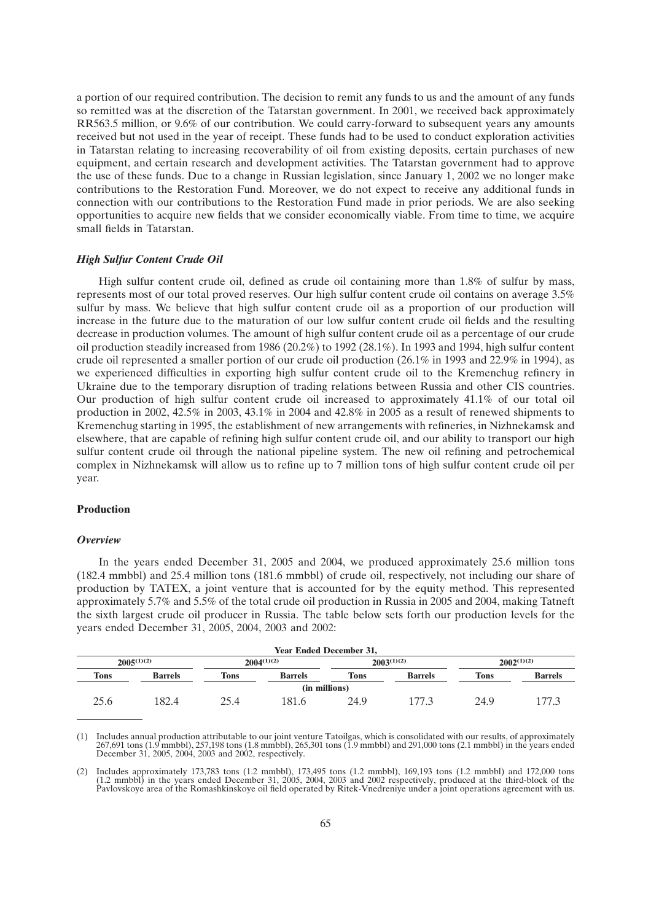a portion of our required contribution. The decision to remit any funds to us and the amount of any funds so remitted was at the discretion of the Tatarstan government. In 2001, we received back approximately RR563.5 million, or 9.6% of our contribution. We could carry-forward to subsequent years any amounts received but not used in the year of receipt. These funds had to be used to conduct exploration activities in Tatarstan relating to increasing recoverability of oil from existing deposits, certain purchases of new equipment, and certain research and development activities. The Tatarstan government had to approve the use of these funds. Due to a change in Russian legislation, since January 1, 2002 we no longer make contributions to the Restoration Fund. Moreover, we do not expect to receive any additional funds in connection with our contributions to the Restoration Fund made in prior periods. We are also seeking opportunities to acquire new fields that we consider economically viable. From time to time, we acquire small fields in Tatarstan.

## *High Sulfur Content Crude Oil*

High sulfur content crude oil, defined as crude oil containing more than 1.8% of sulfur by mass, represents most of our total proved reserves. Our high sulfur content crude oil contains on average 3.5% sulfur by mass. We believe that high sulfur content crude oil as a proportion of our production will increase in the future due to the maturation of our low sulfur content crude oil fields and the resulting decrease in production volumes. The amount of high sulfur content crude oil as a percentage of our crude oil production steadily increased from 1986 (20.2%) to 1992 (28.1%). In 1993 and 1994, high sulfur content crude oil represented a smaller portion of our crude oil production (26.1% in 1993 and 22.9% in 1994), as we experienced difficulties in exporting high sulfur content crude oil to the Kremenchug refinery in Ukraine due to the temporary disruption of trading relations between Russia and other CIS countries. Our production of high sulfur content crude oil increased to approximately 41.1% of our total oil production in 2002, 42.5% in 2003, 43.1% in 2004 and 42.8% in 2005 as a result of renewed shipments to Kremenchug starting in 1995, the establishment of new arrangements with refineries, in Nizhnekamsk and elsewhere, that are capable of refining high sulfur content crude oil, and our ability to transport our high sulfur content crude oil through the national pipeline system. The new oil refining and petrochemical complex in Nizhnekamsk will allow us to refine up to 7 million tons of high sulfur content crude oil per year.

## **Production**

#### *Overview*

In the years ended December 31, 2005 and 2004, we produced approximately 25.6 million tons (182.4 mmbbl) and 25.4 million tons (181.6 mmbbl) of crude oil, respectively, not including our share of production by TATEX, a joint venture that is accounted for by the equity method. This represented approximately 5.7% and 5.5% of the total crude oil production in Russia in 2005 and 2004, making Tatneft the sixth largest crude oil producer in Russia. The table below sets forth our production levels for the years ended December 31, 2005, 2004, 2003 and 2002:

| <b>Year Ended December 31,</b> |                 |                 |                |                 |                |                 |                |  |
|--------------------------------|-----------------|-----------------|----------------|-----------------|----------------|-----------------|----------------|--|
|                                | $2005^{(1)(2)}$ | $2004^{(1)(2)}$ |                | $2003^{(1)(2)}$ |                | $2002^{(1)(2)}$ |                |  |
| <b>Tons</b>                    | <b>Barrels</b>  | Tons            | <b>Barrels</b> | <b>Tons</b>     | <b>Barrels</b> | <b>Tons</b>     | <b>Barrels</b> |  |
| (in millions)                  |                 |                 |                |                 |                |                 |                |  |
| 25.6                           | 182.4           | 25.4            | 181.6          | 24.9            |                | 24.9            | 177.3          |  |

(1) Includes annual production attributable to our joint venture Tatoilgas, which is consolidated with our results, of approximately 267,691 tons (1.9 mmbbl), 257,198 tons (1.8 mmbbl), 265,301 tons (1.9 mmbbl) and 291,000 tons (2.1 mmbbl) in the years ended December 31, 2005, 2004, 2003 and 2002, respectively.

(2) Includes approximately 173,783 tons (1.2 mmbbl), 173,495 tons (1.2 mmbbl), 169,193 tons (1.2 mmbbl) and 172,000 tons (1.2 mmbbl) in the years ended December 31, 2005, 2004, 2003 and 2002 respectively, produced at the third-block of the Pavlovskoye area of the Romashkinskoye oil field operated by Ritek-Vnedreniye under a joint operations agreement with us.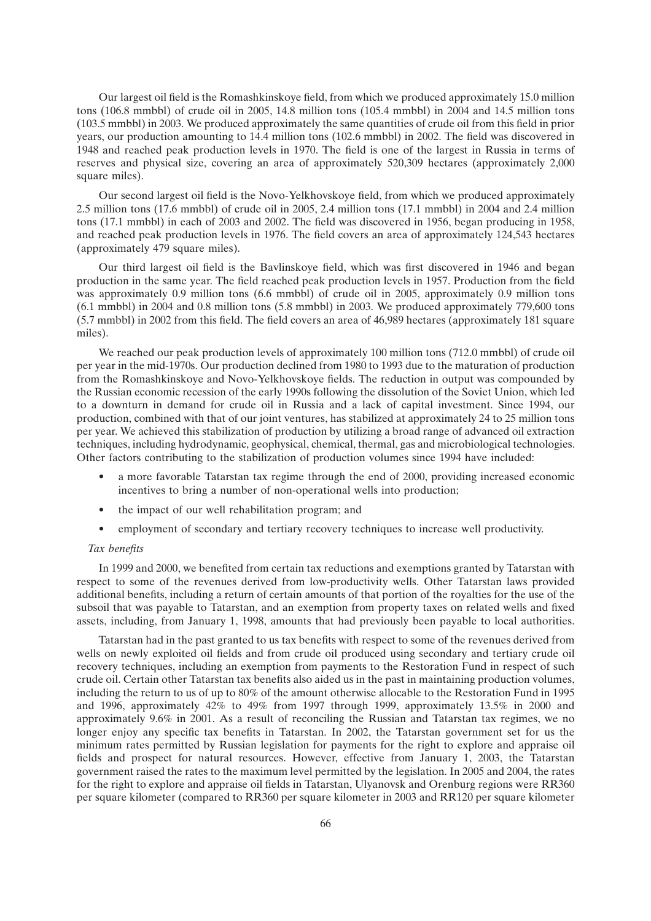Our largest oil field is the Romashkinskoye field, from which we produced approximately 15.0 million tons (106.8 mmbbl) of crude oil in 2005, 14.8 million tons (105.4 mmbbl) in 2004 and 14.5 million tons (103.5 mmbbl) in 2003. We produced approximately the same quantities of crude oil from this field in prior years, our production amounting to 14.4 million tons (102.6 mmbbl) in 2002. The field was discovered in 1948 and reached peak production levels in 1970. The field is one of the largest in Russia in terms of reserves and physical size, covering an area of approximately 520,309 hectares (approximately 2,000 square miles).

Our second largest oil field is the Novo-Yelkhovskoye field, from which we produced approximately 2.5 million tons (17.6 mmbbl) of crude oil in 2005, 2.4 million tons (17.1 mmbbl) in 2004 and 2.4 million tons (17.1 mmbbl) in each of 2003 and 2002. The field was discovered in 1956, began producing in 1958, and reached peak production levels in 1976. The field covers an area of approximately 124,543 hectares (approximately 479 square miles).

Our third largest oil field is the Bavlinskoye field, which was first discovered in 1946 and began production in the same year. The field reached peak production levels in 1957. Production from the field was approximately 0.9 million tons (6.6 mmbbl) of crude oil in 2005, approximately 0.9 million tons (6.1 mmbbl) in 2004 and 0.8 million tons (5.8 mmbbl) in 2003. We produced approximately 779,600 tons (5.7 mmbbl) in 2002 from this field. The field covers an area of 46,989 hectares (approximately 181 square miles).

We reached our peak production levels of approximately 100 million tons (712.0 mmbbl) of crude oil per year in the mid-1970s. Our production declined from 1980 to 1993 due to the maturation of production from the Romashkinskoye and Novo-Yelkhovskoye fields. The reduction in output was compounded by the Russian economic recession of the early 1990s following the dissolution of the Soviet Union, which led to a downturn in demand for crude oil in Russia and a lack of capital investment. Since 1994, our production, combined with that of our joint ventures, has stabilized at approximately 24 to 25 million tons per year. We achieved this stabilization of production by utilizing a broad range of advanced oil extraction techniques, including hydrodynamic, geophysical, chemical, thermal, gas and microbiological technologies. Other factors contributing to the stabilization of production volumes since 1994 have included:

- a more favorable Tatarstan tax regime through the end of 2000, providing increased economic incentives to bring a number of non-operational wells into production;
- the impact of our well rehabilitation program; and
- employment of secondary and tertiary recovery techniques to increase well productivity.

#### *Tax benefits*

In 1999 and 2000, we benefited from certain tax reductions and exemptions granted by Tatarstan with respect to some of the revenues derived from low-productivity wells. Other Tatarstan laws provided additional benefits, including a return of certain amounts of that portion of the royalties for the use of the subsoil that was payable to Tatarstan, and an exemption from property taxes on related wells and fixed assets, including, from January 1, 1998, amounts that had previously been payable to local authorities.

Tatarstan had in the past granted to us tax benefits with respect to some of the revenues derived from wells on newly exploited oil fields and from crude oil produced using secondary and tertiary crude oil recovery techniques, including an exemption from payments to the Restoration Fund in respect of such crude oil. Certain other Tatarstan tax benefits also aided us in the past in maintaining production volumes, including the return to us of up to 80% of the amount otherwise allocable to the Restoration Fund in 1995 and 1996, approximately 42% to 49% from 1997 through 1999, approximately 13.5% in 2000 and approximately 9.6% in 2001. As a result of reconciling the Russian and Tatarstan tax regimes, we no longer enjoy any specific tax benefits in Tatarstan. In 2002, the Tatarstan government set for us the minimum rates permitted by Russian legislation for payments for the right to explore and appraise oil fields and prospect for natural resources. However, effective from January 1, 2003, the Tatarstan government raised the rates to the maximum level permitted by the legislation. In 2005 and 2004, the rates for the right to explore and appraise oil fields in Tatarstan, Ulyanovsk and Orenburg regions were RR360 per square kilometer (compared to RR360 per square kilometer in 2003 and RR120 per square kilometer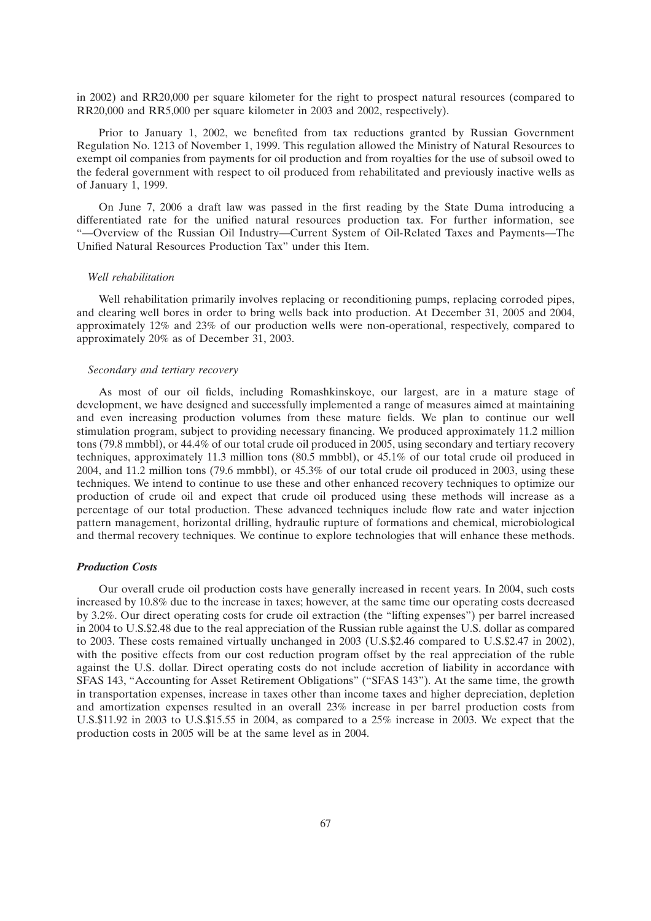in 2002) and RR20,000 per square kilometer for the right to prospect natural resources (compared to RR20,000 and RR5,000 per square kilometer in 2003 and 2002, respectively).

Prior to January 1, 2002, we benefited from tax reductions granted by Russian Government Regulation No. 1213 of November 1, 1999. This regulation allowed the Ministry of Natural Resources to exempt oil companies from payments for oil production and from royalties for the use of subsoil owed to the federal government with respect to oil produced from rehabilitated and previously inactive wells as of January 1, 1999.

On June 7, 2006 a draft law was passed in the first reading by the State Duma introducing a differentiated rate for the unified natural resources production tax. For further information, see ''—Overview of the Russian Oil Industry—Current System of Oil-Related Taxes and Payments—The Unified Natural Resources Production Tax'' under this Item.

### *Well rehabilitation*

Well rehabilitation primarily involves replacing or reconditioning pumps, replacing corroded pipes, and clearing well bores in order to bring wells back into production. At December 31, 2005 and 2004, approximately 12% and 23% of our production wells were non-operational, respectively, compared to approximately 20% as of December 31, 2003.

## *Secondary and tertiary recovery*

As most of our oil fields, including Romashkinskoye, our largest, are in a mature stage of development, we have designed and successfully implemented a range of measures aimed at maintaining and even increasing production volumes from these mature fields. We plan to continue our well stimulation program, subject to providing necessary financing. We produced approximately 11.2 million tons (79.8 mmbbl), or 44.4% of our total crude oil produced in 2005, using secondary and tertiary recovery techniques, approximately 11.3 million tons (80.5 mmbbl), or 45.1% of our total crude oil produced in 2004, and 11.2 million tons (79.6 mmbbl), or 45.3% of our total crude oil produced in 2003, using these techniques. We intend to continue to use these and other enhanced recovery techniques to optimize our production of crude oil and expect that crude oil produced using these methods will increase as a percentage of our total production. These advanced techniques include flow rate and water injection pattern management, horizontal drilling, hydraulic rupture of formations and chemical, microbiological and thermal recovery techniques. We continue to explore technologies that will enhance these methods.

### *Production Costs*

Our overall crude oil production costs have generally increased in recent years. In 2004, such costs increased by 10.8% due to the increase in taxes; however, at the same time our operating costs decreased by 3.2%. Our direct operating costs for crude oil extraction (the ''lifting expenses'') per barrel increased in 2004 to U.S.\$2.48 due to the real appreciation of the Russian ruble against the U.S. dollar as compared to 2003. These costs remained virtually unchanged in 2003 (U.S.\$2.46 compared to U.S.\$2.47 in 2002), with the positive effects from our cost reduction program offset by the real appreciation of the ruble against the U.S. dollar. Direct operating costs do not include accretion of liability in accordance with SFAS 143, "Accounting for Asset Retirement Obligations" ("SFAS 143"). At the same time, the growth in transportation expenses, increase in taxes other than income taxes and higher depreciation, depletion and amortization expenses resulted in an overall 23% increase in per barrel production costs from U.S.\$11.92 in 2003 to U.S.\$15.55 in 2004, as compared to a 25% increase in 2003. We expect that the production costs in 2005 will be at the same level as in 2004.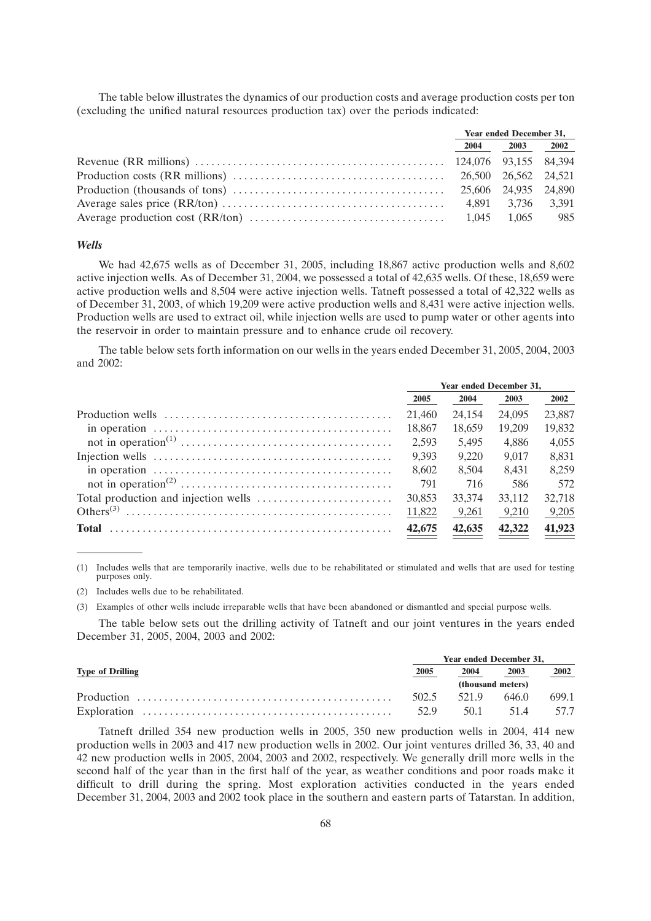The table below illustrates the dynamics of our production costs and average production costs per ton (excluding the unified natural resources production tax) over the periods indicated:

|  | <b>Year ended December 31,</b> |  |
|--|--------------------------------|--|
|  | 2004 2003 2002                 |  |
|  |                                |  |
|  |                                |  |
|  |                                |  |
|  |                                |  |
|  |                                |  |

### *Wells*

We had 42,675 wells as of December 31, 2005, including 18,867 active production wells and 8,602 active injection wells. As of December 31, 2004, we possessed a total of 42,635 wells. Of these, 18,659 were active production wells and 8,504 were active injection wells. Tatneft possessed a total of 42,322 wells as of December 31, 2003, of which 19,209 were active production wells and 8,431 were active injection wells. Production wells are used to extract oil, while injection wells are used to pump water or other agents into the reservoir in order to maintain pressure and to enhance crude oil recovery.

The table below sets forth information on our wells in the years ended December 31, 2005, 2004, 2003 and 2002:

|                                                                                                    | <b>Year ended December 31.</b> |        |        |        |
|----------------------------------------------------------------------------------------------------|--------------------------------|--------|--------|--------|
|                                                                                                    | 2005                           | 2004   | 2003   | 2002   |
|                                                                                                    | 21.460                         | 24.154 | 24,095 | 23,887 |
| in operation $\dots \dots \dots \dots \dots \dots \dots \dots \dots \dots \dots \dots \dots \dots$ | 18.867                         | 18.659 | 19.209 | 19.832 |
|                                                                                                    | 2.593                          | 5.495  | 4.886  | 4.055  |
|                                                                                                    | 9.393                          | 9.220  | 9.017  | 8.831  |
| in operation $\dots \dots \dots \dots \dots \dots \dots \dots \dots \dots \dots \dots \dots \dots$ | 8.602                          | 8.504  | 8.431  | 8.259  |
|                                                                                                    | 791                            | 716    | 586    | 572    |
|                                                                                                    | 30,853                         | 33,374 | 33.112 | 32.718 |
|                                                                                                    | 11,822                         | 9,261  | 9,210  | 9,205  |
| <b>Total</b>                                                                                       | 42,675                         | 42,635 | 42,322 | 41,923 |
|                                                                                                    |                                |        |        |        |

(1) Includes wells that are temporarily inactive, wells due to be rehabilitated or stimulated and wells that are used for testing purposes only.

(2) Includes wells due to be rehabilitated.

(3) Examples of other wells include irreparable wells that have been abandoned or dismantled and special purpose wells.

The table below sets out the drilling activity of Tatneft and our joint ventures in the years ended December 31, 2005, 2004, 2003 and 2002:

|                         | <b>Year ended December 31.</b> |      |                   |       |  |
|-------------------------|--------------------------------|------|-------------------|-------|--|
| <b>Type of Drilling</b> | 2005                           | 2004 | 2003              | 2002  |  |
|                         |                                |      | (thousand meters) |       |  |
|                         | 502.5                          | 5219 | 646.0             | 699.1 |  |
|                         | 529                            | 50.1 | 514               | 57.7  |  |

Tatneft drilled 354 new production wells in 2005, 350 new production wells in 2004, 414 new production wells in 2003 and 417 new production wells in 2002. Our joint ventures drilled 36, 33, 40 and 42 new production wells in 2005, 2004, 2003 and 2002, respectively. We generally drill more wells in the second half of the year than in the first half of the year, as weather conditions and poor roads make it difficult to drill during the spring. Most exploration activities conducted in the years ended December 31, 2004, 2003 and 2002 took place in the southern and eastern parts of Tatarstan. In addition,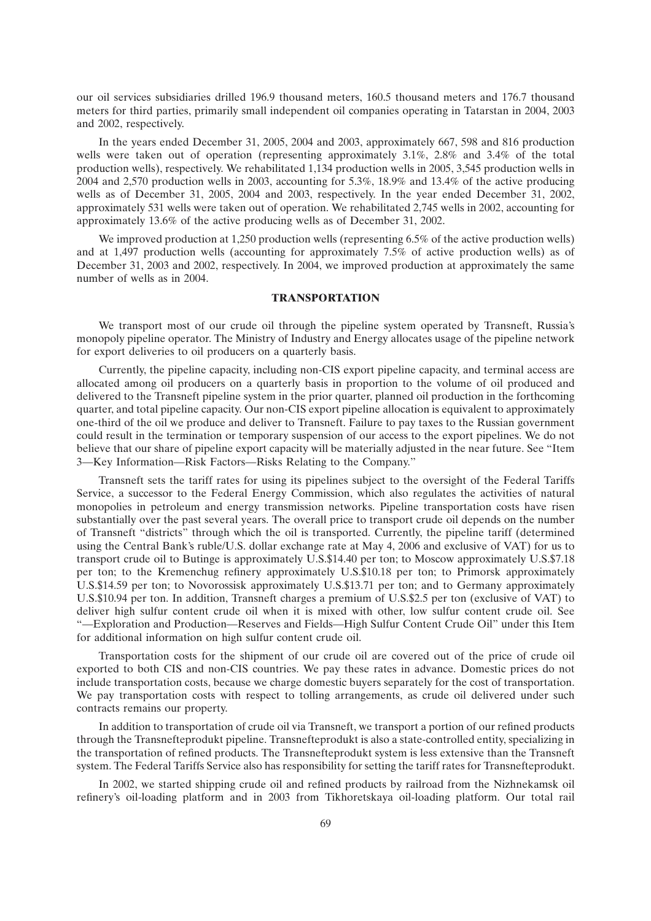our oil services subsidiaries drilled 196.9 thousand meters, 160.5 thousand meters and 176.7 thousand meters for third parties, primarily small independent oil companies operating in Tatarstan in 2004, 2003 and 2002, respectively.

In the years ended December 31, 2005, 2004 and 2003, approximately 667, 598 and 816 production wells were taken out of operation (representing approximately 3.1%, 2.8% and 3.4% of the total production wells), respectively. We rehabilitated 1,134 production wells in 2005, 3,545 production wells in 2004 and 2,570 production wells in 2003, accounting for 5.3%, 18.9% and 13.4% of the active producing wells as of December 31, 2005, 2004 and 2003, respectively. In the year ended December 31, 2002, approximately 531 wells were taken out of operation. We rehabilitated 2,745 wells in 2002, accounting for approximately 13.6% of the active producing wells as of December 31, 2002.

We improved production at 1,250 production wells (representing 6.5% of the active production wells) and at 1,497 production wells (accounting for approximately 7.5% of active production wells) as of December 31, 2003 and 2002, respectively. In 2004, we improved production at approximately the same number of wells as in 2004.

# **TRANSPORTATION**

We transport most of our crude oil through the pipeline system operated by Transneft, Russia's monopoly pipeline operator. The Ministry of Industry and Energy allocates usage of the pipeline network for export deliveries to oil producers on a quarterly basis.

Currently, the pipeline capacity, including non-CIS export pipeline capacity, and terminal access are allocated among oil producers on a quarterly basis in proportion to the volume of oil produced and delivered to the Transneft pipeline system in the prior quarter, planned oil production in the forthcoming quarter, and total pipeline capacity. Our non-CIS export pipeline allocation is equivalent to approximately one-third of the oil we produce and deliver to Transneft. Failure to pay taxes to the Russian government could result in the termination or temporary suspension of our access to the export pipelines. We do not believe that our share of pipeline export capacity will be materially adjusted in the near future. See ''Item 3—Key Information—Risk Factors—Risks Relating to the Company.''

Transneft sets the tariff rates for using its pipelines subject to the oversight of the Federal Tariffs Service, a successor to the Federal Energy Commission, which also regulates the activities of natural monopolies in petroleum and energy transmission networks. Pipeline transportation costs have risen substantially over the past several years. The overall price to transport crude oil depends on the number of Transneft ''districts'' through which the oil is transported. Currently, the pipeline tariff (determined using the Central Bank's ruble/U.S. dollar exchange rate at May 4, 2006 and exclusive of VAT) for us to transport crude oil to Butinge is approximately U.S.\$14.40 per ton; to Moscow approximately U.S.\$7.18 per ton; to the Kremenchug refinery approximately U.S.\$10.18 per ton; to Primorsk approximately U.S.\$14.59 per ton; to Novorossisk approximately U.S.\$13.71 per ton; and to Germany approximately U.S.\$10.94 per ton. In addition, Transneft charges a premium of U.S.\$2.5 per ton (exclusive of VAT) to deliver high sulfur content crude oil when it is mixed with other, low sulfur content crude oil. See ''—Exploration and Production—Reserves and Fields—High Sulfur Content Crude Oil'' under this Item for additional information on high sulfur content crude oil.

Transportation costs for the shipment of our crude oil are covered out of the price of crude oil exported to both CIS and non-CIS countries. We pay these rates in advance. Domestic prices do not include transportation costs, because we charge domestic buyers separately for the cost of transportation. We pay transportation costs with respect to tolling arrangements, as crude oil delivered under such contracts remains our property.

In addition to transportation of crude oil via Transneft, we transport a portion of our refined products through the Transnefteprodukt pipeline. Transnefteprodukt is also a state-controlled entity, specializing in the transportation of refined products. The Transnefteprodukt system is less extensive than the Transneft system. The Federal Tariffs Service also has responsibility for setting the tariff rates for Transnefteprodukt.

In 2002, we started shipping crude oil and refined products by railroad from the Nizhnekamsk oil refinery's oil-loading platform and in 2003 from Tikhoretskaya oil-loading platform. Our total rail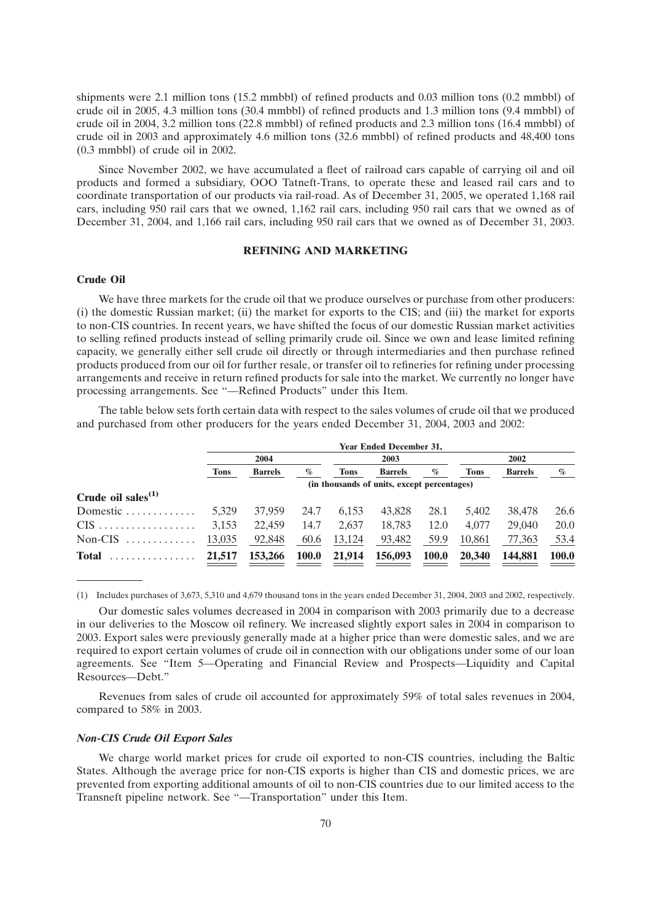shipments were 2.1 million tons (15.2 mmbbl) of refined products and 0.03 million tons (0.2 mmbbl) of crude oil in 2005, 4.3 million tons (30.4 mmbbl) of refined products and 1.3 million tons (9.4 mmbbl) of crude oil in 2004, 3.2 million tons (22.8 mmbbl) of refined products and 2.3 million tons (16.4 mmbbl) of crude oil in 2003 and approximately 4.6 million tons (32.6 mmbbl) of refined products and 48,400 tons (0.3 mmbbl) of crude oil in 2002.

Since November 2002, we have accumulated a fleet of railroad cars capable of carrying oil and oil products and formed a subsidiary, OOO Tatneft-Trans, to operate these and leased rail cars and to coordinate transportation of our products via rail-road. As of December 31, 2005, we operated 1,168 rail cars, including 950 rail cars that we owned, 1,162 rail cars, including 950 rail cars that we owned as of December 31, 2004, and 1,166 rail cars, including 950 rail cars that we owned as of December 31, 2003.

## **REFINING AND MARKETING**

### **Crude Oil**

We have three markets for the crude oil that we produce ourselves or purchase from other producers: (i) the domestic Russian market; (ii) the market for exports to the CIS; and (iii) the market for exports to non-CIS countries. In recent years, we have shifted the focus of our domestic Russian market activities to selling refined products instead of selling primarily crude oil. Since we own and lease limited refining capacity, we generally either sell crude oil directly or through intermediaries and then purchase refined products produced from our oil for further resale, or transfer oil to refineries for refining under processing arrangements and receive in return refined products for sale into the market. We currently no longer have processing arrangements. See ''—Refined Products'' under this Item.

The table below sets forth certain data with respect to the sales volumes of crude oil that we produced and purchased from other producers for the years ended December 31, 2004, 2003 and 2002:

| <b>Year Ended December 31,</b> |                |              |             |                |              |        |                                             |              |  |
|--------------------------------|----------------|--------------|-------------|----------------|--------------|--------|---------------------------------------------|--------------|--|
| 2004                           |                |              |             | 2003           |              |        | 2002                                        |              |  |
| Tons                           | <b>Barrels</b> | $\%$         | <b>Tons</b> | <b>Barrels</b> | $\%$         | Tons   | <b>Barrels</b>                              | $\%$         |  |
|                                |                |              |             |                |              |        |                                             |              |  |
|                                |                |              |             |                |              |        |                                             |              |  |
| 5.329                          | 37,959         | 24.7         | 6.153       | 43.828         | 28.1         | 5.402  | 38,478                                      | 26.6         |  |
| 3,153                          | 22,459         | 14.7         | 2.637       | 18,783         | 12.0         | 4.077  | 29,040                                      | 20.0         |  |
| 13,035                         | 92,848         | 60.6         | 13,124      | 93,482         | 59.9         | 10.861 | 77,363                                      | 53.4         |  |
| 21,517                         | 153,266        | <b>100.0</b> | 21,914      | 156,093        | <b>100.0</b> | 20,340 | 144,881                                     | <b>100.0</b> |  |
|                                |                |              |             |                |              |        | (in thousands of units, except percentages) |              |  |

(1) Includes purchases of 3,673, 5,310 and 4,679 thousand tons in the years ended December 31, 2004, 2003 and 2002, respectively.

Our domestic sales volumes decreased in 2004 in comparison with 2003 primarily due to a decrease in our deliveries to the Moscow oil refinery. We increased slightly export sales in 2004 in comparison to 2003. Export sales were previously generally made at a higher price than were domestic sales, and we are required to export certain volumes of crude oil in connection with our obligations under some of our loan agreements. See ''Item 5—Operating and Financial Review and Prospects—Liquidity and Capital Resources—Debt.''

Revenues from sales of crude oil accounted for approximately 59% of total sales revenues in 2004, compared to 58% in 2003.

#### *Non-CIS Crude Oil Export Sales*

We charge world market prices for crude oil exported to non-CIS countries, including the Baltic States. Although the average price for non-CIS exports is higher than CIS and domestic prices, we are prevented from exporting additional amounts of oil to non-CIS countries due to our limited access to the Transneft pipeline network. See ''—Transportation'' under this Item.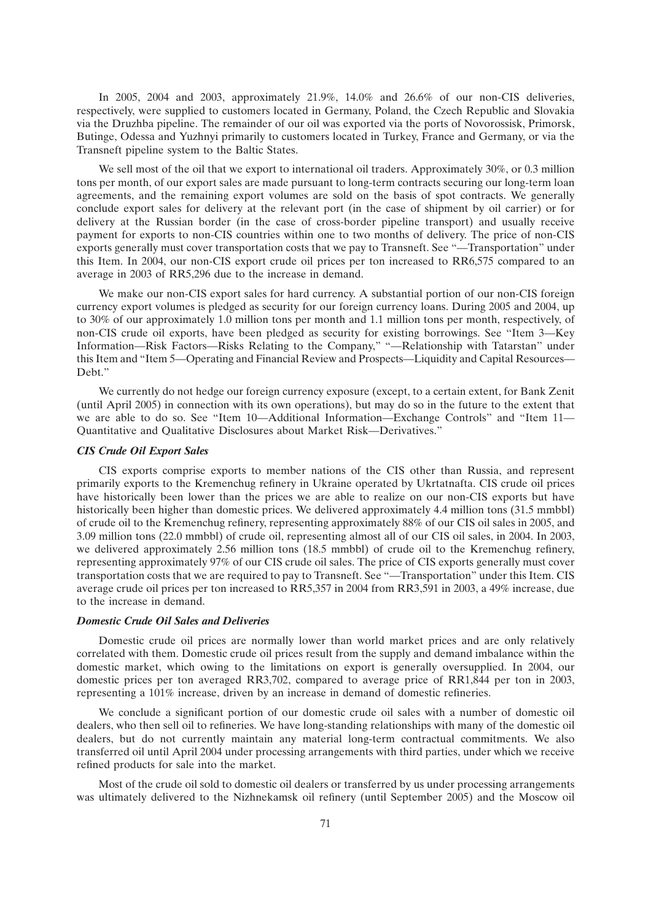In 2005, 2004 and 2003, approximately 21.9%, 14.0% and 26.6% of our non-CIS deliveries, respectively, were supplied to customers located in Germany, Poland, the Czech Republic and Slovakia via the Druzhba pipeline. The remainder of our oil was exported via the ports of Novorossisk, Primorsk, Butinge, Odessa and Yuzhnyi primarily to customers located in Turkey, France and Germany, or via the Transneft pipeline system to the Baltic States.

We sell most of the oil that we export to international oil traders. Approximately 30%, or 0.3 million tons per month, of our export sales are made pursuant to long-term contracts securing our long-term loan agreements, and the remaining export volumes are sold on the basis of spot contracts. We generally conclude export sales for delivery at the relevant port (in the case of shipment by oil carrier) or for delivery at the Russian border (in the case of cross-border pipeline transport) and usually receive payment for exports to non-CIS countries within one to two months of delivery. The price of non-CIS exports generally must cover transportation costs that we pay to Transneft. See ''—Transportation'' under this Item. In 2004, our non-CIS export crude oil prices per ton increased to RR6,575 compared to an average in 2003 of RR5,296 due to the increase in demand.

We make our non-CIS export sales for hard currency. A substantial portion of our non-CIS foreign currency export volumes is pledged as security for our foreign currency loans. During 2005 and 2004, up to 30% of our approximately 1.0 million tons per month and 1.1 million tons per month, respectively, of non-CIS crude oil exports, have been pledged as security for existing borrowings. See ''Item 3—Key Information—Risk Factors—Risks Relating to the Company," "—Relationship with Tatarstan" under this Item and ''Item 5—Operating and Financial Review and Prospects—Liquidity and Capital Resources— Debt.''

We currently do not hedge our foreign currency exposure (except, to a certain extent, for Bank Zenit (until April 2005) in connection with its own operations), but may do so in the future to the extent that we are able to do so. See "Item 10—Additional Information—Exchange Controls" and "Item 11— Quantitative and Qualitative Disclosures about Market Risk—Derivatives.''

## *CIS Crude Oil Export Sales*

CIS exports comprise exports to member nations of the CIS other than Russia, and represent primarily exports to the Kremenchug refinery in Ukraine operated by Ukrtatnafta. CIS crude oil prices have historically been lower than the prices we are able to realize on our non-CIS exports but have historically been higher than domestic prices. We delivered approximately 4.4 million tons (31.5 mmbbl) of crude oil to the Kremenchug refinery, representing approximately 88% of our CIS oil sales in 2005, and 3.09 million tons (22.0 mmbbl) of crude oil, representing almost all of our CIS oil sales, in 2004. In 2003, we delivered approximately 2.56 million tons (18.5 mmbbl) of crude oil to the Kremenchug refinery, representing approximately 97% of our CIS crude oil sales. The price of CIS exports generally must cover transportation costs that we are required to pay to Transneft. See ''—Transportation'' under this Item. CIS average crude oil prices per ton increased to RR5,357 in 2004 from RR3,591 in 2003, a 49% increase, due to the increase in demand.

## *Domestic Crude Oil Sales and Deliveries*

Domestic crude oil prices are normally lower than world market prices and are only relatively correlated with them. Domestic crude oil prices result from the supply and demand imbalance within the domestic market, which owing to the limitations on export is generally oversupplied. In 2004, our domestic prices per ton averaged RR3,702, compared to average price of RR1,844 per ton in 2003, representing a 101% increase, driven by an increase in demand of domestic refineries.

We conclude a significant portion of our domestic crude oil sales with a number of domestic oil dealers, who then sell oil to refineries. We have long-standing relationships with many of the domestic oil dealers, but do not currently maintain any material long-term contractual commitments. We also transferred oil until April 2004 under processing arrangements with third parties, under which we receive refined products for sale into the market.

Most of the crude oil sold to domestic oil dealers or transferred by us under processing arrangements was ultimately delivered to the Nizhnekamsk oil refinery (until September 2005) and the Moscow oil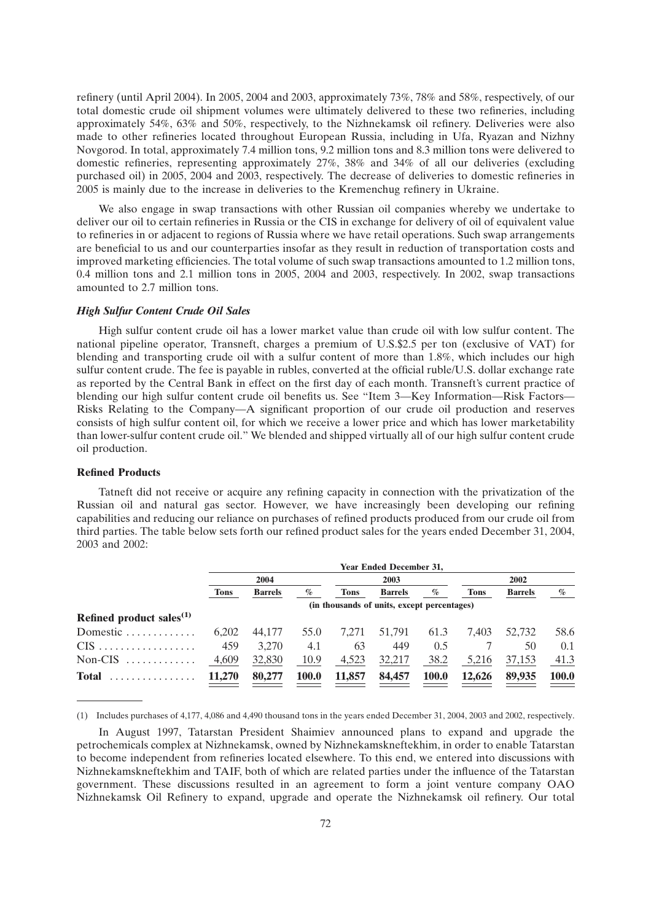refinery (until April 2004). In 2005, 2004 and 2003, approximately 73%, 78% and 58%, respectively, of our total domestic crude oil shipment volumes were ultimately delivered to these two refineries, including approximately 54%, 63% and 50%, respectively, to the Nizhnekamsk oil refinery. Deliveries were also made to other refineries located throughout European Russia, including in Ufa, Ryazan and Nizhny Novgorod. In total, approximately 7.4 million tons, 9.2 million tons and 8.3 million tons were delivered to domestic refineries, representing approximately 27%, 38% and 34% of all our deliveries (excluding purchased oil) in 2005, 2004 and 2003, respectively. The decrease of deliveries to domestic refineries in 2005 is mainly due to the increase in deliveries to the Kremenchug refinery in Ukraine.

We also engage in swap transactions with other Russian oil companies whereby we undertake to deliver our oil to certain refineries in Russia or the CIS in exchange for delivery of oil of equivalent value to refineries in or adjacent to regions of Russia where we have retail operations. Such swap arrangements are beneficial to us and our counterparties insofar as they result in reduction of transportation costs and improved marketing efficiencies. The total volume of such swap transactions amounted to 1.2 million tons, 0.4 million tons and 2.1 million tons in 2005, 2004 and 2003, respectively. In 2002, swap transactions amounted to 2.7 million tons.

## *High Sulfur Content Crude Oil Sales*

High sulfur content crude oil has a lower market value than crude oil with low sulfur content. The national pipeline operator, Transneft, charges a premium of U.S.\$2.5 per ton (exclusive of VAT) for blending and transporting crude oil with a sulfur content of more than 1.8%, which includes our high sulfur content crude. The fee is payable in rubles, converted at the official ruble/U.S. dollar exchange rate as reported by the Central Bank in effect on the first day of each month. Transneft's current practice of blending our high sulfur content crude oil benefits us. See ''Item 3—Key Information—Risk Factors— Risks Relating to the Company—A significant proportion of our crude oil production and reserves consists of high sulfur content oil, for which we receive a lower price and which has lower marketability than lower-sulfur content crude oil.'' We blended and shipped virtually all of our high sulfur content crude oil production.

## **Refined Products**

Tatneft did not receive or acquire any refining capacity in connection with the privatization of the Russian oil and natural gas sector. However, we have increasingly been developing our refining capabilities and reducing our reliance on purchases of refined products produced from our crude oil from third parties. The table below sets forth our refined product sales for the years ended December 31, 2004, 2003 and 2002:

|                                      | <b>Year Ended December 31,</b> |                |              |             |                                             |              |             |                |              |
|--------------------------------------|--------------------------------|----------------|--------------|-------------|---------------------------------------------|--------------|-------------|----------------|--------------|
|                                      |                                | 2004           |              |             | 2003                                        |              | 2002        |                |              |
|                                      | <b>Tons</b>                    | <b>Barrels</b> | $\%$         | <b>Tons</b> | <b>Barrels</b>                              | %            | <b>Tons</b> | <b>Barrels</b> | $\%$         |
|                                      |                                |                |              |             | (in thousands of units, except percentages) |              |             |                |              |
| Refined product sales <sup>(1)</sup> |                                |                |              |             |                                             |              |             |                |              |
| Domestic                             | 6.202                          | 44,177         | 55.0         | 7.271       | 51.791                                      | 61.3         | 7.403       | 52,732         | 58.6         |
| $CIS$                                | 459                            | 3.270          | 4.1          | 63          | 449                                         | 0.5          |             | 50             | 0.1          |
| $Non-CIS$                            | 4,609                          | 32,830         | 10.9         | 4,523       | 32,217                                      | 38.2         | 5,216       | 37,153         | 41.3         |
| <b>Total</b><br>.                    | 11,270                         | 80,277         | <b>100.0</b> | 11,857      | 84,457                                      | <b>100.0</b> | 12,626      | 89,935         | <b>100.0</b> |

(1) Includes purchases of 4,177, 4,086 and 4,490 thousand tons in the years ended December 31, 2004, 2003 and 2002, respectively.

In August 1997, Tatarstan President Shaimiev announced plans to expand and upgrade the petrochemicals complex at Nizhnekamsk, owned by Nizhnekamskneftekhim, in order to enable Tatarstan to become independent from refineries located elsewhere. To this end, we entered into discussions with Nizhnekamskneftekhim and TAIF, both of which are related parties under the influence of the Tatarstan government. These discussions resulted in an agreement to form a joint venture company OAO Nizhnekamsk Oil Refinery to expand, upgrade and operate the Nizhnekamsk oil refinery. Our total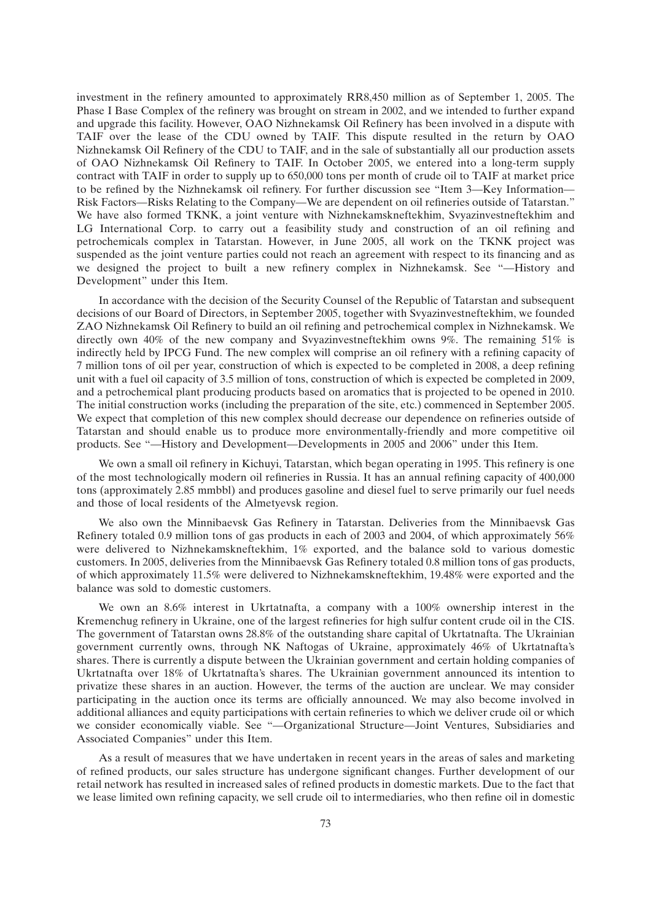investment in the refinery amounted to approximately RR8,450 million as of September 1, 2005. The Phase I Base Complex of the refinery was brought on stream in 2002, and we intended to further expand and upgrade this facility. However, OAO Nizhnekamsk Oil Refinery has been involved in a dispute with TAIF over the lease of the CDU owned by TAIF. This dispute resulted in the return by OAO Nizhnekamsk Oil Refinery of the CDU to TAIF, and in the sale of substantially all our production assets of OAO Nizhnekamsk Oil Refinery to TAIF. In October 2005, we entered into a long-term supply contract with TAIF in order to supply up to 650,000 tons per month of crude oil to TAIF at market price to be refined by the Nizhnekamsk oil refinery. For further discussion see "Item 3—Key Information— Risk Factors—Risks Relating to the Company—We are dependent on oil refineries outside of Tatarstan.'' We have also formed TKNK, a joint venture with Nizhnekamskneftekhim, Svyazinvestneftekhim and LG International Corp. to carry out a feasibility study and construction of an oil refining and petrochemicals complex in Tatarstan. However, in June 2005, all work on the TKNK project was suspended as the joint venture parties could not reach an agreement with respect to its financing and as we designed the project to built a new refinery complex in Nizhnekamsk. See ''—History and Development'' under this Item.

In accordance with the decision of the Security Counsel of the Republic of Tatarstan and subsequent decisions of our Board of Directors, in September 2005, together with Svyazinvestneftekhim, we founded ZAO Nizhnekamsk Oil Refinery to build an oil refining and petrochemical complex in Nizhnekamsk. We directly own 40% of the new company and Svyazinvestneftekhim owns 9%. The remaining 51% is indirectly held by IPCG Fund. The new complex will comprise an oil refinery with a refining capacity of 7 million tons of oil per year, construction of which is expected to be completed in 2008, a deep refining unit with a fuel oil capacity of 3.5 million of tons, construction of which is expected be completed in 2009, and a petrochemical plant producing products based on aromatics that is projected to be opened in 2010. The initial construction works (including the preparation of the site, etc.) commenced in September 2005. We expect that completion of this new complex should decrease our dependence on refineries outside of Tatarstan and should enable us to produce more environmentally-friendly and more competitive oil products. See ''—History and Development—Developments in 2005 and 2006'' under this Item.

We own a small oil refinery in Kichuyi, Tatarstan, which began operating in 1995. This refinery is one of the most technologically modern oil refineries in Russia. It has an annual refining capacity of 400,000 tons (approximately 2.85 mmbbl) and produces gasoline and diesel fuel to serve primarily our fuel needs and those of local residents of the Almetyevsk region.

We also own the Minnibaevsk Gas Refinery in Tatarstan. Deliveries from the Minnibaevsk Gas Refinery totaled 0.9 million tons of gas products in each of 2003 and 2004, of which approximately 56% were delivered to Nizhnekamskneftekhim, 1% exported, and the balance sold to various domestic customers. In 2005, deliveries from the Minnibaevsk Gas Refinery totaled 0.8 million tons of gas products, of which approximately 11.5% were delivered to Nizhnekamskneftekhim, 19.48% were exported and the balance was sold to domestic customers.

We own an 8.6% interest in Ukrtatnafta, a company with a 100% ownership interest in the Kremenchug refinery in Ukraine, one of the largest refineries for high sulfur content crude oil in the CIS. The government of Tatarstan owns 28.8% of the outstanding share capital of Ukrtatnafta. The Ukrainian government currently owns, through NK Naftogas of Ukraine, approximately 46% of Ukrtatnafta's shares. There is currently a dispute between the Ukrainian government and certain holding companies of Ukrtatnafta over 18% of Ukrtatnafta's shares. The Ukrainian government announced its intention to privatize these shares in an auction. However, the terms of the auction are unclear. We may consider participating in the auction once its terms are officially announced. We may also become involved in additional alliances and equity participations with certain refineries to which we deliver crude oil or which we consider economically viable. See ''—Organizational Structure—Joint Ventures, Subsidiaries and Associated Companies'' under this Item.

As a result of measures that we have undertaken in recent years in the areas of sales and marketing of refined products, our sales structure has undergone significant changes. Further development of our retail network has resulted in increased sales of refined products in domestic markets. Due to the fact that we lease limited own refining capacity, we sell crude oil to intermediaries, who then refine oil in domestic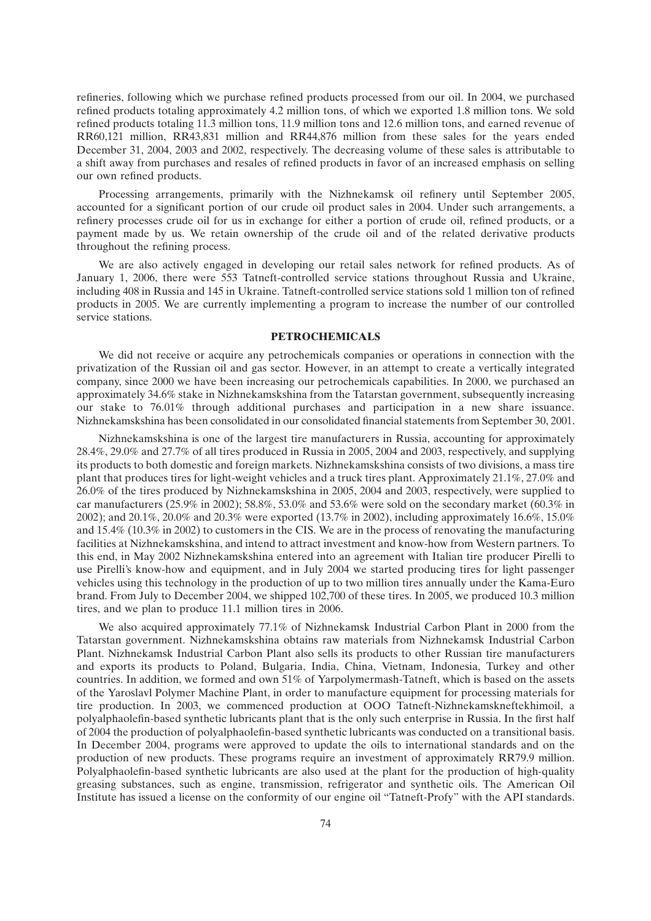refineries, following which we purchase refined products processed from our oil. In 2004, we purchased refined products totaling approximately 4.2 million tons, of which we exported 1.8 million tons. We sold refined products totaling 11.3 million tons, 11.9 million tons and 12.6 million tons, and earned revenue of RR60,121 million, RR43,831 million and RR44,876 million from these sales for the years ended December 31, 2004, 2003 and 2002, respectively. The decreasing volume of these sales is attributable to a shift away from purchases and resales of refined products in favor of an increased emphasis on selling our own refined products.

Processing arrangements, primarily with the Nizhnekamsk oil refinery until September 2005, accounted for a significant portion of our crude oil product sales in 2004. Under such arrangements, a refinery processes crude oil for us in exchange for either a portion of crude oil, refined products, or a payment made by us. We retain ownership of the crude oil and of the related derivative products throughout the refining process.

We are also actively engaged in developing our retail sales network for refined products. As of January 1, 2006, there were 553 Tatneft-controlled service stations throughout Russia and Ukraine, including 408 in Russia and 145 in Ukraine. Tatneft-controlled service stations sold 1 million ton of refined products in 2005. We are currently implementing a program to increase the number of our controlled service stations.

## **PETROCHEMICALS**

We did not receive or acquire any petrochemicals companies or operations in connection with the privatization of the Russian oil and gas sector. However, in an attempt to create a vertically integrated company, since 2000 we have been increasing our petrochemicals capabilities. In 2000, we purchased an approximately 34.6% stake in Nizhnekamskshina from the Tatarstan government, subsequently increasing our stake to 76.01% through additional purchases and participation in a new share issuance. Nizhnekamskshina has been consolidated in our consolidated financial statements from September 30, 2001.

Nizhnekamskshina is one of the largest tire manufacturers in Russia, accounting for approximately 28.4%, 29.0% and 27.7% of all tires produced in Russia in 2005, 2004 and 2003, respectively, and supplying its products to both domestic and foreign markets. Nizhnekamskshina consists of two divisions, a mass tire plant that produces tires for light-weight vehicles and a truck tires plant. Approximately 21.1%, 27.0% and 26.0% of the tires produced by Nizhnekamskshina in 2005, 2004 and 2003, respectively, were supplied to car manufacturers (25.9% in 2002); 58.8%, 53.0% and 53.6% were sold on the secondary market (60.3% in 2002); and 20.1%, 20.0% and 20.3% were exported (13.7% in 2002), including approximately 16.6%, 15.0% and 15.4% (10.3% in 2002) to customers in the CIS. We are in the process of renovating the manufacturing facilities at Nizhnekamskshina, and intend to attract investment and know-how from Western partners. To this end, in May 2002 Nizhnekamskshina entered into an agreement with Italian tire producer Pirelli to use Pirelli's know-how and equipment, and in July 2004 we started producing tires for light passenger vehicles using this technology in the production of up to two million tires annually under the Kama-Euro brand. From July to December 2004, we shipped 102,700 of these tires. In 2005, we produced 10.3 million tires, and we plan to produce 11.1 million tires in 2006.

We also acquired approximately 77.1% of Nizhnekamsk Industrial Carbon Plant in 2000 from the Tatarstan government. Nizhnekamskshina obtains raw materials from Nizhnekamsk Industrial Carbon Plant. Nizhnekamsk Industrial Carbon Plant also sells its products to other Russian tire manufacturers and exports its products to Poland, Bulgaria, India, China, Vietnam, Indonesia, Turkey and other countries. In addition, we formed and own 51% of Yarpolymermash-Tatneft, which is based on the assets of the Yaroslavl Polymer Machine Plant, in order to manufacture equipment for processing materials for tire production. In 2003, we commenced production at OOO Tatneft-Nizhnekamskneftekhimoil, a polyalphaolefin-based synthetic lubricants plant that is the only such enterprise in Russia. In the first half of 2004 the production of polyalphaolefin-based synthetic lubricants was conducted on a transitional basis. In December 2004, programs were approved to update the oils to international standards and on the production of new products. These programs require an investment of approximately RR79.9 million. Polyalphaolefin-based synthetic lubricants are also used at the plant for the production of high-quality greasing substances, such as engine, transmission, refrigerator and synthetic oils. The American Oil Institute has issued a license on the conformity of our engine oil ''Tatneft-Profy'' with the API standards.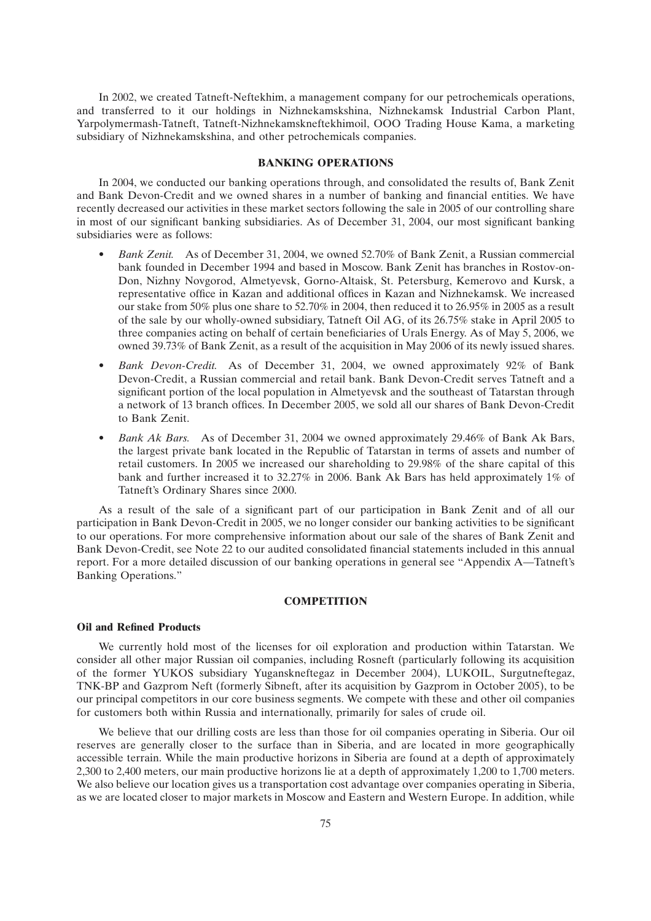In 2002, we created Tatneft-Neftekhim, a management company for our petrochemicals operations, and transferred to it our holdings in Nizhnekamskshina, Nizhnekamsk Industrial Carbon Plant, Yarpolymermash-Tatneft, Tatneft-Nizhnekamskneftekhimoil, OOO Trading House Kama, a marketing subsidiary of Nizhnekamskshina, and other petrochemicals companies.

## **BANKING OPERATIONS**

In 2004, we conducted our banking operations through, and consolidated the results of, Bank Zenit and Bank Devon-Credit and we owned shares in a number of banking and financial entities. We have recently decreased our activities in these market sectors following the sale in 2005 of our controlling share in most of our significant banking subsidiaries. As of December 31, 2004, our most significant banking subsidiaries were as follows:

- *Bank Zenit.* As of December 31, 2004, we owned 52.70% of Bank Zenit, a Russian commercial bank founded in December 1994 and based in Moscow. Bank Zenit has branches in Rostov-on-Don, Nizhny Novgorod, Almetyevsk, Gorno-Altaisk, St. Petersburg, Kemerovo and Kursk, a representative office in Kazan and additional offices in Kazan and Nizhnekamsk. We increased our stake from 50% plus one share to 52.70% in 2004, then reduced it to 26.95% in 2005 as a result of the sale by our wholly-owned subsidiary, Tatneft Oil AG, of its 26.75% stake in April 2005 to three companies acting on behalf of certain beneficiaries of Urals Energy. As of May 5, 2006, we owned 39.73% of Bank Zenit, as a result of the acquisition in May 2006 of its newly issued shares.
- *Bank Devon-Credit.* As of December 31, 2004, we owned approximately 92% of Bank Devon-Credit, a Russian commercial and retail bank. Bank Devon-Credit serves Tatneft and a significant portion of the local population in Almetyevsk and the southeast of Tatarstan through a network of 13 branch offices. In December 2005, we sold all our shares of Bank Devon-Credit to Bank Zenit.
- *Bank Ak Bars.* As of December 31, 2004 we owned approximately 29.46% of Bank Ak Bars, the largest private bank located in the Republic of Tatarstan in terms of assets and number of retail customers. In 2005 we increased our shareholding to 29.98% of the share capital of this bank and further increased it to 32.27% in 2006. Bank Ak Bars has held approximately 1% of Tatneft's Ordinary Shares since 2000.

As a result of the sale of a significant part of our participation in Bank Zenit and of all our participation in Bank Devon-Credit in 2005, we no longer consider our banking activities to be significant to our operations. For more comprehensive information about our sale of the shares of Bank Zenit and Bank Devon-Credit, see Note 22 to our audited consolidated financial statements included in this annual report. For a more detailed discussion of our banking operations in general see ''Appendix A—Tatneft's Banking Operations.''

#### **COMPETITION**

### **Oil and Refined Products**

We currently hold most of the licenses for oil exploration and production within Tatarstan. We consider all other major Russian oil companies, including Rosneft (particularly following its acquisition of the former YUKOS subsidiary Yuganskneftegaz in December 2004), LUKOIL, Surgutneftegaz, TNK-BP and Gazprom Neft (formerly Sibneft, after its acquisition by Gazprom in October 2005), to be our principal competitors in our core business segments. We compete with these and other oil companies for customers both within Russia and internationally, primarily for sales of crude oil.

We believe that our drilling costs are less than those for oil companies operating in Siberia. Our oil reserves are generally closer to the surface than in Siberia, and are located in more geographically accessible terrain. While the main productive horizons in Siberia are found at a depth of approximately 2,300 to 2,400 meters, our main productive horizons lie at a depth of approximately 1,200 to 1,700 meters. We also believe our location gives us a transportation cost advantage over companies operating in Siberia, as we are located closer to major markets in Moscow and Eastern and Western Europe. In addition, while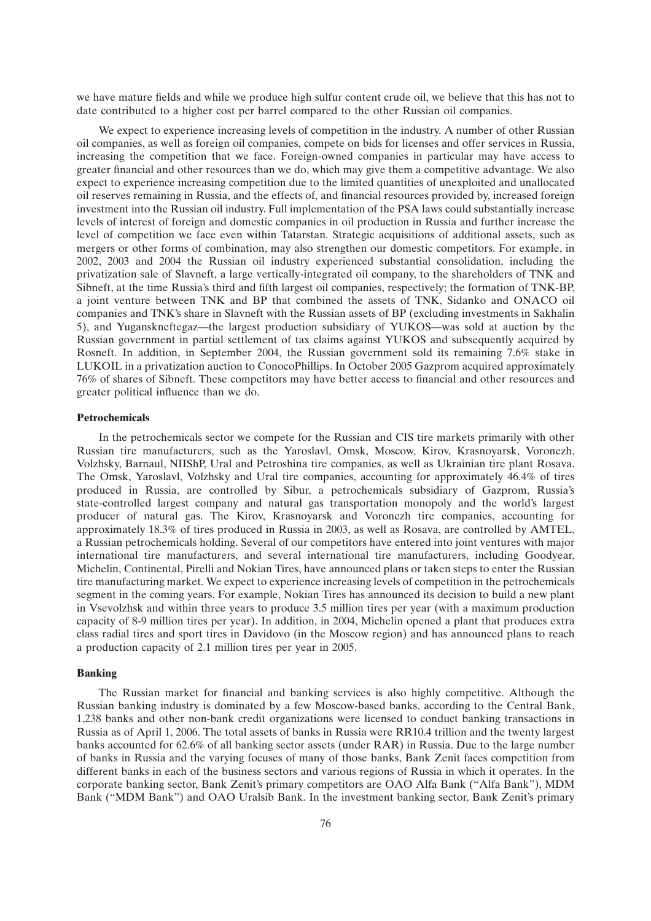we have mature fields and while we produce high sulfur content crude oil, we believe that this has not to date contributed to a higher cost per barrel compared to the other Russian oil companies.

We expect to experience increasing levels of competition in the industry. A number of other Russian oil companies, as well as foreign oil companies, compete on bids for licenses and offer services in Russia, increasing the competition that we face. Foreign-owned companies in particular may have access to greater financial and other resources than we do, which may give them a competitive advantage. We also expect to experience increasing competition due to the limited quantities of unexploited and unallocated oil reserves remaining in Russia, and the effects of, and financial resources provided by, increased foreign investment into the Russian oil industry. Full implementation of the PSA laws could substantially increase levels of interest of foreign and domestic companies in oil production in Russia and further increase the level of competition we face even within Tatarstan. Strategic acquisitions of additional assets, such as mergers or other forms of combination, may also strengthen our domestic competitors. For example, in 2002, 2003 and 2004 the Russian oil industry experienced substantial consolidation, including the privatization sale of Slavneft, a large vertically-integrated oil company, to the shareholders of TNK and Sibneft, at the time Russia's third and fifth largest oil companies, respectively; the formation of TNK-BP, a joint venture between TNK and BP that combined the assets of TNK, Sidanko and ONACO oil companies and TNK's share in Slavneft with the Russian assets of BP (excluding investments in Sakhalin 5), and Yuganskneftegaz—the largest production subsidiary of YUKOS—was sold at auction by the Russian government in partial settlement of tax claims against YUKOS and subsequently acquired by Rosneft. In addition, in September 2004, the Russian government sold its remaining 7.6% stake in LUKOIL in a privatization auction to ConocoPhillips. In October 2005 Gazprom acquired approximately 76% of shares of Sibneft. These competitors may have better access to financial and other resources and greater political influence than we do.

#### **Petrochemicals**

In the petrochemicals sector we compete for the Russian and CIS tire markets primarily with other Russian tire manufacturers, such as the Yaroslavl, Omsk, Moscow, Kirov, Krasnoyarsk, Voronezh, Volzhsky, Barnaul, NIIShP, Ural and Petroshina tire companies, as well as Ukrainian tire plant Rosava. The Omsk, Yaroslavl, Volzhsky and Ural tire companies, accounting for approximately 46.4% of tires produced in Russia, are controlled by Sibur, a petrochemicals subsidiary of Gazprom, Russia's state-controlled largest company and natural gas transportation monopoly and the world's largest producer of natural gas. The Kirov, Krasnoyarsk and Voronezh tire companies, accounting for approximately 18.3% of tires produced in Russia in 2003, as well as Rosava, are controlled by AMTEL, a Russian petrochemicals holding. Several of our competitors have entered into joint ventures with major international tire manufacturers, and several international tire manufacturers, including Goodyear, Michelin, Continental, Pirelli and Nokian Tires, have announced plans or taken steps to enter the Russian tire manufacturing market. We expect to experience increasing levels of competition in the petrochemicals segment in the coming years. For example, Nokian Tires has announced its decision to build a new plant in Vsevolzhsk and within three years to produce 3.5 million tires per year (with a maximum production capacity of 8-9 million tires per year). In addition, in 2004, Michelin opened a plant that produces extra class radial tires and sport tires in Davidovo (in the Moscow region) and has announced plans to reach a production capacity of 2.1 million tires per year in 2005.

## **Banking**

The Russian market for financial and banking services is also highly competitive. Although the Russian banking industry is dominated by a few Moscow-based banks, according to the Central Bank, 1,238 banks and other non-bank credit organizations were licensed to conduct banking transactions in Russia as of April 1, 2006. The total assets of banks in Russia were RR10.4 trillion and the twenty largest banks accounted for 62.6% of all banking sector assets (under RAR) in Russia. Due to the large number of banks in Russia and the varying focuses of many of those banks, Bank Zenit faces competition from different banks in each of the business sectors and various regions of Russia in which it operates. In the corporate banking sector, Bank Zenit's primary competitors are OAO Alfa Bank (''Alfa Bank''), MDM Bank (''MDM Bank'') and OAO Uralsib Bank. In the investment banking sector, Bank Zenit's primary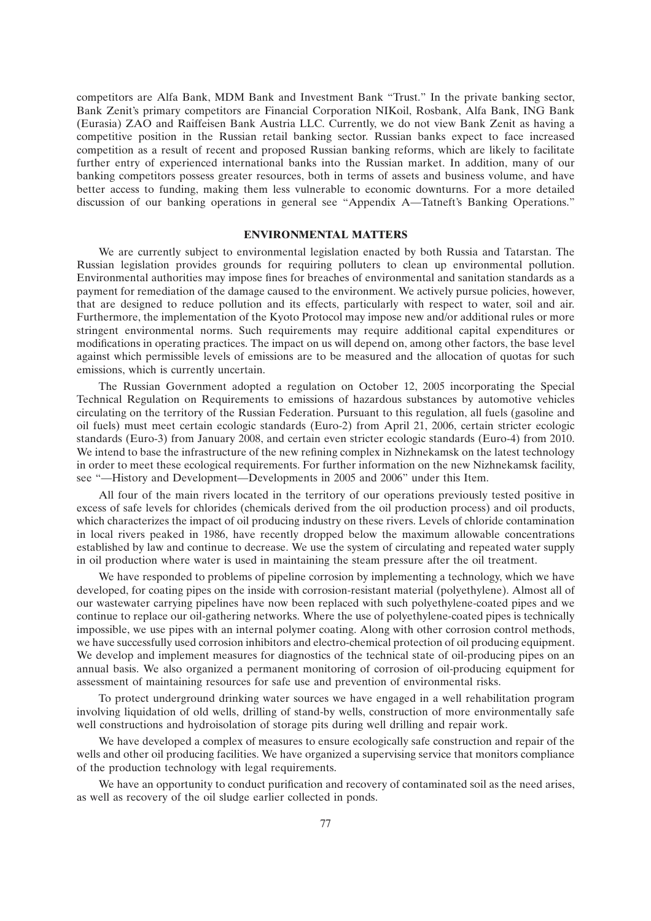competitors are Alfa Bank, MDM Bank and Investment Bank ''Trust.'' In the private banking sector, Bank Zenit's primary competitors are Financial Corporation NIKoil, Rosbank, Alfa Bank, ING Bank (Eurasia) ZAO and Raiffeisen Bank Austria LLC. Currently, we do not view Bank Zenit as having a competitive position in the Russian retail banking sector. Russian banks expect to face increased competition as a result of recent and proposed Russian banking reforms, which are likely to facilitate further entry of experienced international banks into the Russian market. In addition, many of our banking competitors possess greater resources, both in terms of assets and business volume, and have better access to funding, making them less vulnerable to economic downturns. For a more detailed discussion of our banking operations in general see ''Appendix A—Tatneft's Banking Operations.''

# **ENVIRONMENTAL MATTERS**

We are currently subject to environmental legislation enacted by both Russia and Tatarstan. The Russian legislation provides grounds for requiring polluters to clean up environmental pollution. Environmental authorities may impose fines for breaches of environmental and sanitation standards as a payment for remediation of the damage caused to the environment. We actively pursue policies, however, that are designed to reduce pollution and its effects, particularly with respect to water, soil and air. Furthermore, the implementation of the Kyoto Protocol may impose new and/or additional rules or more stringent environmental norms. Such requirements may require additional capital expenditures or modifications in operating practices. The impact on us will depend on, among other factors, the base level against which permissible levels of emissions are to be measured and the allocation of quotas for such emissions, which is currently uncertain.

The Russian Government adopted a regulation on October 12, 2005 incorporating the Special Technical Regulation on Requirements to emissions of hazardous substances by automotive vehicles circulating on the territory of the Russian Federation. Pursuant to this regulation, all fuels (gasoline and oil fuels) must meet certain ecologic standards (Euro-2) from April 21, 2006, certain stricter ecologic standards (Euro-3) from January 2008, and certain even stricter ecologic standards (Euro-4) from 2010. We intend to base the infrastructure of the new refining complex in Nizhnekamsk on the latest technology in order to meet these ecological requirements. For further information on the new Nizhnekamsk facility, see ''—History and Development—Developments in 2005 and 2006'' under this Item.

All four of the main rivers located in the territory of our operations previously tested positive in excess of safe levels for chlorides (chemicals derived from the oil production process) and oil products, which characterizes the impact of oil producing industry on these rivers. Levels of chloride contamination in local rivers peaked in 1986, have recently dropped below the maximum allowable concentrations established by law and continue to decrease. We use the system of circulating and repeated water supply in oil production where water is used in maintaining the steam pressure after the oil treatment.

We have responded to problems of pipeline corrosion by implementing a technology, which we have developed, for coating pipes on the inside with corrosion-resistant material (polyethylene). Almost all of our wastewater carrying pipelines have now been replaced with such polyethylene-coated pipes and we continue to replace our oil-gathering networks. Where the use of polyethylene-coated pipes is technically impossible, we use pipes with an internal polymer coating. Along with other corrosion control methods, we have successfully used corrosion inhibitors and electro-chemical protection of oil producing equipment. We develop and implement measures for diagnostics of the technical state of oil-producing pipes on an annual basis. We also organized a permanent monitoring of corrosion of oil-producing equipment for assessment of maintaining resources for safe use and prevention of environmental risks.

To protect underground drinking water sources we have engaged in a well rehabilitation program involving liquidation of old wells, drilling of stand-by wells, construction of more environmentally safe well constructions and hydroisolation of storage pits during well drilling and repair work.

We have developed a complex of measures to ensure ecologically safe construction and repair of the wells and other oil producing facilities. We have organized a supervising service that monitors compliance of the production technology with legal requirements.

We have an opportunity to conduct purification and recovery of contaminated soil as the need arises, as well as recovery of the oil sludge earlier collected in ponds.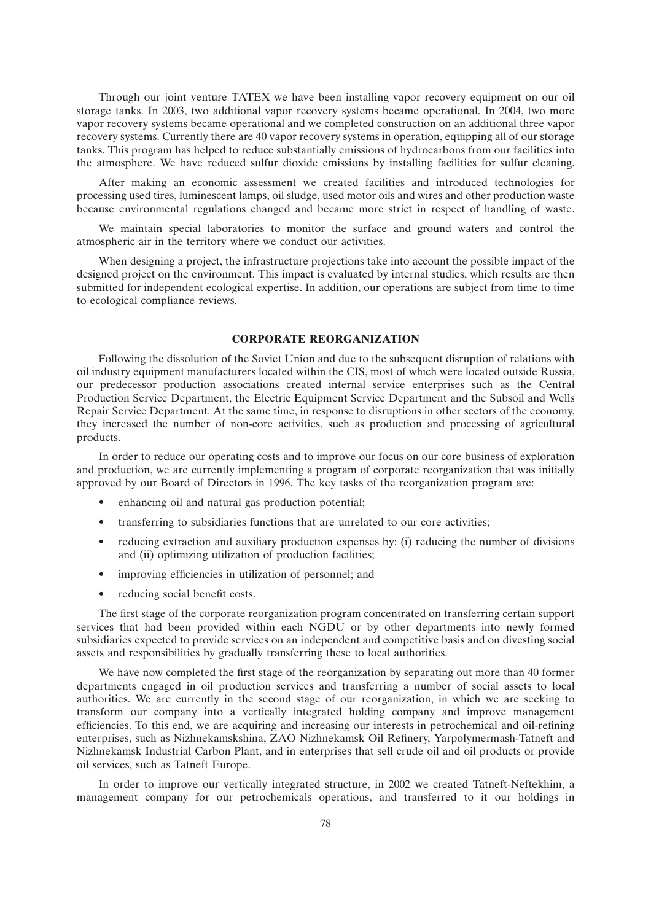Through our joint venture TATEX we have been installing vapor recovery equipment on our oil storage tanks. In 2003, two additional vapor recovery systems became operational. In 2004, two more vapor recovery systems became operational and we completed construction on an additional three vapor recovery systems. Currently there are 40 vapor recovery systems in operation, equipping all of our storage tanks. This program has helped to reduce substantially emissions of hydrocarbons from our facilities into the atmosphere. We have reduced sulfur dioxide emissions by installing facilities for sulfur cleaning.

After making an economic assessment we created facilities and introduced technologies for processing used tires, luminescent lamps, oil sludge, used motor oils and wires and other production waste because environmental regulations changed and became more strict in respect of handling of waste.

We maintain special laboratories to monitor the surface and ground waters and control the atmospheric air in the territory where we conduct our activities.

When designing a project, the infrastructure projections take into account the possible impact of the designed project on the environment. This impact is evaluated by internal studies, which results are then submitted for independent ecological expertise. In addition, our operations are subject from time to time to ecological compliance reviews.

## **CORPORATE REORGANIZATION**

Following the dissolution of the Soviet Union and due to the subsequent disruption of relations with oil industry equipment manufacturers located within the CIS, most of which were located outside Russia, our predecessor production associations created internal service enterprises such as the Central Production Service Department, the Electric Equipment Service Department and the Subsoil and Wells Repair Service Department. At the same time, in response to disruptions in other sectors of the economy, they increased the number of non-core activities, such as production and processing of agricultural products.

In order to reduce our operating costs and to improve our focus on our core business of exploration and production, we are currently implementing a program of corporate reorganization that was initially approved by our Board of Directors in 1996. The key tasks of the reorganization program are:

- enhancing oil and natural gas production potential;
- transferring to subsidiaries functions that are unrelated to our core activities;
- reducing extraction and auxiliary production expenses by: (i) reducing the number of divisions and (ii) optimizing utilization of production facilities;
- improving efficiencies in utilization of personnel; and
- reducing social benefit costs.

The first stage of the corporate reorganization program concentrated on transferring certain support services that had been provided within each NGDU or by other departments into newly formed subsidiaries expected to provide services on an independent and competitive basis and on divesting social assets and responsibilities by gradually transferring these to local authorities.

We have now completed the first stage of the reorganization by separating out more than 40 former departments engaged in oil production services and transferring a number of social assets to local authorities. We are currently in the second stage of our reorganization, in which we are seeking to transform our company into a vertically integrated holding company and improve management efficiencies. To this end, we are acquiring and increasing our interests in petrochemical and oil-refining enterprises, such as Nizhnekamskshina, ZAO Nizhnekamsk Oil Refinery, Yarpolymermash-Tatneft and Nizhnekamsk Industrial Carbon Plant, and in enterprises that sell crude oil and oil products or provide oil services, such as Tatneft Europe.

In order to improve our vertically integrated structure, in 2002 we created Tatneft-Neftekhim, a management company for our petrochemicals operations, and transferred to it our holdings in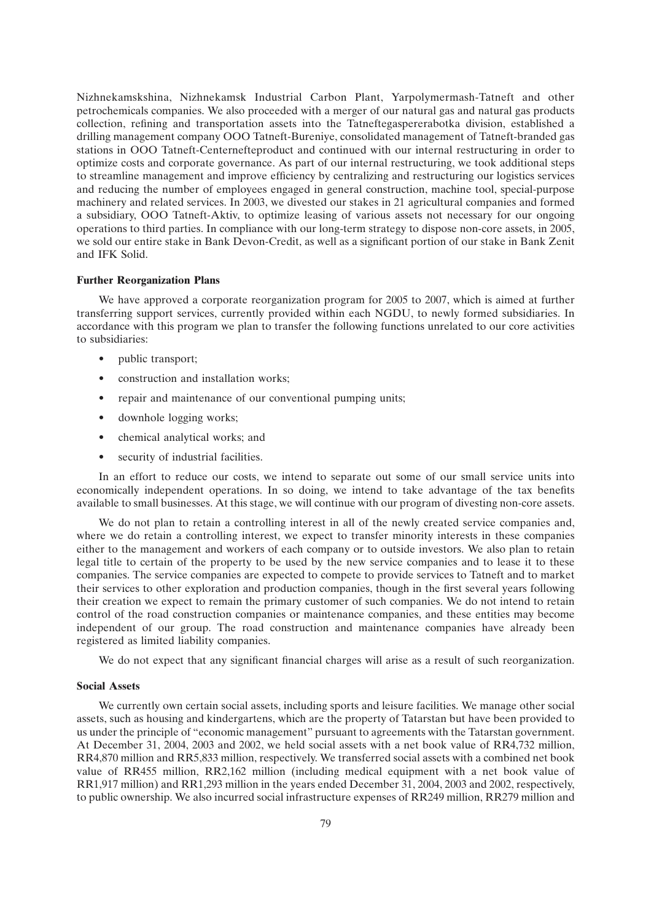Nizhnekamskshina, Nizhnekamsk Industrial Carbon Plant, Yarpolymermash-Tatneft and other petrochemicals companies. We also proceeded with a merger of our natural gas and natural gas products collection, refining and transportation assets into the Tatneftegaspererabotka division, established a drilling management company OOO Tatneft-Bureniye, consolidated management of Tatneft-branded gas stations in OOO Tatneft-Centernefteproduct and continued with our internal restructuring in order to optimize costs and corporate governance. As part of our internal restructuring, we took additional steps to streamline management and improve efficiency by centralizing and restructuring our logistics services and reducing the number of employees engaged in general construction, machine tool, special-purpose machinery and related services. In 2003, we divested our stakes in 21 agricultural companies and formed a subsidiary, OOO Tatneft-Aktiv, to optimize leasing of various assets not necessary for our ongoing operations to third parties. In compliance with our long-term strategy to dispose non-core assets, in 2005, we sold our entire stake in Bank Devon-Credit, as well as a significant portion of our stake in Bank Zenit and IFK Solid.

## **Further Reorganization Plans**

We have approved a corporate reorganization program for 2005 to 2007, which is aimed at further transferring support services, currently provided within each NGDU, to newly formed subsidiaries. In accordance with this program we plan to transfer the following functions unrelated to our core activities to subsidiaries:

- public transport;
- construction and installation works:
- repair and maintenance of our conventional pumping units;
- downhole logging works:
- chemical analytical works; and
- security of industrial facilities.

In an effort to reduce our costs, we intend to separate out some of our small service units into economically independent operations. In so doing, we intend to take advantage of the tax benefits available to small businesses. At this stage, we will continue with our program of divesting non-core assets.

We do not plan to retain a controlling interest in all of the newly created service companies and, where we do retain a controlling interest, we expect to transfer minority interests in these companies either to the management and workers of each company or to outside investors. We also plan to retain legal title to certain of the property to be used by the new service companies and to lease it to these companies. The service companies are expected to compete to provide services to Tatneft and to market their services to other exploration and production companies, though in the first several years following their creation we expect to remain the primary customer of such companies. We do not intend to retain control of the road construction companies or maintenance companies, and these entities may become independent of our group. The road construction and maintenance companies have already been registered as limited liability companies.

We do not expect that any significant financial charges will arise as a result of such reorganization.

#### **Social Assets**

We currently own certain social assets, including sports and leisure facilities. We manage other social assets, such as housing and kindergartens, which are the property of Tatarstan but have been provided to us under the principle of ''economic management'' pursuant to agreements with the Tatarstan government. At December 31, 2004, 2003 and 2002, we held social assets with a net book value of RR4,732 million, RR4,870 million and RR5,833 million, respectively. We transferred social assets with a combined net book value of RR455 million, RR2,162 million (including medical equipment with a net book value of RR1,917 million) and RR1,293 million in the years ended December 31, 2004, 2003 and 2002, respectively, to public ownership. We also incurred social infrastructure expenses of RR249 million, RR279 million and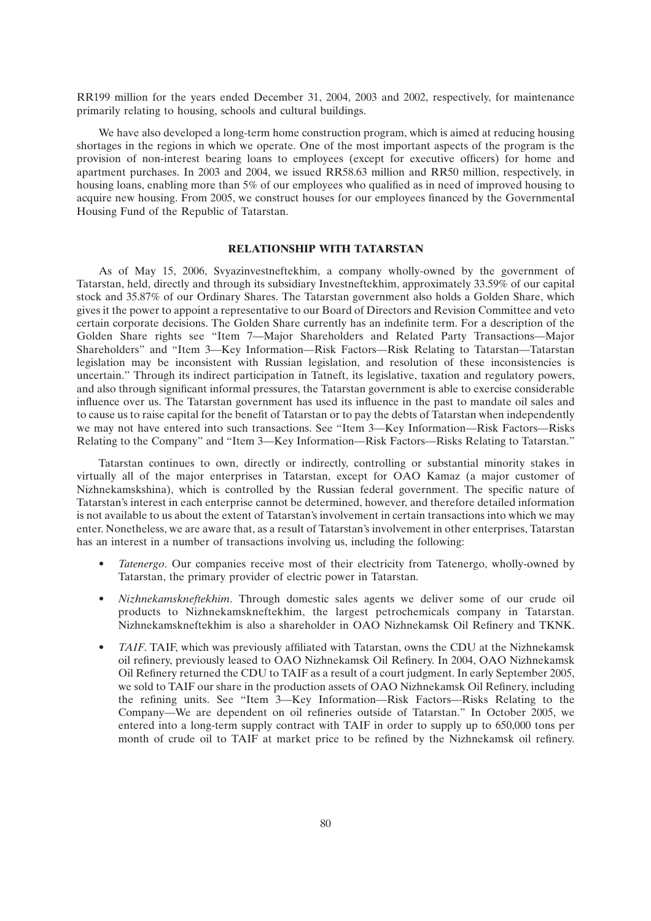RR199 million for the years ended December 31, 2004, 2003 and 2002, respectively, for maintenance primarily relating to housing, schools and cultural buildings.

We have also developed a long-term home construction program, which is aimed at reducing housing shortages in the regions in which we operate. One of the most important aspects of the program is the provision of non-interest bearing loans to employees (except for executive officers) for home and apartment purchases. In 2003 and 2004, we issued RR58.63 million and RR50 million, respectively, in housing loans, enabling more than 5% of our employees who qualified as in need of improved housing to acquire new housing. From 2005, we construct houses for our employees financed by the Governmental Housing Fund of the Republic of Tatarstan.

## **RELATIONSHIP WITH TATARSTAN**

As of May 15, 2006, Svyazinvestneftekhim, a company wholly-owned by the government of Tatarstan, held, directly and through its subsidiary Investneftekhim, approximately 33.59% of our capital stock and 35.87% of our Ordinary Shares. The Tatarstan government also holds a Golden Share, which gives it the power to appoint a representative to our Board of Directors and Revision Committee and veto certain corporate decisions. The Golden Share currently has an indefinite term. For a description of the Golden Share rights see ''Item 7—Major Shareholders and Related Party Transactions—Major Shareholders'' and ''Item 3—Key Information—Risk Factors—Risk Relating to Tatarstan—Tatarstan legislation may be inconsistent with Russian legislation, and resolution of these inconsistencies is uncertain.'' Through its indirect participation in Tatneft, its legislative, taxation and regulatory powers, and also through significant informal pressures, the Tatarstan government is able to exercise considerable influence over us. The Tatarstan government has used its influence in the past to mandate oil sales and to cause us to raise capital for the benefit of Tatarstan or to pay the debts of Tatarstan when independently we may not have entered into such transactions. See "Item 3—Key Information—Risk Factors—Risks" Relating to the Company'' and ''Item 3—Key Information—Risk Factors—Risks Relating to Tatarstan.''

Tatarstan continues to own, directly or indirectly, controlling or substantial minority stakes in virtually all of the major enterprises in Tatarstan, except for OAO Kamaz (a major customer of Nizhnekamskshina), which is controlled by the Russian federal government. The specific nature of Tatarstan's interest in each enterprise cannot be determined, however, and therefore detailed information is not available to us about the extent of Tatarstan's involvement in certain transactions into which we may enter. Nonetheless, we are aware that, as a result of Tatarstan's involvement in other enterprises, Tatarstan has an interest in a number of transactions involving us, including the following:

- *Tatenergo*. Our companies receive most of their electricity from Tatenergo, wholly-owned by Tatarstan, the primary provider of electric power in Tatarstan.
- *Nizhnekamskneftekhim*. Through domestic sales agents we deliver some of our crude oil products to Nizhnekamskneftekhim, the largest petrochemicals company in Tatarstan. Nizhnekamskneftekhim is also a shareholder in OAO Nizhnekamsk Oil Refinery and TKNK.
- *TAIF*. TAIF, which was previously affiliated with Tatarstan, owns the CDU at the Nizhnekamsk oil refinery, previously leased to OAO Nizhnekamsk Oil Refinery. In 2004, OAO Nizhnekamsk Oil Refinery returned the CDU to TAIF as a result of a court judgment. In early September 2005, we sold to TAIF our share in the production assets of OAO Nizhnekamsk Oil Refinery, including the refining units. See ''Item 3—Key Information—Risk Factors—Risks Relating to the Company—We are dependent on oil refineries outside of Tatarstan.'' In October 2005, we entered into a long-term supply contract with TAIF in order to supply up to 650,000 tons per month of crude oil to TAIF at market price to be refined by the Nizhnekamsk oil refinery.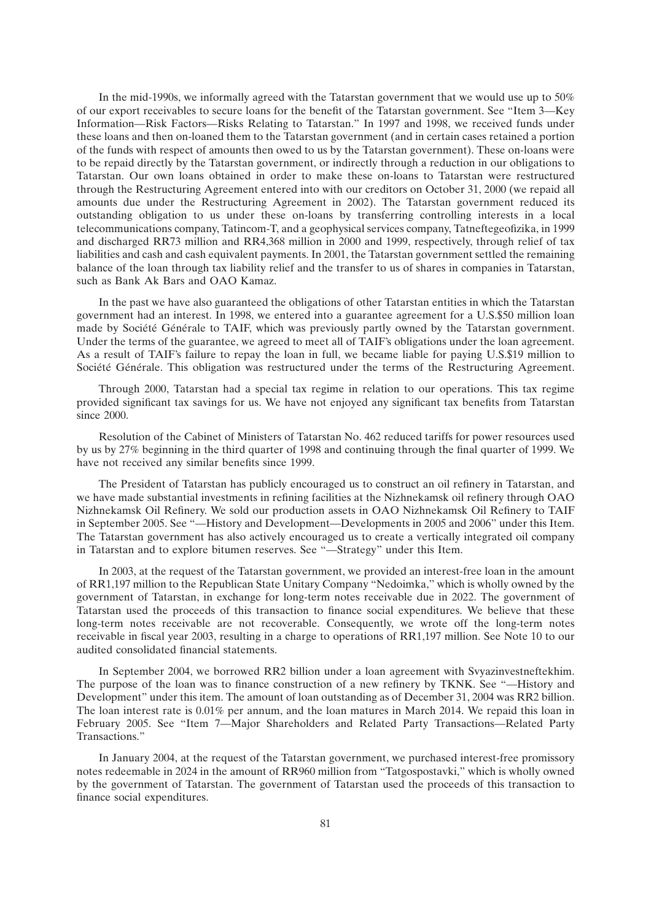In the mid-1990s, we informally agreed with the Tatarstan government that we would use up to 50% of our export receivables to secure loans for the benefit of the Tatarstan government. See ''Item 3—Key Information—Risk Factors—Risks Relating to Tatarstan.'' In 1997 and 1998, we received funds under these loans and then on-loaned them to the Tatarstan government (and in certain cases retained a portion of the funds with respect of amounts then owed to us by the Tatarstan government). These on-loans were to be repaid directly by the Tatarstan government, or indirectly through a reduction in our obligations to Tatarstan. Our own loans obtained in order to make these on-loans to Tatarstan were restructured through the Restructuring Agreement entered into with our creditors on October 31, 2000 (we repaid all amounts due under the Restructuring Agreement in 2002). The Tatarstan government reduced its outstanding obligation to us under these on-loans by transferring controlling interests in a local telecommunications company, Tatincom-T, and a geophysical services company, Tatneftegeofizika, in 1999 and discharged RR73 million and RR4,368 million in 2000 and 1999, respectively, through relief of tax liabilities and cash and cash equivalent payments. In 2001, the Tatarstan government settled the remaining balance of the loan through tax liability relief and the transfer to us of shares in companies in Tatarstan, such as Bank Ak Bars and OAO Kamaz.

In the past we have also guaranteed the obligations of other Tatarstan entities in which the Tatarstan government had an interest. In 1998, we entered into a guarantee agreement for a U.S.\$50 million loan made by Société Générale to TAIF, which was previously partly owned by the Tatarstan government. Under the terms of the guarantee, we agreed to meet all of TAIF's obligations under the loan agreement. As a result of TAIF's failure to repay the loan in full, we became liable for paying U.S.\$19 million to Société Générale. This obligation was restructured under the terms of the Restructuring Agreement.

Through 2000, Tatarstan had a special tax regime in relation to our operations. This tax regime provided significant tax savings for us. We have not enjoyed any significant tax benefits from Tatarstan since 2000.

Resolution of the Cabinet of Ministers of Tatarstan No. 462 reduced tariffs for power resources used by us by 27% beginning in the third quarter of 1998 and continuing through the final quarter of 1999. We have not received any similar benefits since 1999.

The President of Tatarstan has publicly encouraged us to construct an oil refinery in Tatarstan, and we have made substantial investments in refining facilities at the Nizhnekamsk oil refinery through OAO Nizhnekamsk Oil Refinery. We sold our production assets in OAO Nizhnekamsk Oil Refinery to TAIF in September 2005. See ''—History and Development—Developments in 2005 and 2006'' under this Item. The Tatarstan government has also actively encouraged us to create a vertically integrated oil company in Tatarstan and to explore bitumen reserves. See ''—Strategy'' under this Item.

In 2003, at the request of the Tatarstan government, we provided an interest-free loan in the amount of RR1,197 million to the Republican State Unitary Company ''Nedoimka,'' which is wholly owned by the government of Tatarstan, in exchange for long-term notes receivable due in 2022. The government of Tatarstan used the proceeds of this transaction to finance social expenditures. We believe that these long-term notes receivable are not recoverable. Consequently, we wrote off the long-term notes receivable in fiscal year 2003, resulting in a charge to operations of RR1,197 million. See Note 10 to our audited consolidated financial statements.

In September 2004, we borrowed RR2 billion under a loan agreement with Svyazinvestneftekhim. The purpose of the loan was to finance construction of a new refinery by TKNK. See ''—History and Development'' under this item. The amount of loan outstanding as of December 31, 2004 was RR2 billion. The loan interest rate is 0.01% per annum, and the loan matures in March 2014. We repaid this loan in February 2005. See ''Item 7—Major Shareholders and Related Party Transactions—Related Party Transactions.''

In January 2004, at the request of the Tatarstan government, we purchased interest-free promissory notes redeemable in 2024 in the amount of RR960 million from ''Tatgospostavki,'' which is wholly owned by the government of Tatarstan. The government of Tatarstan used the proceeds of this transaction to finance social expenditures.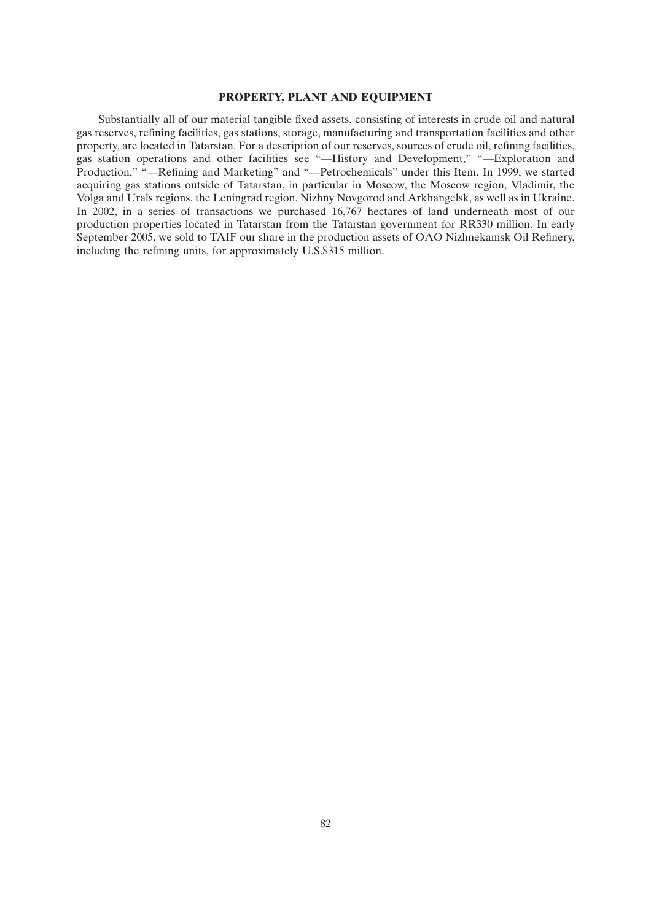## **PROPERTY, PLANT AND EQUIPMENT**

Substantially all of our material tangible fixed assets, consisting of interests in crude oil and natural gas reserves, refining facilities, gas stations, storage, manufacturing and transportation facilities and other property, are located in Tatarstan. For a description of our reserves, sources of crude oil, refining facilities, gas station operations and other facilities see ''—History and Development,'' ''—Exploration and Production,'' ''—Refining and Marketing'' and ''—Petrochemicals'' under this Item. In 1999, we started acquiring gas stations outside of Tatarstan, in particular in Moscow, the Moscow region, Vladimir, the Volga and Urals regions, the Leningrad region, Nizhny Novgorod and Arkhangelsk, as well as in Ukraine. In 2002, in a series of transactions we purchased 16,767 hectares of land underneath most of our production properties located in Tatarstan from the Tatarstan government for RR330 million. In early September 2005, we sold to TAIF our share in the production assets of OAO Nizhnekamsk Oil Refinery, including the refining units, for approximately U.S.\$315 million.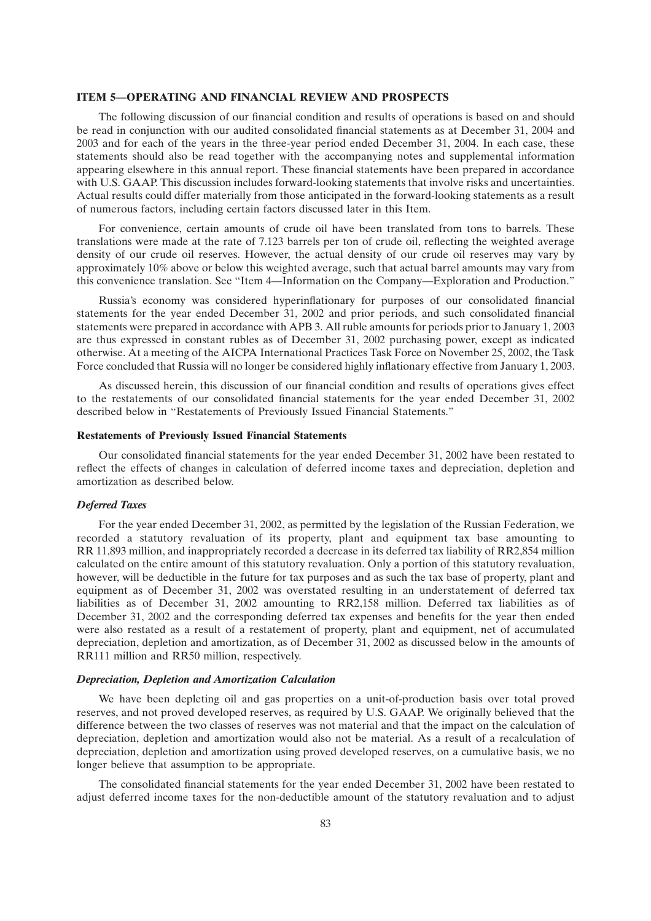## **ITEM 5—OPERATING AND FINANCIAL REVIEW AND PROSPECTS**

The following discussion of our financial condition and results of operations is based on and should be read in conjunction with our audited consolidated financial statements as at December 31, 2004 and 2003 and for each of the years in the three-year period ended December 31, 2004. In each case, these statements should also be read together with the accompanying notes and supplemental information appearing elsewhere in this annual report. These financial statements have been prepared in accordance with U.S. GAAP. This discussion includes forward-looking statements that involve risks and uncertainties. Actual results could differ materially from those anticipated in the forward-looking statements as a result of numerous factors, including certain factors discussed later in this Item.

For convenience, certain amounts of crude oil have been translated from tons to barrels. These translations were made at the rate of 7.123 barrels per ton of crude oil, reflecting the weighted average density of our crude oil reserves. However, the actual density of our crude oil reserves may vary by approximately 10% above or below this weighted average, such that actual barrel amounts may vary from this convenience translation. See ''Item 4—Information on the Company—Exploration and Production.''

Russia's economy was considered hyperinflationary for purposes of our consolidated financial statements for the year ended December 31, 2002 and prior periods, and such consolidated financial statements were prepared in accordance with APB 3. All ruble amounts for periods prior to January 1, 2003 are thus expressed in constant rubles as of December 31, 2002 purchasing power, except as indicated otherwise. At a meeting of the AICPA International Practices Task Force on November 25, 2002, the Task Force concluded that Russia will no longer be considered highly inflationary effective from January 1, 2003.

As discussed herein, this discussion of our financial condition and results of operations gives effect to the restatements of our consolidated financial statements for the year ended December 31, 2002 described below in ''Restatements of Previously Issued Financial Statements.''

## **Restatements of Previously Issued Financial Statements**

Our consolidated financial statements for the year ended December 31, 2002 have been restated to reflect the effects of changes in calculation of deferred income taxes and depreciation, depletion and amortization as described below.

### *Deferred Taxes*

For the year ended December 31, 2002, as permitted by the legislation of the Russian Federation, we recorded a statutory revaluation of its property, plant and equipment tax base amounting to RR 11,893 million, and inappropriately recorded a decrease in its deferred tax liability of RR2,854 million calculated on the entire amount of this statutory revaluation. Only a portion of this statutory revaluation, however, will be deductible in the future for tax purposes and as such the tax base of property, plant and equipment as of December 31, 2002 was overstated resulting in an understatement of deferred tax liabilities as of December 31, 2002 amounting to RR2,158 million. Deferred tax liabilities as of December 31, 2002 and the corresponding deferred tax expenses and benefits for the year then ended were also restated as a result of a restatement of property, plant and equipment, net of accumulated depreciation, depletion and amortization, as of December 31, 2002 as discussed below in the amounts of RR111 million and RR50 million, respectively.

## *Depreciation, Depletion and Amortization Calculation*

We have been depleting oil and gas properties on a unit-of-production basis over total proved reserves, and not proved developed reserves, as required by U.S. GAAP. We originally believed that the difference between the two classes of reserves was not material and that the impact on the calculation of depreciation, depletion and amortization would also not be material. As a result of a recalculation of depreciation, depletion and amortization using proved developed reserves, on a cumulative basis, we no longer believe that assumption to be appropriate.

The consolidated financial statements for the year ended December 31, 2002 have been restated to adjust deferred income taxes for the non-deductible amount of the statutory revaluation and to adjust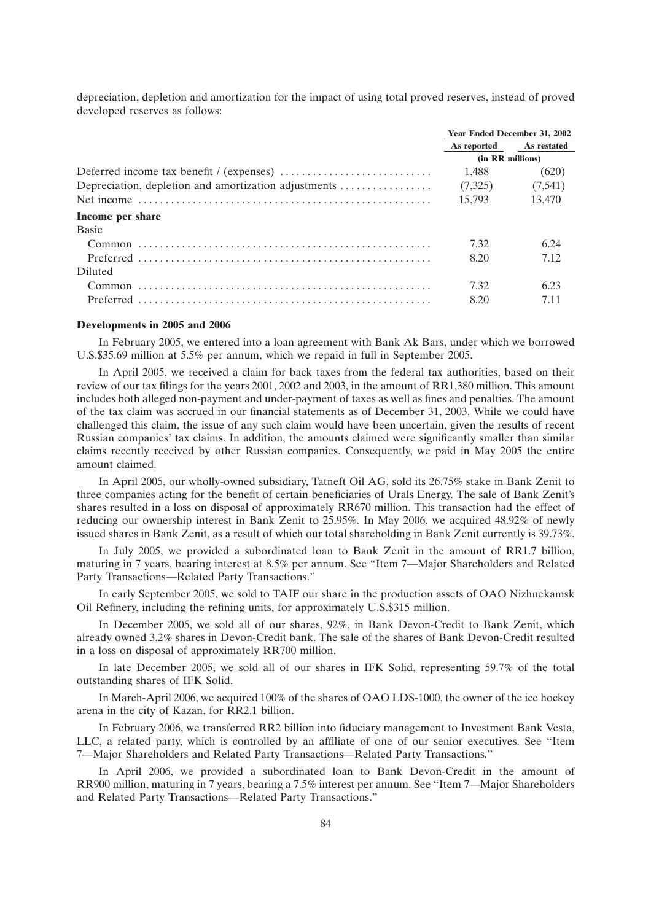depreciation, depletion and amortization for the impact of using total proved reserves, instead of proved developed reserves as follows:

|                                                      | <b>Year Ended December 31, 2002</b> |             |
|------------------------------------------------------|-------------------------------------|-------------|
|                                                      | As reported                         | As restated |
|                                                      | (in RR millions)                    |             |
|                                                      | 1.488                               | (620)       |
| Depreciation, depletion and amortization adjustments | (7,325)                             | (7,541)     |
|                                                      | 15,793                              | 13,470      |
| Income per share                                     |                                     |             |
| <b>Basic</b>                                         |                                     |             |
|                                                      | 7.32                                | 6.24        |
|                                                      | 8.20                                | 7.12        |
| Diluted                                              |                                     |             |
| Common                                               | 7.32                                | 6.23        |
|                                                      | 8.20                                | 7.11        |

#### **Developments in 2005 and 2006**

In February 2005, we entered into a loan agreement with Bank Ak Bars, under which we borrowed U.S.\$35.69 million at 5.5% per annum, which we repaid in full in September 2005.

In April 2005, we received a claim for back taxes from the federal tax authorities, based on their review of our tax filings for the years 2001, 2002 and 2003, in the amount of RR1,380 million. This amount includes both alleged non-payment and under-payment of taxes as well as fines and penalties. The amount of the tax claim was accrued in our financial statements as of December 31, 2003. While we could have challenged this claim, the issue of any such claim would have been uncertain, given the results of recent Russian companies' tax claims. In addition, the amounts claimed were significantly smaller than similar claims recently received by other Russian companies. Consequently, we paid in May 2005 the entire amount claimed.

In April 2005, our wholly-owned subsidiary, Tatneft Oil AG, sold its 26.75% stake in Bank Zenit to three companies acting for the benefit of certain beneficiaries of Urals Energy. The sale of Bank Zenit's shares resulted in a loss on disposal of approximately RR670 million. This transaction had the effect of reducing our ownership interest in Bank Zenit to 25.95%. In May 2006, we acquired 48.92% of newly issued shares in Bank Zenit, as a result of which our total shareholding in Bank Zenit currently is 39.73%.

In July 2005, we provided a subordinated loan to Bank Zenit in the amount of RR1.7 billion, maturing in 7 years, bearing interest at 8.5% per annum. See ''Item 7—Major Shareholders and Related Party Transactions—Related Party Transactions.''

In early September 2005, we sold to TAIF our share in the production assets of OAO Nizhnekamsk Oil Refinery, including the refining units, for approximately U.S.\$315 million.

In December 2005, we sold all of our shares, 92%, in Bank Devon-Credit to Bank Zenit, which already owned 3.2% shares in Devon-Credit bank. The sale of the shares of Bank Devon-Credit resulted in a loss on disposal of approximately RR700 million.

In late December 2005, we sold all of our shares in IFK Solid, representing 59.7% of the total outstanding shares of IFK Solid.

In March-April 2006, we acquired 100% of the shares of OAO LDS-1000, the owner of the ice hockey arena in the city of Kazan, for RR2.1 billion.

In February 2006, we transferred RR2 billion into fiduciary management to Investment Bank Vesta, LLC, a related party, which is controlled by an affiliate of one of our senior executives. See ''Item 7—Major Shareholders and Related Party Transactions—Related Party Transactions.''

In April 2006, we provided a subordinated loan to Bank Devon-Credit in the amount of RR900 million, maturing in 7 years, bearing a 7.5% interest per annum. See ''Item 7—Major Shareholders and Related Party Transactions—Related Party Transactions.''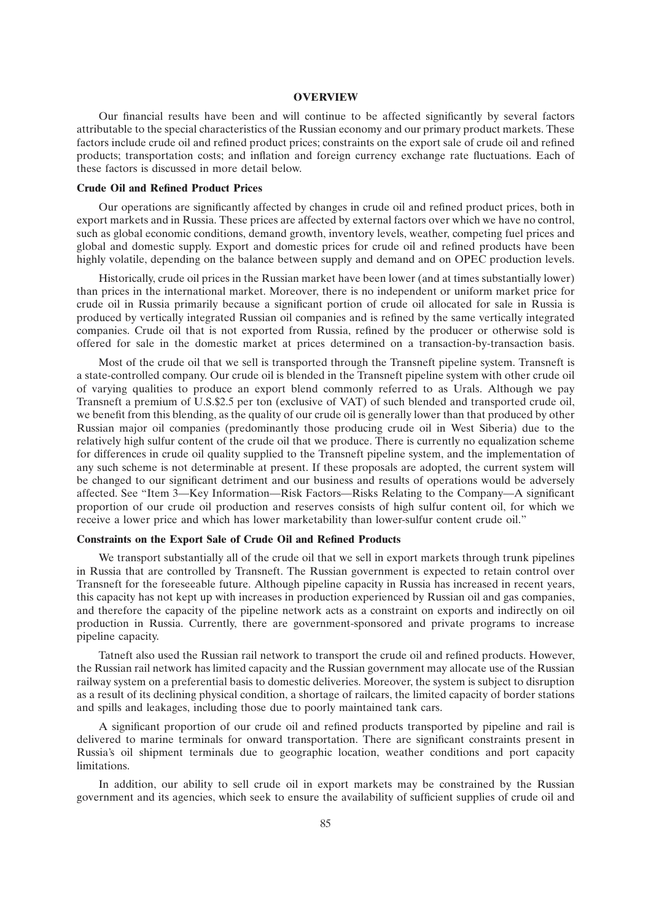### **OVERVIEW**

Our financial results have been and will continue to be affected significantly by several factors attributable to the special characteristics of the Russian economy and our primary product markets. These factors include crude oil and refined product prices; constraints on the export sale of crude oil and refined products; transportation costs; and inflation and foreign currency exchange rate fluctuations. Each of these factors is discussed in more detail below.

## **Crude Oil and Refined Product Prices**

Our operations are significantly affected by changes in crude oil and refined product prices, both in export markets and in Russia. These prices are affected by external factors over which we have no control, such as global economic conditions, demand growth, inventory levels, weather, competing fuel prices and global and domestic supply. Export and domestic prices for crude oil and refined products have been highly volatile, depending on the balance between supply and demand and on OPEC production levels.

Historically, crude oil prices in the Russian market have been lower (and at times substantially lower) than prices in the international market. Moreover, there is no independent or uniform market price for crude oil in Russia primarily because a significant portion of crude oil allocated for sale in Russia is produced by vertically integrated Russian oil companies and is refined by the same vertically integrated companies. Crude oil that is not exported from Russia, refined by the producer or otherwise sold is offered for sale in the domestic market at prices determined on a transaction-by-transaction basis.

Most of the crude oil that we sell is transported through the Transneft pipeline system. Transneft is a state-controlled company. Our crude oil is blended in the Transneft pipeline system with other crude oil of varying qualities to produce an export blend commonly referred to as Urals. Although we pay Transneft a premium of U.S.\$2.5 per ton (exclusive of VAT) of such blended and transported crude oil, we benefit from this blending, as the quality of our crude oil is generally lower than that produced by other Russian major oil companies (predominantly those producing crude oil in West Siberia) due to the relatively high sulfur content of the crude oil that we produce. There is currently no equalization scheme for differences in crude oil quality supplied to the Transneft pipeline system, and the implementation of any such scheme is not determinable at present. If these proposals are adopted, the current system will be changed to our significant detriment and our business and results of operations would be adversely affected. See ''Item 3—Key Information—Risk Factors—Risks Relating to the Company—A significant proportion of our crude oil production and reserves consists of high sulfur content oil, for which we receive a lower price and which has lower marketability than lower-sulfur content crude oil.''

#### **Constraints on the Export Sale of Crude Oil and Refined Products**

We transport substantially all of the crude oil that we sell in export markets through trunk pipelines in Russia that are controlled by Transneft. The Russian government is expected to retain control over Transneft for the foreseeable future. Although pipeline capacity in Russia has increased in recent years, this capacity has not kept up with increases in production experienced by Russian oil and gas companies, and therefore the capacity of the pipeline network acts as a constraint on exports and indirectly on oil production in Russia. Currently, there are government-sponsored and private programs to increase pipeline capacity.

Tatneft also used the Russian rail network to transport the crude oil and refined products. However, the Russian rail network has limited capacity and the Russian government may allocate use of the Russian railway system on a preferential basis to domestic deliveries. Moreover, the system is subject to disruption as a result of its declining physical condition, a shortage of railcars, the limited capacity of border stations and spills and leakages, including those due to poorly maintained tank cars.

A significant proportion of our crude oil and refined products transported by pipeline and rail is delivered to marine terminals for onward transportation. There are significant constraints present in Russia's oil shipment terminals due to geographic location, weather conditions and port capacity limitations.

In addition, our ability to sell crude oil in export markets may be constrained by the Russian government and its agencies, which seek to ensure the availability of sufficient supplies of crude oil and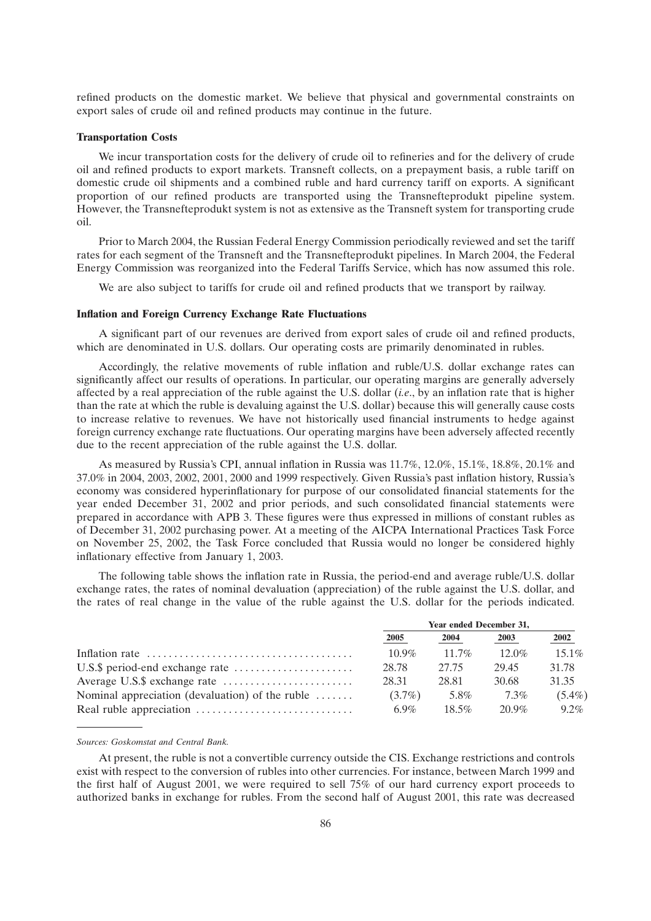refined products on the domestic market. We believe that physical and governmental constraints on export sales of crude oil and refined products may continue in the future.

## **Transportation Costs**

We incur transportation costs for the delivery of crude oil to refineries and for the delivery of crude oil and refined products to export markets. Transneft collects, on a prepayment basis, a ruble tariff on domestic crude oil shipments and a combined ruble and hard currency tariff on exports. A significant proportion of our refined products are transported using the Transnefteprodukt pipeline system. However, the Transnefteprodukt system is not as extensive as the Transneft system for transporting crude oil.

Prior to March 2004, the Russian Federal Energy Commission periodically reviewed and set the tariff rates for each segment of the Transneft and the Transnefteprodukt pipelines. In March 2004, the Federal Energy Commission was reorganized into the Federal Tariffs Service, which has now assumed this role.

We are also subject to tariffs for crude oil and refined products that we transport by railway.

### **Inflation and Foreign Currency Exchange Rate Fluctuations**

A significant part of our revenues are derived from export sales of crude oil and refined products, which are denominated in U.S. dollars. Our operating costs are primarily denominated in rubles.

Accordingly, the relative movements of ruble inflation and ruble/U.S. dollar exchange rates can significantly affect our results of operations. In particular, our operating margins are generally adversely affected by a real appreciation of the ruble against the U.S. dollar (*i.e*., by an inflation rate that is higher than the rate at which the ruble is devaluing against the U.S. dollar) because this will generally cause costs to increase relative to revenues. We have not historically used financial instruments to hedge against foreign currency exchange rate fluctuations. Our operating margins have been adversely affected recently due to the recent appreciation of the ruble against the U.S. dollar.

As measured by Russia's CPI, annual inflation in Russia was 11.7%, 12.0%, 15.1%, 18.8%, 20.1% and 37.0% in 2004, 2003, 2002, 2001, 2000 and 1999 respectively. Given Russia's past inflation history, Russia's economy was considered hyperinflationary for purpose of our consolidated financial statements for the year ended December 31, 2002 and prior periods, and such consolidated financial statements were prepared in accordance with APB 3. These figures were thus expressed in millions of constant rubles as of December 31, 2002 purchasing power. At a meeting of the AICPA International Practices Task Force on November 25, 2002, the Task Force concluded that Russia would no longer be considered highly inflationary effective from January 1, 2003.

The following table shows the inflation rate in Russia, the period-end and average ruble/U.S. dollar exchange rates, the rates of nominal devaluation (appreciation) of the ruble against the U.S. dollar, and the rates of real change in the value of the ruble against the U.S. dollar for the periods indicated.

|                                                              | <b>Year ended December 31,</b> |          |          |           |  |
|--------------------------------------------------------------|--------------------------------|----------|----------|-----------|--|
|                                                              | 2005                           | 2004     | 2003     | 2002      |  |
|                                                              | $10.9\%$                       | $11.7\%$ | $12.0\%$ | $15.1\%$  |  |
|                                                              | 28.78                          | 27.75    | 29.45    | 31.78     |  |
|                                                              | 28.31                          | 28.81    | 30.68    | 31.35     |  |
| Nominal appreciation (devaluation) of the ruble $\dots\dots$ | $(3.7\%)$                      | 5.8%     | 7.3%     | $(5.4\%)$ |  |
|                                                              | 6.9%                           | $18.5\%$ | 20.9%    | $9.2\%$   |  |

#### *Sources: Goskomstat and Central Bank.*

At present, the ruble is not a convertible currency outside the CIS. Exchange restrictions and controls exist with respect to the conversion of rubles into other currencies. For instance, between March 1999 and the first half of August 2001, we were required to sell 75% of our hard currency export proceeds to authorized banks in exchange for rubles. From the second half of August 2001, this rate was decreased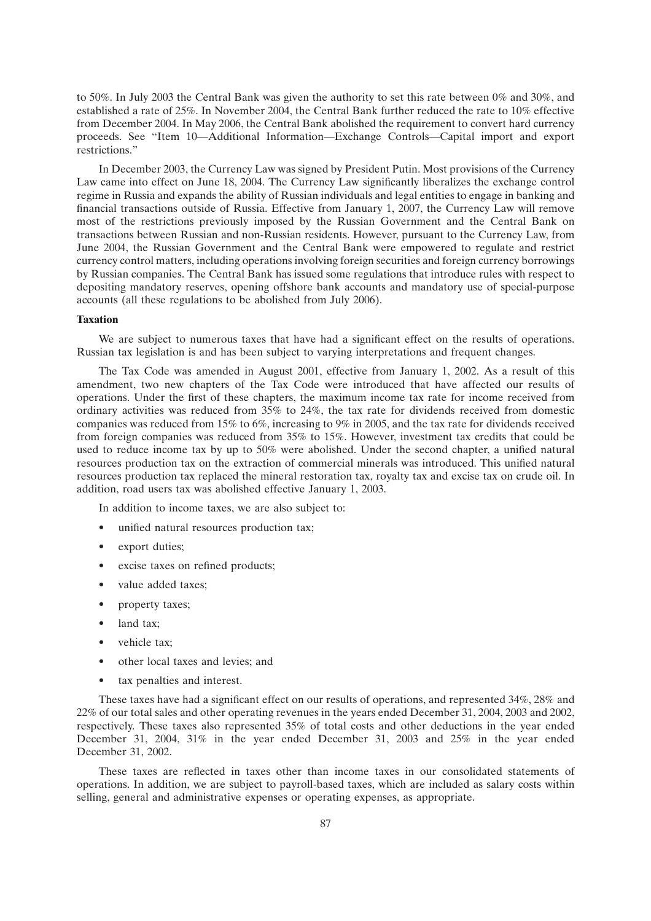to 50%. In July 2003 the Central Bank was given the authority to set this rate between 0% and 30%, and established a rate of 25%. In November 2004, the Central Bank further reduced the rate to 10% effective from December 2004. In May 2006, the Central Bank abolished the requirement to convert hard currency proceeds. See ''Item 10—Additional Information—Exchange Controls—Capital import and export restrictions.''

In December 2003, the Currency Law was signed by President Putin. Most provisions of the Currency Law came into effect on June 18, 2004. The Currency Law significantly liberalizes the exchange control regime in Russia and expands the ability of Russian individuals and legal entities to engage in banking and financial transactions outside of Russia. Effective from January 1, 2007, the Currency Law will remove most of the restrictions previously imposed by the Russian Government and the Central Bank on transactions between Russian and non-Russian residents. However, pursuant to the Currency Law, from June 2004, the Russian Government and the Central Bank were empowered to regulate and restrict currency control matters, including operations involving foreign securities and foreign currency borrowings by Russian companies. The Central Bank has issued some regulations that introduce rules with respect to depositing mandatory reserves, opening offshore bank accounts and mandatory use of special-purpose accounts (all these regulations to be abolished from July 2006).

## **Taxation**

We are subject to numerous taxes that have had a significant effect on the results of operations. Russian tax legislation is and has been subject to varying interpretations and frequent changes.

The Tax Code was amended in August 2001, effective from January 1, 2002. As a result of this amendment, two new chapters of the Tax Code were introduced that have affected our results of operations. Under the first of these chapters, the maximum income tax rate for income received from ordinary activities was reduced from 35% to 24%, the tax rate for dividends received from domestic companies was reduced from 15% to 6%, increasing to 9% in 2005, and the tax rate for dividends received from foreign companies was reduced from 35% to 15%. However, investment tax credits that could be used to reduce income tax by up to 50% were abolished. Under the second chapter, a unified natural resources production tax on the extraction of commercial minerals was introduced. This unified natural resources production tax replaced the mineral restoration tax, royalty tax and excise tax on crude oil. In addition, road users tax was abolished effective January 1, 2003.

In addition to income taxes, we are also subject to:

- unified natural resources production tax;
- export duties;
- excise taxes on refined products;
- value added taxes;
- property taxes;
- land tax:
- vehicle tax;
- other local taxes and levies; and
- tax penalties and interest.

These taxes have had a significant effect on our results of operations, and represented 34%, 28% and 22% of our total sales and other operating revenues in the years ended December 31, 2004, 2003 and 2002, respectively. These taxes also represented 35% of total costs and other deductions in the year ended December 31, 2004, 31% in the year ended December 31, 2003 and 25% in the year ended December 31, 2002.

These taxes are reflected in taxes other than income taxes in our consolidated statements of operations. In addition, we are subject to payroll-based taxes, which are included as salary costs within selling, general and administrative expenses or operating expenses, as appropriate.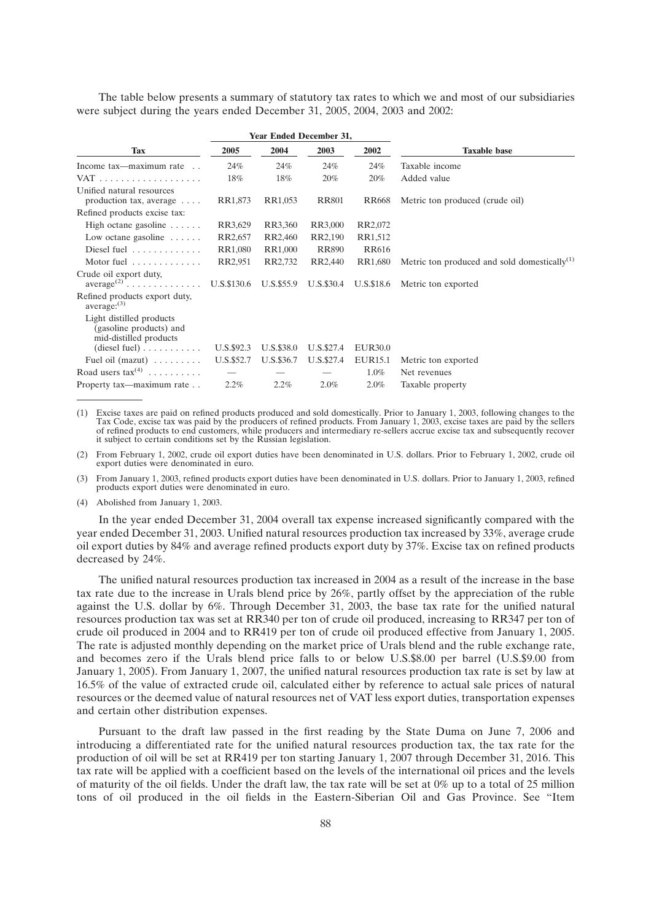The table below presents a summary of statutory tax rates to which we and most of our subsidiaries were subject during the years ended December 31, 2005, 2004, 2003 and 2002:

|                                                                                     |            |            | <b>Year Ended December 31,</b> |                |                                                    |
|-------------------------------------------------------------------------------------|------------|------------|--------------------------------|----------------|----------------------------------------------------|
| <b>Tax</b>                                                                          | 2005       | 2004       | 2003                           | 2002           | <b>Taxable base</b>                                |
| Income tax—maximum rate<br>$\sim$ $\sim$                                            | 24%        | 24%        | 24%                            | 24%            | Taxable income                                     |
|                                                                                     | 18%        | 18%        | 20%                            | 20%            | Added value                                        |
| Unified natural resources<br>production tax, average $\dots$                        | RR1,873    | RR1,053    | <b>RR801</b>                   | RR668          | Metric ton produced (crude oil)                    |
| Refined products excise tax:                                                        |            |            |                                |                |                                                    |
| High octane gasoline $\ldots$ .                                                     | RR3,629    | RR3,360    | RR3,000                        | RR2,072        |                                                    |
| Low octane gasoline $\dots$                                                         | RR2,657    | RR2,460    | RR2,190                        | RR1,512        |                                                    |
|                                                                                     | RR1,080    | RR1,000    | <b>RR890</b>                   | <b>RR616</b>   |                                                    |
| Motor fuel $\dots\dots\dots\dots$                                                   | RR2,951    | RR2,732    | RR2,440                        | RR1,680        | Metric ton produced and sold domestically $^{(1)}$ |
| Crude oil export duty,<br>$average^{(2)} \dots \dots \dots \dots \dots$ U.S.\$130.6 |            | U.S.\$55.9 | U.S.\$30.4                     | U.S.\$18.6     | Metric ton exported                                |
| Refined products export duty,<br>average: $(3)$                                     |            |            |                                |                |                                                    |
| Light distilled products<br>(gasoline products) and<br>mid-distilled products       |            |            |                                |                |                                                    |
| $(diesel fuel) \dots \dots \dots$                                                   | U.S.\$92.3 | U.S.\$38.0 | U.S.\$27.4                     | EUR30.0        |                                                    |
| Fuel oil $(maxut)$                                                                  | U.S.\$52.7 | U.S.\$36.7 | U.S.\$27.4                     | <b>EUR15.1</b> | Metric ton exported                                |
| Road users $\tan(4)$                                                                |            |            |                                | $1.0\%$        | Net revenues                                       |
| Property tax—maximum rate                                                           | 2.2%       | 2.2%       | 2.0%                           | 2.0%           | Taxable property                                   |

(1) Excise taxes are paid on refined products produced and sold domestically. Prior to January 1, 2003, following changes to the Tax Code, excise tax was paid by the producers of refined products. From January 1, 2003, excise taxes are paid by the sellers of refined products to end customers, while producers and intermediary re-sellers accrue excise tax and subsequently recover it subject to certain conditions set by the Russian legislation.

(2) From February 1, 2002, crude oil export duties have been denominated in U.S. dollars. Prior to February 1, 2002, crude oil export duties were denominated in euro.

(3) From January 1, 2003, refined products export duties have been denominated in U.S. dollars. Prior to January 1, 2003, refined products export duties were denominated in euro.

(4) Abolished from January 1, 2003.

In the year ended December 31, 2004 overall tax expense increased significantly compared with the year ended December 31, 2003. Unified natural resources production tax increased by 33%, average crude oil export duties by 84% and average refined products export duty by 37%. Excise tax on refined products decreased by 24%.

The unified natural resources production tax increased in 2004 as a result of the increase in the base tax rate due to the increase in Urals blend price by 26%, partly offset by the appreciation of the ruble against the U.S. dollar by 6%. Through December 31, 2003, the base tax rate for the unified natural resources production tax was set at RR340 per ton of crude oil produced, increasing to RR347 per ton of crude oil produced in 2004 and to RR419 per ton of crude oil produced effective from January 1, 2005. The rate is adjusted monthly depending on the market price of Urals blend and the ruble exchange rate, and becomes zero if the Urals blend price falls to or below U.S.\$8.00 per barrel (U.S.\$9.00 from January 1, 2005). From January 1, 2007, the unified natural resources production tax rate is set by law at 16.5% of the value of extracted crude oil, calculated either by reference to actual sale prices of natural resources or the deemed value of natural resources net of VAT less export duties, transportation expenses and certain other distribution expenses.

Pursuant to the draft law passed in the first reading by the State Duma on June 7, 2006 and introducing a differentiated rate for the unified natural resources production tax, the tax rate for the production of oil will be set at RR419 per ton starting January 1, 2007 through December 31, 2016. This tax rate will be applied with a coefficient based on the levels of the international oil prices and the levels of maturity of the oil fields. Under the draft law, the tax rate will be set at 0% up to a total of 25 million tons of oil produced in the oil fields in the Eastern-Siberian Oil and Gas Province. See ''Item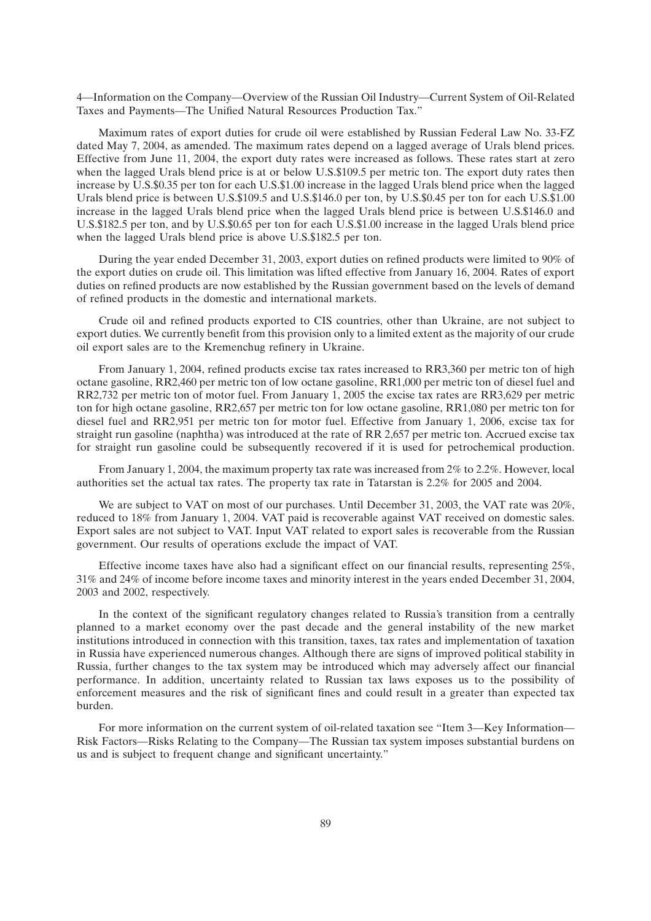4—Information on the Company—Overview of the Russian Oil Industry—Current System of Oil-Related Taxes and Payments—The Unified Natural Resources Production Tax.''

Maximum rates of export duties for crude oil were established by Russian Federal Law No. 33-FZ dated May 7, 2004, as amended. The maximum rates depend on a lagged average of Urals blend prices. Effective from June 11, 2004, the export duty rates were increased as follows. These rates start at zero when the lagged Urals blend price is at or below U.S.\$109.5 per metric ton. The export duty rates then increase by U.S.\$0.35 per ton for each U.S.\$1.00 increase in the lagged Urals blend price when the lagged Urals blend price is between U.S.\$109.5 and U.S.\$146.0 per ton, by U.S.\$0.45 per ton for each U.S.\$1.00 increase in the lagged Urals blend price when the lagged Urals blend price is between U.S.\$146.0 and U.S.\$182.5 per ton, and by U.S.\$0.65 per ton for each U.S.\$1.00 increase in the lagged Urals blend price when the lagged Urals blend price is above U.S.\$182.5 per ton.

During the year ended December 31, 2003, export duties on refined products were limited to 90% of the export duties on crude oil. This limitation was lifted effective from January 16, 2004. Rates of export duties on refined products are now established by the Russian government based on the levels of demand of refined products in the domestic and international markets.

Crude oil and refined products exported to CIS countries, other than Ukraine, are not subject to export duties. We currently benefit from this provision only to a limited extent as the majority of our crude oil export sales are to the Kremenchug refinery in Ukraine.

From January 1, 2004, refined products excise tax rates increased to RR3,360 per metric ton of high octane gasoline, RR2,460 per metric ton of low octane gasoline, RR1,000 per metric ton of diesel fuel and RR2,732 per metric ton of motor fuel. From January 1, 2005 the excise tax rates are RR3,629 per metric ton for high octane gasoline, RR2,657 per metric ton for low octane gasoline, RR1,080 per metric ton for diesel fuel and RR2,951 per metric ton for motor fuel. Effective from January 1, 2006, excise tax for straight run gasoline (naphtha) was introduced at the rate of RR 2,657 per metric ton. Accrued excise tax for straight run gasoline could be subsequently recovered if it is used for petrochemical production.

From January 1, 2004, the maximum property tax rate was increased from 2% to 2.2%. However, local authorities set the actual tax rates. The property tax rate in Tatarstan is 2.2% for 2005 and 2004.

We are subject to VAT on most of our purchases. Until December 31, 2003, the VAT rate was 20%, reduced to 18% from January 1, 2004. VAT paid is recoverable against VAT received on domestic sales. Export sales are not subject to VAT. Input VAT related to export sales is recoverable from the Russian government. Our results of operations exclude the impact of VAT.

Effective income taxes have also had a significant effect on our financial results, representing 25%, 31% and 24% of income before income taxes and minority interest in the years ended December 31, 2004, 2003 and 2002, respectively.

In the context of the significant regulatory changes related to Russia's transition from a centrally planned to a market economy over the past decade and the general instability of the new market institutions introduced in connection with this transition, taxes, tax rates and implementation of taxation in Russia have experienced numerous changes. Although there are signs of improved political stability in Russia, further changes to the tax system may be introduced which may adversely affect our financial performance. In addition, uncertainty related to Russian tax laws exposes us to the possibility of enforcement measures and the risk of significant fines and could result in a greater than expected tax burden.

For more information on the current system of oil-related taxation see "Item 3—Key Information— Risk Factors—Risks Relating to the Company—The Russian tax system imposes substantial burdens on us and is subject to frequent change and significant uncertainty.''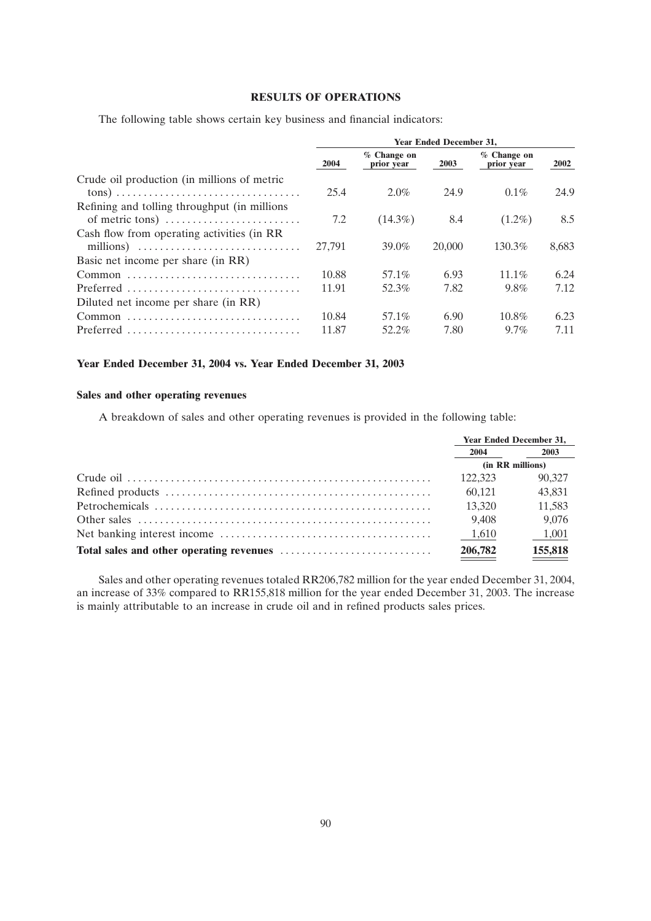# **RESULTS OF OPERATIONS**

The following table shows certain key business and financial indicators:

|                                                                               | <b>Year Ended December 31,</b> |                           |        |                             |       |  |  |
|-------------------------------------------------------------------------------|--------------------------------|---------------------------|--------|-----------------------------|-------|--|--|
|                                                                               | 2004                           | % Change on<br>prior year | 2003   | $%$ Change on<br>prior year | 2002  |  |  |
| Crude oil production (in millions of metric                                   |                                |                           |        |                             |       |  |  |
|                                                                               | 25.4                           | $2.0\%$                   | 24.9   | $0.1\%$                     | 24.9  |  |  |
| Refining and tolling throughput (in millions                                  |                                |                           |        |                             |       |  |  |
| of metric tons) $\dots \dots \dots \dots \dots \dots \dots \dots$             | 7.2                            | $(14.3\%)$                | 8.4    | $(1.2\%)$                   | 8.5   |  |  |
| Cash flow from operating activities (in RR                                    |                                |                           |        |                             |       |  |  |
| millions) $\ldots \ldots \ldots \ldots \ldots \ldots \ldots \ldots \ldots$    | 27.791                         | 39.0%                     | 20,000 | 130.3%                      | 8.683 |  |  |
| Basic net income per share (in RR)                                            |                                |                           |        |                             |       |  |  |
|                                                                               | 10.88                          | 57.1%                     | 6.93   | $11.1\%$                    | 6.24  |  |  |
| Preferred                                                                     | 11.91                          | 52.3%                     | 7.82   | 9.8%                        | 7.12  |  |  |
| Diluted net income per share (in RR)                                          |                                |                           |        |                             |       |  |  |
|                                                                               | 10.84                          | 57.1%                     | 6.90   | $10.8\%$                    | 6.23  |  |  |
| $Preferred \dots \dots \dots \dots \dots \dots \dots \dots \dots \dots \dots$ | 11.87                          | 52.2%                     | 7.80   | $9.7\%$                     | 7.11  |  |  |
|                                                                               |                                |                           |        |                             |       |  |  |

# **Year Ended December 31, 2004 vs. Year Ended December 31, 2003**

# **Sales and other operating revenues**

A breakdown of sales and other operating revenues is provided in the following table:

| <b>Year Ended December 31,</b> |         |
|--------------------------------|---------|
| 2004                           | 2003    |
| (in RR millions)               |         |
| 122.323                        | 90.327  |
| 60.121                         | 43,831  |
| 13,320                         | 11,583  |
| 9,408                          | 9,076   |
| 1,610                          | 1,001   |
| 206,782                        | 155,818 |

Sales and other operating revenues totaled RR206,782 million for the year ended December 31, 2004, an increase of 33% compared to RR155,818 million for the year ended December 31, 2003. The increase is mainly attributable to an increase in crude oil and in refined products sales prices.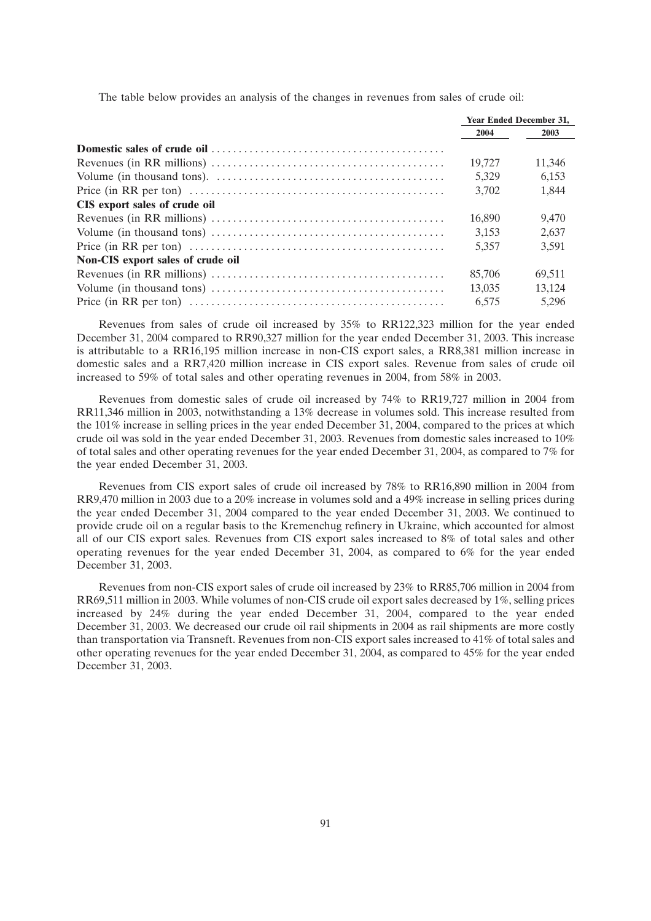|  | The table below provides an analysis of the changes in revenues from sales of crude oil: |  |
|--|------------------------------------------------------------------------------------------|--|
|  |                                                                                          |  |

|                                                                                                                   | <b>Year Ended December 31,</b> |        |
|-------------------------------------------------------------------------------------------------------------------|--------------------------------|--------|
|                                                                                                                   | 2004                           | 2003   |
|                                                                                                                   |                                |        |
|                                                                                                                   | 19.727                         | 11,346 |
|                                                                                                                   | 5.329                          | 6.153  |
|                                                                                                                   | 3,702                          | 1.844  |
| CIS export sales of crude oil                                                                                     |                                |        |
|                                                                                                                   | 16,890                         | 9.470  |
|                                                                                                                   | 3.153                          | 2.637  |
|                                                                                                                   | 5.357                          | 3.591  |
| Non-CIS export sales of crude oil                                                                                 |                                |        |
|                                                                                                                   | 85,706                         | 69.511 |
|                                                                                                                   | 13.035                         | 13.124 |
| Price (in RR per ton) $\dots \dots \dots \dots \dots \dots \dots \dots \dots \dots \dots \dots \dots \dots \dots$ | 6.575                          | 5,296  |

Revenues from sales of crude oil increased by 35% to RR122,323 million for the year ended December 31, 2004 compared to RR90,327 million for the year ended December 31, 2003. This increase is attributable to a RR16,195 million increase in non-CIS export sales, a RR8,381 million increase in domestic sales and a RR7,420 million increase in CIS export sales. Revenue from sales of crude oil increased to 59% of total sales and other operating revenues in 2004, from 58% in 2003.

Revenues from domestic sales of crude oil increased by 74% to RR19,727 million in 2004 from RR11,346 million in 2003, notwithstanding a 13% decrease in volumes sold. This increase resulted from the 101% increase in selling prices in the year ended December 31, 2004, compared to the prices at which crude oil was sold in the year ended December 31, 2003. Revenues from domestic sales increased to 10% of total sales and other operating revenues for the year ended December 31, 2004, as compared to 7% for the year ended December 31, 2003.

Revenues from CIS export sales of crude oil increased by 78% to RR16,890 million in 2004 from RR9,470 million in 2003 due to a 20% increase in volumes sold and a 49% increase in selling prices during the year ended December 31, 2004 compared to the year ended December 31, 2003. We continued to provide crude oil on a regular basis to the Kremenchug refinery in Ukraine, which accounted for almost all of our CIS export sales. Revenues from CIS export sales increased to 8% of total sales and other operating revenues for the year ended December 31, 2004, as compared to 6% for the year ended December 31, 2003.

Revenues from non-CIS export sales of crude oil increased by 23% to RR85,706 million in 2004 from RR69,511 million in 2003. While volumes of non-CIS crude oil export sales decreased by 1%, selling prices increased by 24% during the year ended December 31, 2004, compared to the year ended December 31, 2003. We decreased our crude oil rail shipments in 2004 as rail shipments are more costly than transportation via Transneft. Revenues from non-CIS export sales increased to 41% of total sales and other operating revenues for the year ended December 31, 2004, as compared to 45% for the year ended December 31, 2003.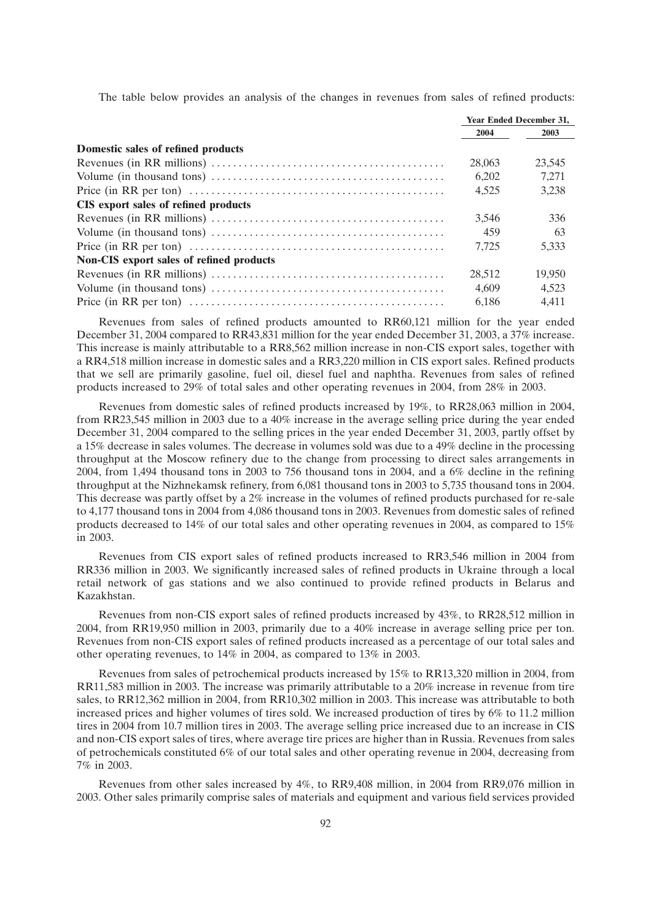The table below provides an analysis of the changes in revenues from sales of refined products:

|                                                 | <b>Year Ended December 31,</b> |        |
|-------------------------------------------------|--------------------------------|--------|
|                                                 | 2004                           | 2003   |
| Domestic sales of refined products              |                                |        |
|                                                 | 28,063                         | 23,545 |
|                                                 | 6.202                          | 7.271  |
|                                                 | 4.525                          | 3.238  |
| CIS export sales of refined products            |                                |        |
|                                                 | 3,546                          | 336    |
|                                                 | 459                            | 63     |
|                                                 | 7.725                          | 5.333  |
| <b>Non-CIS</b> export sales of refined products |                                |        |
|                                                 | 28.512                         | 19.950 |
|                                                 | 4.609                          | 4.523  |
|                                                 | 6.186                          | 4.411  |

Revenues from sales of refined products amounted to RR60,121 million for the year ended December 31, 2004 compared to RR43,831 million for the year ended December 31, 2003, a 37% increase. This increase is mainly attributable to a RR8,562 million increase in non-CIS export sales, together with a RR4,518 million increase in domestic sales and a RR3,220 million in CIS export sales. Refined products that we sell are primarily gasoline, fuel oil, diesel fuel and naphtha. Revenues from sales of refined products increased to 29% of total sales and other operating revenues in 2004, from 28% in 2003.

Revenues from domestic sales of refined products increased by 19%, to RR28,063 million in 2004, from RR23,545 million in 2003 due to a 40% increase in the average selling price during the year ended December 31, 2004 compared to the selling prices in the year ended December 31, 2003, partly offset by a 15% decrease in sales volumes. The decrease in volumes sold was due to a 49% decline in the processing throughput at the Moscow refinery due to the change from processing to direct sales arrangements in 2004, from 1,494 thousand tons in 2003 to 756 thousand tons in 2004, and a 6% decline in the refining throughput at the Nizhnekamsk refinery, from 6,081 thousand tons in 2003 to 5,735 thousand tons in 2004. This decrease was partly offset by a 2% increase in the volumes of refined products purchased for re-sale to 4,177 thousand tons in 2004 from 4,086 thousand tons in 2003. Revenues from domestic sales of refined products decreased to 14% of our total sales and other operating revenues in 2004, as compared to 15% in 2003.

Revenues from CIS export sales of refined products increased to RR3,546 million in 2004 from RR336 million in 2003. We significantly increased sales of refined products in Ukraine through a local retail network of gas stations and we also continued to provide refined products in Belarus and Kazakhstan.

Revenues from non-CIS export sales of refined products increased by 43%, to RR28,512 million in 2004, from RR19,950 million in 2003, primarily due to a 40% increase in average selling price per ton. Revenues from non-CIS export sales of refined products increased as a percentage of our total sales and other operating revenues, to 14% in 2004, as compared to 13% in 2003.

Revenues from sales of petrochemical products increased by 15% to RR13,320 million in 2004, from RR11,583 million in 2003. The increase was primarily attributable to a 20% increase in revenue from tire sales, to RR12,362 million in 2004, from RR10,302 million in 2003. This increase was attributable to both increased prices and higher volumes of tires sold. We increased production of tires by 6% to 11.2 million tires in 2004 from 10.7 million tires in 2003. The average selling price increased due to an increase in CIS and non-CIS export sales of tires, where average tire prices are higher than in Russia. Revenues from sales of petrochemicals constituted 6% of our total sales and other operating revenue in 2004, decreasing from 7% in 2003.

Revenues from other sales increased by 4%, to RR9,408 million, in 2004 from RR9,076 million in 2003. Other sales primarily comprise sales of materials and equipment and various field services provided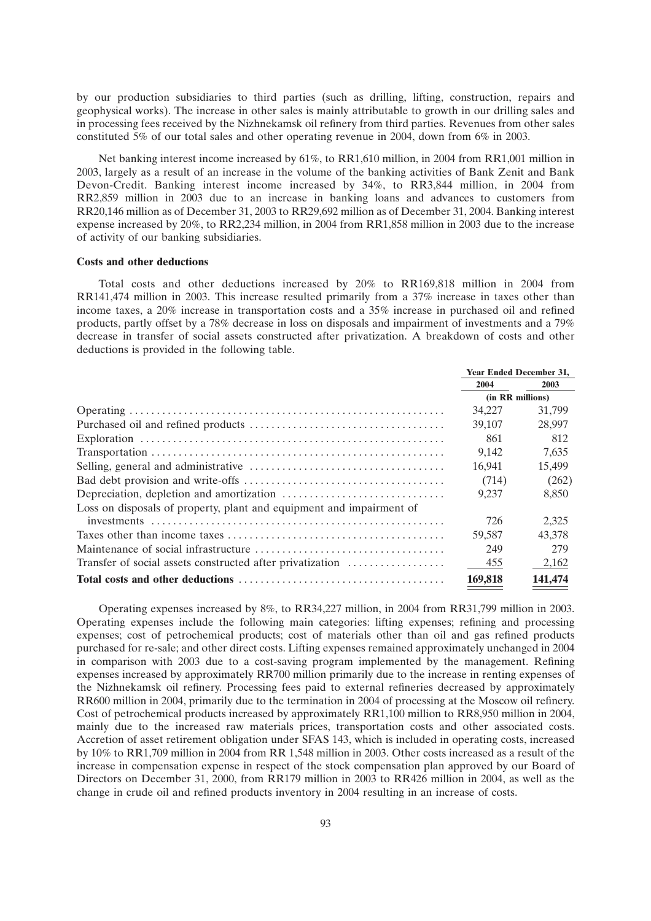by our production subsidiaries to third parties (such as drilling, lifting, construction, repairs and geophysical works). The increase in other sales is mainly attributable to growth in our drilling sales and in processing fees received by the Nizhnekamsk oil refinery from third parties. Revenues from other sales constituted 5% of our total sales and other operating revenue in 2004, down from 6% in 2003.

Net banking interest income increased by 61%, to RR1,610 million, in 2004 from RR1,001 million in 2003, largely as a result of an increase in the volume of the banking activities of Bank Zenit and Bank Devon-Credit. Banking interest income increased by 34%, to RR3,844 million, in 2004 from RR2,859 million in 2003 due to an increase in banking loans and advances to customers from RR20,146 million as of December 31, 2003 to RR29,692 million as of December 31, 2004. Banking interest expense increased by 20%, to RR2,234 million, in 2004 from RR1,858 million in 2003 due to the increase of activity of our banking subsidiaries.

## **Costs and other deductions**

Total costs and other deductions increased by 20% to RR169,818 million in 2004 from RR141,474 million in 2003. This increase resulted primarily from a 37% increase in taxes other than income taxes, a 20% increase in transportation costs and a 35% increase in purchased oil and refined products, partly offset by a 78% decrease in loss on disposals and impairment of investments and a 79% decrease in transfer of social assets constructed after privatization. A breakdown of costs and other deductions is provided in the following table.

|                                                                      | <b>Year Ended December 31,</b> |         |
|----------------------------------------------------------------------|--------------------------------|---------|
|                                                                      | 2004                           | 2003    |
|                                                                      | (in RR millions)               |         |
|                                                                      | 34,227                         | 31,799  |
|                                                                      | 39,107                         | 28,997  |
|                                                                      | 861                            | 812     |
|                                                                      | 9.142                          | 7.635   |
|                                                                      | 16,941                         | 15,499  |
|                                                                      | (714)                          | (262)   |
|                                                                      | 9.237                          | 8.850   |
| Loss on disposals of property, plant and equipment and impairment of |                                |         |
|                                                                      | 726                            | 2,325   |
|                                                                      | 59.587                         | 43.378  |
|                                                                      | 249                            | 279     |
| Transfer of social assets constructed after privatization            | 455                            | 2,162   |
|                                                                      | 169,818                        | 141,474 |

Operating expenses increased by 8%, to RR34,227 million, in 2004 from RR31,799 million in 2003. Operating expenses include the following main categories: lifting expenses; refining and processing expenses; cost of petrochemical products; cost of materials other than oil and gas refined products purchased for re-sale; and other direct costs. Lifting expenses remained approximately unchanged in 2004 in comparison with 2003 due to a cost-saving program implemented by the management. Refining expenses increased by approximately RR700 million primarily due to the increase in renting expenses of the Nizhnekamsk oil refinery. Processing fees paid to external refineries decreased by approximately RR600 million in 2004, primarily due to the termination in 2004 of processing at the Moscow oil refinery. Cost of petrochemical products increased by approximately RR1,100 million to RR8,950 million in 2004, mainly due to the increased raw materials prices, transportation costs and other associated costs. Accretion of asset retirement obligation under SFAS 143, which is included in operating costs, increased by 10% to RR1,709 million in 2004 from RR 1,548 million in 2003. Other costs increased as a result of the increase in compensation expense in respect of the stock compensation plan approved by our Board of Directors on December 31, 2000, from RR179 million in 2003 to RR426 million in 2004, as well as the change in crude oil and refined products inventory in 2004 resulting in an increase of costs.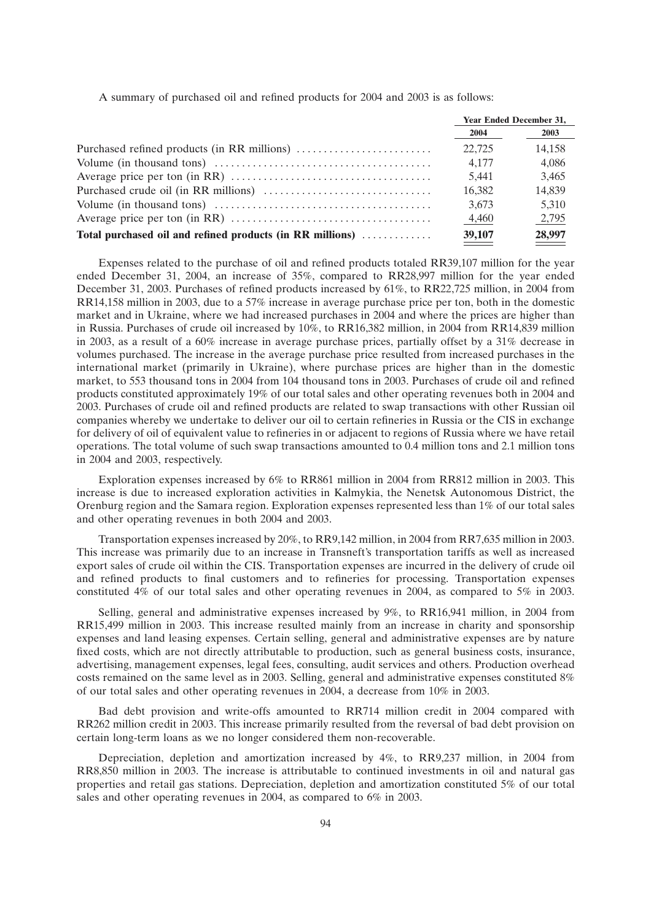A summary of purchased oil and refined products for 2004 and 2003 is as follows:

|                                                           | <b>Year Ended December 31,</b> |        |
|-----------------------------------------------------------|--------------------------------|--------|
|                                                           | 2004                           | 2003   |
|                                                           | 22.725                         | 14.158 |
|                                                           | 4.177                          | 4.086  |
|                                                           | 5.441                          | 3.465  |
|                                                           | 16.382                         | 14,839 |
|                                                           | 3,673                          | 5.310  |
|                                                           | 4,460                          | 2,795  |
| Total purchased oil and refined products (in RR millions) | 39,107                         | 28,997 |

Expenses related to the purchase of oil and refined products totaled RR39,107 million for the year ended December 31, 2004, an increase of 35%, compared to RR28,997 million for the year ended December 31, 2003. Purchases of refined products increased by 61%, to RR22,725 million, in 2004 from RR14,158 million in 2003, due to a 57% increase in average purchase price per ton, both in the domestic market and in Ukraine, where we had increased purchases in 2004 and where the prices are higher than in Russia. Purchases of crude oil increased by 10%, to RR16,382 million, in 2004 from RR14,839 million in 2003, as a result of a 60% increase in average purchase prices, partially offset by a 31% decrease in volumes purchased. The increase in the average purchase price resulted from increased purchases in the international market (primarily in Ukraine), where purchase prices are higher than in the domestic market, to 553 thousand tons in 2004 from 104 thousand tons in 2003. Purchases of crude oil and refined products constituted approximately 19% of our total sales and other operating revenues both in 2004 and 2003. Purchases of crude oil and refined products are related to swap transactions with other Russian oil companies whereby we undertake to deliver our oil to certain refineries in Russia or the CIS in exchange for delivery of oil of equivalent value to refineries in or adjacent to regions of Russia where we have retail operations. The total volume of such swap transactions amounted to 0.4 million tons and 2.1 million tons in 2004 and 2003, respectively.

Exploration expenses increased by 6% to RR861 million in 2004 from RR812 million in 2003. This increase is due to increased exploration activities in Kalmykia, the Nenetsk Autonomous District, the Orenburg region and the Samara region. Exploration expenses represented less than 1% of our total sales and other operating revenues in both 2004 and 2003.

Transportation expenses increased by 20%, to RR9,142 million, in 2004 from RR7,635 million in 2003. This increase was primarily due to an increase in Transneft's transportation tariffs as well as increased export sales of crude oil within the CIS. Transportation expenses are incurred in the delivery of crude oil and refined products to final customers and to refineries for processing. Transportation expenses constituted 4% of our total sales and other operating revenues in 2004, as compared to 5% in 2003.

Selling, general and administrative expenses increased by 9%, to RR16,941 million, in 2004 from RR15,499 million in 2003. This increase resulted mainly from an increase in charity and sponsorship expenses and land leasing expenses. Certain selling, general and administrative expenses are by nature fixed costs, which are not directly attributable to production, such as general business costs, insurance, advertising, management expenses, legal fees, consulting, audit services and others. Production overhead costs remained on the same level as in 2003. Selling, general and administrative expenses constituted 8% of our total sales and other operating revenues in 2004, a decrease from 10% in 2003.

Bad debt provision and write-offs amounted to RR714 million credit in 2004 compared with RR262 million credit in 2003. This increase primarily resulted from the reversal of bad debt provision on certain long-term loans as we no longer considered them non-recoverable.

Depreciation, depletion and amortization increased by 4%, to RR9,237 million, in 2004 from RR8,850 million in 2003. The increase is attributable to continued investments in oil and natural gas properties and retail gas stations. Depreciation, depletion and amortization constituted 5% of our total sales and other operating revenues in 2004, as compared to 6% in 2003.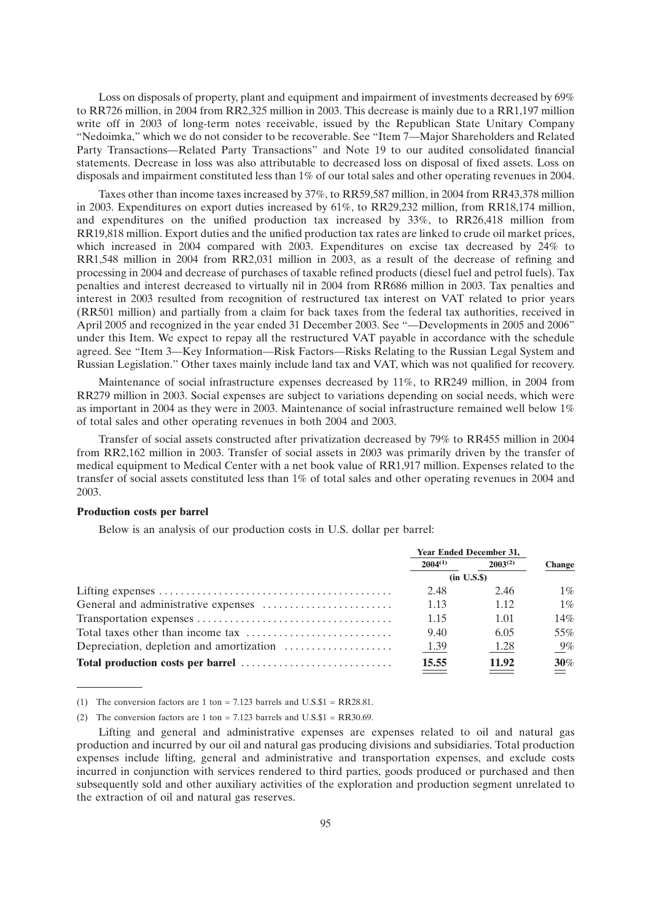Loss on disposals of property, plant and equipment and impairment of investments decreased by 69% to RR726 million, in 2004 from RR2,325 million in 2003. This decrease is mainly due to a RR1,197 million write off in 2003 of long-term notes receivable, issued by the Republican State Unitary Company ''Nedoimka,'' which we do not consider to be recoverable. See ''Item 7—Major Shareholders and Related Party Transactions—Related Party Transactions'' and Note 19 to our audited consolidated financial statements. Decrease in loss was also attributable to decreased loss on disposal of fixed assets. Loss on disposals and impairment constituted less than 1% of our total sales and other operating revenues in 2004.

Taxes other than income taxes increased by 37%, to RR59,587 million, in 2004 from RR43,378 million in 2003. Expenditures on export duties increased by 61%, to RR29,232 million, from RR18,174 million, and expenditures on the unified production tax increased by 33%, to RR26,418 million from RR19,818 million. Export duties and the unified production tax rates are linked to crude oil market prices, which increased in 2004 compared with 2003. Expenditures on excise tax decreased by 24% to RR1,548 million in 2004 from RR2,031 million in 2003, as a result of the decrease of refining and processing in 2004 and decrease of purchases of taxable refined products (diesel fuel and petrol fuels). Tax penalties and interest decreased to virtually nil in 2004 from RR686 million in 2003. Tax penalties and interest in 2003 resulted from recognition of restructured tax interest on VAT related to prior years (RR501 million) and partially from a claim for back taxes from the federal tax authorities, received in April 2005 and recognized in the year ended 31 December 2003. See "—Developments in 2005 and 2006" under this Item. We expect to repay all the restructured VAT payable in accordance with the schedule agreed. See ''Item 3—Key Information—Risk Factors—Risks Relating to the Russian Legal System and Russian Legislation.'' Other taxes mainly include land tax and VAT, which was not qualified for recovery.

Maintenance of social infrastructure expenses decreased by 11%, to RR249 million, in 2004 from RR279 million in 2003. Social expenses are subject to variations depending on social needs, which were as important in 2004 as they were in 2003. Maintenance of social infrastructure remained well below 1% of total sales and other operating revenues in both 2004 and 2003.

Transfer of social assets constructed after privatization decreased by 79% to RR455 million in 2004 from RR2,162 million in 2003. Transfer of social assets in 2003 was primarily driven by the transfer of medical equipment to Medical Center with a net book value of RR1,917 million. Expenses related to the transfer of social assets constituted less than 1% of total sales and other operating revenues in 2004 and 2003.

#### **Production costs per barrel**

Below is an analysis of our production costs in U.S. dollar per barrel:

| <b>Year Ended December 31,</b> |              |               |
|--------------------------------|--------------|---------------|
| $2004^{(1)}$                   | $2003^{(2)}$ | <b>Change</b> |
| (in U.S.S.)                    |              |               |
| 2.48                           | 2.46         | $1\%$         |
| 1.13                           | 1.12         | $1\%$         |
| 1.15                           | 1.01         | 14%           |
| 9.40                           | 6.05         | 55%           |
| 1.39                           | 1.28         | $9\%$         |
| 15.55                          | 11.92        | 30%           |

<sup>(1)</sup> The conversion factors are 1 ton  $= 7.123$  barrels and U.S.\$1  $= RR28.81$ .

<sup>(2)</sup> The conversion factors are 1 ton = 7.123 barrels and U.S. $$1 = RR30.69$ .

Lifting and general and administrative expenses are expenses related to oil and natural gas production and incurred by our oil and natural gas producing divisions and subsidiaries. Total production expenses include lifting, general and administrative and transportation expenses, and exclude costs incurred in conjunction with services rendered to third parties, goods produced or purchased and then subsequently sold and other auxiliary activities of the exploration and production segment unrelated to the extraction of oil and natural gas reserves.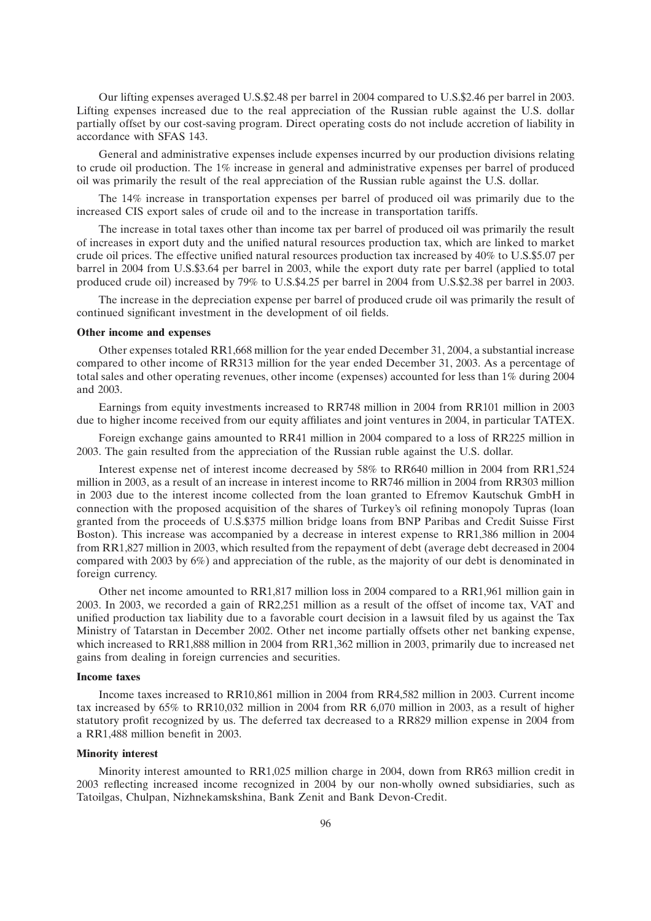Our lifting expenses averaged U.S.\$2.48 per barrel in 2004 compared to U.S.\$2.46 per barrel in 2003. Lifting expenses increased due to the real appreciation of the Russian ruble against the U.S. dollar partially offset by our cost-saving program. Direct operating costs do not include accretion of liability in accordance with SFAS 143.

General and administrative expenses include expenses incurred by our production divisions relating to crude oil production. The 1% increase in general and administrative expenses per barrel of produced oil was primarily the result of the real appreciation of the Russian ruble against the U.S. dollar.

The 14% increase in transportation expenses per barrel of produced oil was primarily due to the increased CIS export sales of crude oil and to the increase in transportation tariffs.

The increase in total taxes other than income tax per barrel of produced oil was primarily the result of increases in export duty and the unified natural resources production tax, which are linked to market crude oil prices. The effective unified natural resources production tax increased by 40% to U.S.\$5.07 per barrel in 2004 from U.S.\$3.64 per barrel in 2003, while the export duty rate per barrel (applied to total produced crude oil) increased by 79% to U.S.\$4.25 per barrel in 2004 from U.S.\$2.38 per barrel in 2003.

The increase in the depreciation expense per barrel of produced crude oil was primarily the result of continued significant investment in the development of oil fields.

## **Other income and expenses**

Other expenses totaled RR1,668 million for the year ended December 31, 2004, a substantial increase compared to other income of RR313 million for the year ended December 31, 2003. As a percentage of total sales and other operating revenues, other income (expenses) accounted for less than 1% during 2004 and 2003.

Earnings from equity investments increased to RR748 million in 2004 from RR101 million in 2003 due to higher income received from our equity affiliates and joint ventures in 2004, in particular TATEX.

Foreign exchange gains amounted to RR41 million in 2004 compared to a loss of RR225 million in 2003. The gain resulted from the appreciation of the Russian ruble against the U.S. dollar.

Interest expense net of interest income decreased by 58% to RR640 million in 2004 from RR1,524 million in 2003, as a result of an increase in interest income to RR746 million in 2004 from RR303 million in 2003 due to the interest income collected from the loan granted to Efremov Kautschuk GmbH in connection with the proposed acquisition of the shares of Turkey's oil refining monopoly Tupras (loan granted from the proceeds of U.S.\$375 million bridge loans from BNP Paribas and Credit Suisse First Boston). This increase was accompanied by a decrease in interest expense to RR1,386 million in 2004 from RR1,827 million in 2003, which resulted from the repayment of debt (average debt decreased in 2004 compared with 2003 by 6%) and appreciation of the ruble, as the majority of our debt is denominated in foreign currency.

Other net income amounted to RR1,817 million loss in 2004 compared to a RR1,961 million gain in 2003. In 2003, we recorded a gain of RR2,251 million as a result of the offset of income tax, VAT and unified production tax liability due to a favorable court decision in a lawsuit filed by us against the Tax Ministry of Tatarstan in December 2002. Other net income partially offsets other net banking expense, which increased to RR1,888 million in 2004 from RR1,362 million in 2003, primarily due to increased net gains from dealing in foreign currencies and securities.

## **Income taxes**

Income taxes increased to RR10,861 million in 2004 from RR4,582 million in 2003. Current income tax increased by 65% to RR10,032 million in 2004 from RR 6,070 million in 2003, as a result of higher statutory profit recognized by us. The deferred tax decreased to a RR829 million expense in 2004 from a RR1,488 million benefit in 2003.

## **Minority interest**

Minority interest amounted to RR1,025 million charge in 2004, down from RR63 million credit in 2003 reflecting increased income recognized in 2004 by our non-wholly owned subsidiaries, such as Tatoilgas, Chulpan, Nizhnekamskshina, Bank Zenit and Bank Devon-Credit.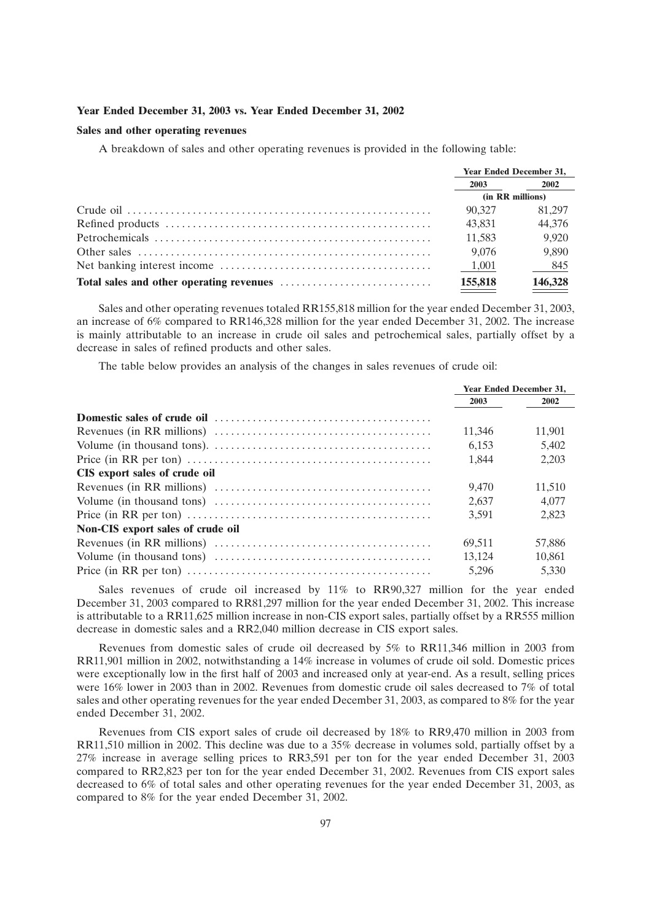### **Year Ended December 31, 2003 vs. Year Ended December 31, 2002**

# **Sales and other operating revenues**

A breakdown of sales and other operating revenues is provided in the following table:

| <b>Year Ended December 31,</b> |         |
|--------------------------------|---------|
| 2003                           | 2002    |
| (in RR millions)               |         |
| 90.327                         | 81.297  |
| 43.831                         | 44,376  |
| 11,583                         | 9,920   |
| 9,076                          | 9,890   |
| 1,001                          | 845     |
| 155,818                        | 146,328 |

Sales and other operating revenues totaled RR155,818 million for the year ended December 31, 2003, an increase of 6% compared to RR146,328 million for the year ended December 31, 2002. The increase is mainly attributable to an increase in crude oil sales and petrochemical sales, partially offset by a decrease in sales of refined products and other sales.

The table below provides an analysis of the changes in sales revenues of crude oil:

|                                   | <b>Year Ended December 31,</b> |        |
|-----------------------------------|--------------------------------|--------|
|                                   | 2003                           | 2002   |
|                                   |                                |        |
|                                   | 11,346                         | 11.901 |
|                                   | 6.153                          | 5.402  |
|                                   | 1.844                          | 2.203  |
| CIS export sales of crude oil     |                                |        |
|                                   | 9.470                          | 11.510 |
|                                   | 2.637                          | 4.077  |
|                                   | 3.591                          | 2.823  |
| Non-CIS export sales of crude oil |                                |        |
|                                   | 69,511                         | 57.886 |
|                                   | 13.124                         | 10.861 |
|                                   | 5,296                          | 5.330  |

Sales revenues of crude oil increased by 11% to RR90,327 million for the year ended December 31, 2003 compared to RR81,297 million for the year ended December 31, 2002. This increase is attributable to a RR11,625 million increase in non-CIS export sales, partially offset by a RR555 million decrease in domestic sales and a RR2,040 million decrease in CIS export sales.

Revenues from domestic sales of crude oil decreased by 5% to RR11,346 million in 2003 from RR11,901 million in 2002, notwithstanding a 14% increase in volumes of crude oil sold. Domestic prices were exceptionally low in the first half of 2003 and increased only at year-end. As a result, selling prices were 16% lower in 2003 than in 2002. Revenues from domestic crude oil sales decreased to 7% of total sales and other operating revenues for the year ended December 31, 2003, as compared to 8% for the year ended December 31, 2002.

Revenues from CIS export sales of crude oil decreased by 18% to RR9,470 million in 2003 from RR11,510 million in 2002. This decline was due to a 35% decrease in volumes sold, partially offset by a 27% increase in average selling prices to RR3,591 per ton for the year ended December 31, 2003 compared to RR2,823 per ton for the year ended December 31, 2002. Revenues from CIS export sales decreased to 6% of total sales and other operating revenues for the year ended December 31, 2003, as compared to 8% for the year ended December 31, 2002.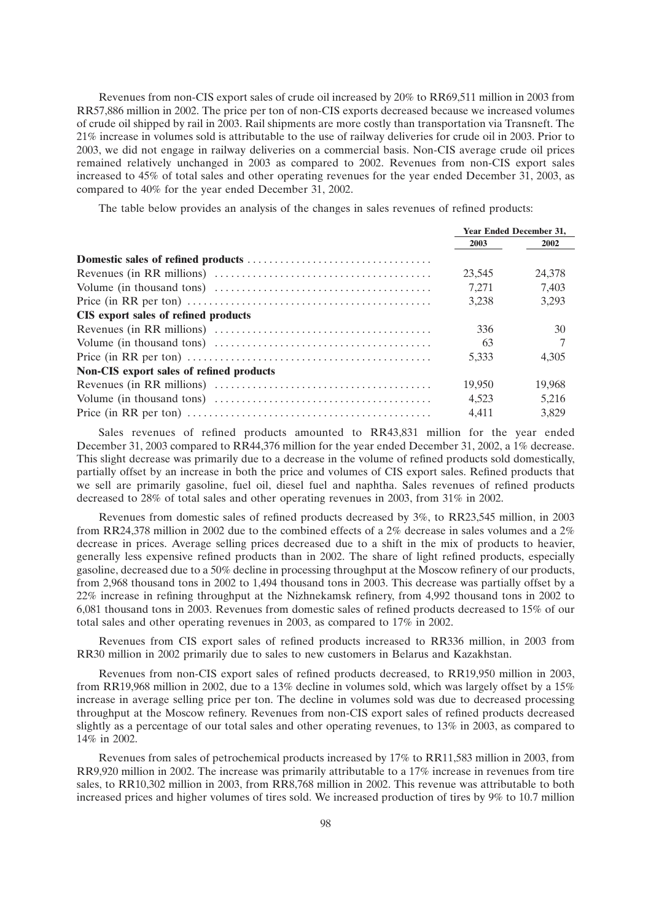Revenues from non-CIS export sales of crude oil increased by 20% to RR69,511 million in 2003 from RR57,886 million in 2002. The price per ton of non-CIS exports decreased because we increased volumes of crude oil shipped by rail in 2003. Rail shipments are more costly than transportation via Transneft. The 21% increase in volumes sold is attributable to the use of railway deliveries for crude oil in 2003. Prior to 2003, we did not engage in railway deliveries on a commercial basis. Non-CIS average crude oil prices remained relatively unchanged in 2003 as compared to 2002. Revenues from non-CIS export sales increased to 45% of total sales and other operating revenues for the year ended December 31, 2003, as compared to 40% for the year ended December 31, 2002.

The table below provides an analysis of the changes in sales revenues of refined products:

|                                                                                                                   | <b>Year Ended December 31.</b> |        |
|-------------------------------------------------------------------------------------------------------------------|--------------------------------|--------|
|                                                                                                                   | 2003                           | 2002   |
|                                                                                                                   |                                |        |
|                                                                                                                   | 23,545                         | 24,378 |
|                                                                                                                   | 7,271                          | 7.403  |
|                                                                                                                   | 3.238                          | 3.293  |
| CIS export sales of refined products                                                                              |                                |        |
|                                                                                                                   | 336                            | 30     |
|                                                                                                                   | 63                             |        |
| Price (in RR per ton) $\dots \dots \dots \dots \dots \dots \dots \dots \dots \dots \dots \dots \dots \dots \dots$ | 5.333                          | 4.305  |
| <b>Non-CIS</b> export sales of refined products                                                                   |                                |        |
|                                                                                                                   | 19.950                         | 19.968 |
|                                                                                                                   | 4.523                          | 5.216  |
|                                                                                                                   | 4.411                          | 3.829  |

Sales revenues of refined products amounted to RR43,831 million for the year ended December 31, 2003 compared to RR44,376 million for the year ended December 31, 2002, a 1% decrease. This slight decrease was primarily due to a decrease in the volume of refined products sold domestically, partially offset by an increase in both the price and volumes of CIS export sales. Refined products that we sell are primarily gasoline, fuel oil, diesel fuel and naphtha. Sales revenues of refined products decreased to 28% of total sales and other operating revenues in 2003, from 31% in 2002.

Revenues from domestic sales of refined products decreased by 3%, to RR23,545 million, in 2003 from RR24,378 million in 2002 due to the combined effects of a 2% decrease in sales volumes and a 2% decrease in prices. Average selling prices decreased due to a shift in the mix of products to heavier, generally less expensive refined products than in 2002. The share of light refined products, especially gasoline, decreased due to a 50% decline in processing throughput at the Moscow refinery of our products, from 2,968 thousand tons in 2002 to 1,494 thousand tons in 2003. This decrease was partially offset by a 22% increase in refining throughput at the Nizhnekamsk refinery, from 4,992 thousand tons in 2002 to 6,081 thousand tons in 2003. Revenues from domestic sales of refined products decreased to 15% of our total sales and other operating revenues in 2003, as compared to 17% in 2002.

Revenues from CIS export sales of refined products increased to RR336 million, in 2003 from RR30 million in 2002 primarily due to sales to new customers in Belarus and Kazakhstan.

Revenues from non-CIS export sales of refined products decreased, to RR19,950 million in 2003, from RR19,968 million in 2002, due to a 13% decline in volumes sold, which was largely offset by a 15% increase in average selling price per ton. The decline in volumes sold was due to decreased processing throughput at the Moscow refinery. Revenues from non-CIS export sales of refined products decreased slightly as a percentage of our total sales and other operating revenues, to 13% in 2003, as compared to 14% in 2002.

Revenues from sales of petrochemical products increased by 17% to RR11,583 million in 2003, from RR9,920 million in 2002. The increase was primarily attributable to a 17% increase in revenues from tire sales, to RR10,302 million in 2003, from RR8,768 million in 2002. This revenue was attributable to both increased prices and higher volumes of tires sold. We increased production of tires by 9% to 10.7 million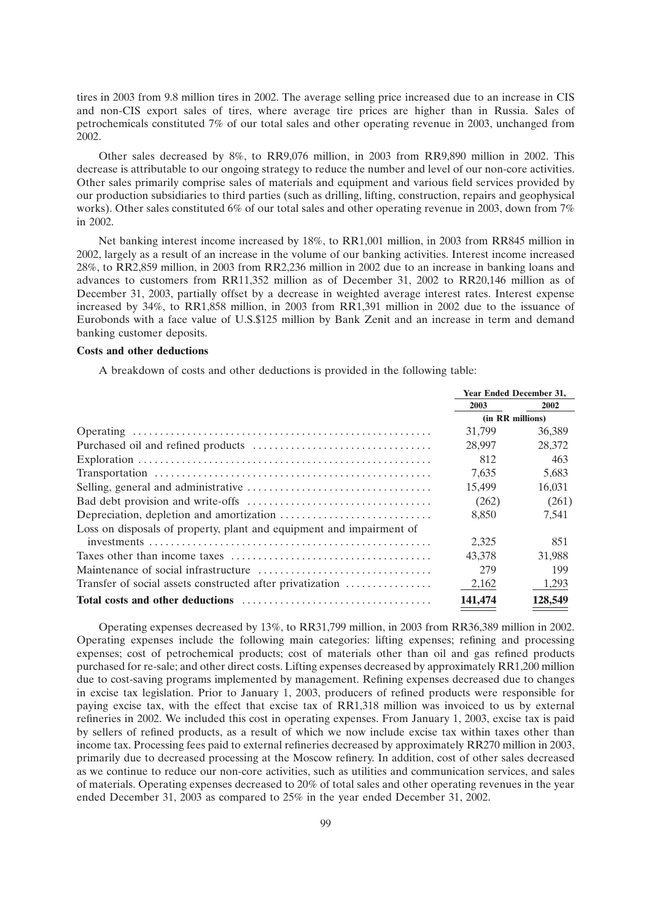tires in 2003 from 9.8 million tires in 2002. The average selling price increased due to an increase in CIS and non-CIS export sales of tires, where average tire prices are higher than in Russia. Sales of petrochemicals constituted 7% of our total sales and other operating revenue in 2003, unchanged from 2002.

Other sales decreased by 8%, to RR9,076 million, in 2003 from RR9,890 million in 2002. This decrease is attributable to our ongoing strategy to reduce the number and level of our non-core activities. Other sales primarily comprise sales of materials and equipment and various field services provided by our production subsidiaries to third parties (such as drilling, lifting, construction, repairs and geophysical works). Other sales constituted 6% of our total sales and other operating revenue in 2003, down from 7% in 2002.

Net banking interest income increased by 18%, to RR1,001 million, in 2003 from RR845 million in 2002, largely as a result of an increase in the volume of our banking activities. Interest income increased 28%, to RR2,859 million, in 2003 from RR2,236 million in 2002 due to an increase in banking loans and advances to customers from RR11,352 million as of December 31, 2002 to RR20,146 million as of December 31, 2003, partially offset by a decrease in weighted average interest rates. Interest expense increased by 34%, to RR1,858 million, in 2003 from RR1,391 million in 2002 due to the issuance of Eurobonds with a face value of U.S.\$125 million by Bank Zenit and an increase in term and demand banking customer deposits.

### **Costs and other deductions**

A breakdown of costs and other deductions is provided in the following table:

|                                                                      | <b>Year Ended December 31.</b> |         |
|----------------------------------------------------------------------|--------------------------------|---------|
|                                                                      | 2003                           | 2002    |
|                                                                      | (in RR millions)               |         |
|                                                                      | 31.799                         | 36,389  |
|                                                                      | 28,997                         | 28,372  |
|                                                                      | 812                            | 463     |
|                                                                      | 7.635                          | 5,683   |
|                                                                      | 15.499                         | 16.031  |
|                                                                      | (262)                          | (261)   |
|                                                                      | 8,850                          | 7,541   |
| Loss on disposals of property, plant and equipment and impairment of |                                |         |
|                                                                      | 2.325                          | 851     |
|                                                                      | 43.378                         | 31,988  |
|                                                                      | 279                            | 199     |
| Transfer of social assets constructed after privatization            | 2,162                          | 1.293   |
|                                                                      | 141,474                        | 128,549 |

Operating expenses decreased by 13%, to RR31,799 million, in 2003 from RR36,389 million in 2002. Operating expenses include the following main categories: lifting expenses; refining and processing expenses; cost of petrochemical products; cost of materials other than oil and gas refined products purchased for re-sale; and other direct costs. Lifting expenses decreased by approximately RR1,200 million due to cost-saving programs implemented by management. Refining expenses decreased due to changes in excise tax legislation. Prior to January 1, 2003, producers of refined products were responsible for paying excise tax, with the effect that excise tax of RR1,318 million was invoiced to us by external refineries in 2002. We included this cost in operating expenses. From January 1, 2003, excise tax is paid by sellers of refined products, as a result of which we now include excise tax within taxes other than income tax. Processing fees paid to external refineries decreased by approximately RR270 million in 2003, primarily due to decreased processing at the Moscow refinery. In addition, cost of other sales decreased as we continue to reduce our non-core activities, such as utilities and communication services, and sales of materials. Operating expenses decreased to 20% of total sales and other operating revenues in the year ended December 31, 2003 as compared to 25% in the year ended December 31, 2002.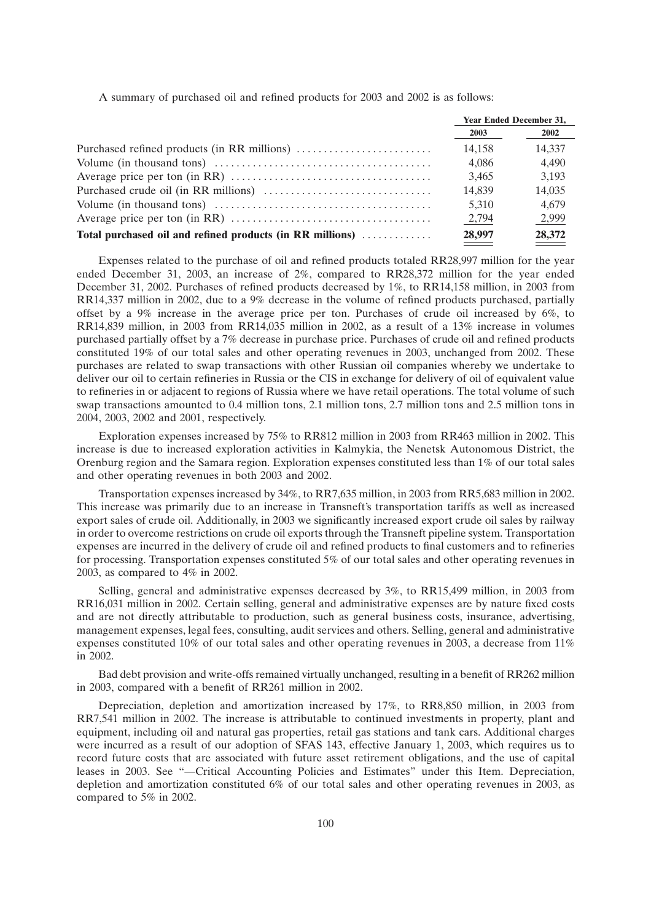A summary of purchased oil and refined products for 2003 and 2002 is as follows:

|                                                           | <b>Year Ended December 31,</b> |        |
|-----------------------------------------------------------|--------------------------------|--------|
|                                                           | 2003                           | 2002   |
|                                                           | 14.158                         | 14.337 |
|                                                           | 4.086                          | 4.490  |
|                                                           | 3.465                          | 3.193  |
|                                                           | 14,839                         | 14,035 |
|                                                           | 5.310                          | 4.679  |
|                                                           | 2,794                          | 2,999  |
| Total purchased oil and refined products (in RR millions) | 28,997                         | 28,372 |

Expenses related to the purchase of oil and refined products totaled RR28,997 million for the year ended December 31, 2003, an increase of 2%, compared to RR28,372 million for the year ended December 31, 2002. Purchases of refined products decreased by 1%, to RR14,158 million, in 2003 from RR14,337 million in 2002, due to a 9% decrease in the volume of refined products purchased, partially offset by a 9% increase in the average price per ton. Purchases of crude oil increased by 6%, to RR14,839 million, in 2003 from RR14,035 million in 2002, as a result of a 13% increase in volumes purchased partially offset by a 7% decrease in purchase price. Purchases of crude oil and refined products constituted 19% of our total sales and other operating revenues in 2003, unchanged from 2002. These purchases are related to swap transactions with other Russian oil companies whereby we undertake to deliver our oil to certain refineries in Russia or the CIS in exchange for delivery of oil of equivalent value to refineries in or adjacent to regions of Russia where we have retail operations. The total volume of such swap transactions amounted to 0.4 million tons, 2.1 million tons, 2.7 million tons and 2.5 million tons in 2004, 2003, 2002 and 2001, respectively.

Exploration expenses increased by 75% to RR812 million in 2003 from RR463 million in 2002. This increase is due to increased exploration activities in Kalmykia, the Nenetsk Autonomous District, the Orenburg region and the Samara region. Exploration expenses constituted less than 1% of our total sales and other operating revenues in both 2003 and 2002.

Transportation expenses increased by 34%, to RR7,635 million, in 2003 from RR5,683 million in 2002. This increase was primarily due to an increase in Transneft's transportation tariffs as well as increased export sales of crude oil. Additionally, in 2003 we significantly increased export crude oil sales by railway in order to overcome restrictions on crude oil exports through the Transneft pipeline system. Transportation expenses are incurred in the delivery of crude oil and refined products to final customers and to refineries for processing. Transportation expenses constituted 5% of our total sales and other operating revenues in 2003, as compared to 4% in 2002.

Selling, general and administrative expenses decreased by 3%, to RR15,499 million, in 2003 from RR16,031 million in 2002. Certain selling, general and administrative expenses are by nature fixed costs and are not directly attributable to production, such as general business costs, insurance, advertising, management expenses, legal fees, consulting, audit services and others. Selling, general and administrative expenses constituted 10% of our total sales and other operating revenues in 2003, a decrease from 11% in 2002.

Bad debt provision and write-offs remained virtually unchanged, resulting in a benefit of RR262 million in 2003, compared with a benefit of RR261 million in 2002.

Depreciation, depletion and amortization increased by 17%, to RR8,850 million, in 2003 from RR7,541 million in 2002. The increase is attributable to continued investments in property, plant and equipment, including oil and natural gas properties, retail gas stations and tank cars. Additional charges were incurred as a result of our adoption of SFAS 143, effective January 1, 2003, which requires us to record future costs that are associated with future asset retirement obligations, and the use of capital leases in 2003. See "--Critical Accounting Policies and Estimates" under this Item. Depreciation, depletion and amortization constituted 6% of our total sales and other operating revenues in 2003, as compared to 5% in 2002.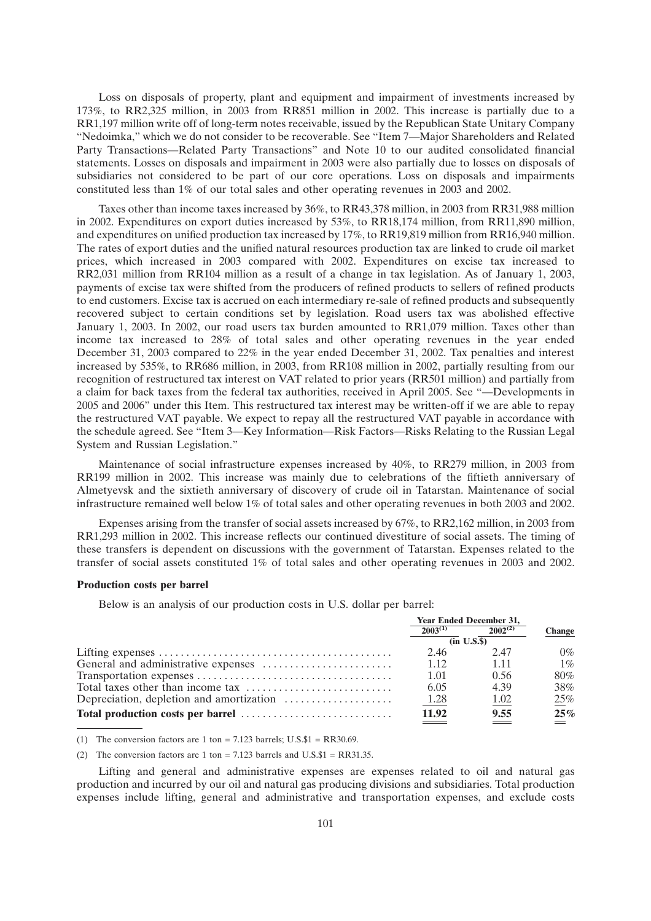Loss on disposals of property, plant and equipment and impairment of investments increased by 173%, to RR2,325 million, in 2003 from RR851 million in 2002. This increase is partially due to a RR1,197 million write off of long-term notes receivable, issued by the Republican State Unitary Company ''Nedoimka,'' which we do not consider to be recoverable. See ''Item 7—Major Shareholders and Related Party Transactions—Related Party Transactions'' and Note 10 to our audited consolidated financial statements. Losses on disposals and impairment in 2003 were also partially due to losses on disposals of subsidiaries not considered to be part of our core operations. Loss on disposals and impairments constituted less than 1% of our total sales and other operating revenues in 2003 and 2002.

Taxes other than income taxes increased by 36%, to RR43,378 million, in 2003 from RR31,988 million in 2002. Expenditures on export duties increased by 53%, to RR18,174 million, from RR11,890 million, and expenditures on unified production tax increased by 17%, to RR19,819 million from RR16,940 million. The rates of export duties and the unified natural resources production tax are linked to crude oil market prices, which increased in 2003 compared with 2002. Expenditures on excise tax increased to RR2,031 million from RR104 million as a result of a change in tax legislation. As of January 1, 2003, payments of excise tax were shifted from the producers of refined products to sellers of refined products to end customers. Excise tax is accrued on each intermediary re-sale of refined products and subsequently recovered subject to certain conditions set by legislation. Road users tax was abolished effective January 1, 2003. In 2002, our road users tax burden amounted to RR1,079 million. Taxes other than income tax increased to 28% of total sales and other operating revenues in the year ended December 31, 2003 compared to 22% in the year ended December 31, 2002. Tax penalties and interest increased by 535%, to RR686 million, in 2003, from RR108 million in 2002, partially resulting from our recognition of restructured tax interest on VAT related to prior years (RR501 million) and partially from a claim for back taxes from the federal tax authorities, received in April 2005. See ''—Developments in 2005 and 2006'' under this Item. This restructured tax interest may be written-off if we are able to repay the restructured VAT payable. We expect to repay all the restructured VAT payable in accordance with the schedule agreed. See ''Item 3—Key Information—Risk Factors—Risks Relating to the Russian Legal System and Russian Legislation.''

Maintenance of social infrastructure expenses increased by 40%, to RR279 million, in 2003 from RR199 million in 2002. This increase was mainly due to celebrations of the fiftieth anniversary of Almetyevsk and the sixtieth anniversary of discovery of crude oil in Tatarstan. Maintenance of social infrastructure remained well below 1% of total sales and other operating revenues in both 2003 and 2002.

Expenses arising from the transfer of social assets increased by 67%, to RR2,162 million, in 2003 from RR1,293 million in 2002. This increase reflects our continued divestiture of social assets. The timing of these transfers is dependent on discussions with the government of Tatarstan. Expenses related to the transfer of social assets constituted 1% of total sales and other operating revenues in 2003 and 2002.

### **Production costs per barrel**

Below is an analysis of our production costs in U.S. dollar per barrel:

| <b>Year Ended December 31,</b> |              |               |  |
|--------------------------------|--------------|---------------|--|
| $2003^{(1)}$                   | $2002^{(2)}$ | <b>Change</b> |  |
| (in U.S.S.)                    |              |               |  |
| 2.46                           | 2.47         | $0\%$         |  |
| 1.12                           | 1.11         | $1\%$         |  |
| 1.01                           | 0.56         | 80%           |  |
| 6.05                           | 4.39         | 38%           |  |
| 1.28                           | 1.02         | 25%           |  |
| 11.92                          | 9.55         | 25%           |  |

(1) The conversion factors are 1 ton = 7.123 barrels; U.S. $$1 = RR30.69$ .

(2) The conversion factors are 1 ton  $= 7.123$  barrels and U.S.\$1  $= RR31.35$ .

Lifting and general and administrative expenses are expenses related to oil and natural gas production and incurred by our oil and natural gas producing divisions and subsidiaries. Total production expenses include lifting, general and administrative and transportation expenses, and exclude costs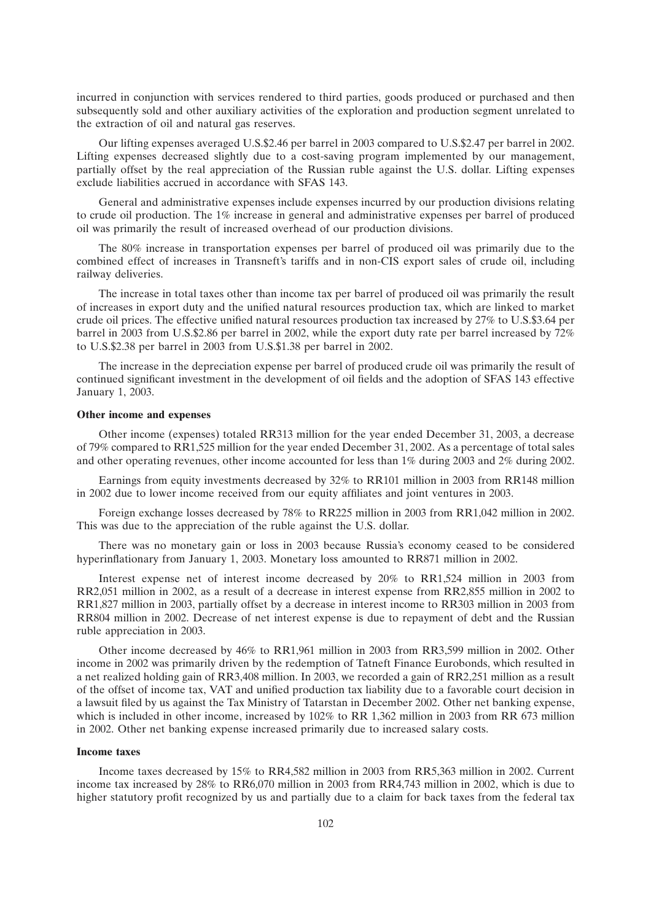incurred in conjunction with services rendered to third parties, goods produced or purchased and then subsequently sold and other auxiliary activities of the exploration and production segment unrelated to the extraction of oil and natural gas reserves.

Our lifting expenses averaged U.S.\$2.46 per barrel in 2003 compared to U.S.\$2.47 per barrel in 2002. Lifting expenses decreased slightly due to a cost-saving program implemented by our management, partially offset by the real appreciation of the Russian ruble against the U.S. dollar. Lifting expenses exclude liabilities accrued in accordance with SFAS 143.

General and administrative expenses include expenses incurred by our production divisions relating to crude oil production. The 1% increase in general and administrative expenses per barrel of produced oil was primarily the result of increased overhead of our production divisions.

The 80% increase in transportation expenses per barrel of produced oil was primarily due to the combined effect of increases in Transneft's tariffs and in non-CIS export sales of crude oil, including railway deliveries.

The increase in total taxes other than income tax per barrel of produced oil was primarily the result of increases in export duty and the unified natural resources production tax, which are linked to market crude oil prices. The effective unified natural resources production tax increased by 27% to U.S.\$3.64 per barrel in 2003 from U.S.\$2.86 per barrel in 2002, while the export duty rate per barrel increased by 72% to U.S.\$2.38 per barrel in 2003 from U.S.\$1.38 per barrel in 2002.

The increase in the depreciation expense per barrel of produced crude oil was primarily the result of continued significant investment in the development of oil fields and the adoption of SFAS 143 effective January 1, 2003.

## **Other income and expenses**

Other income (expenses) totaled RR313 million for the year ended December 31, 2003, a decrease of 79% compared to RR1,525 million for the year ended December 31, 2002. As a percentage of total sales and other operating revenues, other income accounted for less than 1% during 2003 and 2% during 2002.

Earnings from equity investments decreased by 32% to RR101 million in 2003 from RR148 million in 2002 due to lower income received from our equity affiliates and joint ventures in 2003.

Foreign exchange losses decreased by 78% to RR225 million in 2003 from RR1,042 million in 2002. This was due to the appreciation of the ruble against the U.S. dollar.

There was no monetary gain or loss in 2003 because Russia's economy ceased to be considered hyperinflationary from January 1, 2003. Monetary loss amounted to RR871 million in 2002.

Interest expense net of interest income decreased by 20% to RR1,524 million in 2003 from RR2,051 million in 2002, as a result of a decrease in interest expense from RR2,855 million in 2002 to RR1,827 million in 2003, partially offset by a decrease in interest income to RR303 million in 2003 from RR804 million in 2002. Decrease of net interest expense is due to repayment of debt and the Russian ruble appreciation in 2003.

Other income decreased by 46% to RR1,961 million in 2003 from RR3,599 million in 2002. Other income in 2002 was primarily driven by the redemption of Tatneft Finance Eurobonds, which resulted in a net realized holding gain of RR3,408 million. In 2003, we recorded a gain of RR2,251 million as a result of the offset of income tax, VAT and unified production tax liability due to a favorable court decision in a lawsuit filed by us against the Tax Ministry of Tatarstan in December 2002. Other net banking expense, which is included in other income, increased by 102% to RR 1,362 million in 2003 from RR 673 million in 2002. Other net banking expense increased primarily due to increased salary costs.

### **Income taxes**

Income taxes decreased by 15% to RR4,582 million in 2003 from RR5,363 million in 2002. Current income tax increased by 28% to RR6,070 million in 2003 from RR4,743 million in 2002, which is due to higher statutory profit recognized by us and partially due to a claim for back taxes from the federal tax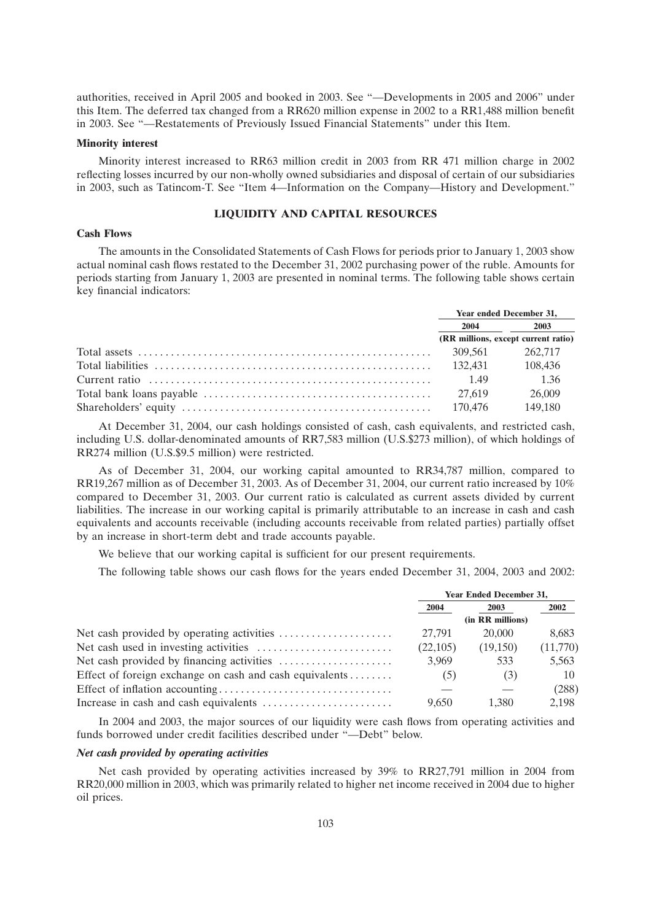authorities, received in April 2005 and booked in 2003. See ''—Developments in 2005 and 2006'' under this Item. The deferred tax changed from a RR620 million expense in 2002 to a RR1,488 million benefit in 2003. See ''—Restatements of Previously Issued Financial Statements'' under this Item.

### **Minority interest**

Minority interest increased to RR63 million credit in 2003 from RR 471 million charge in 2002 reflecting losses incurred by our non-wholly owned subsidiaries and disposal of certain of our subsidiaries in 2003, such as Tatincom-T. See ''Item 4—Information on the Company—History and Development.''

# **LIQUIDITY AND CAPITAL RESOURCES**

### **Cash Flows**

The amounts in the Consolidated Statements of Cash Flows for periods prior to January 1, 2003 show actual nominal cash flows restated to the December 31, 2002 purchasing power of the ruble. Amounts for periods starting from January 1, 2003 are presented in nominal terms. The following table shows certain key financial indicators:

|                                                                                                                 | Year ended December 31, |                                     |  |
|-----------------------------------------------------------------------------------------------------------------|-------------------------|-------------------------------------|--|
|                                                                                                                 |                         | $2004$ 2003                         |  |
|                                                                                                                 |                         | (RR millions, except current ratio) |  |
| Total assets $\ldots$ $\ldots$ $\ldots$ $\ldots$ $\ldots$ $\ldots$ $\ldots$ $\ldots$ $\ldots$ $\ldots$ $\ldots$ | 309.561                 | 262.717                             |  |
| Total liabilities (108.436) (108.436) (108.436)                                                                 |                         |                                     |  |
| Current ratio                                                                                                   | 1.49                    | 1.36                                |  |
|                                                                                                                 | 27.619                  | 26,009                              |  |
|                                                                                                                 | 170.476                 | 149,180                             |  |

At December 31, 2004, our cash holdings consisted of cash, cash equivalents, and restricted cash, including U.S. dollar-denominated amounts of RR7,583 million (U.S.\$273 million), of which holdings of RR274 million (U.S.\$9.5 million) were restricted.

As of December 31, 2004, our working capital amounted to RR34,787 million, compared to RR19,267 million as of December 31, 2003. As of December 31, 2004, our current ratio increased by 10% compared to December 31, 2003. Our current ratio is calculated as current assets divided by current liabilities. The increase in our working capital is primarily attributable to an increase in cash and cash equivalents and accounts receivable (including accounts receivable from related parties) partially offset by an increase in short-term debt and trade accounts payable.

We believe that our working capital is sufficient for our present requirements.

The following table shows our cash flows for the years ended December 31, 2004, 2003 and 2002:

|                                                         | <b>Year Ended December 31,</b> |          |          |
|---------------------------------------------------------|--------------------------------|----------|----------|
|                                                         | 2004                           | 2003     | 2002     |
|                                                         | (in RR millions)               |          |          |
|                                                         | 27.791                         | 20,000   | 8.683    |
|                                                         | (22,105)                       | (19,150) | (11,770) |
|                                                         | 3.969                          | 533      | 5,563    |
| Effect of foreign exchange on cash and cash equivalents | (5)                            | (3)      | 10       |
|                                                         |                                |          | (288)    |
|                                                         | 9.650                          | 1.380    | 2.198    |

In 2004 and 2003, the major sources of our liquidity were cash flows from operating activities and funds borrowed under credit facilities described under ''—Debt'' below.

## *Net cash provided by operating activities*

Net cash provided by operating activities increased by 39% to RR27,791 million in 2004 from RR20,000 million in 2003, which was primarily related to higher net income received in 2004 due to higher oil prices.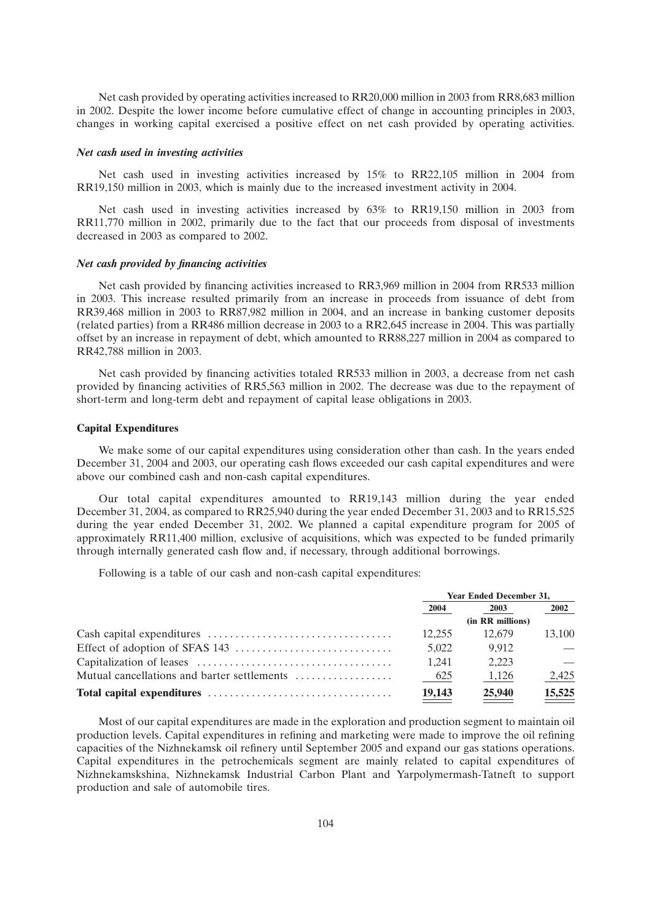Net cash provided by operating activities increased to RR20,000 million in 2003 from RR8,683 million in 2002. Despite the lower income before cumulative effect of change in accounting principles in 2003, changes in working capital exercised a positive effect on net cash provided by operating activities.

### *Net cash used in investing activities*

Net cash used in investing activities increased by 15% to RR22,105 million in 2004 from RR19,150 million in 2003, which is mainly due to the increased investment activity in 2004.

Net cash used in investing activities increased by 63% to RR19,150 million in 2003 from RR11,770 million in 2002, primarily due to the fact that our proceeds from disposal of investments decreased in 2003 as compared to 2002.

### *Net cash provided by financing activities*

Net cash provided by financing activities increased to RR3,969 million in 2004 from RR533 million in 2003. This increase resulted primarily from an increase in proceeds from issuance of debt from RR39,468 million in 2003 to RR87,982 million in 2004, and an increase in banking customer deposits (related parties) from a RR486 million decrease in 2003 to a RR2,645 increase in 2004. This was partially offset by an increase in repayment of debt, which amounted to RR88,227 million in 2004 as compared to RR42,788 million in 2003.

Net cash provided by financing activities totaled RR533 million in 2003, a decrease from net cash provided by financing activities of RR5,563 million in 2002. The decrease was due to the repayment of short-term and long-term debt and repayment of capital lease obligations in 2003.

## **Capital Expenditures**

We make some of our capital expenditures using consideration other than cash. In the years ended December 31, 2004 and 2003, our operating cash flows exceeded our cash capital expenditures and were above our combined cash and non-cash capital expenditures.

Our total capital expenditures amounted to RR19,143 million during the year ended December 31, 2004, as compared to RR25,940 during the year ended December 31, 2003 and to RR15,525 during the year ended December 31, 2002. We planned a capital expenditure program for 2005 of approximately RR11,400 million, exclusive of acquisitions, which was expected to be funded primarily through internally generated cash flow and, if necessary, through additional borrowings.

Following is a table of our cash and non-cash capital expenditures:

|                                             | <b>Year Ended December 31,</b> |                  |        |
|---------------------------------------------|--------------------------------|------------------|--------|
|                                             | 2004                           | 2003             | 2002   |
|                                             |                                | (in RR millions) |        |
|                                             | 12.255                         | 12.679           | 13.100 |
|                                             | 5.022                          | 9.912            |        |
|                                             | 1.241                          | 2.223            |        |
| Mutual cancellations and barter settlements | 625                            | 1,126            | 2,425  |
|                                             | 19,143                         | 25,940           | 15,525 |

Most of our capital expenditures are made in the exploration and production segment to maintain oil production levels. Capital expenditures in refining and marketing were made to improve the oil refining capacities of the Nizhnekamsk oil refinery until September 2005 and expand our gas stations operations. Capital expenditures in the petrochemicals segment are mainly related to capital expenditures of Nizhnekamskshina, Nizhnekamsk Industrial Carbon Plant and Yarpolymermash-Tatneft to support production and sale of automobile tires.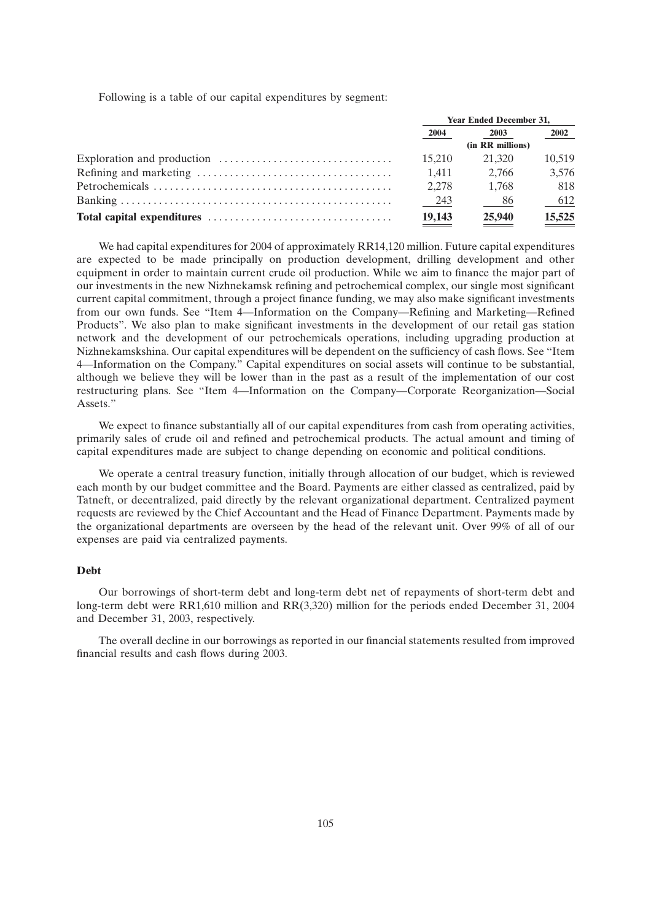Following is a table of our capital expenditures by segment:

|                                                                                 | <b>Year Ended December 31,</b> |        |        |
|---------------------------------------------------------------------------------|--------------------------------|--------|--------|
|                                                                                 | 2004                           | 2003   | 2002   |
|                                                                                 | (in RR millions)               |        |        |
| Exploration and production $\dots\dots\dots\dots\dots\dots\dots\dots\dots\dots$ | 15.210                         | 21.320 | 10.519 |
|                                                                                 | 1.411                          | 2.766  | 3,576  |
|                                                                                 | 2.278                          | 1.768  | 818    |
|                                                                                 | 243                            | - 86   | 612    |
|                                                                                 | 19,143                         | 25,940 | 15,525 |

We had capital expenditures for 2004 of approximately RR14,120 million. Future capital expenditures are expected to be made principally on production development, drilling development and other equipment in order to maintain current crude oil production. While we aim to finance the major part of our investments in the new Nizhnekamsk refining and petrochemical complex, our single most significant current capital commitment, through a project finance funding, we may also make significant investments from our own funds. See ''Item 4—Information on the Company—Refining and Marketing—Refined Products''. We also plan to make significant investments in the development of our retail gas station network and the development of our petrochemicals operations, including upgrading production at Nizhnekamskshina. Our capital expenditures will be dependent on the sufficiency of cash flows. See ''Item 4—Information on the Company.'' Capital expenditures on social assets will continue to be substantial, although we believe they will be lower than in the past as a result of the implementation of our cost restructuring plans. See ''Item 4—Information on the Company—Corporate Reorganization—Social Assets.''

We expect to finance substantially all of our capital expenditures from cash from operating activities, primarily sales of crude oil and refined and petrochemical products. The actual amount and timing of capital expenditures made are subject to change depending on economic and political conditions.

We operate a central treasury function, initially through allocation of our budget, which is reviewed each month by our budget committee and the Board. Payments are either classed as centralized, paid by Tatneft, or decentralized, paid directly by the relevant organizational department. Centralized payment requests are reviewed by the Chief Accountant and the Head of Finance Department. Payments made by the organizational departments are overseen by the head of the relevant unit. Over 99% of all of our expenses are paid via centralized payments.

## **Debt**

Our borrowings of short-term debt and long-term debt net of repayments of short-term debt and long-term debt were RR1,610 million and RR(3,320) million for the periods ended December 31, 2004 and December 31, 2003, respectively.

The overall decline in our borrowings as reported in our financial statements resulted from improved financial results and cash flows during 2003.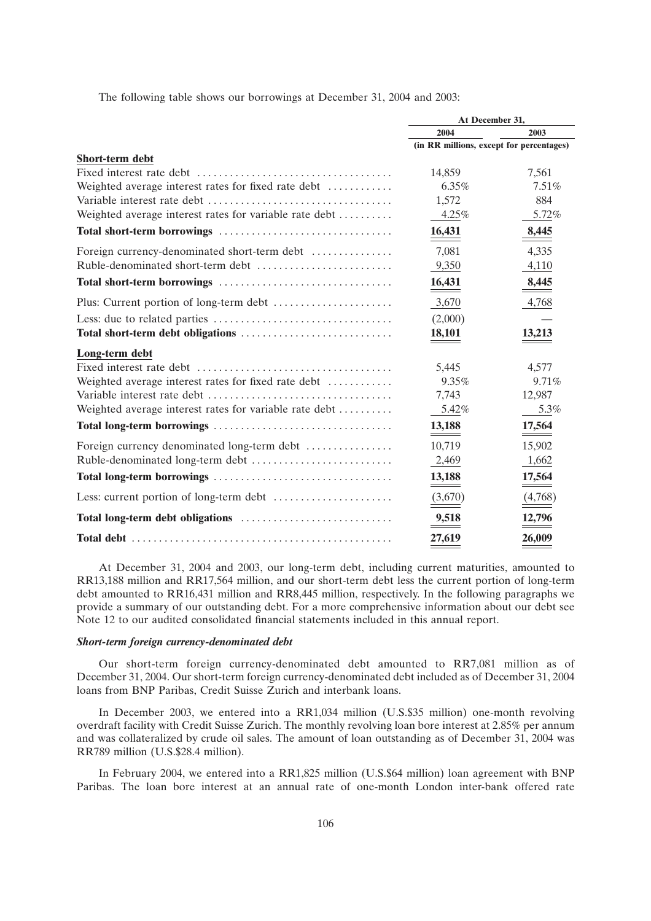The following table shows our borrowings at December 31, 2004 and 2003:

|                                                        | At December 31,                          |          |  |
|--------------------------------------------------------|------------------------------------------|----------|--|
|                                                        | 2004                                     | 2003     |  |
|                                                        | (in RR millions, except for percentages) |          |  |
| <b>Short-term debt</b>                                 |                                          |          |  |
|                                                        | 14,859                                   | 7,561    |  |
| Weighted average interest rates for fixed rate debt    | $6.35\%$                                 | $7.51\%$ |  |
|                                                        | 1,572                                    | 884      |  |
| Weighted average interest rates for variable rate debt | 4.25%                                    | 5.72%    |  |
|                                                        | 16,431                                   | 8,445    |  |
| Foreign currency-denominated short-term debt           | 7,081                                    | 4,335    |  |
|                                                        | 9,350                                    | 4,110    |  |
|                                                        | 16,431                                   | 8,445    |  |
|                                                        | 3,670                                    | 4,768    |  |
|                                                        | (2,000)                                  |          |  |
|                                                        | 18,101                                   | 13,213   |  |
| Long-term debt                                         |                                          |          |  |
|                                                        | 5,445                                    | 4,577    |  |
| Weighted average interest rates for fixed rate debt    | 9.35%                                    | 9.71%    |  |
|                                                        | 7,743                                    | 12,987   |  |
| Weighted average interest rates for variable rate debt | 5.42%                                    | 5.3%     |  |
|                                                        | 13,188                                   | 17,564   |  |
| Foreign currency denominated long-term debt            | 10,719                                   | 15,902   |  |
|                                                        | 2,469                                    | 1,662    |  |
|                                                        | 13,188                                   | 17,564   |  |
|                                                        | (3,670)                                  | (4,768)  |  |
|                                                        | 9,518                                    | 12,796   |  |
|                                                        | 27,619                                   | 26,009   |  |

At December 31, 2004 and 2003, our long-term debt, including current maturities, amounted to RR13,188 million and RR17,564 million, and our short-term debt less the current portion of long-term debt amounted to RR16,431 million and RR8,445 million, respectively. In the following paragraphs we provide a summary of our outstanding debt. For a more comprehensive information about our debt see Note 12 to our audited consolidated financial statements included in this annual report.

## *Short-term foreign currency-denominated debt*

Our short-term foreign currency-denominated debt amounted to RR7,081 million as of December 31, 2004. Our short-term foreign currency-denominated debt included as of December 31, 2004 loans from BNP Paribas, Credit Suisse Zurich and interbank loans.

In December 2003, we entered into a RR1,034 million (U.S.\$35 million) one-month revolving overdraft facility with Credit Suisse Zurich. The monthly revolving loan bore interest at 2.85% per annum and was collateralized by crude oil sales. The amount of loan outstanding as of December 31, 2004 was RR789 million (U.S.\$28.4 million).

In February 2004, we entered into a RR1,825 million (U.S.\$64 million) loan agreement with BNP Paribas. The loan bore interest at an annual rate of one-month London inter-bank offered rate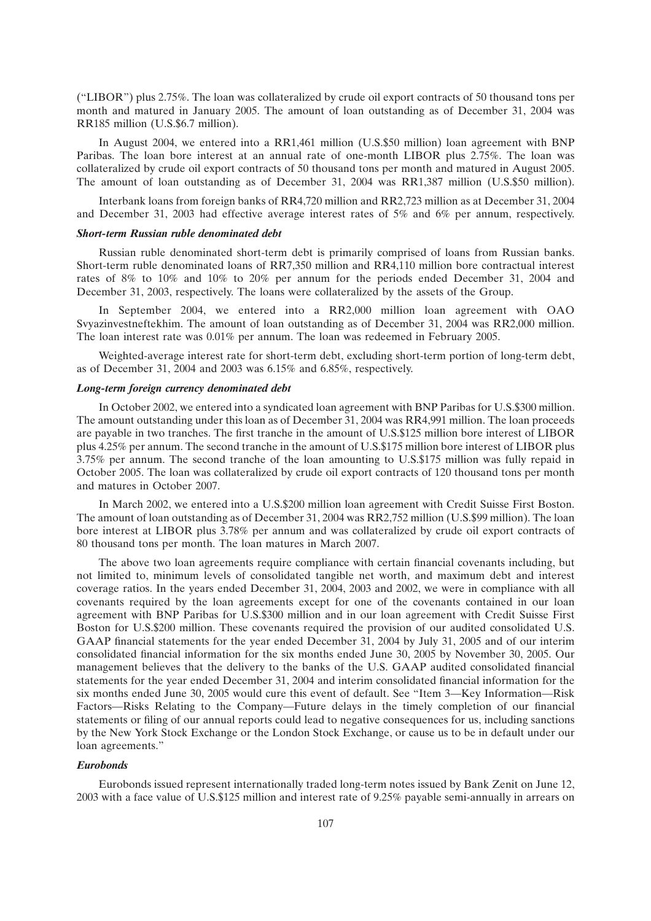(''LIBOR'') plus 2.75%. The loan was collateralized by crude oil export contracts of 50 thousand tons per month and matured in January 2005. The amount of loan outstanding as of December 31, 2004 was RR185 million (U.S.\$6.7 million).

In August 2004, we entered into a RR1,461 million (U.S.\$50 million) loan agreement with BNP Paribas. The loan bore interest at an annual rate of one-month LIBOR plus 2.75%. The loan was collateralized by crude oil export contracts of 50 thousand tons per month and matured in August 2005. The amount of loan outstanding as of December 31, 2004 was RR1,387 million (U.S.\$50 million).

Interbank loans from foreign banks of RR4,720 million and RR2,723 million as at December 31, 2004 and December 31, 2003 had effective average interest rates of 5% and 6% per annum, respectively.

## *Short-term Russian ruble denominated debt*

Russian ruble denominated short-term debt is primarily comprised of loans from Russian banks. Short-term ruble denominated loans of RR7,350 million and RR4,110 million bore contractual interest rates of 8% to 10% and 10% to 20% per annum for the periods ended December 31, 2004 and December 31, 2003, respectively. The loans were collateralized by the assets of the Group.

In September 2004, we entered into a RR2,000 million loan agreement with OAO Svyazinvestneftekhim. The amount of loan outstanding as of December 31, 2004 was RR2,000 million. The loan interest rate was 0.01% per annum. The loan was redeemed in February 2005.

Weighted-average interest rate for short-term debt, excluding short-term portion of long-term debt, as of December 31, 2004 and 2003 was 6.15% and 6.85%, respectively.

## *Long-term foreign currency denominated debt*

In October 2002, we entered into a syndicated loan agreement with BNP Paribas for U.S.\$300 million. The amount outstanding under this loan as of December 31, 2004 was RR4,991 million. The loan proceeds are payable in two tranches. The first tranche in the amount of U.S.\$125 million bore interest of LIBOR plus 4.25% per annum. The second tranche in the amount of U.S.\$175 million bore interest of LIBOR plus 3.75% per annum. The second tranche of the loan amounting to U.S.\$175 million was fully repaid in October 2005. The loan was collateralized by crude oil export contracts of 120 thousand tons per month and matures in October 2007.

In March 2002, we entered into a U.S.\$200 million loan agreement with Credit Suisse First Boston. The amount of loan outstanding as of December 31, 2004 was RR2,752 million (U.S.\$99 million). The loan bore interest at LIBOR plus 3.78% per annum and was collateralized by crude oil export contracts of 80 thousand tons per month. The loan matures in March 2007.

The above two loan agreements require compliance with certain financial covenants including, but not limited to, minimum levels of consolidated tangible net worth, and maximum debt and interest coverage ratios. In the years ended December 31, 2004, 2003 and 2002, we were in compliance with all covenants required by the loan agreements except for one of the covenants contained in our loan agreement with BNP Paribas for U.S.\$300 million and in our loan agreement with Credit Suisse First Boston for U.S.\$200 million. These covenants required the provision of our audited consolidated U.S. GAAP financial statements for the year ended December 31, 2004 by July 31, 2005 and of our interim consolidated financial information for the six months ended June 30, 2005 by November 30, 2005. Our management believes that the delivery to the banks of the U.S. GAAP audited consolidated financial statements for the year ended December 31, 2004 and interim consolidated financial information for the six months ended June 30, 2005 would cure this event of default. See ''Item 3—Key Information—Risk Factors—Risks Relating to the Company—Future delays in the timely completion of our financial statements or filing of our annual reports could lead to negative consequences for us, including sanctions by the New York Stock Exchange or the London Stock Exchange, or cause us to be in default under our loan agreements.''

#### *Eurobonds*

Eurobonds issued represent internationally traded long-term notes issued by Bank Zenit on June 12, 2003 with a face value of U.S.\$125 million and interest rate of 9.25% payable semi-annually in arrears on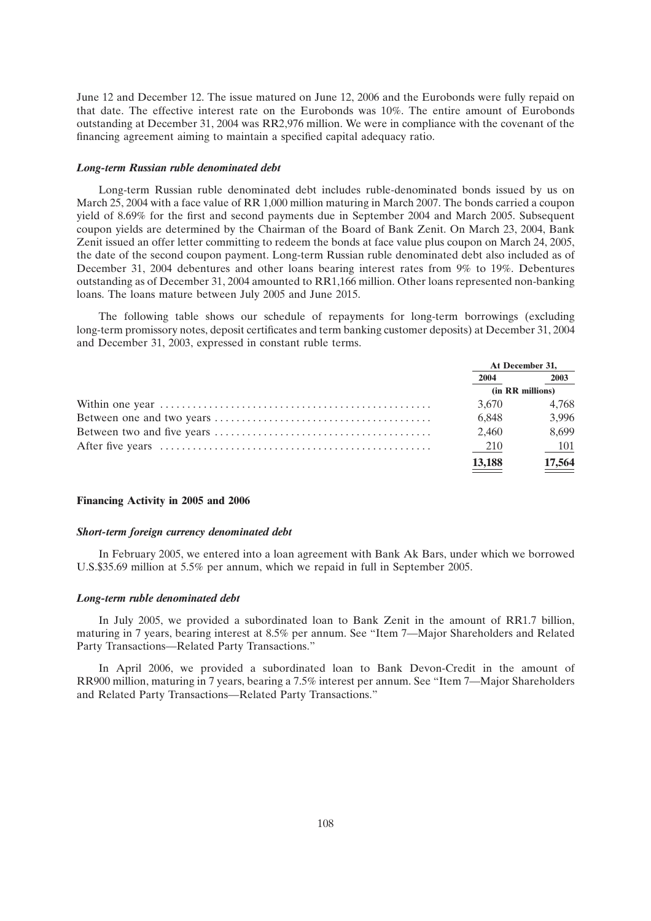June 12 and December 12. The issue matured on June 12, 2006 and the Eurobonds were fully repaid on that date. The effective interest rate on the Eurobonds was 10%. The entire amount of Eurobonds outstanding at December 31, 2004 was RR2,976 million. We were in compliance with the covenant of the financing agreement aiming to maintain a specified capital adequacy ratio.

#### *Long-term Russian ruble denominated debt*

Long-term Russian ruble denominated debt includes ruble-denominated bonds issued by us on March 25, 2004 with a face value of RR 1,000 million maturing in March 2007. The bonds carried a coupon yield of 8.69% for the first and second payments due in September 2004 and March 2005. Subsequent coupon yields are determined by the Chairman of the Board of Bank Zenit. On March 23, 2004, Bank Zenit issued an offer letter committing to redeem the bonds at face value plus coupon on March 24, 2005, the date of the second coupon payment. Long-term Russian ruble denominated debt also included as of December 31, 2004 debentures and other loans bearing interest rates from 9% to 19%. Debentures outstanding as of December 31, 2004 amounted to RR1,166 million. Other loans represented non-banking loans. The loans mature between July 2005 and June 2015.

The following table shows our schedule of repayments for long-term borrowings (excluding long-term promissory notes, deposit certificates and term banking customer deposits) at December 31, 2004 and December 31, 2003, expressed in constant ruble terms.

| At December 31, |                  |
|-----------------|------------------|
| 2004            | 2003             |
|                 | (in RR millions) |
| 3.670           | 4.768            |
| 6.848           | 3,996            |
| 2,460           | 8.699            |
| - 210           | - 101            |
| <u>13,188</u>   | 17,564           |
|                 |                  |

#### **Financing Activity in 2005 and 2006**

#### *Short-term foreign currency denominated debt*

In February 2005, we entered into a loan agreement with Bank Ak Bars, under which we borrowed U.S.\$35.69 million at 5.5% per annum, which we repaid in full in September 2005.

#### *Long-term ruble denominated debt*

In July 2005, we provided a subordinated loan to Bank Zenit in the amount of RR1.7 billion, maturing in 7 years, bearing interest at 8.5% per annum. See ''Item 7—Major Shareholders and Related Party Transactions—Related Party Transactions.''

In April 2006, we provided a subordinated loan to Bank Devon-Credit in the amount of RR900 million, maturing in 7 years, bearing a 7.5% interest per annum. See ''Item 7—Major Shareholders and Related Party Transactions—Related Party Transactions.''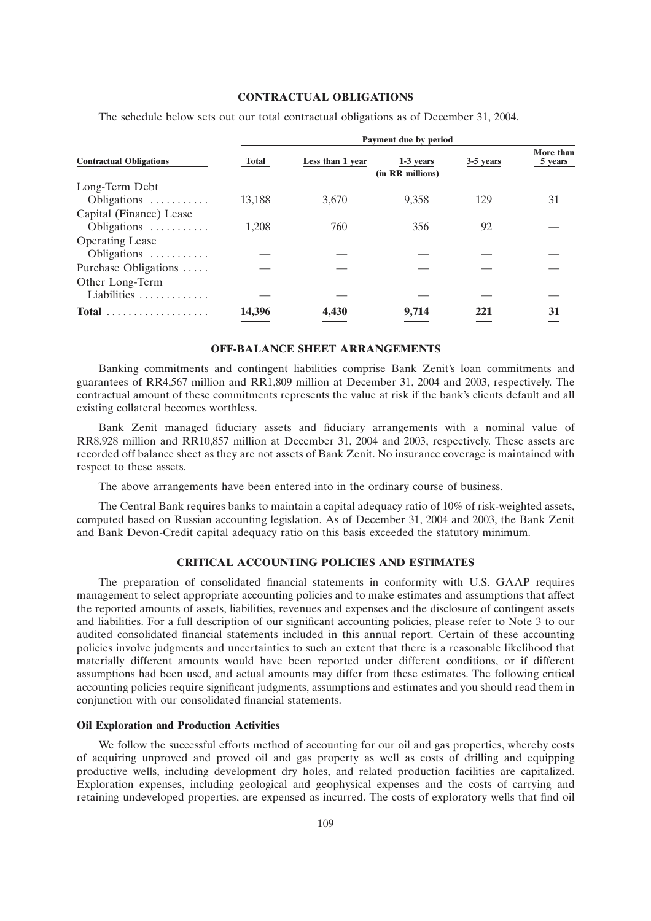## **CONTRACTUAL OBLIGATIONS**

The schedule below sets out our total contractual obligations as of December 31, 2004.

|                                | Payment due by period |                  |                               |           |                      |  |  |  |
|--------------------------------|-----------------------|------------------|-------------------------------|-----------|----------------------|--|--|--|
| <b>Contractual Obligations</b> | <b>Total</b>          | Less than 1 year | 1-3 years<br>(in RR millions) | 3-5 years | More than<br>5 years |  |  |  |
| Long-Term Debt                 |                       |                  |                               |           |                      |  |  |  |
| Obligations                    | 13.188                | 3.670            | 9.358                         | 129       | 31                   |  |  |  |
| Capital (Finance) Lease        |                       |                  |                               |           |                      |  |  |  |
| Obligations                    | 1.208                 | 760              | 356                           | 92        |                      |  |  |  |
| <b>Operating Lease</b>         |                       |                  |                               |           |                      |  |  |  |
| Obligations                    |                       |                  |                               |           |                      |  |  |  |
| Purchase Obligations           |                       |                  |                               |           |                      |  |  |  |
| Other Long-Term                |                       |                  |                               |           |                      |  |  |  |
| Liabilities                    |                       |                  |                               |           |                      |  |  |  |
|                                | 14,396                | 4,430            | 9,714                         | 221       | <b>31</b>            |  |  |  |

#### **OFF-BALANCE SHEET ARRANGEMENTS**

Banking commitments and contingent liabilities comprise Bank Zenit's loan commitments and guarantees of RR4,567 million and RR1,809 million at December 31, 2004 and 2003, respectively. The contractual amount of these commitments represents the value at risk if the bank's clients default and all existing collateral becomes worthless.

Bank Zenit managed fiduciary assets and fiduciary arrangements with a nominal value of RR8,928 million and RR10,857 million at December 31, 2004 and 2003, respectively. These assets are recorded off balance sheet as they are not assets of Bank Zenit. No insurance coverage is maintained with respect to these assets.

The above arrangements have been entered into in the ordinary course of business.

The Central Bank requires banks to maintain a capital adequacy ratio of 10% of risk-weighted assets, computed based on Russian accounting legislation. As of December 31, 2004 and 2003, the Bank Zenit and Bank Devon-Credit capital adequacy ratio on this basis exceeded the statutory minimum.

# **CRITICAL ACCOUNTING POLICIES AND ESTIMATES**

The preparation of consolidated financial statements in conformity with U.S. GAAP requires management to select appropriate accounting policies and to make estimates and assumptions that affect the reported amounts of assets, liabilities, revenues and expenses and the disclosure of contingent assets and liabilities. For a full description of our significant accounting policies, please refer to Note 3 to our audited consolidated financial statements included in this annual report. Certain of these accounting policies involve judgments and uncertainties to such an extent that there is a reasonable likelihood that materially different amounts would have been reported under different conditions, or if different assumptions had been used, and actual amounts may differ from these estimates. The following critical accounting policies require significant judgments, assumptions and estimates and you should read them in conjunction with our consolidated financial statements.

## **Oil Exploration and Production Activities**

We follow the successful efforts method of accounting for our oil and gas properties, whereby costs of acquiring unproved and proved oil and gas property as well as costs of drilling and equipping productive wells, including development dry holes, and related production facilities are capitalized. Exploration expenses, including geological and geophysical expenses and the costs of carrying and retaining undeveloped properties, are expensed as incurred. The costs of exploratory wells that find oil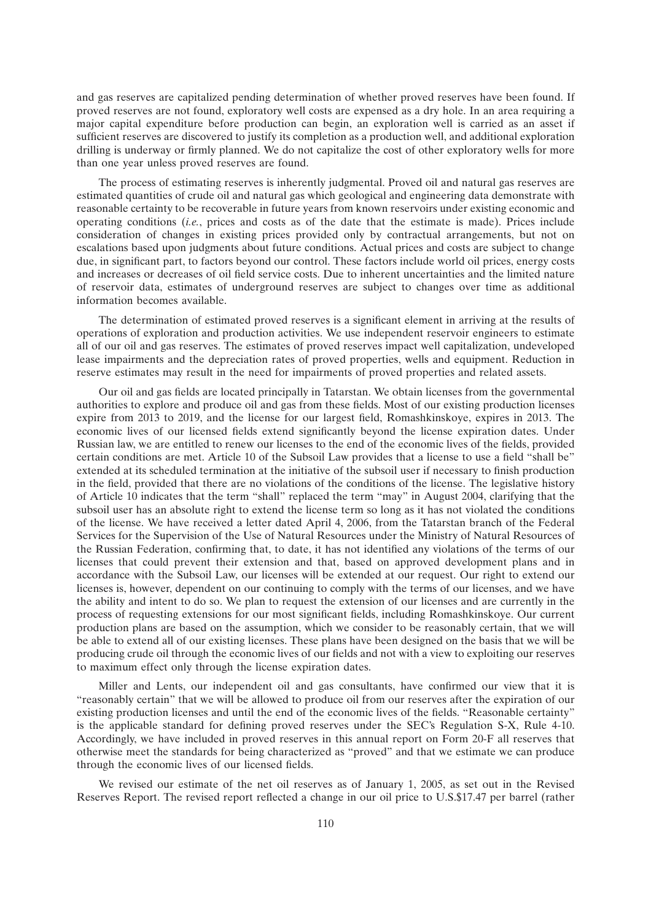and gas reserves are capitalized pending determination of whether proved reserves have been found. If proved reserves are not found, exploratory well costs are expensed as a dry hole. In an area requiring a major capital expenditure before production can begin, an exploration well is carried as an asset if sufficient reserves are discovered to justify its completion as a production well, and additional exploration drilling is underway or firmly planned. We do not capitalize the cost of other exploratory wells for more than one year unless proved reserves are found.

The process of estimating reserves is inherently judgmental. Proved oil and natural gas reserves are estimated quantities of crude oil and natural gas which geological and engineering data demonstrate with reasonable certainty to be recoverable in future years from known reservoirs under existing economic and operating conditions (*i.e.*, prices and costs as of the date that the estimate is made). Prices include consideration of changes in existing prices provided only by contractual arrangements, but not on escalations based upon judgments about future conditions. Actual prices and costs are subject to change due, in significant part, to factors beyond our control. These factors include world oil prices, energy costs and increases or decreases of oil field service costs. Due to inherent uncertainties and the limited nature of reservoir data, estimates of underground reserves are subject to changes over time as additional information becomes available.

The determination of estimated proved reserves is a significant element in arriving at the results of operations of exploration and production activities. We use independent reservoir engineers to estimate all of our oil and gas reserves. The estimates of proved reserves impact well capitalization, undeveloped lease impairments and the depreciation rates of proved properties, wells and equipment. Reduction in reserve estimates may result in the need for impairments of proved properties and related assets.

Our oil and gas fields are located principally in Tatarstan. We obtain licenses from the governmental authorities to explore and produce oil and gas from these fields. Most of our existing production licenses expire from 2013 to 2019, and the license for our largest field, Romashkinskoye, expires in 2013. The economic lives of our licensed fields extend significantly beyond the license expiration dates. Under Russian law, we are entitled to renew our licenses to the end of the economic lives of the fields, provided certain conditions are met. Article 10 of the Subsoil Law provides that a license to use a field ''shall be'' extended at its scheduled termination at the initiative of the subsoil user if necessary to finish production in the field, provided that there are no violations of the conditions of the license. The legislative history of Article 10 indicates that the term ''shall'' replaced the term ''may'' in August 2004, clarifying that the subsoil user has an absolute right to extend the license term so long as it has not violated the conditions of the license. We have received a letter dated April 4, 2006, from the Tatarstan branch of the Federal Services for the Supervision of the Use of Natural Resources under the Ministry of Natural Resources of the Russian Federation, confirming that, to date, it has not identified any violations of the terms of our licenses that could prevent their extension and that, based on approved development plans and in accordance with the Subsoil Law, our licenses will be extended at our request. Our right to extend our licenses is, however, dependent on our continuing to comply with the terms of our licenses, and we have the ability and intent to do so. We plan to request the extension of our licenses and are currently in the process of requesting extensions for our most significant fields, including Romashkinskoye. Our current production plans are based on the assumption, which we consider to be reasonably certain, that we will be able to extend all of our existing licenses. These plans have been designed on the basis that we will be producing crude oil through the economic lives of our fields and not with a view to exploiting our reserves to maximum effect only through the license expiration dates.

Miller and Lents, our independent oil and gas consultants, have confirmed our view that it is ''reasonably certain'' that we will be allowed to produce oil from our reserves after the expiration of our existing production licenses and until the end of the economic lives of the fields. ''Reasonable certainty'' is the applicable standard for defining proved reserves under the SEC's Regulation S-X, Rule 4-10. Accordingly, we have included in proved reserves in this annual report on Form 20-F all reserves that otherwise meet the standards for being characterized as ''proved'' and that we estimate we can produce through the economic lives of our licensed fields.

We revised our estimate of the net oil reserves as of January 1, 2005, as set out in the Revised Reserves Report. The revised report reflected a change in our oil price to U.S.\$17.47 per barrel (rather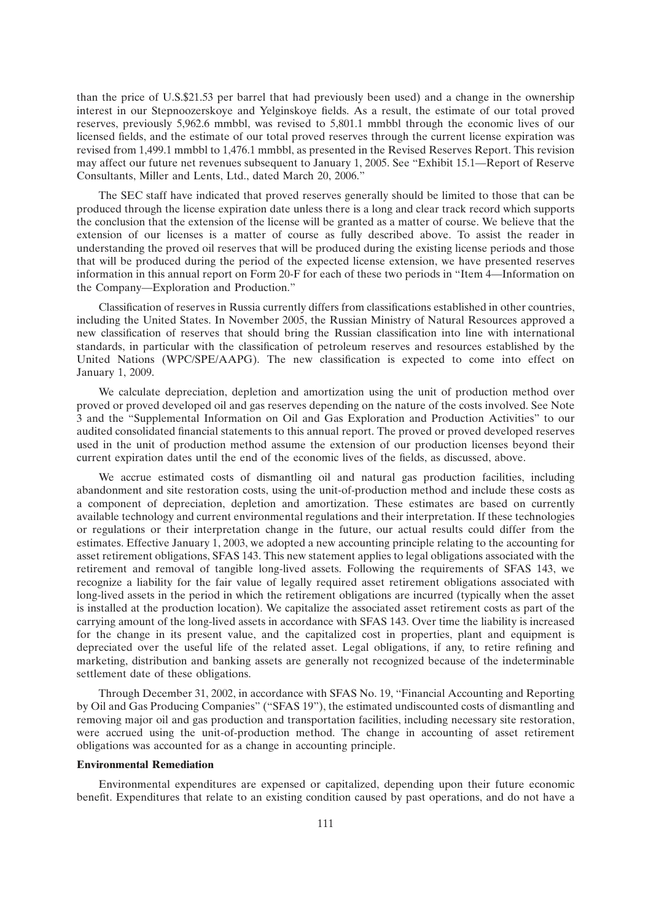than the price of U.S.\$21.53 per barrel that had previously been used) and a change in the ownership interest in our Stepnoozerskoye and Yelginskoye fields. As a result, the estimate of our total proved reserves, previously 5,962.6 mmbbl, was revised to 5,801.1 mmbbl through the economic lives of our licensed fields, and the estimate of our total proved reserves through the current license expiration was revised from 1,499.1 mmbbl to 1,476.1 mmbbl, as presented in the Revised Reserves Report. This revision may affect our future net revenues subsequent to January 1, 2005. See ''Exhibit 15.1—Report of Reserve Consultants, Miller and Lents, Ltd., dated March 20, 2006.''

The SEC staff have indicated that proved reserves generally should be limited to those that can be produced through the license expiration date unless there is a long and clear track record which supports the conclusion that the extension of the license will be granted as a matter of course. We believe that the extension of our licenses is a matter of course as fully described above. To assist the reader in understanding the proved oil reserves that will be produced during the existing license periods and those that will be produced during the period of the expected license extension, we have presented reserves information in this annual report on Form 20-F for each of these two periods in ''Item 4—Information on the Company—Exploration and Production.''

Classification of reserves in Russia currently differs from classifications established in other countries, including the United States. In November 2005, the Russian Ministry of Natural Resources approved a new classification of reserves that should bring the Russian classification into line with international standards, in particular with the classification of petroleum reserves and resources established by the United Nations (WPC/SPE/AAPG). The new classification is expected to come into effect on January 1, 2009.

We calculate depreciation, depletion and amortization using the unit of production method over proved or proved developed oil and gas reserves depending on the nature of the costs involved. See Note 3 and the ''Supplemental Information on Oil and Gas Exploration and Production Activities'' to our audited consolidated financial statements to this annual report. The proved or proved developed reserves used in the unit of production method assume the extension of our production licenses beyond their current expiration dates until the end of the economic lives of the fields, as discussed, above.

We accrue estimated costs of dismantling oil and natural gas production facilities, including abandonment and site restoration costs, using the unit-of-production method and include these costs as a component of depreciation, depletion and amortization. These estimates are based on currently available technology and current environmental regulations and their interpretation. If these technologies or regulations or their interpretation change in the future, our actual results could differ from the estimates. Effective January 1, 2003, we adopted a new accounting principle relating to the accounting for asset retirement obligations, SFAS 143. This new statement applies to legal obligations associated with the retirement and removal of tangible long-lived assets. Following the requirements of SFAS 143, we recognize a liability for the fair value of legally required asset retirement obligations associated with long-lived assets in the period in which the retirement obligations are incurred (typically when the asset is installed at the production location). We capitalize the associated asset retirement costs as part of the carrying amount of the long-lived assets in accordance with SFAS 143. Over time the liability is increased for the change in its present value, and the capitalized cost in properties, plant and equipment is depreciated over the useful life of the related asset. Legal obligations, if any, to retire refining and marketing, distribution and banking assets are generally not recognized because of the indeterminable settlement date of these obligations.

Through December 31, 2002, in accordance with SFAS No. 19, ''Financial Accounting and Reporting by Oil and Gas Producing Companies'' (''SFAS 19''), the estimated undiscounted costs of dismantling and removing major oil and gas production and transportation facilities, including necessary site restoration, were accrued using the unit-of-production method. The change in accounting of asset retirement obligations was accounted for as a change in accounting principle.

#### **Environmental Remediation**

Environmental expenditures are expensed or capitalized, depending upon their future economic benefit. Expenditures that relate to an existing condition caused by past operations, and do not have a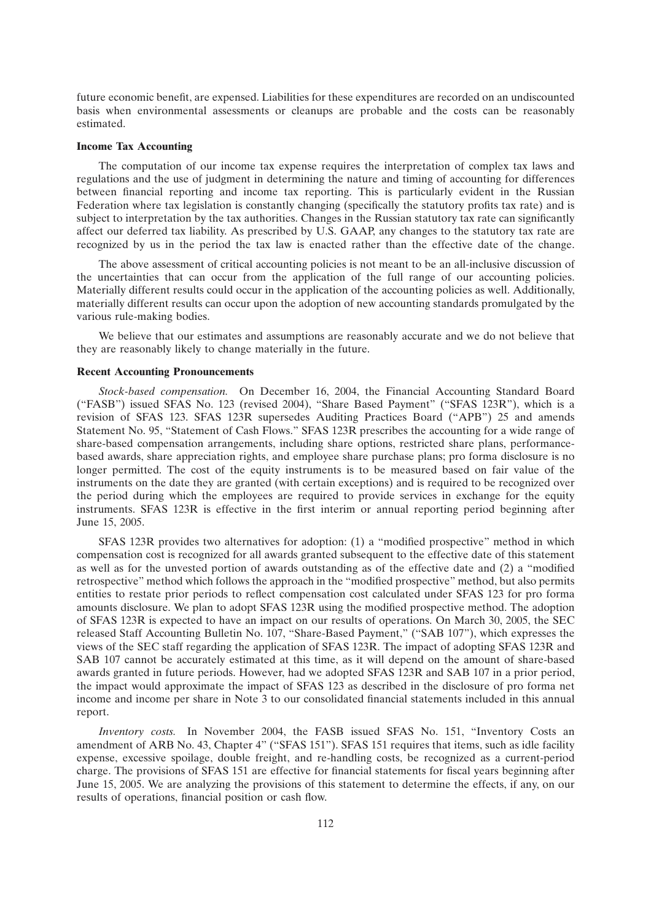future economic benefit, are expensed. Liabilities for these expenditures are recorded on an undiscounted basis when environmental assessments or cleanups are probable and the costs can be reasonably estimated.

#### **Income Tax Accounting**

The computation of our income tax expense requires the interpretation of complex tax laws and regulations and the use of judgment in determining the nature and timing of accounting for differences between financial reporting and income tax reporting. This is particularly evident in the Russian Federation where tax legislation is constantly changing (specifically the statutory profits tax rate) and is subject to interpretation by the tax authorities. Changes in the Russian statutory tax rate can significantly affect our deferred tax liability. As prescribed by U.S. GAAP, any changes to the statutory tax rate are recognized by us in the period the tax law is enacted rather than the effective date of the change.

The above assessment of critical accounting policies is not meant to be an all-inclusive discussion of the uncertainties that can occur from the application of the full range of our accounting policies. Materially different results could occur in the application of the accounting policies as well. Additionally, materially different results can occur upon the adoption of new accounting standards promulgated by the various rule-making bodies.

We believe that our estimates and assumptions are reasonably accurate and we do not believe that they are reasonably likely to change materially in the future.

# **Recent Accounting Pronouncements**

*Stock-based compensation.* On December 16, 2004, the Financial Accounting Standard Board (''FASB'') issued SFAS No. 123 (revised 2004), ''Share Based Payment'' (''SFAS 123R''), which is a revision of SFAS 123. SFAS 123R supersedes Auditing Practices Board (''APB'') 25 and amends Statement No. 95, "Statement of Cash Flows." SFAS 123R prescribes the accounting for a wide range of share-based compensation arrangements, including share options, restricted share plans, performancebased awards, share appreciation rights, and employee share purchase plans; pro forma disclosure is no longer permitted. The cost of the equity instruments is to be measured based on fair value of the instruments on the date they are granted (with certain exceptions) and is required to be recognized over the period during which the employees are required to provide services in exchange for the equity instruments. SFAS 123R is effective in the first interim or annual reporting period beginning after June 15, 2005.

SFAS 123R provides two alternatives for adoption: (1) a ''modified prospective'' method in which compensation cost is recognized for all awards granted subsequent to the effective date of this statement as well as for the unvested portion of awards outstanding as of the effective date and (2) a ''modified retrospective'' method which follows the approach in the ''modified prospective'' method, but also permits entities to restate prior periods to reflect compensation cost calculated under SFAS 123 for pro forma amounts disclosure. We plan to adopt SFAS 123R using the modified prospective method. The adoption of SFAS 123R is expected to have an impact on our results of operations. On March 30, 2005, the SEC released Staff Accounting Bulletin No. 107, "Share-Based Payment," ("SAB 107"), which expresses the views of the SEC staff regarding the application of SFAS 123R. The impact of adopting SFAS 123R and SAB 107 cannot be accurately estimated at this time, as it will depend on the amount of share-based awards granted in future periods. However, had we adopted SFAS 123R and SAB 107 in a prior period, the impact would approximate the impact of SFAS 123 as described in the disclosure of pro forma net income and income per share in Note 3 to our consolidated financial statements included in this annual report.

*Inventory costs.* In November 2004, the FASB issued SFAS No. 151, ''Inventory Costs an amendment of ARB No. 43, Chapter 4" ("SFAS 151"). SFAS 151 requires that items, such as idle facility expense, excessive spoilage, double freight, and re-handling costs, be recognized as a current-period charge. The provisions of SFAS 151 are effective for financial statements for fiscal years beginning after June 15, 2005. We are analyzing the provisions of this statement to determine the effects, if any, on our results of operations, financial position or cash flow.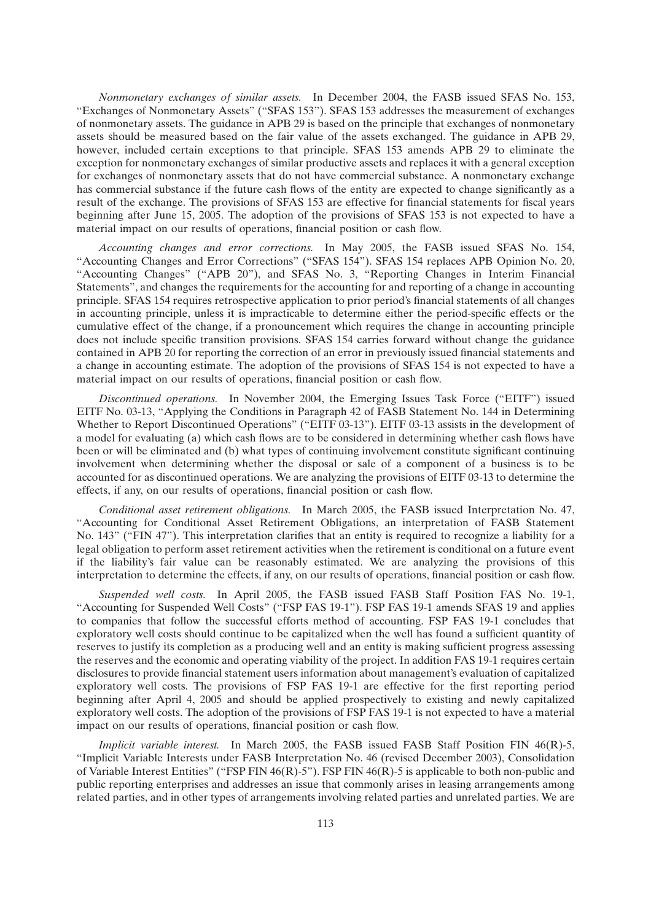*Nonmonetary exchanges of similar assets.* In December 2004, the FASB issued SFAS No. 153, ''Exchanges of Nonmonetary Assets'' (''SFAS 153''). SFAS 153 addresses the measurement of exchanges of nonmonetary assets. The guidance in APB 29 is based on the principle that exchanges of nonmonetary assets should be measured based on the fair value of the assets exchanged. The guidance in APB 29, however, included certain exceptions to that principle. SFAS 153 amends APB 29 to eliminate the exception for nonmonetary exchanges of similar productive assets and replaces it with a general exception for exchanges of nonmonetary assets that do not have commercial substance. A nonmonetary exchange has commercial substance if the future cash flows of the entity are expected to change significantly as a result of the exchange. The provisions of SFAS 153 are effective for financial statements for fiscal years beginning after June 15, 2005. The adoption of the provisions of SFAS 153 is not expected to have a material impact on our results of operations, financial position or cash flow.

*Accounting changes and error corrections.* In May 2005, the FASB issued SFAS No. 154, ''Accounting Changes and Error Corrections'' (''SFAS 154''). SFAS 154 replaces APB Opinion No. 20, "Accounting Changes" ("APB 20"), and SFAS No. 3, "Reporting Changes in Interim Financial Statements'', and changes the requirements for the accounting for and reporting of a change in accounting principle. SFAS 154 requires retrospective application to prior period's financial statements of all changes in accounting principle, unless it is impracticable to determine either the period-specific effects or the cumulative effect of the change, if a pronouncement which requires the change in accounting principle does not include specific transition provisions. SFAS 154 carries forward without change the guidance contained in APB 20 for reporting the correction of an error in previously issued financial statements and a change in accounting estimate. The adoption of the provisions of SFAS 154 is not expected to have a material impact on our results of operations, financial position or cash flow.

*Discontinued operations.* In November 2004, the Emerging Issues Task Force (''EITF'') issued EITF No. 03-13, "Applying the Conditions in Paragraph 42 of FASB Statement No. 144 in Determining Whether to Report Discontinued Operations" ("EITF 03-13"). EITF 03-13 assists in the development of a model for evaluating (a) which cash flows are to be considered in determining whether cash flows have been or will be eliminated and (b) what types of continuing involvement constitute significant continuing involvement when determining whether the disposal or sale of a component of a business is to be accounted for as discontinued operations. We are analyzing the provisions of EITF 03-13 to determine the effects, if any, on our results of operations, financial position or cash flow.

*Conditional asset retirement obligations.* In March 2005, the FASB issued Interpretation No. 47, ''Accounting for Conditional Asset Retirement Obligations, an interpretation of FASB Statement No. 143" ("FIN 47"). This interpretation clarifies that an entity is required to recognize a liability for a legal obligation to perform asset retirement activities when the retirement is conditional on a future event if the liability's fair value can be reasonably estimated. We are analyzing the provisions of this interpretation to determine the effects, if any, on our results of operations, financial position or cash flow.

*Suspended well costs.* In April 2005, the FASB issued FASB Staff Position FAS No. 19-1, "Accounting for Suspended Well Costs" ("FSP FAS 19-1"). FSP FAS 19-1 amends SFAS 19 and applies to companies that follow the successful efforts method of accounting. FSP FAS 19-1 concludes that exploratory well costs should continue to be capitalized when the well has found a sufficient quantity of reserves to justify its completion as a producing well and an entity is making sufficient progress assessing the reserves and the economic and operating viability of the project. In addition FAS 19-1 requires certain disclosures to provide financial statement users information about management's evaluation of capitalized exploratory well costs. The provisions of FSP FAS 19-1 are effective for the first reporting period beginning after April 4, 2005 and should be applied prospectively to existing and newly capitalized exploratory well costs. The adoption of the provisions of FSP FAS 19-1 is not expected to have a material impact on our results of operations, financial position or cash flow.

*Implicit variable interest.* In March 2005, the FASB issued FASB Staff Position FIN 46(R)-5, ''Implicit Variable Interests under FASB Interpretation No. 46 (revised December 2003), Consolidation of Variable Interest Entities'' (''FSP FIN 46(R)-5''). FSP FIN 46(R)-5 is applicable to both non-public and public reporting enterprises and addresses an issue that commonly arises in leasing arrangements among related parties, and in other types of arrangements involving related parties and unrelated parties. We are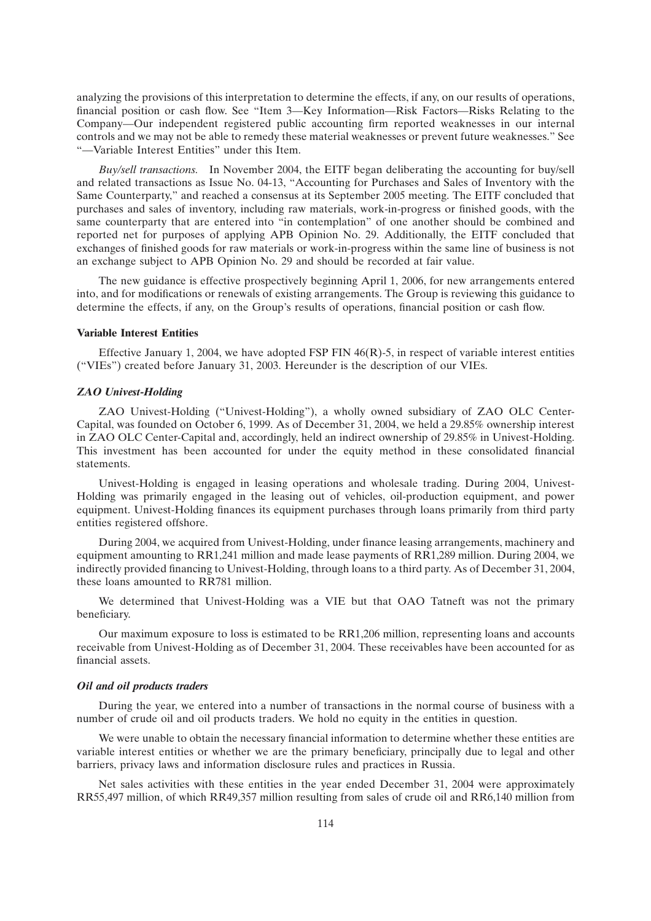analyzing the provisions of this interpretation to determine the effects, if any, on our results of operations, financial position or cash flow. See ''Item 3—Key Information—Risk Factors—Risks Relating to the Company—Our independent registered public accounting firm reported weaknesses in our internal controls and we may not be able to remedy these material weaknesses or prevent future weaknesses.'' See ''—Variable Interest Entities'' under this Item.

*Buy/sell transactions.* In November 2004, the EITF began deliberating the accounting for buy/sell and related transactions as Issue No. 04-13, ''Accounting for Purchases and Sales of Inventory with the Same Counterparty,'' and reached a consensus at its September 2005 meeting. The EITF concluded that purchases and sales of inventory, including raw materials, work-in-progress or finished goods, with the same counterparty that are entered into "in contemplation" of one another should be combined and reported net for purposes of applying APB Opinion No. 29. Additionally, the EITF concluded that exchanges of finished goods for raw materials or work-in-progress within the same line of business is not an exchange subject to APB Opinion No. 29 and should be recorded at fair value.

The new guidance is effective prospectively beginning April 1, 2006, for new arrangements entered into, and for modifications or renewals of existing arrangements. The Group is reviewing this guidance to determine the effects, if any, on the Group's results of operations, financial position or cash flow.

#### **Variable Interest Entities**

Effective January 1, 2004, we have adopted FSP FIN 46(R)-5, in respect of variable interest entities (''VIEs'') created before January 31, 2003. Hereunder is the description of our VIEs.

## *ZAO Univest-Holding*

ZAO Univest-Holding (''Univest-Holding''), a wholly owned subsidiary of ZAO OLC Center-Capital, was founded on October 6, 1999. As of December 31, 2004, we held a 29.85% ownership interest in ZAO OLC Center-Capital and, accordingly, held an indirect ownership of 29.85% in Univest-Holding. This investment has been accounted for under the equity method in these consolidated financial statements.

Univest-Holding is engaged in leasing operations and wholesale trading. During 2004, Univest-Holding was primarily engaged in the leasing out of vehicles, oil-production equipment, and power equipment. Univest-Holding finances its equipment purchases through loans primarily from third party entities registered offshore.

During 2004, we acquired from Univest-Holding, under finance leasing arrangements, machinery and equipment amounting to RR1,241 million and made lease payments of RR1,289 million. During 2004, we indirectly provided financing to Univest-Holding, through loans to a third party. As of December 31, 2004, these loans amounted to RR781 million.

We determined that Univest-Holding was a VIE but that OAO Tatneft was not the primary beneficiary.

Our maximum exposure to loss is estimated to be RR1,206 million, representing loans and accounts receivable from Univest-Holding as of December 31, 2004. These receivables have been accounted for as financial assets.

#### *Oil and oil products traders*

During the year, we entered into a number of transactions in the normal course of business with a number of crude oil and oil products traders. We hold no equity in the entities in question.

We were unable to obtain the necessary financial information to determine whether these entities are variable interest entities or whether we are the primary beneficiary, principally due to legal and other barriers, privacy laws and information disclosure rules and practices in Russia.

Net sales activities with these entities in the year ended December 31, 2004 were approximately RR55,497 million, of which RR49,357 million resulting from sales of crude oil and RR6,140 million from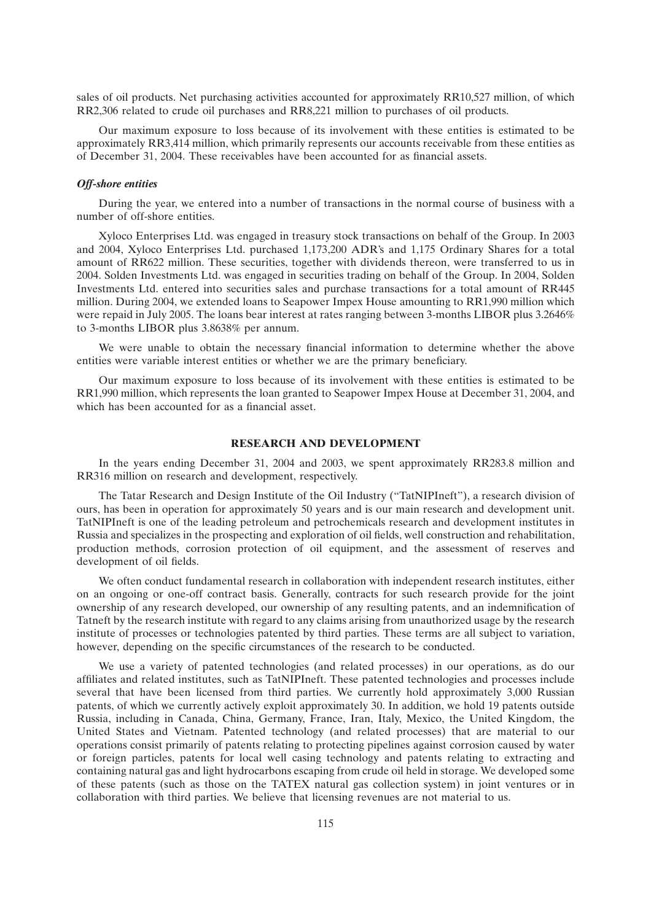sales of oil products. Net purchasing activities accounted for approximately RR10,527 million, of which RR2,306 related to crude oil purchases and RR8,221 million to purchases of oil products.

Our maximum exposure to loss because of its involvement with these entities is estimated to be approximately RR3,414 million, which primarily represents our accounts receivable from these entities as of December 31, 2004. These receivables have been accounted for as financial assets.

## *Off-shore entities*

During the year, we entered into a number of transactions in the normal course of business with a number of off-shore entities.

Xyloco Enterprises Ltd. was engaged in treasury stock transactions on behalf of the Group. In 2003 and 2004, Xyloco Enterprises Ltd. purchased 1,173,200 ADR's and 1,175 Ordinary Shares for a total amount of RR622 million. These securities, together with dividends thereon, were transferred to us in 2004. Solden Investments Ltd. was engaged in securities trading on behalf of the Group. In 2004, Solden Investments Ltd. entered into securities sales and purchase transactions for a total amount of RR445 million. During 2004, we extended loans to Seapower Impex House amounting to RR1,990 million which were repaid in July 2005. The loans bear interest at rates ranging between 3-months LIBOR plus 3.2646% to 3-months LIBOR plus 3.8638% per annum.

We were unable to obtain the necessary financial information to determine whether the above entities were variable interest entities or whether we are the primary beneficiary.

Our maximum exposure to loss because of its involvement with these entities is estimated to be RR1,990 million, which represents the loan granted to Seapower Impex House at December 31, 2004, and which has been accounted for as a financial asset.

#### **RESEARCH AND DEVELOPMENT**

In the years ending December 31, 2004 and 2003, we spent approximately RR283.8 million and RR316 million on research and development, respectively.

The Tatar Research and Design Institute of the Oil Industry (''TatNIPIneft''), a research division of ours, has been in operation for approximately 50 years and is our main research and development unit. TatNIPIneft is one of the leading petroleum and petrochemicals research and development institutes in Russia and specializes in the prospecting and exploration of oil fields, well construction and rehabilitation, production methods, corrosion protection of oil equipment, and the assessment of reserves and development of oil fields.

We often conduct fundamental research in collaboration with independent research institutes, either on an ongoing or one-off contract basis. Generally, contracts for such research provide for the joint ownership of any research developed, our ownership of any resulting patents, and an indemnification of Tatneft by the research institute with regard to any claims arising from unauthorized usage by the research institute of processes or technologies patented by third parties. These terms are all subject to variation, however, depending on the specific circumstances of the research to be conducted.

We use a variety of patented technologies (and related processes) in our operations, as do our affiliates and related institutes, such as TatNIPIneft. These patented technologies and processes include several that have been licensed from third parties. We currently hold approximately 3,000 Russian patents, of which we currently actively exploit approximately 30. In addition, we hold 19 patents outside Russia, including in Canada, China, Germany, France, Iran, Italy, Mexico, the United Kingdom, the United States and Vietnam. Patented technology (and related processes) that are material to our operations consist primarily of patents relating to protecting pipelines against corrosion caused by water or foreign particles, patents for local well casing technology and patents relating to extracting and containing natural gas and light hydrocarbons escaping from crude oil held in storage. We developed some of these patents (such as those on the TATEX natural gas collection system) in joint ventures or in collaboration with third parties. We believe that licensing revenues are not material to us.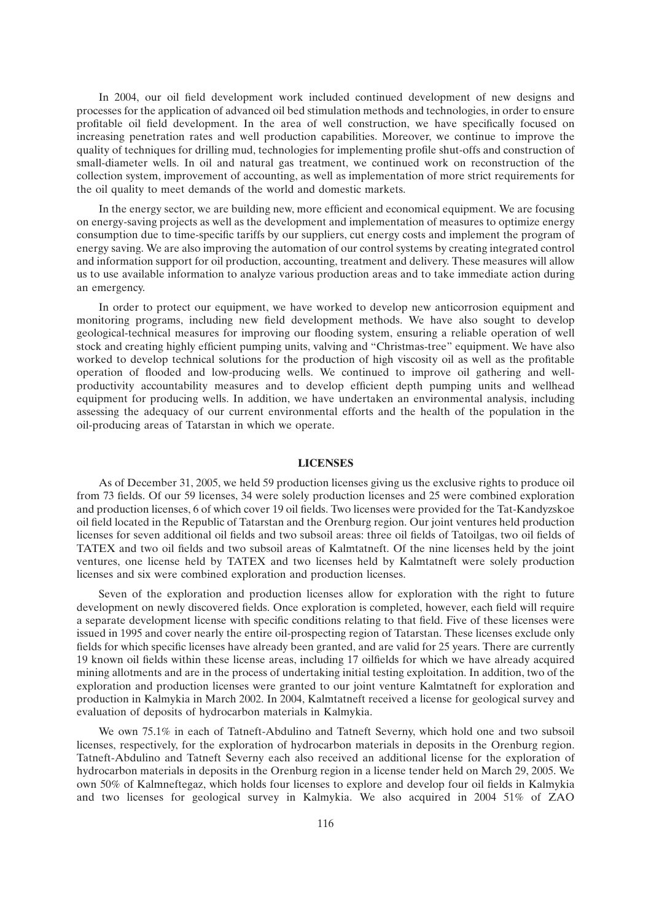In 2004, our oil field development work included continued development of new designs and processes for the application of advanced oil bed stimulation methods and technologies, in order to ensure profitable oil field development. In the area of well construction, we have specifically focused on increasing penetration rates and well production capabilities. Moreover, we continue to improve the quality of techniques for drilling mud, technologies for implementing profile shut-offs and construction of small-diameter wells. In oil and natural gas treatment, we continued work on reconstruction of the collection system, improvement of accounting, as well as implementation of more strict requirements for the oil quality to meet demands of the world and domestic markets.

In the energy sector, we are building new, more efficient and economical equipment. We are focusing on energy-saving projects as well as the development and implementation of measures to optimize energy consumption due to time-specific tariffs by our suppliers, cut energy costs and implement the program of energy saving. We are also improving the automation of our control systems by creating integrated control and information support for oil production, accounting, treatment and delivery. These measures will allow us to use available information to analyze various production areas and to take immediate action during an emergency.

In order to protect our equipment, we have worked to develop new anticorrosion equipment and monitoring programs, including new field development methods. We have also sought to develop geological-technical measures for improving our flooding system, ensuring a reliable operation of well stock and creating highly efficient pumping units, valving and ''Christmas-tree'' equipment. We have also worked to develop technical solutions for the production of high viscosity oil as well as the profitable operation of flooded and low-producing wells. We continued to improve oil gathering and wellproductivity accountability measures and to develop efficient depth pumping units and wellhead equipment for producing wells. In addition, we have undertaken an environmental analysis, including assessing the adequacy of our current environmental efforts and the health of the population in the oil-producing areas of Tatarstan in which we operate.

#### **LICENSES**

As of December 31, 2005, we held 59 production licenses giving us the exclusive rights to produce oil from 73 fields. Of our 59 licenses, 34 were solely production licenses and 25 were combined exploration and production licenses, 6 of which cover 19 oil fields. Two licenses were provided for the Tat-Kandyzskoe oil field located in the Republic of Tatarstan and the Orenburg region. Our joint ventures held production licenses for seven additional oil fields and two subsoil areas: three oil fields of Tatoilgas, two oil fields of TATEX and two oil fields and two subsoil areas of Kalmtatneft. Of the nine licenses held by the joint ventures, one license held by TATEX and two licenses held by Kalmtatneft were solely production licenses and six were combined exploration and production licenses.

Seven of the exploration and production licenses allow for exploration with the right to future development on newly discovered fields. Once exploration is completed, however, each field will require a separate development license with specific conditions relating to that field. Five of these licenses were issued in 1995 and cover nearly the entire oil-prospecting region of Tatarstan. These licenses exclude only fields for which specific licenses have already been granted, and are valid for 25 years. There are currently 19 known oil fields within these license areas, including 17 oilfields for which we have already acquired mining allotments and are in the process of undertaking initial testing exploitation. In addition, two of the exploration and production licenses were granted to our joint venture Kalmtatneft for exploration and production in Kalmykia in March 2002. In 2004, Kalmtatneft received a license for geological survey and evaluation of deposits of hydrocarbon materials in Kalmykia.

We own 75.1% in each of Tatneft-Abdulino and Tatneft Severny, which hold one and two subsoil licenses, respectively, for the exploration of hydrocarbon materials in deposits in the Orenburg region. Tatneft-Abdulino and Tatneft Severny each also received an additional license for the exploration of hydrocarbon materials in deposits in the Orenburg region in a license tender held on March 29, 2005. We own 50% of Kalmneftegaz, which holds four licenses to explore and develop four oil fields in Kalmykia and two licenses for geological survey in Kalmykia. We also acquired in 2004 51% of ZAO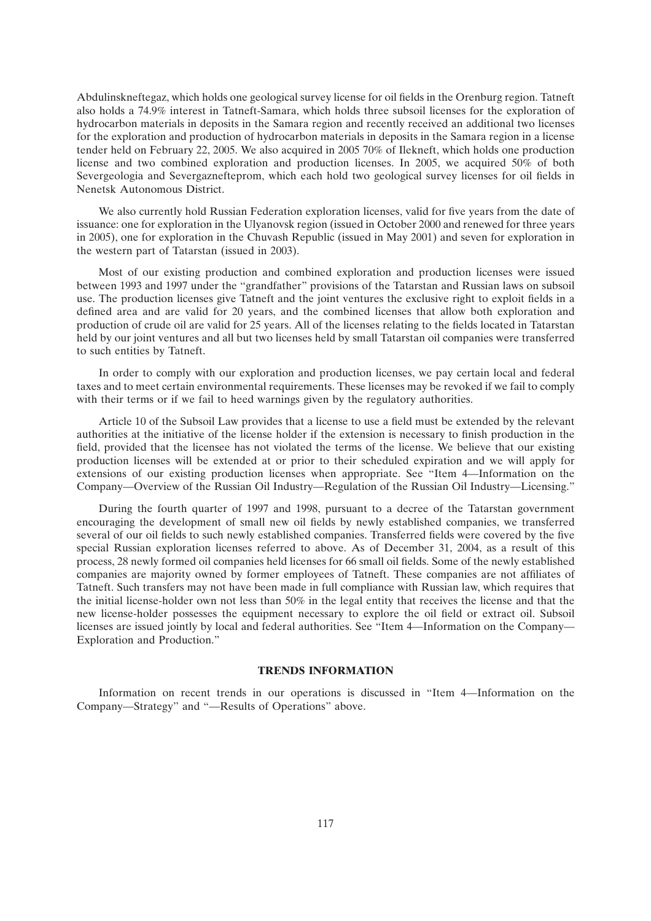Abdulinskneftegaz, which holds one geological survey license for oil fields in the Orenburg region. Tatneft also holds a 74.9% interest in Tatneft-Samara, which holds three subsoil licenses for the exploration of hydrocarbon materials in deposits in the Samara region and recently received an additional two licenses for the exploration and production of hydrocarbon materials in deposits in the Samara region in a license tender held on February 22, 2005. We also acquired in 2005 70% of Ilekneft, which holds one production license and two combined exploration and production licenses. In 2005, we acquired 50% of both Severgeologia and Severgaznefteprom, which each hold two geological survey licenses for oil fields in Nenetsk Autonomous District.

We also currently hold Russian Federation exploration licenses, valid for five years from the date of issuance: one for exploration in the Ulyanovsk region (issued in October 2000 and renewed for three years in 2005), one for exploration in the Chuvash Republic (issued in May 2001) and seven for exploration in the western part of Tatarstan (issued in 2003).

Most of our existing production and combined exploration and production licenses were issued between 1993 and 1997 under the ''grandfather'' provisions of the Tatarstan and Russian laws on subsoil use. The production licenses give Tatneft and the joint ventures the exclusive right to exploit fields in a defined area and are valid for 20 years, and the combined licenses that allow both exploration and production of crude oil are valid for 25 years. All of the licenses relating to the fields located in Tatarstan held by our joint ventures and all but two licenses held by small Tatarstan oil companies were transferred to such entities by Tatneft.

In order to comply with our exploration and production licenses, we pay certain local and federal taxes and to meet certain environmental requirements. These licenses may be revoked if we fail to comply with their terms or if we fail to heed warnings given by the regulatory authorities.

Article 10 of the Subsoil Law provides that a license to use a field must be extended by the relevant authorities at the initiative of the license holder if the extension is necessary to finish production in the field, provided that the licensee has not violated the terms of the license. We believe that our existing production licenses will be extended at or prior to their scheduled expiration and we will apply for extensions of our existing production licenses when appropriate. See ''Item 4—Information on the Company—Overview of the Russian Oil Industry—Regulation of the Russian Oil Industry—Licensing.''

During the fourth quarter of 1997 and 1998, pursuant to a decree of the Tatarstan government encouraging the development of small new oil fields by newly established companies, we transferred several of our oil fields to such newly established companies. Transferred fields were covered by the five special Russian exploration licenses referred to above. As of December 31, 2004, as a result of this process, 28 newly formed oil companies held licenses for 66 small oil fields. Some of the newly established companies are majority owned by former employees of Tatneft. These companies are not affiliates of Tatneft. Such transfers may not have been made in full compliance with Russian law, which requires that the initial license-holder own not less than 50% in the legal entity that receives the license and that the new license-holder possesses the equipment necessary to explore the oil field or extract oil. Subsoil licenses are issued jointly by local and federal authorities. See ''Item 4—Information on the Company— Exploration and Production.''

#### **TRENDS INFORMATION**

Information on recent trends in our operations is discussed in ''Item 4—Information on the Company—Strategy'' and ''—Results of Operations'' above.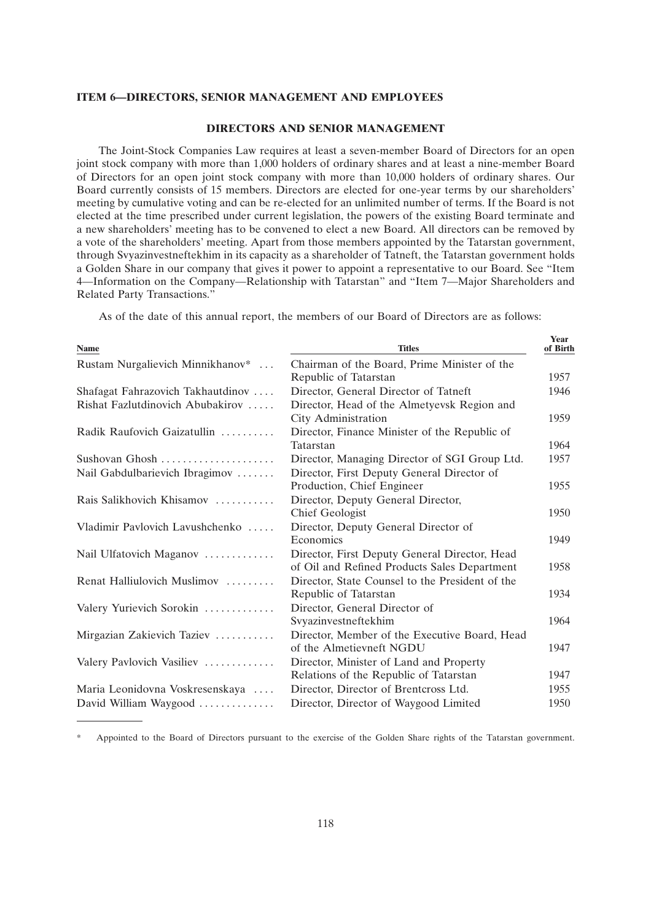## **ITEM 6—DIRECTORS, SENIOR MANAGEMENT AND EMPLOYEES**

#### **DIRECTORS AND SENIOR MANAGEMENT**

The Joint-Stock Companies Law requires at least a seven-member Board of Directors for an open joint stock company with more than 1,000 holders of ordinary shares and at least a nine-member Board of Directors for an open joint stock company with more than 10,000 holders of ordinary shares. Our Board currently consists of 15 members. Directors are elected for one-year terms by our shareholders' meeting by cumulative voting and can be re-elected for an unlimited number of terms. If the Board is not elected at the time prescribed under current legislation, the powers of the existing Board terminate and a new shareholders' meeting has to be convened to elect a new Board. All directors can be removed by a vote of the shareholders' meeting. Apart from those members appointed by the Tatarstan government, through Svyazinvestneftekhim in its capacity as a shareholder of Tatneft, the Tatarstan government holds a Golden Share in our company that gives it power to appoint a representative to our Board. See ''Item 4—Information on the Company—Relationship with Tatarstan'' and ''Item 7—Major Shareholders and Related Party Transactions.''

As of the date of this annual report, the members of our Board of Directors are as follows:

| <b>Name</b>                       | <b>Titles</b>                                                      | Year<br>of Birth |
|-----------------------------------|--------------------------------------------------------------------|------------------|
| Rustam Nurgalievich Minnikhanov*  | Chairman of the Board, Prime Minister of the                       |                  |
|                                   | Republic of Tatarstan                                              | 1957             |
| Shafagat Fahrazovich Takhautdinov | Director, General Director of Tatneft                              | 1946             |
| Rishat Fazlutdinovich Abubakirov  | Director, Head of the Almetyevsk Region and<br>City Administration | 1959             |
| Radik Raufovich Gaizatullin       | Director, Finance Minister of the Republic of<br>Tatarstan         | 1964             |
| Sushovan Ghosh                    | Director, Managing Director of SGI Group Ltd.                      | 1957             |
| Nail Gabdulbarievich Ibragimov    | Director, First Deputy General Director of                         |                  |
|                                   | Production, Chief Engineer                                         | 1955             |
| Rais Salikhovich Khisamov         | Director, Deputy General Director,                                 |                  |
|                                   | Chief Geologist                                                    | 1950             |
| Vladimir Pavlovich Lavushchenko   | Director, Deputy General Director of                               |                  |
|                                   | Economics                                                          | 1949             |
| Nail Ulfatovich Maganov           | Director, First Deputy General Director, Head                      |                  |
|                                   | of Oil and Refined Products Sales Department                       | 1958             |
| Renat Halliulovich Muslimov       | Director, State Counsel to the President of the                    |                  |
|                                   | Republic of Tatarstan                                              | 1934             |
| Valery Yurievich Sorokin          | Director, General Director of                                      |                  |
|                                   | Svyazinvestneftekhim                                               | 1964             |
| Mirgazian Zakievich Taziev        | Director, Member of the Executive Board, Head                      |                  |
|                                   | of the Almetievneft NGDU                                           | 1947             |
| Valery Pavlovich Vasiliev         | Director, Minister of Land and Property                            |                  |
|                                   | Relations of the Republic of Tatarstan                             | 1947             |
| Maria Leonidovna Voskresenskaya   | Director, Director of Brentcross Ltd.                              | 1955             |
| David William Waygood             | Director, Director of Waygood Limited                              | 1950             |

\* Appointed to the Board of Directors pursuant to the exercise of the Golden Share rights of the Tatarstan government.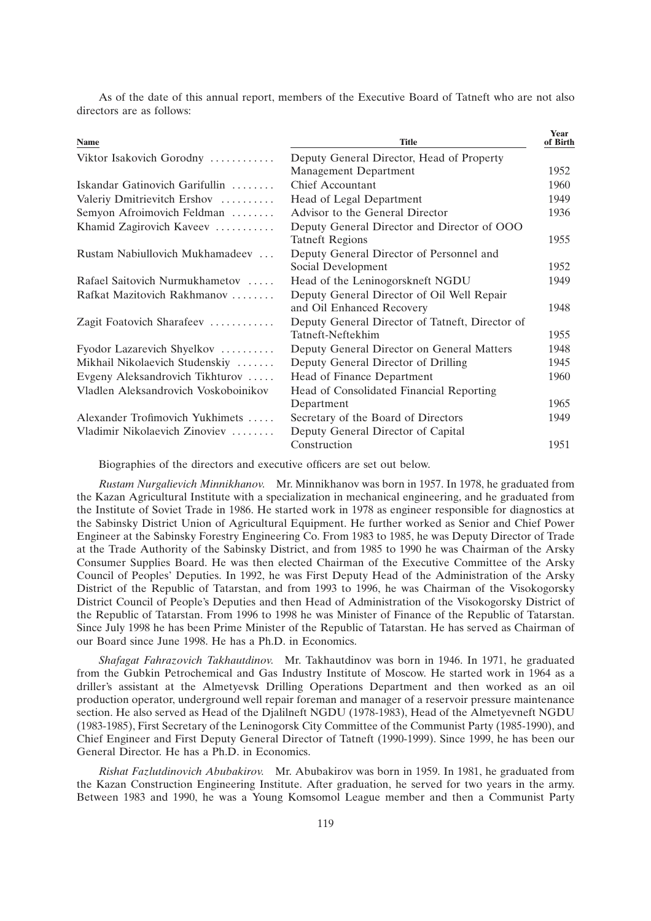| <b>Name</b>                          | <b>Title</b>                                    | <b>Year</b><br>of Birth |
|--------------------------------------|-------------------------------------------------|-------------------------|
| Viktor Isakovich Gorodny             | Deputy General Director, Head of Property       |                         |
|                                      | <b>Management Department</b>                    | 1952                    |
| Iskandar Gatinovich Garifullin       | <b>Chief Accountant</b>                         | 1960                    |
| Valeriy Dmitrievitch Ershov          | Head of Legal Department                        | 1949                    |
| Semyon Afroimovich Feldman           | Advisor to the General Director                 | 1936                    |
| Khamid Zagirovich Kaveev             | Deputy General Director and Director of OOO     |                         |
|                                      | <b>Tatneft Regions</b>                          | 1955                    |
| Rustam Nabiullovich Mukhamadeev      | Deputy General Director of Personnel and        |                         |
|                                      | Social Development                              | 1952                    |
| Rafael Saitovich Nurmukhametov       | Head of the Leninogorskneft NGDU                | 1949                    |
| Rafkat Mazitovich Rakhmanov          | Deputy General Director of Oil Well Repair      |                         |
|                                      | and Oil Enhanced Recovery                       | 1948                    |
| Zagit Foatovich Sharafeev            | Deputy General Director of Tatneft, Director of |                         |
|                                      | Tatneft-Neftekhim                               | 1955                    |
| Fyodor Lazarevich Shyelkov           | Deputy General Director on General Matters      | 1948                    |
| Mikhail Nikolaevich Studenskiy       | Deputy General Director of Drilling             | 1945                    |
| Evgeny Aleksandrovich Tikhturov      | Head of Finance Department                      | 1960                    |
| Vladlen Aleksandrovich Voskoboinikov | Head of Consolidated Financial Reporting        |                         |
|                                      | Department                                      | 1965                    |
| Alexander Trofimovich Yukhimets      | Secretary of the Board of Directors             | 1949                    |
| Vladimir Nikolaevich Zinoviev        | Deputy General Director of Capital              |                         |
|                                      | Construction                                    | 1951                    |

As of the date of this annual report, members of the Executive Board of Tatneft who are not also directors are as follows:

Biographies of the directors and executive officers are set out below.

*Rustam Nurgalievich Minnikhanov.* Mr. Minnikhanov was born in 1957. In 1978, he graduated from the Kazan Agricultural Institute with a specialization in mechanical engineering, and he graduated from the Institute of Soviet Trade in 1986. He started work in 1978 as engineer responsible for diagnostics at the Sabinsky District Union of Agricultural Equipment. He further worked as Senior and Chief Power Engineer at the Sabinsky Forestry Engineering Co. From 1983 to 1985, he was Deputy Director of Trade at the Trade Authority of the Sabinsky District, and from 1985 to 1990 he was Chairman of the Arsky Consumer Supplies Board. He was then elected Chairman of the Executive Committee of the Arsky Council of Peoples' Deputies. In 1992, he was First Deputy Head of the Administration of the Arsky District of the Republic of Tatarstan, and from 1993 to 1996, he was Chairman of the Visokogorsky District Council of People's Deputies and then Head of Administration of the Visokogorsky District of the Republic of Tatarstan. From 1996 to 1998 he was Minister of Finance of the Republic of Tatarstan. Since July 1998 he has been Prime Minister of the Republic of Tatarstan. He has served as Chairman of our Board since June 1998. He has a Ph.D. in Economics.

*Shafagat Fahrazovich Takhautdinov.* Mr. Takhautdinov was born in 1946. In 1971, he graduated from the Gubkin Petrochemical and Gas Industry Institute of Moscow. He started work in 1964 as a driller's assistant at the Almetyevsk Drilling Operations Department and then worked as an oil production operator, underground well repair foreman and manager of a reservoir pressure maintenance section. He also served as Head of the Djalilneft NGDU (1978-1983), Head of the Almetyevneft NGDU (1983-1985), First Secretary of the Leninogorsk City Committee of the Communist Party (1985-1990), and Chief Engineer and First Deputy General Director of Tatneft (1990-1999). Since 1999, he has been our General Director. He has a Ph.D. in Economics.

*Rishat Fazlutdinovich Abubakirov.* Mr. Abubakirov was born in 1959. In 1981, he graduated from the Kazan Construction Engineering Institute. After graduation, he served for two years in the army. Between 1983 and 1990, he was a Young Komsomol League member and then a Communist Party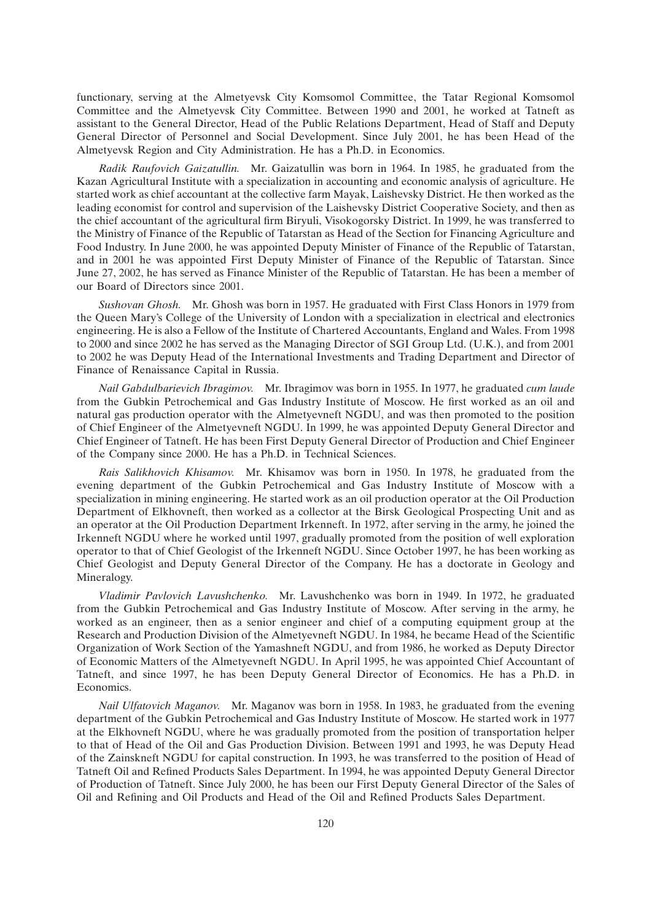functionary, serving at the Almetyevsk City Komsomol Committee, the Tatar Regional Komsomol Committee and the Almetyevsk City Committee. Between 1990 and 2001, he worked at Tatneft as assistant to the General Director, Head of the Public Relations Department, Head of Staff and Deputy General Director of Personnel and Social Development. Since July 2001, he has been Head of the Almetyevsk Region and City Administration. He has a Ph.D. in Economics.

*Radik Raufovich Gaizatullin.* Mr. Gaizatullin was born in 1964. In 1985, he graduated from the Kazan Agricultural Institute with a specialization in accounting and economic analysis of agriculture. He started work as chief accountant at the collective farm Mayak, Laishevsky District. He then worked as the leading economist for control and supervision of the Laishevsky District Cooperative Society, and then as the chief accountant of the agricultural firm Biryuli, Visokogorsky District. In 1999, he was transferred to the Ministry of Finance of the Republic of Tatarstan as Head of the Section for Financing Agriculture and Food Industry. In June 2000, he was appointed Deputy Minister of Finance of the Republic of Tatarstan, and in 2001 he was appointed First Deputy Minister of Finance of the Republic of Tatarstan. Since June 27, 2002, he has served as Finance Minister of the Republic of Tatarstan. He has been a member of our Board of Directors since 2001.

*Sushovan Ghosh.* Mr. Ghosh was born in 1957. He graduated with First Class Honors in 1979 from the Queen Mary's College of the University of London with a specialization in electrical and electronics engineering. He is also a Fellow of the Institute of Chartered Accountants, England and Wales. From 1998 to 2000 and since 2002 he has served as the Managing Director of SGI Group Ltd. (U.K.), and from 2001 to 2002 he was Deputy Head of the International Investments and Trading Department and Director of Finance of Renaissance Capital in Russia.

*Nail Gabdulbarievich Ibragimov.* Mr. Ibragimov was born in 1955. In 1977, he graduated *cum laude* from the Gubkin Petrochemical and Gas Industry Institute of Moscow. He first worked as an oil and natural gas production operator with the Almetyevneft NGDU, and was then promoted to the position of Chief Engineer of the Almetyevneft NGDU. In 1999, he was appointed Deputy General Director and Chief Engineer of Tatneft. He has been First Deputy General Director of Production and Chief Engineer of the Company since 2000. He has a Ph.D. in Technical Sciences.

*Rais Salikhovich Khisamov.* Mr. Khisamov was born in 1950. In 1978, he graduated from the evening department of the Gubkin Petrochemical and Gas Industry Institute of Moscow with a specialization in mining engineering. He started work as an oil production operator at the Oil Production Department of Elkhovneft, then worked as a collector at the Birsk Geological Prospecting Unit and as an operator at the Oil Production Department Irkenneft. In 1972, after serving in the army, he joined the Irkenneft NGDU where he worked until 1997, gradually promoted from the position of well exploration operator to that of Chief Geologist of the Irkenneft NGDU. Since October 1997, he has been working as Chief Geologist and Deputy General Director of the Company. He has a doctorate in Geology and Mineralogy.

*Vladimir Pavlovich Lavushchenko.* Mr. Lavushchenko was born in 1949. In 1972, he graduated from the Gubkin Petrochemical and Gas Industry Institute of Moscow. After serving in the army, he worked as an engineer, then as a senior engineer and chief of a computing equipment group at the Research and Production Division of the Almetyevneft NGDU. In 1984, he became Head of the Scientific Organization of Work Section of the Yamashneft NGDU, and from 1986, he worked as Deputy Director of Economic Matters of the Almetyevneft NGDU. In April 1995, he was appointed Chief Accountant of Tatneft, and since 1997, he has been Deputy General Director of Economics. He has a Ph.D. in Economics.

*Nail Ulfatovich Maganov.* Mr. Maganov was born in 1958. In 1983, he graduated from the evening department of the Gubkin Petrochemical and Gas Industry Institute of Moscow. He started work in 1977 at the Elkhovneft NGDU, where he was gradually promoted from the position of transportation helper to that of Head of the Oil and Gas Production Division. Between 1991 and 1993, he was Deputy Head of the Zainskneft NGDU for capital construction. In 1993, he was transferred to the position of Head of Tatneft Oil and Refined Products Sales Department. In 1994, he was appointed Deputy General Director of Production of Tatneft. Since July 2000, he has been our First Deputy General Director of the Sales of Oil and Refining and Oil Products and Head of the Oil and Refined Products Sales Department.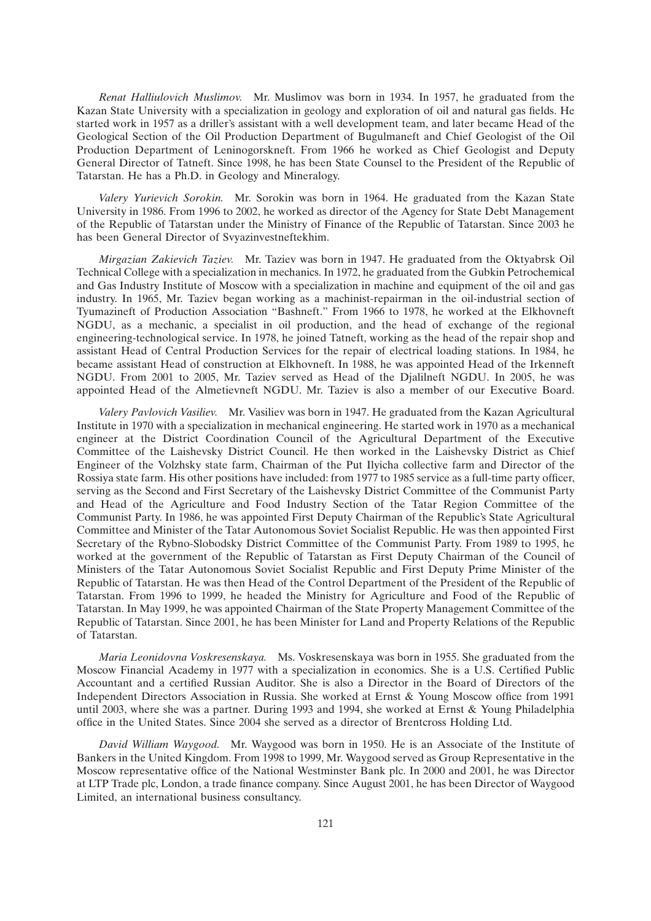*Renat Halliulovich Muslimov.* Mr. Muslimov was born in 1934. In 1957, he graduated from the Kazan State University with a specialization in geology and exploration of oil and natural gas fields. He started work in 1957 as a driller's assistant with a well development team, and later became Head of the Geological Section of the Oil Production Department of Bugulmaneft and Chief Geologist of the Oil Production Department of Leninogorskneft. From 1966 he worked as Chief Geologist and Deputy General Director of Tatneft. Since 1998, he has been State Counsel to the President of the Republic of Tatarstan. He has a Ph.D. in Geology and Mineralogy.

*Valery Yurievich Sorokin.* Mr. Sorokin was born in 1964. He graduated from the Kazan State University in 1986. From 1996 to 2002, he worked as director of the Agency for State Debt Management of the Republic of Tatarstan under the Ministry of Finance of the Republic of Tatarstan. Since 2003 he has been General Director of Svyazinvestneftekhim.

*Mirgazian Zakievich Taziev.* Mr. Taziev was born in 1947. He graduated from the Oktyabrsk Oil Technical College with a specialization in mechanics. In 1972, he graduated from the Gubkin Petrochemical and Gas Industry Institute of Moscow with a specialization in machine and equipment of the oil and gas industry. In 1965, Mr. Taziev began working as a machinist-repairman in the oil-industrial section of Tyumazineft of Production Association ''Bashneft.'' From 1966 to 1978, he worked at the Elkhovneft NGDU, as a mechanic, a specialist in oil production, and the head of exchange of the regional engineering-technological service. In 1978, he joined Tatneft, working as the head of the repair shop and assistant Head of Central Production Services for the repair of electrical loading stations. In 1984, he became assistant Head of construction at Elkhovneft. In 1988, he was appointed Head of the Irkenneft NGDU. From 2001 to 2005, Mr. Taziev served as Head of the Djalilneft NGDU. In 2005, he was appointed Head of the Almetievneft NGDU. Mr. Taziev is also a member of our Executive Board.

*Valery Pavlovich Vasiliev.* Mr. Vasiliev was born in 1947. He graduated from the Kazan Agricultural Institute in 1970 with a specialization in mechanical engineering. He started work in 1970 as a mechanical engineer at the District Coordination Council of the Agricultural Department of the Executive Committee of the Laishevsky District Council. He then worked in the Laishevsky District as Chief Engineer of the Volzhsky state farm, Chairman of the Put Ilyicha collective farm and Director of the Rossiya state farm. His other positions have included: from 1977 to 1985 service as a full-time party officer, serving as the Second and First Secretary of the Laishevsky District Committee of the Communist Party and Head of the Agriculture and Food Industry Section of the Tatar Region Committee of the Communist Party. In 1986, he was appointed First Deputy Chairman of the Republic's State Agricultural Committee and Minister of the Tatar Autonomous Soviet Socialist Republic. He was then appointed First Secretary of the Rybno-Slobodsky District Committee of the Communist Party. From 1989 to 1995, he worked at the government of the Republic of Tatarstan as First Deputy Chairman of the Council of Ministers of the Tatar Autonomous Soviet Socialist Republic and First Deputy Prime Minister of the Republic of Tatarstan. He was then Head of the Control Department of the President of the Republic of Tatarstan. From 1996 to 1999, he headed the Ministry for Agriculture and Food of the Republic of Tatarstan. In May 1999, he was appointed Chairman of the State Property Management Committee of the Republic of Tatarstan. Since 2001, he has been Minister for Land and Property Relations of the Republic of Tatarstan.

*Maria Leonidovna Voskresenskaya.* Ms. Voskresenskaya was born in 1955. She graduated from the Moscow Financial Academy in 1977 with a specialization in economics. She is a U.S. Certified Public Accountant and a certified Russian Auditor. She is also a Director in the Board of Directors of the Independent Directors Association in Russia. She worked at Ernst & Young Moscow office from 1991 until 2003, where she was a partner. During 1993 and 1994, she worked at Ernst & Young Philadelphia office in the United States. Since 2004 she served as a director of Brentcross Holding Ltd.

*David William Waygood.* Mr. Waygood was born in 1950. He is an Associate of the Institute of Bankers in the United Kingdom. From 1998 to 1999, Mr. Waygood served as Group Representative in the Moscow representative office of the National Westminster Bank plc. In 2000 and 2001, he was Director at LTP Trade plc, London, a trade finance company. Since August 2001, he has been Director of Waygood Limited, an international business consultancy.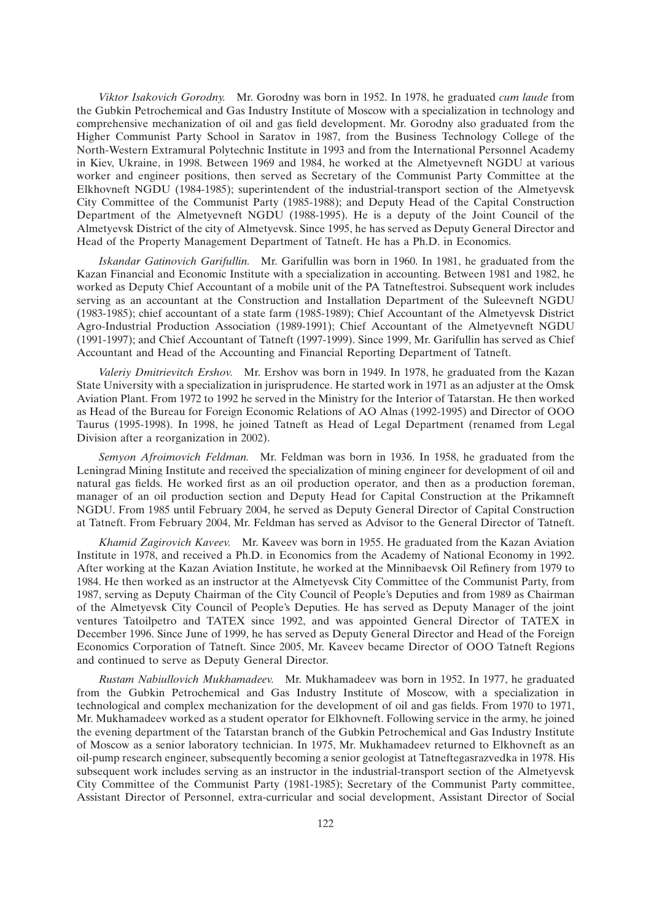*Viktor Isakovich Gorodny.* Mr. Gorodny was born in 1952. In 1978, he graduated *cum laude* from the Gubkin Petrochemical and Gas Industry Institute of Moscow with a specialization in technology and comprehensive mechanization of oil and gas field development. Mr. Gorodny also graduated from the Higher Communist Party School in Saratov in 1987, from the Business Technology College of the North-Western Extramural Polytechnic Institute in 1993 and from the International Personnel Academy in Kiev, Ukraine, in 1998. Between 1969 and 1984, he worked at the Almetyevneft NGDU at various worker and engineer positions, then served as Secretary of the Communist Party Committee at the Elkhovneft NGDU (1984-1985); superintendent of the industrial-transport section of the Almetyevsk City Committee of the Communist Party (1985-1988); and Deputy Head of the Capital Construction Department of the Almetyevneft NGDU (1988-1995). He is a deputy of the Joint Council of the Almetyevsk District of the city of Almetyevsk. Since 1995, he has served as Deputy General Director and Head of the Property Management Department of Tatneft. He has a Ph.D. in Economics.

*Iskandar Gatinovich Garifullin.* Mr. Garifullin was born in 1960. In 1981, he graduated from the Kazan Financial and Economic Institute with a specialization in accounting. Between 1981 and 1982, he worked as Deputy Chief Accountant of a mobile unit of the PA Tatneftestroi. Subsequent work includes serving as an accountant at the Construction and Installation Department of the Suleevneft NGDU (1983-1985); chief accountant of a state farm (1985-1989); Chief Accountant of the Almetyevsk District Agro-Industrial Production Association (1989-1991); Chief Accountant of the Almetyevneft NGDU (1991-1997); and Chief Accountant of Tatneft (1997-1999). Since 1999, Mr. Garifullin has served as Chief Accountant and Head of the Accounting and Financial Reporting Department of Tatneft.

*Valeriy Dmitrievitch Ershov.* Mr. Ershov was born in 1949. In 1978, he graduated from the Kazan State University with a specialization in jurisprudence. He started work in 1971 as an adjuster at the Omsk Aviation Plant. From 1972 to 1992 he served in the Ministry for the Interior of Tatarstan. He then worked as Head of the Bureau for Foreign Economic Relations of AO Alnas (1992-1995) and Director of OOO Taurus (1995-1998). In 1998, he joined Tatneft as Head of Legal Department (renamed from Legal Division after a reorganization in 2002).

*Semyon Afroimovich Feldman.* Mr. Feldman was born in 1936. In 1958, he graduated from the Leningrad Mining Institute and received the specialization of mining engineer for development of oil and natural gas fields. He worked first as an oil production operator, and then as a production foreman, manager of an oil production section and Deputy Head for Capital Construction at the Prikamneft NGDU. From 1985 until February 2004, he served as Deputy General Director of Capital Construction at Tatneft. From February 2004, Mr. Feldman has served as Advisor to the General Director of Tatneft.

*Khamid Zagirovich Kaveev.* Mr. Kaveev was born in 1955. He graduated from the Kazan Aviation Institute in 1978, and received a Ph.D. in Economics from the Academy of National Economy in 1992. After working at the Kazan Aviation Institute, he worked at the Minnibaevsk Oil Refinery from 1979 to 1984. He then worked as an instructor at the Almetyevsk City Committee of the Communist Party, from 1987, serving as Deputy Chairman of the City Council of People's Deputies and from 1989 as Chairman of the Almetyevsk City Council of People's Deputies. He has served as Deputy Manager of the joint ventures Tatoilpetro and TATEX since 1992, and was appointed General Director of TATEX in December 1996. Since June of 1999, he has served as Deputy General Director and Head of the Foreign Economics Corporation of Tatneft. Since 2005, Mr. Kaveev became Director of OOO Tatneft Regions and continued to serve as Deputy General Director.

*Rustam Nabiullovich Mukhamadeev.* Mr. Mukhamadeev was born in 1952. In 1977, he graduated from the Gubkin Petrochemical and Gas Industry Institute of Moscow, with a specialization in technological and complex mechanization for the development of oil and gas fields. From 1970 to 1971, Mr. Mukhamadeev worked as a student operator for Elkhovneft. Following service in the army, he joined the evening department of the Tatarstan branch of the Gubkin Petrochemical and Gas Industry Institute of Moscow as a senior laboratory technician. In 1975, Mr. Mukhamadeev returned to Elkhovneft as an oil-pump research engineer, subsequently becoming a senior geologist at Tatneftegasrazvedka in 1978. His subsequent work includes serving as an instructor in the industrial-transport section of the Almetyevsk City Committee of the Communist Party (1981-1985); Secretary of the Communist Party committee, Assistant Director of Personnel, extra-curricular and social development, Assistant Director of Social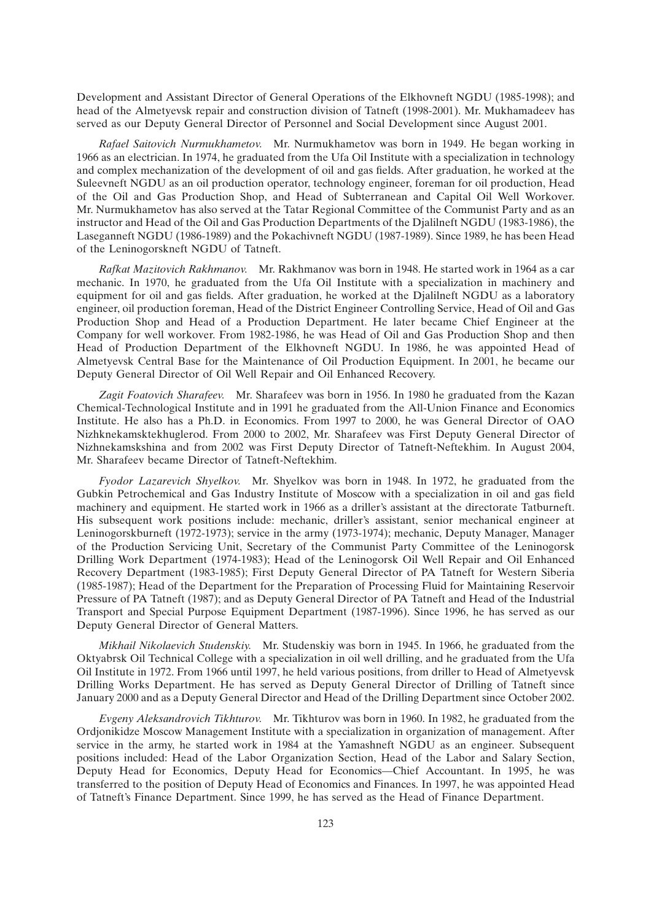Development and Assistant Director of General Operations of the Elkhovneft NGDU (1985-1998); and head of the Almetyevsk repair and construction division of Tatneft (1998-2001). Mr. Mukhamadeev has served as our Deputy General Director of Personnel and Social Development since August 2001.

*Rafael Saitovich Nurmukhametov.* Mr. Nurmukhametov was born in 1949. He began working in 1966 as an electrician. In 1974, he graduated from the Ufa Oil Institute with a specialization in technology and complex mechanization of the development of oil and gas fields. After graduation, he worked at the Suleevneft NGDU as an oil production operator, technology engineer, foreman for oil production, Head of the Oil and Gas Production Shop, and Head of Subterranean and Capital Oil Well Workover. Mr. Nurmukhametov has also served at the Tatar Regional Committee of the Communist Party and as an instructor and Head of the Oil and Gas Production Departments of the Djalilneft NGDU (1983-1986), the Laseganneft NGDU (1986-1989) and the Pokachivneft NGDU (1987-1989). Since 1989, he has been Head of the Leninogorskneft NGDU of Tatneft.

*Rafkat Mazitovich Rakhmanov.* Mr. Rakhmanov was born in 1948. He started work in 1964 as a car mechanic. In 1970, he graduated from the Ufa Oil Institute with a specialization in machinery and equipment for oil and gas fields. After graduation, he worked at the Djalilneft NGDU as a laboratory engineer, oil production foreman, Head of the District Engineer Controlling Service, Head of Oil and Gas Production Shop and Head of a Production Department. He later became Chief Engineer at the Company for well workover. From 1982-1986, he was Head of Oil and Gas Production Shop and then Head of Production Department of the Elkhovneft NGDU. In 1986, he was appointed Head of Almetyevsk Central Base for the Maintenance of Oil Production Equipment. In 2001, he became our Deputy General Director of Oil Well Repair and Oil Enhanced Recovery.

*Zagit Foatovich Sharafeev.* Mr. Sharafeev was born in 1956. In 1980 he graduated from the Kazan Chemical-Technological Institute and in 1991 he graduated from the All-Union Finance and Economics Institute. He also has a Ph.D. in Economics. From 1997 to 2000, he was General Director of OAO Nizhknekamsktekhuglerod. From 2000 to 2002, Mr. Sharafeev was First Deputy General Director of Nizhnekamskshina and from 2002 was First Deputy Director of Tatneft-Neftekhim. In August 2004, Mr. Sharafeev became Director of Tatneft-Neftekhim.

*Fyodor Lazarevich Shyelkov.* Mr. Shyelkov was born in 1948. In 1972, he graduated from the Gubkin Petrochemical and Gas Industry Institute of Moscow with a specialization in oil and gas field machinery and equipment. He started work in 1966 as a driller's assistant at the directorate Tatburneft. His subsequent work positions include: mechanic, driller's assistant, senior mechanical engineer at Leninogorskburneft (1972-1973); service in the army (1973-1974); mechanic, Deputy Manager, Manager of the Production Servicing Unit, Secretary of the Communist Party Committee of the Leninogorsk Drilling Work Department (1974-1983); Head of the Leninogorsk Oil Well Repair and Oil Enhanced Recovery Department (1983-1985); First Deputy General Director of PA Tatneft for Western Siberia (1985-1987); Head of the Department for the Preparation of Processing Fluid for Maintaining Reservoir Pressure of PA Tatneft (1987); and as Deputy General Director of PA Tatneft and Head of the Industrial Transport and Special Purpose Equipment Department (1987-1996). Since 1996, he has served as our Deputy General Director of General Matters.

*Mikhail Nikolaevich Studenskiy.* Mr. Studenskiy was born in 1945. In 1966, he graduated from the Oktyabrsk Oil Technical College with a specialization in oil well drilling, and he graduated from the Ufa Oil Institute in 1972. From 1966 until 1997, he held various positions, from driller to Head of Almetyevsk Drilling Works Department. He has served as Deputy General Director of Drilling of Tatneft since January 2000 and as a Deputy General Director and Head of the Drilling Department since October 2002.

*Evgeny Aleksandrovich Tikhturov.* Mr. Tikhturov was born in 1960. In 1982, he graduated from the Ordjonikidze Moscow Management Institute with a specialization in organization of management. After service in the army, he started work in 1984 at the Yamashneft NGDU as an engineer. Subsequent positions included: Head of the Labor Organization Section, Head of the Labor and Salary Section, Deputy Head for Economics, Deputy Head for Economics—Chief Accountant. In 1995, he was transferred to the position of Deputy Head of Economics and Finances. In 1997, he was appointed Head of Tatneft's Finance Department. Since 1999, he has served as the Head of Finance Department.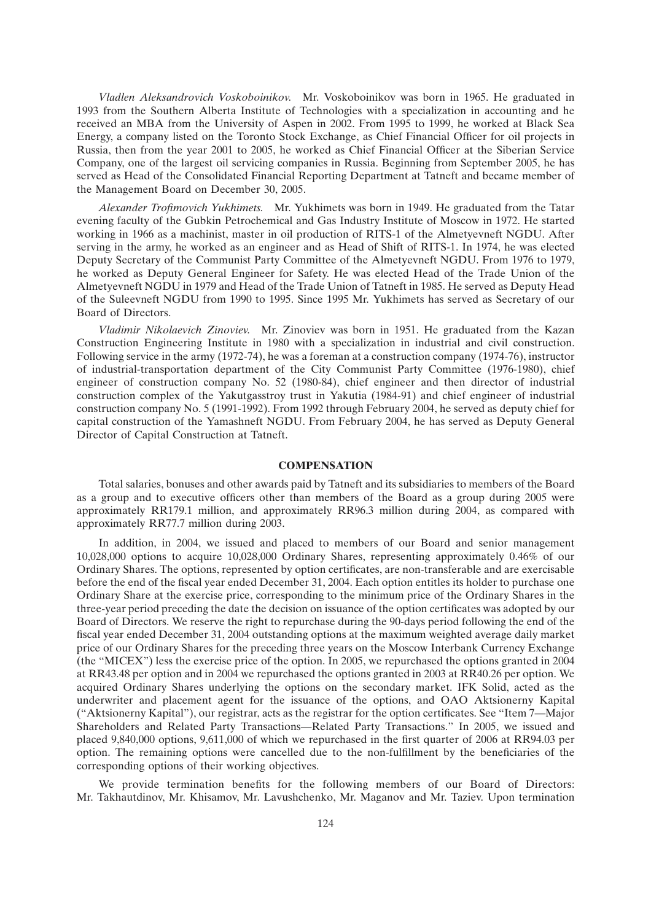*Vladlen Aleksandrovich Voskoboinikov.* Mr. Voskoboinikov was born in 1965. He graduated in 1993 from the Southern Alberta Institute of Technologies with a specialization in accounting and he received an MBA from the University of Aspen in 2002. From 1995 to 1999, he worked at Black Sea Energy, a company listed on the Toronto Stock Exchange, as Chief Financial Officer for oil projects in Russia, then from the year 2001 to 2005, he worked as Chief Financial Officer at the Siberian Service Company, one of the largest oil servicing companies in Russia. Beginning from September 2005, he has served as Head of the Consolidated Financial Reporting Department at Tatneft and became member of the Management Board on December 30, 2005.

*Alexander Trofimovich Yukhimets.* Mr. Yukhimets was born in 1949. He graduated from the Tatar evening faculty of the Gubkin Petrochemical and Gas Industry Institute of Moscow in 1972. He started working in 1966 as a machinist, master in oil production of RITS-1 of the Almetyevneft NGDU. After serving in the army, he worked as an engineer and as Head of Shift of RITS-1. In 1974, he was elected Deputy Secretary of the Communist Party Committee of the Almetyevneft NGDU. From 1976 to 1979, he worked as Deputy General Engineer for Safety. He was elected Head of the Trade Union of the Almetyevneft NGDU in 1979 and Head of the Trade Union of Tatneft in 1985. He served as Deputy Head of the Suleevneft NGDU from 1990 to 1995. Since 1995 Mr. Yukhimets has served as Secretary of our Board of Directors.

*Vladimir Nikolaevich Zinoviev.* Mr. Zinoviev was born in 1951. He graduated from the Kazan Construction Engineering Institute in 1980 with a specialization in industrial and civil construction. Following service in the army (1972-74), he was a foreman at a construction company (1974-76), instructor of industrial-transportation department of the City Communist Party Committee (1976-1980), chief engineer of construction company No. 52 (1980-84), chief engineer and then director of industrial construction complex of the Yakutgasstroy trust in Yakutia (1984-91) and chief engineer of industrial construction company No. 5 (1991-1992). From 1992 through February 2004, he served as deputy chief for capital construction of the Yamashneft NGDU. From February 2004, he has served as Deputy General Director of Capital Construction at Tatneft.

## **COMPENSATION**

Total salaries, bonuses and other awards paid by Tatneft and its subsidiaries to members of the Board as a group and to executive officers other than members of the Board as a group during 2005 were approximately RR179.1 million, and approximately RR96.3 million during 2004, as compared with approximately RR77.7 million during 2003.

In addition, in 2004, we issued and placed to members of our Board and senior management 10,028,000 options to acquire 10,028,000 Ordinary Shares, representing approximately 0.46% of our Ordinary Shares. The options, represented by option certificates, are non-transferable and are exercisable before the end of the fiscal year ended December 31, 2004. Each option entitles its holder to purchase one Ordinary Share at the exercise price, corresponding to the minimum price of the Ordinary Shares in the three-year period preceding the date the decision on issuance of the option certificates was adopted by our Board of Directors. We reserve the right to repurchase during the 90-days period following the end of the fiscal year ended December 31, 2004 outstanding options at the maximum weighted average daily market price of our Ordinary Shares for the preceding three years on the Moscow Interbank Currency Exchange (the ''MICEX'') less the exercise price of the option. In 2005, we repurchased the options granted in 2004 at RR43.48 per option and in 2004 we repurchased the options granted in 2003 at RR40.26 per option. We acquired Ordinary Shares underlying the options on the secondary market. IFK Solid, acted as the underwriter and placement agent for the issuance of the options, and OAO Aktsionerny Kapital (''Aktsionerny Kapital''), our registrar, acts as the registrar for the option certificates. See ''Item 7—Major Shareholders and Related Party Transactions—Related Party Transactions.'' In 2005, we issued and placed 9,840,000 options, 9,611,000 of which we repurchased in the first quarter of 2006 at RR94.03 per option. The remaining options were cancelled due to the non-fulfillment by the beneficiaries of the corresponding options of their working objectives.

We provide termination benefits for the following members of our Board of Directors: Mr. Takhautdinov, Mr. Khisamov, Mr. Lavushchenko, Mr. Maganov and Mr. Taziev. Upon termination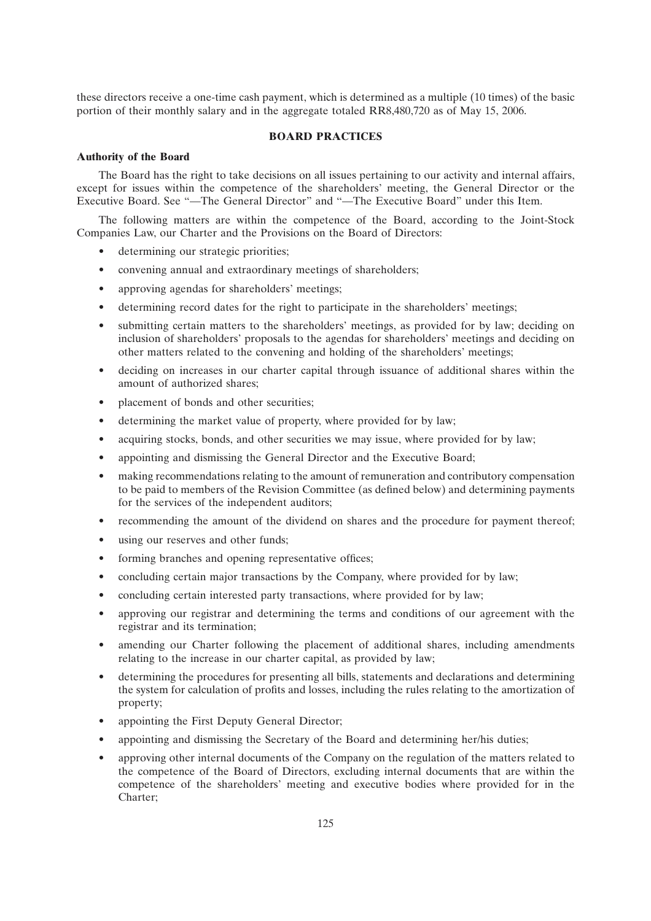these directors receive a one-time cash payment, which is determined as a multiple (10 times) of the basic portion of their monthly salary and in the aggregate totaled RR8,480,720 as of May 15, 2006.

## **BOARD PRACTICES**

#### **Authority of the Board**

The Board has the right to take decisions on all issues pertaining to our activity and internal affairs, except for issues within the competence of the shareholders' meeting, the General Director or the Executive Board. See "—The General Director" and "—The Executive Board" under this Item.

The following matters are within the competence of the Board, according to the Joint-Stock Companies Law, our Charter and the Provisions on the Board of Directors:

- determining our strategic priorities;
- convening annual and extraordinary meetings of shareholders;
- approving agendas for shareholders' meetings;
- determining record dates for the right to participate in the shareholders' meetings;
- submitting certain matters to the shareholders' meetings, as provided for by law; deciding on inclusion of shareholders' proposals to the agendas for shareholders' meetings and deciding on other matters related to the convening and holding of the shareholders' meetings;
- deciding on increases in our charter capital through issuance of additional shares within the amount of authorized shares;
- placement of bonds and other securities:
- determining the market value of property, where provided for by law;
- acquiring stocks, bonds, and other securities we may issue, where provided for by law;
- appointing and dismissing the General Director and the Executive Board;
- making recommendations relating to the amount of remuneration and contributory compensation to be paid to members of the Revision Committee (as defined below) and determining payments for the services of the independent auditors;
- recommending the amount of the dividend on shares and the procedure for payment thereof;
- using our reserves and other funds;
- forming branches and opening representative offices;
- concluding certain major transactions by the Company, where provided for by law;
- concluding certain interested party transactions, where provided for by law;
- approving our registrar and determining the terms and conditions of our agreement with the registrar and its termination;
- amending our Charter following the placement of additional shares, including amendments relating to the increase in our charter capital, as provided by law;
- determining the procedures for presenting all bills, statements and declarations and determining the system for calculation of profits and losses, including the rules relating to the amortization of property;
- appointing the First Deputy General Director;
- appointing and dismissing the Secretary of the Board and determining her/his duties;
- approving other internal documents of the Company on the regulation of the matters related to the competence of the Board of Directors, excluding internal documents that are within the competence of the shareholders' meeting and executive bodies where provided for in the Charter;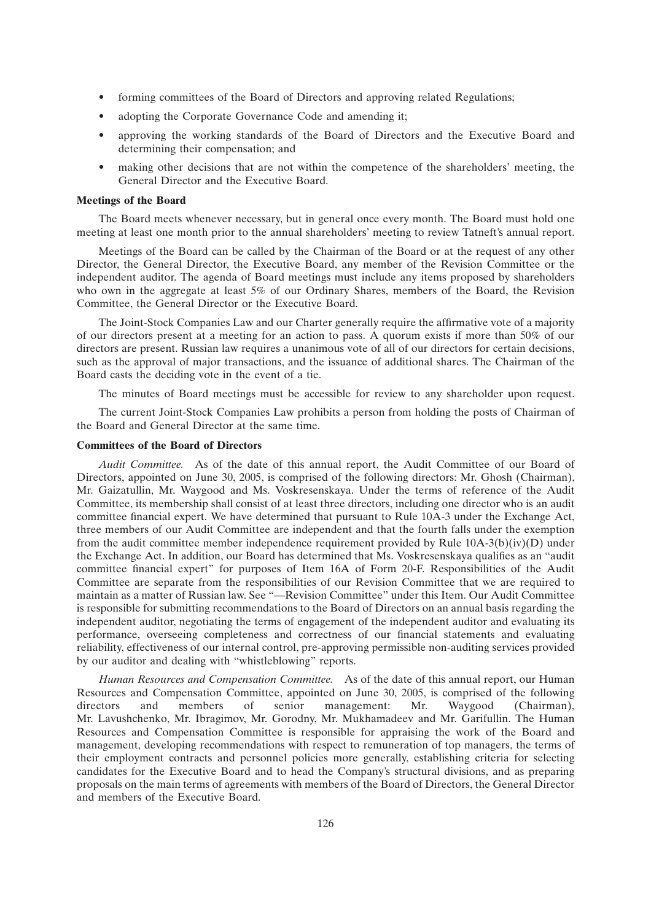- forming committees of the Board of Directors and approving related Regulations;
- adopting the Corporate Governance Code and amending it;
- approving the working standards of the Board of Directors and the Executive Board and determining their compensation; and
- making other decisions that are not within the competence of the shareholders' meeting, the General Director and the Executive Board.

## **Meetings of the Board**

The Board meets whenever necessary, but in general once every month. The Board must hold one meeting at least one month prior to the annual shareholders' meeting to review Tatneft's annual report.

Meetings of the Board can be called by the Chairman of the Board or at the request of any other Director, the General Director, the Executive Board, any member of the Revision Committee or the independent auditor. The agenda of Board meetings must include any items proposed by shareholders who own in the aggregate at least 5% of our Ordinary Shares, members of the Board, the Revision Committee, the General Director or the Executive Board.

The Joint-Stock Companies Law and our Charter generally require the affirmative vote of a majority of our directors present at a meeting for an action to pass. A quorum exists if more than 50% of our directors are present. Russian law requires a unanimous vote of all of our directors for certain decisions, such as the approval of major transactions, and the issuance of additional shares. The Chairman of the Board casts the deciding vote in the event of a tie.

The minutes of Board meetings must be accessible for review to any shareholder upon request.

The current Joint-Stock Companies Law prohibits a person from holding the posts of Chairman of the Board and General Director at the same time.

## **Committees of the Board of Directors**

*Audit Committee.* As of the date of this annual report, the Audit Committee of our Board of Directors, appointed on June 30, 2005, is comprised of the following directors: Mr. Ghosh (Chairman), Mr. Gaizatullin, Mr. Waygood and Ms. Voskresenskaya. Under the terms of reference of the Audit Committee, its membership shall consist of at least three directors, including one director who is an audit committee financial expert. We have determined that pursuant to Rule 10A-3 under the Exchange Act, three members of our Audit Committee are independent and that the fourth falls under the exemption from the audit committee member independence requirement provided by Rule 10A-3(b)(iv)(D) under the Exchange Act. In addition, our Board has determined that Ms. Voskresenskaya qualifies as an ''audit committee financial expert'' for purposes of Item 16A of Form 20-F. Responsibilities of the Audit Committee are separate from the responsibilities of our Revision Committee that we are required to maintain as a matter of Russian law. See ''—Revision Committee'' under this Item. Our Audit Committee is responsible for submitting recommendations to the Board of Directors on an annual basis regarding the independent auditor, negotiating the terms of engagement of the independent auditor and evaluating its performance, overseeing completeness and correctness of our financial statements and evaluating reliability, effectiveness of our internal control, pre-approving permissible non-auditing services provided by our auditor and dealing with ''whistleblowing'' reports.

*Human Resources and Compensation Committee.* As of the date of this annual report, our Human Resources and Compensation Committee, appointed on June 30, 2005, is comprised of the following directors and members of senior management: Mr. Waygood (Chairman), Mr. Lavushchenko, Mr. Ibragimov, Mr. Gorodny, Mr. Mukhamadeev and Mr. Garifullin. The Human Resources and Compensation Committee is responsible for appraising the work of the Board and management, developing recommendations with respect to remuneration of top managers, the terms of their employment contracts and personnel policies more generally, establishing criteria for selecting candidates for the Executive Board and to head the Company's structural divisions, and as preparing proposals on the main terms of agreements with members of the Board of Directors, the General Director and members of the Executive Board.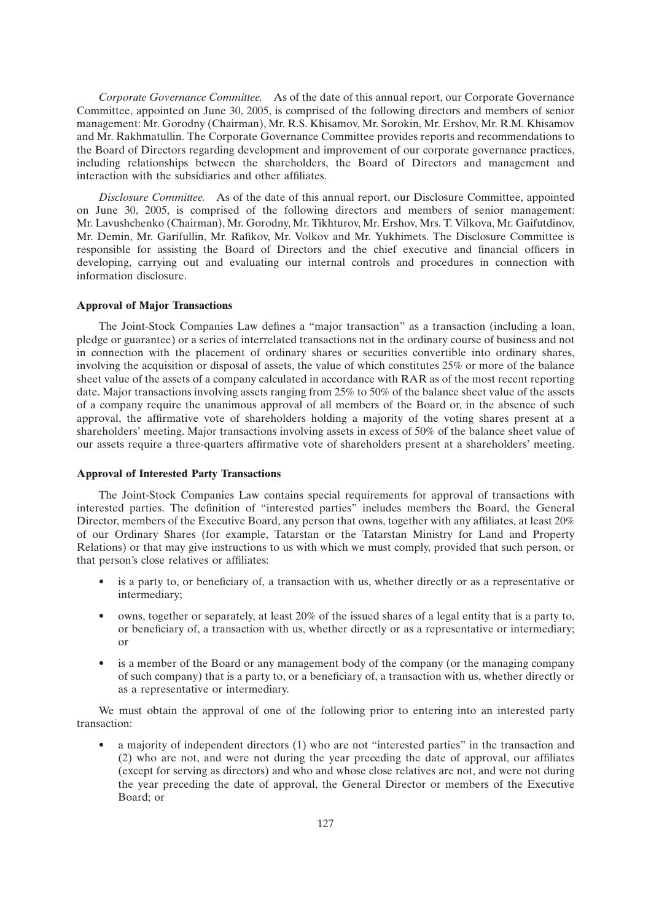*Corporate Governance Committee.* As of the date of this annual report, our Corporate Governance Committee, appointed on June 30, 2005, is comprised of the following directors and members of senior management: Mr. Gorodny (Chairman), Mr. R.S. Khisamov, Mr. Sorokin, Mr. Ershov, Mr. R.M. Khisamov and Mr. Rakhmatullin. The Corporate Governance Committee provides reports and recommendations to the Board of Directors regarding development and improvement of our corporate governance practices, including relationships between the shareholders, the Board of Directors and management and interaction with the subsidiaries and other affiliates.

*Disclosure Committee.* As of the date of this annual report, our Disclosure Committee, appointed on June 30, 2005, is comprised of the following directors and members of senior management: Mr. Lavushchenko (Chairman), Mr. Gorodny, Mr. Tikhturov, Mr. Ershov, Mrs. T. Vilkova, Mr. Gaifutdinov, Mr. Demin, Mr. Garifullin, Mr. Rafikov, Mr. Volkov and Mr. Yukhimets. The Disclosure Committee is responsible for assisting the Board of Directors and the chief executive and financial officers in developing, carrying out and evaluating our internal controls and procedures in connection with information disclosure.

## **Approval of Major Transactions**

The Joint-Stock Companies Law defines a ''major transaction'' as a transaction (including a loan, pledge or guarantee) or a series of interrelated transactions not in the ordinary course of business and not in connection with the placement of ordinary shares or securities convertible into ordinary shares, involving the acquisition or disposal of assets, the value of which constitutes 25% or more of the balance sheet value of the assets of a company calculated in accordance with RAR as of the most recent reporting date. Major transactions involving assets ranging from 25% to 50% of the balance sheet value of the assets of a company require the unanimous approval of all members of the Board or, in the absence of such approval, the affirmative vote of shareholders holding a majority of the voting shares present at a shareholders' meeting. Major transactions involving assets in excess of 50% of the balance sheet value of our assets require a three-quarters affirmative vote of shareholders present at a shareholders' meeting.

## **Approval of Interested Party Transactions**

The Joint-Stock Companies Law contains special requirements for approval of transactions with interested parties. The definition of ''interested parties'' includes members the Board, the General Director, members of the Executive Board, any person that owns, together with any affiliates, at least 20% of our Ordinary Shares (for example, Tatarstan or the Tatarstan Ministry for Land and Property Relations) or that may give instructions to us with which we must comply, provided that such person, or that person's close relatives or affiliates:

- is a party to, or beneficiary of, a transaction with us, whether directly or as a representative or intermediary;
- owns, together or separately, at least 20% of the issued shares of a legal entity that is a party to, or beneficiary of, a transaction with us, whether directly or as a representative or intermediary; or
- is a member of the Board or any management body of the company (or the managing company of such company) that is a party to, or a beneficiary of, a transaction with us, whether directly or as a representative or intermediary.

We must obtain the approval of one of the following prior to entering into an interested party transaction:

• a majority of independent directors (1) who are not ''interested parties'' in the transaction and (2) who are not, and were not during the year preceding the date of approval, our affiliates (except for serving as directors) and who and whose close relatives are not, and were not during the year preceding the date of approval, the General Director or members of the Executive Board; or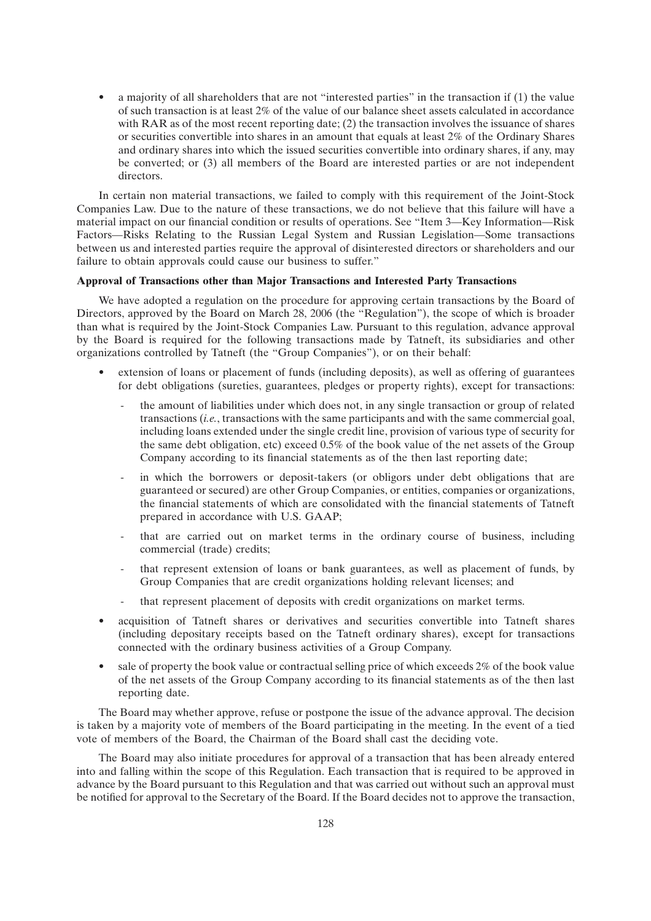• a majority of all shareholders that are not ''interested parties'' in the transaction if (1) the value of such transaction is at least 2% of the value of our balance sheet assets calculated in accordance with RAR as of the most recent reporting date; (2) the transaction involves the issuance of shares or securities convertible into shares in an amount that equals at least 2% of the Ordinary Shares and ordinary shares into which the issued securities convertible into ordinary shares, if any, may be converted; or (3) all members of the Board are interested parties or are not independent directors.

In certain non material transactions, we failed to comply with this requirement of the Joint-Stock Companies Law. Due to the nature of these transactions, we do not believe that this failure will have a material impact on our financial condition or results of operations. See ''Item 3—Key Information—Risk Factors—Risks Relating to the Russian Legal System and Russian Legislation—Some transactions between us and interested parties require the approval of disinterested directors or shareholders and our failure to obtain approvals could cause our business to suffer.''

## **Approval of Transactions other than Major Transactions and Interested Party Transactions**

We have adopted a regulation on the procedure for approving certain transactions by the Board of Directors, approved by the Board on March 28, 2006 (the ''Regulation''), the scope of which is broader than what is required by the Joint-Stock Companies Law. Pursuant to this regulation, advance approval by the Board is required for the following transactions made by Tatneft, its subsidiaries and other organizations controlled by Tatneft (the ''Group Companies''), or on their behalf:

- extension of loans or placement of funds (including deposits), as well as offering of guarantees for debt obligations (sureties, guarantees, pledges or property rights), except for transactions:
	- the amount of liabilities under which does not, in any single transaction or group of related transactions (*i.e.*, transactions with the same participants and with the same commercial goal, including loans extended under the single credit line, provision of various type of security for the same debt obligation, etc) exceed 0.5% of the book value of the net assets of the Group Company according to its financial statements as of the then last reporting date;
	- in which the borrowers or deposit-takers (or obligors under debt obligations that are guaranteed or secured) are other Group Companies, or entities, companies or organizations, the financial statements of which are consolidated with the financial statements of Tatneft prepared in accordance with U.S. GAAP;
	- that are carried out on market terms in the ordinary course of business, including commercial (trade) credits;
	- that represent extension of loans or bank guarantees, as well as placement of funds, by Group Companies that are credit organizations holding relevant licenses; and
	- that represent placement of deposits with credit organizations on market terms.
- acquisition of Tatneft shares or derivatives and securities convertible into Tatneft shares (including depositary receipts based on the Tatneft ordinary shares), except for transactions connected with the ordinary business activities of a Group Company.
- sale of property the book value or contractual selling price of which exceeds 2% of the book value of the net assets of the Group Company according to its financial statements as of the then last reporting date.

The Board may whether approve, refuse or postpone the issue of the advance approval. The decision is taken by a majority vote of members of the Board participating in the meeting. In the event of a tied vote of members of the Board, the Chairman of the Board shall cast the deciding vote.

The Board may also initiate procedures for approval of a transaction that has been already entered into and falling within the scope of this Regulation. Each transaction that is required to be approved in advance by the Board pursuant to this Regulation and that was carried out without such an approval must be notified for approval to the Secretary of the Board. If the Board decides not to approve the transaction,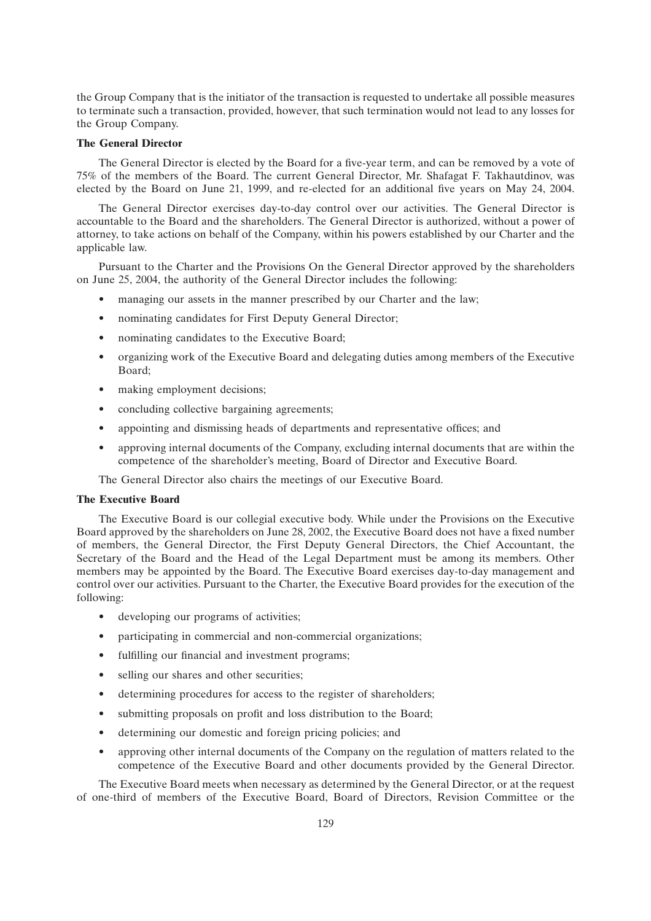the Group Company that is the initiator of the transaction is requested to undertake all possible measures to terminate such a transaction, provided, however, that such termination would not lead to any losses for the Group Company.

## **The General Director**

The General Director is elected by the Board for a five-year term, and can be removed by a vote of 75% of the members of the Board. The current General Director, Mr. Shafagat F. Takhautdinov, was elected by the Board on June 21, 1999, and re-elected for an additional five years on May 24, 2004.

The General Director exercises day-to-day control over our activities. The General Director is accountable to the Board and the shareholders. The General Director is authorized, without a power of attorney, to take actions on behalf of the Company, within his powers established by our Charter and the applicable law.

Pursuant to the Charter and the Provisions On the General Director approved by the shareholders on June 25, 2004, the authority of the General Director includes the following:

- managing our assets in the manner prescribed by our Charter and the law;
- nominating candidates for First Deputy General Director;
- nominating candidates to the Executive Board;
- organizing work of the Executive Board and delegating duties among members of the Executive Board;
- making employment decisions;
- concluding collective bargaining agreements;
- appointing and dismissing heads of departments and representative offices; and
- approving internal documents of the Company, excluding internal documents that are within the competence of the shareholder's meeting, Board of Director and Executive Board.

The General Director also chairs the meetings of our Executive Board.

## **The Executive Board**

The Executive Board is our collegial executive body. While under the Provisions on the Executive Board approved by the shareholders on June 28, 2002, the Executive Board does not have a fixed number of members, the General Director, the First Deputy General Directors, the Chief Accountant, the Secretary of the Board and the Head of the Legal Department must be among its members. Other members may be appointed by the Board. The Executive Board exercises day-to-day management and control over our activities. Pursuant to the Charter, the Executive Board provides for the execution of the following:

- developing our programs of activities;
- participating in commercial and non-commercial organizations;
- fulfilling our financial and investment programs;
- selling our shares and other securities;
- determining procedures for access to the register of shareholders;
- submitting proposals on profit and loss distribution to the Board;
- determining our domestic and foreign pricing policies; and
- approving other internal documents of the Company on the regulation of matters related to the competence of the Executive Board and other documents provided by the General Director.

The Executive Board meets when necessary as determined by the General Director, or at the request of one-third of members of the Executive Board, Board of Directors, Revision Committee or the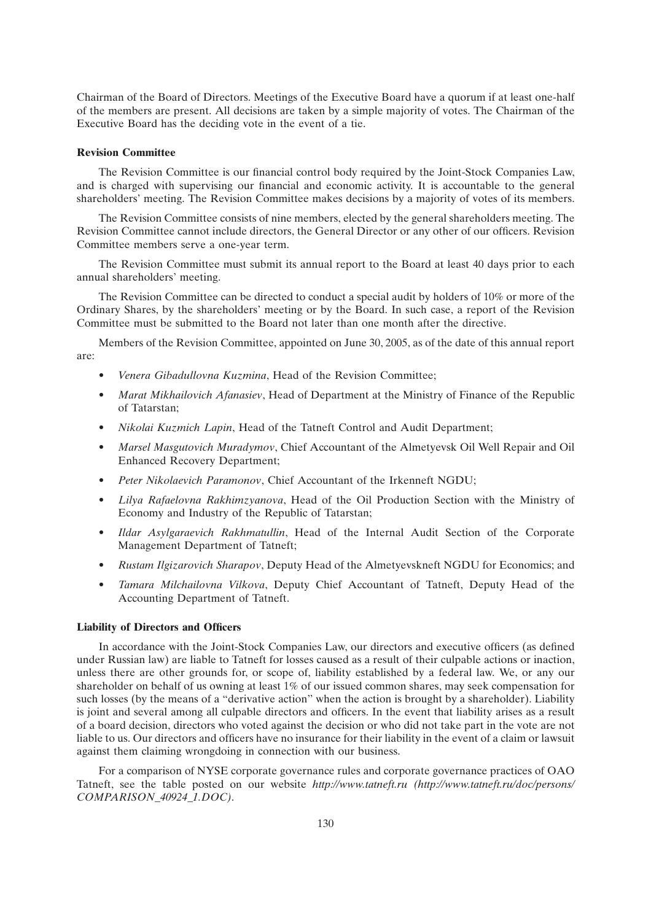Chairman of the Board of Directors. Meetings of the Executive Board have a quorum if at least one-half of the members are present. All decisions are taken by a simple majority of votes. The Chairman of the Executive Board has the deciding vote in the event of a tie.

## **Revision Committee**

The Revision Committee is our financial control body required by the Joint-Stock Companies Law, and is charged with supervising our financial and economic activity. It is accountable to the general shareholders' meeting. The Revision Committee makes decisions by a majority of votes of its members.

The Revision Committee consists of nine members, elected by the general shareholders meeting. The Revision Committee cannot include directors, the General Director or any other of our officers. Revision Committee members serve a one-year term.

The Revision Committee must submit its annual report to the Board at least 40 days prior to each annual shareholders' meeting.

The Revision Committee can be directed to conduct a special audit by holders of 10% or more of the Ordinary Shares, by the shareholders' meeting or by the Board. In such case, a report of the Revision Committee must be submitted to the Board not later than one month after the directive.

Members of the Revision Committee, appointed on June 30, 2005, as of the date of this annual report are:

- *Venera Gibadullovna Kuzmina*, Head of the Revision Committee;
- *Marat Mikhailovich Afanasiev*, Head of Department at the Ministry of Finance of the Republic of Tatarstan;
- *Nikolai Kuzmich Lapin*, Head of the Tatneft Control and Audit Department;
- *Marsel Masgutovich Muradymov*, Chief Accountant of the Almetyevsk Oil Well Repair and Oil Enhanced Recovery Department;
- *Peter Nikolaevich Paramonov*, Chief Accountant of the Irkenneft NGDU;
- *Lilya Rafaelovna Rakhimzyanova*, Head of the Oil Production Section with the Ministry of Economy and Industry of the Republic of Tatarstan;
- *Ildar Asylgaraevich Rakhmatullin*, Head of the Internal Audit Section of the Corporate Management Department of Tatneft;
- *Rustam Ilgizarovich Sharapov*, Deputy Head of the Almetyevskneft NGDU for Economics; and
- *Tamara Milchailovna Vilkova*, Deputy Chief Accountant of Tatneft, Deputy Head of the Accounting Department of Tatneft.

## **Liability of Directors and Officers**

In accordance with the Joint-Stock Companies Law, our directors and executive officers (as defined under Russian law) are liable to Tatneft for losses caused as a result of their culpable actions or inaction, unless there are other grounds for, or scope of, liability established by a federal law. We, or any our shareholder on behalf of us owning at least 1% of our issued common shares, may seek compensation for such losses (by the means of a "derivative action" when the action is brought by a shareholder). Liability is joint and several among all culpable directors and officers. In the event that liability arises as a result of a board decision, directors who voted against the decision or who did not take part in the vote are not liable to us. Our directors and officers have no insurance for their liability in the event of a claim or lawsuit against them claiming wrongdoing in connection with our business.

For a comparison of NYSE corporate governance rules and corporate governance practices of OAO Tatneft, see the table posted on our website *http://www.tatneft.ru (http://www.tatneft.ru/doc/persons/ COMPARISON\_40924\_1.DOC)*.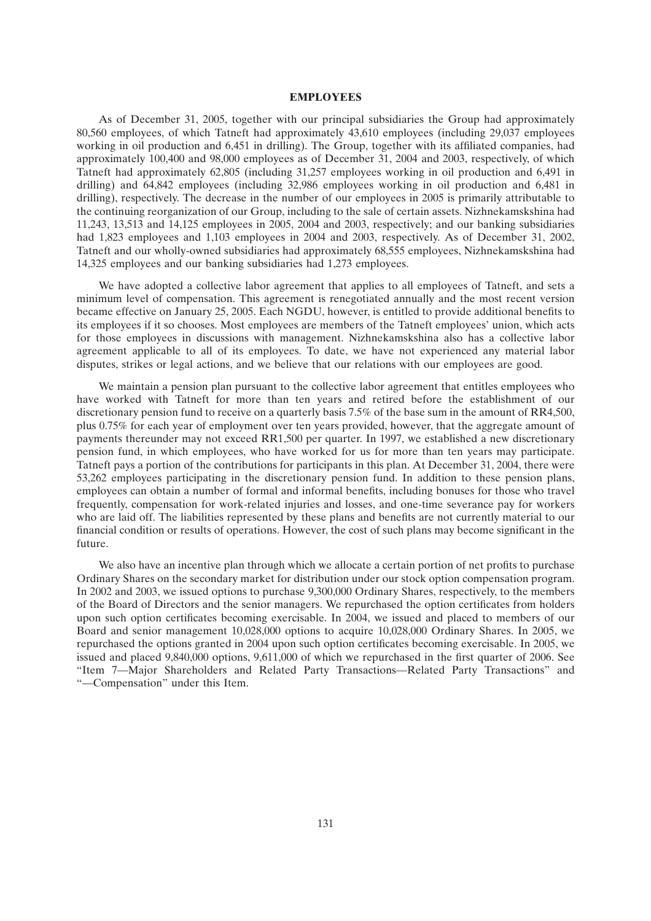#### **EMPLOYEES**

As of December 31, 2005, together with our principal subsidiaries the Group had approximately 80,560 employees, of which Tatneft had approximately 43,610 employees (including 29,037 employees working in oil production and 6,451 in drilling). The Group, together with its affiliated companies, had approximately 100,400 and 98,000 employees as of December 31, 2004 and 2003, respectively, of which Tatneft had approximately 62,805 (including 31,257 employees working in oil production and 6,491 in drilling) and 64,842 employees (including 32,986 employees working in oil production and 6,481 in drilling), respectively. The decrease in the number of our employees in 2005 is primarily attributable to the continuing reorganization of our Group, including to the sale of certain assets. Nizhnekamskshina had 11,243, 13,513 and 14,125 employees in 2005, 2004 and 2003, respectively; and our banking subsidiaries had 1,823 employees and 1,103 employees in 2004 and 2003, respectively. As of December 31, 2002, Tatneft and our wholly-owned subsidiaries had approximately 68,555 employees, Nizhnekamskshina had 14,325 employees and our banking subsidiaries had 1,273 employees.

We have adopted a collective labor agreement that applies to all employees of Tatneft, and sets a minimum level of compensation. This agreement is renegotiated annually and the most recent version became effective on January 25, 2005. Each NGDU, however, is entitled to provide additional benefits to its employees if it so chooses. Most employees are members of the Tatneft employees' union, which acts for those employees in discussions with management. Nizhnekamskshina also has a collective labor agreement applicable to all of its employees. To date, we have not experienced any material labor disputes, strikes or legal actions, and we believe that our relations with our employees are good.

We maintain a pension plan pursuant to the collective labor agreement that entitles employees who have worked with Tatneft for more than ten years and retired before the establishment of our discretionary pension fund to receive on a quarterly basis 7.5% of the base sum in the amount of RR4,500, plus 0.75% for each year of employment over ten years provided, however, that the aggregate amount of payments thereunder may not exceed RR1,500 per quarter. In 1997, we established a new discretionary pension fund, in which employees, who have worked for us for more than ten years may participate. Tatneft pays a portion of the contributions for participants in this plan. At December 31, 2004, there were 53,262 employees participating in the discretionary pension fund. In addition to these pension plans, employees can obtain a number of formal and informal benefits, including bonuses for those who travel frequently, compensation for work-related injuries and losses, and one-time severance pay for workers who are laid off. The liabilities represented by these plans and benefits are not currently material to our financial condition or results of operations. However, the cost of such plans may become significant in the future.

We also have an incentive plan through which we allocate a certain portion of net profits to purchase Ordinary Shares on the secondary market for distribution under our stock option compensation program. In 2002 and 2003, we issued options to purchase 9,300,000 Ordinary Shares, respectively, to the members of the Board of Directors and the senior managers. We repurchased the option certificates from holders upon such option certificates becoming exercisable. In 2004, we issued and placed to members of our Board and senior management 10,028,000 options to acquire 10,028,000 Ordinary Shares. In 2005, we repurchased the options granted in 2004 upon such option certificates becoming exercisable. In 2005, we issued and placed 9,840,000 options, 9,611,000 of which we repurchased in the first quarter of 2006. See ''Item 7—Major Shareholders and Related Party Transactions—Related Party Transactions'' and ''—Compensation'' under this Item.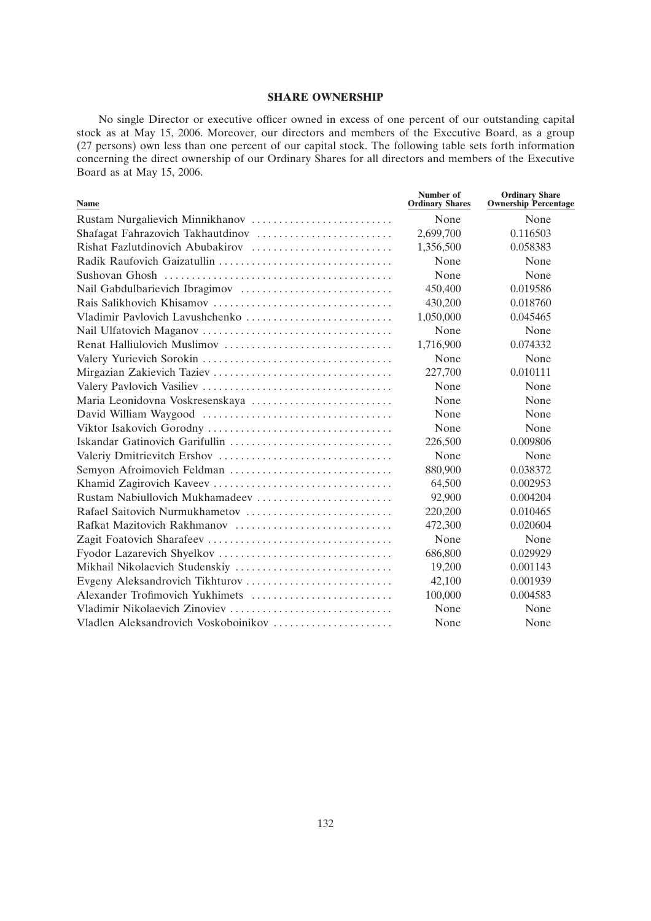## **SHARE OWNERSHIP**

No single Director or executive officer owned in excess of one percent of our outstanding capital stock as at May 15, 2006. Moreover, our directors and members of the Executive Board, as a group (27 persons) own less than one percent of our capital stock. The following table sets forth information concerning the direct ownership of our Ordinary Shares for all directors and members of the Executive Board as at May 15, 2006.

| <b>Name</b>                          | Number of<br><b>Ordinary Shares</b> | <b>Ordinary Share</b><br><b>Ownership Percentage</b> |
|--------------------------------------|-------------------------------------|------------------------------------------------------|
| Rustam Nurgalievich Minnikhanov      | None                                | None                                                 |
|                                      | 2,699,700                           | 0.116503                                             |
| Rishat Fazlutdinovich Abubakirov     | 1,356,500                           | 0.058383                                             |
|                                      | None                                | None                                                 |
|                                      | None                                | None                                                 |
|                                      | 450,400                             | 0.019586                                             |
|                                      | 430,200                             | 0.018760                                             |
| Vladimir Pavlovich Lavushchenko      | 1,050,000                           | 0.045465                                             |
|                                      | None                                | None                                                 |
|                                      | 1,716,900                           | 0.074332                                             |
|                                      | None                                | None                                                 |
|                                      | 227,700                             | 0.010111                                             |
|                                      | None                                | None                                                 |
|                                      | None                                | None                                                 |
|                                      | None                                | None                                                 |
|                                      | None                                | None                                                 |
| Iskandar Gatinovich Garifullin       | 226,500                             | 0.009806                                             |
|                                      | None                                | None                                                 |
|                                      | 880,900                             | 0.038372                                             |
|                                      | 64,500                              | 0.002953                                             |
| Rustam Nabiullovich Mukhamadeev      | 92,900                              | 0.004204                                             |
| Rafael Saitovich Nurmukhametov       | 220,200                             | 0.010465                                             |
| Rafkat Mazitovich Rakhmanov          | 472,300                             | 0.020604                                             |
|                                      | None                                | None                                                 |
|                                      | 686,800                             | 0.029929                                             |
|                                      | 19,200                              | 0.001143                                             |
|                                      | 42,100                              | 0.001939                                             |
| Alexander Trofimovich Yukhimets      | 100,000                             | 0.004583                                             |
| Vladimir Nikolaevich Zinoviev        | None                                | None                                                 |
| Vladlen Aleksandrovich Voskoboinikov | None                                | None                                                 |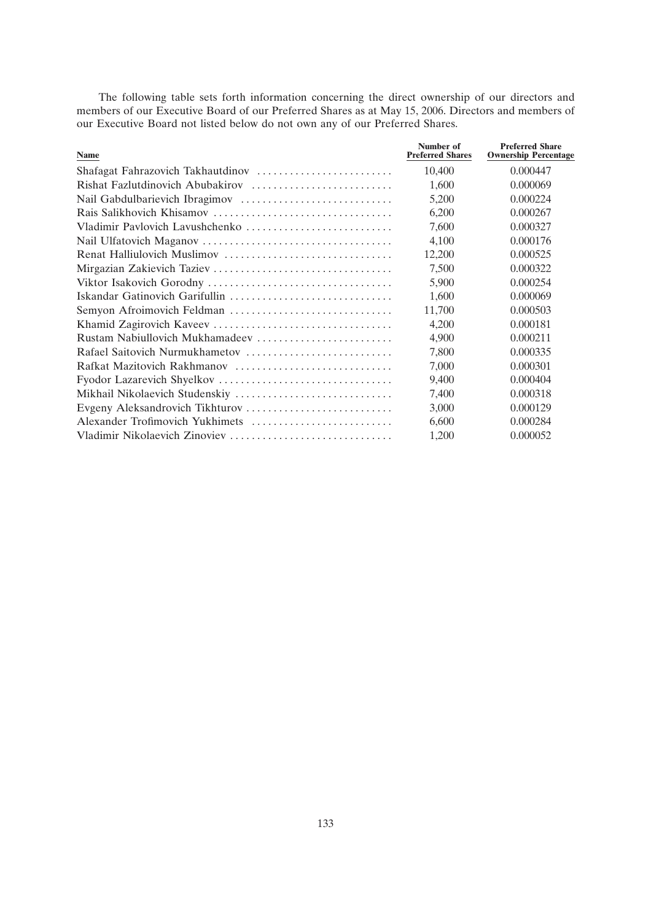The following table sets forth information concerning the direct ownership of our directors and members of our Executive Board of our Preferred Shares as at May 15, 2006. Directors and members of our Executive Board not listed below do not own any of our Preferred Shares.

| <b>Name</b>                     | Number of<br><b>Preferred Shares</b> | <b>Preferred Share</b><br><b>Ownership Percentage</b> |
|---------------------------------|--------------------------------------|-------------------------------------------------------|
|                                 | 10.400                               | 0.000447                                              |
|                                 | 1,600                                | 0.000069                                              |
|                                 | 5,200                                | 0.000224                                              |
|                                 | 6,200                                | 0.000267                                              |
| Vladimir Pavlovich Lavushchenko | 7,600                                | 0.000327                                              |
|                                 | 4,100                                | 0.000176                                              |
|                                 | 12,200                               | 0.000525                                              |
|                                 | 7,500                                | 0.000322                                              |
|                                 | 5,900                                | 0.000254                                              |
|                                 | 1.600                                | 0.000069                                              |
|                                 | 11,700                               | 0.000503                                              |
|                                 | 4,200                                | 0.000181                                              |
| Rustam Nabiullovich Mukhamadeev | 4,900                                | 0.000211                                              |
|                                 | 7,800                                | 0.000335                                              |
|                                 | 7,000                                | 0.000301                                              |
|                                 | 9,400                                | 0.000404                                              |
|                                 | 7,400                                | 0.000318                                              |
|                                 | 3,000                                | 0.000129                                              |
|                                 | 6,600                                | 0.000284                                              |
|                                 | 1,200                                | 0.000052                                              |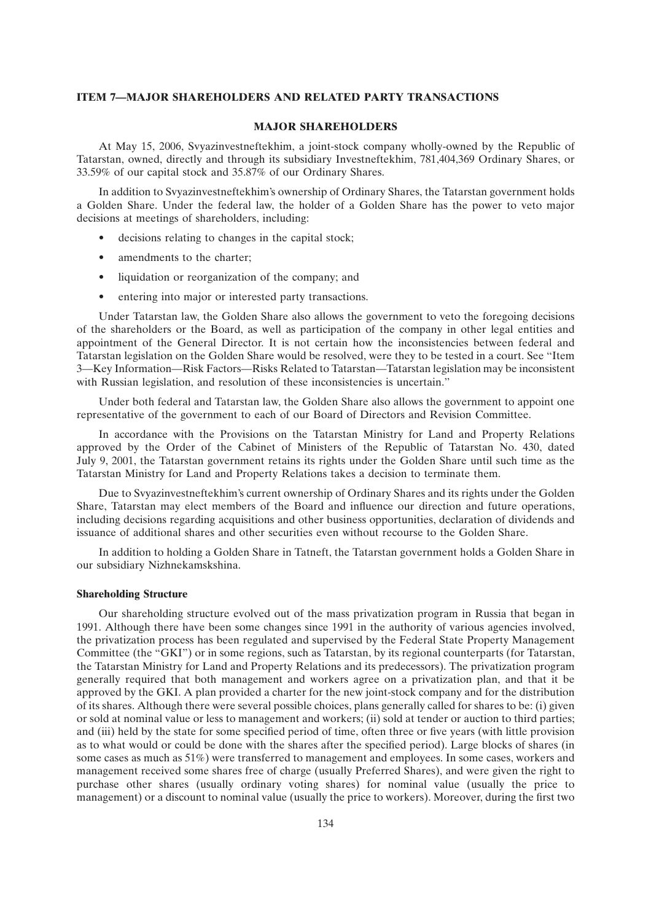#### **ITEM 7—MAJOR SHAREHOLDERS AND RELATED PARTY TRANSACTIONS**

## **MAJOR SHAREHOLDERS**

At May 15, 2006, Svyazinvestneftekhim, a joint-stock company wholly-owned by the Republic of Tatarstan, owned, directly and through its subsidiary Investneftekhim, 781,404,369 Ordinary Shares, or 33.59% of our capital stock and 35.87% of our Ordinary Shares.

In addition to Svyazinvestneftekhim's ownership of Ordinary Shares, the Tatarstan government holds a Golden Share. Under the federal law, the holder of a Golden Share has the power to veto major decisions at meetings of shareholders, including:

- decisions relating to changes in the capital stock;
- amendments to the charter;
- liquidation or reorganization of the company; and
- entering into major or interested party transactions.

Under Tatarstan law, the Golden Share also allows the government to veto the foregoing decisions of the shareholders or the Board, as well as participation of the company in other legal entities and appointment of the General Director. It is not certain how the inconsistencies between federal and Tatarstan legislation on the Golden Share would be resolved, were they to be tested in a court. See ''Item 3—Key Information—Risk Factors—Risks Related to Tatarstan—Tatarstan legislation may be inconsistent with Russian legislation, and resolution of these inconsistencies is uncertain."

Under both federal and Tatarstan law, the Golden Share also allows the government to appoint one representative of the government to each of our Board of Directors and Revision Committee.

In accordance with the Provisions on the Tatarstan Ministry for Land and Property Relations approved by the Order of the Cabinet of Ministers of the Republic of Tatarstan No. 430, dated July 9, 2001, the Tatarstan government retains its rights under the Golden Share until such time as the Tatarstan Ministry for Land and Property Relations takes a decision to terminate them.

Due to Svyazinvestneftekhim's current ownership of Ordinary Shares and its rights under the Golden Share, Tatarstan may elect members of the Board and influence our direction and future operations, including decisions regarding acquisitions and other business opportunities, declaration of dividends and issuance of additional shares and other securities even without recourse to the Golden Share.

In addition to holding a Golden Share in Tatneft, the Tatarstan government holds a Golden Share in our subsidiary Nizhnekamskshina.

## **Shareholding Structure**

Our shareholding structure evolved out of the mass privatization program in Russia that began in 1991. Although there have been some changes since 1991 in the authority of various agencies involved, the privatization process has been regulated and supervised by the Federal State Property Management Committee (the "GKI") or in some regions, such as Tatarstan, by its regional counterparts (for Tatarstan, the Tatarstan Ministry for Land and Property Relations and its predecessors). The privatization program generally required that both management and workers agree on a privatization plan, and that it be approved by the GKI. A plan provided a charter for the new joint-stock company and for the distribution of its shares. Although there were several possible choices, plans generally called for shares to be: (i) given or sold at nominal value or less to management and workers; (ii) sold at tender or auction to third parties; and (iii) held by the state for some specified period of time, often three or five years (with little provision as to what would or could be done with the shares after the specified period). Large blocks of shares (in some cases as much as 51%) were transferred to management and employees. In some cases, workers and management received some shares free of charge (usually Preferred Shares), and were given the right to purchase other shares (usually ordinary voting shares) for nominal value (usually the price to management) or a discount to nominal value (usually the price to workers). Moreover, during the first two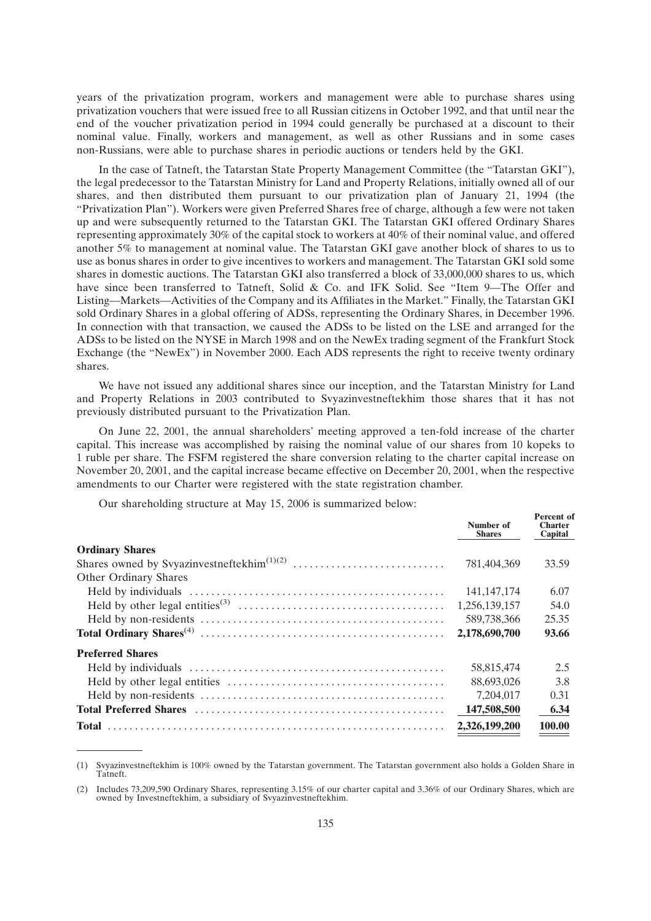years of the privatization program, workers and management were able to purchase shares using privatization vouchers that were issued free to all Russian citizens in October 1992, and that until near the end of the voucher privatization period in 1994 could generally be purchased at a discount to their nominal value. Finally, workers and management, as well as other Russians and in some cases non-Russians, were able to purchase shares in periodic auctions or tenders held by the GKI.

In the case of Tatneft, the Tatarstan State Property Management Committee (the ''Tatarstan GKI''), the legal predecessor to the Tatarstan Ministry for Land and Property Relations, initially owned all of our shares, and then distributed them pursuant to our privatization plan of January 21, 1994 (the ''Privatization Plan''). Workers were given Preferred Shares free of charge, although a few were not taken up and were subsequently returned to the Tatarstan GKI. The Tatarstan GKI offered Ordinary Shares representing approximately 30% of the capital stock to workers at 40% of their nominal value, and offered another 5% to management at nominal value. The Tatarstan GKI gave another block of shares to us to use as bonus shares in order to give incentives to workers and management. The Tatarstan GKI sold some shares in domestic auctions. The Tatarstan GKI also transferred a block of 33,000,000 shares to us, which have since been transferred to Tatneft, Solid & Co. and IFK Solid. See "Item 9-The Offer and Listing—Markets—Activities of the Company and its Affiliates in the Market.'' Finally, the Tatarstan GKI sold Ordinary Shares in a global offering of ADSs, representing the Ordinary Shares, in December 1996. In connection with that transaction, we caused the ADSs to be listed on the LSE and arranged for the ADSs to be listed on the NYSE in March 1998 and on the NewEx trading segment of the Frankfurt Stock Exchange (the "NewEx") in November 2000. Each ADS represents the right to receive twenty ordinary shares.

We have not issued any additional shares since our inception, and the Tatarstan Ministry for Land and Property Relations in 2003 contributed to Svyazinvestneftekhim those shares that it has not previously distributed pursuant to the Privatization Plan.

On June 22, 2001, the annual shareholders' meeting approved a ten-fold increase of the charter capital. This increase was accomplished by raising the nominal value of our shares from 10 kopeks to 1 ruble per share. The FSFM registered the share conversion relating to the charter capital increase on November 20, 2001, and the capital increase became effective on December 20, 2001, when the respective amendments to our Charter were registered with the state registration chamber.

Our shareholding structure at May 15, 2006 is summarized below:

|                                                                                                                 | Number of<br><b>Shares</b> | <b>Percent</b> of<br><b>Charter</b><br>Capital |
|-----------------------------------------------------------------------------------------------------------------|----------------------------|------------------------------------------------|
| <b>Ordinary Shares</b>                                                                                          |                            |                                                |
|                                                                                                                 | 781,404,369                | 33.59                                          |
| <b>Other Ordinary Shares</b>                                                                                    |                            |                                                |
|                                                                                                                 | 141, 147, 174              | 6.07                                           |
| Held by other legal entities <sup>(3)</sup> $\dots \dots \dots \dots \dots \dots \dots \dots \dots \dots \dots$ | 1,256,139,157              | 54.0                                           |
|                                                                                                                 | 589,738,366                | 25.35                                          |
|                                                                                                                 | 2,178,690,700              | 93.66                                          |
| <b>Preferred Shares</b>                                                                                         |                            |                                                |
|                                                                                                                 | 58,815,474                 | 2.5                                            |
|                                                                                                                 | 88,693,026                 | 3.8                                            |
|                                                                                                                 | 7.204.017                  | 0.31                                           |
|                                                                                                                 | 147,508,500                | 6.34                                           |
|                                                                                                                 | 2,326,199,200              | 100.00                                         |

<sup>(1)</sup> Svyazinvestneftekhim is 100% owned by the Tatarstan government. The Tatarstan government also holds a Golden Share in Tatneft.

<sup>(2)</sup> Includes 73,209,590 Ordinary Shares, representing 3.15% of our charter capital and 3.36% of our Ordinary Shares, which are owned by Investneftekhim, a subsidiary of Svyazinvestneftekhim.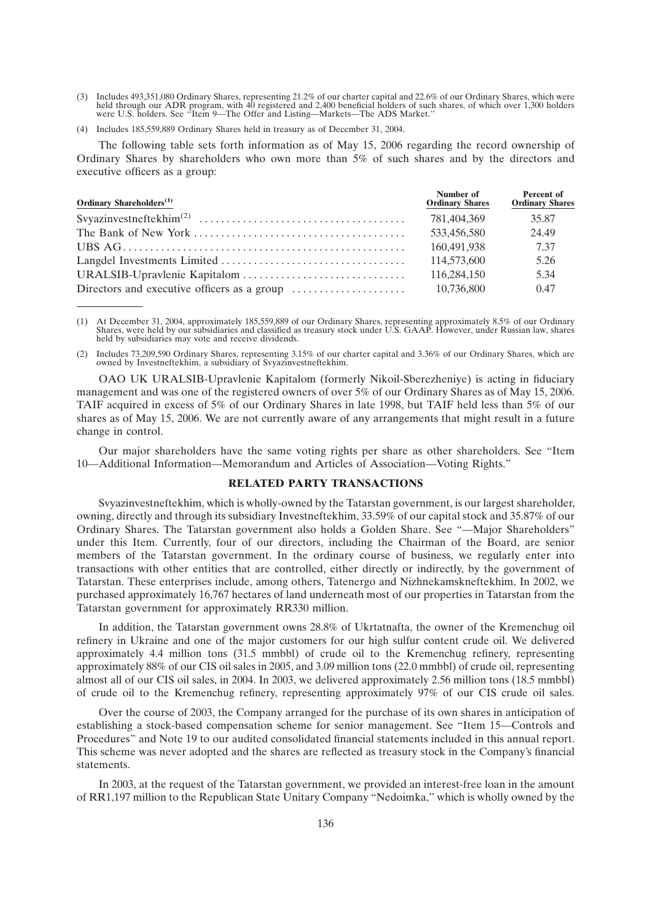- (3) Includes 493,351,080 Ordinary Shares, representing 21.2% of our charter capital and 22.6% of our Ordinary Shares, which were held through our ADR program, with 40 registered and 2,400 beneficial holders of such shares, of which over 1,300 holders were U.S. holders. See ''Item 9—The Offer and Listing—Markets—The ADS Market.''
- (4) Includes 185,559,889 Ordinary Shares held in treasury as of December 31, 2004.

The following table sets forth information as of May 15, 2006 regarding the record ownership of Ordinary Shares by shareholders who own more than 5% of such shares and by the directors and executive officers as a group:

| Ordinary Shareholders <sup>(1)</sup> | Number of<br><b>Ordinary Shares</b> | <b>Percent of</b><br><b>Ordinary Shares</b> |
|--------------------------------------|-------------------------------------|---------------------------------------------|
|                                      | 781.404.369                         | 35.87                                       |
|                                      | 533,456,580                         | 24.49                                       |
|                                      | 160,491,938                         | 7.37                                        |
|                                      | 114,573,600                         | 5.26                                        |
|                                      | 116,284,150                         | 5.34                                        |
|                                      | 10,736,800                          | 0.47                                        |

(1) At December 31, 2004, approximately 185,559,889 of our Ordinary Shares, representing approximately 8.5% of our Ordinary Shares, were held by our subsidiaries and classified as treasury stock under U.S. GAAP. However, u held by subsidiaries may vote and receive dividends.

(2) Includes 73,209,590 Ordinary Shares, representing 3.15% of our charter capital and 3.36% of our Ordinary Shares, which are owned by Investneftekhim, a subsidiary of Svyazinvestneftekhim.

OAO UK URALSIB-Upravlenie Kapitalom (formerly Nikoil-Sberezheniye) is acting in fiduciary management and was one of the registered owners of over 5% of our Ordinary Shares as of May 15, 2006. TAIF acquired in excess of 5% of our Ordinary Shares in late 1998, but TAIF held less than 5% of our shares as of May 15, 2006. We are not currently aware of any arrangements that might result in a future change in control.

Our major shareholders have the same voting rights per share as other shareholders. See ''Item 10—Additional Information—Memorandum and Articles of Association—Voting Rights.''

## **RELATED PARTY TRANSACTIONS**

Svyazinvestneftekhim, which is wholly-owned by the Tatarstan government, is our largest shareholder, owning, directly and through its subsidiary Investneftekhim, 33.59% of our capital stock and 35.87% of our Ordinary Shares. The Tatarstan government also holds a Golden Share. See ''—Major Shareholders'' under this Item. Currently, four of our directors, including the Chairman of the Board, are senior members of the Tatarstan government. In the ordinary course of business, we regularly enter into transactions with other entities that are controlled, either directly or indirectly, by the government of Tatarstan. These enterprises include, among others, Tatenergo and Nizhnekamskneftekhim. In 2002, we purchased approximately 16,767 hectares of land underneath most of our properties in Tatarstan from the Tatarstan government for approximately RR330 million.

In addition, the Tatarstan government owns 28.8% of Ukrtatnafta, the owner of the Kremenchug oil refinery in Ukraine and one of the major customers for our high sulfur content crude oil. We delivered approximately 4.4 million tons (31.5 mmbbl) of crude oil to the Kremenchug refinery, representing approximately 88% of our CIS oil sales in 2005, and 3.09 million tons (22.0 mmbbl) of crude oil, representing almost all of our CIS oil sales, in 2004. In 2003, we delivered approximately 2.56 million tons (18.5 mmbbl) of crude oil to the Kremenchug refinery, representing approximately 97% of our CIS crude oil sales.

Over the course of 2003, the Company arranged for the purchase of its own shares in anticipation of establishing a stock-based compensation scheme for senior management. See ''Item 15—Controls and Procedures'' and Note 19 to our audited consolidated financial statements included in this annual report. This scheme was never adopted and the shares are reflected as treasury stock in the Company's financial statements.

In 2003, at the request of the Tatarstan government, we provided an interest-free loan in the amount of RR1,197 million to the Republican State Unitary Company ''Nedoimka,'' which is wholly owned by the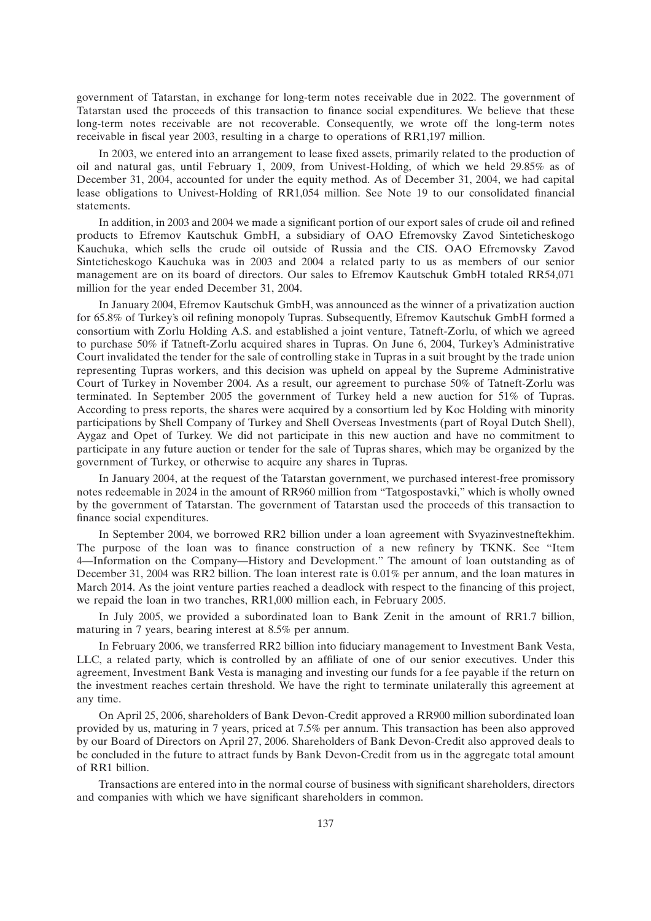government of Tatarstan, in exchange for long-term notes receivable due in 2022. The government of Tatarstan used the proceeds of this transaction to finance social expenditures. We believe that these long-term notes receivable are not recoverable. Consequently, we wrote off the long-term notes receivable in fiscal year 2003, resulting in a charge to operations of RR1,197 million.

In 2003, we entered into an arrangement to lease fixed assets, primarily related to the production of oil and natural gas, until February 1, 2009, from Univest-Holding, of which we held 29.85% as of December 31, 2004, accounted for under the equity method. As of December 31, 2004, we had capital lease obligations to Univest-Holding of RR1,054 million. See Note 19 to our consolidated financial statements.

In addition, in 2003 and 2004 we made a significant portion of our export sales of crude oil and refined products to Efremov Kautschuk GmbH, a subsidiary of OAO Efremovsky Zavod Sinteticheskogo Kauchuka, which sells the crude oil outside of Russia and the CIS. OAO Efremovsky Zavod Sinteticheskogo Kauchuka was in 2003 and 2004 a related party to us as members of our senior management are on its board of directors. Our sales to Efremov Kautschuk GmbH totaled RR54,071 million for the year ended December 31, 2004.

In January 2004, Efremov Kautschuk GmbH, was announced as the winner of a privatization auction for 65.8% of Turkey's oil refining monopoly Tupras. Subsequently, Efremov Kautschuk GmbH formed a consortium with Zorlu Holding A.S. and established a joint venture, Tatneft-Zorlu, of which we agreed to purchase 50% if Tatneft-Zorlu acquired shares in Tupras. On June 6, 2004, Turkey's Administrative Court invalidated the tender for the sale of controlling stake in Tupras in a suit brought by the trade union representing Tupras workers, and this decision was upheld on appeal by the Supreme Administrative Court of Turkey in November 2004. As a result, our agreement to purchase 50% of Tatneft-Zorlu was terminated. In September 2005 the government of Turkey held a new auction for 51% of Tupras. According to press reports, the shares were acquired by a consortium led by Koc Holding with minority participations by Shell Company of Turkey and Shell Overseas Investments (part of Royal Dutch Shell), Aygaz and Opet of Turkey. We did not participate in this new auction and have no commitment to participate in any future auction or tender for the sale of Tupras shares, which may be organized by the government of Turkey, or otherwise to acquire any shares in Tupras.

In January 2004, at the request of the Tatarstan government, we purchased interest-free promissory notes redeemable in 2024 in the amount of RR960 million from ''Tatgospostavki,'' which is wholly owned by the government of Tatarstan. The government of Tatarstan used the proceeds of this transaction to finance social expenditures.

In September 2004, we borrowed RR2 billion under a loan agreement with Svyazinvestneftekhim. The purpose of the loan was to finance construction of a new refinery by TKNK. See ''Item 4—Information on the Company—History and Development.'' The amount of loan outstanding as of December 31, 2004 was RR2 billion. The loan interest rate is 0.01% per annum, and the loan matures in March 2014. As the joint venture parties reached a deadlock with respect to the financing of this project, we repaid the loan in two tranches, RR1,000 million each, in February 2005.

In July 2005, we provided a subordinated loan to Bank Zenit in the amount of RR1.7 billion, maturing in 7 years, bearing interest at 8.5% per annum.

In February 2006, we transferred RR2 billion into fiduciary management to Investment Bank Vesta, LLC, a related party, which is controlled by an affiliate of one of our senior executives. Under this agreement, Investment Bank Vesta is managing and investing our funds for a fee payable if the return on the investment reaches certain threshold. We have the right to terminate unilaterally this agreement at any time.

On April 25, 2006, shareholders of Bank Devon-Credit approved a RR900 million subordinated loan provided by us, maturing in 7 years, priced at 7.5% per annum. This transaction has been also approved by our Board of Directors on April 27, 2006. Shareholders of Bank Devon-Credit also approved deals to be concluded in the future to attract funds by Bank Devon-Credit from us in the aggregate total amount of RR1 billion.

Transactions are entered into in the normal course of business with significant shareholders, directors and companies with which we have significant shareholders in common.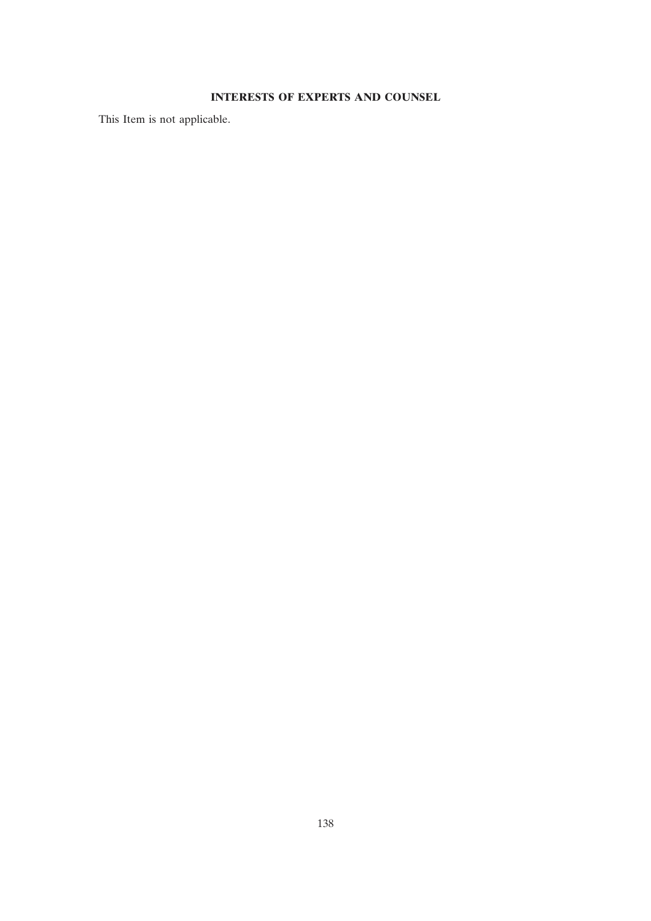# **INTERESTS OF EXPERTS AND COUNSEL**

This Item is not applicable.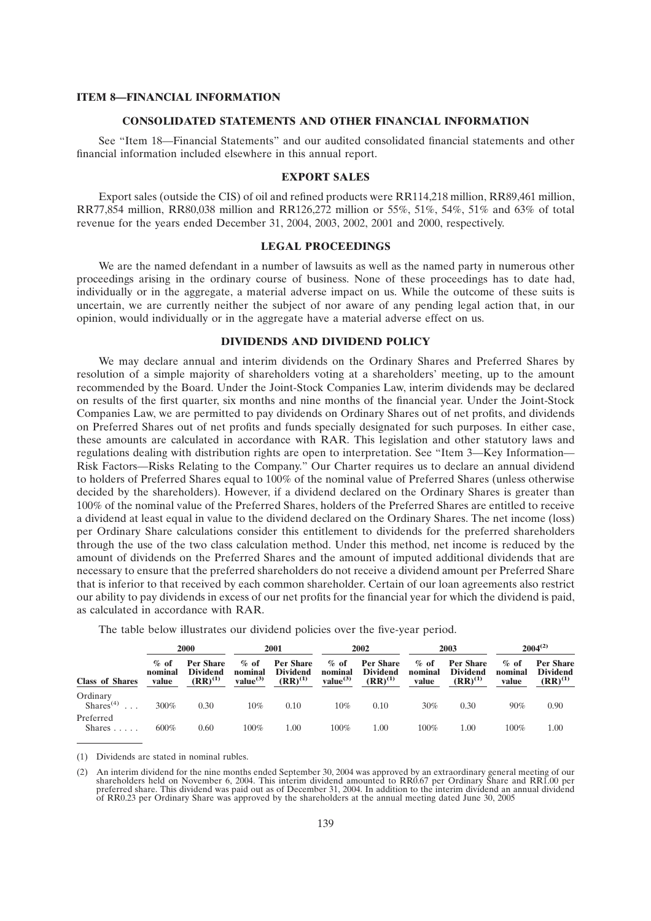#### **ITEM 8—FINANCIAL INFORMATION**

## **CONSOLIDATED STATEMENTS AND OTHER FINANCIAL INFORMATION**

See ''Item 18—Financial Statements'' and our audited consolidated financial statements and other financial information included elsewhere in this annual report.

## **EXPORT SALES**

Export sales (outside the CIS) of oil and refined products were RR114,218 million, RR89,461 million, RR77,854 million, RR80,038 million and RR126,272 million or 55%, 51%, 54%, 51% and 63% of total revenue for the years ended December 31, 2004, 2003, 2002, 2001 and 2000, respectively.

## **LEGAL PROCEEDINGS**

We are the named defendant in a number of lawsuits as well as the named party in numerous other proceedings arising in the ordinary course of business. None of these proceedings has to date had, individually or in the aggregate, a material adverse impact on us. While the outcome of these suits is uncertain, we are currently neither the subject of nor aware of any pending legal action that, in our opinion, would individually or in the aggregate have a material adverse effect on us.

## **DIVIDENDS AND DIVIDEND POLICY**

We may declare annual and interim dividends on the Ordinary Shares and Preferred Shares by resolution of a simple majority of shareholders voting at a shareholders' meeting, up to the amount recommended by the Board. Under the Joint-Stock Companies Law, interim dividends may be declared on results of the first quarter, six months and nine months of the financial year. Under the Joint-Stock Companies Law, we are permitted to pay dividends on Ordinary Shares out of net profits, and dividends on Preferred Shares out of net profits and funds specially designated for such purposes. In either case, these amounts are calculated in accordance with RAR. This legislation and other statutory laws and regulations dealing with distribution rights are open to interpretation. See ''Item 3—Key Information— Risk Factors—Risks Relating to the Company.'' Our Charter requires us to declare an annual dividend to holders of Preferred Shares equal to 100% of the nominal value of Preferred Shares (unless otherwise decided by the shareholders). However, if a dividend declared on the Ordinary Shares is greater than 100% of the nominal value of the Preferred Shares, holders of the Preferred Shares are entitled to receive a dividend at least equal in value to the dividend declared on the Ordinary Shares. The net income (loss) per Ordinary Share calculations consider this entitlement to dividends for the preferred shareholders through the use of the two class calculation method. Under this method, net income is reduced by the amount of dividends on the Preferred Shares and the amount of imputed additional dividends that are necessary to ensure that the preferred shareholders do not receive a dividend amount per Preferred Share that is inferior to that received by each common shareholder. Certain of our loan agreements also restrict our ability to pay dividends in excess of our net profits for the financial year for which the dividend is paid, as calculated in accordance with RAR.

| 2000                              |                             |                                                     | 2001                                       | $2004^{(2)}$<br>2003<br>2002                        |                                           |                                                     |                            |                                                     |                            |                                                     |
|-----------------------------------|-----------------------------|-----------------------------------------------------|--------------------------------------------|-----------------------------------------------------|-------------------------------------------|-----------------------------------------------------|----------------------------|-----------------------------------------------------|----------------------------|-----------------------------------------------------|
| <b>Class of Shares</b>            | $\%$ of<br>nominal<br>value | <b>Per Share</b><br><b>Dividend</b><br>$(RR)^{(1)}$ | $\%$ of<br>nominal<br>value <sup>(3)</sup> | <b>Per Share</b><br><b>Dividend</b><br>$(RR)^{(1)}$ | $%$ of<br>nominal<br>value <sup>(3)</sup> | <b>Per Share</b><br><b>Dividend</b><br>$(RR)^{(1)}$ | $%$ of<br>nominal<br>value | <b>Per Share</b><br><b>Dividend</b><br>$(RR)^{(1)}$ | $%$ of<br>nominal<br>value | <b>Per Share</b><br><b>Dividend</b><br>$(RR)^{(1)}$ |
| Ordinary<br>Shares <sup>(4)</sup> | 300%                        | 0.30                                                | 10%                                        | 0.10                                                | 10%                                       | 0.10                                                | 30%                        | 0.30                                                | 90%                        | 0.90                                                |
| Preferred<br>Shares $\ldots$ .    | $600\%$                     | 0.60                                                | 100%                                       | $1.00\,$                                            | 100%                                      | 1.00                                                | 100%                       | 1.00                                                | 100%                       | 1.00                                                |

The table below illustrates our dividend policies over the five-year period.

(1) Dividends are stated in nominal rubles.

(2) An interim dividend for the nine months ended September 30, 2004 was approved by an extraordinary general meeting of our shareholders held on November 6, 2004. This interim dividend amounted to RR0.67 per Ordinary Shar of RR0.23 per Ordinary Share was approved by the shareholders at the annual meeting dated June 30, 2005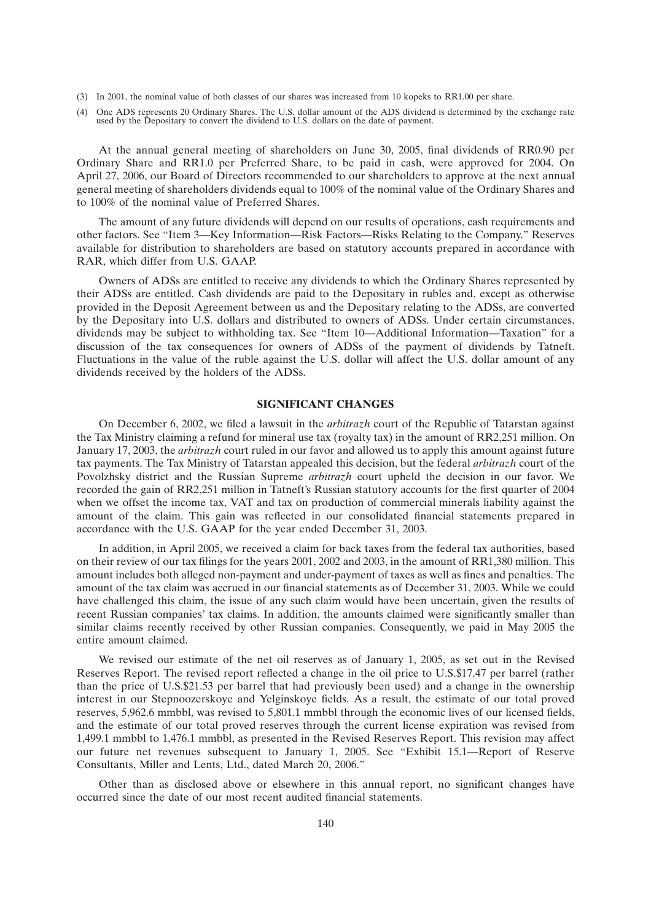- (3) In 2001, the nominal value of both classes of our shares was increased from 10 kopeks to RR1.00 per share.
- (4) One ADS represents 20 Ordinary Shares. The U.S. dollar amount of the ADS dividend is determined by the exchange rate used by the Depositary to convert the dividend to U.S. dollars on the date of payment.

At the annual general meeting of shareholders on June 30, 2005, final dividends of RR0.90 per Ordinary Share and RR1.0 per Preferred Share, to be paid in cash, were approved for 2004. On April 27, 2006, our Board of Directors recommended to our shareholders to approve at the next annual general meeting of shareholders dividends equal to 100% of the nominal value of the Ordinary Shares and to 100% of the nominal value of Preferred Shares.

The amount of any future dividends will depend on our results of operations, cash requirements and other factors. See ''Item 3—Key Information—Risk Factors—Risks Relating to the Company.'' Reserves available for distribution to shareholders are based on statutory accounts prepared in accordance with RAR, which differ from U.S. GAAP.

Owners of ADSs are entitled to receive any dividends to which the Ordinary Shares represented by their ADSs are entitled. Cash dividends are paid to the Depositary in rubles and, except as otherwise provided in the Deposit Agreement between us and the Depositary relating to the ADSs, are converted by the Depositary into U.S. dollars and distributed to owners of ADSs. Under certain circumstances, dividends may be subject to withholding tax. See ''Item 10—Additional Information—Taxation'' for a discussion of the tax consequences for owners of ADSs of the payment of dividends by Tatneft. Fluctuations in the value of the ruble against the U.S. dollar will affect the U.S. dollar amount of any dividends received by the holders of the ADSs.

## **SIGNIFICANT CHANGES**

On December 6, 2002, we filed a lawsuit in the *arbitrazh* court of the Republic of Tatarstan against the Tax Ministry claiming a refund for mineral use tax (royalty tax) in the amount of RR2,251 million. On January 17, 2003, the *arbitrazh* court ruled in our favor and allowed us to apply this amount against future tax payments. The Tax Ministry of Tatarstan appealed this decision, but the federal *arbitrazh* court of the Povolzhsky district and the Russian Supreme *arbitrazh* court upheld the decision in our favor. We recorded the gain of RR2,251 million in Tatneft's Russian statutory accounts for the first quarter of 2004 when we offset the income tax, VAT and tax on production of commercial minerals liability against the amount of the claim. This gain was reflected in our consolidated financial statements prepared in accordance with the U.S. GAAP for the year ended December 31, 2003.

In addition, in April 2005, we received a claim for back taxes from the federal tax authorities, based on their review of our tax filings for the years 2001, 2002 and 2003, in the amount of RR1,380 million. This amount includes both alleged non-payment and under-payment of taxes as well as fines and penalties. The amount of the tax claim was accrued in our financial statements as of December 31, 2003. While we could have challenged this claim, the issue of any such claim would have been uncertain, given the results of recent Russian companies' tax claims. In addition, the amounts claimed were significantly smaller than similar claims recently received by other Russian companies. Consequently, we paid in May 2005 the entire amount claimed.

We revised our estimate of the net oil reserves as of January 1, 2005, as set out in the Revised Reserves Report. The revised report reflected a change in the oil price to U.S.\$17.47 per barrel (rather than the price of U.S.\$21.53 per barrel that had previously been used) and a change in the ownership interest in our Stepnoozerskoye and Yelginskoye fields. As a result, the estimate of our total proved reserves, 5,962.6 mmbbl, was revised to 5,801.1 mmbbl through the economic lives of our licensed fields, and the estimate of our total proved reserves through the current license expiration was revised from 1,499.1 mmbbl to 1,476.1 mmbbl, as presented in the Revised Reserves Report. This revision may affect our future net revenues subsequent to January 1, 2005. See ''Exhibit 15.1—Report of Reserve Consultants, Miller and Lents, Ltd., dated March 20, 2006.''

Other than as disclosed above or elsewhere in this annual report, no significant changes have occurred since the date of our most recent audited financial statements.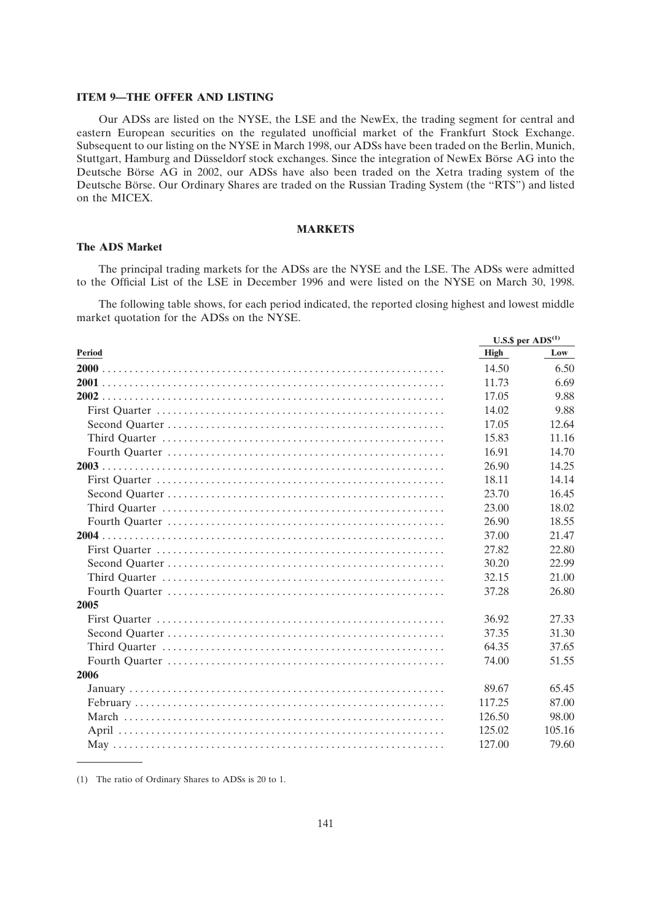#### **ITEM 9—THE OFFER AND LISTING**

Our ADSs are listed on the NYSE, the LSE and the NewEx, the trading segment for central and eastern European securities on the regulated unofficial market of the Frankfurt Stock Exchange. Subsequent to our listing on the NYSE in March 1998, our ADSs have been traded on the Berlin, Munich, Stuttgart, Hamburg and Düsseldorf stock exchanges. Since the integration of NewEx Börse AG into the Deutsche Börse AG in 2002, our ADSs have also been traded on the Xetra trading system of the Deutsche Börse. Our Ordinary Shares are traded on the Russian Trading System (the ''RTS'') and listed on the MICEX.

## **MARKETS**

## **The ADS Market**

The principal trading markets for the ADSs are the NYSE and the LSE. The ADSs were admitted to the Official List of the LSE in December 1996 and were listed on the NYSE on March 30, 1998.

The following table shows, for each period indicated, the reported closing highest and lowest middle market quotation for the ADSs on the NYSE.

|               | U.S.\$ per $ADS(1)$ |        |
|---------------|---------------------|--------|
| <b>Period</b> | <b>High</b>         | Low    |
|               | 14.50               | 6.50   |
|               | 11.73               | 6.69   |
|               | 17.05               | 9.88   |
|               | 14.02               | 9.88   |
|               | 17.05               | 12.64  |
|               | 15.83               | 11.16  |
|               | 16.91               | 14.70  |
|               | 26.90               | 14.25  |
|               | 18.11               | 14.14  |
|               | 23.70               | 16.45  |
|               | 23.00               | 18.02  |
|               | 26.90               | 18.55  |
|               | 37.00               | 21.47  |
|               | 27.82               | 22.80  |
|               | 30.20               | 22.99  |
|               | 32.15               | 21.00  |
|               | 37.28               | 26.80  |
| 2005          |                     |        |
|               | 36.92               | 27.33  |
|               | 37.35               | 31.30  |
|               | 64.35               | 37.65  |
|               | 74.00               | 51.55  |
| 2006          |                     |        |
|               | 89.67               | 65.45  |
|               | 117.25              | 87.00  |
|               | 126.50              | 98.00  |
|               | 125.02              | 105.16 |
|               | 127.00              | 79.60  |

(1) The ratio of Ordinary Shares to ADSs is 20 to 1.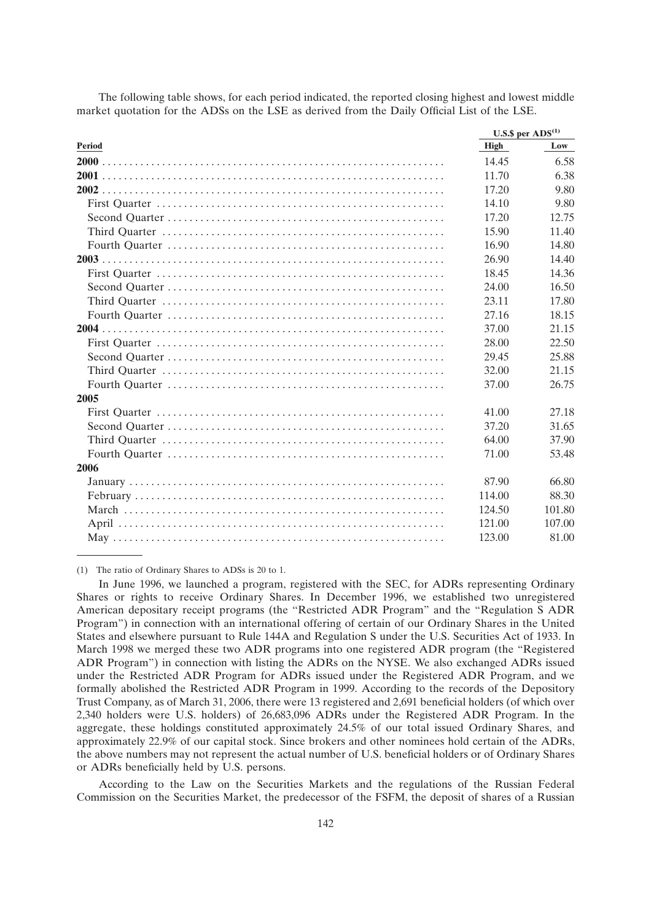The following table shows, for each period indicated, the reported closing highest and lowest middle market quotation for the ADSs on the LSE as derived from the Daily Official List of the LSE.

|               |             | U.S.\$ per $ADS^{(1)}$ |  |
|---------------|-------------|------------------------|--|
| <b>Period</b> | <b>High</b> | Low                    |  |
|               | 14.45       | 6.58                   |  |
|               | 11.70       | 6.38                   |  |
|               | 17.20       | 9.80                   |  |
|               | 14.10       | 9.80                   |  |
|               | 17.20       | 12.75                  |  |
|               | 15.90       | 11.40                  |  |
|               | 16.90       | 14.80                  |  |
|               | 26.90       | 14.40                  |  |
|               | 18.45       | 14.36                  |  |
|               | 24.00       | 16.50                  |  |
|               | 23.11       | 17.80                  |  |
|               | 27.16       | 18.15                  |  |
|               | 37.00       | 21.15                  |  |
|               | 28.00       | 22.50                  |  |
|               | 29.45       | 25.88                  |  |
|               | 32.00       | 21.15                  |  |
|               | 37.00       | 26.75                  |  |
| 2005          |             |                        |  |
|               | 41.00       | 27.18                  |  |
|               | 37.20       | 31.65                  |  |
|               | 64.00       | 37.90                  |  |
|               | 71.00       | 53.48                  |  |
| 2006          |             |                        |  |
|               | 87.90       | 66.80                  |  |
|               | 114.00      | 88.30                  |  |
|               | 124.50      | 101.80                 |  |
|               | 121.00      | 107.00                 |  |
|               | 123.00      | 81.00                  |  |
|               |             |                        |  |

(1) The ratio of Ordinary Shares to ADSs is 20 to 1.

In June 1996, we launched a program, registered with the SEC, for ADRs representing Ordinary Shares or rights to receive Ordinary Shares. In December 1996, we established two unregistered American depositary receipt programs (the ''Restricted ADR Program'' and the ''Regulation S ADR Program'') in connection with an international offering of certain of our Ordinary Shares in the United States and elsewhere pursuant to Rule 144A and Regulation S under the U.S. Securities Act of 1933. In March 1998 we merged these two ADR programs into one registered ADR program (the ''Registered ADR Program'') in connection with listing the ADRs on the NYSE. We also exchanged ADRs issued under the Restricted ADR Program for ADRs issued under the Registered ADR Program, and we formally abolished the Restricted ADR Program in 1999. According to the records of the Depository Trust Company, as of March 31, 2006, there were 13 registered and 2,691 beneficial holders (of which over 2,340 holders were U.S. holders) of 26,683,096 ADRs under the Registered ADR Program. In the aggregate, these holdings constituted approximately 24.5% of our total issued Ordinary Shares, and approximately 22.9% of our capital stock. Since brokers and other nominees hold certain of the ADRs, the above numbers may not represent the actual number of U.S. beneficial holders or of Ordinary Shares or ADRs beneficially held by U.S. persons.

According to the Law on the Securities Markets and the regulations of the Russian Federal Commission on the Securities Market, the predecessor of the FSFM, the deposit of shares of a Russian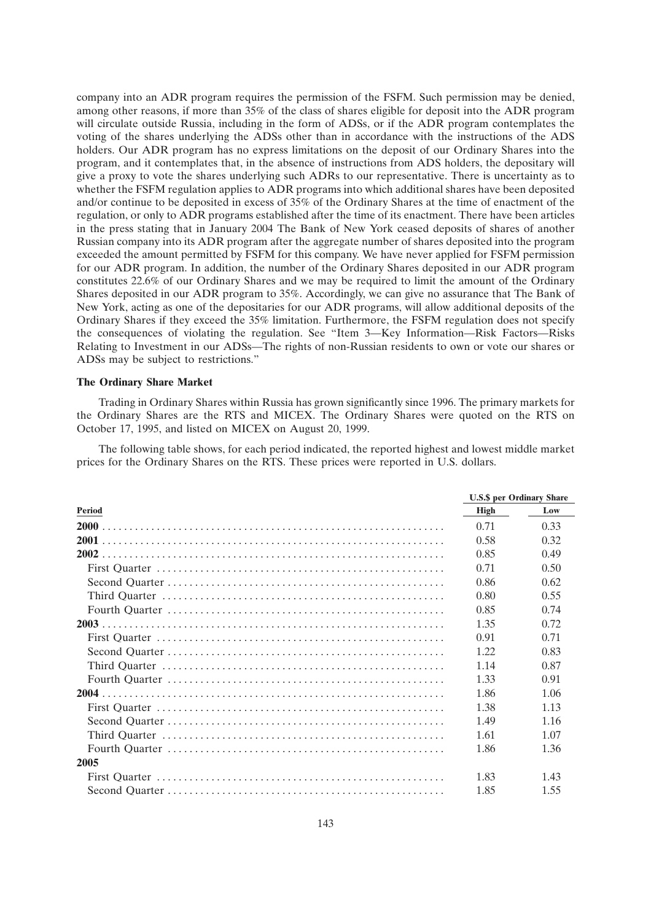company into an ADR program requires the permission of the FSFM. Such permission may be denied, among other reasons, if more than 35% of the class of shares eligible for deposit into the ADR program will circulate outside Russia, including in the form of ADSs, or if the ADR program contemplates the voting of the shares underlying the ADSs other than in accordance with the instructions of the ADS holders. Our ADR program has no express limitations on the deposit of our Ordinary Shares into the program, and it contemplates that, in the absence of instructions from ADS holders, the depositary will give a proxy to vote the shares underlying such ADRs to our representative. There is uncertainty as to whether the FSFM regulation applies to ADR programs into which additional shares have been deposited and/or continue to be deposited in excess of 35% of the Ordinary Shares at the time of enactment of the regulation, or only to ADR programs established after the time of its enactment. There have been articles in the press stating that in January 2004 The Bank of New York ceased deposits of shares of another Russian company into its ADR program after the aggregate number of shares deposited into the program exceeded the amount permitted by FSFM for this company. We have never applied for FSFM permission for our ADR program. In addition, the number of the Ordinary Shares deposited in our ADR program constitutes 22.6% of our Ordinary Shares and we may be required to limit the amount of the Ordinary Shares deposited in our ADR program to 35%. Accordingly, we can give no assurance that The Bank of New York, acting as one of the depositaries for our ADR programs, will allow additional deposits of the Ordinary Shares if they exceed the 35% limitation. Furthermore, the FSFM regulation does not specify the consequences of violating the regulation. See ''Item 3—Key Information—Risk Factors—Risks Relating to Investment in our ADSs—The rights of non-Russian residents to own or vote our shares or ADSs may be subject to restrictions.''

#### **The Ordinary Share Market**

Trading in Ordinary Shares within Russia has grown significantly since 1996. The primary markets for the Ordinary Shares are the RTS and MICEX. The Ordinary Shares were quoted on the RTS on October 17, 1995, and listed on MICEX on August 20, 1999.

The following table shows, for each period indicated, the reported highest and lowest middle market prices for the Ordinary Shares on the RTS. These prices were reported in U.S. dollars.

|        | <b>U.S.\$</b> per Ordinary Share |      |
|--------|----------------------------------|------|
| Period | High                             | Low  |
|        | 0.71                             | 0.33 |
|        | 0.58                             | 0.32 |
|        | 0.85                             | 0.49 |
|        | 0.71                             | 0.50 |
|        | 0.86                             | 0.62 |
|        | 0.80                             | 0.55 |
|        | 0.85                             | 0.74 |
|        | 1.35                             | 0.72 |
|        | 0.91                             | 0.71 |
|        | 1.22.                            | 0.83 |
|        | 1.14                             | 0.87 |
|        | 1.33                             | 0.91 |
|        | 1.86                             | 1.06 |
|        | 1.38                             | 1.13 |
|        | 1.49                             | 1.16 |
|        | 1.61                             | 1.07 |
|        | 1.86                             | 1.36 |
| 2005   |                                  |      |
|        | 1.83                             | 1.43 |
|        | 1.85                             | 1.55 |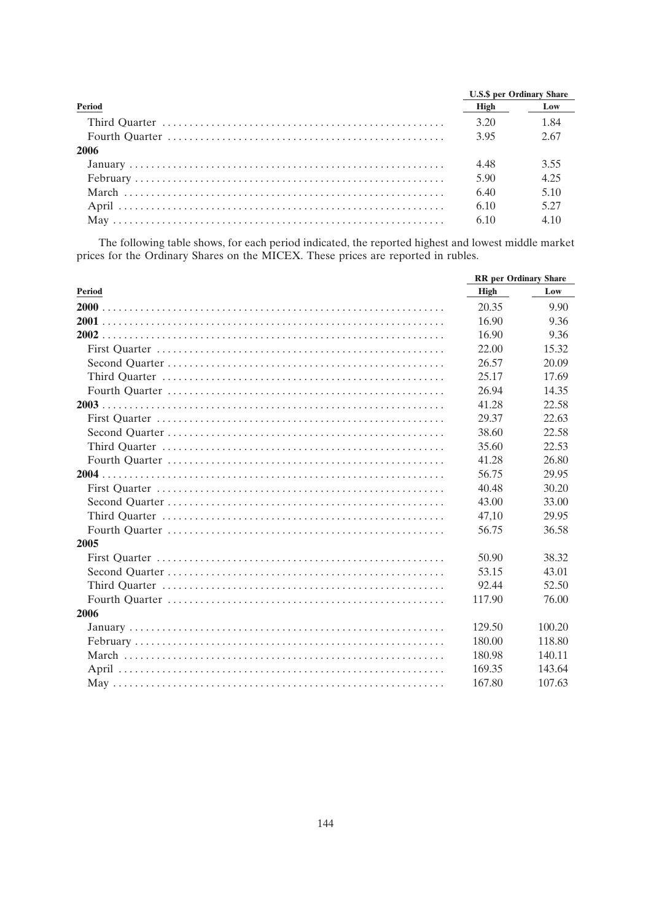|               | <b>U.S.\$</b> per Ordinary Share |      |
|---------------|----------------------------------|------|
| <b>Period</b> | High                             | Low  |
|               | 3.20                             | 1.84 |
|               | 3.95                             | 2.67 |
| -2006         |                                  |      |
|               | 4.48                             | 3.55 |
|               | 5.90                             | 4.25 |
|               | 6.40                             | 5.10 |
|               | 6.10                             | 5.27 |
|               | 6.10                             | 4.10 |

The following table shows, for each period indicated, the reported highest and lowest middle market prices for the Ordinary Shares on the MICEX. These prices are reported in rubles.

|               | <b>RR</b> per Ordinary Share |        |
|---------------|------------------------------|--------|
| <b>Period</b> | <b>High</b>                  | Low    |
|               | 20.35                        | 9.90   |
|               | 16.90                        | 9.36   |
|               | 16.90                        | 9.36   |
|               | 22.00                        | 15.32  |
|               | 26.57                        | 20.09  |
|               | 25.17                        | 17.69  |
|               | 26.94                        | 14.35  |
|               | 41.28                        | 22.58  |
|               | 29.37                        | 22.63  |
|               | 38.60                        | 22.58  |
|               | 35.60                        | 22.53  |
|               | 41.28                        | 26.80  |
|               | 56.75                        | 29.95  |
|               | 40.48                        | 30.20  |
|               | 43.00                        | 33.00  |
|               | 47,10                        | 29.95  |
|               | 56.75                        | 36.58  |
| 2005          |                              |        |
|               | 50.90                        | 38.32  |
|               | 53.15                        | 43.01  |
|               | 92.44                        | 52.50  |
|               | 117.90                       | 76.00  |
| 2006          |                              |        |
|               | 129.50                       | 100.20 |
|               | 180.00                       | 118.80 |
|               | 180.98                       | 140.11 |
|               | 169.35                       | 143.64 |
|               | 167.80                       | 107.63 |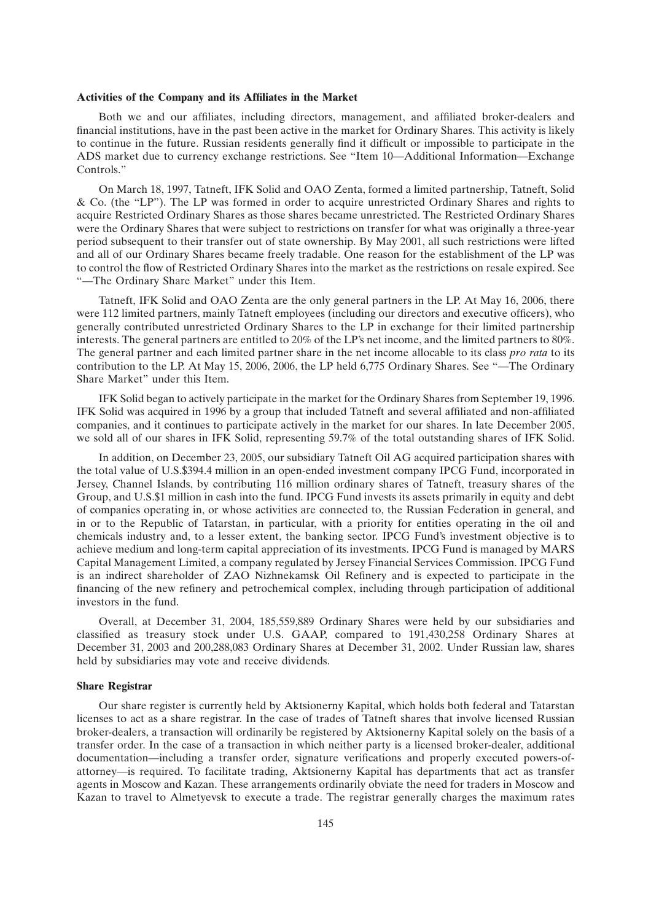#### **Activities of the Company and its Affiliates in the Market**

Both we and our affiliates, including directors, management, and affiliated broker-dealers and financial institutions, have in the past been active in the market for Ordinary Shares. This activity is likely to continue in the future. Russian residents generally find it difficult or impossible to participate in the ADS market due to currency exchange restrictions. See ''Item 10—Additional Information—Exchange Controls.''

On March 18, 1997, Tatneft, IFK Solid and OAO Zenta, formed a limited partnership, Tatneft, Solid & Co. (the ''LP''). The LP was formed in order to acquire unrestricted Ordinary Shares and rights to acquire Restricted Ordinary Shares as those shares became unrestricted. The Restricted Ordinary Shares were the Ordinary Shares that were subject to restrictions on transfer for what was originally a three-year period subsequent to their transfer out of state ownership. By May 2001, all such restrictions were lifted and all of our Ordinary Shares became freely tradable. One reason for the establishment of the LP was to control the flow of Restricted Ordinary Shares into the market as the restrictions on resale expired. See ''—The Ordinary Share Market'' under this Item.

Tatneft, IFK Solid and OAO Zenta are the only general partners in the LP. At May 16, 2006, there were 112 limited partners, mainly Tatneft employees (including our directors and executive officers), who generally contributed unrestricted Ordinary Shares to the LP in exchange for their limited partnership interests. The general partners are entitled to 20% of the LP's net income, and the limited partners to 80%. The general partner and each limited partner share in the net income allocable to its class *pro rata* to its contribution to the LP. At May 15, 2006, 2006, the LP held 6,775 Ordinary Shares. See "—The Ordinary Share Market'' under this Item.

IFK Solid began to actively participate in the market for the Ordinary Shares from September 19, 1996. IFK Solid was acquired in 1996 by a group that included Tatneft and several affiliated and non-affiliated companies, and it continues to participate actively in the market for our shares. In late December 2005, we sold all of our shares in IFK Solid, representing 59.7% of the total outstanding shares of IFK Solid.

In addition, on December 23, 2005, our subsidiary Tatneft Oil AG acquired participation shares with the total value of U.S.\$394.4 million in an open-ended investment company IPCG Fund, incorporated in Jersey, Channel Islands, by contributing 116 million ordinary shares of Tatneft, treasury shares of the Group, and U.S.\$1 million in cash into the fund. IPCG Fund invests its assets primarily in equity and debt of companies operating in, or whose activities are connected to, the Russian Federation in general, and in or to the Republic of Tatarstan, in particular, with a priority for entities operating in the oil and chemicals industry and, to a lesser extent, the banking sector. IPCG Fund's investment objective is to achieve medium and long-term capital appreciation of its investments. IPCG Fund is managed by MARS Capital Management Limited, a company regulated by Jersey Financial Services Commission. IPCG Fund is an indirect shareholder of ZAO Nizhnekamsk Oil Refinery and is expected to participate in the financing of the new refinery and petrochemical complex, including through participation of additional investors in the fund.

Overall, at December 31, 2004, 185,559,889 Ordinary Shares were held by our subsidiaries and classified as treasury stock under U.S. GAAP, compared to 191,430,258 Ordinary Shares at December 31, 2003 and 200,288,083 Ordinary Shares at December 31, 2002. Under Russian law, shares held by subsidiaries may vote and receive dividends.

#### **Share Registrar**

Our share register is currently held by Aktsionerny Kapital, which holds both federal and Tatarstan licenses to act as a share registrar. In the case of trades of Tatneft shares that involve licensed Russian broker-dealers, a transaction will ordinarily be registered by Aktsionerny Kapital solely on the basis of a transfer order. In the case of a transaction in which neither party is a licensed broker-dealer, additional documentation—including a transfer order, signature verifications and properly executed powers-ofattorney—is required. To facilitate trading, Aktsionerny Kapital has departments that act as transfer agents in Moscow and Kazan. These arrangements ordinarily obviate the need for traders in Moscow and Kazan to travel to Almetyevsk to execute a trade. The registrar generally charges the maximum rates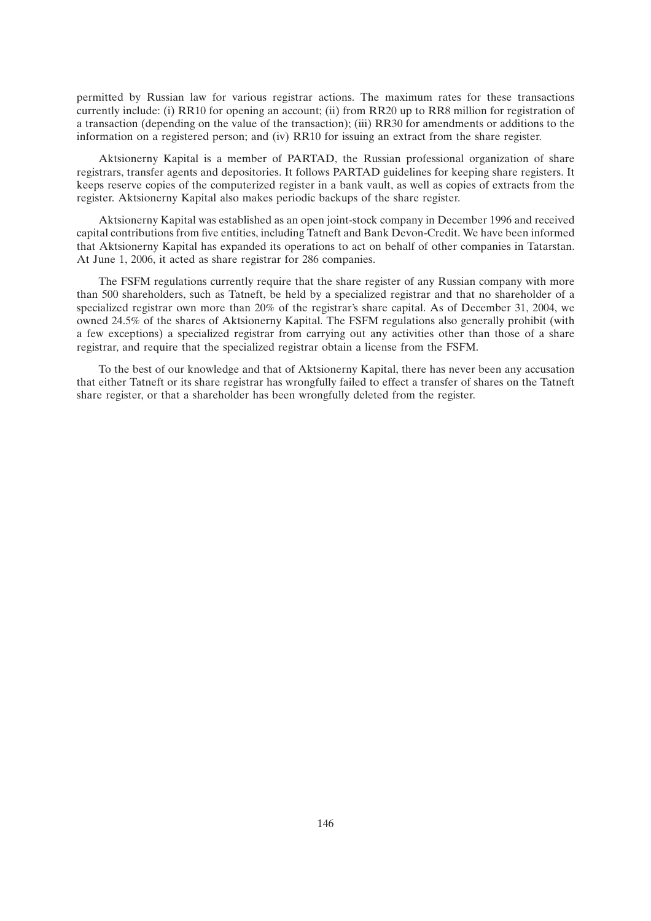permitted by Russian law for various registrar actions. The maximum rates for these transactions currently include: (i) RR10 for opening an account; (ii) from RR20 up to RR8 million for registration of a transaction (depending on the value of the transaction); (iii) RR30 for amendments or additions to the information on a registered person; and (iv) RR10 for issuing an extract from the share register.

Aktsionerny Kapital is a member of PARTAD, the Russian professional organization of share registrars, transfer agents and depositories. It follows PARTAD guidelines for keeping share registers. It keeps reserve copies of the computerized register in a bank vault, as well as copies of extracts from the register. Aktsionerny Kapital also makes periodic backups of the share register.

Aktsionerny Kapital was established as an open joint-stock company in December 1996 and received capital contributions from five entities, including Tatneft and Bank Devon-Credit. We have been informed that Aktsionerny Kapital has expanded its operations to act on behalf of other companies in Tatarstan. At June 1, 2006, it acted as share registrar for 286 companies.

The FSFM regulations currently require that the share register of any Russian company with more than 500 shareholders, such as Tatneft, be held by a specialized registrar and that no shareholder of a specialized registrar own more than 20% of the registrar's share capital. As of December 31, 2004, we owned 24.5% of the shares of Aktsionerny Kapital. The FSFM regulations also generally prohibit (with a few exceptions) a specialized registrar from carrying out any activities other than those of a share registrar, and require that the specialized registrar obtain a license from the FSFM.

To the best of our knowledge and that of Aktsionerny Kapital, there has never been any accusation that either Tatneft or its share registrar has wrongfully failed to effect a transfer of shares on the Tatneft share register, or that a shareholder has been wrongfully deleted from the register.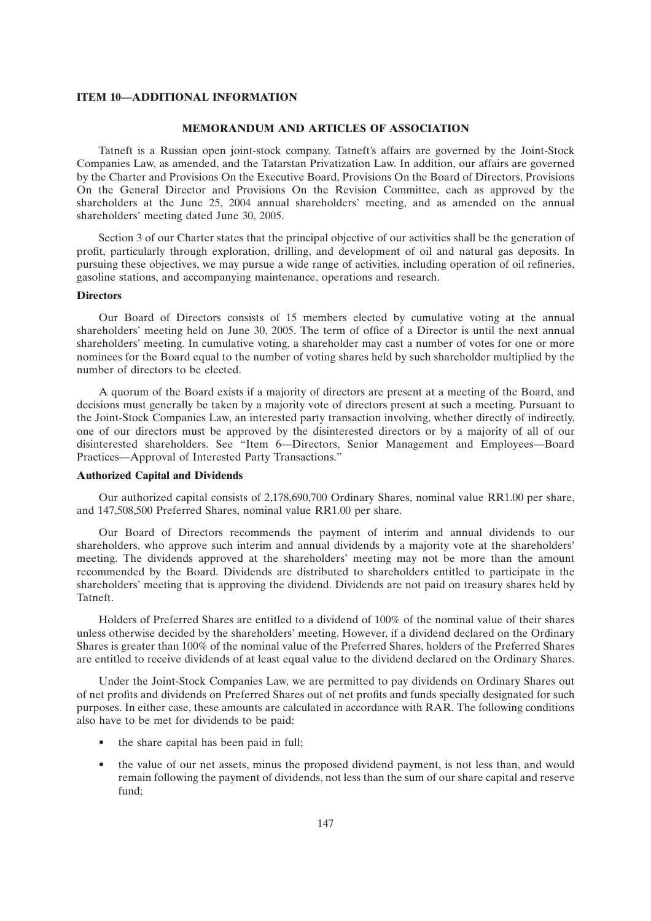## **ITEM 10—ADDITIONAL INFORMATION**

## **MEMORANDUM AND ARTICLES OF ASSOCIATION**

Tatneft is a Russian open joint-stock company. Tatneft's affairs are governed by the Joint-Stock Companies Law, as amended, and the Tatarstan Privatization Law. In addition, our affairs are governed by the Charter and Provisions On the Executive Board, Provisions On the Board of Directors, Provisions On the General Director and Provisions On the Revision Committee, each as approved by the shareholders at the June 25, 2004 annual shareholders' meeting, and as amended on the annual shareholders' meeting dated June 30, 2005.

Section 3 of our Charter states that the principal objective of our activities shall be the generation of profit, particularly through exploration, drilling, and development of oil and natural gas deposits. In pursuing these objectives, we may pursue a wide range of activities, including operation of oil refineries, gasoline stations, and accompanying maintenance, operations and research.

## **Directors**

Our Board of Directors consists of 15 members elected by cumulative voting at the annual shareholders' meeting held on June 30, 2005. The term of office of a Director is until the next annual shareholders' meeting. In cumulative voting, a shareholder may cast a number of votes for one or more nominees for the Board equal to the number of voting shares held by such shareholder multiplied by the number of directors to be elected.

A quorum of the Board exists if a majority of directors are present at a meeting of the Board, and decisions must generally be taken by a majority vote of directors present at such a meeting. Pursuant to the Joint-Stock Companies Law, an interested party transaction involving, whether directly of indirectly, one of our directors must be approved by the disinterested directors or by a majority of all of our disinterested shareholders. See ''Item 6—Directors, Senior Management and Employees—Board Practices—Approval of Interested Party Transactions.''

#### **Authorized Capital and Dividends**

Our authorized capital consists of 2,178,690,700 Ordinary Shares, nominal value RR1.00 per share, and 147,508,500 Preferred Shares, nominal value RR1.00 per share.

Our Board of Directors recommends the payment of interim and annual dividends to our shareholders, who approve such interim and annual dividends by a majority vote at the shareholders' meeting. The dividends approved at the shareholders' meeting may not be more than the amount recommended by the Board. Dividends are distributed to shareholders entitled to participate in the shareholders' meeting that is approving the dividend. Dividends are not paid on treasury shares held by Tatneft.

Holders of Preferred Shares are entitled to a dividend of 100% of the nominal value of their shares unless otherwise decided by the shareholders' meeting. However, if a dividend declared on the Ordinary Shares is greater than 100% of the nominal value of the Preferred Shares, holders of the Preferred Shares are entitled to receive dividends of at least equal value to the dividend declared on the Ordinary Shares.

Under the Joint-Stock Companies Law, we are permitted to pay dividends on Ordinary Shares out of net profits and dividends on Preferred Shares out of net profits and funds specially designated for such purposes. In either case, these amounts are calculated in accordance with RAR. The following conditions also have to be met for dividends to be paid:

- the share capital has been paid in full;
- the value of our net assets, minus the proposed dividend payment, is not less than, and would remain following the payment of dividends, not less than the sum of our share capital and reserve fund;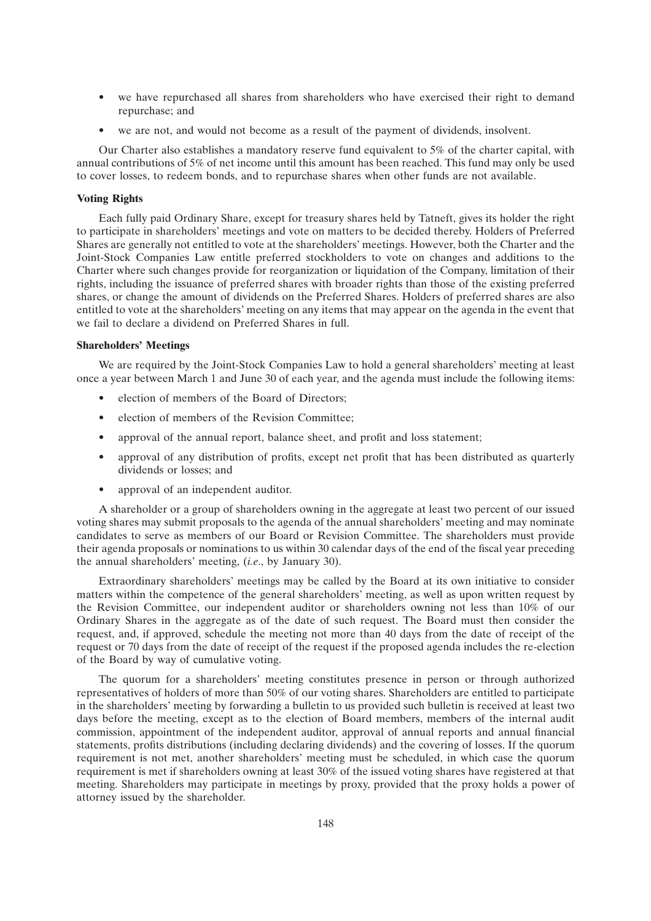- we have repurchased all shares from shareholders who have exercised their right to demand repurchase; and
- we are not, and would not become as a result of the payment of dividends, insolvent.

Our Charter also establishes a mandatory reserve fund equivalent to 5% of the charter capital, with annual contributions of 5% of net income until this amount has been reached. This fund may only be used to cover losses, to redeem bonds, and to repurchase shares when other funds are not available.

## **Voting Rights**

Each fully paid Ordinary Share, except for treasury shares held by Tatneft, gives its holder the right to participate in shareholders' meetings and vote on matters to be decided thereby. Holders of Preferred Shares are generally not entitled to vote at the shareholders' meetings. However, both the Charter and the Joint-Stock Companies Law entitle preferred stockholders to vote on changes and additions to the Charter where such changes provide for reorganization or liquidation of the Company, limitation of their rights, including the issuance of preferred shares with broader rights than those of the existing preferred shares, or change the amount of dividends on the Preferred Shares. Holders of preferred shares are also entitled to vote at the shareholders' meeting on any items that may appear on the agenda in the event that we fail to declare a dividend on Preferred Shares in full.

#### **Shareholders' Meetings**

We are required by the Joint-Stock Companies Law to hold a general shareholders' meeting at least once a year between March 1 and June 30 of each year, and the agenda must include the following items:

- election of members of the Board of Directors;
- election of members of the Revision Committee;
- approval of the annual report, balance sheet, and profit and loss statement;
- approval of any distribution of profits, except net profit that has been distributed as quarterly dividends or losses; and
- approval of an independent auditor.

A shareholder or a group of shareholders owning in the aggregate at least two percent of our issued voting shares may submit proposals to the agenda of the annual shareholders' meeting and may nominate candidates to serve as members of our Board or Revision Committee. The shareholders must provide their agenda proposals or nominations to us within 30 calendar days of the end of the fiscal year preceding the annual shareholders' meeting, (*i.e*., by January 30).

Extraordinary shareholders' meetings may be called by the Board at its own initiative to consider matters within the competence of the general shareholders' meeting, as well as upon written request by the Revision Committee, our independent auditor or shareholders owning not less than 10% of our Ordinary Shares in the aggregate as of the date of such request. The Board must then consider the request, and, if approved, schedule the meeting not more than 40 days from the date of receipt of the request or 70 days from the date of receipt of the request if the proposed agenda includes the re-election of the Board by way of cumulative voting.

The quorum for a shareholders' meeting constitutes presence in person or through authorized representatives of holders of more than 50% of our voting shares. Shareholders are entitled to participate in the shareholders' meeting by forwarding a bulletin to us provided such bulletin is received at least two days before the meeting, except as to the election of Board members, members of the internal audit commission, appointment of the independent auditor, approval of annual reports and annual financial statements, profits distributions (including declaring dividends) and the covering of losses. If the quorum requirement is not met, another shareholders' meeting must be scheduled, in which case the quorum requirement is met if shareholders owning at least 30% of the issued voting shares have registered at that meeting. Shareholders may participate in meetings by proxy, provided that the proxy holds a power of attorney issued by the shareholder.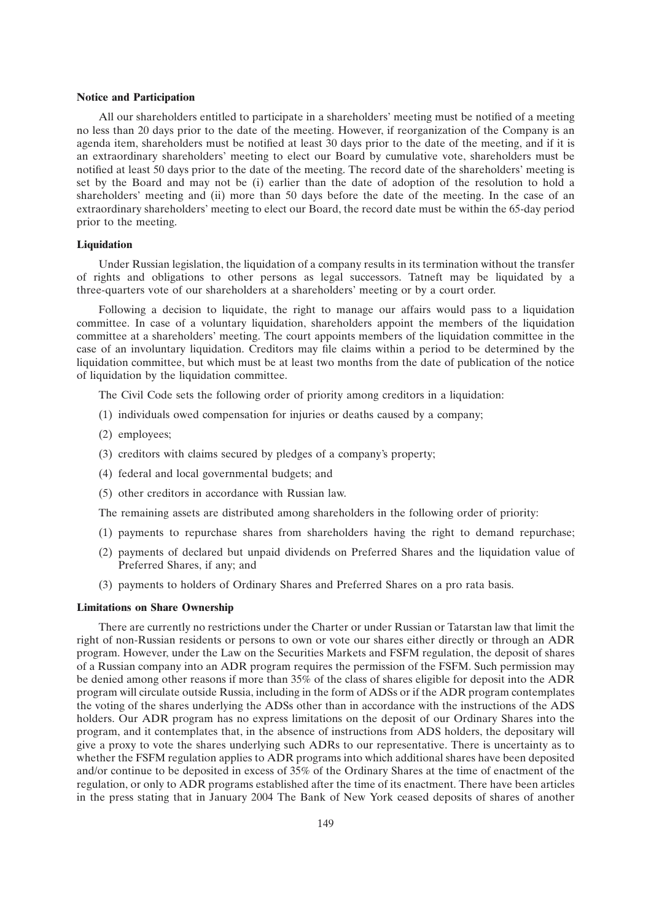#### **Notice and Participation**

All our shareholders entitled to participate in a shareholders' meeting must be notified of a meeting no less than 20 days prior to the date of the meeting. However, if reorganization of the Company is an agenda item, shareholders must be notified at least 30 days prior to the date of the meeting, and if it is an extraordinary shareholders' meeting to elect our Board by cumulative vote, shareholders must be notified at least 50 days prior to the date of the meeting. The record date of the shareholders' meeting is set by the Board and may not be (i) earlier than the date of adoption of the resolution to hold a shareholders' meeting and (ii) more than 50 days before the date of the meeting. In the case of an extraordinary shareholders' meeting to elect our Board, the record date must be within the 65-day period prior to the meeting.

#### **Liquidation**

Under Russian legislation, the liquidation of a company results in its termination without the transfer of rights and obligations to other persons as legal successors. Tatneft may be liquidated by a three-quarters vote of our shareholders at a shareholders' meeting or by a court order.

Following a decision to liquidate, the right to manage our affairs would pass to a liquidation committee. In case of a voluntary liquidation, shareholders appoint the members of the liquidation committee at a shareholders' meeting. The court appoints members of the liquidation committee in the case of an involuntary liquidation. Creditors may file claims within a period to be determined by the liquidation committee, but which must be at least two months from the date of publication of the notice of liquidation by the liquidation committee.

The Civil Code sets the following order of priority among creditors in a liquidation:

- (1) individuals owed compensation for injuries or deaths caused by a company;
- (2) employees;
- (3) creditors with claims secured by pledges of a company's property;
- (4) federal and local governmental budgets; and
- (5) other creditors in accordance with Russian law.

The remaining assets are distributed among shareholders in the following order of priority:

- (1) payments to repurchase shares from shareholders having the right to demand repurchase;
- (2) payments of declared but unpaid dividends on Preferred Shares and the liquidation value of Preferred Shares, if any; and
- (3) payments to holders of Ordinary Shares and Preferred Shares on a pro rata basis.

#### **Limitations on Share Ownership**

There are currently no restrictions under the Charter or under Russian or Tatarstan law that limit the right of non-Russian residents or persons to own or vote our shares either directly or through an ADR program. However, under the Law on the Securities Markets and FSFM regulation, the deposit of shares of a Russian company into an ADR program requires the permission of the FSFM. Such permission may be denied among other reasons if more than 35% of the class of shares eligible for deposit into the ADR program will circulate outside Russia, including in the form of ADSs or if the ADR program contemplates the voting of the shares underlying the ADSs other than in accordance with the instructions of the ADS holders. Our ADR program has no express limitations on the deposit of our Ordinary Shares into the program, and it contemplates that, in the absence of instructions from ADS holders, the depositary will give a proxy to vote the shares underlying such ADRs to our representative. There is uncertainty as to whether the FSFM regulation applies to ADR programs into which additional shares have been deposited and/or continue to be deposited in excess of 35% of the Ordinary Shares at the time of enactment of the regulation, or only to ADR programs established after the time of its enactment. There have been articles in the press stating that in January 2004 The Bank of New York ceased deposits of shares of another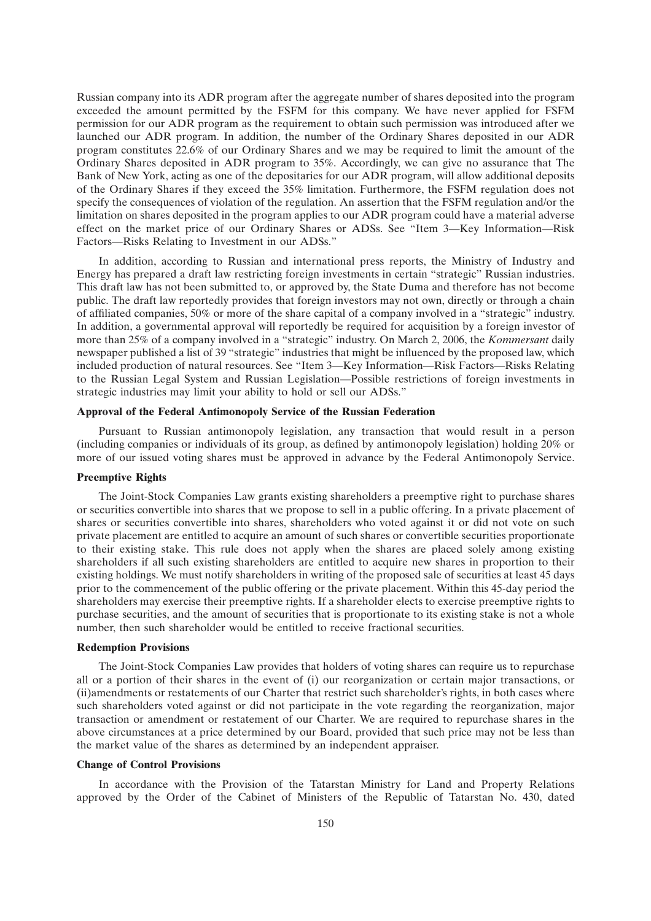Russian company into its ADR program after the aggregate number of shares deposited into the program exceeded the amount permitted by the FSFM for this company. We have never applied for FSFM permission for our ADR program as the requirement to obtain such permission was introduced after we launched our ADR program. In addition, the number of the Ordinary Shares deposited in our ADR program constitutes 22.6% of our Ordinary Shares and we may be required to limit the amount of the Ordinary Shares deposited in ADR program to 35%. Accordingly, we can give no assurance that The Bank of New York, acting as one of the depositaries for our ADR program, will allow additional deposits of the Ordinary Shares if they exceed the 35% limitation. Furthermore, the FSFM regulation does not specify the consequences of violation of the regulation. An assertion that the FSFM regulation and/or the limitation on shares deposited in the program applies to our ADR program could have a material adverse effect on the market price of our Ordinary Shares or ADSs. See ''Item 3—Key Information—Risk Factors—Risks Relating to Investment in our ADSs.''

In addition, according to Russian and international press reports, the Ministry of Industry and Energy has prepared a draft law restricting foreign investments in certain ''strategic'' Russian industries. This draft law has not been submitted to, or approved by, the State Duma and therefore has not become public. The draft law reportedly provides that foreign investors may not own, directly or through a chain of affiliated companies, 50% or more of the share capital of a company involved in a ''strategic'' industry. In addition, a governmental approval will reportedly be required for acquisition by a foreign investor of more than 25% of a company involved in a ''strategic'' industry. On March 2, 2006, the *Kommersant* daily newspaper published a list of 39 ''strategic'' industries that might be influenced by the proposed law, which included production of natural resources. See ''Item 3—Key Information—Risk Factors—Risks Relating to the Russian Legal System and Russian Legislation—Possible restrictions of foreign investments in strategic industries may limit your ability to hold or sell our ADSs.''

## **Approval of the Federal Antimonopoly Service of the Russian Federation**

Pursuant to Russian antimonopoly legislation, any transaction that would result in a person (including companies or individuals of its group, as defined by antimonopoly legislation) holding 20% or more of our issued voting shares must be approved in advance by the Federal Antimonopoly Service.

## **Preemptive Rights**

The Joint-Stock Companies Law grants existing shareholders a preemptive right to purchase shares or securities convertible into shares that we propose to sell in a public offering. In a private placement of shares or securities convertible into shares, shareholders who voted against it or did not vote on such private placement are entitled to acquire an amount of such shares or convertible securities proportionate to their existing stake. This rule does not apply when the shares are placed solely among existing shareholders if all such existing shareholders are entitled to acquire new shares in proportion to their existing holdings. We must notify shareholders in writing of the proposed sale of securities at least 45 days prior to the commencement of the public offering or the private placement. Within this 45-day period the shareholders may exercise their preemptive rights. If a shareholder elects to exercise preemptive rights to purchase securities, and the amount of securities that is proportionate to its existing stake is not a whole number, then such shareholder would be entitled to receive fractional securities.

#### **Redemption Provisions**

The Joint-Stock Companies Law provides that holders of voting shares can require us to repurchase all or a portion of their shares in the event of (i) our reorganization or certain major transactions, or (ii)amendments or restatements of our Charter that restrict such shareholder's rights, in both cases where such shareholders voted against or did not participate in the vote regarding the reorganization, major transaction or amendment or restatement of our Charter. We are required to repurchase shares in the above circumstances at a price determined by our Board, provided that such price may not be less than the market value of the shares as determined by an independent appraiser.

#### **Change of Control Provisions**

In accordance with the Provision of the Tatarstan Ministry for Land and Property Relations approved by the Order of the Cabinet of Ministers of the Republic of Tatarstan No. 430, dated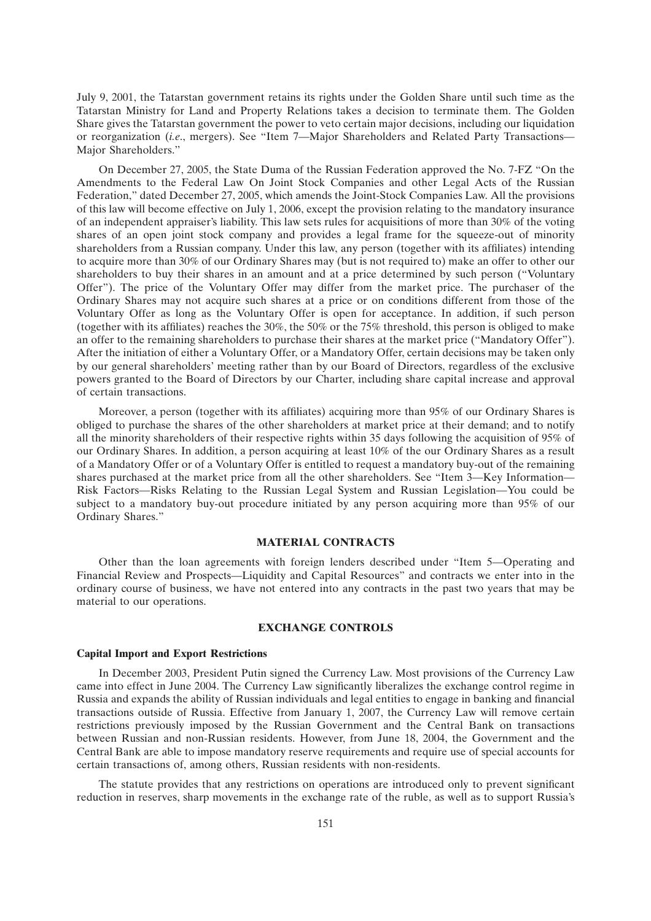July 9, 2001, the Tatarstan government retains its rights under the Golden Share until such time as the Tatarstan Ministry for Land and Property Relations takes a decision to terminate them. The Golden Share gives the Tatarstan government the power to veto certain major decisions, including our liquidation or reorganization (*i.e*., mergers). See ''Item 7—Major Shareholders and Related Party Transactions— Major Shareholders.''

On December 27, 2005, the State Duma of the Russian Federation approved the No. 7-FZ ''On the Amendments to the Federal Law On Joint Stock Companies and other Legal Acts of the Russian Federation,'' dated December 27, 2005, which amends the Joint-Stock Companies Law. All the provisions of this law will become effective on July 1, 2006, except the provision relating to the mandatory insurance of an independent appraiser's liability. This law sets rules for acquisitions of more than 30% of the voting shares of an open joint stock company and provides a legal frame for the squeeze-out of minority shareholders from a Russian company. Under this law, any person (together with its affiliates) intending to acquire more than 30% of our Ordinary Shares may (but is not required to) make an offer to other our shareholders to buy their shares in an amount and at a price determined by such person (''Voluntary Offer''). The price of the Voluntary Offer may differ from the market price. The purchaser of the Ordinary Shares may not acquire such shares at a price or on conditions different from those of the Voluntary Offer as long as the Voluntary Offer is open for acceptance. In addition, if such person (together with its affiliates) reaches the 30%, the 50% or the 75% threshold, this person is obliged to make an offer to the remaining shareholders to purchase their shares at the market price (''Mandatory Offer''). After the initiation of either a Voluntary Offer, or a Mandatory Offer, certain decisions may be taken only by our general shareholders' meeting rather than by our Board of Directors, regardless of the exclusive powers granted to the Board of Directors by our Charter, including share capital increase and approval of certain transactions.

Moreover, a person (together with its affiliates) acquiring more than 95% of our Ordinary Shares is obliged to purchase the shares of the other shareholders at market price at their demand; and to notify all the minority shareholders of their respective rights within 35 days following the acquisition of 95% of our Ordinary Shares. In addition, a person acquiring at least 10% of the our Ordinary Shares as a result of a Mandatory Offer or of a Voluntary Offer is entitled to request a mandatory buy-out of the remaining shares purchased at the market price from all the other shareholders. See "Item 3—Key Information— Risk Factors—Risks Relating to the Russian Legal System and Russian Legislation—You could be subject to a mandatory buy-out procedure initiated by any person acquiring more than 95% of our Ordinary Shares.''

#### **MATERIAL CONTRACTS**

Other than the loan agreements with foreign lenders described under ''Item 5—Operating and Financial Review and Prospects—Liquidity and Capital Resources'' and contracts we enter into in the ordinary course of business, we have not entered into any contracts in the past two years that may be material to our operations.

## **EXCHANGE CONTROLS**

#### **Capital Import and Export Restrictions**

In December 2003, President Putin signed the Currency Law. Most provisions of the Currency Law came into effect in June 2004. The Currency Law significantly liberalizes the exchange control regime in Russia and expands the ability of Russian individuals and legal entities to engage in banking and financial transactions outside of Russia. Effective from January 1, 2007, the Currency Law will remove certain restrictions previously imposed by the Russian Government and the Central Bank on transactions between Russian and non-Russian residents. However, from June 18, 2004, the Government and the Central Bank are able to impose mandatory reserve requirements and require use of special accounts for certain transactions of, among others, Russian residents with non-residents.

The statute provides that any restrictions on operations are introduced only to prevent significant reduction in reserves, sharp movements in the exchange rate of the ruble, as well as to support Russia's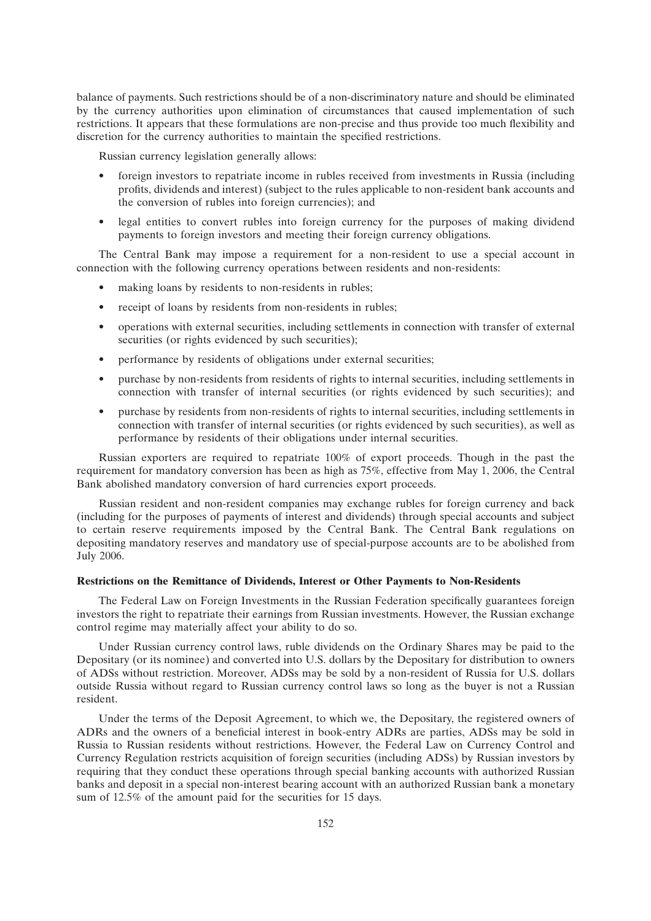balance of payments. Such restrictions should be of a non-discriminatory nature and should be eliminated by the currency authorities upon elimination of circumstances that caused implementation of such restrictions. It appears that these formulations are non-precise and thus provide too much flexibility and discretion for the currency authorities to maintain the specified restrictions.

Russian currency legislation generally allows:

- foreign investors to repatriate income in rubles received from investments in Russia (including profits, dividends and interest) (subject to the rules applicable to non-resident bank accounts and the conversion of rubles into foreign currencies); and
- legal entities to convert rubles into foreign currency for the purposes of making dividend payments to foreign investors and meeting their foreign currency obligations.

The Central Bank may impose a requirement for a non-resident to use a special account in connection with the following currency operations between residents and non-residents:

- making loans by residents to non-residents in rubles;
- receipt of loans by residents from non-residents in rubles;
- operations with external securities, including settlements in connection with transfer of external securities (or rights evidenced by such securities);
- performance by residents of obligations under external securities;
- purchase by non-residents from residents of rights to internal securities, including settlements in connection with transfer of internal securities (or rights evidenced by such securities); and
- purchase by residents from non-residents of rights to internal securities, including settlements in connection with transfer of internal securities (or rights evidenced by such securities), as well as performance by residents of their obligations under internal securities.

Russian exporters are required to repatriate 100% of export proceeds. Though in the past the requirement for mandatory conversion has been as high as 75%, effective from May 1, 2006, the Central Bank abolished mandatory conversion of hard currencies export proceeds.

Russian resident and non-resident companies may exchange rubles for foreign currency and back (including for the purposes of payments of interest and dividends) through special accounts and subject to certain reserve requirements imposed by the Central Bank. The Central Bank regulations on depositing mandatory reserves and mandatory use of special-purpose accounts are to be abolished from July 2006.

### **Restrictions on the Remittance of Dividends, Interest or Other Payments to Non-Residents**

The Federal Law on Foreign Investments in the Russian Federation specifically guarantees foreign investors the right to repatriate their earnings from Russian investments. However, the Russian exchange control regime may materially affect your ability to do so.

Under Russian currency control laws, ruble dividends on the Ordinary Shares may be paid to the Depositary (or its nominee) and converted into U.S. dollars by the Depositary for distribution to owners of ADSs without restriction. Moreover, ADSs may be sold by a non-resident of Russia for U.S. dollars outside Russia without regard to Russian currency control laws so long as the buyer is not a Russian resident.

Under the terms of the Deposit Agreement, to which we, the Depositary, the registered owners of ADRs and the owners of a beneficial interest in book-entry ADRs are parties, ADSs may be sold in Russia to Russian residents without restrictions. However, the Federal Law on Currency Control and Currency Regulation restricts acquisition of foreign securities (including ADSs) by Russian investors by requiring that they conduct these operations through special banking accounts with authorized Russian banks and deposit in a special non-interest bearing account with an authorized Russian bank a monetary sum of 12.5% of the amount paid for the securities for 15 days.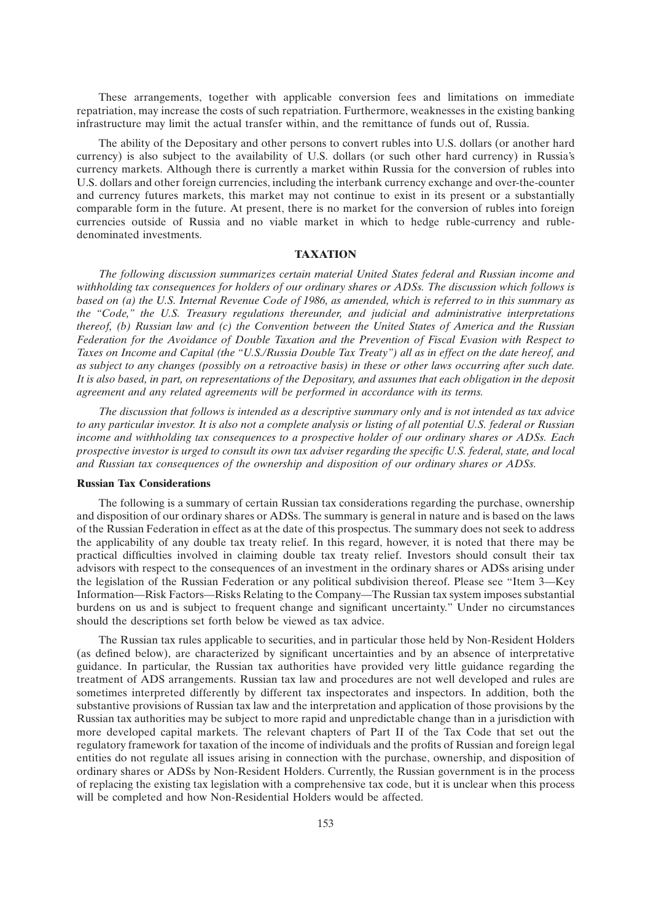These arrangements, together with applicable conversion fees and limitations on immediate repatriation, may increase the costs of such repatriation. Furthermore, weaknesses in the existing banking infrastructure may limit the actual transfer within, and the remittance of funds out of, Russia.

The ability of the Depositary and other persons to convert rubles into U.S. dollars (or another hard currency) is also subject to the availability of U.S. dollars (or such other hard currency) in Russia's currency markets. Although there is currently a market within Russia for the conversion of rubles into U.S. dollars and other foreign currencies, including the interbank currency exchange and over-the-counter and currency futures markets, this market may not continue to exist in its present or a substantially comparable form in the future. At present, there is no market for the conversion of rubles into foreign currencies outside of Russia and no viable market in which to hedge ruble-currency and rubledenominated investments.

#### **TAXATION**

*The following discussion summarizes certain material United States federal and Russian income and withholding tax consequences for holders of our ordinary shares or ADSs. The discussion which follows is based on (a) the U.S. Internal Revenue Code of 1986, as amended, which is referred to in this summary as the ''Code,'' the U.S. Treasury regulations thereunder, and judicial and administrative interpretations thereof, (b) Russian law and (c) the Convention between the United States of America and the Russian Federation for the Avoidance of Double Taxation and the Prevention of Fiscal Evasion with Respect to Taxes on Income and Capital (the ''U.S./Russia Double Tax Treaty'') all as in effect on the date hereof, and as subject to any changes (possibly on a retroactive basis) in these or other laws occurring after such date. It is also based, in part, on representations of the Depositary, and assumes that each obligation in the deposit agreement and any related agreements will be performed in accordance with its terms.*

*The discussion that follows is intended as a descriptive summary only and is not intended as tax advice to any particular investor. It is also not a complete analysis or listing of all potential U.S. federal or Russian income and withholding tax consequences to a prospective holder of our ordinary shares or ADSs. Each prospective investor is urged to consult its own tax adviser regarding the specific U.S. federal, state, and local and Russian tax consequences of the ownership and disposition of our ordinary shares or ADSs.*

### **Russian Tax Considerations**

The following is a summary of certain Russian tax considerations regarding the purchase, ownership and disposition of our ordinary shares or ADSs. The summary is general in nature and is based on the laws of the Russian Federation in effect as at the date of this prospectus. The summary does not seek to address the applicability of any double tax treaty relief. In this regard, however, it is noted that there may be practical difficulties involved in claiming double tax treaty relief. Investors should consult their tax advisors with respect to the consequences of an investment in the ordinary shares or ADSs arising under the legislation of the Russian Federation or any political subdivision thereof. Please see ''Item 3—Key Information—Risk Factors—Risks Relating to the Company—The Russian tax system imposes substantial burdens on us and is subject to frequent change and significant uncertainty.'' Under no circumstances should the descriptions set forth below be viewed as tax advice.

The Russian tax rules applicable to securities, and in particular those held by Non-Resident Holders (as defined below), are characterized by significant uncertainties and by an absence of interpretative guidance. In particular, the Russian tax authorities have provided very little guidance regarding the treatment of ADS arrangements. Russian tax law and procedures are not well developed and rules are sometimes interpreted differently by different tax inspectorates and inspectors. In addition, both the substantive provisions of Russian tax law and the interpretation and application of those provisions by the Russian tax authorities may be subject to more rapid and unpredictable change than in a jurisdiction with more developed capital markets. The relevant chapters of Part II of the Tax Code that set out the regulatory framework for taxation of the income of individuals and the profits of Russian and foreign legal entities do not regulate all issues arising in connection with the purchase, ownership, and disposition of ordinary shares or ADSs by Non-Resident Holders. Currently, the Russian government is in the process of replacing the existing tax legislation with a comprehensive tax code, but it is unclear when this process will be completed and how Non-Residential Holders would be affected.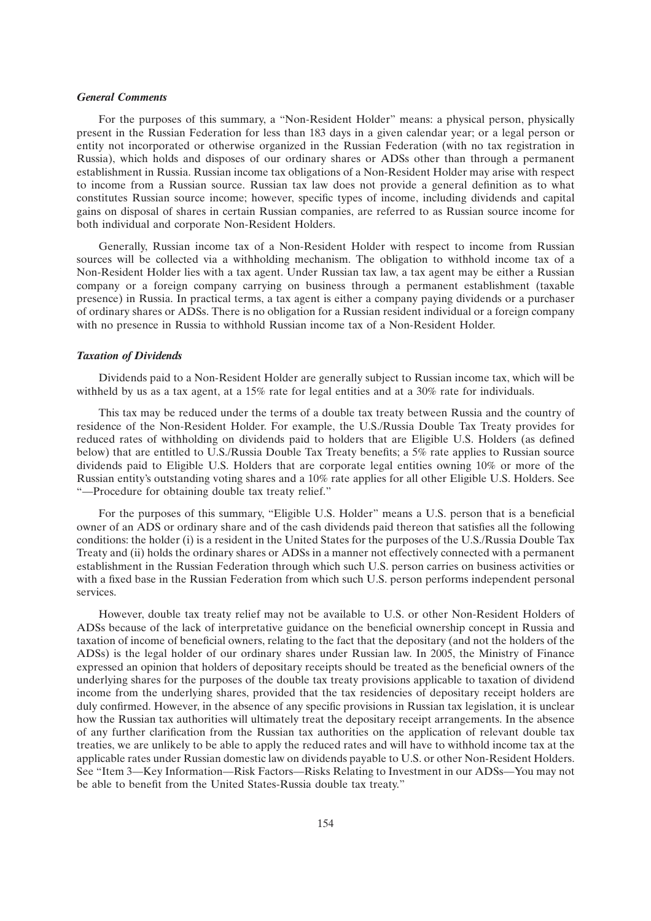#### *General Comments*

For the purposes of this summary, a ''Non-Resident Holder'' means: a physical person, physically present in the Russian Federation for less than 183 days in a given calendar year; or a legal person or entity not incorporated or otherwise organized in the Russian Federation (with no tax registration in Russia), which holds and disposes of our ordinary shares or ADSs other than through a permanent establishment in Russia. Russian income tax obligations of a Non-Resident Holder may arise with respect to income from a Russian source. Russian tax law does not provide a general definition as to what constitutes Russian source income; however, specific types of income, including dividends and capital gains on disposal of shares in certain Russian companies, are referred to as Russian source income for both individual and corporate Non-Resident Holders.

Generally, Russian income tax of a Non-Resident Holder with respect to income from Russian sources will be collected via a withholding mechanism. The obligation to withhold income tax of a Non-Resident Holder lies with a tax agent. Under Russian tax law, a tax agent may be either a Russian company or a foreign company carrying on business through a permanent establishment (taxable presence) in Russia. In practical terms, a tax agent is either a company paying dividends or a purchaser of ordinary shares or ADSs. There is no obligation for a Russian resident individual or a foreign company with no presence in Russia to withhold Russian income tax of a Non-Resident Holder.

#### *Taxation of Dividends*

Dividends paid to a Non-Resident Holder are generally subject to Russian income tax, which will be withheld by us as a tax agent, at a 15% rate for legal entities and at a 30% rate for individuals.

This tax may be reduced under the terms of a double tax treaty between Russia and the country of residence of the Non-Resident Holder. For example, the U.S./Russia Double Tax Treaty provides for reduced rates of withholding on dividends paid to holders that are Eligible U.S. Holders (as defined below) that are entitled to U.S./Russia Double Tax Treaty benefits; a 5% rate applies to Russian source dividends paid to Eligible U.S. Holders that are corporate legal entities owning 10% or more of the Russian entity's outstanding voting shares and a 10% rate applies for all other Eligible U.S. Holders. See ''—Procedure for obtaining double tax treaty relief.''

For the purposes of this summary, "Eligible U.S. Holder" means a U.S. person that is a beneficial owner of an ADS or ordinary share and of the cash dividends paid thereon that satisfies all the following conditions: the holder (i) is a resident in the United States for the purposes of the U.S./Russia Double Tax Treaty and (ii) holds the ordinary shares or ADSs in a manner not effectively connected with a permanent establishment in the Russian Federation through which such U.S. person carries on business activities or with a fixed base in the Russian Federation from which such U.S. person performs independent personal services.

However, double tax treaty relief may not be available to U.S. or other Non-Resident Holders of ADSs because of the lack of interpretative guidance on the beneficial ownership concept in Russia and taxation of income of beneficial owners, relating to the fact that the depositary (and not the holders of the ADSs) is the legal holder of our ordinary shares under Russian law. In 2005, the Ministry of Finance expressed an opinion that holders of depositary receipts should be treated as the beneficial owners of the underlying shares for the purposes of the double tax treaty provisions applicable to taxation of dividend income from the underlying shares, provided that the tax residencies of depositary receipt holders are duly confirmed. However, in the absence of any specific provisions in Russian tax legislation, it is unclear how the Russian tax authorities will ultimately treat the depositary receipt arrangements. In the absence of any further clarification from the Russian tax authorities on the application of relevant double tax treaties, we are unlikely to be able to apply the reduced rates and will have to withhold income tax at the applicable rates under Russian domestic law on dividends payable to U.S. or other Non-Resident Holders. See ''Item 3—Key Information—Risk Factors—Risks Relating to Investment in our ADSs—You may not be able to benefit from the United States-Russia double tax treaty.''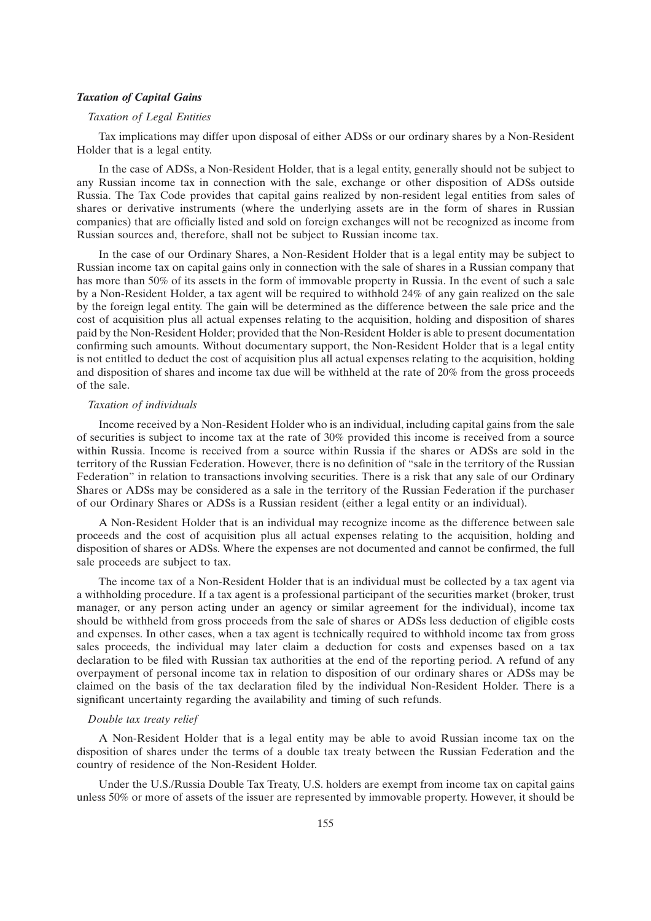#### *Taxation of Capital Gains*

## *Taxation of Legal Entities*

Tax implications may differ upon disposal of either ADSs or our ordinary shares by a Non-Resident Holder that is a legal entity.

In the case of ADSs, a Non-Resident Holder, that is a legal entity, generally should not be subject to any Russian income tax in connection with the sale, exchange or other disposition of ADSs outside Russia. The Tax Code provides that capital gains realized by non-resident legal entities from sales of shares or derivative instruments (where the underlying assets are in the form of shares in Russian companies) that are officially listed and sold on foreign exchanges will not be recognized as income from Russian sources and, therefore, shall not be subject to Russian income tax.

In the case of our Ordinary Shares, a Non-Resident Holder that is a legal entity may be subject to Russian income tax on capital gains only in connection with the sale of shares in a Russian company that has more than 50% of its assets in the form of immovable property in Russia. In the event of such a sale by a Non-Resident Holder, a tax agent will be required to withhold 24% of any gain realized on the sale by the foreign legal entity. The gain will be determined as the difference between the sale price and the cost of acquisition plus all actual expenses relating to the acquisition, holding and disposition of shares paid by the Non-Resident Holder; provided that the Non-Resident Holder is able to present documentation confirming such amounts. Without documentary support, the Non-Resident Holder that is a legal entity is not entitled to deduct the cost of acquisition plus all actual expenses relating to the acquisition, holding and disposition of shares and income tax due will be withheld at the rate of 20% from the gross proceeds of the sale.

## *Taxation of individuals*

Income received by a Non-Resident Holder who is an individual, including capital gains from the sale of securities is subject to income tax at the rate of 30% provided this income is received from a source within Russia. Income is received from a source within Russia if the shares or ADSs are sold in the territory of the Russian Federation. However, there is no definition of ''sale in the territory of the Russian Federation'' in relation to transactions involving securities. There is a risk that any sale of our Ordinary Shares or ADSs may be considered as a sale in the territory of the Russian Federation if the purchaser of our Ordinary Shares or ADSs is a Russian resident (either a legal entity or an individual).

A Non-Resident Holder that is an individual may recognize income as the difference between sale proceeds and the cost of acquisition plus all actual expenses relating to the acquisition, holding and disposition of shares or ADSs. Where the expenses are not documented and cannot be confirmed, the full sale proceeds are subject to tax.

The income tax of a Non-Resident Holder that is an individual must be collected by a tax agent via a withholding procedure. If a tax agent is a professional participant of the securities market (broker, trust manager, or any person acting under an agency or similar agreement for the individual), income tax should be withheld from gross proceeds from the sale of shares or ADSs less deduction of eligible costs and expenses. In other cases, when a tax agent is technically required to withhold income tax from gross sales proceeds, the individual may later claim a deduction for costs and expenses based on a tax declaration to be filed with Russian tax authorities at the end of the reporting period. A refund of any overpayment of personal income tax in relation to disposition of our ordinary shares or ADSs may be claimed on the basis of the tax declaration filed by the individual Non-Resident Holder. There is a significant uncertainty regarding the availability and timing of such refunds.

## *Double tax treaty relief*

A Non-Resident Holder that is a legal entity may be able to avoid Russian income tax on the disposition of shares under the terms of a double tax treaty between the Russian Federation and the country of residence of the Non-Resident Holder.

Under the U.S./Russia Double Tax Treaty, U.S. holders are exempt from income tax on capital gains unless 50% or more of assets of the issuer are represented by immovable property. However, it should be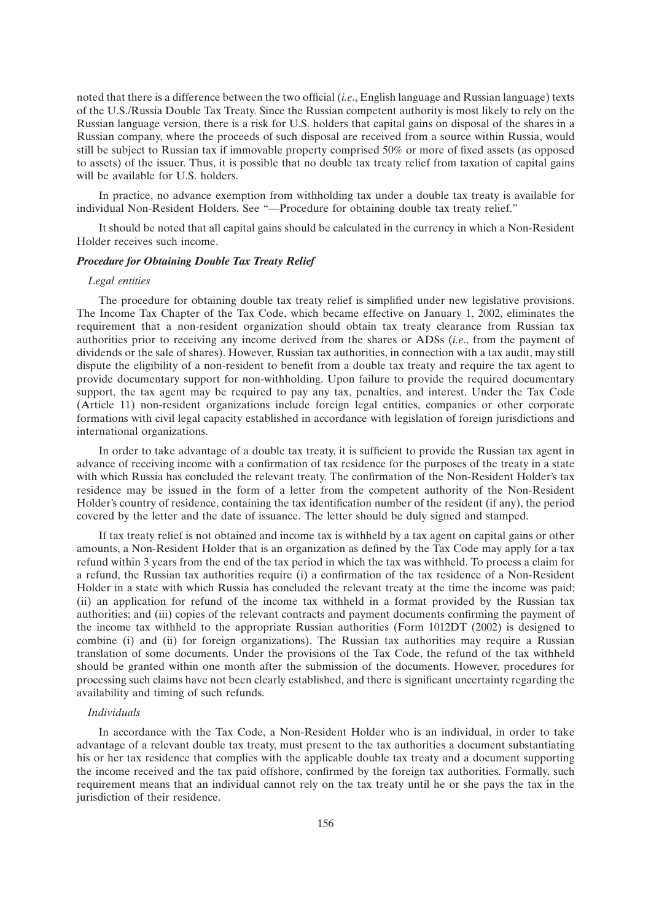noted that there is a difference between the two official (*i.e*., English language and Russian language) texts of the U.S./Russia Double Tax Treaty. Since the Russian competent authority is most likely to rely on the Russian language version, there is a risk for U.S. holders that capital gains on disposal of the shares in a Russian company, where the proceeds of such disposal are received from a source within Russia, would still be subject to Russian tax if immovable property comprised 50% or more of fixed assets (as opposed to assets) of the issuer. Thus, it is possible that no double tax treaty relief from taxation of capital gains will be available for U.S. holders.

In practice, no advance exemption from withholding tax under a double tax treaty is available for individual Non-Resident Holders. See ''—Procedure for obtaining double tax treaty relief.''

It should be noted that all capital gains should be calculated in the currency in which a Non-Resident Holder receives such income.

#### *Procedure for Obtaining Double Tax Treaty Relief*

#### *Legal entities*

The procedure for obtaining double tax treaty relief is simplified under new legislative provisions. The Income Tax Chapter of the Tax Code, which became effective on January 1, 2002, eliminates the requirement that a non-resident organization should obtain tax treaty clearance from Russian tax authorities prior to receiving any income derived from the shares or ADSs (*i.e*., from the payment of dividends or the sale of shares). However, Russian tax authorities, in connection with a tax audit, may still dispute the eligibility of a non-resident to benefit from a double tax treaty and require the tax agent to provide documentary support for non-withholding. Upon failure to provide the required documentary support, the tax agent may be required to pay any tax, penalties, and interest. Under the Tax Code (Article 11) non-resident organizations include foreign legal entities, companies or other corporate formations with civil legal capacity established in accordance with legislation of foreign jurisdictions and international organizations.

In order to take advantage of a double tax treaty, it is sufficient to provide the Russian tax agent in advance of receiving income with a confirmation of tax residence for the purposes of the treaty in a state with which Russia has concluded the relevant treaty. The confirmation of the Non-Resident Holder's tax residence may be issued in the form of a letter from the competent authority of the Non-Resident Holder's country of residence, containing the tax identification number of the resident (if any), the period covered by the letter and the date of issuance. The letter should be duly signed and stamped.

If tax treaty relief is not obtained and income tax is withheld by a tax agent on capital gains or other amounts, a Non-Resident Holder that is an organization as defined by the Tax Code may apply for a tax refund within 3 years from the end of the tax period in which the tax was withheld. To process a claim for a refund, the Russian tax authorities require (i) a confirmation of the tax residence of a Non-Resident Holder in a state with which Russia has concluded the relevant treaty at the time the income was paid; (ii) an application for refund of the income tax withheld in a format provided by the Russian tax authorities; and (iii) copies of the relevant contracts and payment documents confirming the payment of the income tax withheld to the appropriate Russian authorities (Form 1012DT (2002) is designed to combine (i) and (ii) for foreign organizations). The Russian tax authorities may require a Russian translation of some documents. Under the provisions of the Tax Code, the refund of the tax withheld should be granted within one month after the submission of the documents. However, procedures for processing such claims have not been clearly established, and there is significant uncertainty regarding the availability and timing of such refunds.

#### *Individuals*

In accordance with the Tax Code, a Non-Resident Holder who is an individual, in order to take advantage of a relevant double tax treaty, must present to the tax authorities a document substantiating his or her tax residence that complies with the applicable double tax treaty and a document supporting the income received and the tax paid offshore, confirmed by the foreign tax authorities. Formally, such requirement means that an individual cannot rely on the tax treaty until he or she pays the tax in the jurisdiction of their residence.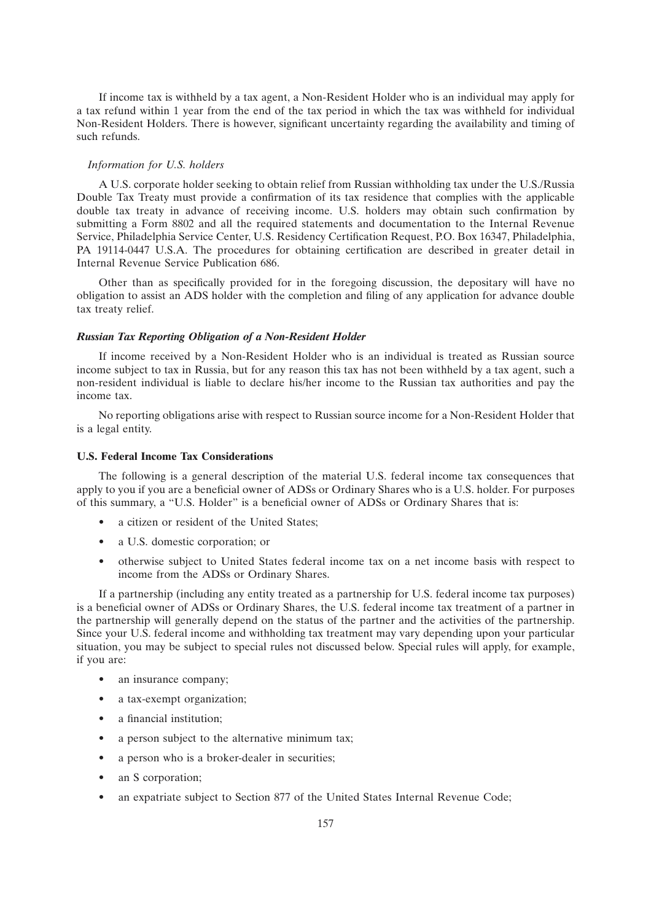If income tax is withheld by a tax agent, a Non-Resident Holder who is an individual may apply for a tax refund within 1 year from the end of the tax period in which the tax was withheld for individual Non-Resident Holders. There is however, significant uncertainty regarding the availability and timing of such refunds.

#### *Information for U.S. holders*

A U.S. corporate holder seeking to obtain relief from Russian withholding tax under the U.S./Russia Double Tax Treaty must provide a confirmation of its tax residence that complies with the applicable double tax treaty in advance of receiving income. U.S. holders may obtain such confirmation by submitting a Form 8802 and all the required statements and documentation to the Internal Revenue Service, Philadelphia Service Center, U.S. Residency Certification Request, P.O. Box 16347, Philadelphia, PA 19114-0447 U.S.A. The procedures for obtaining certification are described in greater detail in Internal Revenue Service Publication 686.

Other than as specifically provided for in the foregoing discussion, the depositary will have no obligation to assist an ADS holder with the completion and filing of any application for advance double tax treaty relief.

#### *Russian Tax Reporting Obligation of a Non-Resident Holder*

If income received by a Non-Resident Holder who is an individual is treated as Russian source income subject to tax in Russia, but for any reason this tax has not been withheld by a tax agent, such a non-resident individual is liable to declare his/her income to the Russian tax authorities and pay the income tax.

No reporting obligations arise with respect to Russian source income for a Non-Resident Holder that is a legal entity.

#### **U.S. Federal Income Tax Considerations**

The following is a general description of the material U.S. federal income tax consequences that apply to you if you are a beneficial owner of ADSs or Ordinary Shares who is a U.S. holder. For purposes of this summary, a ''U.S. Holder'' is a beneficial owner of ADSs or Ordinary Shares that is:

- a citizen or resident of the United States:
- a U.S. domestic corporation; or
- otherwise subject to United States federal income tax on a net income basis with respect to income from the ADSs or Ordinary Shares.

If a partnership (including any entity treated as a partnership for U.S. federal income tax purposes) is a beneficial owner of ADSs or Ordinary Shares, the U.S. federal income tax treatment of a partner in the partnership will generally depend on the status of the partner and the activities of the partnership. Since your U.S. federal income and withholding tax treatment may vary depending upon your particular situation, you may be subject to special rules not discussed below. Special rules will apply, for example, if you are:

- an insurance company;
- a tax-exempt organization;
- a financial institution:
- a person subject to the alternative minimum tax;
- a person who is a broker-dealer in securities;
- an S corporation;
- an expatriate subject to Section 877 of the United States Internal Revenue Code;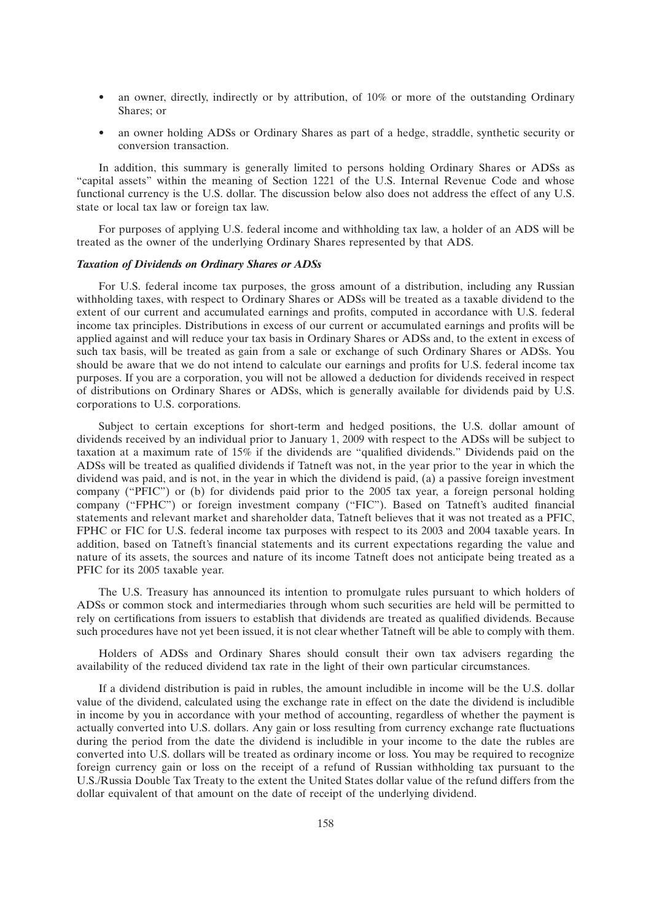- an owner, directly, indirectly or by attribution, of 10% or more of the outstanding Ordinary Shares; or
- an owner holding ADSs or Ordinary Shares as part of a hedge, straddle, synthetic security or conversion transaction.

In addition, this summary is generally limited to persons holding Ordinary Shares or ADSs as ''capital assets'' within the meaning of Section 1221 of the U.S. Internal Revenue Code and whose functional currency is the U.S. dollar. The discussion below also does not address the effect of any U.S. state or local tax law or foreign tax law.

For purposes of applying U.S. federal income and withholding tax law, a holder of an ADS will be treated as the owner of the underlying Ordinary Shares represented by that ADS.

## *Taxation of Dividends on Ordinary Shares or ADSs*

For U.S. federal income tax purposes, the gross amount of a distribution, including any Russian withholding taxes, with respect to Ordinary Shares or ADSs will be treated as a taxable dividend to the extent of our current and accumulated earnings and profits, computed in accordance with U.S. federal income tax principles. Distributions in excess of our current or accumulated earnings and profits will be applied against and will reduce your tax basis in Ordinary Shares or ADSs and, to the extent in excess of such tax basis, will be treated as gain from a sale or exchange of such Ordinary Shares or ADSs. You should be aware that we do not intend to calculate our earnings and profits for U.S. federal income tax purposes. If you are a corporation, you will not be allowed a deduction for dividends received in respect of distributions on Ordinary Shares or ADSs, which is generally available for dividends paid by U.S. corporations to U.S. corporations.

Subject to certain exceptions for short-term and hedged positions, the U.S. dollar amount of dividends received by an individual prior to January 1, 2009 with respect to the ADSs will be subject to taxation at a maximum rate of 15% if the dividends are ''qualified dividends.'' Dividends paid on the ADSs will be treated as qualified dividends if Tatneft was not, in the year prior to the year in which the dividend was paid, and is not, in the year in which the dividend is paid, (a) a passive foreign investment company (''PFIC'') or (b) for dividends paid prior to the 2005 tax year, a foreign personal holding company ("FPHC") or foreign investment company ("FIC"). Based on Tatneft's audited financial statements and relevant market and shareholder data, Tatneft believes that it was not treated as a PFIC, FPHC or FIC for U.S. federal income tax purposes with respect to its 2003 and 2004 taxable years. In addition, based on Tatneft's financial statements and its current expectations regarding the value and nature of its assets, the sources and nature of its income Tatneft does not anticipate being treated as a PFIC for its 2005 taxable year.

The U.S. Treasury has announced its intention to promulgate rules pursuant to which holders of ADSs or common stock and intermediaries through whom such securities are held will be permitted to rely on certifications from issuers to establish that dividends are treated as qualified dividends. Because such procedures have not yet been issued, it is not clear whether Tatneft will be able to comply with them.

Holders of ADSs and Ordinary Shares should consult their own tax advisers regarding the availability of the reduced dividend tax rate in the light of their own particular circumstances.

If a dividend distribution is paid in rubles, the amount includible in income will be the U.S. dollar value of the dividend, calculated using the exchange rate in effect on the date the dividend is includible in income by you in accordance with your method of accounting, regardless of whether the payment is actually converted into U.S. dollars. Any gain or loss resulting from currency exchange rate fluctuations during the period from the date the dividend is includible in your income to the date the rubles are converted into U.S. dollars will be treated as ordinary income or loss. You may be required to recognize foreign currency gain or loss on the receipt of a refund of Russian withholding tax pursuant to the U.S./Russia Double Tax Treaty to the extent the United States dollar value of the refund differs from the dollar equivalent of that amount on the date of receipt of the underlying dividend.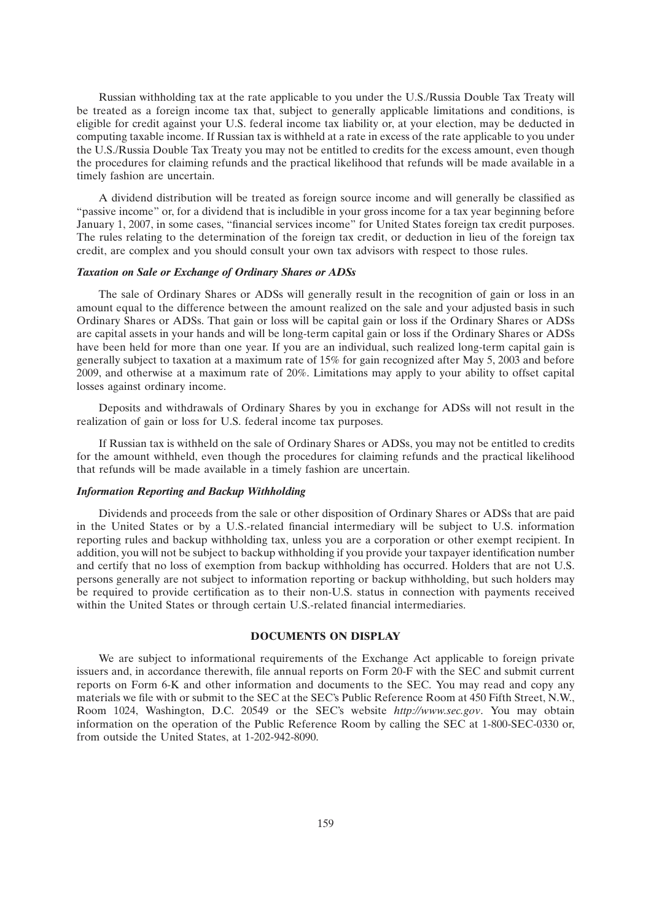Russian withholding tax at the rate applicable to you under the U.S./Russia Double Tax Treaty will be treated as a foreign income tax that, subject to generally applicable limitations and conditions, is eligible for credit against your U.S. federal income tax liability or, at your election, may be deducted in computing taxable income. If Russian tax is withheld at a rate in excess of the rate applicable to you under the U.S./Russia Double Tax Treaty you may not be entitled to credits for the excess amount, even though the procedures for claiming refunds and the practical likelihood that refunds will be made available in a timely fashion are uncertain.

A dividend distribution will be treated as foreign source income and will generally be classified as ''passive income'' or, for a dividend that is includible in your gross income for a tax year beginning before January 1, 2007, in some cases, ''financial services income'' for United States foreign tax credit purposes. The rules relating to the determination of the foreign tax credit, or deduction in lieu of the foreign tax credit, are complex and you should consult your own tax advisors with respect to those rules.

## *Taxation on Sale or Exchange of Ordinary Shares or ADSs*

The sale of Ordinary Shares or ADSs will generally result in the recognition of gain or loss in an amount equal to the difference between the amount realized on the sale and your adjusted basis in such Ordinary Shares or ADSs. That gain or loss will be capital gain or loss if the Ordinary Shares or ADSs are capital assets in your hands and will be long-term capital gain or loss if the Ordinary Shares or ADSs have been held for more than one year. If you are an individual, such realized long-term capital gain is generally subject to taxation at a maximum rate of 15% for gain recognized after May 5, 2003 and before 2009, and otherwise at a maximum rate of 20%. Limitations may apply to your ability to offset capital losses against ordinary income.

Deposits and withdrawals of Ordinary Shares by you in exchange for ADSs will not result in the realization of gain or loss for U.S. federal income tax purposes.

If Russian tax is withheld on the sale of Ordinary Shares or ADSs, you may not be entitled to credits for the amount withheld, even though the procedures for claiming refunds and the practical likelihood that refunds will be made available in a timely fashion are uncertain.

#### *Information Reporting and Backup Withholding*

Dividends and proceeds from the sale or other disposition of Ordinary Shares or ADSs that are paid in the United States or by a U.S.-related financial intermediary will be subject to U.S. information reporting rules and backup withholding tax, unless you are a corporation or other exempt recipient. In addition, you will not be subject to backup withholding if you provide your taxpayer identification number and certify that no loss of exemption from backup withholding has occurred. Holders that are not U.S. persons generally are not subject to information reporting or backup withholding, but such holders may be required to provide certification as to their non-U.S. status in connection with payments received within the United States or through certain U.S.-related financial intermediaries.

### **DOCUMENTS ON DISPLAY**

We are subject to informational requirements of the Exchange Act applicable to foreign private issuers and, in accordance therewith, file annual reports on Form 20-F with the SEC and submit current reports on Form 6-K and other information and documents to the SEC. You may read and copy any materials we file with or submit to the SEC at the SEC's Public Reference Room at 450 Fifth Street, N.W., Room 1024, Washington, D.C. 20549 or the SEC's website *http://www.sec.gov*. You may obtain information on the operation of the Public Reference Room by calling the SEC at 1-800-SEC-0330 or, from outside the United States, at 1-202-942-8090.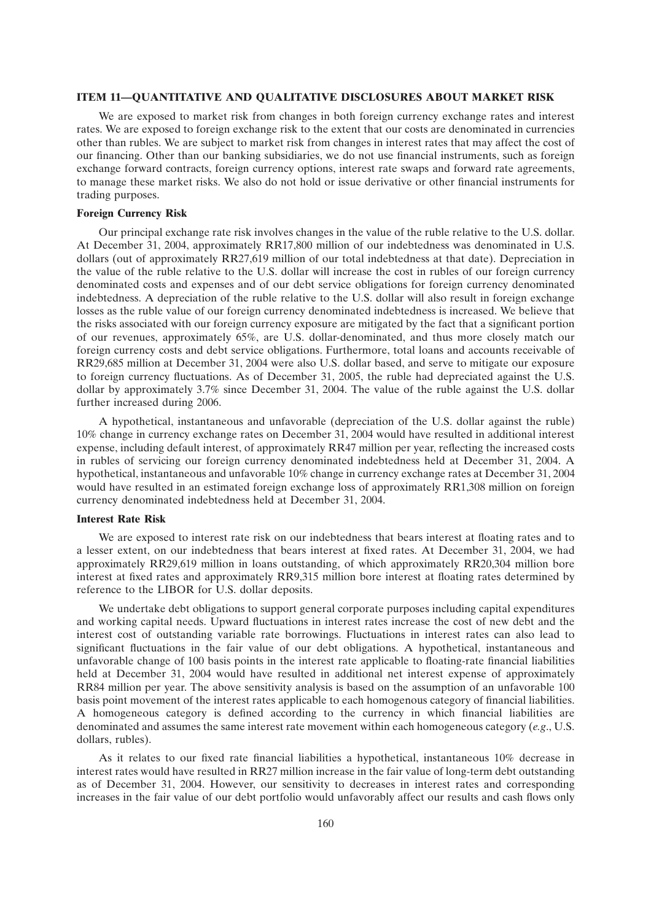#### **ITEM 11—QUANTITATIVE AND QUALITATIVE DISCLOSURES ABOUT MARKET RISK**

We are exposed to market risk from changes in both foreign currency exchange rates and interest rates. We are exposed to foreign exchange risk to the extent that our costs are denominated in currencies other than rubles. We are subject to market risk from changes in interest rates that may affect the cost of our financing. Other than our banking subsidiaries, we do not use financial instruments, such as foreign exchange forward contracts, foreign currency options, interest rate swaps and forward rate agreements, to manage these market risks. We also do not hold or issue derivative or other financial instruments for trading purposes.

## **Foreign Currency Risk**

Our principal exchange rate risk involves changes in the value of the ruble relative to the U.S. dollar. At December 31, 2004, approximately RR17,800 million of our indebtedness was denominated in U.S. dollars (out of approximately RR27,619 million of our total indebtedness at that date). Depreciation in the value of the ruble relative to the U.S. dollar will increase the cost in rubles of our foreign currency denominated costs and expenses and of our debt service obligations for foreign currency denominated indebtedness. A depreciation of the ruble relative to the U.S. dollar will also result in foreign exchange losses as the ruble value of our foreign currency denominated indebtedness is increased. We believe that the risks associated with our foreign currency exposure are mitigated by the fact that a significant portion of our revenues, approximately 65%, are U.S. dollar-denominated, and thus more closely match our foreign currency costs and debt service obligations. Furthermore, total loans and accounts receivable of RR29,685 million at December 31, 2004 were also U.S. dollar based, and serve to mitigate our exposure to foreign currency fluctuations. As of December 31, 2005, the ruble had depreciated against the U.S. dollar by approximately 3.7% since December 31, 2004. The value of the ruble against the U.S. dollar further increased during 2006.

A hypothetical, instantaneous and unfavorable (depreciation of the U.S. dollar against the ruble) 10% change in currency exchange rates on December 31, 2004 would have resulted in additional interest expense, including default interest, of approximately RR47 million per year, reflecting the increased costs in rubles of servicing our foreign currency denominated indebtedness held at December 31, 2004. A hypothetical, instantaneous and unfavorable 10% change in currency exchange rates at December 31, 2004 would have resulted in an estimated foreign exchange loss of approximately RR1,308 million on foreign currency denominated indebtedness held at December 31, 2004.

#### **Interest Rate Risk**

We are exposed to interest rate risk on our indebtedness that bears interest at floating rates and to a lesser extent, on our indebtedness that bears interest at fixed rates. At December 31, 2004, we had approximately RR29,619 million in loans outstanding, of which approximately RR20,304 million bore interest at fixed rates and approximately RR9,315 million bore interest at floating rates determined by reference to the LIBOR for U.S. dollar deposits.

We undertake debt obligations to support general corporate purposes including capital expenditures and working capital needs. Upward fluctuations in interest rates increase the cost of new debt and the interest cost of outstanding variable rate borrowings. Fluctuations in interest rates can also lead to significant fluctuations in the fair value of our debt obligations. A hypothetical, instantaneous and unfavorable change of 100 basis points in the interest rate applicable to floating-rate financial liabilities held at December 31, 2004 would have resulted in additional net interest expense of approximately RR84 million per year. The above sensitivity analysis is based on the assumption of an unfavorable 100 basis point movement of the interest rates applicable to each homogenous category of financial liabilities. A homogeneous category is defined according to the currency in which financial liabilities are denominated and assumes the same interest rate movement within each homogeneous category (*e.g*., U.S. dollars, rubles).

As it relates to our fixed rate financial liabilities a hypothetical, instantaneous 10% decrease in interest rates would have resulted in RR27 million increase in the fair value of long-term debt outstanding as of December 31, 2004. However, our sensitivity to decreases in interest rates and corresponding increases in the fair value of our debt portfolio would unfavorably affect our results and cash flows only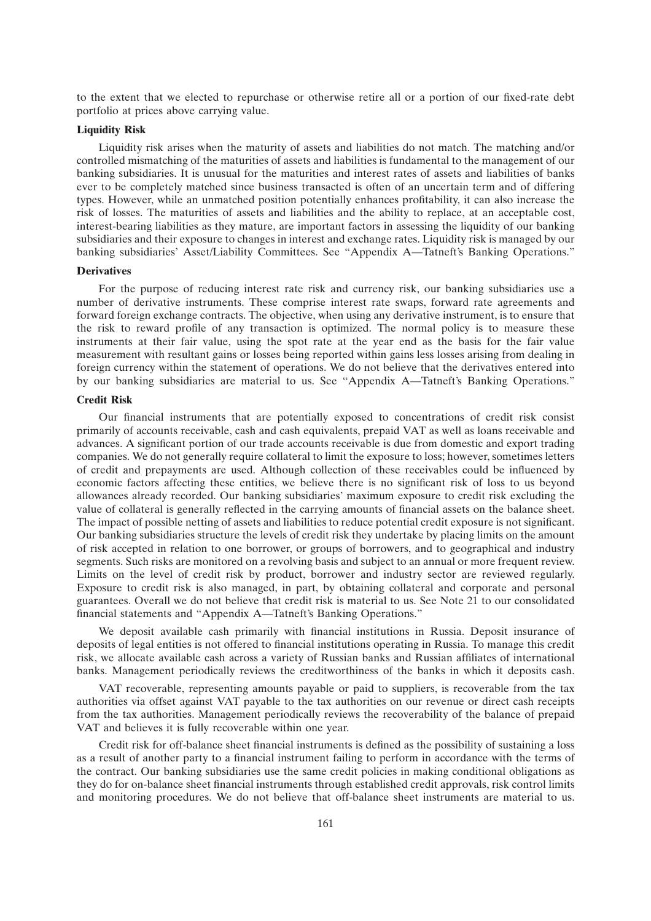to the extent that we elected to repurchase or otherwise retire all or a portion of our fixed-rate debt portfolio at prices above carrying value.

#### **Liquidity Risk**

Liquidity risk arises when the maturity of assets and liabilities do not match. The matching and/or controlled mismatching of the maturities of assets and liabilities is fundamental to the management of our banking subsidiaries. It is unusual for the maturities and interest rates of assets and liabilities of banks ever to be completely matched since business transacted is often of an uncertain term and of differing types. However, while an unmatched position potentially enhances profitability, it can also increase the risk of losses. The maturities of assets and liabilities and the ability to replace, at an acceptable cost, interest-bearing liabilities as they mature, are important factors in assessing the liquidity of our banking subsidiaries and their exposure to changes in interest and exchange rates. Liquidity risk is managed by our banking subsidiaries' Asset/Liability Committees. See "Appendix A-Tatneft's Banking Operations."

#### **Derivatives**

For the purpose of reducing interest rate risk and currency risk, our banking subsidiaries use a number of derivative instruments. These comprise interest rate swaps, forward rate agreements and forward foreign exchange contracts. The objective, when using any derivative instrument, is to ensure that the risk to reward profile of any transaction is optimized. The normal policy is to measure these instruments at their fair value, using the spot rate at the year end as the basis for the fair value measurement with resultant gains or losses being reported within gains less losses arising from dealing in foreign currency within the statement of operations. We do not believe that the derivatives entered into by our banking subsidiaries are material to us. See ''Appendix A—Tatneft's Banking Operations.''

## **Credit Risk**

Our financial instruments that are potentially exposed to concentrations of credit risk consist primarily of accounts receivable, cash and cash equivalents, prepaid VAT as well as loans receivable and advances. A significant portion of our trade accounts receivable is due from domestic and export trading companies. We do not generally require collateral to limit the exposure to loss; however, sometimes letters of credit and prepayments are used. Although collection of these receivables could be influenced by economic factors affecting these entities, we believe there is no significant risk of loss to us beyond allowances already recorded. Our banking subsidiaries' maximum exposure to credit risk excluding the value of collateral is generally reflected in the carrying amounts of financial assets on the balance sheet. The impact of possible netting of assets and liabilities to reduce potential credit exposure is not significant. Our banking subsidiaries structure the levels of credit risk they undertake by placing limits on the amount of risk accepted in relation to one borrower, or groups of borrowers, and to geographical and industry segments. Such risks are monitored on a revolving basis and subject to an annual or more frequent review. Limits on the level of credit risk by product, borrower and industry sector are reviewed regularly. Exposure to credit risk is also managed, in part, by obtaining collateral and corporate and personal guarantees. Overall we do not believe that credit risk is material to us. See Note 21 to our consolidated financial statements and ''Appendix A—Tatneft's Banking Operations.''

We deposit available cash primarily with financial institutions in Russia. Deposit insurance of deposits of legal entities is not offered to financial institutions operating in Russia. To manage this credit risk, we allocate available cash across a variety of Russian banks and Russian affiliates of international banks. Management periodically reviews the creditworthiness of the banks in which it deposits cash.

VAT recoverable, representing amounts payable or paid to suppliers, is recoverable from the tax authorities via offset against VAT payable to the tax authorities on our revenue or direct cash receipts from the tax authorities. Management periodically reviews the recoverability of the balance of prepaid VAT and believes it is fully recoverable within one year.

Credit risk for off-balance sheet financial instruments is defined as the possibility of sustaining a loss as a result of another party to a financial instrument failing to perform in accordance with the terms of the contract. Our banking subsidiaries use the same credit policies in making conditional obligations as they do for on-balance sheet financial instruments through established credit approvals, risk control limits and monitoring procedures. We do not believe that off-balance sheet instruments are material to us.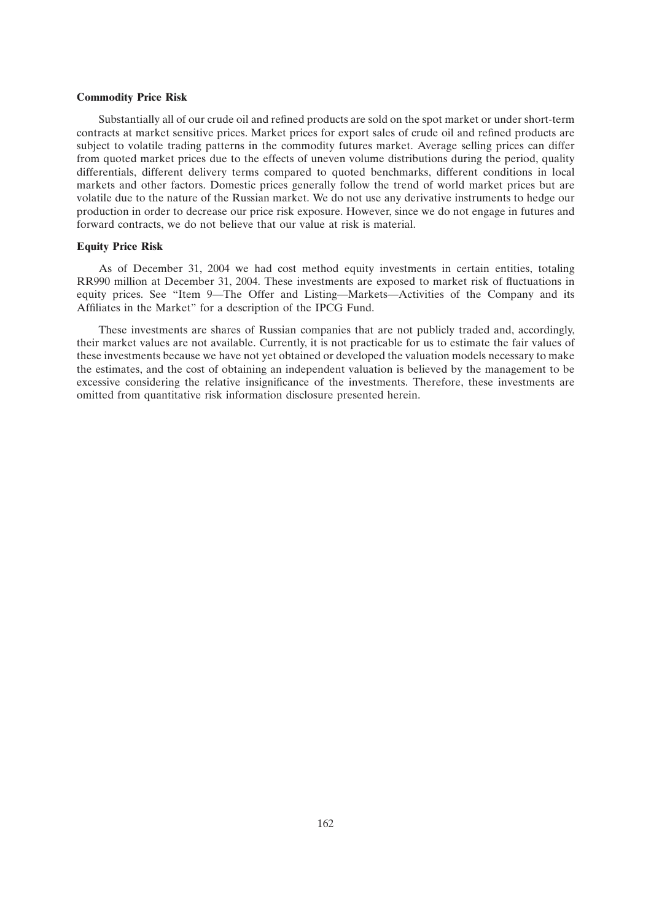#### **Commodity Price Risk**

Substantially all of our crude oil and refined products are sold on the spot market or under short-term contracts at market sensitive prices. Market prices for export sales of crude oil and refined products are subject to volatile trading patterns in the commodity futures market. Average selling prices can differ from quoted market prices due to the effects of uneven volume distributions during the period, quality differentials, different delivery terms compared to quoted benchmarks, different conditions in local markets and other factors. Domestic prices generally follow the trend of world market prices but are volatile due to the nature of the Russian market. We do not use any derivative instruments to hedge our production in order to decrease our price risk exposure. However, since we do not engage in futures and forward contracts, we do not believe that our value at risk is material.

#### **Equity Price Risk**

As of December 31, 2004 we had cost method equity investments in certain entities, totaling RR990 million at December 31, 2004. These investments are exposed to market risk of fluctuations in equity prices. See ''Item 9—The Offer and Listing—Markets—Activities of the Company and its Affiliates in the Market'' for a description of the IPCG Fund.

These investments are shares of Russian companies that are not publicly traded and, accordingly, their market values are not available. Currently, it is not practicable for us to estimate the fair values of these investments because we have not yet obtained or developed the valuation models necessary to make the estimates, and the cost of obtaining an independent valuation is believed by the management to be excessive considering the relative insignificance of the investments. Therefore, these investments are omitted from quantitative risk information disclosure presented herein.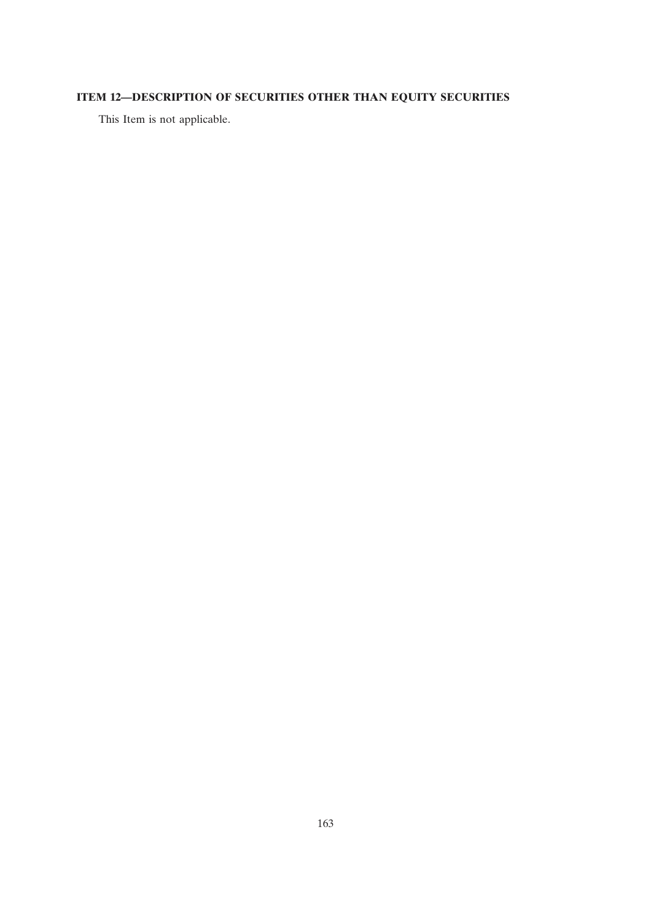# **ITEM 12—DESCRIPTION OF SECURITIES OTHER THAN EQUITY SECURITIES**

This Item is not applicable.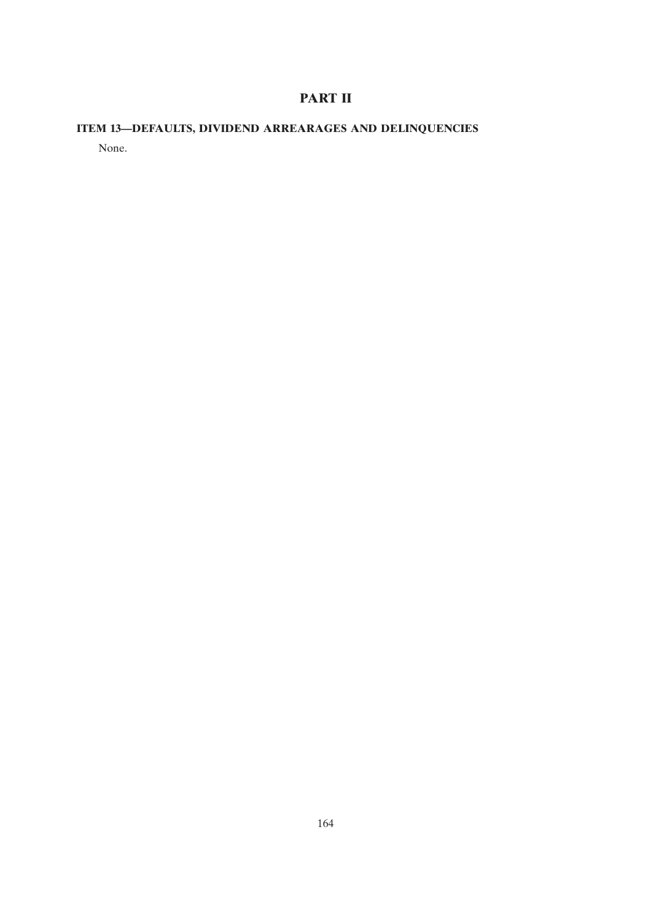# **PART II**

# **ITEM 13—DEFAULTS, DIVIDEND ARREARAGES AND DELINQUENCIES**

None.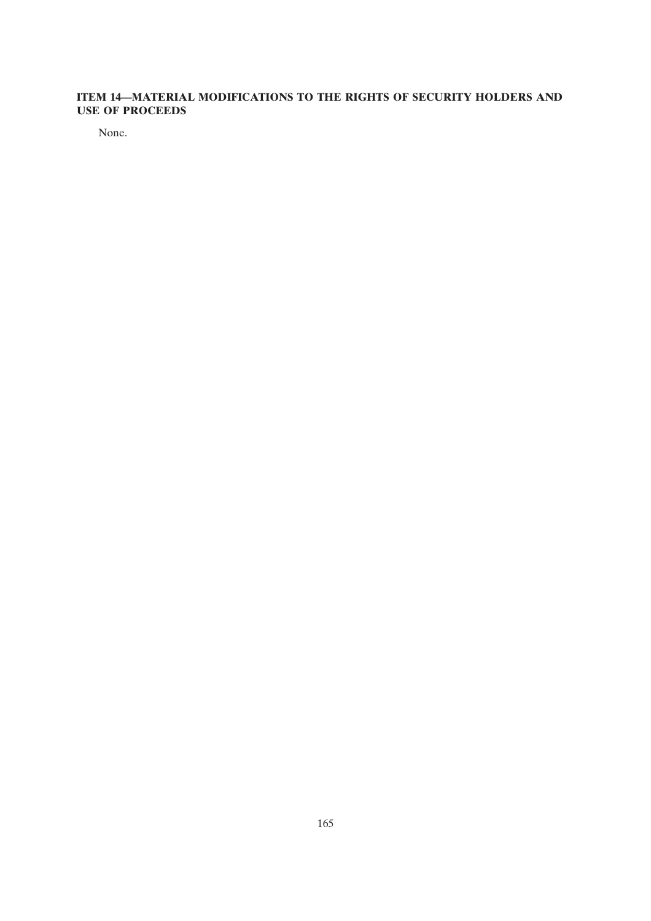## **ITEM 14—MATERIAL MODIFICATIONS TO THE RIGHTS OF SECURITY HOLDERS AND USE OF PROCEEDS**

None.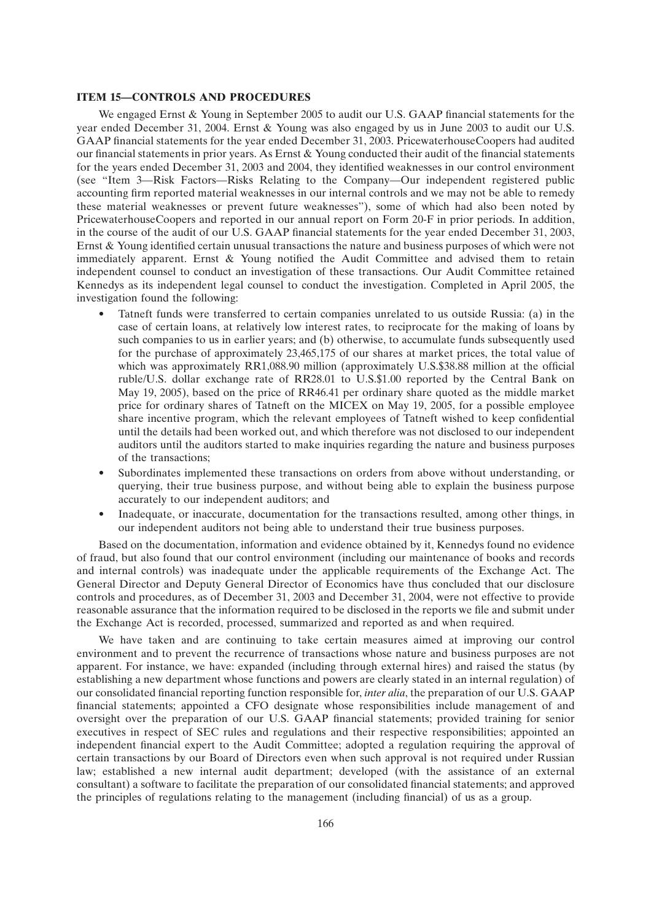#### **ITEM 15—CONTROLS AND PROCEDURES**

We engaged Ernst & Young in September 2005 to audit our U.S. GAAP financial statements for the year ended December 31, 2004. Ernst & Young was also engaged by us in June 2003 to audit our U.S. GAAP financial statements for the year ended December 31, 2003. PricewaterhouseCoopers had audited our financial statements in prior years. As Ernst & Young conducted their audit of the financial statements for the years ended December 31, 2003 and 2004, they identified weaknesses in our control environment (see ''Item 3—Risk Factors—Risks Relating to the Company—Our independent registered public accounting firm reported material weaknesses in our internal controls and we may not be able to remedy these material weaknesses or prevent future weaknesses''), some of which had also been noted by PricewaterhouseCoopers and reported in our annual report on Form 20-F in prior periods. In addition, in the course of the audit of our U.S. GAAP financial statements for the year ended December 31, 2003, Ernst & Young identified certain unusual transactions the nature and business purposes of which were not immediately apparent. Ernst & Young notified the Audit Committee and advised them to retain independent counsel to conduct an investigation of these transactions. Our Audit Committee retained Kennedys as its independent legal counsel to conduct the investigation. Completed in April 2005, the investigation found the following:

- Tatneft funds were transferred to certain companies unrelated to us outside Russia: (a) in the case of certain loans, at relatively low interest rates, to reciprocate for the making of loans by such companies to us in earlier years; and (b) otherwise, to accumulate funds subsequently used for the purchase of approximately 23,465,175 of our shares at market prices, the total value of which was approximately RR1,088.90 million (approximately U.S.\$38.88 million at the official ruble/U.S. dollar exchange rate of RR28.01 to U.S.\$1.00 reported by the Central Bank on May 19, 2005), based on the price of RR46.41 per ordinary share quoted as the middle market price for ordinary shares of Tatneft on the MICEX on May 19, 2005, for a possible employee share incentive program, which the relevant employees of Tatneft wished to keep confidential until the details had been worked out, and which therefore was not disclosed to our independent auditors until the auditors started to make inquiries regarding the nature and business purposes of the transactions;
- Subordinates implemented these transactions on orders from above without understanding, or querying, their true business purpose, and without being able to explain the business purpose accurately to our independent auditors; and
- Inadequate, or inaccurate, documentation for the transactions resulted, among other things, in our independent auditors not being able to understand their true business purposes.

Based on the documentation, information and evidence obtained by it, Kennedys found no evidence of fraud, but also found that our control environment (including our maintenance of books and records and internal controls) was inadequate under the applicable requirements of the Exchange Act. The General Director and Deputy General Director of Economics have thus concluded that our disclosure controls and procedures, as of December 31, 2003 and December 31, 2004, were not effective to provide reasonable assurance that the information required to be disclosed in the reports we file and submit under the Exchange Act is recorded, processed, summarized and reported as and when required.

We have taken and are continuing to take certain measures aimed at improving our control environment and to prevent the recurrence of transactions whose nature and business purposes are not apparent. For instance, we have: expanded (including through external hires) and raised the status (by establishing a new department whose functions and powers are clearly stated in an internal regulation) of our consolidated financial reporting function responsible for, *inter alia*, the preparation of our U.S. GAAP financial statements; appointed a CFO designate whose responsibilities include management of and oversight over the preparation of our U.S. GAAP financial statements; provided training for senior executives in respect of SEC rules and regulations and their respective responsibilities; appointed an independent financial expert to the Audit Committee; adopted a regulation requiring the approval of certain transactions by our Board of Directors even when such approval is not required under Russian law; established a new internal audit department; developed (with the assistance of an external consultant) a software to facilitate the preparation of our consolidated financial statements; and approved the principles of regulations relating to the management (including financial) of us as a group.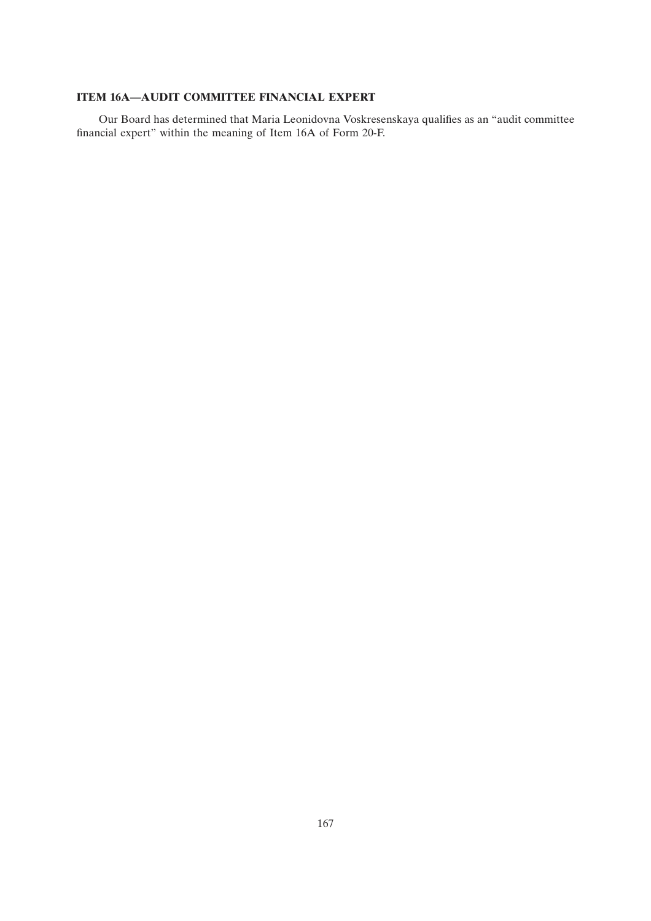## **ITEM 16A—AUDIT COMMITTEE FINANCIAL EXPERT**

Our Board has determined that Maria Leonidovna Voskresenskaya qualifies as an ''audit committee financial expert'' within the meaning of Item 16A of Form 20-F.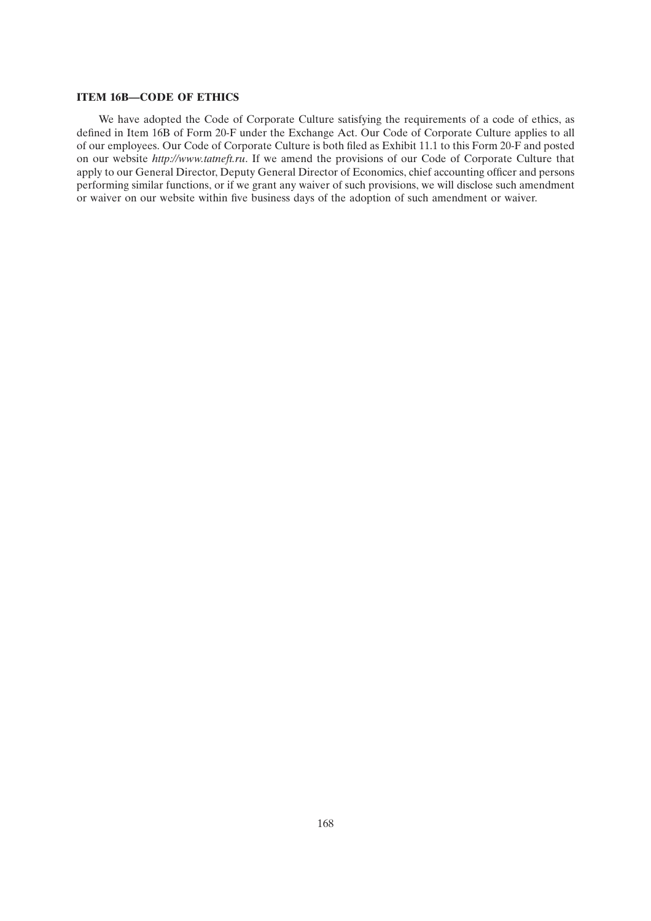## **ITEM 16B—CODE OF ETHICS**

We have adopted the Code of Corporate Culture satisfying the requirements of a code of ethics, as defined in Item 16B of Form 20-F under the Exchange Act. Our Code of Corporate Culture applies to all of our employees. Our Code of Corporate Culture is both filed as Exhibit 11.1 to this Form 20-F and posted on our website *http://www.tatneft.ru*. If we amend the provisions of our Code of Corporate Culture that apply to our General Director, Deputy General Director of Economics, chief accounting officer and persons performing similar functions, or if we grant any waiver of such provisions, we will disclose such amendment or waiver on our website within five business days of the adoption of such amendment or waiver.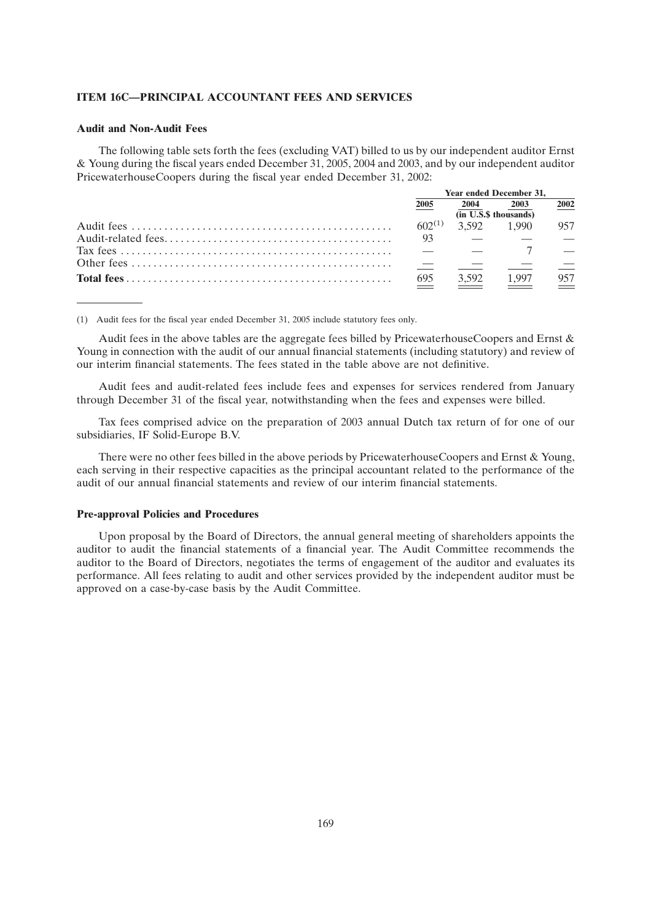## **ITEM 16C—PRINCIPAL ACCOUNTANT FEES AND SERVICES**

#### **Audit and Non-Audit Fees**

The following table sets forth the fees (excluding VAT) billed to us by our independent auditor Ernst & Young during the fiscal years ended December 31, 2005, 2004 and 2003, and by our independent auditor PricewaterhouseCoopers during the fiscal year ended December 31, 2002:

| <b>Year ended December 31.</b>   |                         |                                                                                                                                                                                                                                                                                                                                                                                                                                                                                 |      |
|----------------------------------|-------------------------|---------------------------------------------------------------------------------------------------------------------------------------------------------------------------------------------------------------------------------------------------------------------------------------------------------------------------------------------------------------------------------------------------------------------------------------------------------------------------------|------|
| 2005                             | 2004                    | 2003                                                                                                                                                                                                                                                                                                                                                                                                                                                                            | 2002 |
| $(n\overline{U.S.}\$$ thousands) |                         |                                                                                                                                                                                                                                                                                                                                                                                                                                                                                 |      |
|                                  | $602^{(1)}$ 3.592 1.990 |                                                                                                                                                                                                                                                                                                                                                                                                                                                                                 | 957  |
| - 93                             |                         | 1991 - Andrea Maria (1992 - 1992 - 1992 - 1992 - 1992 - 1992 - 1992 - 1992 - 1992 - 1992 - 1992 - 1993 - 1994                                                                                                                                                                                                                                                                                                                                                                   |      |
|                                  |                         | $\overline{\phantom{a}}$ $\overline{\phantom{a}}$ $\overline{\phantom{a}}$ $\overline{\phantom{a}}$ $\overline{\phantom{a}}$ $\overline{\phantom{a}}$ $\overline{\phantom{a}}$ $\overline{\phantom{a}}$ $\overline{\phantom{a}}$ $\overline{\phantom{a}}$ $\overline{\phantom{a}}$ $\overline{\phantom{a}}$ $\overline{\phantom{a}}$ $\overline{\phantom{a}}$ $\overline{\phantom{a}}$ $\overline{\phantom{a}}$ $\overline{\phantom{a}}$ $\overline{\phantom{a}}$ $\overline{\$ |      |
|                                  |                         |                                                                                                                                                                                                                                                                                                                                                                                                                                                                                 |      |
| 695                              |                         | 3.592 1.997                                                                                                                                                                                                                                                                                                                                                                                                                                                                     | 957  |

(1) Audit fees for the fiscal year ended December 31, 2005 include statutory fees only.

Audit fees in the above tables are the aggregate fees billed by PricewaterhouseCoopers and Ernst & Young in connection with the audit of our annual financial statements (including statutory) and review of our interim financial statements. The fees stated in the table above are not definitive.

Audit fees and audit-related fees include fees and expenses for services rendered from January through December 31 of the fiscal year, notwithstanding when the fees and expenses were billed.

Tax fees comprised advice on the preparation of 2003 annual Dutch tax return of for one of our subsidiaries, IF Solid-Europe B.V.

There were no other fees billed in the above periods by PricewaterhouseCoopers and Ernst & Young, each serving in their respective capacities as the principal accountant related to the performance of the audit of our annual financial statements and review of our interim financial statements.

#### **Pre-approval Policies and Procedures**

Upon proposal by the Board of Directors, the annual general meeting of shareholders appoints the auditor to audit the financial statements of a financial year. The Audit Committee recommends the auditor to the Board of Directors, negotiates the terms of engagement of the auditor and evaluates its performance. All fees relating to audit and other services provided by the independent auditor must be approved on a case-by-case basis by the Audit Committee.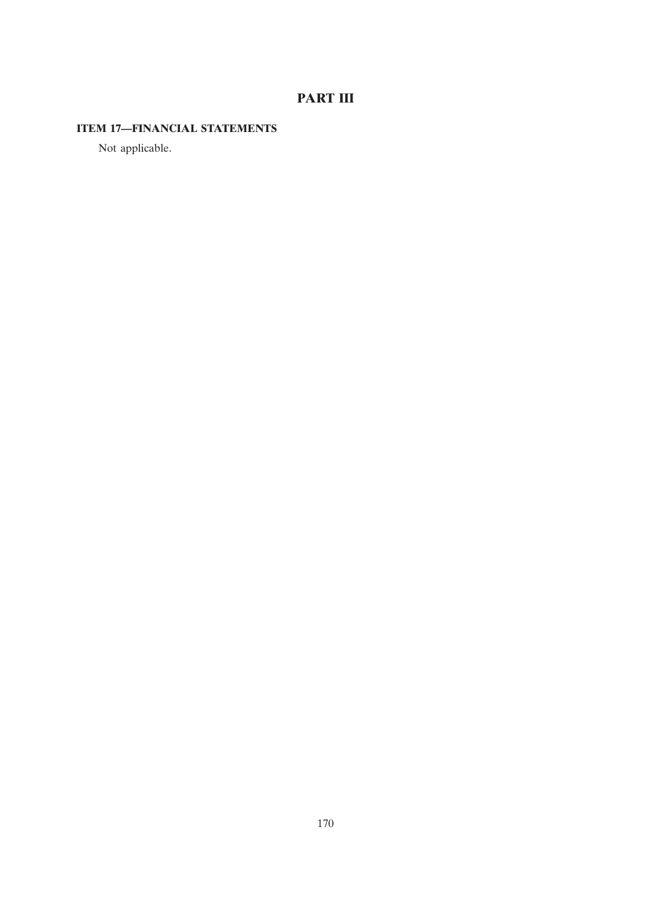# **PART III**

# **ITEM 17—FINANCIAL STATEMENTS**

Not applicable.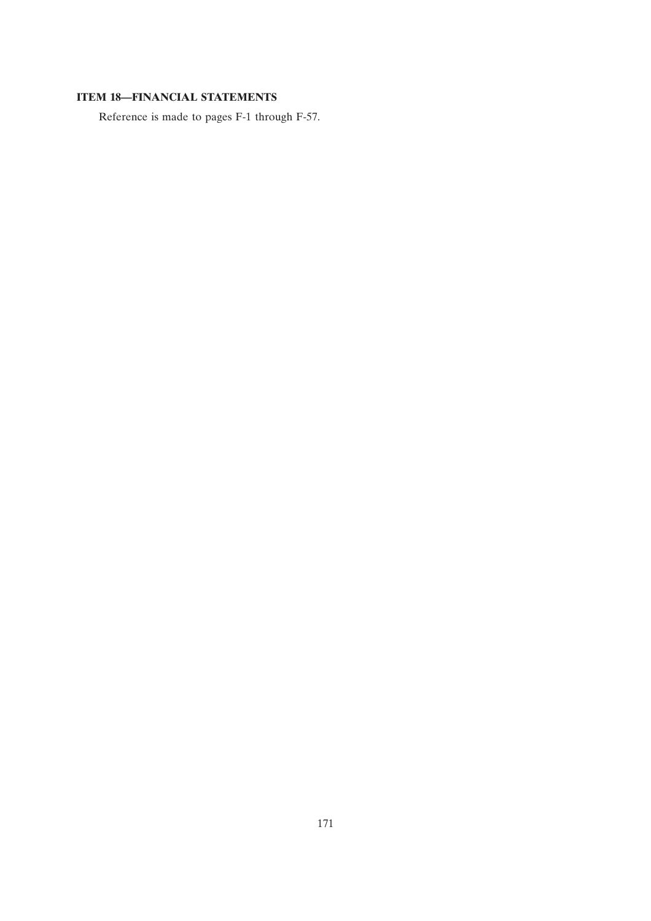## **ITEM 18—FINANCIAL STATEMENTS**

Reference is made to pages F-1 through F-57.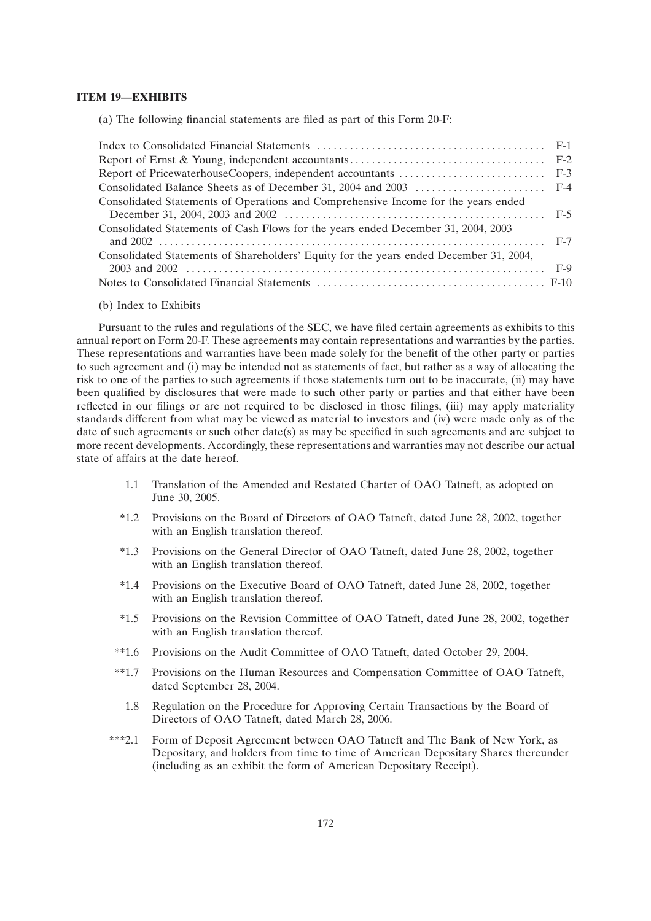## **ITEM 19—EXHIBITS**

(a) The following financial statements are filed as part of this Form 20-F:

| Consolidated Statements of Operations and Comprehensive Income for the years ended     |  |
|----------------------------------------------------------------------------------------|--|
| Consolidated Statements of Cash Flows for the years ended December 31, 2004, 2003      |  |
| Consolidated Statements of Shareholders' Equity for the years ended December 31, 2004, |  |
|                                                                                        |  |
|                                                                                        |  |
|                                                                                        |  |

(b) Index to Exhibits

Pursuant to the rules and regulations of the SEC, we have filed certain agreements as exhibits to this annual report on Form 20-F. These agreements may contain representations and warranties by the parties. These representations and warranties have been made solely for the benefit of the other party or parties to such agreement and (i) may be intended not as statements of fact, but rather as a way of allocating the risk to one of the parties to such agreements if those statements turn out to be inaccurate, (ii) may have been qualified by disclosures that were made to such other party or parties and that either have been reflected in our filings or are not required to be disclosed in those filings, (iii) may apply materiality standards different from what may be viewed as material to investors and (iv) were made only as of the date of such agreements or such other date(s) as may be specified in such agreements and are subject to more recent developments. Accordingly, these representations and warranties may not describe our actual state of affairs at the date hereof.

- 1.1 Translation of the Amended and Restated Charter of OAO Tatneft, as adopted on June 30, 2005.
- \*1.2 Provisions on the Board of Directors of OAO Tatneft, dated June 28, 2002, together with an English translation thereof.
- \*1.3 Provisions on the General Director of OAO Tatneft, dated June 28, 2002, together with an English translation thereof.
- \*1.4 Provisions on the Executive Board of OAO Tatneft, dated June 28, 2002, together with an English translation thereof.
- \*1.5 Provisions on the Revision Committee of OAO Tatneft, dated June 28, 2002, together with an English translation thereof.
- \*\*1.6 Provisions on the Audit Committee of OAO Tatneft, dated October 29, 2004.
- \*\*1.7 Provisions on the Human Resources and Compensation Committee of OAO Tatneft, dated September 28, 2004.
	- 1.8 Regulation on the Procedure for Approving Certain Transactions by the Board of Directors of OAO Tatneft, dated March 28, 2006.
- \*\*\*2.1 Form of Deposit Agreement between OAO Tatneft and The Bank of New York, as Depositary, and holders from time to time of American Depositary Shares thereunder (including as an exhibit the form of American Depositary Receipt).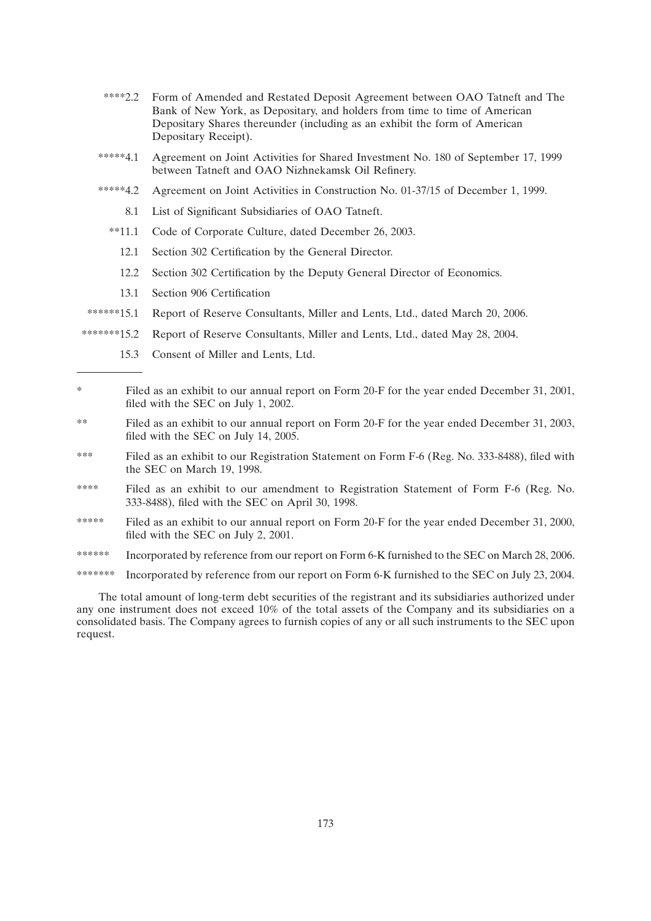- \*\*\*\*2.2 Form of Amended and Restated Deposit Agreement between OAO Tatneft and The Bank of New York, as Depositary, and holders from time to time of American Depositary Shares thereunder (including as an exhibit the form of American Depositary Receipt).
- \*\*\*\*\*4.1 Agreement on Joint Activities for Shared Investment No. 180 of September 17, 1999 between Tatneft and OAO Nizhnekamsk Oil Refinery.
- \*\*\*\*\*4.2 Agreement on Joint Activities in Construction No. 01-37/15 of December 1, 1999.
	- 8.1 List of Significant Subsidiaries of OAO Tatneft.
	- \*\*11.1 Code of Corporate Culture, dated December 26, 2003.
		- 12.1 Section 302 Certification by the General Director.
		- 12.2 Section 302 Certification by the Deputy General Director of Economics.
		- 13.1 Section 906 Certification
- \*\*\*\*\*\*15.1 Report of Reserve Consultants, Miller and Lents, Ltd., dated March 20, 2006.
- \*\*\*\*\*\*\*15.2 Report of Reserve Consultants, Miller and Lents, Ltd., dated May 28, 2004.
	- 15.3 Consent of Miller and Lents, Ltd.
- \* Filed as an exhibit to our annual report on Form 20-F for the year ended December 31, 2001, filed with the SEC on July 1, 2002.
- \*\* Filed as an exhibit to our annual report on Form 20-F for the year ended December 31, 2003, filed with the SEC on July 14, 2005.
- \*\*\* Filed as an exhibit to our Registration Statement on Form F-6 (Reg. No. 333-8488), filed with the SEC on March 19, 1998.
- \*\*\*\* Filed as an exhibit to our amendment to Registration Statement of Form F-6 (Reg. No. 333-8488), filed with the SEC on April 30, 1998.
- \*\*\*\*\* Filed as an exhibit to our annual report on Form 20-F for the year ended December 31, 2000, filed with the SEC on July 2, 2001.
- \*\*\*\*\*\* Incorporated by reference from our report on Form 6-K furnished to the SEC on March 28, 2006.
- \*\*\*\*\*\*\* Incorporated by reference from our report on Form 6-K furnished to the SEC on July 23, 2004.

The total amount of long-term debt securities of the registrant and its subsidiaries authorized under any one instrument does not exceed 10% of the total assets of the Company and its subsidiaries on a consolidated basis. The Company agrees to furnish copies of any or all such instruments to the SEC upon request.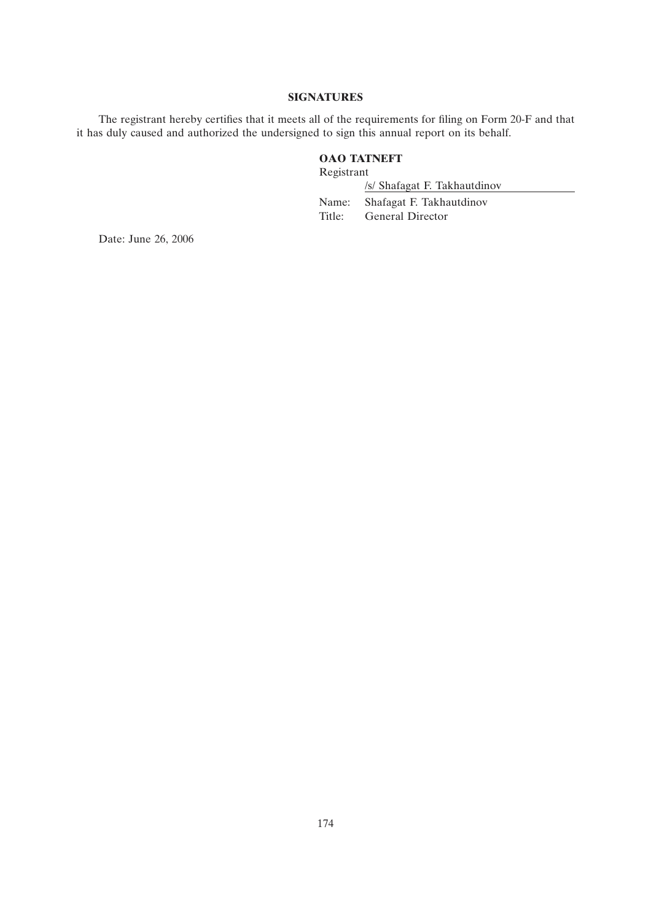## **SIGNATURES**

The registrant hereby certifies that it meets all of the requirements for filing on Form 20-F and that it has duly caused and authorized the undersigned to sign this annual report on its behalf.

# **OAO TATNEFT**

Registrant

/s/ Shafagat F. Takhautdinov Name: Shafagat F. Takhautdinov Title: General Director

Date: June 26, 2006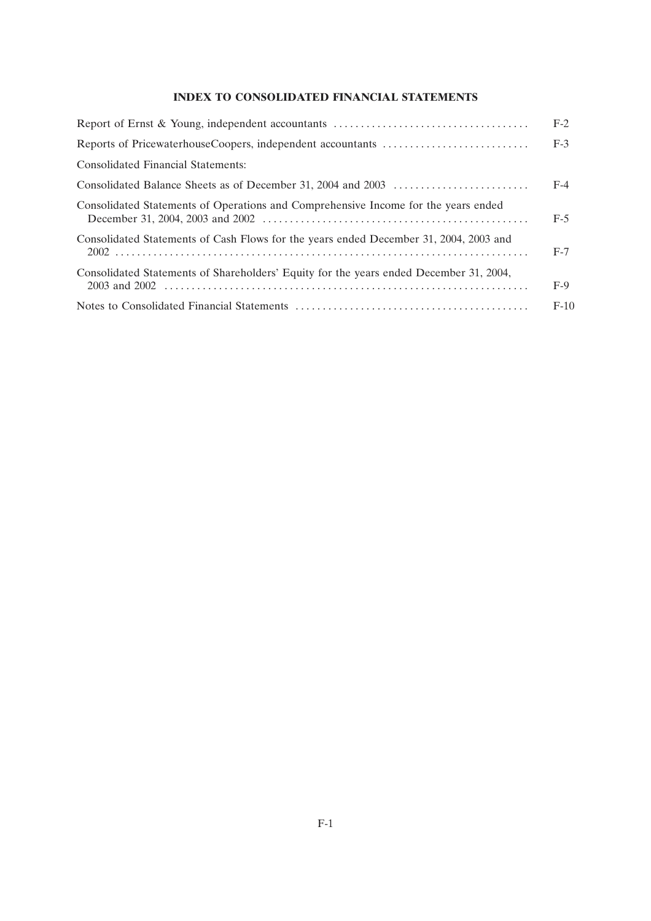## **INDEX TO CONSOLIDATED FINANCIAL STATEMENTS**

|                                                                                        | $F-2$  |
|----------------------------------------------------------------------------------------|--------|
|                                                                                        | $F-3$  |
| <b>Consolidated Financial Statements:</b>                                              |        |
|                                                                                        | $F-4$  |
| Consolidated Statements of Operations and Comprehensive Income for the years ended     | $F-5$  |
| Consolidated Statements of Cash Flows for the years ended December 31, 2004, 2003 and  | $F-7$  |
| Consolidated Statements of Shareholders' Equity for the years ended December 31, 2004, | $F-9$  |
|                                                                                        | $F-10$ |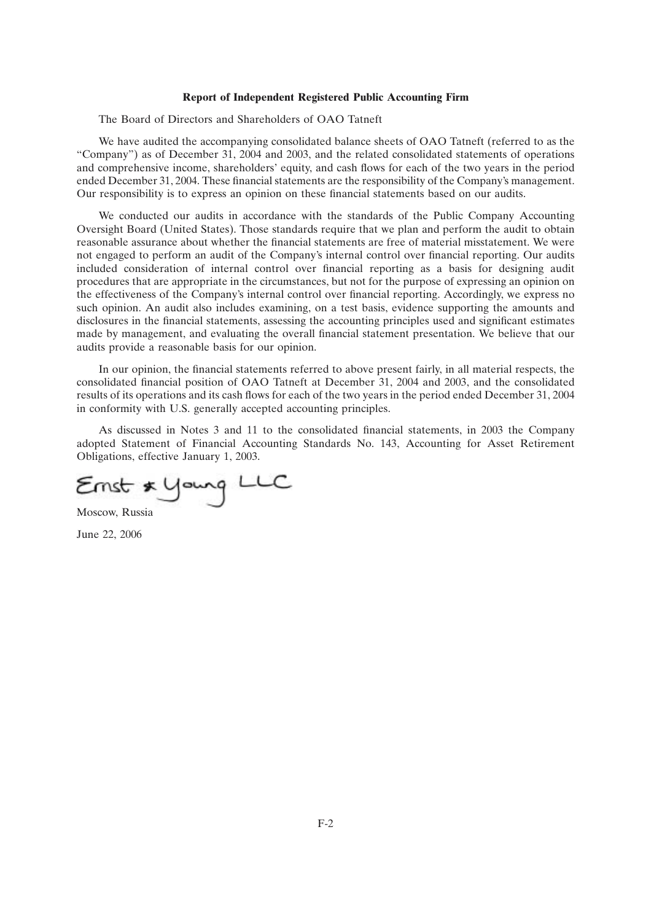#### **Report of Independent Registered Public Accounting Firm**

The Board of Directors and Shareholders of OAO Tatneft

We have audited the accompanying consolidated balance sheets of OAO Tatneft (referred to as the ''Company'') as of December 31, 2004 and 2003, and the related consolidated statements of operations and comprehensive income, shareholders' equity, and cash flows for each of the two years in the period ended December 31, 2004. These financial statements are the responsibility of the Company's management. Our responsibility is to express an opinion on these financial statements based on our audits.

We conducted our audits in accordance with the standards of the Public Company Accounting Oversight Board (United States). Those standards require that we plan and perform the audit to obtain reasonable assurance about whether the financial statements are free of material misstatement. We were not engaged to perform an audit of the Company's internal control over financial reporting. Our audits included consideration of internal control over financial reporting as a basis for designing audit procedures that are appropriate in the circumstances, but not for the purpose of expressing an opinion on the effectiveness of the Company's internal control over financial reporting. Accordingly, we express no such opinion. An audit also includes examining, on a test basis, evidence supporting the amounts and disclosures in the financial statements, assessing the accounting principles used and significant estimates made by management, and evaluating the overall financial statement presentation. We believe that our audits provide a reasonable basis for our opinion.

In our opinion, the financial statements referred to above present fairly, in all material respects, the consolidated financial position of OAO Tatneft at December 31, 2004 and 2003, and the consolidated results of its operations and its cash flows for each of the two years in the period ended December 31, 2004 in conformity with U.S. generally accepted accounting principles.

As discussed in Notes 3 and 11 to the consolidated financial statements, in 2003 the Company adopted Statement of Financial Accounting Standards No. 143, Accounting for Asset Retirement Obligations, effective January 1, 2003.

Ernst \* Young LLC

Moscow, Russia

June 22, 2006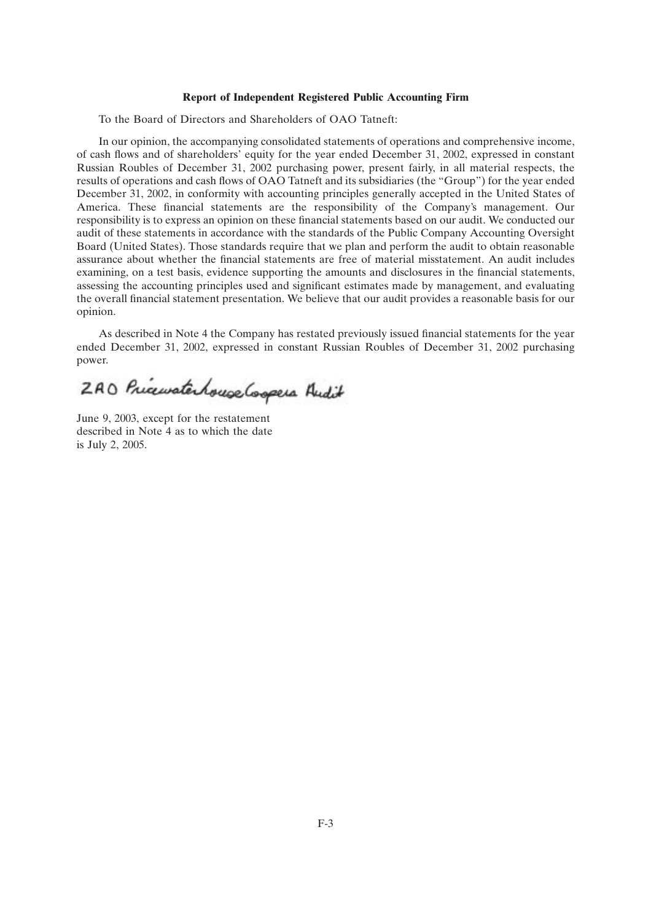#### **Report of Independent Registered Public Accounting Firm**

To the Board of Directors and Shareholders of OAO Tatneft:

In our opinion, the accompanying consolidated statements of operations and comprehensive income, of cash flows and of shareholders' equity for the year ended December 31, 2002, expressed in constant Russian Roubles of December 31, 2002 purchasing power, present fairly, in all material respects, the results of operations and cash flows of OAO Tatneft and its subsidiaries (the ''Group'') for the year ended December 31, 2002, in conformity with accounting principles generally accepted in the United States of America. These financial statements are the responsibility of the Company's management. Our responsibility is to express an opinion on these financial statements based on our audit. We conducted our audit of these statements in accordance with the standards of the Public Company Accounting Oversight Board (United States). Those standards require that we plan and perform the audit to obtain reasonable assurance about whether the financial statements are free of material misstatement. An audit includes examining, on a test basis, evidence supporting the amounts and disclosures in the financial statements, assessing the accounting principles used and significant estimates made by management, and evaluating the overall financial statement presentation. We believe that our audit provides a reasonable basis for our opinion.

As described in Note 4 the Company has restated previously issued financial statements for the year ended December 31, 2002, expressed in constant Russian Roubles of December 31, 2002 purchasing power.

2AO Pricewaterhouse Gospers Andit

June 9, 2003, except for the restatement described in Note 4 as to which the date is July 2, 2005.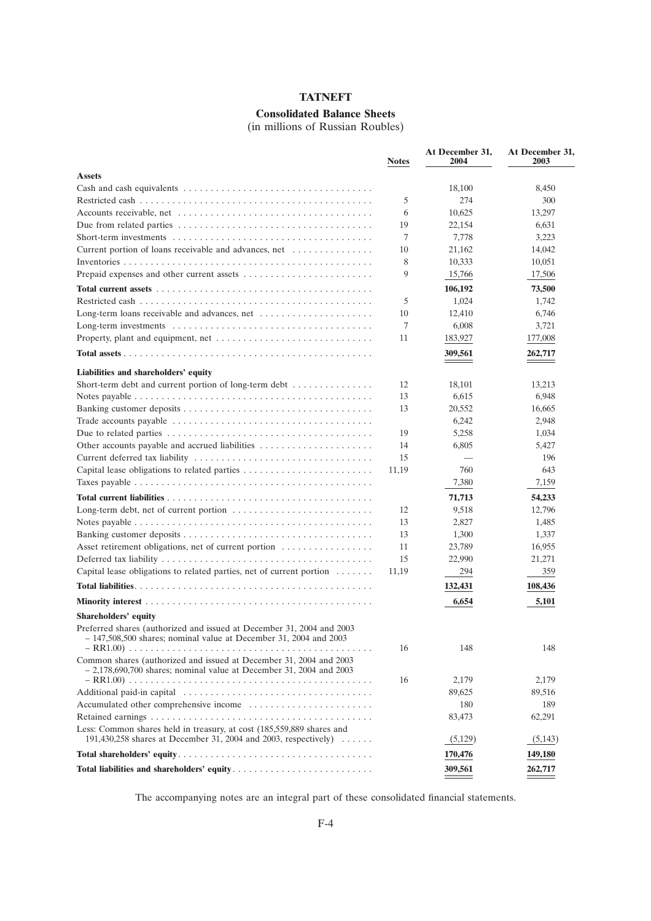# **Consolidated Balance Sheets**

(in millions of Russian Roubles)

|                                                                                                                                            | <b>Notes</b> | At December 31,<br>2004 | At December 31,<br>2003 |
|--------------------------------------------------------------------------------------------------------------------------------------------|--------------|-------------------------|-------------------------|
| <b>Assets</b>                                                                                                                              |              |                         |                         |
|                                                                                                                                            |              | 18,100                  | 8,450                   |
|                                                                                                                                            | 5            | 274                     | 300                     |
|                                                                                                                                            | 6            | 10,625                  | 13,297                  |
| Due from related parties $\dots \dots \dots \dots \dots \dots \dots \dots \dots \dots \dots \dots \dots$                                   | 19           | 22,154                  | 6,631                   |
|                                                                                                                                            | 7            | 7,778                   | 3,223                   |
| Current portion of loans receivable and advances, net                                                                                      | 10           | 21,162                  | 14,042                  |
|                                                                                                                                            | 8            | 10,333                  | 10,051                  |
|                                                                                                                                            | 9            | 15,766                  | 17,506                  |
|                                                                                                                                            |              | 106,192                 | 73,500                  |
|                                                                                                                                            | 5            | 1,024                   | 1,742                   |
| Long-term loans receivable and advances, net                                                                                               | 10           | 12,410                  | 6,746                   |
|                                                                                                                                            | 7            | 6,008                   | 3,721                   |
|                                                                                                                                            | 11           | 183,927                 | 177,008                 |
|                                                                                                                                            |              | 309,561                 | 262,717                 |
|                                                                                                                                            |              |                         |                         |
| Liabilities and shareholders' equity                                                                                                       |              |                         |                         |
| Short-term debt and current portion of long-term debt                                                                                      | 12           | 18,101                  | 13,213                  |
|                                                                                                                                            | 13           | 6,615                   | 6,948                   |
|                                                                                                                                            | 13           | 20,552                  | 16,665                  |
| Trade accounts payable $\dots \dots \dots \dots \dots \dots \dots \dots \dots \dots \dots \dots \dots$                                     |              | 6,242                   | 2,948                   |
|                                                                                                                                            | 19           | 5,258                   | 1,034                   |
|                                                                                                                                            | 14           | 6,805                   | 5,427                   |
|                                                                                                                                            | 15           |                         | 196                     |
|                                                                                                                                            | 11,19        | 760                     | 643                     |
|                                                                                                                                            |              | 7,380                   | 7,159                   |
|                                                                                                                                            |              | 71,713                  | 54,233                  |
| Long-term debt, net of current portion $\dots \dots \dots \dots \dots \dots \dots \dots \dots$                                             | 12           | 9,518                   | 12,796                  |
|                                                                                                                                            | 13           | 2,827                   | 1,485                   |
|                                                                                                                                            | 13           | 1,300                   | 1,337                   |
| Asset retirement obligations, net of current portion                                                                                       | 11           | 23,789                  | 16,955                  |
|                                                                                                                                            | 15           | 22,990                  | 21,271                  |
| Capital lease obligations to related parties, net of current portion $\dots \dots$                                                         | 11,19        | 294                     | 359                     |
|                                                                                                                                            |              | 132,431                 | 108,436                 |
|                                                                                                                                            |              | 6,654                   | 5,101                   |
| Shareholders' equity                                                                                                                       |              |                         |                         |
| Preferred shares (authorized and issued at December 31, 2004 and 2003<br>– 147,508,500 shares; nominal value at December 31, 2004 and 2003 |              |                         |                         |
|                                                                                                                                            | 16           | 148                     | 148                     |
| Common shares (authorized and issued at December 31, 2004 and 2003<br>$-2,178,690,700$ shares; nominal value at December 31, 2004 and 2003 |              |                         |                         |
|                                                                                                                                            | 16           | 2,179                   | 2,179                   |
|                                                                                                                                            |              | 89,625                  | 89,516                  |
|                                                                                                                                            |              | 180                     | 189                     |
|                                                                                                                                            |              | 83,473                  | 62,291                  |
| Less: Common shares held in treasury, at cost (185,559,889 shares and<br>191,430,258 shares at December 31, 2004 and 2003, respectively)   |              | (5,129)                 | (5,143)                 |
|                                                                                                                                            |              | 170,476                 | 149,180                 |
|                                                                                                                                            |              | 309,561                 | 262,717                 |

The accompanying notes are an integral part of these consolidated financial statements.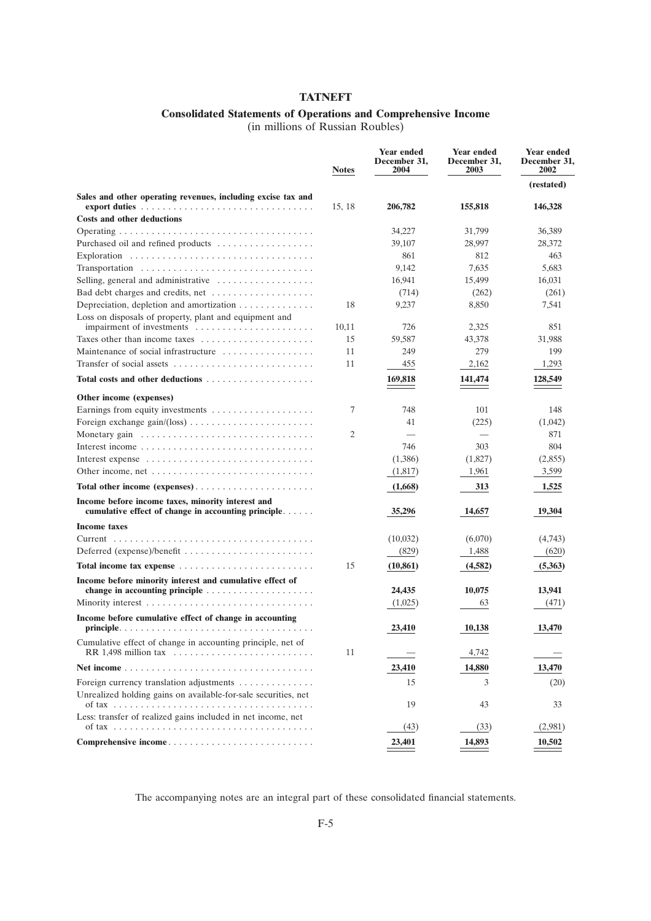## **Consolidated Statements of Operations and Comprehensive Income**

(in millions of Russian Roubles)

|                                                                                                                                                              | <b>Notes</b> | <b>Year ended</b><br>December 31,<br>2004 | <b>Year ended</b><br>December 31,<br>2003 | <b>Year ended</b><br>December 31.<br>2002 |
|--------------------------------------------------------------------------------------------------------------------------------------------------------------|--------------|-------------------------------------------|-------------------------------------------|-------------------------------------------|
|                                                                                                                                                              |              |                                           |                                           | (restated)                                |
| Sales and other operating revenues, including excise tax and<br>export duties $\ldots \ldots \ldots \ldots \ldots \ldots \ldots \ldots \ldots \ldots \ldots$ | 15, 18       | 206,782                                   | 155,818                                   | 146,328                                   |
| <b>Costs and other deductions</b>                                                                                                                            |              |                                           |                                           |                                           |
|                                                                                                                                                              |              | 34,227                                    | 31,799                                    | 36,389                                    |
| Purchased oil and refined products                                                                                                                           |              | 39,107                                    | 28,997                                    | 28,372                                    |
|                                                                                                                                                              |              | 861                                       | 812                                       | 463                                       |
| Transportation                                                                                                                                               |              | 9,142                                     | 7,635                                     | 5,683                                     |
| Selling, general and administrative $\dots \dots \dots \dots \dots$                                                                                          |              | 16,941                                    | 15,499                                    | 16.031                                    |
| Bad debt charges and credits, net $\dots \dots \dots \dots \dots$                                                                                            |              | (714)                                     | (262)                                     | (261)                                     |
| Depreciation, depletion and amortization $\dots \dots \dots \dots$                                                                                           | 18           | 9,237                                     | 8,850                                     | 7,541                                     |
| Loss on disposals of property, plant and equipment and                                                                                                       |              |                                           |                                           |                                           |
| impairment of investments                                                                                                                                    | 10,11        | 726                                       | 2,325                                     | 851                                       |
| Taxes other than income taxes                                                                                                                                | 15           | 59,587                                    | 43,378                                    | 31,988                                    |
| Maintenance of social infrastructure                                                                                                                         | 11           | 249                                       | 279                                       | 199                                       |
|                                                                                                                                                              | 11           | 455                                       | 2,162                                     | 1,293                                     |
| <b>Total costs and other deductions</b>                                                                                                                      |              | 169,818                                   | 141,474                                   | 128,549                                   |
| Other income (expenses)                                                                                                                                      |              |                                           |                                           |                                           |
|                                                                                                                                                              | 7            | 748                                       | 101                                       | 148                                       |
|                                                                                                                                                              |              | 41                                        | (225)                                     | (1,042)                                   |
| Monetary gain                                                                                                                                                | 2            |                                           |                                           | 871                                       |
|                                                                                                                                                              |              | 746                                       | 303                                       | 804                                       |
| Interest expense                                                                                                                                             |              | (1,386)                                   | (1,827)                                   | (2,855)                                   |
|                                                                                                                                                              |              | (1,817)                                   | 1,961                                     | 3,599                                     |
| Total other income (expenses)                                                                                                                                |              | (1,668)                                   | 313                                       | 1,525                                     |
| Income before income taxes, minority interest and<br>cumulative effect of change in accounting principle                                                     |              | 35,296                                    | 14,657                                    | 19,304                                    |
| <b>Income taxes</b>                                                                                                                                          |              |                                           |                                           |                                           |
|                                                                                                                                                              |              | (10,032)                                  | (6,070)                                   | (4,743)                                   |
| Deferred (expense)/benefit $\dots\dots\dots\dots\dots\dots\dots\dots\dots\dots$                                                                              |              | (829)                                     | 1,488                                     | (620)                                     |
| Total income tax expense                                                                                                                                     | 15           | (10, 861)                                 | (4, 582)                                  | (5,363)                                   |
| Income before minority interest and cumulative effect of                                                                                                     |              |                                           |                                           |                                           |
| change in accounting principle $\ldots \ldots \ldots \ldots \ldots \ldots$                                                                                   |              | 24,435                                    | 10,075                                    | 13,941                                    |
|                                                                                                                                                              |              | (1,025)                                   | 63                                        | (471)                                     |
| Income before cumulative effect of change in accounting                                                                                                      |              | 23,410                                    | 10,138                                    | 13,470                                    |
| Cumulative effect of change in accounting principle, net of                                                                                                  |              |                                           |                                           |                                           |
|                                                                                                                                                              | 11           |                                           | 4,742                                     |                                           |
|                                                                                                                                                              |              | 23,410                                    | 14,880                                    | 13,470                                    |
| Foreign currency translation adjustments                                                                                                                     |              | 15                                        | 3                                         | (20)                                      |
| Unrealized holding gains on available-for-sale securities, net                                                                                               |              |                                           |                                           |                                           |
|                                                                                                                                                              |              | 19                                        | 43                                        | 33                                        |
| Less: transfer of realized gains included in net income, net                                                                                                 |              | (43)                                      | (33)                                      | (2,981)                                   |
| Comprehensive income                                                                                                                                         |              | 23,401                                    | 14,893                                    | 10,502                                    |

The accompanying notes are an integral part of these consolidated financial statements.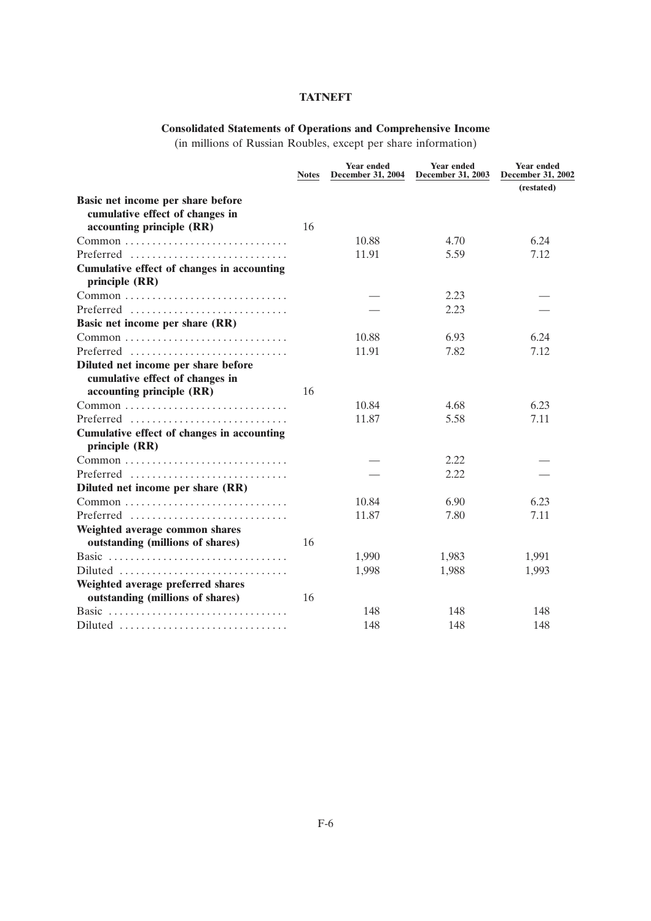# **Consolidated Statements of Operations and Comprehensive Income**

(in millions of Russian Roubles, except per share information)

|                                                                                                   | <b>Notes</b> | <b>Year ended</b><br><b>December 31, 2004</b> | <b>Year ended</b><br><b>December 31, 2003</b> | <b>Year ended</b><br><b>December 31, 2002</b> |
|---------------------------------------------------------------------------------------------------|--------------|-----------------------------------------------|-----------------------------------------------|-----------------------------------------------|
|                                                                                                   |              |                                               |                                               | (restated)                                    |
| Basic net income per share before<br>cumulative effect of changes in<br>accounting principle (RR) | 16           |                                               |                                               |                                               |
|                                                                                                   |              | 10.88                                         | 4.70                                          | 6.24                                          |
| Preferred                                                                                         |              | 11.91                                         | 5.59                                          | 7.12                                          |
| <b>Cumulative effect of changes in accounting</b><br>principle (RR)                               |              |                                               |                                               |                                               |
|                                                                                                   |              |                                               | 2.23                                          |                                               |
| Preferred                                                                                         |              |                                               | 2.23                                          |                                               |
| Basic net income per share (RR)                                                                   |              |                                               |                                               |                                               |
|                                                                                                   |              | 10.88                                         | 6.93                                          | 6.24                                          |
| Preferred                                                                                         |              | 11.91                                         | 7.82                                          | 7.12                                          |
| Diluted net income per share before<br>cumulative effect of changes in                            |              |                                               |                                               |                                               |
| accounting principle (RR)                                                                         | 16           |                                               |                                               |                                               |
| $Common \dots \dots \dots \dots \dots \dots \dots \dots \dots \dots$                              |              | 10.84                                         | 4.68                                          | 6.23                                          |
| Preferred                                                                                         |              | 11.87                                         | 5.58                                          | 7.11                                          |
| <b>Cumulative effect of changes in accounting</b><br>principle (RR)                               |              |                                               |                                               |                                               |
| $Common \dots \dots \dots \dots \dots \dots \dots \dots \dots \dots$                              |              |                                               | 2.22                                          |                                               |
| Preferred                                                                                         |              |                                               | 2.22                                          |                                               |
| Diluted net income per share (RR)                                                                 |              |                                               |                                               |                                               |
|                                                                                                   |              | 10.84                                         | 6.90                                          | 6.23                                          |
| Preferred                                                                                         |              | 11.87                                         | 7.80                                          | 7.11                                          |
| Weighted average common shares<br>outstanding (millions of shares)                                | 16           |                                               |                                               |                                               |
| Basic                                                                                             |              | 1,990                                         | 1,983                                         | 1,991                                         |
| $Diluted \dots \dots \dots \dots \dots \dots \dots \dots \dots \dots$                             |              | 1,998                                         | 1,988                                         | 1,993                                         |
| Weighted average preferred shares                                                                 |              |                                               |                                               |                                               |
| outstanding (millions of shares)                                                                  | 16           |                                               |                                               |                                               |
| Basic                                                                                             |              | 148                                           | 148                                           | 148                                           |
| Diluted                                                                                           |              | 148                                           | 148                                           | 148                                           |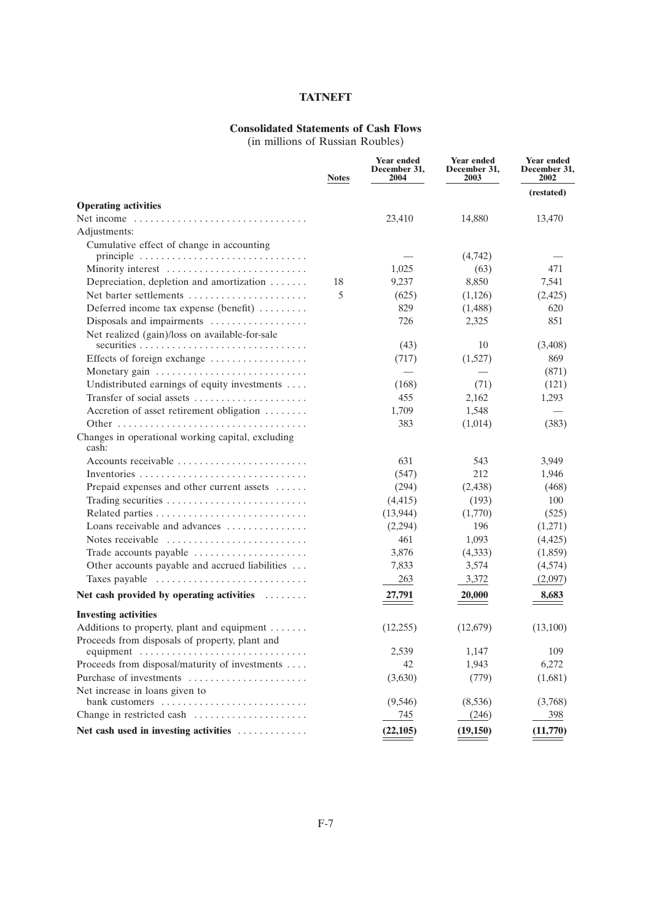## **Consolidated Statements of Cash Flows**

(in millions of Russian Roubles)

|                                                                                   | <b>Notes</b> | <b>Year ended</b><br>December 31,<br>2004 | <b>Year ended</b><br>December 31,<br>2003 | <b>Year ended</b><br>December 31,<br>2002 |
|-----------------------------------------------------------------------------------|--------------|-------------------------------------------|-------------------------------------------|-------------------------------------------|
|                                                                                   |              |                                           |                                           | (restated)                                |
| <b>Operating activities</b>                                                       |              |                                           |                                           |                                           |
| Net income                                                                        |              | 23,410                                    | 14,880                                    | 13,470                                    |
| Adjustments:                                                                      |              |                                           |                                           |                                           |
| Cumulative effect of change in accounting                                         |              |                                           |                                           |                                           |
| principle $\ldots \ldots \ldots \ldots \ldots \ldots \ldots \ldots \ldots \ldots$ |              |                                           | (4,742)                                   |                                           |
| Minority interest                                                                 |              | 1,025                                     | (63)                                      | 471                                       |
| Depreciation, depletion and amortization                                          | 18           | 9,237                                     | 8,850                                     | 7,541                                     |
| Net barter settlements                                                            | 5            | (625)                                     | (1,126)                                   | (2,425)                                   |
| Deferred income tax expense (benefit)                                             |              | 829                                       | (1,488)                                   | 620                                       |
| Disposals and impairments                                                         |              | 726                                       | 2,325                                     | 851                                       |
| Net realized (gain)/loss on available-for-sale                                    |              |                                           |                                           |                                           |
|                                                                                   |              | (43)                                      | 10                                        | (3,408)                                   |
| Effects of foreign exchange                                                       |              | (717)                                     | (1,527)                                   | 869                                       |
| Monetary gain                                                                     |              |                                           |                                           | (871)                                     |
| Undistributed earnings of equity investments                                      |              | (168)                                     | (71)                                      | (121)                                     |
| Transfer of social assets                                                         |              | 455                                       | 2,162                                     | 1,293                                     |
| Accretion of asset retirement obligation                                          |              | 1,709                                     | 1,548                                     |                                           |
|                                                                                   |              | 383                                       | (1,014)                                   | (383)                                     |
| Changes in operational working capital, excluding<br>cash:                        |              |                                           |                                           |                                           |
| Accounts receivable $\dots\dots\dots\dots\dots\dots\dots\dots$                    |              | 631                                       | 543                                       | 3,949                                     |
|                                                                                   |              | (547)                                     | 212                                       | 1,946                                     |
| Prepaid expenses and other current assets                                         |              | (294)                                     | (2,438)                                   | (468)                                     |
| Trading securities                                                                |              | (4, 415)                                  | (193)                                     | 100                                       |
|                                                                                   |              | (13, 944)                                 | (1,770)                                   | (525)                                     |
| Loans receivable and advances $\dots\dots\dots\dots$                              |              | (2,294)                                   | 196                                       | (1,271)                                   |
| Notes receivable                                                                  |              | 461                                       | 1,093                                     | (4, 425)                                  |
| Trade accounts payable                                                            |              | 3,876                                     | (4,333)                                   | (1,859)                                   |
| Other accounts payable and accrued liabilities                                    |              | 7,833                                     | 3,574                                     | (4,574)                                   |
| Taxes payable                                                                     |              | 263                                       | 3,372                                     | (2,097)                                   |
| Net cash provided by operating activities                                         |              | 27,791                                    | 20,000                                    | 8,683                                     |
| <b>Investing activities</b>                                                       |              |                                           |                                           |                                           |
| Additions to property, plant and equipment                                        |              | (12,255)                                  | (12,679)                                  | (13,100)                                  |
| Proceeds from disposals of property, plant and                                    |              |                                           |                                           |                                           |
| equipment $\ldots \ldots \ldots \ldots \ldots \ldots \ldots \ldots \ldots$        |              | 2,539                                     | 1,147                                     | 109                                       |
| Proceeds from disposal/maturity of investments                                    |              | 42                                        | 1,943                                     | 6,272                                     |
| Purchase of investments                                                           |              | (3,630)                                   | (779)                                     | (1,681)                                   |
| Net increase in loans given to                                                    |              |                                           |                                           |                                           |
| bank customers                                                                    |              | (9, 546)                                  | (8,536)                                   | (3,768)                                   |
| Change in restricted cash                                                         |              | 745                                       | (246)                                     | 398                                       |
| Net cash used in investing activities                                             |              | (22, 105)                                 | (19, 150)                                 | (11,770)                                  |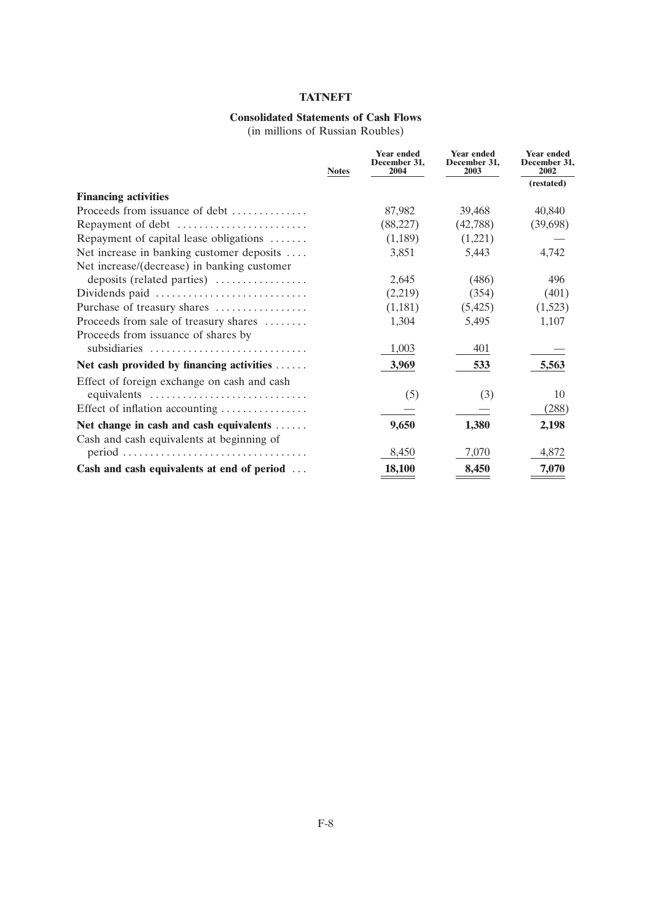## **Consolidated Statements of Cash Flows**

(in millions of Russian Roubles)

|                                                                            | <b>Notes</b> | <b>Year ended</b><br>December 31,<br>2004 | <b>Year ended</b><br>December 31,<br>2003 | Year ended<br>December 31.<br>2002 |
|----------------------------------------------------------------------------|--------------|-------------------------------------------|-------------------------------------------|------------------------------------|
|                                                                            |              |                                           |                                           | (restated)                         |
| <b>Financing activities</b>                                                |              |                                           |                                           |                                    |
| Proceeds from issuance of debt                                             |              | 87,982                                    | 39,468                                    | 40,840                             |
| Repayment of debt                                                          |              | (88,227)                                  | (42,788)                                  | (39,698)                           |
| Repayment of capital lease obligations                                     |              | (1,189)                                   | (1,221)                                   |                                    |
| Net increase in banking customer deposits                                  |              | 3,851                                     | 5,443                                     | 4,742                              |
| Net increase/(decrease) in banking customer                                |              |                                           |                                           |                                    |
| deposits (related parties)                                                 |              | 2,645                                     | (486)                                     | 496                                |
| Dividends paid                                                             |              | (2,219)                                   | (354)                                     | (401)                              |
| Purchase of treasury shares                                                |              | (1,181)                                   | (5,425)                                   | (1,523)                            |
| Proceeds from sale of treasury shares                                      |              | 1,304                                     | 5,495                                     | 1,107                              |
| Proceeds from issuance of shares by                                        |              |                                           |                                           |                                    |
| subsidiaries                                                               |              | 1,003                                     | 401                                       |                                    |
| Net cash provided by financing activities                                  |              | 3,969                                     | 533                                       | 5,563                              |
| Effect of foreign exchange on cash and cash                                |              |                                           |                                           |                                    |
| equivalents                                                                |              | (5)                                       | (3)                                       | 10                                 |
| Effect of inflation accounting                                             |              |                                           |                                           | (288)                              |
| Net change in cash and cash equivalents                                    |              | 9,650                                     | 1,380                                     | 2,198                              |
| Cash and cash equivalents at beginning of                                  |              |                                           |                                           |                                    |
| $period \dots \dots \dots \dots \dots \dots \dots \dots \dots \dots \dots$ |              | 8,450                                     | 7,070                                     | 4,872                              |
| Cash and cash equivalents at end of period                                 |              | 18,100                                    | 8,450                                     | 7,070                              |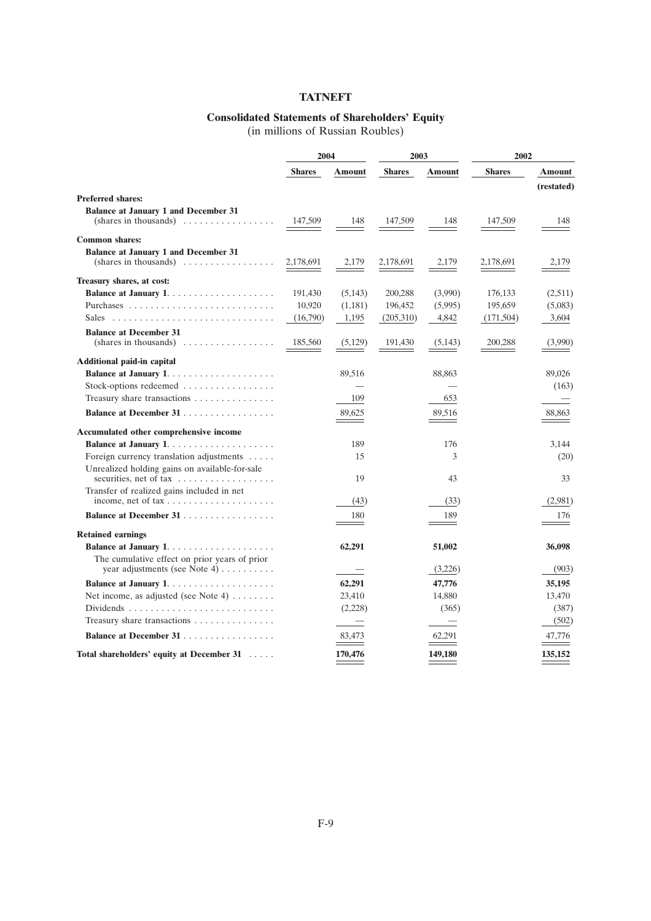## **Consolidated Statements of Shareholders' Equity**

(in millions of Russian Roubles)

|                                                                                                            | 2004          |                          | 2003          |                          | 2002          |               |
|------------------------------------------------------------------------------------------------------------|---------------|--------------------------|---------------|--------------------------|---------------|---------------|
|                                                                                                            | <b>Shares</b> | Amount                   | <b>Shares</b> | <b>Amount</b>            | <b>Shares</b> | <b>Amount</b> |
|                                                                                                            |               |                          |               |                          |               | (restated)    |
| <b>Preferred shares:</b>                                                                                   |               |                          |               |                          |               |               |
| <b>Balance at January 1 and December 31</b><br>$(shares in thousands) \dots \dots \dots \dots \dots \dots$ | 147,509       | 148                      | 147,509       | 148                      | 147,509       | 148           |
| <b>Common shares:</b>                                                                                      |               |                          |               |                          |               |               |
| <b>Balance at January 1 and December 31</b><br>$(shares in thousands) \dots \dots \dots \dots \dots \dots$ | 2,178,691     | 2,179                    | 2,178,691     | 2,179                    | 2,178,691     | 2,179         |
| Treasury shares, at cost:                                                                                  |               |                          |               |                          |               |               |
| <b>Balance at January 1</b>                                                                                | 191,430       | (5,143)                  | 200,288       | (3,990)                  | 176,133       | (2,511)       |
|                                                                                                            | 10,920        | (1,181)                  | 196,452       | (5,995)                  | 195,659       | (5,083)       |
|                                                                                                            | (16,790)      | 1,195                    | (205,310)     | 4,842                    | (171, 504)    | 3,604         |
| <b>Balance at December 31</b>                                                                              |               |                          |               |                          |               |               |
| $(shares in thousands) \dots \dots \dots \dots \dots \dots$                                                | 185,560       | (5,129)                  | 191,430       | (5, 143)                 | 200,288       | (3,990)       |
| <b>Additional paid-in capital</b>                                                                          |               |                          |               |                          |               |               |
|                                                                                                            |               | 89,516                   |               | 88,863                   |               | 89,026        |
| Stock-options redeemed $\dots\dots\dots\dots\dots\dots$                                                    |               |                          |               |                          |               | (163)         |
| Treasury share transactions                                                                                |               | 109                      |               | 653                      |               |               |
| Balance at December 31                                                                                     |               | 89,625                   |               | 89,516                   |               | 88,863        |
| Accumulated other comprehensive income                                                                     |               |                          |               |                          |               |               |
|                                                                                                            |               | 189                      |               | 176                      |               | 3,144         |
| Foreign currency translation adjustments<br>Unrealized holding gains on available-for-sale                 |               | 15                       |               | 3                        |               | (20)          |
| securities, net of tax                                                                                     |               | 19                       |               | 43                       |               | 33            |
| Transfer of realized gains included in net                                                                 |               |                          |               |                          |               |               |
| income, net of $tax \ldots \ldots \ldots \ldots \ldots$                                                    |               | (43)                     |               | (33)                     |               | (2,981)       |
| Balance at December 31                                                                                     |               | 180                      |               | 189                      |               | 176           |
| <b>Retained earnings</b>                                                                                   |               |                          |               |                          |               |               |
|                                                                                                            |               | 62,291                   |               | 51,002                   |               | 36,098        |
| The cumulative effect on prior years of prior<br>year adjustments (see Note 4) $\dots \dots$               |               |                          |               | (3,226)                  |               | (903)         |
|                                                                                                            |               | 62,291                   |               | 47,776                   |               | 35,195        |
| Net income, as adjusted (see Note 4) $\dots \dots$                                                         |               | 23,410                   |               | 14,880                   |               | 13,470        |
|                                                                                                            |               | (2,228)                  |               | (365)                    |               | (387)         |
| Treasury share transactions                                                                                |               | $\overline{\phantom{0}}$ |               | $\overline{\phantom{m}}$ |               | (502)         |
| Balance at December 31                                                                                     |               | 83,473                   |               | 62.291                   |               | 47,776        |
| Total shareholders' equity at December 31                                                                  |               | 170,476                  |               | 149,180                  |               | 135,152       |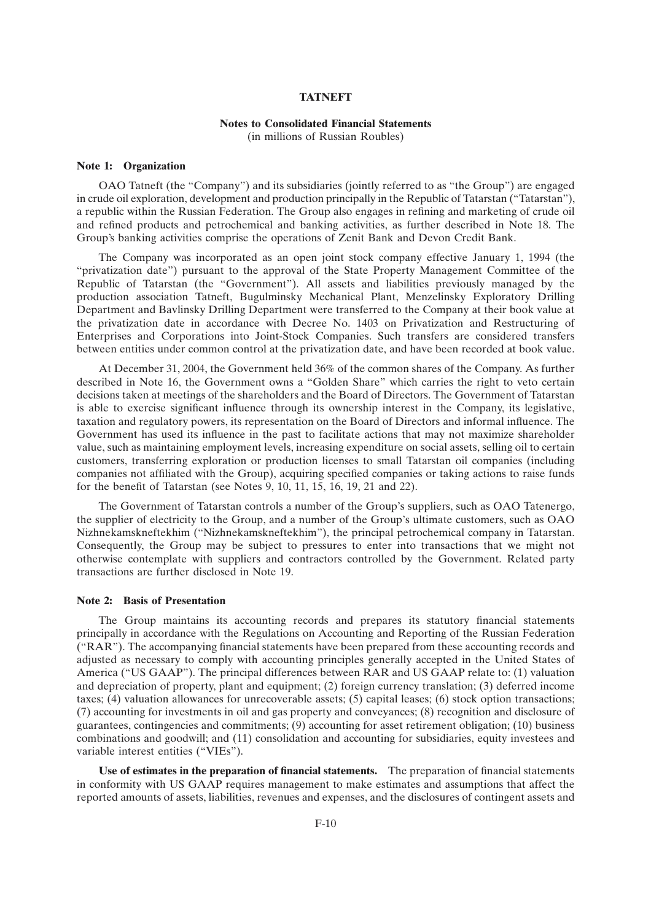#### **Notes to Consolidated Financial Statements**

(in millions of Russian Roubles)

#### **Note 1: Organization**

OAO Tatneft (the "Company") and its subsidiaries (jointly referred to as "the Group") are engaged in crude oil exploration, development and production principally in the Republic of Tatarstan (''Tatarstan''), a republic within the Russian Federation. The Group also engages in refining and marketing of crude oil and refined products and petrochemical and banking activities, as further described in Note 18. The Group's banking activities comprise the operations of Zenit Bank and Devon Credit Bank.

The Company was incorporated as an open joint stock company effective January 1, 1994 (the ''privatization date'') pursuant to the approval of the State Property Management Committee of the Republic of Tatarstan (the ''Government''). All assets and liabilities previously managed by the production association Tatneft, Bugulminsky Mechanical Plant, Menzelinsky Exploratory Drilling Department and Bavlinsky Drilling Department were transferred to the Company at their book value at the privatization date in accordance with Decree No. 1403 on Privatization and Restructuring of Enterprises and Corporations into Joint-Stock Companies. Such transfers are considered transfers between entities under common control at the privatization date, and have been recorded at book value.

At December 31, 2004, the Government held 36% of the common shares of the Company. As further described in Note 16, the Government owns a "Golden Share" which carries the right to veto certain decisions taken at meetings of the shareholders and the Board of Directors. The Government of Tatarstan is able to exercise significant influence through its ownership interest in the Company, its legislative, taxation and regulatory powers, its representation on the Board of Directors and informal influence. The Government has used its influence in the past to facilitate actions that may not maximize shareholder value, such as maintaining employment levels, increasing expenditure on social assets, selling oil to certain customers, transferring exploration or production licenses to small Tatarstan oil companies (including companies not affiliated with the Group), acquiring specified companies or taking actions to raise funds for the benefit of Tatarstan (see Notes 9, 10, 11, 15, 16, 19, 21 and 22).

The Government of Tatarstan controls a number of the Group's suppliers, such as OAO Tatenergo, the supplier of electricity to the Group, and a number of the Group's ultimate customers, such as OAO Nizhnekamskneftekhim (''Nizhnekamskneftekhim''), the principal petrochemical company in Tatarstan. Consequently, the Group may be subject to pressures to enter into transactions that we might not otherwise contemplate with suppliers and contractors controlled by the Government. Related party transactions are further disclosed in Note 19.

#### **Note 2: Basis of Presentation**

The Group maintains its accounting records and prepares its statutory financial statements principally in accordance with the Regulations on Accounting and Reporting of the Russian Federation (''RAR''). The accompanying financial statements have been prepared from these accounting records and adjusted as necessary to comply with accounting principles generally accepted in the United States of America (''US GAAP''). The principal differences between RAR and US GAAP relate to: (1) valuation and depreciation of property, plant and equipment; (2) foreign currency translation; (3) deferred income taxes; (4) valuation allowances for unrecoverable assets; (5) capital leases; (6) stock option transactions; (7) accounting for investments in oil and gas property and conveyances; (8) recognition and disclosure of guarantees, contingencies and commitments; (9) accounting for asset retirement obligation; (10) business combinations and goodwill; and (11) consolidation and accounting for subsidiaries, equity investees and variable interest entities (''VIEs'').

**Use of estimates in the preparation of financial statements.** The preparation of financial statements in conformity with US GAAP requires management to make estimates and assumptions that affect the reported amounts of assets, liabilities, revenues and expenses, and the disclosures of contingent assets and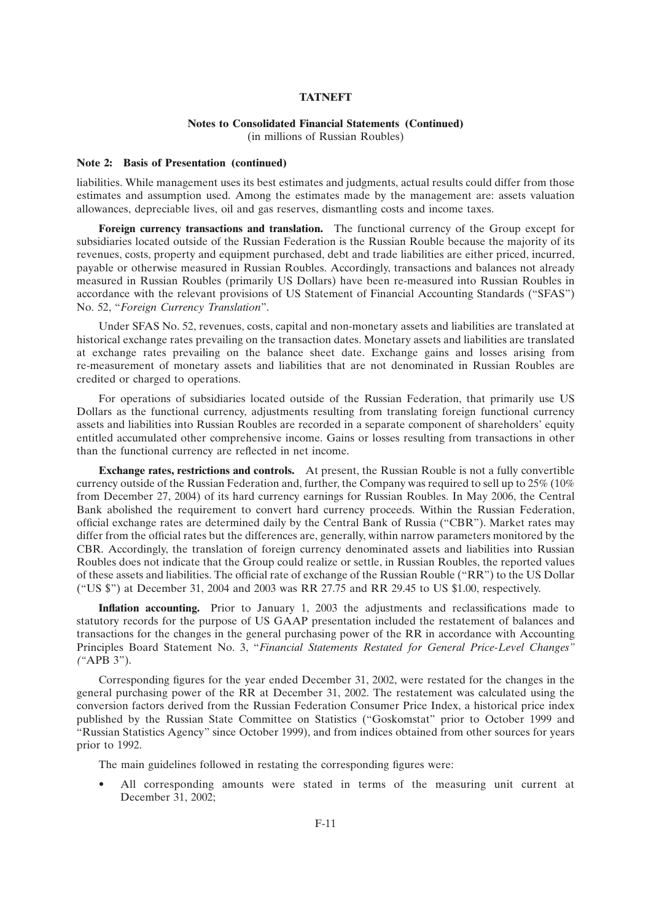#### **Notes to Consolidated Financial Statements (Continued)**

(in millions of Russian Roubles)

#### **Note 2: Basis of Presentation (continued)**

liabilities. While management uses its best estimates and judgments, actual results could differ from those estimates and assumption used. Among the estimates made by the management are: assets valuation allowances, depreciable lives, oil and gas reserves, dismantling costs and income taxes.

**Foreign currency transactions and translation.** The functional currency of the Group except for subsidiaries located outside of the Russian Federation is the Russian Rouble because the majority of its revenues, costs, property and equipment purchased, debt and trade liabilities are either priced, incurred, payable or otherwise measured in Russian Roubles. Accordingly, transactions and balances not already measured in Russian Roubles (primarily US Dollars) have been re-measured into Russian Roubles in accordance with the relevant provisions of US Statement of Financial Accounting Standards (''SFAS'') No. 52, ''*Foreign Currency Translation*''.

Under SFAS No. 52, revenues, costs, capital and non-monetary assets and liabilities are translated at historical exchange rates prevailing on the transaction dates. Monetary assets and liabilities are translated at exchange rates prevailing on the balance sheet date. Exchange gains and losses arising from re-measurement of monetary assets and liabilities that are not denominated in Russian Roubles are credited or charged to operations.

For operations of subsidiaries located outside of the Russian Federation, that primarily use US Dollars as the functional currency, adjustments resulting from translating foreign functional currency assets and liabilities into Russian Roubles are recorded in a separate component of shareholders' equity entitled accumulated other comprehensive income. Gains or losses resulting from transactions in other than the functional currency are reflected in net income.

**Exchange rates, restrictions and controls.** At present, the Russian Rouble is not a fully convertible currency outside of the Russian Federation and, further, the Company was required to sell up to 25% (10% from December 27, 2004) of its hard currency earnings for Russian Roubles. In May 2006, the Central Bank abolished the requirement to convert hard currency proceeds. Within the Russian Federation, official exchange rates are determined daily by the Central Bank of Russia (''CBR''). Market rates may differ from the official rates but the differences are, generally, within narrow parameters monitored by the CBR. Accordingly, the translation of foreign currency denominated assets and liabilities into Russian Roubles does not indicate that the Group could realize or settle, in Russian Roubles, the reported values of these assets and liabilities. The official rate of exchange of the Russian Rouble (''RR'') to the US Dollar (''US \$'') at December 31, 2004 and 2003 was RR 27.75 and RR 29.45 to US \$1.00, respectively.

**Inflation accounting.** Prior to January 1, 2003 the adjustments and reclassifications made to statutory records for the purpose of US GAAP presentation included the restatement of balances and transactions for the changes in the general purchasing power of the RR in accordance with Accounting Principles Board Statement No. 3, ''*Financial Statements Restated for General Price-Level Changes'' (''*APB 3'').

Corresponding figures for the year ended December 31, 2002, were restated for the changes in the general purchasing power of the RR at December 31, 2002. The restatement was calculated using the conversion factors derived from the Russian Federation Consumer Price Index, a historical price index published by the Russian State Committee on Statistics (''Goskomstat'' prior to October 1999 and ''Russian Statistics Agency'' since October 1999), and from indices obtained from other sources for years prior to 1992.

The main guidelines followed in restating the corresponding figures were:

• All corresponding amounts were stated in terms of the measuring unit current at December 31, 2002;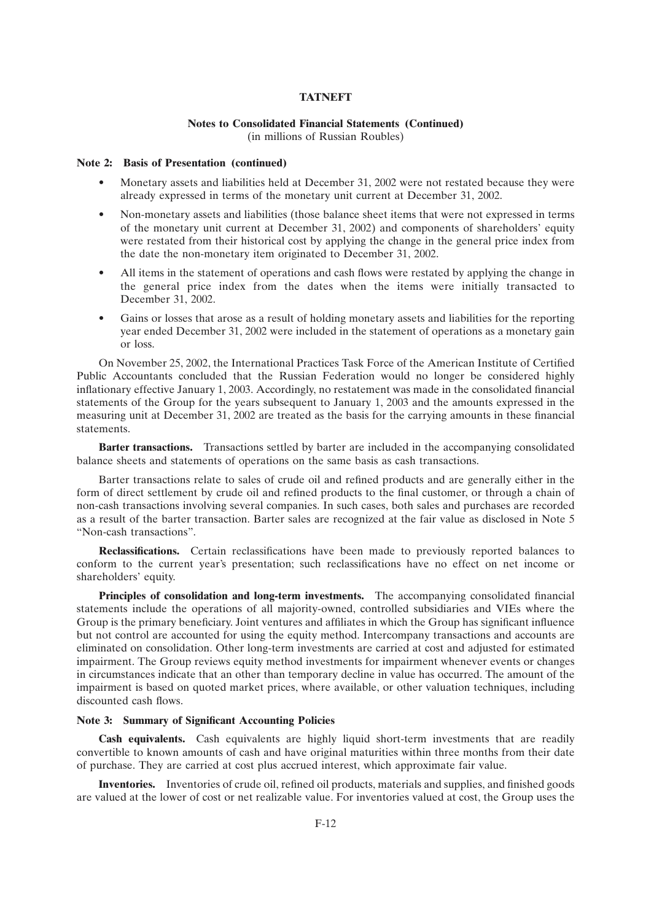## **Notes to Consolidated Financial Statements (Continued)**

(in millions of Russian Roubles)

#### **Note 2: Basis of Presentation (continued)**

- Monetary assets and liabilities held at December 31, 2002 were not restated because they were already expressed in terms of the monetary unit current at December 31, 2002.
- Non-monetary assets and liabilities (those balance sheet items that were not expressed in terms of the monetary unit current at December 31, 2002) and components of shareholders' equity were restated from their historical cost by applying the change in the general price index from the date the non-monetary item originated to December 31, 2002.
- All items in the statement of operations and cash flows were restated by applying the change in the general price index from the dates when the items were initially transacted to December 31, 2002.
- Gains or losses that arose as a result of holding monetary assets and liabilities for the reporting year ended December 31, 2002 were included in the statement of operations as a monetary gain or loss.

On November 25, 2002, the International Practices Task Force of the American Institute of Certified Public Accountants concluded that the Russian Federation would no longer be considered highly inflationary effective January 1, 2003. Accordingly, no restatement was made in the consolidated financial statements of the Group for the years subsequent to January 1, 2003 and the amounts expressed in the measuring unit at December 31, 2002 are treated as the basis for the carrying amounts in these financial statements.

**Barter transactions.** Transactions settled by barter are included in the accompanying consolidated balance sheets and statements of operations on the same basis as cash transactions.

Barter transactions relate to sales of crude oil and refined products and are generally either in the form of direct settlement by crude oil and refined products to the final customer, or through a chain of non-cash transactions involving several companies. In such cases, both sales and purchases are recorded as a result of the barter transaction. Barter sales are recognized at the fair value as disclosed in Note 5 ''Non-cash transactions''.

**Reclassifications.** Certain reclassifications have been made to previously reported balances to conform to the current year's presentation; such reclassifications have no effect on net income or shareholders' equity.

**Principles of consolidation and long-term investments.** The accompanying consolidated financial statements include the operations of all majority-owned, controlled subsidiaries and VIEs where the Group is the primary beneficiary. Joint ventures and affiliates in which the Group has significant influence but not control are accounted for using the equity method. Intercompany transactions and accounts are eliminated on consolidation. Other long-term investments are carried at cost and adjusted for estimated impairment. The Group reviews equity method investments for impairment whenever events or changes in circumstances indicate that an other than temporary decline in value has occurred. The amount of the impairment is based on quoted market prices, where available, or other valuation techniques, including discounted cash flows.

#### **Note 3: Summary of Significant Accounting Policies**

**Cash equivalents.** Cash equivalents are highly liquid short-term investments that are readily convertible to known amounts of cash and have original maturities within three months from their date of purchase. They are carried at cost plus accrued interest, which approximate fair value.

**Inventories.** Inventories of crude oil, refined oil products, materials and supplies, and finished goods are valued at the lower of cost or net realizable value. For inventories valued at cost, the Group uses the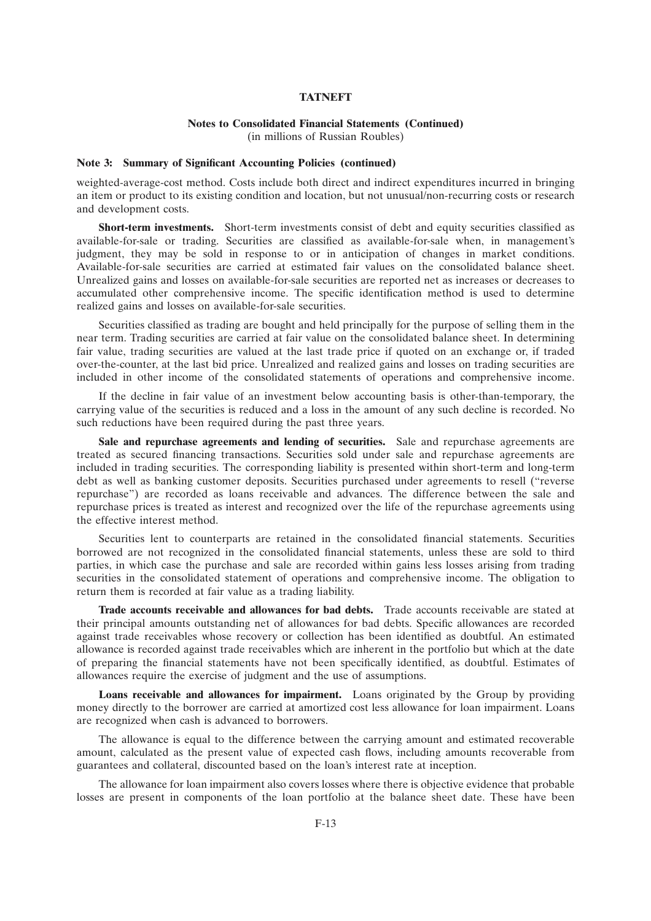## **Notes to Consolidated Financial Statements (Continued)**

(in millions of Russian Roubles)

#### **Note 3: Summary of Significant Accounting Policies (continued)**

weighted-average-cost method. Costs include both direct and indirect expenditures incurred in bringing an item or product to its existing condition and location, but not unusual/non-recurring costs or research and development costs.

**Short-term investments.** Short-term investments consist of debt and equity securities classified as available-for-sale or trading. Securities are classified as available-for-sale when, in management's judgment, they may be sold in response to or in anticipation of changes in market conditions. Available-for-sale securities are carried at estimated fair values on the consolidated balance sheet. Unrealized gains and losses on available-for-sale securities are reported net as increases or decreases to accumulated other comprehensive income. The specific identification method is used to determine realized gains and losses on available-for-sale securities.

Securities classified as trading are bought and held principally for the purpose of selling them in the near term. Trading securities are carried at fair value on the consolidated balance sheet. In determining fair value, trading securities are valued at the last trade price if quoted on an exchange or, if traded over-the-counter, at the last bid price. Unrealized and realized gains and losses on trading securities are included in other income of the consolidated statements of operations and comprehensive income.

If the decline in fair value of an investment below accounting basis is other-than-temporary, the carrying value of the securities is reduced and a loss in the amount of any such decline is recorded. No such reductions have been required during the past three years.

Sale and repurchase agreements and lending of securities. Sale and repurchase agreements are treated as secured financing transactions. Securities sold under sale and repurchase agreements are included in trading securities. The corresponding liability is presented within short-term and long-term debt as well as banking customer deposits. Securities purchased under agreements to resell ("reverse repurchase'') are recorded as loans receivable and advances. The difference between the sale and repurchase prices is treated as interest and recognized over the life of the repurchase agreements using the effective interest method.

Securities lent to counterparts are retained in the consolidated financial statements. Securities borrowed are not recognized in the consolidated financial statements, unless these are sold to third parties, in which case the purchase and sale are recorded within gains less losses arising from trading securities in the consolidated statement of operations and comprehensive income. The obligation to return them is recorded at fair value as a trading liability.

**Trade accounts receivable and allowances for bad debts.** Trade accounts receivable are stated at their principal amounts outstanding net of allowances for bad debts. Specific allowances are recorded against trade receivables whose recovery or collection has been identified as doubtful. An estimated allowance is recorded against trade receivables which are inherent in the portfolio but which at the date of preparing the financial statements have not been specifically identified, as doubtful. Estimates of allowances require the exercise of judgment and the use of assumptions.

**Loans receivable and allowances for impairment.** Loans originated by the Group by providing money directly to the borrower are carried at amortized cost less allowance for loan impairment. Loans are recognized when cash is advanced to borrowers.

The allowance is equal to the difference between the carrying amount and estimated recoverable amount, calculated as the present value of expected cash flows, including amounts recoverable from guarantees and collateral, discounted based on the loan's interest rate at inception.

The allowance for loan impairment also covers losses where there is objective evidence that probable losses are present in components of the loan portfolio at the balance sheet date. These have been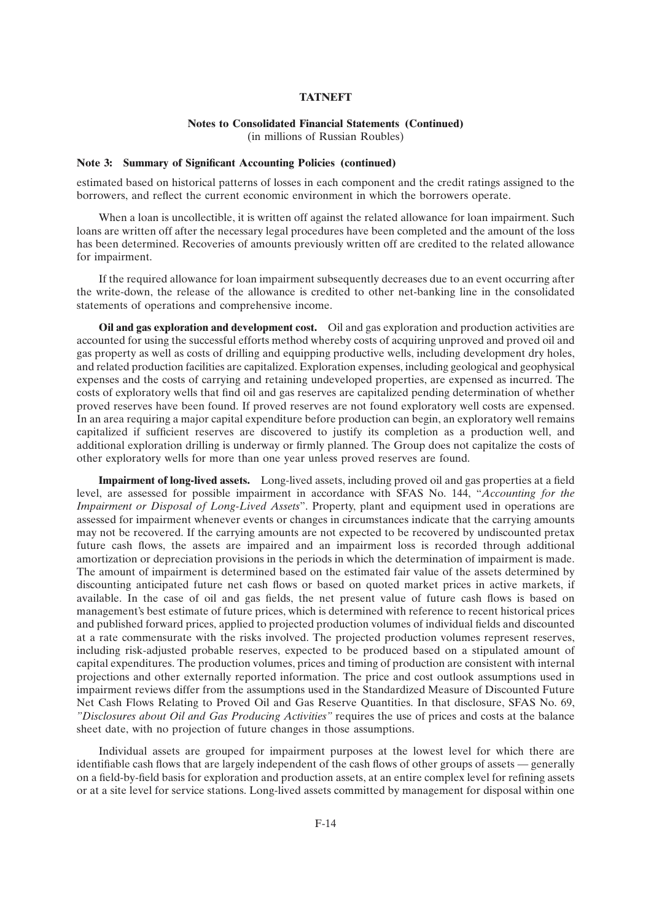## **Notes to Consolidated Financial Statements (Continued)**

(in millions of Russian Roubles)

#### **Note 3: Summary of Significant Accounting Policies (continued)**

estimated based on historical patterns of losses in each component and the credit ratings assigned to the borrowers, and reflect the current economic environment in which the borrowers operate.

When a loan is uncollectible, it is written off against the related allowance for loan impairment. Such loans are written off after the necessary legal procedures have been completed and the amount of the loss has been determined. Recoveries of amounts previously written off are credited to the related allowance for impairment.

If the required allowance for loan impairment subsequently decreases due to an event occurring after the write-down, the release of the allowance is credited to other net-banking line in the consolidated statements of operations and comprehensive income.

**Oil and gas exploration and development cost.** Oil and gas exploration and production activities are accounted for using the successful efforts method whereby costs of acquiring unproved and proved oil and gas property as well as costs of drilling and equipping productive wells, including development dry holes, and related production facilities are capitalized. Exploration expenses, including geological and geophysical expenses and the costs of carrying and retaining undeveloped properties, are expensed as incurred. The costs of exploratory wells that find oil and gas reserves are capitalized pending determination of whether proved reserves have been found. If proved reserves are not found exploratory well costs are expensed. In an area requiring a major capital expenditure before production can begin, an exploratory well remains capitalized if sufficient reserves are discovered to justify its completion as a production well, and additional exploration drilling is underway or firmly planned. The Group does not capitalize the costs of other exploratory wells for more than one year unless proved reserves are found.

**Impairment of long-lived assets.** Long-lived assets, including proved oil and gas properties at a field level, are assessed for possible impairment in accordance with SFAS No. 144, ''*Accounting for the Impairment or Disposal of Long-Lived Assets*''. Property, plant and equipment used in operations are assessed for impairment whenever events or changes in circumstances indicate that the carrying amounts may not be recovered. If the carrying amounts are not expected to be recovered by undiscounted pretax future cash flows, the assets are impaired and an impairment loss is recorded through additional amortization or depreciation provisions in the periods in which the determination of impairment is made. The amount of impairment is determined based on the estimated fair value of the assets determined by discounting anticipated future net cash flows or based on quoted market prices in active markets, if available. In the case of oil and gas fields, the net present value of future cash flows is based on management's best estimate of future prices, which is determined with reference to recent historical prices and published forward prices, applied to projected production volumes of individual fields and discounted at a rate commensurate with the risks involved. The projected production volumes represent reserves, including risk-adjusted probable reserves, expected to be produced based on a stipulated amount of capital expenditures. The production volumes, prices and timing of production are consistent with internal projections and other externally reported information. The price and cost outlook assumptions used in impairment reviews differ from the assumptions used in the Standardized Measure of Discounted Future Net Cash Flows Relating to Proved Oil and Gas Reserve Quantities. In that disclosure, SFAS No. 69, *''Disclosures about Oil and Gas Producing Activities''* requires the use of prices and costs at the balance sheet date, with no projection of future changes in those assumptions.

Individual assets are grouped for impairment purposes at the lowest level for which there are identifiable cash flows that are largely independent of the cash flows of other groups of assets — generally on a field-by-field basis for exploration and production assets, at an entire complex level for refining assets or at a site level for service stations. Long-lived assets committed by management for disposal within one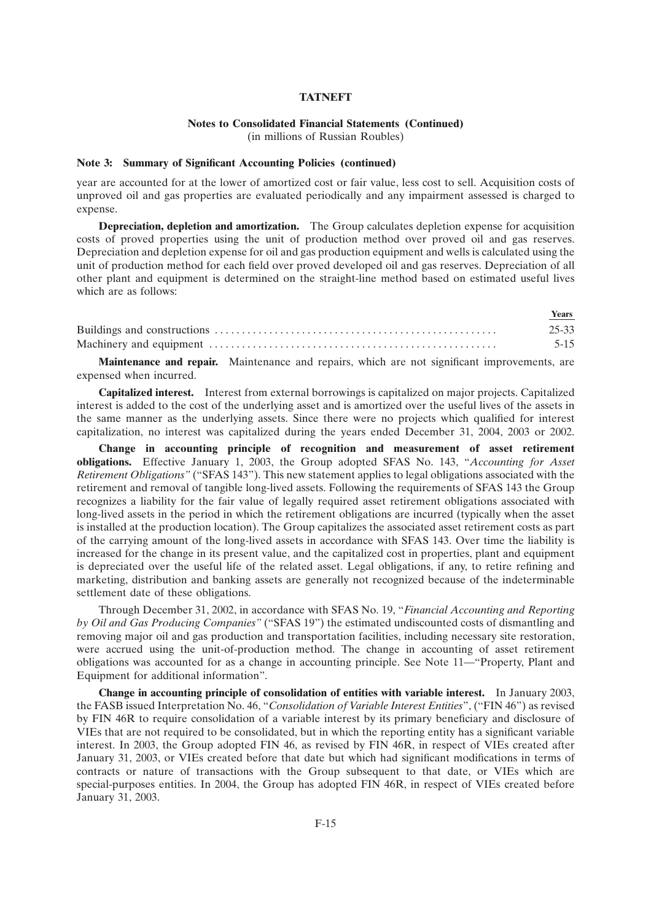#### **Notes to Consolidated Financial Statements (Continued)**

(in millions of Russian Roubles)

#### **Note 3: Summary of Significant Accounting Policies (continued)**

year are accounted for at the lower of amortized cost or fair value, less cost to sell. Acquisition costs of unproved oil and gas properties are evaluated periodically and any impairment assessed is charged to expense.

**Depreciation, depletion and amortization.** The Group calculates depletion expense for acquisition costs of proved properties using the unit of production method over proved oil and gas reserves. Depreciation and depletion expense for oil and gas production equipment and wells is calculated using the unit of production method for each field over proved developed oil and gas reserves. Depreciation of all other plant and equipment is determined on the straight-line method based on estimated useful lives which are as follows:

| <b>Vears</b> |
|--------------|
| 25-33        |
|              |

**Maintenance and repair.** Maintenance and repairs, which are not significant improvements, are expensed when incurred.

**Capitalized interest.** Interest from external borrowings is capitalized on major projects. Capitalized interest is added to the cost of the underlying asset and is amortized over the useful lives of the assets in the same manner as the underlying assets. Since there were no projects which qualified for interest capitalization, no interest was capitalized during the years ended December 31, 2004, 2003 or 2002.

**Change in accounting principle of recognition and measurement of asset retirement obligations.** Effective January 1, 2003, the Group adopted SFAS No. 143, ''*Accounting for Asset Retirement Obligations''* (''SFAS 143''). This new statement applies to legal obligations associated with the retirement and removal of tangible long-lived assets. Following the requirements of SFAS 143 the Group recognizes a liability for the fair value of legally required asset retirement obligations associated with long-lived assets in the period in which the retirement obligations are incurred (typically when the asset is installed at the production location). The Group capitalizes the associated asset retirement costs as part of the carrying amount of the long-lived assets in accordance with SFAS 143. Over time the liability is increased for the change in its present value, and the capitalized cost in properties, plant and equipment is depreciated over the useful life of the related asset. Legal obligations, if any, to retire refining and marketing, distribution and banking assets are generally not recognized because of the indeterminable settlement date of these obligations.

Through December 31, 2002, in accordance with SFAS No. 19, ''*Financial Accounting and Reporting by Oil and Gas Producing Companies''* (''SFAS 19'') the estimated undiscounted costs of dismantling and removing major oil and gas production and transportation facilities, including necessary site restoration, were accrued using the unit-of-production method. The change in accounting of asset retirement obligations was accounted for as a change in accounting principle. See Note 11—''Property, Plant and Equipment for additional information''.

**Change in accounting principle of consolidation of entities with variable interest.** In January 2003, the FASB issued Interpretation No. 46, ''*Consolidation of Variable Interest Entities*'', (''FIN 46'') as revised by FIN 46R to require consolidation of a variable interest by its primary beneficiary and disclosure of VIEs that are not required to be consolidated, but in which the reporting entity has a significant variable interest. In 2003, the Group adopted FIN 46, as revised by FIN 46R, in respect of VIEs created after January 31, 2003, or VIEs created before that date but which had significant modifications in terms of contracts or nature of transactions with the Group subsequent to that date, or VIEs which are special-purposes entities. In 2004, the Group has adopted FIN 46R, in respect of VIEs created before January 31, 2003.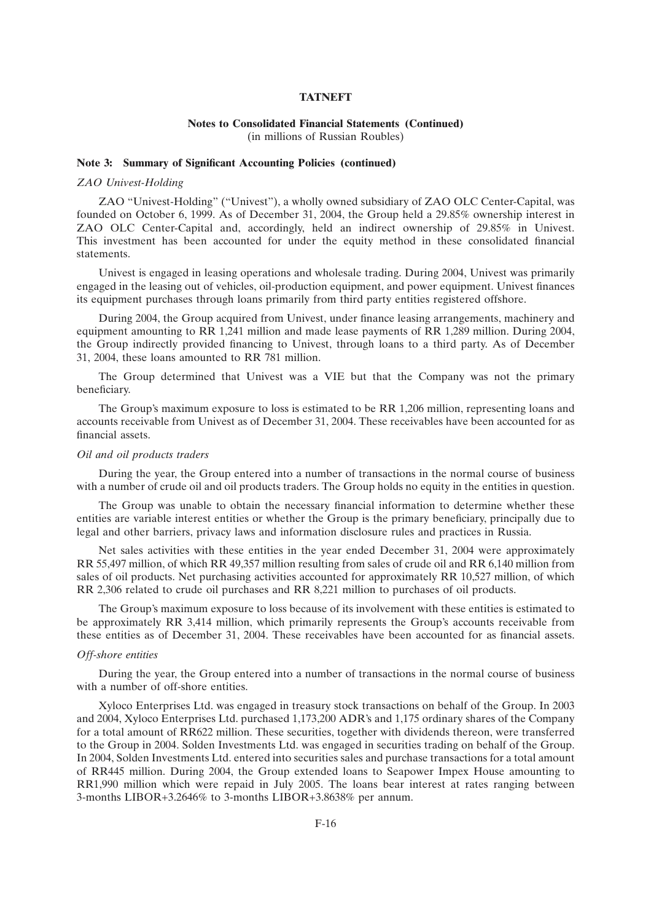#### **Notes to Consolidated Financial Statements (Continued)** (in millions of Russian Roubles)

#### **Note 3: Summary of Significant Accounting Policies (continued)**

#### *ZAO Univest-Holding*

ZAO ''Univest-Holding'' (''Univest''), a wholly owned subsidiary of ZAO OLC Center-Capital, was founded on October 6, 1999. As of December 31, 2004, the Group held a 29.85% ownership interest in ZAO OLC Center-Capital and, accordingly, held an indirect ownership of 29.85% in Univest. This investment has been accounted for under the equity method in these consolidated financial statements.

Univest is engaged in leasing operations and wholesale trading. During 2004, Univest was primarily engaged in the leasing out of vehicles, oil-production equipment, and power equipment. Univest finances its equipment purchases through loans primarily from third party entities registered offshore.

During 2004, the Group acquired from Univest, under finance leasing arrangements, machinery and equipment amounting to RR 1,241 million and made lease payments of RR 1,289 million. During 2004, the Group indirectly provided financing to Univest, through loans to a third party. As of December 31, 2004, these loans amounted to RR 781 million.

The Group determined that Univest was a VIE but that the Company was not the primary beneficiary.

The Group's maximum exposure to loss is estimated to be RR 1,206 million, representing loans and accounts receivable from Univest as of December 31, 2004. These receivables have been accounted for as financial assets.

#### *Oil and oil products traders*

During the year, the Group entered into a number of transactions in the normal course of business with a number of crude oil and oil products traders. The Group holds no equity in the entities in question.

The Group was unable to obtain the necessary financial information to determine whether these entities are variable interest entities or whether the Group is the primary beneficiary, principally due to legal and other barriers, privacy laws and information disclosure rules and practices in Russia.

Net sales activities with these entities in the year ended December 31, 2004 were approximately RR 55,497 million, of which RR 49,357 million resulting from sales of crude oil and RR 6,140 million from sales of oil products. Net purchasing activities accounted for approximately RR 10,527 million, of which RR 2,306 related to crude oil purchases and RR 8,221 million to purchases of oil products.

The Group's maximum exposure to loss because of its involvement with these entities is estimated to be approximately RR 3,414 million, which primarily represents the Group's accounts receivable from these entities as of December 31, 2004. These receivables have been accounted for as financial assets.

### *Off-shore entities*

During the year, the Group entered into a number of transactions in the normal course of business with a number of off-shore entities.

Xyloco Enterprises Ltd. was engaged in treasury stock transactions on behalf of the Group. In 2003 and 2004, Xyloco Enterprises Ltd. purchased 1,173,200 ADR's and 1,175 ordinary shares of the Company for a total amount of RR622 million. These securities, together with dividends thereon, were transferred to the Group in 2004. Solden Investments Ltd. was engaged in securities trading on behalf of the Group. In 2004, Solden Investments Ltd. entered into securities sales and purchase transactions for a total amount of RR445 million. During 2004, the Group extended loans to Seapower Impex House amounting to RR1,990 million which were repaid in July 2005. The loans bear interest at rates ranging between 3-months LIBOR+3.2646% to 3-months LIBOR+3.8638% per annum.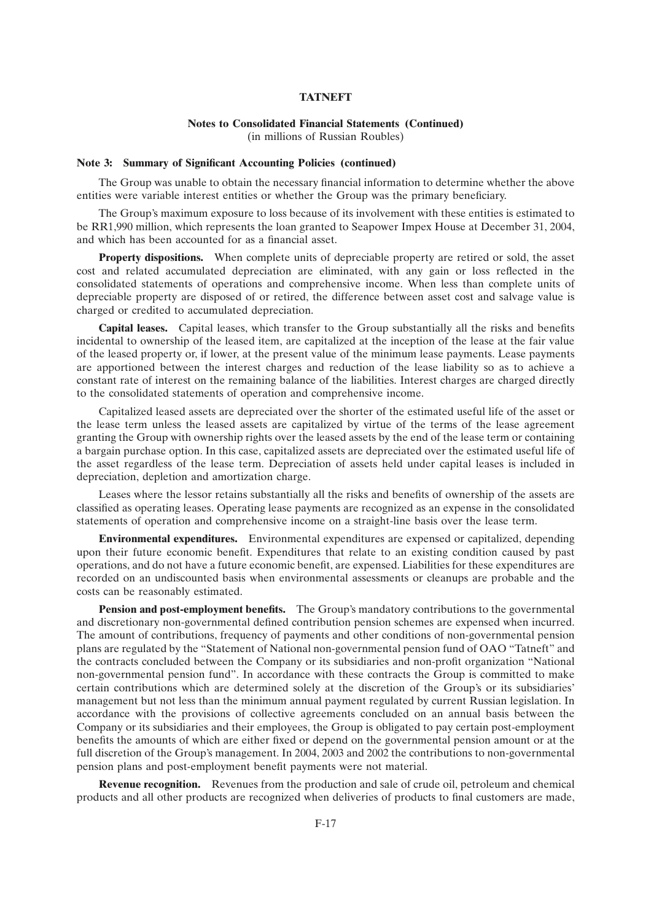## **Notes to Consolidated Financial Statements (Continued)**

(in millions of Russian Roubles)

#### **Note 3: Summary of Significant Accounting Policies (continued)**

The Group was unable to obtain the necessary financial information to determine whether the above entities were variable interest entities or whether the Group was the primary beneficiary.

The Group's maximum exposure to loss because of its involvement with these entities is estimated to be RR1,990 million, which represents the loan granted to Seapower Impex House at December 31, 2004, and which has been accounted for as a financial asset.

**Property dispositions.** When complete units of depreciable property are retired or sold, the asset cost and related accumulated depreciation are eliminated, with any gain or loss reflected in the consolidated statements of operations and comprehensive income. When less than complete units of depreciable property are disposed of or retired, the difference between asset cost and salvage value is charged or credited to accumulated depreciation.

**Capital leases.** Capital leases, which transfer to the Group substantially all the risks and benefits incidental to ownership of the leased item, are capitalized at the inception of the lease at the fair value of the leased property or, if lower, at the present value of the minimum lease payments. Lease payments are apportioned between the interest charges and reduction of the lease liability so as to achieve a constant rate of interest on the remaining balance of the liabilities. Interest charges are charged directly to the consolidated statements of operation and comprehensive income.

Capitalized leased assets are depreciated over the shorter of the estimated useful life of the asset or the lease term unless the leased assets are capitalized by virtue of the terms of the lease agreement granting the Group with ownership rights over the leased assets by the end of the lease term or containing a bargain purchase option. In this case, capitalized assets are depreciated over the estimated useful life of the asset regardless of the lease term. Depreciation of assets held under capital leases is included in depreciation, depletion and amortization charge.

Leases where the lessor retains substantially all the risks and benefits of ownership of the assets are classified as operating leases. Operating lease payments are recognized as an expense in the consolidated statements of operation and comprehensive income on a straight-line basis over the lease term.

**Environmental expenditures.** Environmental expenditures are expensed or capitalized, depending upon their future economic benefit. Expenditures that relate to an existing condition caused by past operations, and do not have a future economic benefit, are expensed. Liabilities for these expenditures are recorded on an undiscounted basis when environmental assessments or cleanups are probable and the costs can be reasonably estimated.

**Pension and post-employment benefits.** The Group's mandatory contributions to the governmental and discretionary non-governmental defined contribution pension schemes are expensed when incurred. The amount of contributions, frequency of payments and other conditions of non-governmental pension plans are regulated by the ''Statement of National non-governmental pension fund of OAO ''Tatneft'' and the contracts concluded between the Company or its subsidiaries and non-profit organization ''National non-governmental pension fund''. In accordance with these contracts the Group is committed to make certain contributions which are determined solely at the discretion of the Group's or its subsidiaries' management but not less than the minimum annual payment regulated by current Russian legislation. In accordance with the provisions of collective agreements concluded on an annual basis between the Company or its subsidiaries and their employees, the Group is obligated to pay certain post-employment benefits the amounts of which are either fixed or depend on the governmental pension amount or at the full discretion of the Group's management. In 2004, 2003 and 2002 the contributions to non-governmental pension plans and post-employment benefit payments were not material.

**Revenue recognition.** Revenues from the production and sale of crude oil, petroleum and chemical products and all other products are recognized when deliveries of products to final customers are made,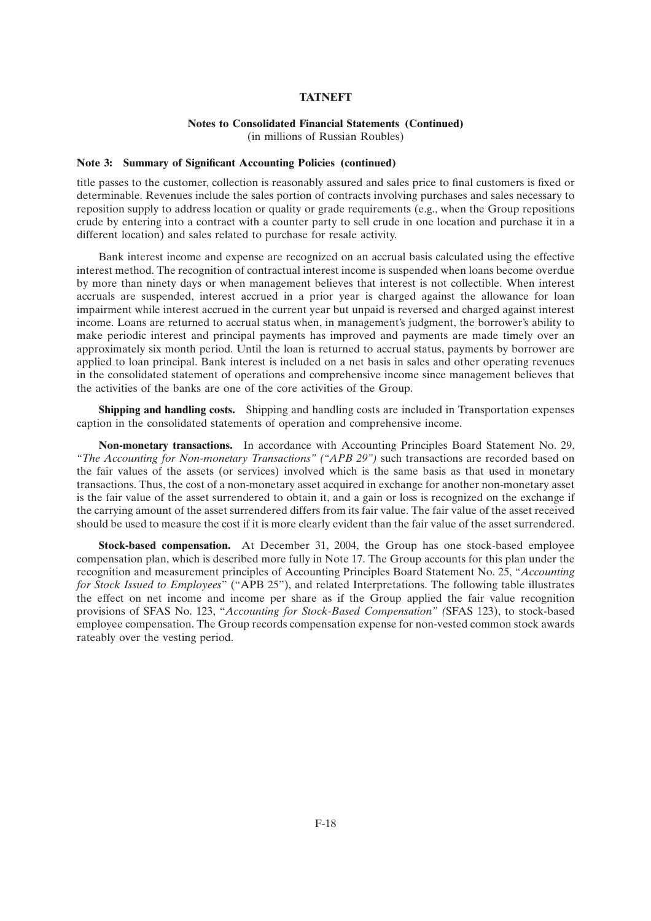## **Notes to Consolidated Financial Statements (Continued)**

(in millions of Russian Roubles)

#### **Note 3: Summary of Significant Accounting Policies (continued)**

title passes to the customer, collection is reasonably assured and sales price to final customers is fixed or determinable. Revenues include the sales portion of contracts involving purchases and sales necessary to reposition supply to address location or quality or grade requirements (e.g., when the Group repositions crude by entering into a contract with a counter party to sell crude in one location and purchase it in a different location) and sales related to purchase for resale activity.

Bank interest income and expense are recognized on an accrual basis calculated using the effective interest method. The recognition of contractual interest income is suspended when loans become overdue by more than ninety days or when management believes that interest is not collectible. When interest accruals are suspended, interest accrued in a prior year is charged against the allowance for loan impairment while interest accrued in the current year but unpaid is reversed and charged against interest income. Loans are returned to accrual status when, in management's judgment, the borrower's ability to make periodic interest and principal payments has improved and payments are made timely over an approximately six month period. Until the loan is returned to accrual status, payments by borrower are applied to loan principal. Bank interest is included on a net basis in sales and other operating revenues in the consolidated statement of operations and comprehensive income since management believes that the activities of the banks are one of the core activities of the Group.

**Shipping and handling costs.** Shipping and handling costs are included in Transportation expenses caption in the consolidated statements of operation and comprehensive income.

**Non-monetary transactions.** In accordance with Accounting Principles Board Statement No. 29, *''The Accounting for Non-monetary Transactions'' (''APB 29'')* such transactions are recorded based on the fair values of the assets (or services) involved which is the same basis as that used in monetary transactions. Thus, the cost of a non-monetary asset acquired in exchange for another non-monetary asset is the fair value of the asset surrendered to obtain it, and a gain or loss is recognized on the exchange if the carrying amount of the asset surrendered differs from its fair value. The fair value of the asset received should be used to measure the cost if it is more clearly evident than the fair value of the asset surrendered.

**Stock-based compensation.** At December 31, 2004, the Group has one stock-based employee compensation plan, which is described more fully in Note 17. The Group accounts for this plan under the recognition and measurement principles of Accounting Principles Board Statement No. 25, ''*Accounting for Stock Issued to Employees*'' (''APB 25''), and related Interpretations. The following table illustrates the effect on net income and income per share as if the Group applied the fair value recognition provisions of SFAS No. 123, ''*Accounting for Stock-Based Compensation'' (*SFAS 123), to stock-based employee compensation. The Group records compensation expense for non-vested common stock awards rateably over the vesting period.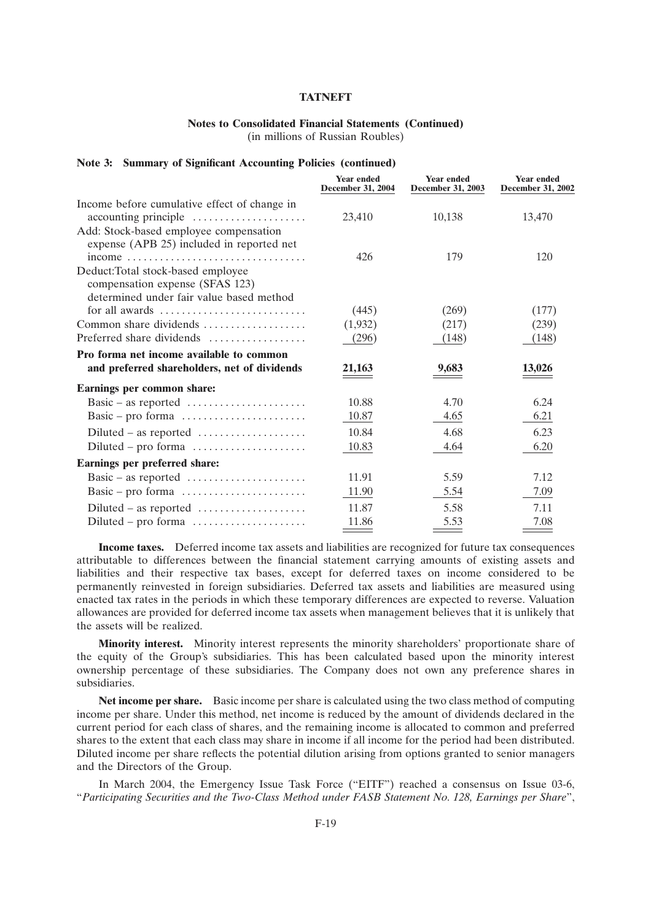## **Notes to Consolidated Financial Statements (Continued)**

(in millions of Russian Roubles)

#### **Note 3: Summary of Significant Accounting Policies (continued)**

|                                                                                     | <b>Year ended</b><br><b>December 31, 2004</b> | <b>Year ended</b><br><b>December 31, 2003</b> | <b>Year ended</b><br><b>December 31, 2002</b> |
|-------------------------------------------------------------------------------------|-----------------------------------------------|-----------------------------------------------|-----------------------------------------------|
| Income before cumulative effect of change in                                        |                                               |                                               |                                               |
| accounting principle                                                                | 23,410                                        | 10,138                                        | 13,470                                        |
| Add: Stock-based employee compensation<br>expense (APB 25) included in reported net |                                               |                                               |                                               |
| income                                                                              | 426                                           | 179                                           | 120                                           |
| Deduct:Total stock-based employee                                                   |                                               |                                               |                                               |
| compensation expense (SFAS 123)                                                     |                                               |                                               |                                               |
| determined under fair value based method                                            |                                               |                                               |                                               |
| for all awards                                                                      | (445)                                         | (269)                                         | (177)                                         |
| Common share dividends                                                              | (1,932)                                       | (217)                                         | (239)                                         |
| Preferred share dividends                                                           | (296)                                         | (148)                                         | (148)                                         |
| Pro forma net income available to common                                            |                                               |                                               |                                               |
| and preferred shareholders, net of dividends                                        | 21,163                                        | 9,683                                         | 13,026                                        |
| Earnings per common share:                                                          |                                               |                                               |                                               |
| Basic – as reported $\dots\dots\dots\dots\dots\dots\dots$                           | 10.88                                         | 4.70                                          | 6.24                                          |
| Basic – pro forma                                                                   | 10.87                                         | 4.65                                          | 6.21                                          |
| $Diluted - as reported \dots \dots \dots \dots \dots \dots$                         | 10.84                                         | 4.68                                          | 6.23                                          |
| $Diluted - pro forma \dots \dots \dots \dots \dots$                                 | 10.83                                         | 4.64                                          | 6.20                                          |
| Earnings per preferred share:                                                       |                                               |                                               |                                               |
| Basic – as reported $\dots\dots\dots\dots\dots\dots\dots$                           | 11.91                                         | 5.59                                          | 7.12                                          |
| Basic – pro forma                                                                   | 11.90                                         | 5.54                                          | 7.09                                          |
|                                                                                     | 11.87                                         | 5.58                                          | 7.11                                          |
| Diluted – pro forma                                                                 | 11.86                                         | 5.53                                          | 7.08                                          |

**Income taxes.** Deferred income tax assets and liabilities are recognized for future tax consequences attributable to differences between the financial statement carrying amounts of existing assets and liabilities and their respective tax bases, except for deferred taxes on income considered to be permanently reinvested in foreign subsidiaries. Deferred tax assets and liabilities are measured using enacted tax rates in the periods in which these temporary differences are expected to reverse. Valuation allowances are provided for deferred income tax assets when management believes that it is unlikely that the assets will be realized.

**Minority interest.** Minority interest represents the minority shareholders' proportionate share of the equity of the Group's subsidiaries. This has been calculated based upon the minority interest ownership percentage of these subsidiaries. The Company does not own any preference shares in subsidiaries.

**Net income per share.** Basic income per share is calculated using the two class method of computing income per share. Under this method, net income is reduced by the amount of dividends declared in the current period for each class of shares, and the remaining income is allocated to common and preferred shares to the extent that each class may share in income if all income for the period had been distributed. Diluted income per share reflects the potential dilution arising from options granted to senior managers and the Directors of the Group.

In March 2004, the Emergency Issue Task Force ("EITF") reached a consensus on Issue 03-6, ''*Participating Securities and the Two-Class Method under FASB Statement No. 128, Earnings per Share*'',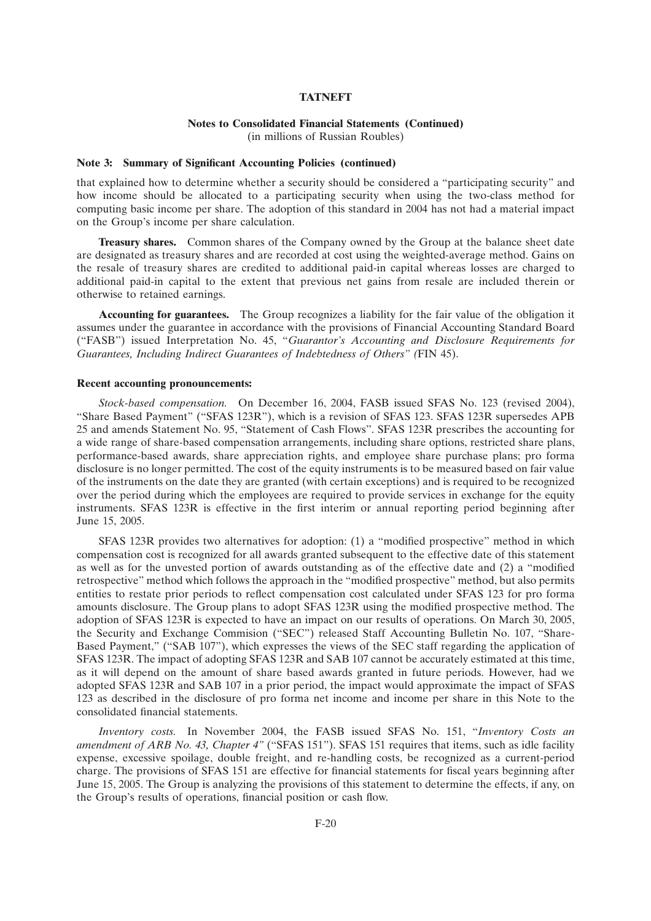### **Notes to Consolidated Financial Statements (Continued)**

(in millions of Russian Roubles)

#### **Note 3: Summary of Significant Accounting Policies (continued)**

that explained how to determine whether a security should be considered a ''participating security'' and how income should be allocated to a participating security when using the two-class method for computing basic income per share. The adoption of this standard in 2004 has not had a material impact on the Group's income per share calculation.

**Treasury shares.** Common shares of the Company owned by the Group at the balance sheet date are designated as treasury shares and are recorded at cost using the weighted-average method. Gains on the resale of treasury shares are credited to additional paid-in capital whereas losses are charged to additional paid-in capital to the extent that previous net gains from resale are included therein or otherwise to retained earnings.

**Accounting for guarantees.** The Group recognizes a liability for the fair value of the obligation it assumes under the guarantee in accordance with the provisions of Financial Accounting Standard Board (''FASB'') issued Interpretation No. 45, ''*Guarantor's Accounting and Disclosure Requirements for Guarantees, Including Indirect Guarantees of Indebtedness of Others'' (*FIN 45).

#### **Recent accounting pronouncements:**

*Stock-based compensation.* On December 16, 2004, FASB issued SFAS No. 123 (revised 2004), "Share Based Payment" ("SFAS 123R"), which is a revision of SFAS 123. SFAS 123R supersedes APB 25 and amends Statement No. 95, ''Statement of Cash Flows''. SFAS 123R prescribes the accounting for a wide range of share-based compensation arrangements, including share options, restricted share plans, performance-based awards, share appreciation rights, and employee share purchase plans; pro forma disclosure is no longer permitted. The cost of the equity instruments is to be measured based on fair value of the instruments on the date they are granted (with certain exceptions) and is required to be recognized over the period during which the employees are required to provide services in exchange for the equity instruments. SFAS 123R is effective in the first interim or annual reporting period beginning after June 15, 2005.

SFAS 123R provides two alternatives for adoption: (1) a ''modified prospective'' method in which compensation cost is recognized for all awards granted subsequent to the effective date of this statement as well as for the unvested portion of awards outstanding as of the effective date and (2) a ''modified retrospective'' method which follows the approach in the ''modified prospective'' method, but also permits entities to restate prior periods to reflect compensation cost calculated under SFAS 123 for pro forma amounts disclosure. The Group plans to adopt SFAS 123R using the modified prospective method. The adoption of SFAS 123R is expected to have an impact on our results of operations. On March 30, 2005, the Security and Exchange Commision ("SEC") released Staff Accounting Bulletin No. 107, "Share-Based Payment," ("SAB 107"), which expresses the views of the SEC staff regarding the application of SFAS 123R. The impact of adopting SFAS 123R and SAB 107 cannot be accurately estimated at this time, as it will depend on the amount of share based awards granted in future periods. However, had we adopted SFAS 123R and SAB 107 in a prior period, the impact would approximate the impact of SFAS 123 as described in the disclosure of pro forma net income and income per share in this Note to the consolidated financial statements.

*Inventory costs.* In November 2004, the FASB issued SFAS No. 151, ''*Inventory Costs an amendment of ARB No. 43, Chapter 4"* ("SFAS 151"). SFAS 151 requires that items, such as idle facility expense, excessive spoilage, double freight, and re-handling costs, be recognized as a current-period charge. The provisions of SFAS 151 are effective for financial statements for fiscal years beginning after June 15, 2005. The Group is analyzing the provisions of this statement to determine the effects, if any, on the Group's results of operations, financial position or cash flow.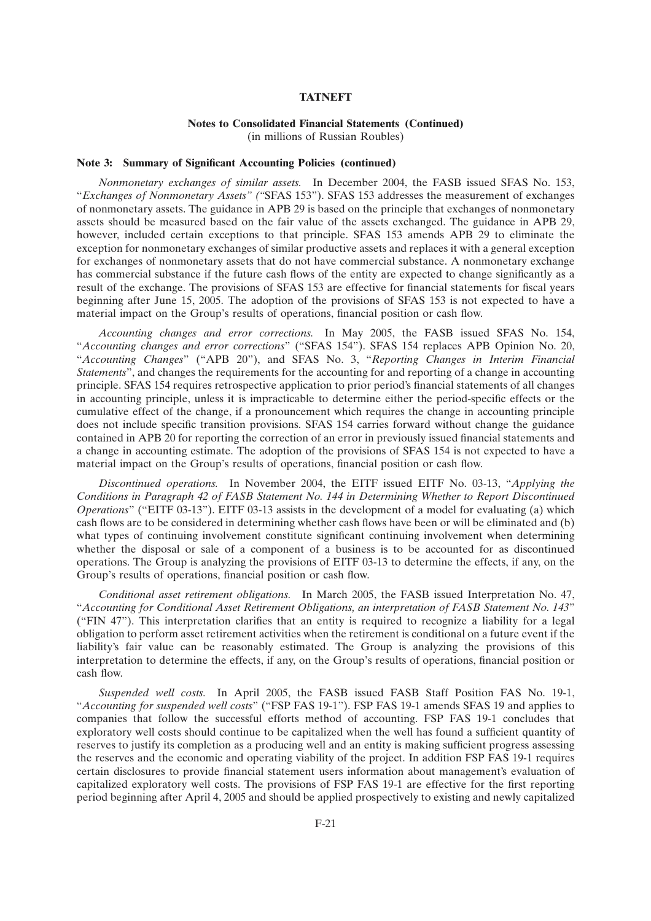#### **Notes to Consolidated Financial Statements (Continued)** (in millions of Russian Roubles)

**Note 3: Summary of Significant Accounting Policies (continued)**

*Nonmonetary exchanges of similar assets.* In December 2004, the FASB issued SFAS No. 153, ''*Exchanges of Nonmonetary Assets'' (''*SFAS 153''). SFAS 153 addresses the measurement of exchanges of nonmonetary assets. The guidance in APB 29 is based on the principle that exchanges of nonmonetary assets should be measured based on the fair value of the assets exchanged. The guidance in APB 29, however, included certain exceptions to that principle. SFAS 153 amends APB 29 to eliminate the exception for nonmonetary exchanges of similar productive assets and replaces it with a general exception for exchanges of nonmonetary assets that do not have commercial substance. A nonmonetary exchange has commercial substance if the future cash flows of the entity are expected to change significantly as a result of the exchange. The provisions of SFAS 153 are effective for financial statements for fiscal years beginning after June 15, 2005. The adoption of the provisions of SFAS 153 is not expected to have a material impact on the Group's results of operations, financial position or cash flow.

*Accounting changes and error corrections.* In May 2005, the FASB issued SFAS No. 154, ''*Accounting changes and error corrections*'' (''SFAS 154''). SFAS 154 replaces APB Opinion No. 20, ''*Accounting Changes*'' (''APB 20''), and SFAS No. 3, ''*Reporting Changes in Interim Financial Statements*'', and changes the requirements for the accounting for and reporting of a change in accounting principle. SFAS 154 requires retrospective application to prior period's financial statements of all changes in accounting principle, unless it is impracticable to determine either the period-specific effects or the cumulative effect of the change, if a pronouncement which requires the change in accounting principle does not include specific transition provisions. SFAS 154 carries forward without change the guidance contained in APB 20 for reporting the correction of an error in previously issued financial statements and a change in accounting estimate. The adoption of the provisions of SFAS 154 is not expected to have a material impact on the Group's results of operations, financial position or cash flow.

*Discontinued operations.* In November 2004, the EITF issued EITF No. 03-13, ''*Applying the Conditions in Paragraph 42 of FASB Statement No. 144 in Determining Whether to Report Discontinued Operations*" ("EITF 03-13"). EITF 03-13 assists in the development of a model for evaluating (a) which cash flows are to be considered in determining whether cash flows have been or will be eliminated and (b) what types of continuing involvement constitute significant continuing involvement when determining whether the disposal or sale of a component of a business is to be accounted for as discontinued operations. The Group is analyzing the provisions of EITF 03-13 to determine the effects, if any, on the Group's results of operations, financial position or cash flow.

*Conditional asset retirement obligations.* In March 2005, the FASB issued Interpretation No. 47, ''*Accounting for Conditional Asset Retirement Obligations, an interpretation of FASB Statement No. 143*'' (''FIN 47''). This interpretation clarifies that an entity is required to recognize a liability for a legal obligation to perform asset retirement activities when the retirement is conditional on a future event if the liability's fair value can be reasonably estimated. The Group is analyzing the provisions of this interpretation to determine the effects, if any, on the Group's results of operations, financial position or cash flow.

*Suspended well costs.* In April 2005, the FASB issued FASB Staff Position FAS No. 19-1, ''*Accounting for suspended well costs*'' (''FSP FAS 19-1''). FSP FAS 19-1 amends SFAS 19 and applies to companies that follow the successful efforts method of accounting. FSP FAS 19-1 concludes that exploratory well costs should continue to be capitalized when the well has found a sufficient quantity of reserves to justify its completion as a producing well and an entity is making sufficient progress assessing the reserves and the economic and operating viability of the project. In addition FSP FAS 19-1 requires certain disclosures to provide financial statement users information about management's evaluation of capitalized exploratory well costs. The provisions of FSP FAS 19-1 are effective for the first reporting period beginning after April 4, 2005 and should be applied prospectively to existing and newly capitalized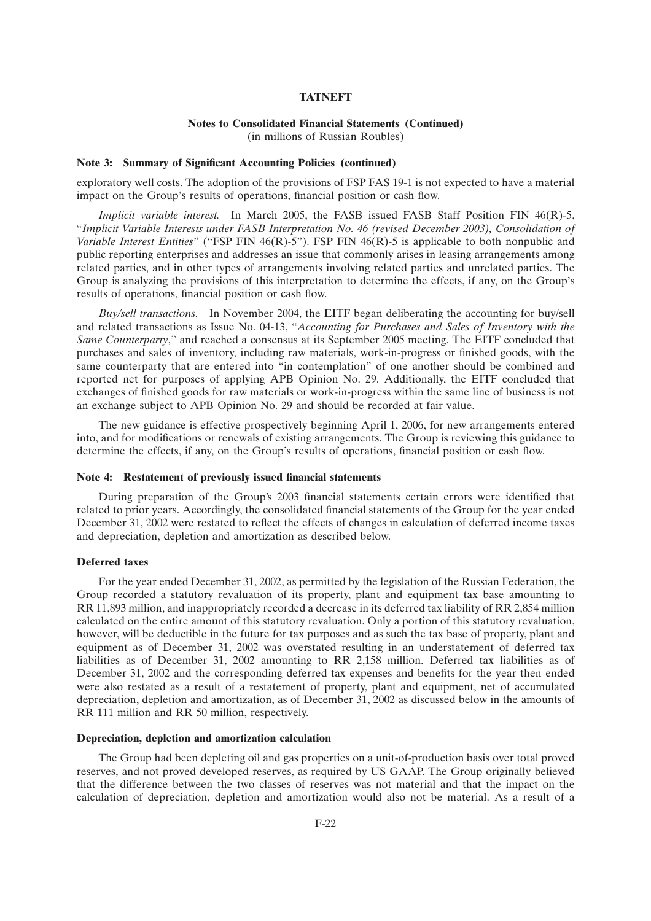## **Notes to Consolidated Financial Statements (Continued)**

(in millions of Russian Roubles)

#### **Note 3: Summary of Significant Accounting Policies (continued)**

exploratory well costs. The adoption of the provisions of FSP FAS 19-1 is not expected to have a material impact on the Group's results of operations, financial position or cash flow.

*Implicit variable interest.* In March 2005, the FASB issued FASB Staff Position FIN 46(R)-5, ''*Implicit Variable Interests under FASB Interpretation No. 46 (revised December 2003), Consolidation of Variable Interest Entities*" ("FSP FIN 46(R)-5"). FSP FIN 46(R)-5 is applicable to both nonpublic and public reporting enterprises and addresses an issue that commonly arises in leasing arrangements among related parties, and in other types of arrangements involving related parties and unrelated parties. The Group is analyzing the provisions of this interpretation to determine the effects, if any, on the Group's results of operations, financial position or cash flow.

*Buy/sell transactions.* In November 2004, the EITF began deliberating the accounting for buy/sell and related transactions as Issue No. 04-13, ''*Accounting for Purchases and Sales of Inventory with the Same Counterparty*,'' and reached a consensus at its September 2005 meeting. The EITF concluded that purchases and sales of inventory, including raw materials, work-in-progress or finished goods, with the same counterparty that are entered into "in contemplation" of one another should be combined and reported net for purposes of applying APB Opinion No. 29. Additionally, the EITF concluded that exchanges of finished goods for raw materials or work-in-progress within the same line of business is not an exchange subject to APB Opinion No. 29 and should be recorded at fair value.

The new guidance is effective prospectively beginning April 1, 2006, for new arrangements entered into, and for modifications or renewals of existing arrangements. The Group is reviewing this guidance to determine the effects, if any, on the Group's results of operations, financial position or cash flow.

#### **Note 4: Restatement of previously issued financial statements**

During preparation of the Group's 2003 financial statements certain errors were identified that related to prior years. Accordingly, the consolidated financial statements of the Group for the year ended December 31, 2002 were restated to reflect the effects of changes in calculation of deferred income taxes and depreciation, depletion and amortization as described below.

#### **Deferred taxes**

For the year ended December 31, 2002, as permitted by the legislation of the Russian Federation, the Group recorded a statutory revaluation of its property, plant and equipment tax base amounting to RR 11,893 million, and inappropriately recorded a decrease in its deferred tax liability of RR 2,854 million calculated on the entire amount of this statutory revaluation. Only a portion of this statutory revaluation, however, will be deductible in the future for tax purposes and as such the tax base of property, plant and equipment as of December 31, 2002 was overstated resulting in an understatement of deferred tax liabilities as of December 31, 2002 amounting to RR 2,158 million. Deferred tax liabilities as of December 31, 2002 and the corresponding deferred tax expenses and benefits for the year then ended were also restated as a result of a restatement of property, plant and equipment, net of accumulated depreciation, depletion and amortization, as of December 31, 2002 as discussed below in the amounts of RR 111 million and RR 50 million, respectively.

#### **Depreciation, depletion and amortization calculation**

The Group had been depleting oil and gas properties on a unit-of-production basis over total proved reserves, and not proved developed reserves, as required by US GAAP. The Group originally believed that the difference between the two classes of reserves was not material and that the impact on the calculation of depreciation, depletion and amortization would also not be material. As a result of a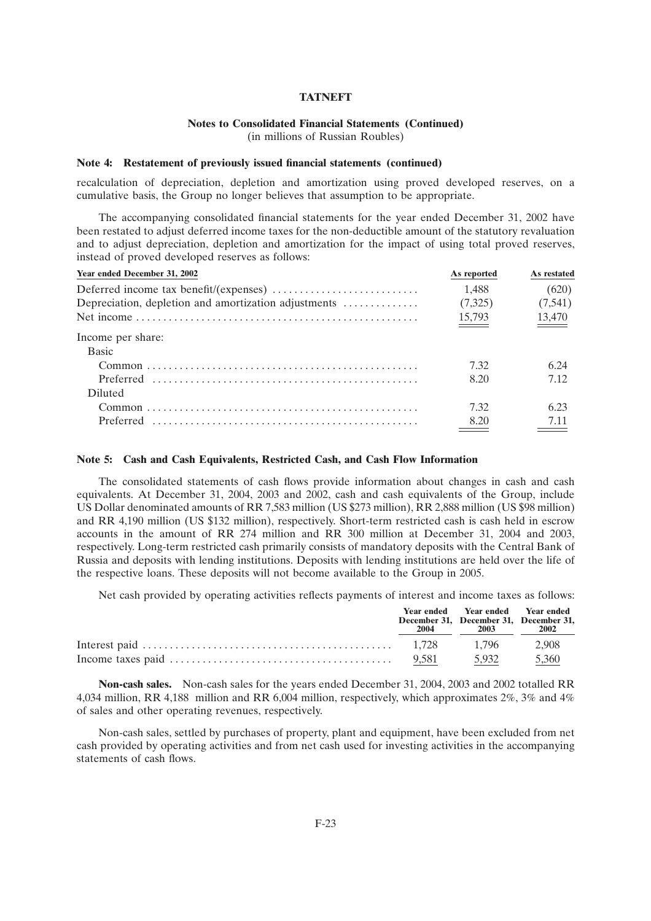## **Notes to Consolidated Financial Statements (Continued)**

(in millions of Russian Roubles)

#### **Note 4: Restatement of previously issued financial statements (continued)**

recalculation of depreciation, depletion and amortization using proved developed reserves, on a cumulative basis, the Group no longer believes that assumption to be appropriate.

The accompanying consolidated financial statements for the year ended December 31, 2002 have been restated to adjust deferred income taxes for the non-deductible amount of the statutory revaluation and to adjust depreciation, depletion and amortization for the impact of using total proved reserves, instead of proved developed reserves as follows:

| Year ended December 31, 2002                         | As reported | As restated                   |
|------------------------------------------------------|-------------|-------------------------------|
|                                                      | 1.488       | (620)                         |
| Depreciation, depletion and amortization adjustments | (7,325)     | (7,541)                       |
|                                                      | 15,793      | $\underline{\frac{13,470}{}}$ |
| Income per share:                                    |             |                               |
| <b>Basic</b>                                         |             |                               |
|                                                      | 732         | 6.24                          |
|                                                      | 8.20        | 7.12                          |
| <b>Diluted</b>                                       |             |                               |
|                                                      | 732         | 623                           |
|                                                      | 8.20        |                               |
|                                                      |             |                               |

#### **Note 5: Cash and Cash Equivalents, Restricted Cash, and Cash Flow Information**

The consolidated statements of cash flows provide information about changes in cash and cash equivalents. At December 31, 2004, 2003 and 2002, cash and cash equivalents of the Group, include US Dollar denominated amounts of RR 7,583 million (US \$273 million), RR 2,888 million (US \$98 million) and RR 4,190 million (US \$132 million), respectively. Short-term restricted cash is cash held in escrow accounts in the amount of RR 274 million and RR 300 million at December 31, 2004 and 2003, respectively. Long-term restricted cash primarily consists of mandatory deposits with the Central Bank of Russia and deposits with lending institutions. Deposits with lending institutions are held over the life of the respective loans. These deposits will not become available to the Group in 2005.

Net cash provided by operating activities reflects payments of interest and income taxes as follows:

| 2004 | Year ended Year ended Year ended<br>December 31, December 31, December 31,<br>2003 | 2002  |
|------|------------------------------------------------------------------------------------|-------|
|      |                                                                                    |       |
|      | 5,932                                                                              | 5,360 |

**Non-cash sales.** Non-cash sales for the years ended December 31, 2004, 2003 and 2002 totalled RR 4,034 million, RR 4,188 million and RR 6,004 million, respectively, which approximates 2%, 3% and 4% of sales and other operating revenues, respectively.

Non-cash sales, settled by purchases of property, plant and equipment, have been excluded from net cash provided by operating activities and from net cash used for investing activities in the accompanying statements of cash flows.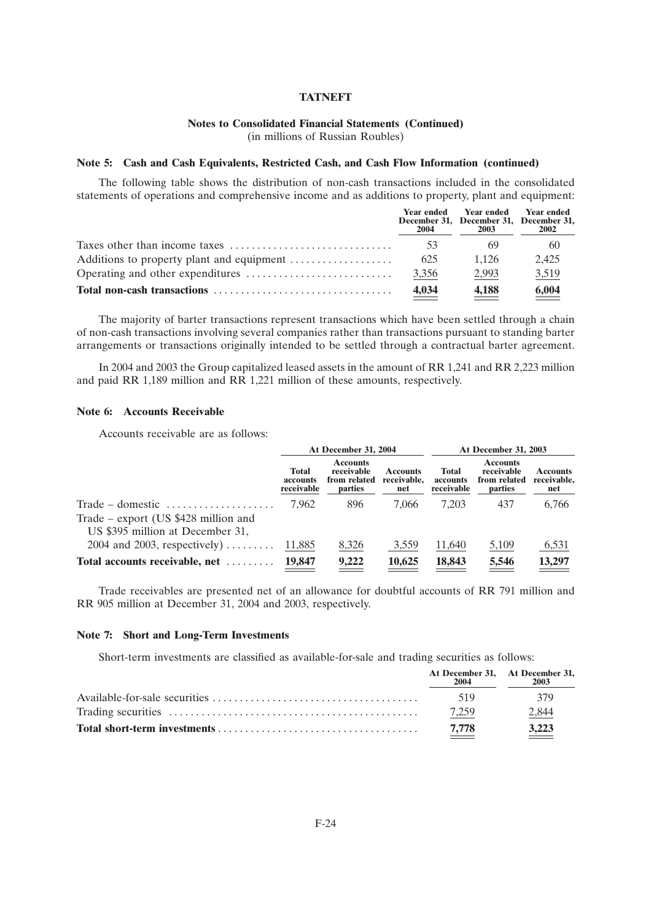### **Notes to Consolidated Financial Statements (Continued)**

(in millions of Russian Roubles)

#### **Note 5: Cash and Cash Equivalents, Restricted Cash, and Cash Flow Information (continued)**

The following table shows the distribution of non-cash transactions included in the consolidated statements of operations and comprehensive income and as additions to property, plant and equipment:

| 2004  | Year ended Year ended Year ended<br>December 31, December 31, December 31,<br>2003 | <b>2002</b> |
|-------|------------------------------------------------------------------------------------|-------------|
| 53    | -69                                                                                | 60          |
| 625   | 1.126                                                                              | 2.425       |
| 3,356 | 2.993                                                                              | 3,519       |
| 4,034 | 4.188                                                                              | 6,004       |

The majority of barter transactions represent transactions which have been settled through a chain of non-cash transactions involving several companies rather than transactions pursuant to standing barter arrangements or transactions originally intended to be settled through a contractual barter agreement.

In 2004 and 2003 the Group capitalized leased assets in the amount of RR 1,241 and RR 2,223 million and paid RR 1,189 million and RR 1,221 million of these amounts, respectively.

#### **Note 6: Accounts Receivable**

Accounts receivable are as follows:

|                                                                                                                                     | At December 31, 2004                   |                                                          |                                       | <b>At December 31, 2003</b>            |                                                          |                                       |  |
|-------------------------------------------------------------------------------------------------------------------------------------|----------------------------------------|----------------------------------------------------------|---------------------------------------|----------------------------------------|----------------------------------------------------------|---------------------------------------|--|
|                                                                                                                                     | <b>Total</b><br>accounts<br>receivable | <b>Accounts</b><br>receivable<br>from related<br>parties | <b>Accounts</b><br>receivable,<br>net | <b>Total</b><br>accounts<br>receivable | <b>Accounts</b><br>receivable<br>from related<br>parties | <b>Accounts</b><br>receivable,<br>net |  |
| Trade – domestic $\dots\dots\dots\dots\dots\dots\dots$<br>Trade – export (US $$428$ million and<br>US \$395 million at December 31, | 7.962                                  | 896                                                      | 7.066                                 | 7.203                                  | 437                                                      | 6,766                                 |  |
| $2004$ and $2003$ , respectively)                                                                                                   | 11,885                                 | 8,326                                                    | 3,559                                 | 11,640                                 | 5,109                                                    | 6,531                                 |  |
| Total accounts receivable, net                                                                                                      | 19,847                                 | 9,222                                                    | 10,625                                | 18,843                                 | $\frac{5,546}{ }$                                        | 13,297                                |  |

Trade receivables are presented net of an allowance for doubtful accounts of RR 791 million and RR 905 million at December 31, 2004 and 2003, respectively.

#### **Note 7: Short and Long-Term Investments**

Short-term investments are classified as available-for-sale and trading securities as follows:

| At December 31, At December 31,<br>2004 | 2003  |
|-----------------------------------------|-------|
| 519                                     | 379   |
| 7,259                                   | 2,844 |
| 7.778                                   | 3,223 |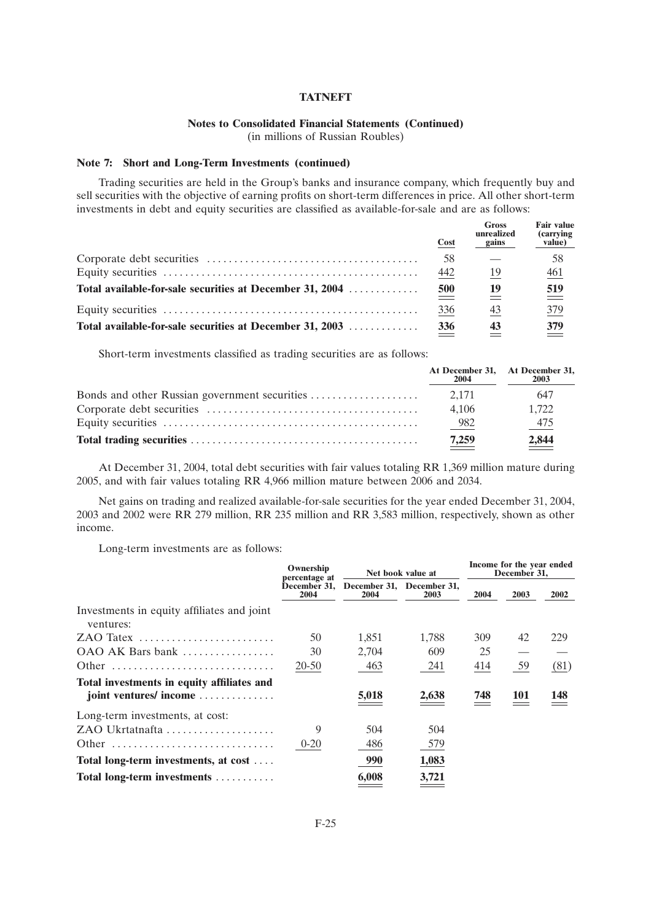### **Notes to Consolidated Financial Statements (Continued)**

(in millions of Russian Roubles)

### **Note 7: Short and Long-Term Investments (continued)**

Trading securities are held in the Group's banks and insurance company, which frequently buy and sell securities with the objective of earning profits on short-term differences in price. All other short-term investments in debt and equity securities are classified as available-for-sale and are as follows:

|                                                          | <b>Cost</b>     | <b>Gross</b><br>unrealized<br>gains | <b>Fair value</b><br>(carrying)<br>value) |
|----------------------------------------------------------|-----------------|-------------------------------------|-------------------------------------------|
|                                                          | 58              |                                     | 58                                        |
|                                                          | 442             | 19                                  | 461                                       |
| Total available-for-sale securities at December 31, 2004 | $\frac{500}{ }$ | 19                                  | $\frac{519}{ }$                           |
|                                                          | <u>336</u>      | 43                                  | $\frac{379}{2}$                           |
| Total available-for-sale securities at December 31, 2003 | 336             | 43                                  | 379                                       |

Short-term investments classified as trading securities are as follows:

| At December 31, At December 31,<br>2004 | 2003   |
|-----------------------------------------|--------|
|                                         | 647    |
| 4.106                                   | 1.722  |
| $-982$                                  | $-475$ |
| 7,259                                   | 2,844  |

At December 31, 2004, total debt securities with fair values totaling RR 1,369 million mature during 2005, and with fair values totaling RR 4,966 million mature between 2006 and 2034.

Net gains on trading and realized available-for-sale securities for the year ended December 31, 2004, 2003 and 2002 were RR 279 million, RR 235 million and RR 3,583 million, respectively, shown as other income.

Long-term investments are as follows:

|                                                         | Ownership<br>percentage at |       | Net book value at                 |      | Income for the year ended<br>December 31, |      |
|---------------------------------------------------------|----------------------------|-------|-----------------------------------|------|-------------------------------------------|------|
|                                                         | December 31,<br>2004       | 2004  | December 31, December 31,<br>2003 | 2004 | 2003                                      | 2002 |
| Investments in equity affiliates and joint<br>ventures: |                            |       |                                   |      |                                           |      |
| $ZAO$ Tatex                                             | 50                         | 1,851 | 1,788                             | 309  | 42                                        | 229  |
| OAO AK Bars bank                                        | 30                         | 2,704 | 609                               | 25   |                                           |      |
| Other                                                   | 20-50                      | 463   | 241                               | 414  | 59                                        | (81) |
| Total investments in equity affiliates and              |                            |       |                                   |      |                                           |      |
| joint ventures/ income                                  |                            | 5,018 | 2,638                             | 748  | 101                                       | 148  |
| Long-term investments, at cost:                         |                            |       |                                   |      |                                           |      |
| ZAO Ukrtatnafta                                         | 9                          | 504   | 504                               |      |                                           |      |
| Other                                                   | $0 - 20$                   | 486   | 579                               |      |                                           |      |
| Total long-term investments, at cost                    |                            | 990   | 1,083                             |      |                                           |      |
| Total long-term investments                             |                            | 6,008 | 3,721                             |      |                                           |      |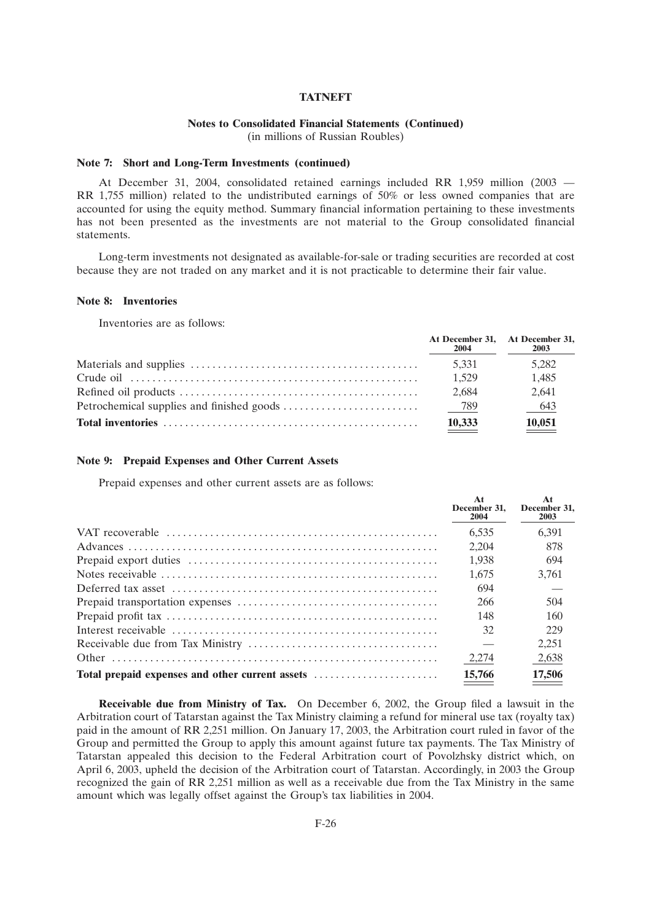#### **Notes to Consolidated Financial Statements (Continued)**

(in millions of Russian Roubles)

#### **Note 7: Short and Long-Term Investments (continued)**

At December 31, 2004, consolidated retained earnings included RR 1,959 million (2003 — RR 1,755 million) related to the undistributed earnings of 50% or less owned companies that are accounted for using the equity method. Summary financial information pertaining to these investments has not been presented as the investments are not material to the Group consolidated financial statements.

Long-term investments not designated as available-for-sale or trading securities are recorded at cost because they are not traded on any market and it is not practicable to determine their fair value.

#### **Note 8: Inventories**

Inventories are as follows:

| 2004   | At December 31, At December 31,<br>2003 |
|--------|-----------------------------------------|
| 5.331  | 5.282                                   |
| 1.529  | 1,485                                   |
| 2.684  | 2.641                                   |
|        | $-643$                                  |
| 10,333 | 10,051                                  |

#### **Note 9: Prepaid Expenses and Other Current Assets**

Prepaid expenses and other current assets are as follows:

|                                                 | At<br>December 31.<br>2004 | At<br>December 31.<br>2003 |
|-------------------------------------------------|----------------------------|----------------------------|
|                                                 | 6.535                      | 6.391                      |
|                                                 | 2,204                      | 878                        |
|                                                 | 1.938                      | 694                        |
|                                                 | 1.675                      | 3.761                      |
|                                                 | 694                        |                            |
|                                                 | 266                        | 504                        |
|                                                 | 148                        | 160                        |
|                                                 | 32                         | 229                        |
|                                                 |                            | 2.251                      |
|                                                 | 2,274                      | 2,638                      |
| Total prepaid expenses and other current assets | 15,766                     | 17,506                     |

**Receivable due from Ministry of Tax.** On December 6, 2002, the Group filed a lawsuit in the Arbitration court of Tatarstan against the Tax Ministry claiming a refund for mineral use tax (royalty tax) paid in the amount of RR 2,251 million. On January 17, 2003, the Arbitration court ruled in favor of the Group and permitted the Group to apply this amount against future tax payments. The Tax Ministry of Tatarstan appealed this decision to the Federal Arbitration court of Povolzhsky district which, on April 6, 2003, upheld the decision of the Arbitration court of Tatarstan. Accordingly, in 2003 the Group recognized the gain of RR 2,251 million as well as a receivable due from the Tax Ministry in the same amount which was legally offset against the Group's tax liabilities in 2004.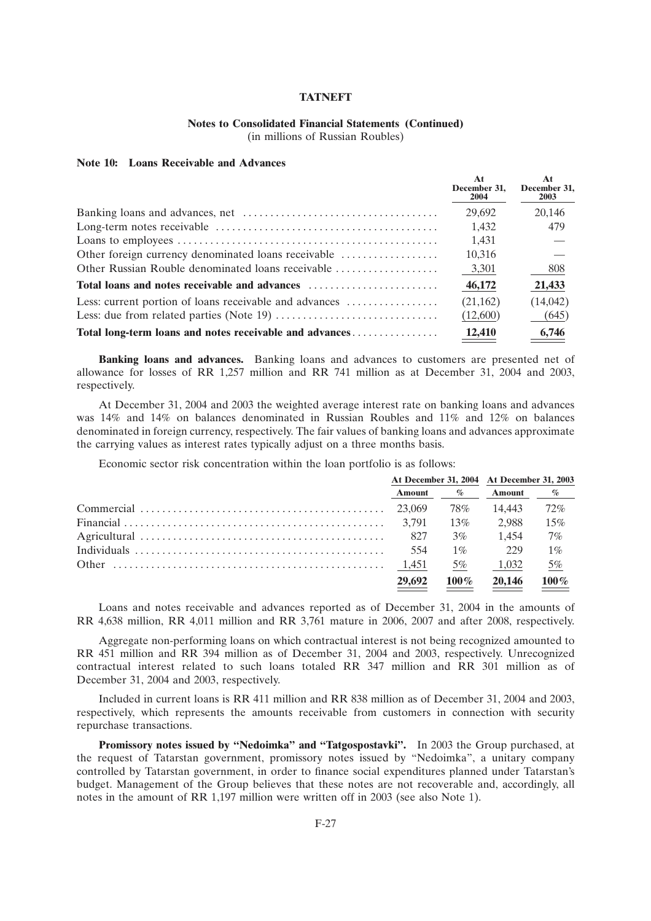## **Notes to Consolidated Financial Statements (Continued)**

(in millions of Russian Roubles)

#### **Note 10: Loans Receivable and Advances**

|                                                         | At<br>December 31.<br>2004 | At<br>December 31,<br><b>2003</b> |
|---------------------------------------------------------|----------------------------|-----------------------------------|
|                                                         | 29.692                     | 20,146                            |
|                                                         | 1.432                      | 479                               |
|                                                         | 1,431                      |                                   |
|                                                         | 10,316                     |                                   |
|                                                         | 3,301                      | 808                               |
| Total loans and notes receivable and advances           | 46,172                     | 21,433                            |
| Less: current portion of loans receivable and advances  | (21,162)                   | (14,042)                          |
|                                                         | (12,600)                   | (645)                             |
| Total long-term loans and notes receivable and advances | 12,410                     | 6,746                             |

**Banking loans and advances.** Banking loans and advances to customers are presented net of allowance for losses of RR 1,257 million and RR 741 million as at December 31, 2004 and 2003, respectively.

At December 31, 2004 and 2003 the weighted average interest rate on banking loans and advances was 14% and 14% on balances denominated in Russian Roubles and 11% and 12% on balances denominated in foreign currency, respectively. The fair values of banking loans and advances approximate the carrying values as interest rates typically adjust on a three months basis.

Economic sector risk concentration within the loan portfolio is as follows:

| At December 31, 2004 At December 31, 2003 |                             |               |       |
|-------------------------------------------|-----------------------------|---------------|-------|
| <b>Amount</b>                             | $\mathscr{A}_{\mathcal{O}}$ | <b>Amount</b> | $\%$  |
|                                           | 78%                         | 14.443        | 72%   |
|                                           | 13%                         | 2.988         | 15%   |
|                                           | $3\%$                       | 1.454         | 7%    |
| 554                                       | $1\%$                       | 229           | $1\%$ |
| 1.451                                     | 5%                          | 1.032         | 5%    |
| 29,692                                    | $100\%$                     | 20,146        | 100%  |

Loans and notes receivable and advances reported as of December 31, 2004 in the amounts of RR 4,638 million, RR 4,011 million and RR 3,761 mature in 2006, 2007 and after 2008, respectively.

Aggregate non-performing loans on which contractual interest is not being recognized amounted to RR 451 million and RR 394 million as of December 31, 2004 and 2003, respectively. Unrecognized contractual interest related to such loans totaled RR 347 million and RR 301 million as of December 31, 2004 and 2003, respectively.

Included in current loans is RR 411 million and RR 838 million as of December 31, 2004 and 2003, respectively, which represents the amounts receivable from customers in connection with security repurchase transactions.

**Promissory notes issued by ''Nedoimka'' and ''Tatgospostavki''.** In 2003 the Group purchased, at the request of Tatarstan government, promissory notes issued by ''Nedoimka'', a unitary company controlled by Tatarstan government, in order to finance social expenditures planned under Tatarstan's budget. Management of the Group believes that these notes are not recoverable and, accordingly, all notes in the amount of RR 1,197 million were written off in 2003 (see also Note 1).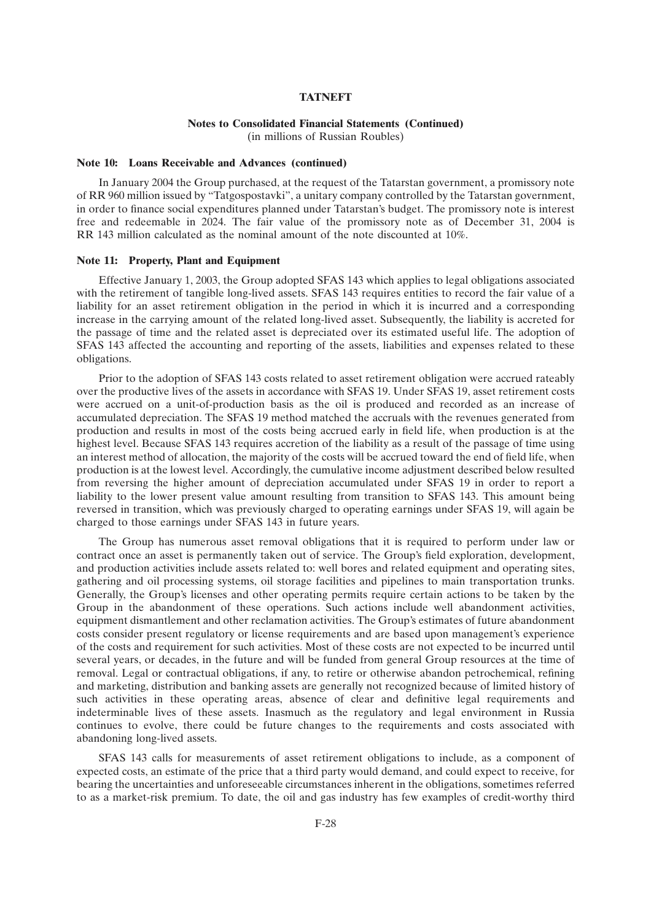### **Notes to Consolidated Financial Statements (Continued)**

(in millions of Russian Roubles)

#### **Note 10: Loans Receivable and Advances (continued)**

In January 2004 the Group purchased, at the request of the Tatarstan government, a promissory note of RR 960 million issued by ''Tatgospostavki'', a unitary company controlled by the Tatarstan government, in order to finance social expenditures planned under Tatarstan's budget. The promissory note is interest free and redeemable in 2024. The fair value of the promissory note as of December 31, 2004 is RR 143 million calculated as the nominal amount of the note discounted at 10%.

#### **Note 11: Property, Plant and Equipment**

Effective January 1, 2003, the Group adopted SFAS 143 which applies to legal obligations associated with the retirement of tangible long-lived assets. SFAS 143 requires entities to record the fair value of a liability for an asset retirement obligation in the period in which it is incurred and a corresponding increase in the carrying amount of the related long-lived asset. Subsequently, the liability is accreted for the passage of time and the related asset is depreciated over its estimated useful life. The adoption of SFAS 143 affected the accounting and reporting of the assets, liabilities and expenses related to these obligations.

Prior to the adoption of SFAS 143 costs related to asset retirement obligation were accrued rateably over the productive lives of the assets in accordance with SFAS 19. Under SFAS 19, asset retirement costs were accrued on a unit-of-production basis as the oil is produced and recorded as an increase of accumulated depreciation. The SFAS 19 method matched the accruals with the revenues generated from production and results in most of the costs being accrued early in field life, when production is at the highest level. Because SFAS 143 requires accretion of the liability as a result of the passage of time using an interest method of allocation, the majority of the costs will be accrued toward the end of field life, when production is at the lowest level. Accordingly, the cumulative income adjustment described below resulted from reversing the higher amount of depreciation accumulated under SFAS 19 in order to report a liability to the lower present value amount resulting from transition to SFAS 143. This amount being reversed in transition, which was previously charged to operating earnings under SFAS 19, will again be charged to those earnings under SFAS 143 in future years.

The Group has numerous asset removal obligations that it is required to perform under law or contract once an asset is permanently taken out of service. The Group's field exploration, development, and production activities include assets related to: well bores and related equipment and operating sites, gathering and oil processing systems, oil storage facilities and pipelines to main transportation trunks. Generally, the Group's licenses and other operating permits require certain actions to be taken by the Group in the abandonment of these operations. Such actions include well abandonment activities, equipment dismantlement and other reclamation activities. The Group's estimates of future abandonment costs consider present regulatory or license requirements and are based upon management's experience of the costs and requirement for such activities. Most of these costs are not expected to be incurred until several years, or decades, in the future and will be funded from general Group resources at the time of removal. Legal or contractual obligations, if any, to retire or otherwise abandon petrochemical, refining and marketing, distribution and banking assets are generally not recognized because of limited history of such activities in these operating areas, absence of clear and definitive legal requirements and indeterminable lives of these assets. Inasmuch as the regulatory and legal environment in Russia continues to evolve, there could be future changes to the requirements and costs associated with abandoning long-lived assets.

SFAS 143 calls for measurements of asset retirement obligations to include, as a component of expected costs, an estimate of the price that a third party would demand, and could expect to receive, for bearing the uncertainties and unforeseeable circumstances inherent in the obligations, sometimes referred to as a market-risk premium. To date, the oil and gas industry has few examples of credit-worthy third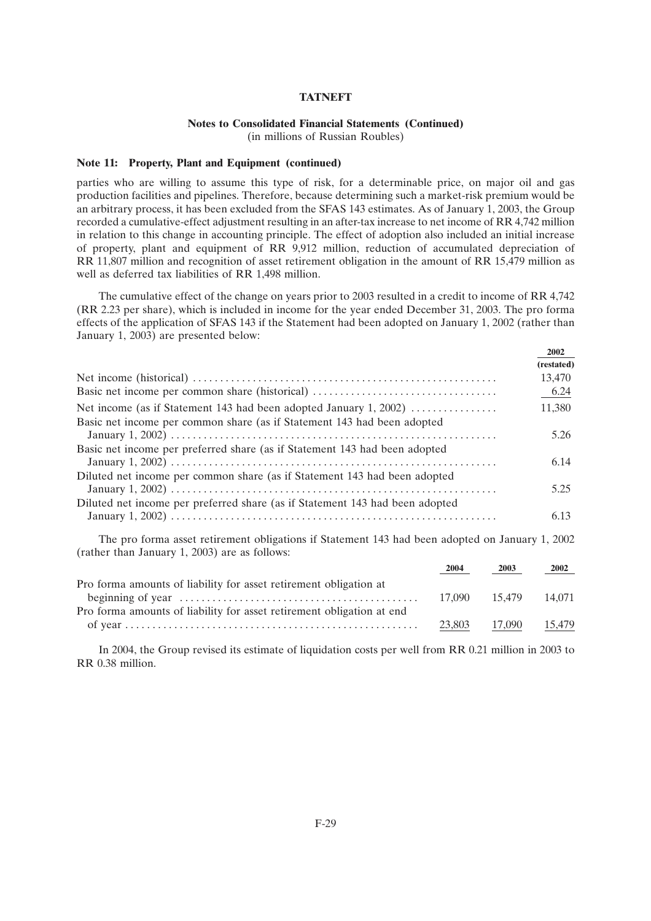## **Notes to Consolidated Financial Statements (Continued)**

(in millions of Russian Roubles)

#### **Note 11: Property, Plant and Equipment (continued)**

parties who are willing to assume this type of risk, for a determinable price, on major oil and gas production facilities and pipelines. Therefore, because determining such a market-risk premium would be an arbitrary process, it has been excluded from the SFAS 143 estimates. As of January 1, 2003, the Group recorded a cumulative-effect adjustment resulting in an after-tax increase to net income of RR 4,742 million in relation to this change in accounting principle. The effect of adoption also included an initial increase of property, plant and equipment of RR 9,912 million, reduction of accumulated depreciation of RR 11,807 million and recognition of asset retirement obligation in the amount of RR 15,479 million as well as deferred tax liabilities of RR 1,498 million.

The cumulative effect of the change on years prior to 2003 resulted in a credit to income of RR 4,742 (RR 2.23 per share), which is included in income for the year ended December 31, 2003. The pro forma effects of the application of SFAS 143 if the Statement had been adopted on January 1, 2002 (rather than January 1, 2003) are presented below:

**2002**

|                                                                                                                                              | 4004       |
|----------------------------------------------------------------------------------------------------------------------------------------------|------------|
|                                                                                                                                              | (restated) |
|                                                                                                                                              | 13,470     |
|                                                                                                                                              | 6.24       |
| Net income (as if Statement 143 had been adopted January 1, 2002)<br>Basic net income per common share (as if Statement 143 had been adopted | 11,380     |
|                                                                                                                                              | 5.26       |
| Basic net income per preferred share (as if Statement 143 had been adopted                                                                   |            |
|                                                                                                                                              | 6.14       |
| Diluted net income per common share (as if Statement 143 had been adopted                                                                    |            |
|                                                                                                                                              | 5.25       |
| Diluted net income per preferred share (as if Statement 143 had been adopted                                                                 |            |
|                                                                                                                                              | 6.13       |
| The pro forma asset retirement obligations if Statement 143 had been adopted on January 1, 2002                                              |            |
| (rather than January 1, 2003) are as follows:                                                                                                |            |

|                                                                       | 2004   | 2003          | 2002 |
|-----------------------------------------------------------------------|--------|---------------|------|
| Pro forma amounts of liability for asset retirement obligation at     |        |               |      |
|                                                                       |        |               |      |
| Pro forma amounts of liability for asset retirement obligation at end |        |               |      |
|                                                                       | 23.803 | 17,090 15,479 |      |

In 2004, the Group revised its estimate of liquidation costs per well from RR 0.21 million in 2003 to RR 0.38 million.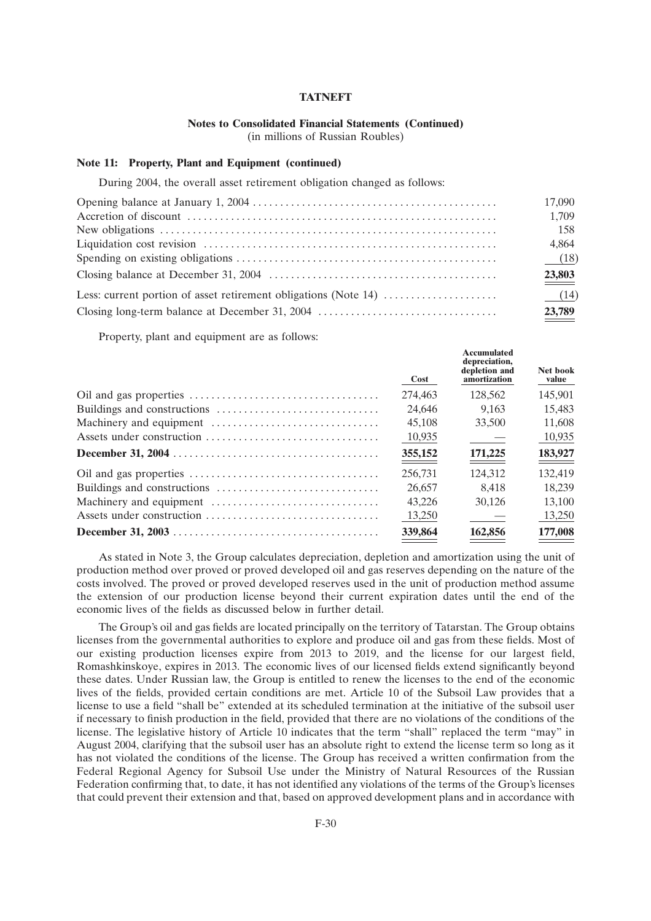## **Notes to Consolidated Financial Statements (Continued)**

(in millions of Russian Roubles)

#### **Note 11: Property, Plant and Equipment (continued)**

During 2004, the overall asset retirement obligation changed as follows:

| 17,090 |
|--------|
| 1,709  |
| 158    |
| 4,864  |
| (18)   |
| 23,803 |
| (14)   |
| 23,789 |

Property, plant and equipment are as follows:

| Cost    | <b>Accumulated</b><br>depreciation,<br>depletion and<br>amortization | Net book<br>value |
|---------|----------------------------------------------------------------------|-------------------|
| 274,463 | 128,562                                                              | 145,901           |
| 24.646  | 9.163                                                                | 15.483            |
| 45.108  | 33,500                                                               | 11.608            |
| 10,935  |                                                                      | 10,935            |
| 355,152 | 171,225                                                              | 183,927           |
| 256,731 | 124.312                                                              | 132.419           |
| 26,657  | 8.418                                                                | 18.239            |
| 43.226  | 30.126                                                               | 13.100            |
| 13,250  |                                                                      | 13,250            |
| 339,864 | 162,856                                                              | 177,008           |
|         |                                                                      |                   |

As stated in Note 3, the Group calculates depreciation, depletion and amortization using the unit of production method over proved or proved developed oil and gas reserves depending on the nature of the costs involved. The proved or proved developed reserves used in the unit of production method assume the extension of our production license beyond their current expiration dates until the end of the economic lives of the fields as discussed below in further detail.

The Group's oil and gas fields are located principally on the territory of Tatarstan. The Group obtains licenses from the governmental authorities to explore and produce oil and gas from these fields. Most of our existing production licenses expire from 2013 to 2019, and the license for our largest field, Romashkinskoye, expires in 2013. The economic lives of our licensed fields extend significantly beyond these dates. Under Russian law, the Group is entitled to renew the licenses to the end of the economic lives of the fields, provided certain conditions are met. Article 10 of the Subsoil Law provides that a license to use a field ''shall be'' extended at its scheduled termination at the initiative of the subsoil user if necessary to finish production in the field, provided that there are no violations of the conditions of the license. The legislative history of Article 10 indicates that the term ''shall'' replaced the term ''may'' in August 2004, clarifying that the subsoil user has an absolute right to extend the license term so long as it has not violated the conditions of the license. The Group has received a written confirmation from the Federal Regional Agency for Subsoil Use under the Ministry of Natural Resources of the Russian Federation confirming that, to date, it has not identified any violations of the terms of the Group's licenses that could prevent their extension and that, based on approved development plans and in accordance with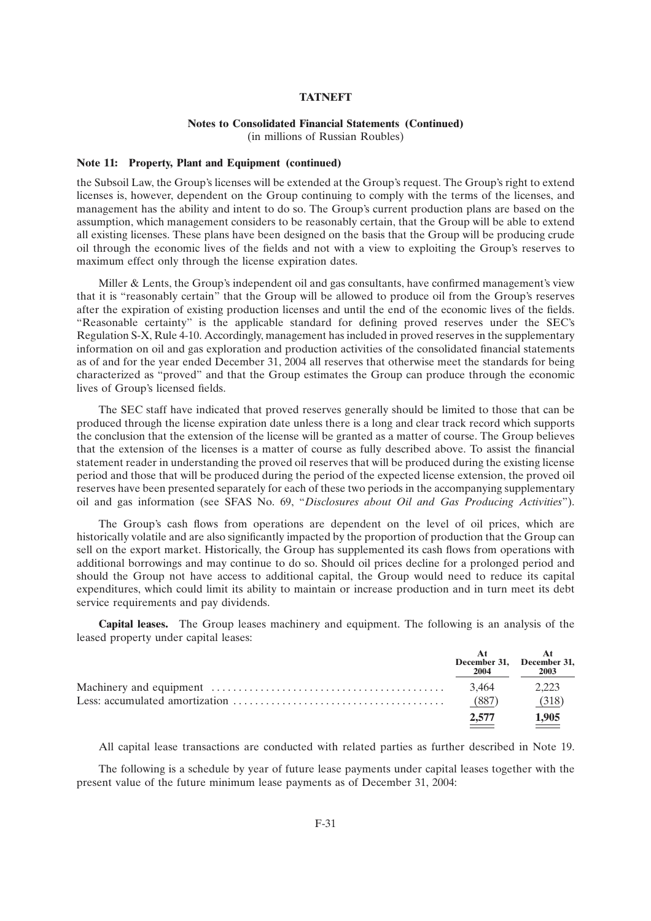### **Notes to Consolidated Financial Statements (Continued)**

(in millions of Russian Roubles)

#### **Note 11: Property, Plant and Equipment (continued)**

the Subsoil Law, the Group's licenses will be extended at the Group's request. The Group's right to extend licenses is, however, dependent on the Group continuing to comply with the terms of the licenses, and management has the ability and intent to do so. The Group's current production plans are based on the assumption, which management considers to be reasonably certain, that the Group will be able to extend all existing licenses. These plans have been designed on the basis that the Group will be producing crude oil through the economic lives of the fields and not with a view to exploiting the Group's reserves to maximum effect only through the license expiration dates.

Miller & Lents, the Group's independent oil and gas consultants, have confirmed management's view that it is ''reasonably certain'' that the Group will be allowed to produce oil from the Group's reserves after the expiration of existing production licenses and until the end of the economic lives of the fields. ''Reasonable certainty'' is the applicable standard for defining proved reserves under the SEC's Regulation S-X, Rule 4-10. Accordingly, management has included in proved reserves in the supplementary information on oil and gas exploration and production activities of the consolidated financial statements as of and for the year ended December 31, 2004 all reserves that otherwise meet the standards for being characterized as ''proved'' and that the Group estimates the Group can produce through the economic lives of Group's licensed fields.

The SEC staff have indicated that proved reserves generally should be limited to those that can be produced through the license expiration date unless there is a long and clear track record which supports the conclusion that the extension of the license will be granted as a matter of course. The Group believes that the extension of the licenses is a matter of course as fully described above. To assist the financial statement reader in understanding the proved oil reserves that will be produced during the existing license period and those that will be produced during the period of the expected license extension, the proved oil reserves have been presented separately for each of these two periods in the accompanying supplementary oil and gas information (see SFAS No. 69, ''*Disclosures about Oil and Gas Producing Activities*'').

The Group's cash flows from operations are dependent on the level of oil prices, which are historically volatile and are also significantly impacted by the proportion of production that the Group can sell on the export market. Historically, the Group has supplemented its cash flows from operations with additional borrowings and may continue to do so. Should oil prices decline for a prolonged period and should the Group not have access to additional capital, the Group would need to reduce its capital expenditures, which could limit its ability to maintain or increase production and in turn meet its debt service requirements and pay dividends.

**Capital leases.** The Group leases machinery and equipment. The following is an analysis of the leased property under capital leases:

| December 31, December 31,<br>2004 | 2003         |
|-----------------------------------|--------------|
| 3.464                             | 2.223        |
| (887)                             | (318)        |
| 2.577                             | <u>1,905</u> |

All capital lease transactions are conducted with related parties as further described in Note 19.

The following is a schedule by year of future lease payments under capital leases together with the present value of the future minimum lease payments as of December 31, 2004: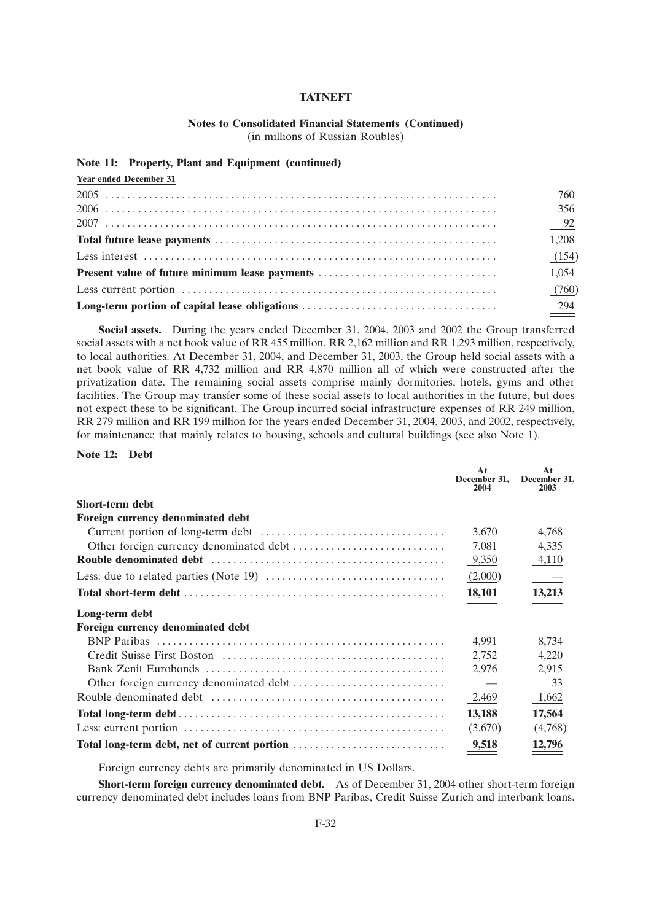#### **Notes to Consolidated Financial Statements (Continued)** (in millions of Russian Roubles)

### **Note 11: Property, Plant and Equipment (continued)**

| <b>Year ended December 31</b>                          |       |
|--------------------------------------------------------|-------|
|                                                        | 760   |
|                                                        | 356   |
|                                                        | $-92$ |
|                                                        | 1,208 |
|                                                        | (154) |
| <b>Present value of future minimum lease payments </b> | 1,054 |
|                                                        | (760) |
|                                                        | 294   |

**Social assets.** During the years ended December 31, 2004, 2003 and 2002 the Group transferred social assets with a net book value of RR 455 million, RR 2,162 million and RR 1,293 million, respectively, to local authorities. At December 31, 2004, and December 31, 2003, the Group held social assets with a net book value of RR 4,732 million and RR 4,870 million all of which were constructed after the privatization date. The remaining social assets comprise mainly dormitories, hotels, gyms and other facilities. The Group may transfer some of these social assets to local authorities in the future, but does not expect these to be significant. The Group incurred social infrastructure expenses of RR 249 million, RR 279 million and RR 199 million for the years ended December 31, 2004, 2003, and 2002, respectively, for maintenance that mainly relates to housing, schools and cultural buildings (see also Note 1).

### **Note 12: Debt**

|                                                                                                | At<br>December 31.<br>2004 | At<br>December 31.<br>2003 |
|------------------------------------------------------------------------------------------------|----------------------------|----------------------------|
| <b>Short-term debt</b>                                                                         |                            |                            |
| Foreign currency denominated debt                                                              |                            |                            |
|                                                                                                | 3,670                      | 4,768                      |
|                                                                                                | 7,081                      | 4,335                      |
|                                                                                                | 9,350                      | 4,110                      |
| Less: due to related parties (Note 19) $\dots \dots \dots \dots \dots \dots \dots \dots \dots$ | (2,000)                    |                            |
|                                                                                                | 18,101                     | $\frac{13,213}{ }$         |
| Long-term debt                                                                                 |                            |                            |
| <b>Foreign currency denominated debt</b>                                                       |                            |                            |
|                                                                                                | 4.991                      | 8.734                      |
|                                                                                                | 2,752                      | 4,220                      |
|                                                                                                | 2.976                      | 2,915                      |
|                                                                                                |                            | 33                         |
|                                                                                                | 2,469                      | 1,662                      |
|                                                                                                | 13,188                     | 17,564                     |
|                                                                                                | (3,670)                    | (4,768)                    |
| Total long-term debt, net of current portion                                                   | 9,518                      | 12,796                     |

Foreign currency debts are primarily denominated in US Dollars.

**Short-term foreign currency denominated debt.** As of December 31, 2004 other short-term foreign currency denominated debt includes loans from BNP Paribas, Credit Suisse Zurich and interbank loans.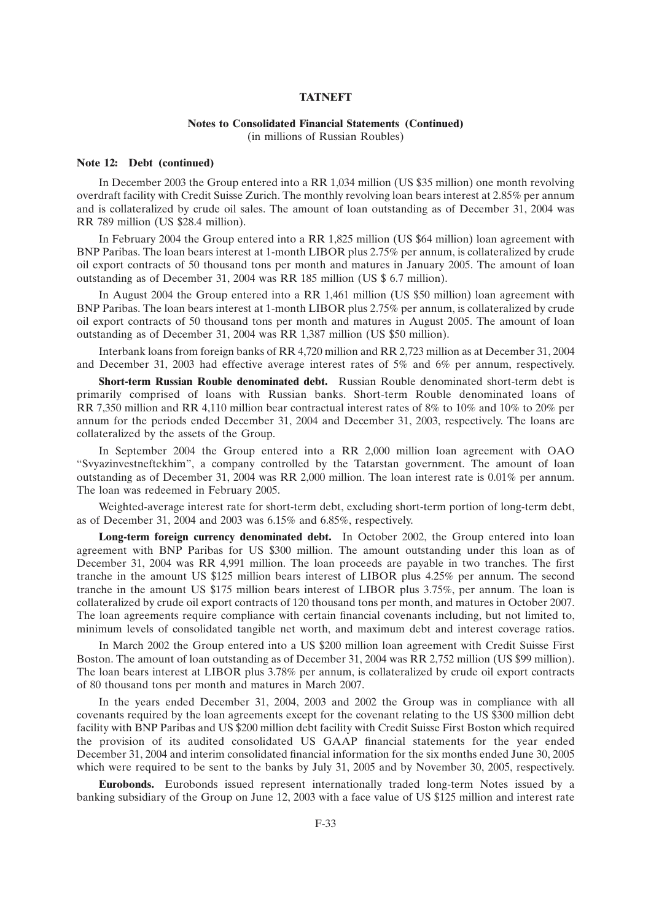## **Notes to Consolidated Financial Statements (Continued)**

(in millions of Russian Roubles)

#### **Note 12: Debt (continued)**

In December 2003 the Group entered into a RR 1,034 million (US \$35 million) one month revolving overdraft facility with Credit Suisse Zurich. The monthly revolving loan bears interest at 2.85% per annum and is collateralized by crude oil sales. The amount of loan outstanding as of December 31, 2004 was RR 789 million (US \$28.4 million).

In February 2004 the Group entered into a RR 1,825 million (US \$64 million) loan agreement with BNP Paribas. The loan bears interest at 1-month LIBOR plus 2.75% per annum, is collateralized by crude oil export contracts of 50 thousand tons per month and matures in January 2005. The amount of loan outstanding as of December 31, 2004 was RR 185 million (US \$ 6.7 million).

In August 2004 the Group entered into a RR 1,461 million (US \$50 million) loan agreement with BNP Paribas. The loan bears interest at 1-month LIBOR plus 2.75% per annum, is collateralized by crude oil export contracts of 50 thousand tons per month and matures in August 2005. The amount of loan outstanding as of December 31, 2004 was RR 1,387 million (US \$50 million).

Interbank loans from foreign banks of RR 4,720 million and RR 2,723 million as at December 31, 2004 and December 31, 2003 had effective average interest rates of 5% and 6% per annum, respectively.

**Short-term Russian Rouble denominated debt.** Russian Rouble denominated short-term debt is primarily comprised of loans with Russian banks. Short-term Rouble denominated loans of RR 7,350 million and RR 4,110 million bear contractual interest rates of 8% to 10% and 10% to 20% per annum for the periods ended December 31, 2004 and December 31, 2003, respectively. The loans are collateralized by the assets of the Group.

In September 2004 the Group entered into a RR 2,000 million loan agreement with OAO ''Svyazinvestneftekhim'', a company controlled by the Tatarstan government. The amount of loan outstanding as of December 31, 2004 was RR 2,000 million. The loan interest rate is 0.01% per annum. The loan was redeemed in February 2005.

Weighted-average interest rate for short-term debt, excluding short-term portion of long-term debt, as of December 31, 2004 and 2003 was 6.15% and 6.85%, respectively.

**Long-term foreign currency denominated debt.** In October 2002, the Group entered into loan agreement with BNP Paribas for US \$300 million. The amount outstanding under this loan as of December 31, 2004 was RR 4,991 million. The loan proceeds are payable in two tranches. The first tranche in the amount US \$125 million bears interest of LIBOR plus 4.25% per annum. The second tranche in the amount US \$175 million bears interest of LIBOR plus 3.75%, per annum. The loan is collateralized by crude oil export contracts of 120 thousand tons per month, and matures in October 2007. The loan agreements require compliance with certain financial covenants including, but not limited to, minimum levels of consolidated tangible net worth, and maximum debt and interest coverage ratios.

In March 2002 the Group entered into a US \$200 million loan agreement with Credit Suisse First Boston. The amount of loan outstanding as of December 31, 2004 was RR 2,752 million (US \$99 million). The loan bears interest at LIBOR plus 3.78% per annum, is collateralized by crude oil export contracts of 80 thousand tons per month and matures in March 2007.

In the years ended December 31, 2004, 2003 and 2002 the Group was in compliance with all covenants required by the loan agreements except for the covenant relating to the US \$300 million debt facility with BNP Paribas and US \$200 million debt facility with Credit Suisse First Boston which required the provision of its audited consolidated US GAAP financial statements for the year ended December 31, 2004 and interim consolidated financial information for the six months ended June 30, 2005 which were required to be sent to the banks by July 31, 2005 and by November 30, 2005, respectively.

**Eurobonds.** Eurobonds issued represent internationally traded long-term Notes issued by a banking subsidiary of the Group on June 12, 2003 with a face value of US \$125 million and interest rate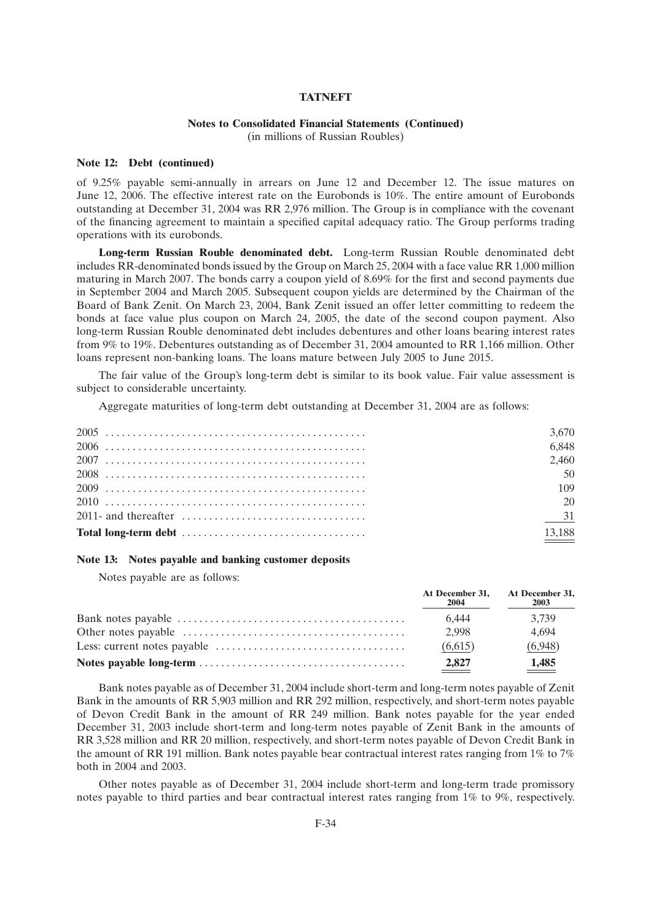## **Notes to Consolidated Financial Statements (Continued)**

(in millions of Russian Roubles)

#### **Note 12: Debt (continued)**

of 9.25% payable semi-annually in arrears on June 12 and December 12. The issue matures on June 12, 2006. The effective interest rate on the Eurobonds is 10%. The entire amount of Eurobonds outstanding at December 31, 2004 was RR 2,976 million. The Group is in compliance with the covenant of the financing agreement to maintain a specified capital adequacy ratio. The Group performs trading operations with its eurobonds.

**Long-term Russian Rouble denominated debt.** Long-term Russian Rouble denominated debt includes RR-denominated bonds issued by the Group on March 25, 2004 with a face value RR 1,000 million maturing in March 2007. The bonds carry a coupon yield of 8.69% for the first and second payments due in September 2004 and March 2005. Subsequent coupon yields are determined by the Chairman of the Board of Bank Zenit. On March 23, 2004, Bank Zenit issued an offer letter committing to redeem the bonds at face value plus coupon on March 24, 2005, the date of the second coupon payment. Also long-term Russian Rouble denominated debt includes debentures and other loans bearing interest rates from 9% to 19%. Debentures outstanding as of December 31, 2004 amounted to RR 1,166 million. Other loans represent non-banking loans. The loans mature between July 2005 to June 2015.

The fair value of the Group's long-term debt is similar to its book value. Fair value assessment is subject to considerable uncertainty.

Aggregate maturities of long-term debt outstanding at December 31, 2004 are as follows:

| 3.670                |
|----------------------|
| 6.848                |
| 2.460                |
| 50                   |
| 109                  |
| 20                   |
| 31                   |
| $\underline{13,188}$ |

#### **Note 13: Notes payable and banking customer deposits**

Notes payable are as follows:

| At December 31, At December 31,<br>2004 | 2003    |
|-----------------------------------------|---------|
| 6.444                                   | 3.739   |
| 2.998                                   | 4.694   |
| (6.615)                                 | (6,948) |
| 2,827                                   | 1,485   |

Bank notes payable as of December 31, 2004 include short-term and long-term notes payable of Zenit Bank in the amounts of RR 5,903 million and RR 292 million, respectively, and short-term notes payable of Devon Credit Bank in the amount of RR 249 million. Bank notes payable for the year ended December 31, 2003 include short-term and long-term notes payable of Zenit Bank in the amounts of RR 3,528 million and RR 20 million, respectively, and short-term notes payable of Devon Credit Bank in the amount of RR 191 million. Bank notes payable bear contractual interest rates ranging from 1% to 7% both in 2004 and 2003.

Other notes payable as of December 31, 2004 include short-term and long-term trade promissory notes payable to third parties and bear contractual interest rates ranging from 1% to 9%, respectively.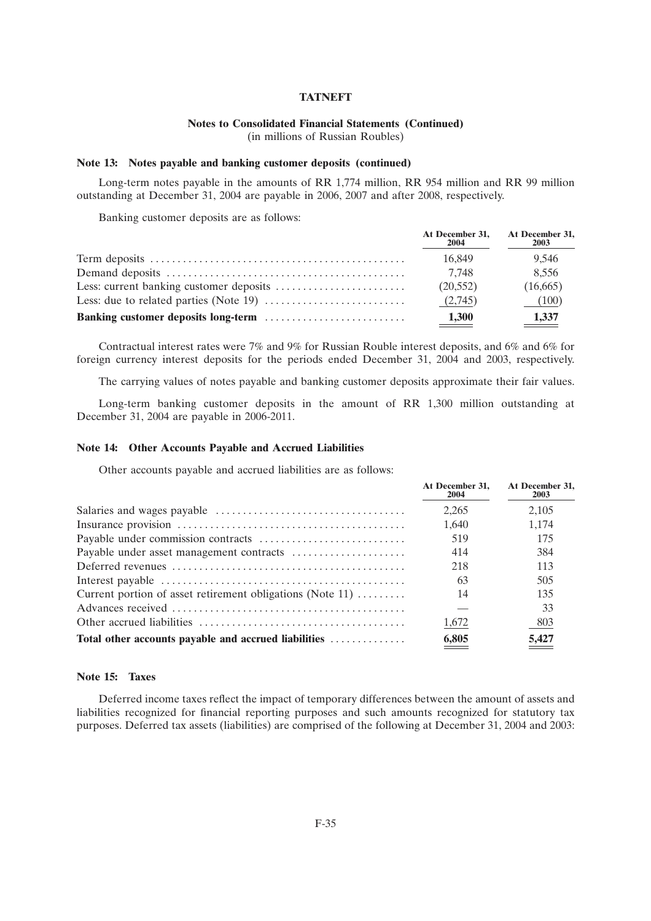# **Notes to Consolidated Financial Statements (Continued)**

(in millions of Russian Roubles)

### **Note 13: Notes payable and banking customer deposits (continued)**

Long-term notes payable in the amounts of RR 1,774 million, RR 954 million and RR 99 million outstanding at December 31, 2004 are payable in 2006, 2007 and after 2008, respectively.

Banking customer deposits are as follows:

| At December 31,<br>2004 | At December 31,<br>2003 |
|-------------------------|-------------------------|
| 16.849                  | 9.546                   |
| 7.748                   | 8.556                   |
| (20,552)                | (16,665)                |
| (2.745)                 | (100)                   |
| 1,300                   | 1,337                   |

Contractual interest rates were 7% and 9% for Russian Rouble interest deposits, and 6% and 6% for foreign currency interest deposits for the periods ended December 31, 2004 and 2003, respectively.

The carrying values of notes payable and banking customer deposits approximate their fair values.

Long-term banking customer deposits in the amount of RR 1,300 million outstanding at December 31, 2004 are payable in 2006-2011.

#### **Note 14: Other Accounts Payable and Accrued Liabilities**

Other accounts payable and accrued liabilities are as follows:

|                                                                             | At December 31.<br>2004 | At December 31,<br>2003 |
|-----------------------------------------------------------------------------|-------------------------|-------------------------|
|                                                                             | 2.265                   | 2.105                   |
|                                                                             | 1.640                   | 1,174                   |
|                                                                             | 519                     | 175                     |
|                                                                             | 414                     | 384                     |
|                                                                             | 218                     | 113                     |
|                                                                             | 63                      | 505                     |
| Current portion of asset retirement obligations (Note 11) $\dots\dots\dots$ | 14                      | 135                     |
|                                                                             |                         | 33                      |
|                                                                             | 1,672                   | 803                     |
| Total other accounts payable and accrued liabilities                        | 6,805                   | 5,427                   |

## **Note 15: Taxes**

Deferred income taxes reflect the impact of temporary differences between the amount of assets and liabilities recognized for financial reporting purposes and such amounts recognized for statutory tax purposes. Deferred tax assets (liabilities) are comprised of the following at December 31, 2004 and 2003: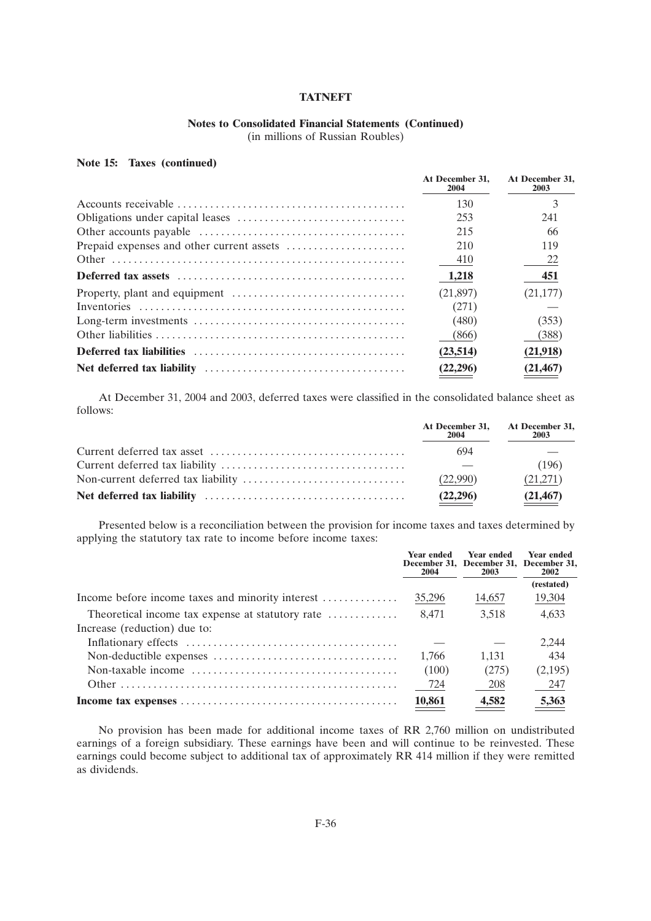## **Notes to Consolidated Financial Statements (Continued)**

(in millions of Russian Roubles)

## **Note 15: Taxes (continued)**

| At December 31.<br>2004 | At December 31.<br>2003 |
|-------------------------|-------------------------|
| 130                     |                         |
| 253                     | 241                     |
| 215                     | 66                      |
| 210                     | 119                     |
| 410                     | 22                      |
| 1,218                   | 451                     |
| (21,897)                | (21, 177)               |
| (271)                   |                         |
| (480)                   | (353)                   |
| (866)                   | (388)                   |
| (23,514)                | (21,918)                |
| (22,296)                | (21, 467)               |

At December 31, 2004 and 2003, deferred taxes were classified in the consolidated balance sheet as follows:

| At December 31, At December 31,<br>2004 | 2003      |
|-----------------------------------------|-----------|
| 694                                     |           |
|                                         | (196)     |
| (22.990)                                | (21,271)  |
| (22,296)                                | (21, 467) |

Presented below is a reconciliation between the provision for income taxes and taxes determined by applying the statutory tax rate to income before income taxes:

|                                                  | <b>Year ended</b><br>2004 | <b>Year ended</b><br>December 31, December 31, December 31,<br>2003 | <b>Year ended</b><br><b>2002</b> |
|--------------------------------------------------|---------------------------|---------------------------------------------------------------------|----------------------------------|
|                                                  |                           |                                                                     | (restated)                       |
| Income before income taxes and minority interest | 35,296                    | 14,657                                                              | 19,304                           |
| Theoretical income tax expense at statutory rate | 8.471                     | 3,518                                                               | 4,633                            |
| Increase (reduction) due to:                     |                           |                                                                     |                                  |
|                                                  |                           |                                                                     | 2.244                            |
|                                                  | 1.766                     | 1.131                                                               | 434                              |
|                                                  | (100)                     | (275)                                                               | (2,195)                          |
|                                                  | 724                       | 208                                                                 | - 247                            |
|                                                  | 10,861                    | 4,582                                                               | 5,363                            |

No provision has been made for additional income taxes of RR 2,760 million on undistributed earnings of a foreign subsidiary. These earnings have been and will continue to be reinvested. These earnings could become subject to additional tax of approximately RR 414 million if they were remitted as dividends.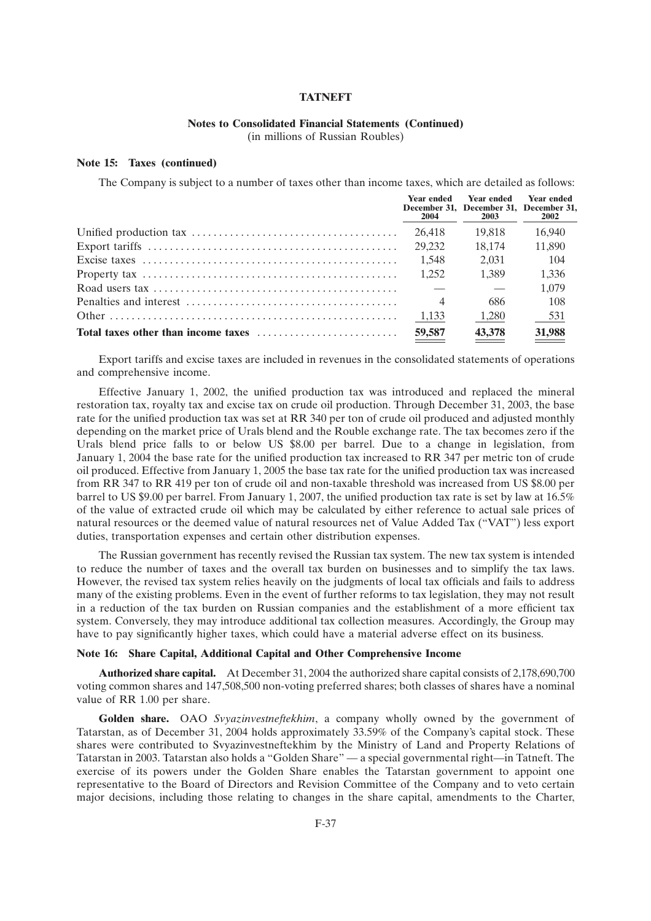### **Notes to Consolidated Financial Statements (Continued)**

(in millions of Russian Roubles)

#### **Note 15: Taxes (continued)**

The Company is subject to a number of taxes other than income taxes, which are detailed as follows:

| <b>Year ended</b><br>2004 | <b>Year ended</b><br>December 31, December 31, December 31,<br><b>2003</b> | <b>Year ended</b><br>2002 |
|---------------------------|----------------------------------------------------------------------------|---------------------------|
| 26.418                    | 19.818                                                                     | 16.940                    |
| 29.232                    | 18,174                                                                     | 11.890                    |
| 1.548                     | 2.031                                                                      | 104                       |
| 1.252                     | 1.389                                                                      | 1.336                     |
|                           |                                                                            | 1.079                     |
| $\overline{4}$            | 686                                                                        | 108                       |
| 1,133                     | 1,280                                                                      | 531                       |
| 59,587                    | 43,378                                                                     | 31,988                    |

Export tariffs and excise taxes are included in revenues in the consolidated statements of operations and comprehensive income.

Effective January 1, 2002, the unified production tax was introduced and replaced the mineral restoration tax, royalty tax and excise tax on crude oil production. Through December 31, 2003, the base rate for the unified production tax was set at RR 340 per ton of crude oil produced and adjusted monthly depending on the market price of Urals blend and the Rouble exchange rate. The tax becomes zero if the Urals blend price falls to or below US \$8.00 per barrel. Due to a change in legislation, from January 1, 2004 the base rate for the unified production tax increased to RR 347 per metric ton of crude oil produced. Effective from January 1, 2005 the base tax rate for the unified production tax was increased from RR 347 to RR 419 per ton of crude oil and non-taxable threshold was increased from US \$8.00 per barrel to US \$9.00 per barrel. From January 1, 2007, the unified production tax rate is set by law at 16.5% of the value of extracted crude oil which may be calculated by either reference to actual sale prices of natural resources or the deemed value of natural resources net of Value Added Tax (''VAT'') less export duties, transportation expenses and certain other distribution expenses.

The Russian government has recently revised the Russian tax system. The new tax system is intended to reduce the number of taxes and the overall tax burden on businesses and to simplify the tax laws. However, the revised tax system relies heavily on the judgments of local tax officials and fails to address many of the existing problems. Even in the event of further reforms to tax legislation, they may not result in a reduction of the tax burden on Russian companies and the establishment of a more efficient tax system. Conversely, they may introduce additional tax collection measures. Accordingly, the Group may have to pay significantly higher taxes, which could have a material adverse effect on its business.

#### **Note 16: Share Capital, Additional Capital and Other Comprehensive Income**

**Authorized share capital.** At December 31, 2004 the authorized share capital consists of 2,178,690,700 voting common shares and 147,508,500 non-voting preferred shares; both classes of shares have a nominal value of RR 1.00 per share.

**Golden share.** OAO *Svyazinvestneftekhim*, a company wholly owned by the government of Tatarstan, as of December 31, 2004 holds approximately 33.59% of the Company's capital stock. These shares were contributed to Svyazinvestneftekhim by the Ministry of Land and Property Relations of Tatarstan in 2003. Tatarstan also holds a ''Golden Share'' — a special governmental right—in Tatneft. The exercise of its powers under the Golden Share enables the Tatarstan government to appoint one representative to the Board of Directors and Revision Committee of the Company and to veto certain major decisions, including those relating to changes in the share capital, amendments to the Charter,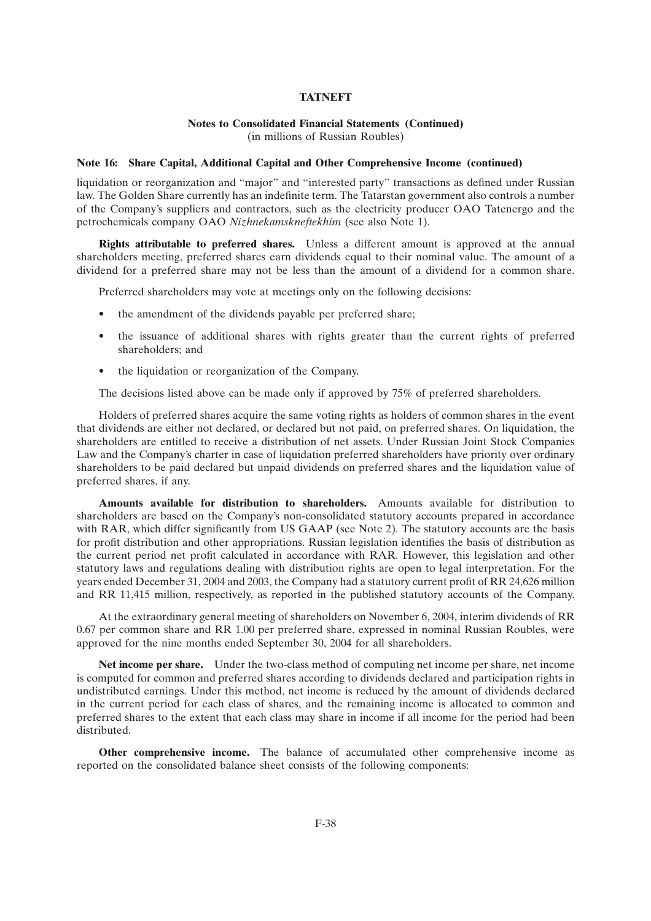#### **Notes to Consolidated Financial Statements (Continued)** (in millions of Russian Roubles)

#### **Note 16: Share Capital, Additional Capital and Other Comprehensive Income (continued)**

liquidation or reorganization and ''major'' and ''interested party'' transactions as defined under Russian law. The Golden Share currently has an indefinite term. The Tatarstan government also controls a number of the Company's suppliers and contractors, such as the electricity producer OAO Tatenergo and the petrochemicals company OAO *Nizhnekamskneftekhim* (see also Note 1).

**Rights attributable to preferred shares.** Unless a different amount is approved at the annual shareholders meeting, preferred shares earn dividends equal to their nominal value. The amount of a dividend for a preferred share may not be less than the amount of a dividend for a common share.

Preferred shareholders may vote at meetings only on the following decisions:

- the amendment of the dividends payable per preferred share;
- the issuance of additional shares with rights greater than the current rights of preferred shareholders; and
- the liquidation or reorganization of the Company.

The decisions listed above can be made only if approved by 75% of preferred shareholders.

Holders of preferred shares acquire the same voting rights as holders of common shares in the event that dividends are either not declared, or declared but not paid, on preferred shares. On liquidation, the shareholders are entitled to receive a distribution of net assets. Under Russian Joint Stock Companies Law and the Company's charter in case of liquidation preferred shareholders have priority over ordinary shareholders to be paid declared but unpaid dividends on preferred shares and the liquidation value of preferred shares, if any.

**Amounts available for distribution to shareholders.** Amounts available for distribution to shareholders are based on the Company's non-consolidated statutory accounts prepared in accordance with RAR, which differ significantly from US GAAP (see Note 2). The statutory accounts are the basis for profit distribution and other appropriations. Russian legislation identifies the basis of distribution as the current period net profit calculated in accordance with RAR. However, this legislation and other statutory laws and regulations dealing with distribution rights are open to legal interpretation. For the years ended December 31, 2004 and 2003, the Company had a statutory current profit of RR 24,626 million and RR 11,415 million, respectively, as reported in the published statutory accounts of the Company.

At the extraordinary general meeting of shareholders on November 6, 2004, interim dividends of RR 0.67 per common share and RR 1.00 per preferred share, expressed in nominal Russian Roubles, were approved for the nine months ended September 30, 2004 for all shareholders.

**Net income per share.** Under the two-class method of computing net income per share, net income is computed for common and preferred shares according to dividends declared and participation rights in undistributed earnings. Under this method, net income is reduced by the amount of dividends declared in the current period for each class of shares, and the remaining income is allocated to common and preferred shares to the extent that each class may share in income if all income for the period had been distributed.

**Other comprehensive income.** The balance of accumulated other comprehensive income as reported on the consolidated balance sheet consists of the following components: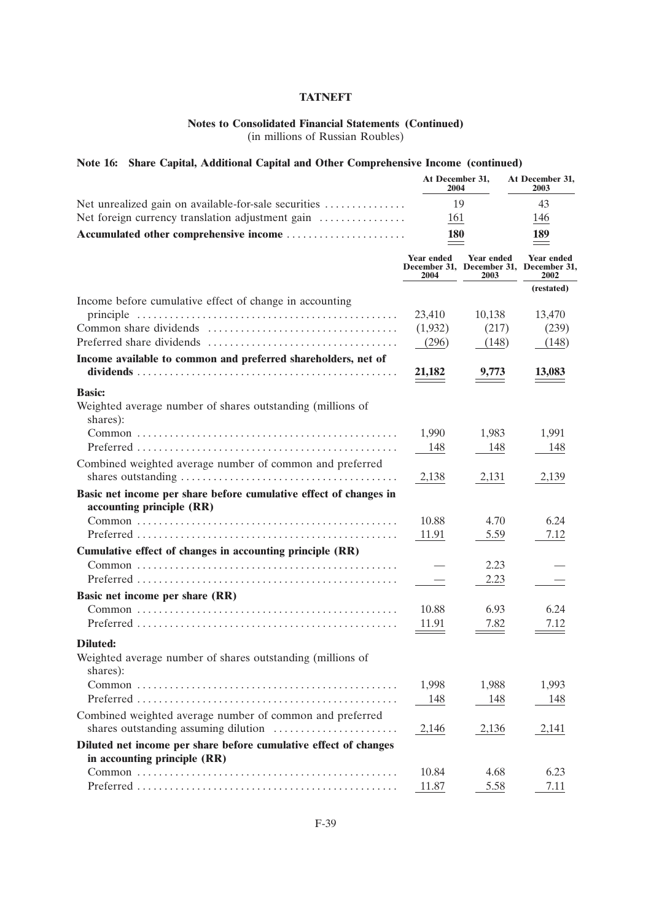## **Notes to Consolidated Financial Statements (Continued)**

(in millions of Russian Roubles)

## **Note 16: Share Capital, Additional Capital and Other Comprehensive Income (continued)**

| Net unrealized gain on available-for-sale securities                                           |                           | At December 31,<br>2004   | At December 31,<br>2003                                             |  |
|------------------------------------------------------------------------------------------------|---------------------------|---------------------------|---------------------------------------------------------------------|--|
|                                                                                                |                           | 19                        |                                                                     |  |
| Net foreign currency translation adjustment gain                                               | 161                       |                           | 146                                                                 |  |
| Accumulated other comprehensive income                                                         | <b>180</b>                |                           | 189                                                                 |  |
|                                                                                                | <b>Year ended</b><br>2004 | <b>Year ended</b><br>2003 | <b>Year ended</b><br>December 31, December 31, December 31,<br>2002 |  |
|                                                                                                |                           |                           | (restated)                                                          |  |
| Income before cumulative effect of change in accounting                                        |                           |                           |                                                                     |  |
|                                                                                                | 23,410                    | 10,138                    | 13,470                                                              |  |
|                                                                                                | (1,932)                   | (217)                     | (239)                                                               |  |
|                                                                                                | (296)                     | (148)                     | (148)                                                               |  |
| Income available to common and preferred shareholders, net of                                  |                           |                           |                                                                     |  |
|                                                                                                | 21,182                    | 9,773                     | 13,083                                                              |  |
| <b>Basic:</b><br>Weighted average number of shares outstanding (millions of<br>shares):        |                           |                           |                                                                     |  |
|                                                                                                | 1,990                     | 1,983                     | 1,991                                                               |  |
|                                                                                                | 148                       | 148                       | 148                                                                 |  |
| Combined weighted average number of common and preferred                                       | 2,138                     | 2,131                     | 2,139                                                               |  |
| Basic net income per share before cumulative effect of changes in<br>accounting principle (RR) |                           |                           |                                                                     |  |
|                                                                                                | 10.88                     | 4.70                      | 6.24                                                                |  |
|                                                                                                | 11.91                     | 5.59                      | 7.12                                                                |  |
| Cumulative effect of changes in accounting principle (RR)                                      |                           |                           |                                                                     |  |
|                                                                                                |                           | 2.23                      |                                                                     |  |
|                                                                                                |                           | 2.23                      |                                                                     |  |
| Basic net income per share (RR)                                                                |                           |                           |                                                                     |  |
|                                                                                                | 10.88                     | 6.93                      | 6.24                                                                |  |
|                                                                                                | 11.91                     | 7.82                      | 7.12                                                                |  |
| <b>Diluted:</b>                                                                                |                           |                           |                                                                     |  |
| Weighted average number of shares outstanding (millions of<br>shares):                         |                           |                           |                                                                     |  |
|                                                                                                | 1,998                     | 1,988                     | 1,993                                                               |  |
|                                                                                                | 148                       | 148                       | 148                                                                 |  |
| Combined weighted average number of common and preferred                                       | 2,146                     | 2,136                     | 2,141                                                               |  |
| Diluted net income per share before cumulative effect of changes                               |                           |                           |                                                                     |  |
| in accounting principle (RR)                                                                   |                           |                           |                                                                     |  |
|                                                                                                | 10.84                     | 4.68                      | 6.23                                                                |  |
|                                                                                                | 11.87                     | 5.58                      | 7.11                                                                |  |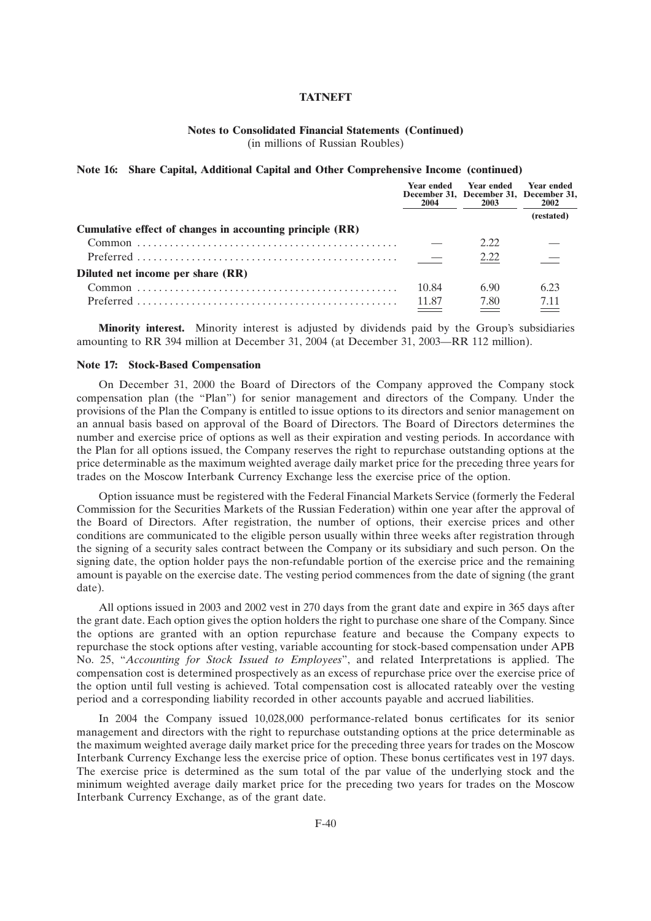#### **Notes to Consolidated Financial Statements (Continued)** (in millions of Russian Roubles)

#### **Note 16: Share Capital, Additional Capital and Other Comprehensive Income (continued)**

|                                                           | <b>Year ended</b><br>2004 | <b>Year ended</b><br>December 31, December 31, December 31,<br>2003 | <b>Year ended</b><br>2002 |
|-----------------------------------------------------------|---------------------------|---------------------------------------------------------------------|---------------------------|
|                                                           |                           |                                                                     | (restated)                |
| Cumulative effect of changes in accounting principle (RR) |                           |                                                                     |                           |
|                                                           |                           | 2.22                                                                |                           |
|                                                           |                           | 2.22                                                                |                           |
| Diluted net income per share (RR)                         |                           |                                                                     |                           |
|                                                           | 10.84                     | 6.90                                                                | 6.23                      |
|                                                           | 11.87                     | 7.80<br>$\sim$                                                      | 7.11                      |

**Minority interest.** Minority interest is adjusted by dividends paid by the Group's subsidiaries amounting to RR 394 million at December 31, 2004 (at December 31, 2003—RR 112 million).

### **Note 17: Stock-Based Compensation**

On December 31, 2000 the Board of Directors of the Company approved the Company stock compensation plan (the "Plan") for senior management and directors of the Company. Under the provisions of the Plan the Company is entitled to issue options to its directors and senior management on an annual basis based on approval of the Board of Directors. The Board of Directors determines the number and exercise price of options as well as their expiration and vesting periods. In accordance with the Plan for all options issued, the Company reserves the right to repurchase outstanding options at the price determinable as the maximum weighted average daily market price for the preceding three years for trades on the Moscow Interbank Currency Exchange less the exercise price of the option.

Option issuance must be registered with the Federal Financial Markets Service (formerly the Federal Commission for the Securities Markets of the Russian Federation) within one year after the approval of the Board of Directors. After registration, the number of options, their exercise prices and other conditions are communicated to the eligible person usually within three weeks after registration through the signing of a security sales contract between the Company or its subsidiary and such person. On the signing date, the option holder pays the non-refundable portion of the exercise price and the remaining amount is payable on the exercise date. The vesting period commences from the date of signing (the grant date).

All options issued in 2003 and 2002 vest in 270 days from the grant date and expire in 365 days after the grant date. Each option gives the option holders the right to purchase one share of the Company. Since the options are granted with an option repurchase feature and because the Company expects to repurchase the stock options after vesting, variable accounting for stock-based compensation under APB No. 25, ''*Accounting for Stock Issued to Employees*'', and related Interpretations is applied. The compensation cost is determined prospectively as an excess of repurchase price over the exercise price of the option until full vesting is achieved. Total compensation cost is allocated rateably over the vesting period and a corresponding liability recorded in other accounts payable and accrued liabilities.

In 2004 the Company issued 10,028,000 performance-related bonus certificates for its senior management and directors with the right to repurchase outstanding options at the price determinable as the maximum weighted average daily market price for the preceding three years for trades on the Moscow Interbank Currency Exchange less the exercise price of option. These bonus certificates vest in 197 days. The exercise price is determined as the sum total of the par value of the underlying stock and the minimum weighted average daily market price for the preceding two years for trades on the Moscow Interbank Currency Exchange, as of the grant date.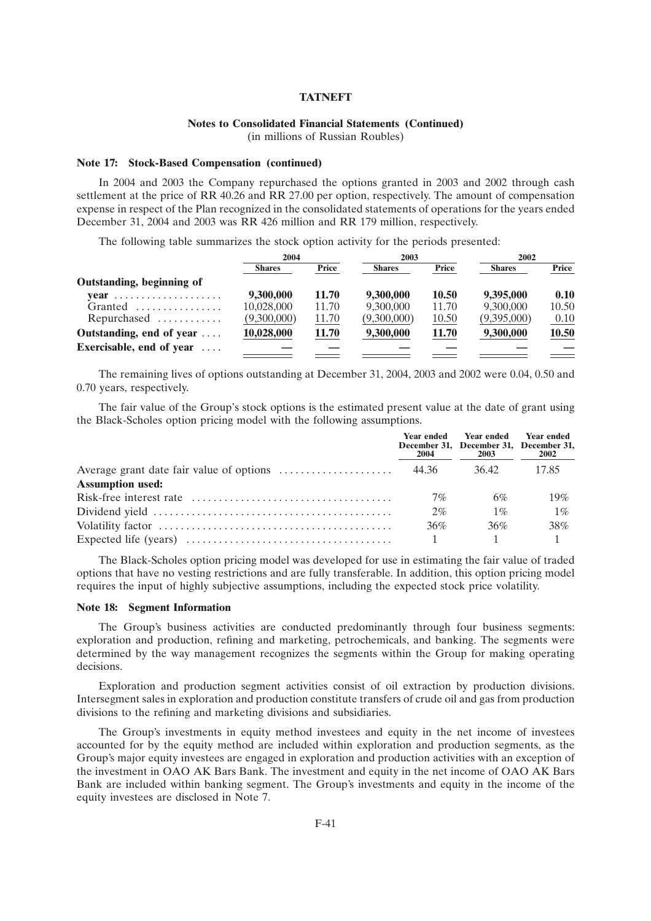### **Notes to Consolidated Financial Statements (Continued)**

(in millions of Russian Roubles)

#### **Note 17: Stock-Based Compensation (continued)**

In 2004 and 2003 the Company repurchased the options granted in 2003 and 2002 through cash settlement at the price of RR 40.26 and RR 27.00 per option, respectively. The amount of compensation expense in respect of the Plan recognized in the consolidated statements of operations for the years ended December 31, 2004 and 2003 was RR 426 million and RR 179 million, respectively.

The following table summarizes the stock option activity for the periods presented:

|                                  | 2004          |       | 2003          |              | 2002          |       |
|----------------------------------|---------------|-------|---------------|--------------|---------------|-------|
|                                  | <b>Shares</b> | Price | <b>Shares</b> | Price        | <b>Shares</b> | Price |
| Outstanding, beginning of        |               |       |               |              |               |       |
| $\text{year}$                    | 9,300,000     | 11.70 | 9,300,000     | <b>10.50</b> | 9,395,000     | 0.10  |
| $Grand$                          | 10,028,000    | 11.70 | 9,300,000     | 11.70        | 9,300,000     | 10.50 |
| Repurchased                      | (9,300,000)   | 11.70 | (9,300,000)   | 10.50        | (9,395,000)   | 0.10  |
| Outstanding, end of year         | 10,028,000    | 11.70 | 9,300,000     | 11.70        | 9,300,000     | 10.50 |
| Exercisable, end of year $\dots$ |               |       |               |              |               |       |

The remaining lives of options outstanding at December 31, 2004, 2003 and 2002 were 0.04, 0.50 and 0.70 years, respectively.

The fair value of the Group's stock options is the estimated present value at the date of grant using the Black-Scholes option pricing model with the following assumptions.

|                         | 2004  | Year ended Year ended<br>December 31, December 31, December 31,<br>2003 | <b>Year ended</b><br><b>2002</b> |
|-------------------------|-------|-------------------------------------------------------------------------|----------------------------------|
|                         |       | 36.42                                                                   | 17.85                            |
| <b>Assumption used:</b> |       |                                                                         |                                  |
|                         | $7\%$ | 6%                                                                      | 19%                              |
|                         | 2%    | $1\%$                                                                   | $1\%$                            |
|                         | 36%   | 36%                                                                     | 38%                              |
|                         |       |                                                                         |                                  |

The Black-Scholes option pricing model was developed for use in estimating the fair value of traded options that have no vesting restrictions and are fully transferable. In addition, this option pricing model requires the input of highly subjective assumptions, including the expected stock price volatility.

#### **Note 18: Segment Information**

The Group's business activities are conducted predominantly through four business segments: exploration and production, refining and marketing, petrochemicals, and banking. The segments were determined by the way management recognizes the segments within the Group for making operating decisions.

Exploration and production segment activities consist of oil extraction by production divisions. Intersegment sales in exploration and production constitute transfers of crude oil and gas from production divisions to the refining and marketing divisions and subsidiaries.

The Group's investments in equity method investees and equity in the net income of investees accounted for by the equity method are included within exploration and production segments, as the Group's major equity investees are engaged in exploration and production activities with an exception of the investment in OAO AK Bars Bank. The investment and equity in the net income of OAO AK Bars Bank are included within banking segment. The Group's investments and equity in the income of the equity investees are disclosed in Note 7.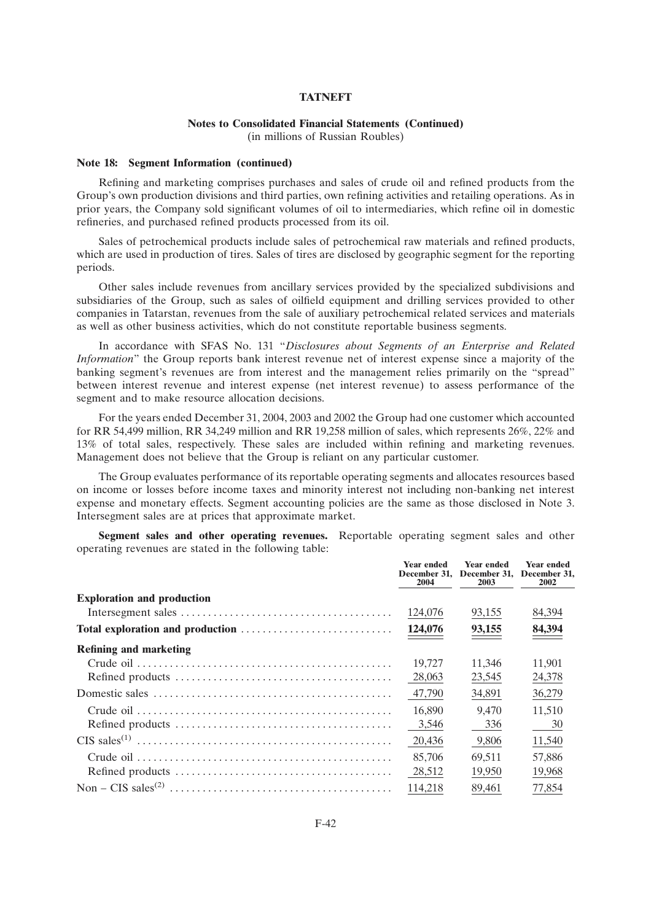## **Notes to Consolidated Financial Statements (Continued)**

(in millions of Russian Roubles)

#### **Note 18: Segment Information (continued)**

Refining and marketing comprises purchases and sales of crude oil and refined products from the Group's own production divisions and third parties, own refining activities and retailing operations. As in prior years, the Company sold significant volumes of oil to intermediaries, which refine oil in domestic refineries, and purchased refined products processed from its oil.

Sales of petrochemical products include sales of petrochemical raw materials and refined products, which are used in production of tires. Sales of tires are disclosed by geographic segment for the reporting periods.

Other sales include revenues from ancillary services provided by the specialized subdivisions and subsidiaries of the Group, such as sales of oilfield equipment and drilling services provided to other companies in Tatarstan, revenues from the sale of auxiliary petrochemical related services and materials as well as other business activities, which do not constitute reportable business segments.

In accordance with SFAS No. 131 ''*Disclosures about Segments of an Enterprise and Related Information*" the Group reports bank interest revenue net of interest expense since a majority of the banking segment's revenues are from interest and the management relies primarily on the ''spread'' between interest revenue and interest expense (net interest revenue) to assess performance of the segment and to make resource allocation decisions.

For the years ended December 31, 2004, 2003 and 2002 the Group had one customer which accounted for RR 54,499 million, RR 34,249 million and RR 19,258 million of sales, which represents 26%, 22% and 13% of total sales, respectively. These sales are included within refining and marketing revenues. Management does not believe that the Group is reliant on any particular customer.

The Group evaluates performance of its reportable operating segments and allocates resources based on income or losses before income taxes and minority interest not including non-banking net interest expense and monetary effects. Segment accounting policies are the same as those disclosed in Note 3. Intersegment sales are at prices that approximate market.

**Segment sales and other operating revenues.** Reportable operating segment sales and other operating revenues are stated in the following table:

|                                   | <b>Year ended</b><br>December 31.<br>2004 | <b>Year ended</b><br>December 31,<br>2003 | Year ended<br>December 31.<br>2002 |
|-----------------------------------|-------------------------------------------|-------------------------------------------|------------------------------------|
| <b>Exploration and production</b> |                                           |                                           |                                    |
|                                   | 124,076                                   | 93,155                                    | 84,394                             |
|                                   | 124,076                                   | 93,155                                    | 84,394                             |
| <b>Refining and marketing</b>     |                                           |                                           |                                    |
|                                   | 19.727                                    | 11.346                                    | 11,901                             |
|                                   | 28,063                                    | 23,545                                    | 24,378                             |
|                                   | 47.790                                    | 34,891                                    | 36,279                             |
|                                   | 16,890                                    | 9.470                                     | 11,510                             |
|                                   | 3,546                                     | 336                                       | 30                                 |
|                                   | 20,436                                    | 9,806                                     | 11,540                             |
|                                   | 85,706                                    | 69.511                                    | 57,886                             |
|                                   | 28,512                                    | 19,950                                    | 19,968                             |
|                                   | 114,218                                   | 89,461                                    | 77,854                             |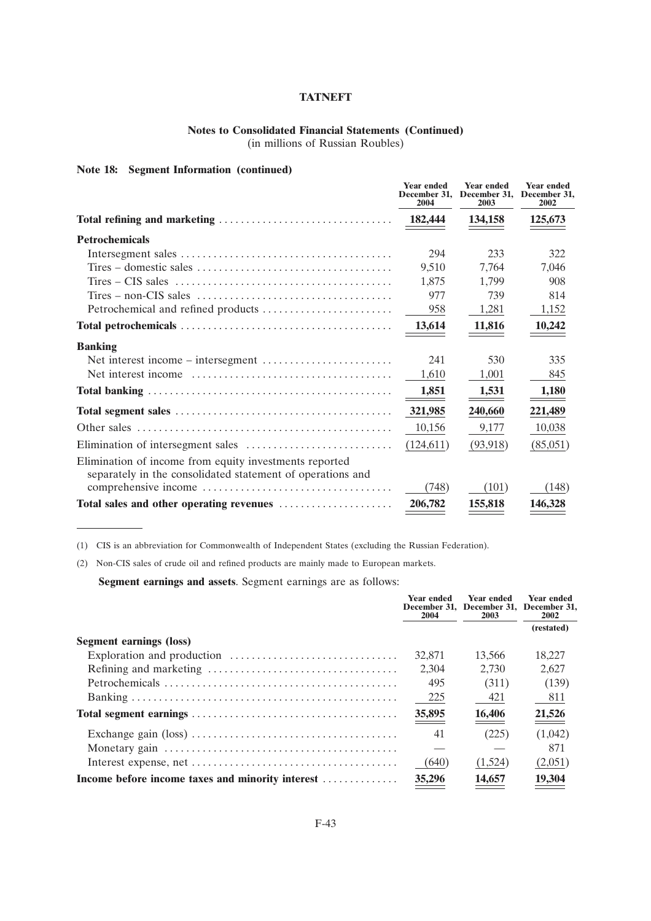## **Notes to Consolidated Financial Statements (Continued)**

(in millions of Russian Roubles)

## **Note 18: Segment Information (continued)**

|                                                                                                                      | <b>Year ended</b><br>December 31.<br>2004 | <b>Year ended</b><br>December 31,<br>2003 | <b>Year ended</b><br>December 31.<br>2002 |
|----------------------------------------------------------------------------------------------------------------------|-------------------------------------------|-------------------------------------------|-------------------------------------------|
|                                                                                                                      | 182,444                                   | 134,158                                   | 125,673                                   |
| <b>Petrochemicals</b>                                                                                                |                                           |                                           |                                           |
|                                                                                                                      | 294                                       | 233                                       | 322                                       |
| $Tires - domestic sales \dots \dots \dots \dots \dots \dots \dots \dots \dots \dots \dots \dots$                     | 9,510                                     | 7,764                                     | 7,046                                     |
|                                                                                                                      | 1,875                                     | 1,799                                     | 908                                       |
|                                                                                                                      | 977                                       | 739                                       | 814                                       |
|                                                                                                                      | 958                                       | 1,281                                     | 1,152                                     |
|                                                                                                                      | 13,614                                    | 11,816                                    | 10,242                                    |
| <b>Banking</b>                                                                                                       |                                           |                                           |                                           |
|                                                                                                                      | 241                                       | 530                                       | 335                                       |
|                                                                                                                      | 1,610                                     | 1,001                                     | 845                                       |
|                                                                                                                      | 1,851                                     | 1,531                                     | 1,180                                     |
|                                                                                                                      | 321,985                                   | 240,660                                   | 221,489                                   |
|                                                                                                                      | 10,156                                    | 9,177                                     | 10,038                                    |
|                                                                                                                      | (124, 611)                                | (93, 918)                                 | (85,051)                                  |
| Elimination of income from equity investments reported<br>separately in the consolidated statement of operations and |                                           |                                           |                                           |
|                                                                                                                      | (748)                                     | (101)                                     | (148)                                     |
| Total sales and other operating revenues                                                                             | 206,782                                   | 155,818                                   | 146,328                                   |

(1) CIS is an abbreviation for Commonwealth of Independent States (excluding the Russian Federation).

(2) Non-CIS sales of crude oil and refined products are mainly made to European markets.

**Segment earnings and assets**. Segment earnings are as follows:

|                                                  | Year ended<br>2004 | <b>Year ended</b><br>December 31, December 31, December 31,<br>2003 | Year ended<br>2002 |
|--------------------------------------------------|--------------------|---------------------------------------------------------------------|--------------------|
|                                                  |                    |                                                                     | (restated)         |
| <b>Segment earnings (loss)</b>                   |                    |                                                                     |                    |
|                                                  | 32,871             | 13.566                                                              | 18.227             |
|                                                  | 2.304              | 2.730                                                               | 2.627              |
|                                                  | 495                | (311)                                                               | (139)              |
|                                                  | 225                | 421                                                                 | 811                |
|                                                  | 35,895             | 16,406                                                              | $\frac{21,526}{2}$ |
|                                                  | 41                 | (225)                                                               | (1,042)            |
|                                                  |                    |                                                                     | 871                |
|                                                  | (640)              | (1,524)                                                             | (2,051)            |
| Income before income taxes and minority interest | 35,296             | 14,657                                                              | 19,304             |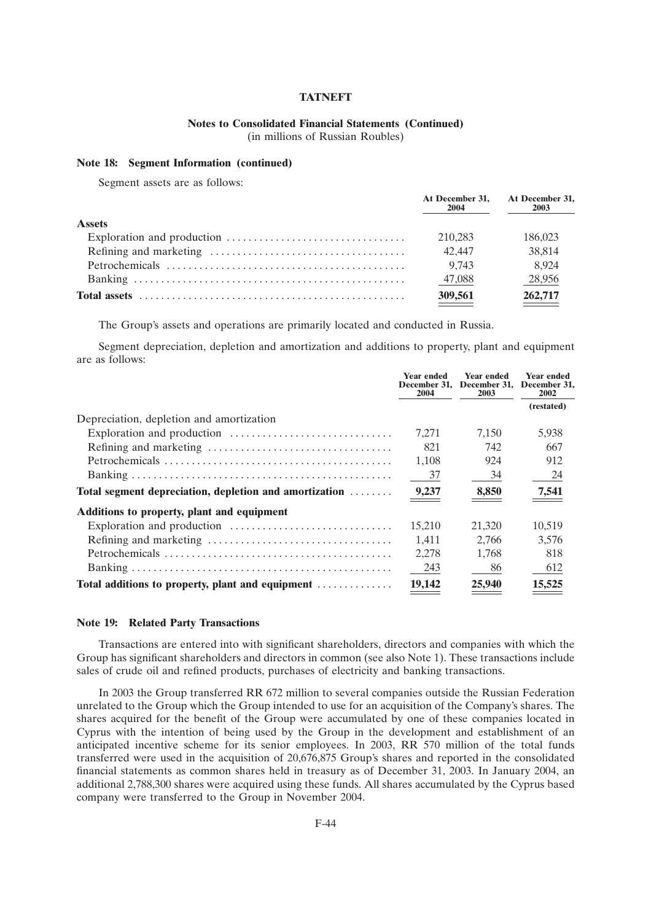## **Notes to Consolidated Financial Statements (Continued)**

(in millions of Russian Roubles)

## **Note 18: Segment Information (continued)**

Segment assets are as follows:

|               | At December 31.<br>2004 | At December 31,<br>2003 |
|---------------|-------------------------|-------------------------|
| <b>Assets</b> |                         |                         |
|               | 210.283                 | 186,023                 |
|               | 42.447                  | 38,814                  |
|               | 9.743                   | 8.924                   |
|               | 47,088                  | 28,956                  |
|               | 309,561                 | 262,717                 |

The Group's assets and operations are primarily located and conducted in Russia.

Segment depreciation, depletion and amortization and additions to property, plant and equipment are as follows:

|                                                        | <b>Year ended</b><br>2004 | <b>Year ended</b><br>December 31, December 31, December 31,<br>2003 | <b>Year ended</b><br>2002 |
|--------------------------------------------------------|---------------------------|---------------------------------------------------------------------|---------------------------|
|                                                        |                           |                                                                     | (restated)                |
| Depreciation, depletion and amortization               |                           |                                                                     |                           |
|                                                        | 7.271                     | 7.150                                                               | 5,938                     |
|                                                        | 821                       | 742                                                                 | 667                       |
|                                                        | 1,108                     | 924                                                                 | 912                       |
|                                                        | 37                        | 34                                                                  | 24                        |
| Total segment depreciation, depletion and amortization | 9,237                     | 8,850                                                               | <u>7,541</u>              |
| Additions to property, plant and equipment             |                           |                                                                     |                           |
|                                                        | 15.210                    | 21,320                                                              | 10.519                    |
|                                                        | 1.411                     | 2.766                                                               | 3.576                     |
|                                                        | 2,278                     | 1.768                                                               | 818                       |
|                                                        | 243                       | 86                                                                  | 612                       |
| Total additions to property, plant and equipment       | 19,142                    | 25,940                                                              | 15,525                    |

#### **Note 19: Related Party Transactions**

Transactions are entered into with significant shareholders, directors and companies with which the Group has significant shareholders and directors in common (see also Note 1). These transactions include sales of crude oil and refined products, purchases of electricity and banking transactions.

In 2003 the Group transferred RR 672 million to several companies outside the Russian Federation unrelated to the Group which the Group intended to use for an acquisition of the Company's shares. The shares acquired for the benefit of the Group were accumulated by one of these companies located in Cyprus with the intention of being used by the Group in the development and establishment of an anticipated incentive scheme for its senior employees. In 2003, RR 570 million of the total funds transferred were used in the acquisition of 20,676,875 Group's shares and reported in the consolidated financial statements as common shares held in treasury as of December 31, 2003. In January 2004, an additional 2,788,300 shares were acquired using these funds. All shares accumulated by the Cyprus based company were transferred to the Group in November 2004.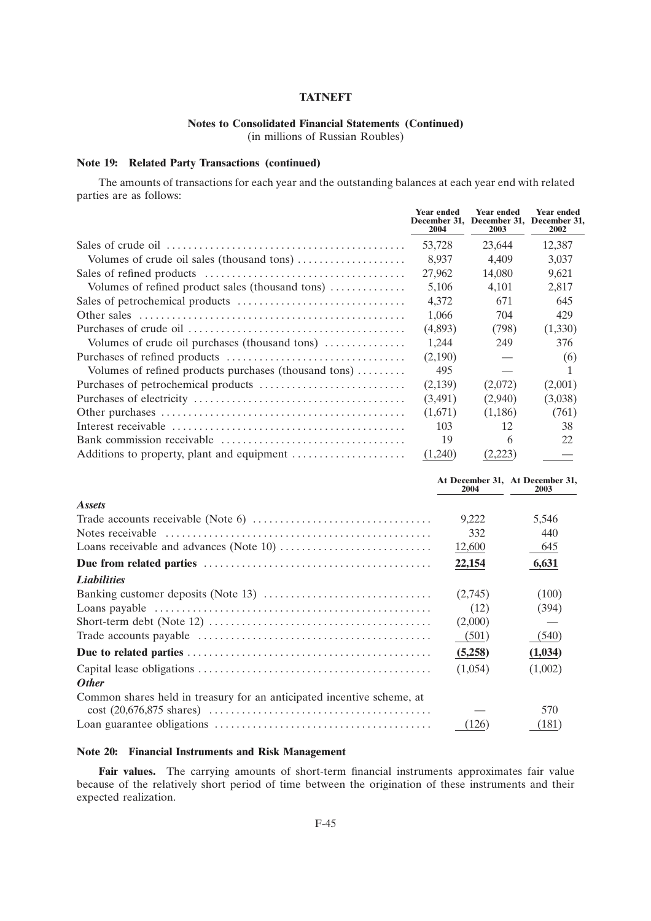## **Notes to Consolidated Financial Statements (Continued)**

(in millions of Russian Roubles)

## **Note 19: Related Party Transactions (continued)**

The amounts of transactions for each year and the outstanding balances at each year end with related parties are as follows:

|                                                                         | <b>Year ended</b><br>2004 | <b>Year ended</b><br>December 31, December 31, December 31,<br>2003 | <b>Year ended</b><br>2002 |
|-------------------------------------------------------------------------|---------------------------|---------------------------------------------------------------------|---------------------------|
|                                                                         | 53,728                    | 23,644                                                              | 12,387                    |
|                                                                         | 8.937                     | 4,409                                                               | 3,037                     |
|                                                                         | 27,962                    | 14,080                                                              | 9,621                     |
| Volumes of refined product sales (thousand tons)                        | 5,106                     | 4,101                                                               | 2,817                     |
|                                                                         | 4,372                     | 671                                                                 | 645                       |
|                                                                         | 1,066                     | 704                                                                 | 429                       |
|                                                                         | (4,893)                   | (798)                                                               | (1,330)                   |
| Volumes of crude oil purchases (thousand tons)                          | 1,244                     | 249                                                                 | 376                       |
|                                                                         | (2,190)                   |                                                                     | (6)                       |
| Volumes of refined products purchases (thousand tons) $\dots\dots\dots$ | 495                       |                                                                     |                           |
|                                                                         | (2,139)                   | (2,072)                                                             | (2,001)                   |
|                                                                         | (3,491)                   | (2,940)                                                             | (3,038)                   |
|                                                                         | (1,671)                   | (1,186)                                                             | (761)                     |
|                                                                         | 103                       | 12                                                                  | 38                        |
|                                                                         | 19                        | 6                                                                   | 22                        |
|                                                                         | (1,240)                   | (2,223)                                                             |                           |
|                                                                         |                           | At December 31, At December 31,<br>2004                             | 2003                      |

| <b>Assets</b>                                                          |         |         |
|------------------------------------------------------------------------|---------|---------|
|                                                                        | 9,222   | 5.546   |
|                                                                        | 332     | 440     |
|                                                                        | 12,600  | 645     |
|                                                                        | 22,154  | 6,631   |
| <b>Liabilities</b>                                                     |         |         |
|                                                                        | (2,745) | (100)   |
|                                                                        | (12)    | (394)   |
|                                                                        | (2,000) |         |
|                                                                        | (501)   | (540)   |
|                                                                        | (5,258) | (1,034) |
|                                                                        | (1,054) | (1,002) |
| <i><b>Other</b></i>                                                    |         |         |
| Common shares held in treasury for an anticipated incentive scheme, at |         |         |
|                                                                        |         | 570     |
|                                                                        | (126)   | (181)   |

#### **Note 20: Financial Instruments and Risk Management**

Fair values. The carrying amounts of short-term financial instruments approximates fair value because of the relatively short period of time between the origination of these instruments and their expected realization.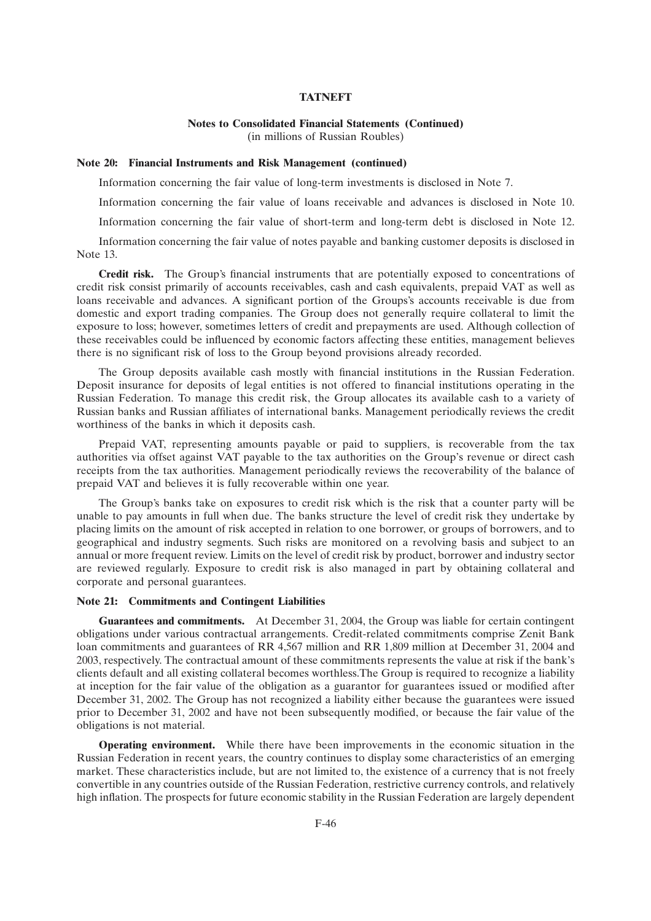### **Notes to Consolidated Financial Statements (Continued)** (in millions of Russian Roubles)

#### **Note 20: Financial Instruments and Risk Management (continued)**

Information concerning the fair value of long-term investments is disclosed in Note 7.

Information concerning the fair value of loans receivable and advances is disclosed in Note 10.

Information concerning the fair value of short-term and long-term debt is disclosed in Note 12.

Information concerning the fair value of notes payable and banking customer deposits is disclosed in Note 13.

**Credit risk.** The Group's financial instruments that are potentially exposed to concentrations of credit risk consist primarily of accounts receivables, cash and cash equivalents, prepaid VAT as well as loans receivable and advances. A significant portion of the Groups's accounts receivable is due from domestic and export trading companies. The Group does not generally require collateral to limit the exposure to loss; however, sometimes letters of credit and prepayments are used. Although collection of these receivables could be influenced by economic factors affecting these entities, management believes there is no significant risk of loss to the Group beyond provisions already recorded.

The Group deposits available cash mostly with financial institutions in the Russian Federation. Deposit insurance for deposits of legal entities is not offered to financial institutions operating in the Russian Federation. To manage this credit risk, the Group allocates its available cash to a variety of Russian banks and Russian affiliates of international banks. Management periodically reviews the credit worthiness of the banks in which it deposits cash.

Prepaid VAT, representing amounts payable or paid to suppliers, is recoverable from the tax authorities via offset against VAT payable to the tax authorities on the Group's revenue or direct cash receipts from the tax authorities. Management periodically reviews the recoverability of the balance of prepaid VAT and believes it is fully recoverable within one year.

The Group's banks take on exposures to credit risk which is the risk that a counter party will be unable to pay amounts in full when due. The banks structure the level of credit risk they undertake by placing limits on the amount of risk accepted in relation to one borrower, or groups of borrowers, and to geographical and industry segments. Such risks are monitored on a revolving basis and subject to an annual or more frequent review. Limits on the level of credit risk by product, borrower and industry sector are reviewed regularly. Exposure to credit risk is also managed in part by obtaining collateral and corporate and personal guarantees.

#### **Note 21: Commitments and Contingent Liabilities**

**Guarantees and commitments.** At December 31, 2004, the Group was liable for certain contingent obligations under various contractual arrangements. Credit-related commitments comprise Zenit Bank loan commitments and guarantees of RR 4,567 million and RR 1,809 million at December 31, 2004 and 2003, respectively. The contractual amount of these commitments represents the value at risk if the bank's clients default and all existing collateral becomes worthless.The Group is required to recognize a liability at inception for the fair value of the obligation as a guarantor for guarantees issued or modified after December 31, 2002. The Group has not recognized a liability either because the guarantees were issued prior to December 31, 2002 and have not been subsequently modified, or because the fair value of the obligations is not material.

**Operating environment.** While there have been improvements in the economic situation in the Russian Federation in recent years, the country continues to display some characteristics of an emerging market. These characteristics include, but are not limited to, the existence of a currency that is not freely convertible in any countries outside of the Russian Federation, restrictive currency controls, and relatively high inflation. The prospects for future economic stability in the Russian Federation are largely dependent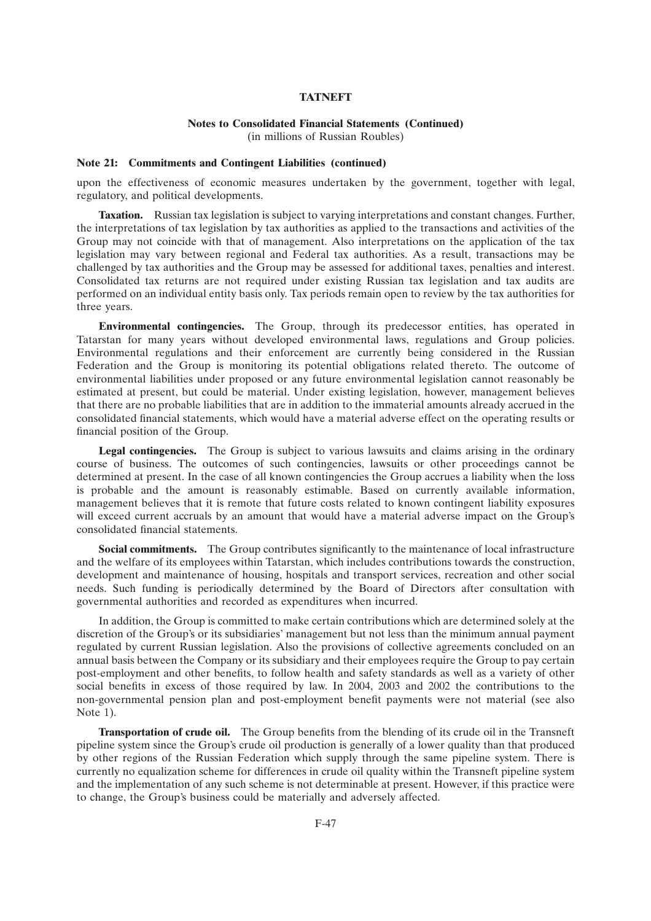# **Notes to Consolidated Financial Statements (Continued)**

(in millions of Russian Roubles)

### **Note 21: Commitments and Contingent Liabilities (continued)**

upon the effectiveness of economic measures undertaken by the government, together with legal, regulatory, and political developments.

**Taxation.** Russian tax legislation is subject to varying interpretations and constant changes. Further, the interpretations of tax legislation by tax authorities as applied to the transactions and activities of the Group may not coincide with that of management. Also interpretations on the application of the tax legislation may vary between regional and Federal tax authorities. As a result, transactions may be challenged by tax authorities and the Group may be assessed for additional taxes, penalties and interest. Consolidated tax returns are not required under existing Russian tax legislation and tax audits are performed on an individual entity basis only. Tax periods remain open to review by the tax authorities for three years.

**Environmental contingencies.** The Group, through its predecessor entities, has operated in Tatarstan for many years without developed environmental laws, regulations and Group policies. Environmental regulations and their enforcement are currently being considered in the Russian Federation and the Group is monitoring its potential obligations related thereto. The outcome of environmental liabilities under proposed or any future environmental legislation cannot reasonably be estimated at present, but could be material. Under existing legislation, however, management believes that there are no probable liabilities that are in addition to the immaterial amounts already accrued in the consolidated financial statements, which would have a material adverse effect on the operating results or financial position of the Group.

**Legal contingencies.** The Group is subject to various lawsuits and claims arising in the ordinary course of business. The outcomes of such contingencies, lawsuits or other proceedings cannot be determined at present. In the case of all known contingencies the Group accrues a liability when the loss is probable and the amount is reasonably estimable. Based on currently available information, management believes that it is remote that future costs related to known contingent liability exposures will exceed current accruals by an amount that would have a material adverse impact on the Group's consolidated financial statements.

**Social commitments.** The Group contributes significantly to the maintenance of local infrastructure and the welfare of its employees within Tatarstan, which includes contributions towards the construction, development and maintenance of housing, hospitals and transport services, recreation and other social needs. Such funding is periodically determined by the Board of Directors after consultation with governmental authorities and recorded as expenditures when incurred.

In addition, the Group is committed to make certain contributions which are determined solely at the discretion of the Group's or its subsidiaries' management but not less than the minimum annual payment regulated by current Russian legislation. Also the provisions of collective agreements concluded on an annual basis between the Company or its subsidiary and their employees require the Group to pay certain post-employment and other benefits, to follow health and safety standards as well as a variety of other social benefits in excess of those required by law. In 2004, 2003 and 2002 the contributions to the non-governmental pension plan and post-employment benefit payments were not material (see also Note 1).

**Transportation of crude oil.** The Group benefits from the blending of its crude oil in the Transneft pipeline system since the Group's crude oil production is generally of a lower quality than that produced by other regions of the Russian Federation which supply through the same pipeline system. There is currently no equalization scheme for differences in crude oil quality within the Transneft pipeline system and the implementation of any such scheme is not determinable at present. However, if this practice were to change, the Group's business could be materially and adversely affected.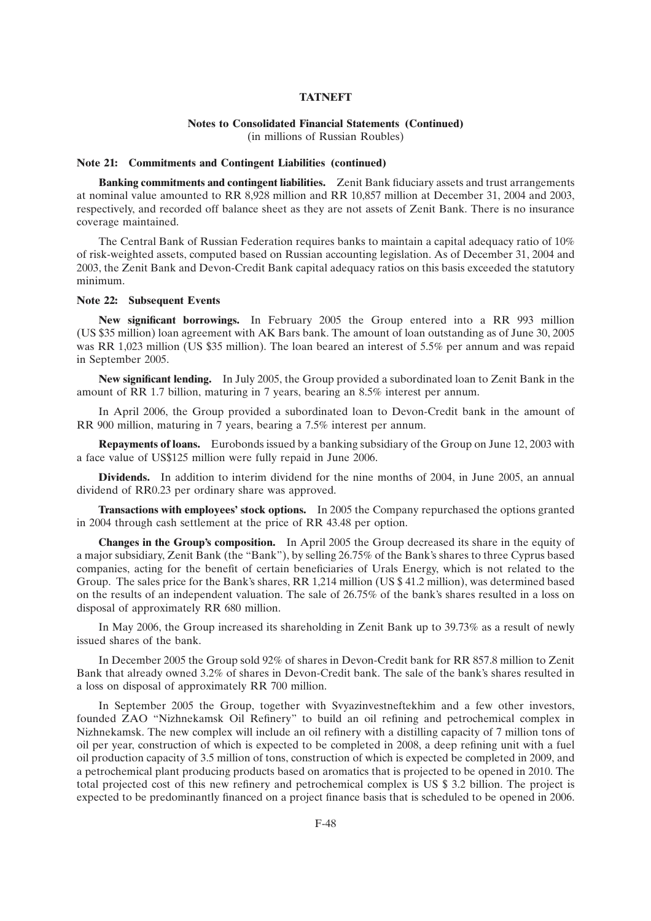## **Notes to Consolidated Financial Statements (Continued)**

(in millions of Russian Roubles)

#### **Note 21: Commitments and Contingent Liabilities (continued)**

**Banking commitments and contingent liabilities.** Zenit Bank fiduciary assets and trust arrangements at nominal value amounted to RR 8,928 million and RR 10,857 million at December 31, 2004 and 2003, respectively, and recorded off balance sheet as they are not assets of Zenit Bank. There is no insurance coverage maintained.

The Central Bank of Russian Federation requires banks to maintain a capital adequacy ratio of 10% of risk-weighted assets, computed based on Russian accounting legislation. As of December 31, 2004 and 2003, the Zenit Bank and Devon-Credit Bank capital adequacy ratios on this basis exceeded the statutory minimum.

#### **Note 22: Subsequent Events**

**New significant borrowings.** In February 2005 the Group entered into a RR 993 million (US \$35 million) loan agreement with AK Bars bank. The amount of loan outstanding as of June 30, 2005 was RR 1,023 million (US \$35 million). The loan beared an interest of 5.5% per annum and was repaid in September 2005.

**New significant lending.** In July 2005, the Group provided a subordinated loan to Zenit Bank in the amount of RR 1.7 billion, maturing in 7 years, bearing an 8.5% interest per annum.

In April 2006, the Group provided a subordinated loan to Devon-Credit bank in the amount of RR 900 million, maturing in 7 years, bearing a 7.5% interest per annum.

**Repayments of loans.** Eurobonds issued by a banking subsidiary of the Group on June 12, 2003 with a face value of US\$125 million were fully repaid in June 2006.

**Dividends.** In addition to interim dividend for the nine months of 2004, in June 2005, an annual dividend of RR0.23 per ordinary share was approved.

**Transactions with employees' stock options.** In 2005 the Company repurchased the options granted in 2004 through cash settlement at the price of RR 43.48 per option.

**Changes in the Group's composition.** In April 2005 the Group decreased its share in the equity of a major subsidiary, Zenit Bank (the "Bank"), by selling 26.75% of the Bank's shares to three Cyprus based companies, acting for the benefit of certain beneficiaries of Urals Energy, which is not related to the Group. The sales price for the Bank's shares, RR 1,214 million (US \$ 41.2 million), was determined based on the results of an independent valuation. The sale of 26.75% of the bank's shares resulted in a loss on disposal of approximately RR 680 million.

In May 2006, the Group increased its shareholding in Zenit Bank up to 39.73% as a result of newly issued shares of the bank.

In December 2005 the Group sold 92% of shares in Devon-Credit bank for RR 857.8 million to Zenit Bank that already owned 3.2% of shares in Devon-Credit bank. The sale of the bank's shares resulted in a loss on disposal of approximately RR 700 million.

In September 2005 the Group, together with Svyazinvestneftekhim and a few other investors, founded ZAO ''Nizhnekamsk Oil Refinery'' to build an oil refining and petrochemical complex in Nizhnekamsk. The new complex will include an oil refinery with a distilling capacity of 7 million tons of oil per year, construction of which is expected to be completed in 2008, a deep refining unit with a fuel oil production capacity of 3.5 million of tons, construction of which is expected be completed in 2009, and a petrochemical plant producing products based on aromatics that is projected to be opened in 2010. The total projected cost of this new refinery and petrochemical complex is US \$ 3.2 billion. The project is expected to be predominantly financed on a project finance basis that is scheduled to be opened in 2006.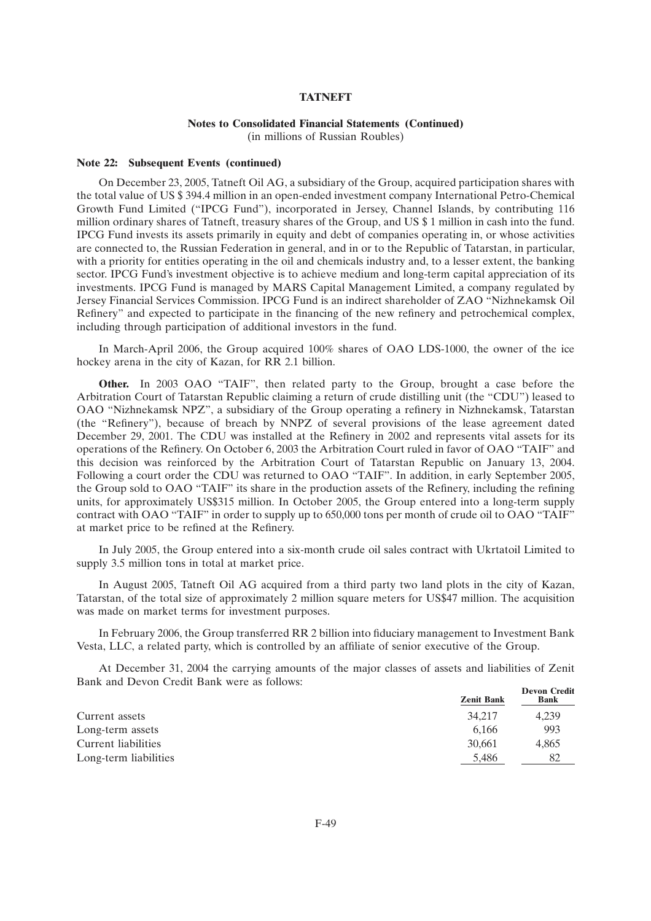### **Notes to Consolidated Financial Statements (Continued)**

(in millions of Russian Roubles)

#### **Note 22: Subsequent Events (continued)**

On December 23, 2005, Tatneft Oil AG, a subsidiary of the Group, acquired participation shares with the total value of US \$ 394.4 million in an open-ended investment company International Petro-Chemical Growth Fund Limited (''IPCG Fund''), incorporated in Jersey, Channel Islands, by contributing 116 million ordinary shares of Tatneft, treasury shares of the Group, and US \$ 1 million in cash into the fund. IPCG Fund invests its assets primarily in equity and debt of companies operating in, or whose activities are connected to, the Russian Federation in general, and in or to the Republic of Tatarstan, in particular, with a priority for entities operating in the oil and chemicals industry and, to a lesser extent, the banking sector. IPCG Fund's investment objective is to achieve medium and long-term capital appreciation of its investments. IPCG Fund is managed by MARS Capital Management Limited, a company regulated by Jersey Financial Services Commission. IPCG Fund is an indirect shareholder of ZAO ''Nizhnekamsk Oil Refinery'' and expected to participate in the financing of the new refinery and petrochemical complex, including through participation of additional investors in the fund.

In March-April 2006, the Group acquired 100% shares of OAO LDS-1000, the owner of the ice hockey arena in the city of Kazan, for RR 2.1 billion.

**Other.** In 2003 OAO "TAIF", then related party to the Group, brought a case before the Arbitration Court of Tatarstan Republic claiming a return of crude distilling unit (the ''CDU'') leased to OAO ''Nizhnekamsk NPZ'', a subsidiary of the Group operating a refinery in Nizhnekamsk, Tatarstan (the ''Refinery''), because of breach by NNPZ of several provisions of the lease agreement dated December 29, 2001. The CDU was installed at the Refinery in 2002 and represents vital assets for its operations of the Refinery. On October 6, 2003 the Arbitration Court ruled in favor of OAO ''TAIF'' and this decision was reinforced by the Arbitration Court of Tatarstan Republic on January 13, 2004. Following a court order the CDU was returned to OAO "TAIF". In addition, in early September 2005, the Group sold to OAO ''TAIF'' its share in the production assets of the Refinery, including the refining units, for approximately US\$315 million. In October 2005, the Group entered into a long-term supply contract with OAO "TAIF" in order to supply up to 650,000 tons per month of crude oil to OAO "TAIF" at market price to be refined at the Refinery.

In July 2005, the Group entered into a six-month crude oil sales contract with Ukrtatoil Limited to supply 3.5 million tons in total at market price.

In August 2005, Tatneft Oil AG acquired from a third party two land plots in the city of Kazan, Tatarstan, of the total size of approximately 2 million square meters for US\$47 million. The acquisition was made on market terms for investment purposes.

In February 2006, the Group transferred RR 2 billion into fiduciary management to Investment Bank Vesta, LLC, a related party, which is controlled by an affiliate of senior executive of the Group.

At December 31, 2004 the carrying amounts of the major classes of assets and liabilities of Zenit Bank and Devon Credit Bank were as follows: **Devon Credit**

| <b>Zenit Bank</b> | Devon Crean<br><b>Bank</b> |
|-------------------|----------------------------|
| 34,217            | 4.239                      |
| 6.166             | 993                        |
| 30,661            | 4.865                      |
| 5.486             | 82                         |
|                   |                            |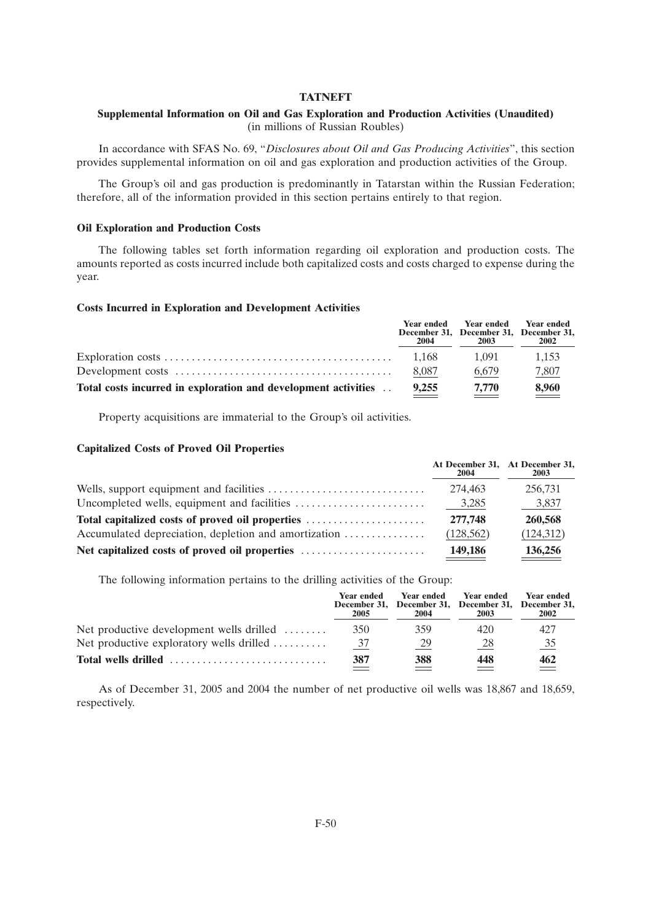### **Supplemental Information on Oil and Gas Exploration and Production Activities (Unaudited)** (in millions of Russian Roubles)

In accordance with SFAS No. 69, ''*Disclosures about Oil and Gas Producing Activities*'', this section provides supplemental information on oil and gas exploration and production activities of the Group.

The Group's oil and gas production is predominantly in Tatarstan within the Russian Federation; therefore, all of the information provided in this section pertains entirely to that region.

#### **Oil Exploration and Production Costs**

The following tables set forth information regarding oil exploration and production costs. The amounts reported as costs incurred include both capitalized costs and costs charged to expense during the year.

### **Costs Incurred in Exploration and Development Activities**

|                                                                | 2004  | Year ended Year ended Year ended<br>December 31, December 31, December 31,<br>2003 | 2002  |
|----------------------------------------------------------------|-------|------------------------------------------------------------------------------------|-------|
|                                                                | 1.168 | 1.091                                                                              | 1.153 |
|                                                                | 8.087 | 6.679                                                                              | 7,807 |
| Total costs incurred in exploration and development activities | 9.255 | 7.770                                                                              | 8,960 |

Property acquisitions are immaterial to the Group's oil activities.

#### **Capitalized Costs of Proved Oil Properties**

|                                                      | At December 31, At December 31,<br>2004 | 2003       |
|------------------------------------------------------|-----------------------------------------|------------|
|                                                      | 274,463                                 | 256,731    |
|                                                      | 3,285                                   | 3,837      |
| Total capitalized costs of proved oil properties     | 277,748                                 | 260,568    |
| Accumulated depreciation, depletion and amortization | (128, 562)                              | (124, 312) |
| Net capitalized costs of proved oil properties       | 149,186                                 | 136,256    |

The following information pertains to the drilling activities of the Group:

|                                                            | Year ended<br>2005 | <b>Year ended</b><br>December 31, December 31, December 31, December 31,<br>2004 | <b>Year ended</b><br>2003 | Year ended<br>2002 |
|------------------------------------------------------------|--------------------|----------------------------------------------------------------------------------|---------------------------|--------------------|
| Net productive development wells drilled $\dots\dots$      | 35 <sub>0</sub>    | 359                                                                              | 420                       | 427                |
| Net productive exploratory wells drilled $\dots\dots\dots$ | 37                 | 29                                                                               | 28                        | $\frac{35}{5}$     |
| Total wells drilled                                        | 387                | 388                                                                              | 448                       | 462                |

As of December 31, 2005 and 2004 the number of net productive oil wells was 18,867 and 18,659, respectively.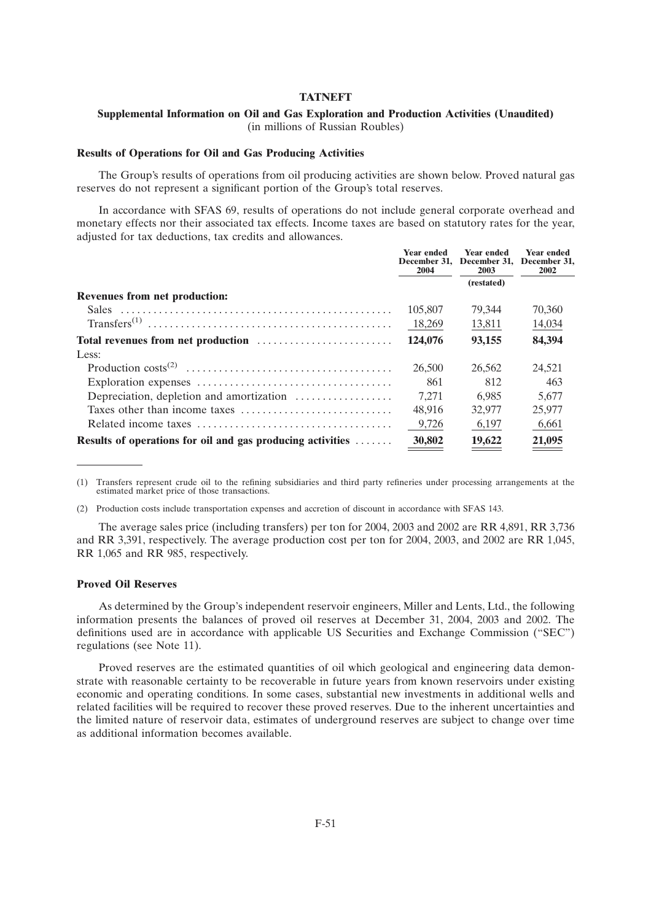### **Supplemental Information on Oil and Gas Exploration and Production Activities (Unaudited)** (in millions of Russian Roubles)

#### **Results of Operations for Oil and Gas Producing Activities**

The Group's results of operations from oil producing activities are shown below. Proved natural gas reserves do not represent a significant portion of the Group's total reserves.

In accordance with SFAS 69, results of operations do not include general corporate overhead and monetary effects nor their associated tax effects. Income taxes are based on statutory rates for the year, adjusted for tax deductions, tax credits and allowances.

|                                                                    | <b>Year ended</b><br>2004 | <b>Year ended</b><br>December 31, December 31,<br>2003 | <b>Year ended</b><br>December 31.<br>2002 |
|--------------------------------------------------------------------|---------------------------|--------------------------------------------------------|-------------------------------------------|
|                                                                    |                           | (restated)                                             |                                           |
| <b>Revenues from net production:</b>                               |                           |                                                        |                                           |
|                                                                    | 105,807                   | 79.344                                                 | 70,360                                    |
|                                                                    | 18,269                    | 13,811                                                 | 14,034                                    |
| Total revenues from net production                                 | 124,076                   | 93,155                                                 | 84,394                                    |
| Less:                                                              |                           |                                                        |                                           |
|                                                                    | 26,500                    | 26,562                                                 | 24,521                                    |
|                                                                    | 861                       | 812                                                    | 463                                       |
| Depreciation, depletion and amortization                           | 7.271                     | 6.985                                                  | 5.677                                     |
|                                                                    | 48.916                    | 32,977                                                 | 25,977                                    |
|                                                                    | 9,726                     | 6,197                                                  | 6,661                                     |
| <b>Results of operations for oil and gas producing activities </b> | 30,802                    | 19,622                                                 | 21,095                                    |
|                                                                    |                           |                                                        |                                           |

(1) Transfers represent crude oil to the refining subsidiaries and third party refineries under processing arrangements at the estimated market price of those transactions.

(2) Production costs include transportation expenses and accretion of discount in accordance with SFAS 143.

The average sales price (including transfers) per ton for 2004, 2003 and 2002 are RR 4,891, RR 3,736 and RR 3,391, respectively. The average production cost per ton for 2004, 2003, and 2002 are RR 1,045, RR 1,065 and RR 985, respectively.

#### **Proved Oil Reserves**

As determined by the Group's independent reservoir engineers, Miller and Lents, Ltd., the following information presents the balances of proved oil reserves at December 31, 2004, 2003 and 2002. The definitions used are in accordance with applicable US Securities and Exchange Commission (''SEC'') regulations (see Note 11).

Proved reserves are the estimated quantities of oil which geological and engineering data demonstrate with reasonable certainty to be recoverable in future years from known reservoirs under existing economic and operating conditions. In some cases, substantial new investments in additional wells and related facilities will be required to recover these proved reserves. Due to the inherent uncertainties and the limited nature of reservoir data, estimates of underground reserves are subject to change over time as additional information becomes available.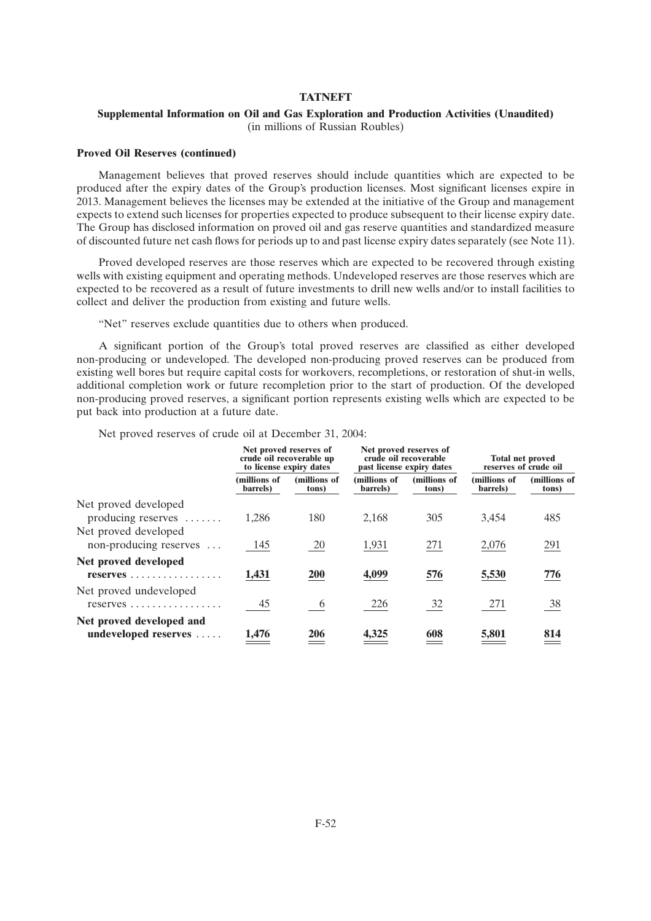### **Supplemental Information on Oil and Gas Exploration and Production Activities (Unaudited)** (in millions of Russian Roubles)

#### **Proved Oil Reserves (continued)**

Management believes that proved reserves should include quantities which are expected to be produced after the expiry dates of the Group's production licenses. Most significant licenses expire in 2013. Management believes the licenses may be extended at the initiative of the Group and management expects to extend such licenses for properties expected to produce subsequent to their license expiry date. The Group has disclosed information on proved oil and gas reserve quantities and standardized measure of discounted future net cash flows for periods up to and past license expiry dates separately (see Note 11).

Proved developed reserves are those reserves which are expected to be recovered through existing wells with existing equipment and operating methods. Undeveloped reserves are those reserves which are expected to be recovered as a result of future investments to drill new wells and/or to install facilities to collect and deliver the production from existing and future wells.

"Net" reserves exclude quantities due to others when produced.

A significant portion of the Group's total proved reserves are classified as either developed non-producing or undeveloped. The developed non-producing proved reserves can be produced from existing well bores but require capital costs for workovers, recompletions, or restoration of shut-in wells, additional completion work or future recompletion prior to the start of production. Of the developed non-producing proved reserves, a significant portion represents existing wells which are expected to be put back into production at a future date.

Net proved reserves of crude oil at December 31, 2004:

|                                                                         | Net proved reserves of<br>crude oil recoverable up<br>to license expiry dates |                       | Net proved reserves of<br>crude oil recoverable<br>past license expiry dates |                       | <b>Total net proved</b><br>reserves of crude oil |                       |
|-------------------------------------------------------------------------|-------------------------------------------------------------------------------|-----------------------|------------------------------------------------------------------------------|-----------------------|--------------------------------------------------|-----------------------|
|                                                                         | (millions of<br>barrels)                                                      | (millions of<br>tons) | (millions of<br>barrels)                                                     | (millions of<br>tons) | (millions of<br>barrels)                         | (millions of<br>tons) |
| Net proved developed<br>producing reserves $\dots$                      | 1.286                                                                         | 180                   | 2,168                                                                        | 305                   | 3.454                                            | 485                   |
| Net proved developed<br>non-producing reserves                          | 145                                                                           | 20                    | 1,931                                                                        | 271                   | 2,076                                            | 291                   |
| Net proved developed<br>reserves                                        | 1,431                                                                         | <b>200</b>            | 4,099                                                                        | 576                   | 5,530                                            | 776                   |
| Net proved undeveloped<br>$reserves \ldots \ldots \ldots \ldots \ldots$ | 45                                                                            | $6\overline{6}$       | 226                                                                          | $\frac{32}{2}$        | 271                                              | <u>38</u>             |
| Net proved developed and<br>undeveloped reserves                        | 1,476                                                                         | <b>206</b>            | 4,325                                                                        | 608                   | 5,801                                            | 814                   |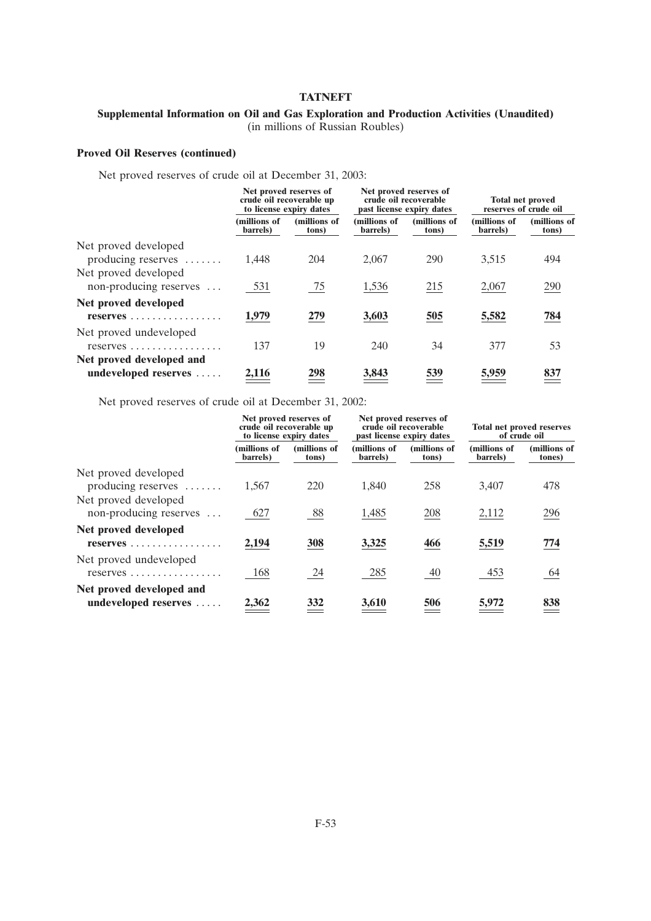## **Supplemental Information on Oil and Gas Exploration and Production Activities (Unaudited)** (in millions of Russian Roubles)

## **Proved Oil Reserves (continued)**

Net proved reserves of crude oil at December 31, 2003:

|                                                                         | Net proved reserves of<br>crude oil recoverable up<br>to license expiry dates |                       |                          | Net proved reserves of<br>crude oil recoverable<br>past license expiry dates |                          | <b>Total net proved</b><br>reserves of crude oil |  |
|-------------------------------------------------------------------------|-------------------------------------------------------------------------------|-----------------------|--------------------------|------------------------------------------------------------------------------|--------------------------|--------------------------------------------------|--|
|                                                                         | (millions of<br>barrels)                                                      | (millions of<br>tons) | (millions of<br>barrels) | (millions of<br>tons)                                                        | (millions of<br>barrels) | (millions of<br>tons)                            |  |
| Net proved developed<br>producing reserves $\dots$                      | 1,448                                                                         | 204                   | 2,067                    | 290                                                                          | 3,515                    | 494                                              |  |
| Net proved developed<br>non-producing reserves                          | 531                                                                           | 75                    | 1,536                    | 215                                                                          | 2,067                    | 290                                              |  |
| Net proved developed<br>reserves                                        | 1,979                                                                         | 279                   | 3,603                    | 505                                                                          | 5,582                    | 784                                              |  |
| Net proved undeveloped<br>$reserves \ldots \ldots \ldots \ldots \ldots$ | 137                                                                           | 19                    | 240                      | 34                                                                           | 377                      | 53                                               |  |
| Net proved developed and<br>undeveloped reserves                        | 2,116                                                                         | 298                   | 3,843                    | 539                                                                          | 5,959                    | 837                                              |  |

Net proved reserves of crude oil at December 31, 2002:

|                                                                  | Net proved reserves of<br>crude oil recoverable up<br>to license expiry dates |                       |                          | Net proved reserves of<br>crude oil recoverable<br>past license expiry dates |                          | <b>Total net proved reserves</b><br>of crude oil |  |
|------------------------------------------------------------------|-------------------------------------------------------------------------------|-----------------------|--------------------------|------------------------------------------------------------------------------|--------------------------|--------------------------------------------------|--|
|                                                                  | (millions of<br>barrels)                                                      | (millions of<br>tons) | (millions of<br>barrels) | (millions of<br>tons)                                                        | (millions of<br>barrels) | (millions of<br>tones)                           |  |
| Net proved developed<br>producing reserves $\dots$               | 1,567                                                                         | 220                   | 1.840                    | 258                                                                          | 3.407                    | 478                                              |  |
| Net proved developed<br>non-producing reserves                   | 627                                                                           | 88                    | 1,485                    | 208                                                                          | 2,112                    | 296                                              |  |
| Net proved developed<br>reserves                                 | 2,194                                                                         | 308                   | 3,325                    | 466                                                                          | 5,519                    | 774                                              |  |
| Net proved undeveloped<br>$reserves \ldots \ldots \ldots \ldots$ | 168                                                                           | 24                    | 285                      | 40                                                                           | 453                      | 64                                               |  |
| Net proved developed and<br>undeveloped reserves                 | 2,362                                                                         | 332                   | 3,610                    | 506                                                                          | 5,972                    | 838                                              |  |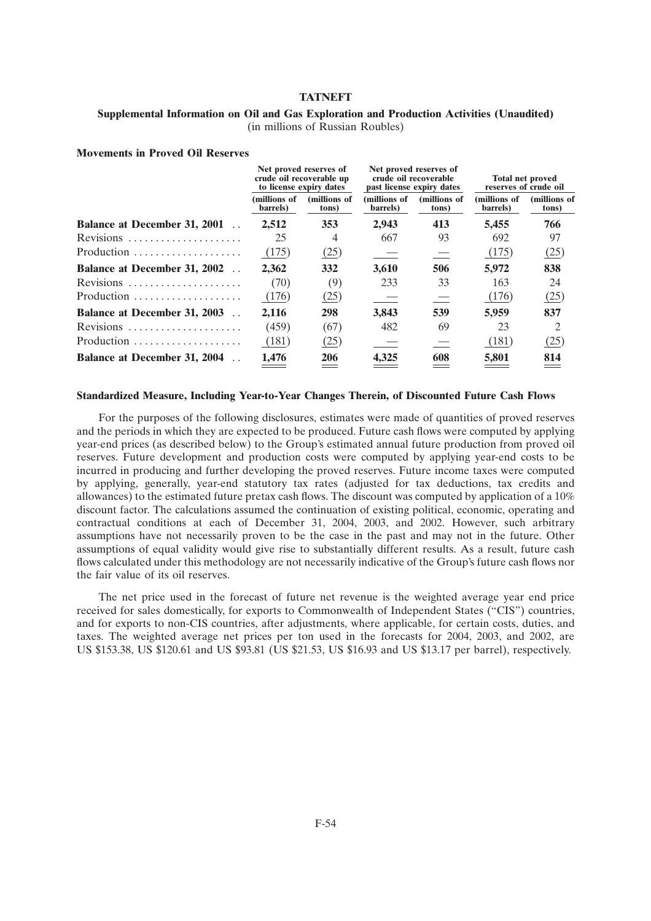### **Supplemental Information on Oil and Gas Exploration and Production Activities (Unaudited)** (in millions of Russian Roubles)

#### **Movements in Proved Oil Reserves**

|                                     | Net proved reserves of<br>crude oil recoverable up<br>to license expiry dates |                       | Net proved reserves of<br>crude oil recoverable<br>past license expiry dates |                       | <b>Total net proved</b><br>reserves of crude oil |                       |
|-------------------------------------|-------------------------------------------------------------------------------|-----------------------|------------------------------------------------------------------------------|-----------------------|--------------------------------------------------|-----------------------|
|                                     | (millions of<br>barrels)                                                      | (millions of<br>tons) | (millions of<br>barrels)                                                     | (millions of<br>tons) | (millions of<br>barrels)                         | (millions of<br>tons) |
| <b>Balance at December 31, 2001</b> | 2,512                                                                         | 353                   | 2.943                                                                        | 413                   | 5,455                                            | 766                   |
| Revisions                           | 25                                                                            | 4                     | 667                                                                          | 93                    | 692                                              | 97                    |
| Production                          | (175)                                                                         | (25)                  |                                                                              |                       | (175)                                            | (25)                  |
| <b>Balance at December 31, 2002</b> | 2,362                                                                         | 332                   | 3,610                                                                        | 506                   | 5,972                                            | 838                   |
| Revisions                           | (70)                                                                          | (9)                   | 233                                                                          | 33                    | 163                                              | 24                    |
| Production                          | (176)                                                                         | (25)                  |                                                                              |                       | (176)                                            | (25)                  |
| Balance at December 31, 2003        | 2,116                                                                         | 298                   | 3.843                                                                        | 539                   | 5,959                                            | 837                   |
| Revisions                           | (459)                                                                         | (67)                  | 482                                                                          | 69                    | 23                                               | 2                     |
| Production                          | (181)                                                                         | (25)                  |                                                                              |                       | (181)                                            | (25)                  |
| <b>Balance at December 31, 2004</b> | 1,476                                                                         | 206                   | 4,325                                                                        | 608                   | 5,801                                            | 814                   |

#### **Standardized Measure, Including Year-to-Year Changes Therein, of Discounted Future Cash Flows**

For the purposes of the following disclosures, estimates were made of quantities of proved reserves and the periods in which they are expected to be produced. Future cash flows were computed by applying year-end prices (as described below) to the Group's estimated annual future production from proved oil reserves. Future development and production costs were computed by applying year-end costs to be incurred in producing and further developing the proved reserves. Future income taxes were computed by applying, generally, year-end statutory tax rates (adjusted for tax deductions, tax credits and allowances) to the estimated future pretax cash flows. The discount was computed by application of a 10% discount factor. The calculations assumed the continuation of existing political, economic, operating and contractual conditions at each of December 31, 2004, 2003, and 2002. However, such arbitrary assumptions have not necessarily proven to be the case in the past and may not in the future. Other assumptions of equal validity would give rise to substantially different results. As a result, future cash flows calculated under this methodology are not necessarily indicative of the Group's future cash flows nor the fair value of its oil reserves.

The net price used in the forecast of future net revenue is the weighted average year end price received for sales domestically, for exports to Commonwealth of Independent States (''CIS'') countries, and for exports to non-CIS countries, after adjustments, where applicable, for certain costs, duties, and taxes. The weighted average net prices per ton used in the forecasts for 2004, 2003, and 2002, are US \$153.38, US \$120.61 and US \$93.81 (US \$21.53, US \$16.93 and US \$13.17 per barrel), respectively.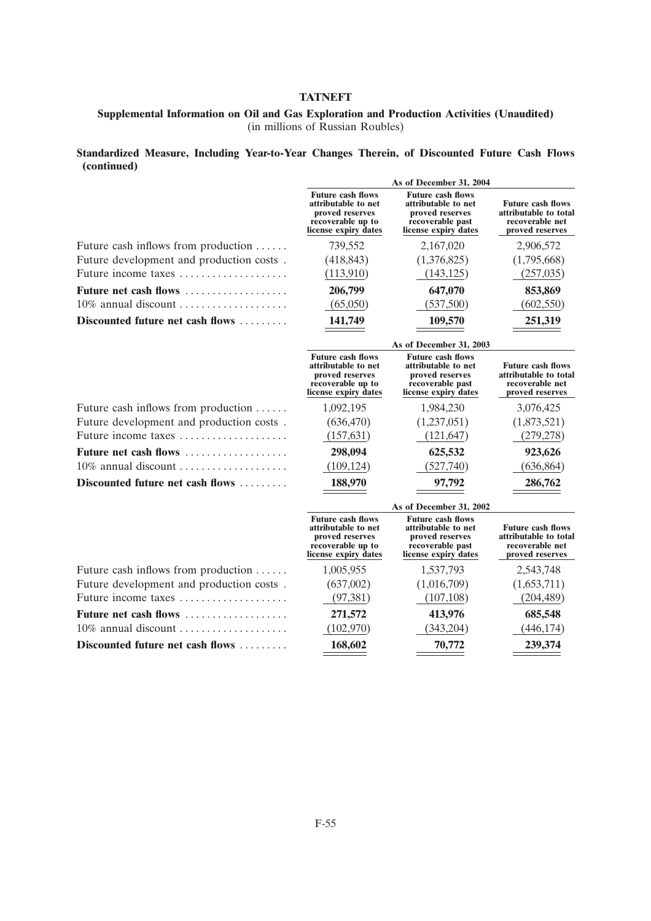## **Supplemental Information on Oil and Gas Exploration and Production Activities (Unaudited)** (in millions of Russian Roubles)

## **Standardized Measure, Including Year-to-Year Changes Therein, of Discounted Future Cash Flows (continued)**

|                                          | As of December 31, 2004                                                                                         |                                                                                                                |                                                                                         |  |
|------------------------------------------|-----------------------------------------------------------------------------------------------------------------|----------------------------------------------------------------------------------------------------------------|-----------------------------------------------------------------------------------------|--|
|                                          | <b>Future cash flows</b><br>attributable to net<br>proved reserves<br>recoverable up to<br>license expiry dates | <b>Future cash flows</b><br>attributable to net<br>proved reserves<br>recoverable past<br>license expiry dates | <b>Future cash flows</b><br>attributable to total<br>recoverable net<br>proved reserves |  |
| Future cash inflows from production      | 739,552                                                                                                         | 2,167,020                                                                                                      | 2,906,572                                                                               |  |
| Future development and production costs. | (418, 843)                                                                                                      | (1,376,825)                                                                                                    | (1,795,668)                                                                             |  |
| Future income taxes                      | (113,910)                                                                                                       | (143, 125)                                                                                                     | (257, 035)                                                                              |  |
| <b>Future net cash flows</b>             | 206,799                                                                                                         | 647,070                                                                                                        | 853,869                                                                                 |  |
| 10% annual discount                      | (65,050)                                                                                                        | (537,500)                                                                                                      | (602, 550)                                                                              |  |
| Discounted future net cash flows         | 141,749                                                                                                         | 109,570                                                                                                        | 251,319                                                                                 |  |
|                                          |                                                                                                                 | As of December 31, 2003                                                                                        |                                                                                         |  |
|                                          | <b>Future cash flows</b><br>attributable to net<br>proved reserves<br>recoverable up to<br>license expiry dates | <b>Future cash flows</b><br>attributable to net<br>proved reserves<br>recoverable past<br>license expiry dates | <b>Future cash flows</b><br>attributable to total<br>recoverable net<br>proved reserves |  |
| Future cash inflows from production      | 1,092,195                                                                                                       | 1,984,230                                                                                                      | 3,076,425                                                                               |  |
| Future development and production costs. | (636, 470)                                                                                                      | (1,237,051)                                                                                                    | (1,873,521)                                                                             |  |
| Future income taxes                      | (157, 631)                                                                                                      | (121, 647)                                                                                                     | (279, 278)                                                                              |  |
| <b>Future net cash flows</b>             | 298,094                                                                                                         | 625,532                                                                                                        | 923,626                                                                                 |  |
| 10% annual discount                      | (109, 124)                                                                                                      | (527,740)                                                                                                      | (636, 864)                                                                              |  |
| Discounted future net cash flows         | 188,970                                                                                                         | 97,792                                                                                                         | 286,762                                                                                 |  |
|                                          |                                                                                                                 | As of December 31, 2002                                                                                        |                                                                                         |  |
|                                          | <b>Future cash flows</b><br>attributable to net<br>proved reserves<br>recoverable up to<br>license expiry dates | <b>Future cash flows</b><br>attributable to net<br>proved reserves<br>recoverable past<br>license expiry dates | <b>Future cash flows</b><br>attributable to total<br>recoverable net<br>proved reserves |  |
| Future cash inflows from production      | 1,005,955                                                                                                       | 1,537,793                                                                                                      | 2,543,748                                                                               |  |
| Future development and production costs. | (637,002)                                                                                                       | (1,016,709)                                                                                                    | (1,653,711)                                                                             |  |
| Future income taxes                      | (97, 381)                                                                                                       | (107, 108)                                                                                                     | (204, 489)                                                                              |  |
| Future net cash flows                    | 271,572                                                                                                         | 413,976                                                                                                        | 685,548                                                                                 |  |
| 10% annual discount                      | (102,970)                                                                                                       | (343, 204)                                                                                                     | (446, 174)                                                                              |  |
| Discounted future net cash flows         | 168,602                                                                                                         | 70,772                                                                                                         | 239,374                                                                                 |  |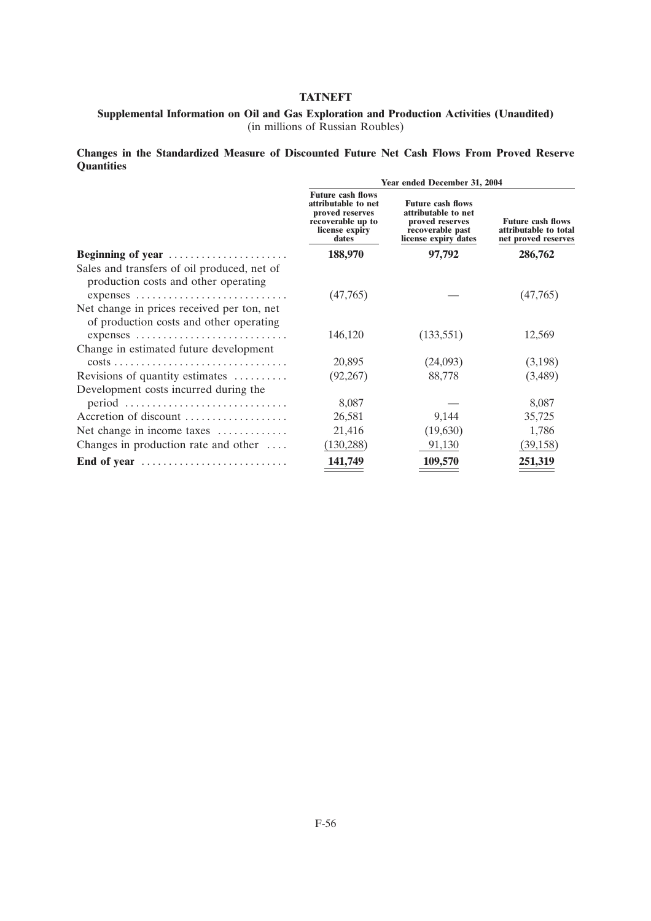## **Supplemental Information on Oil and Gas Exploration and Production Activities (Unaudited)** (in millions of Russian Roubles)

**Changes in the Standardized Measure of Discounted Future Net Cash Flows From Proved Reserve Quantities**

|                                                                                                   | Year ended December 31, 2004                                                                                       |                                                                                                                |                                                                          |  |  |
|---------------------------------------------------------------------------------------------------|--------------------------------------------------------------------------------------------------------------------|----------------------------------------------------------------------------------------------------------------|--------------------------------------------------------------------------|--|--|
|                                                                                                   | <b>Future cash flows</b><br>attributable to net<br>proved reserves<br>recoverable up to<br>license expiry<br>dates | <b>Future cash flows</b><br>attributable to net<br>proved reserves<br>recoverable past<br>license expiry dates | <b>Future cash flows</b><br>attributable to total<br>net proved reserves |  |  |
| Beginning of year                                                                                 | 188,970                                                                                                            | 97,792                                                                                                         | 286,762                                                                  |  |  |
| Sales and transfers of oil produced, net of<br>production costs and other operating<br>expenses   | (47,765)                                                                                                           |                                                                                                                | (47,765)                                                                 |  |  |
| Net change in prices received per ton, net<br>of production costs and other operating<br>expenses | 146,120                                                                                                            | (133, 551)                                                                                                     | 12,569                                                                   |  |  |
| Change in estimated future development                                                            |                                                                                                                    |                                                                                                                |                                                                          |  |  |
|                                                                                                   | 20,895                                                                                                             | (24,093)                                                                                                       | (3,198)                                                                  |  |  |
| Revisions of quantity estimates                                                                   | (92,267)                                                                                                           | 88,778                                                                                                         | (3,489)                                                                  |  |  |
| Development costs incurred during the                                                             |                                                                                                                    |                                                                                                                |                                                                          |  |  |
| $period \dots \dots \dots \dots \dots \dots \dots \dots \dots \dots$                              | 8,087                                                                                                              |                                                                                                                | 8,087                                                                    |  |  |
| Accretion of discount                                                                             | 26,581                                                                                                             | 9,144                                                                                                          | 35,725                                                                   |  |  |
| Net change in income taxes                                                                        | 21,416                                                                                                             | (19,630)                                                                                                       | 1,786                                                                    |  |  |
| Changes in production rate and other $\dots$                                                      | (130, 288)                                                                                                         | 91,130                                                                                                         | (39, 158)                                                                |  |  |
| End of year                                                                                       | 141,749                                                                                                            | 109,570                                                                                                        | 251,319                                                                  |  |  |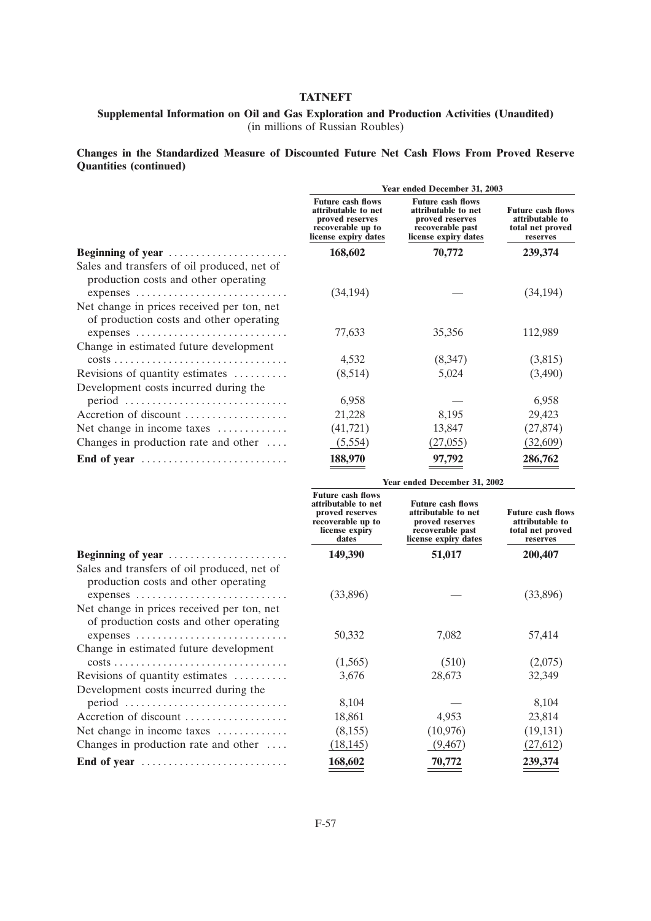## **Supplemental Information on Oil and Gas Exploration and Production Activities (Unaudited)** (in millions of Russian Roubles)

**Changes in the Standardized Measure of Discounted Future Net Cash Flows From Proved Reserve Quantities (continued)**

|                                                                                                   | Year ended December 31, 2003                                                                                       |                                                                                                                |                                                                             |  |
|---------------------------------------------------------------------------------------------------|--------------------------------------------------------------------------------------------------------------------|----------------------------------------------------------------------------------------------------------------|-----------------------------------------------------------------------------|--|
|                                                                                                   | <b>Future cash flows</b><br>attributable to net<br>proved reserves<br>recoverable up to<br>license expiry dates    | <b>Future cash flows</b><br>attributable to net<br>proved reserves<br>recoverable past<br>license expiry dates | <b>Future cash flows</b><br>attributable to<br>total net proved<br>reserves |  |
| Beginning of year                                                                                 | 168,602                                                                                                            | 70,772                                                                                                         | 239,374                                                                     |  |
| Sales and transfers of oil produced, net of<br>production costs and other operating               |                                                                                                                    |                                                                                                                |                                                                             |  |
| expenses<br>Net change in prices received per ton, net<br>of production costs and other operating | (34, 194)                                                                                                          |                                                                                                                | (34, 194)                                                                   |  |
|                                                                                                   | 77,633                                                                                                             | 35,356                                                                                                         | 112,989                                                                     |  |
| Change in estimated future development                                                            |                                                                                                                    |                                                                                                                |                                                                             |  |
|                                                                                                   | 4,532                                                                                                              | (8,347)                                                                                                        | (3,815)                                                                     |  |
| Revisions of quantity estimates                                                                   | (8,514)                                                                                                            | 5,024                                                                                                          | (3,490)                                                                     |  |
| Development costs incurred during the                                                             |                                                                                                                    |                                                                                                                |                                                                             |  |
| $period \dots \dots \dots \dots \dots \dots \dots \dots \dots \dots$                              | 6,958                                                                                                              |                                                                                                                | 6,958                                                                       |  |
| Accretion of discount                                                                             | 21,228                                                                                                             | 8,195                                                                                                          | 29,423                                                                      |  |
| Net change in income taxes                                                                        | (41, 721)                                                                                                          | 13,847                                                                                                         | (27, 874)                                                                   |  |
| Changes in production rate and other                                                              | (5,554)                                                                                                            | (27, 055)                                                                                                      | (32,609)                                                                    |  |
| End of year                                                                                       | 188,970                                                                                                            | 97,792                                                                                                         | 286,762                                                                     |  |
|                                                                                                   | Year ended December 31, 2002                                                                                       |                                                                                                                |                                                                             |  |
|                                                                                                   | <b>Future cash flows</b><br>attributable to net<br>proved reserves<br>recoverable up to<br>license expiry<br>dates | <b>Future cash flows</b><br>attributable to net<br>proved reserves<br>recoverable past<br>license expiry dates | <b>Future cash flows</b><br>attributable to<br>total net proved<br>reserves |  |

| Beginning of year                                                               |
|---------------------------------------------------------------------------------|
| Sales and transfers of oil produced, net of                                     |
| production costs and other operating                                            |
| expenses                                                                        |
| Net change in prices received per ton, net                                      |
| of production costs and other operating                                         |
| expenses                                                                        |
| Change in estimated future development                                          |
| $costs \dots \dots \dots \dots \dots \dots \dots \dots \dots \dots \dots \dots$ |
| Revisions of quantity estimates                                                 |
| Development costs incurred during the                                           |
|                                                                                 |
| Accretion of discount                                                           |
| Net change in income taxes                                                      |
| Changes in production rate and other $\dots$                                    |
| End of year                                                                     |

|                                                                                                   | <b>Future cash flows</b><br>attributable to net<br>proved reserves<br>recoverable up to<br>license expiry<br>dates | <b>Future cash flows</b><br>attributable to net<br>proved reserves<br>recoverable past<br>license expiry dates | <b>Future cash flow</b><br>attributable to<br>total net proved<br>reserves |
|---------------------------------------------------------------------------------------------------|--------------------------------------------------------------------------------------------------------------------|----------------------------------------------------------------------------------------------------------------|----------------------------------------------------------------------------|
| Beginning of year                                                                                 | 149,390                                                                                                            | 51,017                                                                                                         | 200,407                                                                    |
| Sales and transfers of oil produced, net of<br>production costs and other operating<br>expenses   | (33,896)                                                                                                           |                                                                                                                | (33,896)                                                                   |
| Net change in prices received per ton, net<br>of production costs and other operating<br>expenses | 50,332                                                                                                             | 7,082                                                                                                          | 57,414                                                                     |
| Change in estimated future development                                                            |                                                                                                                    |                                                                                                                |                                                                            |
|                                                                                                   | (1,565)                                                                                                            | (510)                                                                                                          | (2,075)                                                                    |
| Revisions of quantity estimates                                                                   | 3,676                                                                                                              | 28,673                                                                                                         | 32,349                                                                     |
| Development costs incurred during the                                                             |                                                                                                                    |                                                                                                                |                                                                            |
| $period \dots \dots \dots \dots \dots \dots \dots \dots \dots \dots$                              | 8,104                                                                                                              |                                                                                                                | 8,104                                                                      |
| Accretion of discount                                                                             | 18,861                                                                                                             | 4,953                                                                                                          | 23,814                                                                     |
| Net change in income taxes $\dots\dots\dots\dots$                                                 | (8,155)                                                                                                            | (10,976)                                                                                                       | (19, 131)                                                                  |
| Changes in production rate and other $\dots$                                                      | (18, 145)                                                                                                          | (9, 467)                                                                                                       | (27,612)                                                                   |
| End of year                                                                                       | 168,602                                                                                                            | 70,772                                                                                                         | 239,374                                                                    |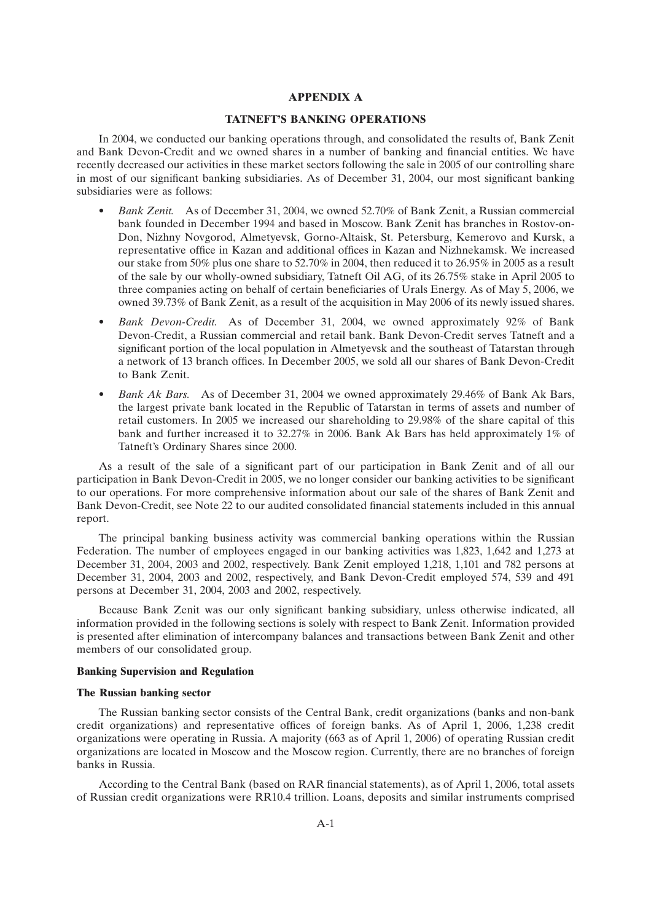#### **APPENDIX A**

#### **TATNEFT'S BANKING OPERATIONS**

In 2004, we conducted our banking operations through, and consolidated the results of, Bank Zenit and Bank Devon-Credit and we owned shares in a number of banking and financial entities. We have recently decreased our activities in these market sectors following the sale in 2005 of our controlling share in most of our significant banking subsidiaries. As of December 31, 2004, our most significant banking subsidiaries were as follows:

- *Bank Zenit.* As of December 31, 2004, we owned 52.70% of Bank Zenit, a Russian commercial bank founded in December 1994 and based in Moscow. Bank Zenit has branches in Rostov-on-Don, Nizhny Novgorod, Almetyevsk, Gorno-Altaisk, St. Petersburg, Kemerovo and Kursk, a representative office in Kazan and additional offices in Kazan and Nizhnekamsk. We increased our stake from 50% plus one share to 52.70% in 2004, then reduced it to 26.95% in 2005 as a result of the sale by our wholly-owned subsidiary, Tatneft Oil AG, of its 26.75% stake in April 2005 to three companies acting on behalf of certain beneficiaries of Urals Energy. As of May 5, 2006, we owned 39.73% of Bank Zenit, as a result of the acquisition in May 2006 of its newly issued shares.
- *Bank Devon-Credit.* As of December 31, 2004, we owned approximately 92% of Bank Devon-Credit, a Russian commercial and retail bank. Bank Devon-Credit serves Tatneft and a significant portion of the local population in Almetyevsk and the southeast of Tatarstan through a network of 13 branch offices. In December 2005, we sold all our shares of Bank Devon-Credit to Bank Zenit.
- *Bank Ak Bars.* As of December 31, 2004 we owned approximately 29.46% of Bank Ak Bars, the largest private bank located in the Republic of Tatarstan in terms of assets and number of retail customers. In 2005 we increased our shareholding to 29.98% of the share capital of this bank and further increased it to 32.27% in 2006. Bank Ak Bars has held approximately 1% of Tatneft's Ordinary Shares since 2000.

As a result of the sale of a significant part of our participation in Bank Zenit and of all our participation in Bank Devon-Credit in 2005, we no longer consider our banking activities to be significant to our operations. For more comprehensive information about our sale of the shares of Bank Zenit and Bank Devon-Credit, see Note 22 to our audited consolidated financial statements included in this annual report.

The principal banking business activity was commercial banking operations within the Russian Federation. The number of employees engaged in our banking activities was 1,823, 1,642 and 1,273 at December 31, 2004, 2003 and 2002, respectively. Bank Zenit employed 1,218, 1,101 and 782 persons at December 31, 2004, 2003 and 2002, respectively, and Bank Devon-Credit employed 574, 539 and 491 persons at December 31, 2004, 2003 and 2002, respectively.

Because Bank Zenit was our only significant banking subsidiary, unless otherwise indicated, all information provided in the following sections is solely with respect to Bank Zenit. Information provided is presented after elimination of intercompany balances and transactions between Bank Zenit and other members of our consolidated group.

#### **Banking Supervision and Regulation**

#### **The Russian banking sector**

The Russian banking sector consists of the Central Bank, credit organizations (banks and non-bank credit organizations) and representative offices of foreign banks. As of April 1, 2006, 1,238 credit organizations were operating in Russia. A majority (663 as of April 1, 2006) of operating Russian credit organizations are located in Moscow and the Moscow region. Currently, there are no branches of foreign banks in Russia.

According to the Central Bank (based on RAR financial statements), as of April 1, 2006, total assets of Russian credit organizations were RR10.4 trillion. Loans, deposits and similar instruments comprised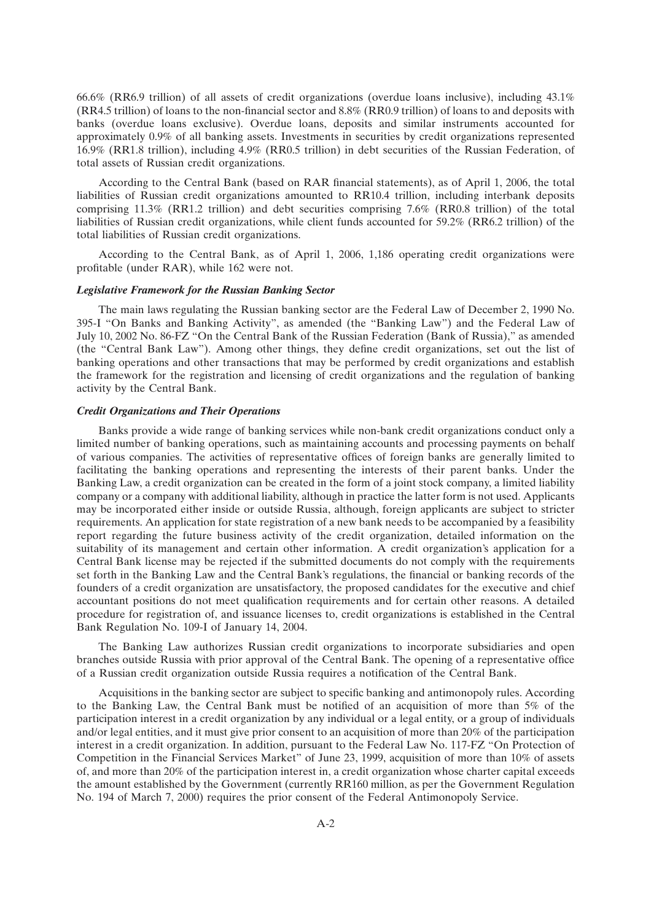66.6% (RR6.9 trillion) of all assets of credit organizations (overdue loans inclusive), including 43.1% (RR4.5 trillion) of loans to the non-financial sector and 8.8% (RR0.9 trillion) of loans to and deposits with banks (overdue loans exclusive). Overdue loans, deposits and similar instruments accounted for approximately 0.9% of all banking assets. Investments in securities by credit organizations represented 16.9% (RR1.8 trillion), including 4.9% (RR0.5 trillion) in debt securities of the Russian Federation, of total assets of Russian credit organizations.

According to the Central Bank (based on RAR financial statements), as of April 1, 2006, the total liabilities of Russian credit organizations amounted to RR10.4 trillion, including interbank deposits comprising 11.3% (RR1.2 trillion) and debt securities comprising 7.6% (RR0.8 trillion) of the total liabilities of Russian credit organizations, while client funds accounted for 59.2% (RR6.2 trillion) of the total liabilities of Russian credit organizations.

According to the Central Bank, as of April 1, 2006, 1,186 operating credit organizations were profitable (under RAR), while 162 were not.

#### *Legislative Framework for the Russian Banking Sector*

The main laws regulating the Russian banking sector are the Federal Law of December 2, 1990 No. 395-I ''On Banks and Banking Activity'', as amended (the ''Banking Law'') and the Federal Law of July 10, 2002 No. 86-FZ ''On the Central Bank of the Russian Federation (Bank of Russia),'' as amended (the ''Central Bank Law''). Among other things, they define credit organizations, set out the list of banking operations and other transactions that may be performed by credit organizations and establish the framework for the registration and licensing of credit organizations and the regulation of banking activity by the Central Bank.

### *Credit Organizations and Their Operations*

Banks provide a wide range of banking services while non-bank credit organizations conduct only a limited number of banking operations, such as maintaining accounts and processing payments on behalf of various companies. The activities of representative offices of foreign banks are generally limited to facilitating the banking operations and representing the interests of their parent banks. Under the Banking Law, a credit organization can be created in the form of a joint stock company, a limited liability company or a company with additional liability, although in practice the latter form is not used. Applicants may be incorporated either inside or outside Russia, although, foreign applicants are subject to stricter requirements. An application for state registration of a new bank needs to be accompanied by a feasibility report regarding the future business activity of the credit organization, detailed information on the suitability of its management and certain other information. A credit organization's application for a Central Bank license may be rejected if the submitted documents do not comply with the requirements set forth in the Banking Law and the Central Bank's regulations, the financial or banking records of the founders of a credit organization are unsatisfactory, the proposed candidates for the executive and chief accountant positions do not meet qualification requirements and for certain other reasons. A detailed procedure for registration of, and issuance licenses to, credit organizations is established in the Central Bank Regulation No. 109-I of January 14, 2004.

The Banking Law authorizes Russian credit organizations to incorporate subsidiaries and open branches outside Russia with prior approval of the Central Bank. The opening of a representative office of a Russian credit organization outside Russia requires a notification of the Central Bank.

Acquisitions in the banking sector are subject to specific banking and antimonopoly rules. According to the Banking Law, the Central Bank must be notified of an acquisition of more than 5% of the participation interest in a credit organization by any individual or a legal entity, or a group of individuals and/or legal entities, and it must give prior consent to an acquisition of more than 20% of the participation interest in a credit organization. In addition, pursuant to the Federal Law No. 117-FZ ''On Protection of Competition in the Financial Services Market'' of June 23, 1999, acquisition of more than 10% of assets of, and more than 20% of the participation interest in, a credit organization whose charter capital exceeds the amount established by the Government (currently RR160 million, as per the Government Regulation No. 194 of March 7, 2000) requires the prior consent of the Federal Antimonopoly Service.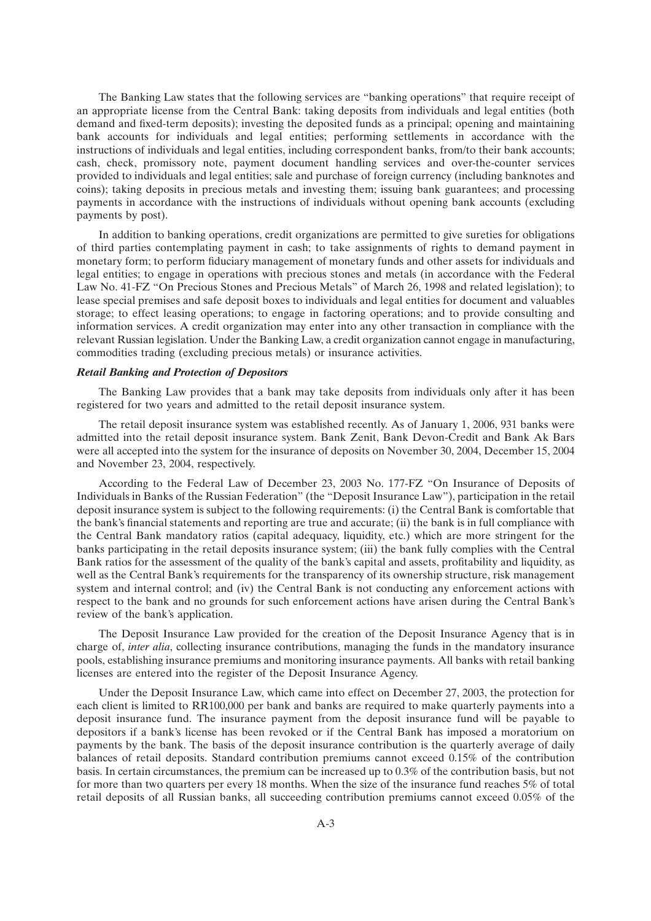The Banking Law states that the following services are ''banking operations'' that require receipt of an appropriate license from the Central Bank: taking deposits from individuals and legal entities (both demand and fixed-term deposits); investing the deposited funds as a principal; opening and maintaining bank accounts for individuals and legal entities; performing settlements in accordance with the instructions of individuals and legal entities, including correspondent banks, from/to their bank accounts; cash, check, promissory note, payment document handling services and over-the-counter services provided to individuals and legal entities; sale and purchase of foreign currency (including banknotes and coins); taking deposits in precious metals and investing them; issuing bank guarantees; and processing payments in accordance with the instructions of individuals without opening bank accounts (excluding payments by post).

In addition to banking operations, credit organizations are permitted to give sureties for obligations of third parties contemplating payment in cash; to take assignments of rights to demand payment in monetary form; to perform fiduciary management of monetary funds and other assets for individuals and legal entities; to engage in operations with precious stones and metals (in accordance with the Federal Law No. 41-FZ "On Precious Stones and Precious Metals" of March 26, 1998 and related legislation); to lease special premises and safe deposit boxes to individuals and legal entities for document and valuables storage; to effect leasing operations; to engage in factoring operations; and to provide consulting and information services. A credit organization may enter into any other transaction in compliance with the relevant Russian legislation. Under the Banking Law, a credit organization cannot engage in manufacturing, commodities trading (excluding precious metals) or insurance activities.

#### *Retail Banking and Protection of Depositors*

The Banking Law provides that a bank may take deposits from individuals only after it has been registered for two years and admitted to the retail deposit insurance system.

The retail deposit insurance system was established recently. As of January 1, 2006, 931 banks were admitted into the retail deposit insurance system. Bank Zenit, Bank Devon-Credit and Bank Ak Bars were all accepted into the system for the insurance of deposits on November 30, 2004, December 15, 2004 and November 23, 2004, respectively.

According to the Federal Law of December 23, 2003 No. 177-FZ ''On Insurance of Deposits of Individuals in Banks of the Russian Federation'' (the ''Deposit Insurance Law''), participation in the retail deposit insurance system is subject to the following requirements: (i) the Central Bank is comfortable that the bank's financial statements and reporting are true and accurate; (ii) the bank is in full compliance with the Central Bank mandatory ratios (capital adequacy, liquidity, etc.) which are more stringent for the banks participating in the retail deposits insurance system; (iii) the bank fully complies with the Central Bank ratios for the assessment of the quality of the bank's capital and assets, profitability and liquidity, as well as the Central Bank's requirements for the transparency of its ownership structure, risk management system and internal control; and (iv) the Central Bank is not conducting any enforcement actions with respect to the bank and no grounds for such enforcement actions have arisen during the Central Bank's review of the bank's application.

The Deposit Insurance Law provided for the creation of the Deposit Insurance Agency that is in charge of, *inter alia*, collecting insurance contributions, managing the funds in the mandatory insurance pools, establishing insurance premiums and monitoring insurance payments. All banks with retail banking licenses are entered into the register of the Deposit Insurance Agency.

Under the Deposit Insurance Law, which came into effect on December 27, 2003, the protection for each client is limited to RR100,000 per bank and banks are required to make quarterly payments into a deposit insurance fund. The insurance payment from the deposit insurance fund will be payable to depositors if a bank's license has been revoked or if the Central Bank has imposed a moratorium on payments by the bank. The basis of the deposit insurance contribution is the quarterly average of daily balances of retail deposits. Standard contribution premiums cannot exceed 0.15% of the contribution basis. In certain circumstances, the premium can be increased up to 0.3% of the contribution basis, but not for more than two quarters per every 18 months. When the size of the insurance fund reaches 5% of total retail deposits of all Russian banks, all succeeding contribution premiums cannot exceed 0.05% of the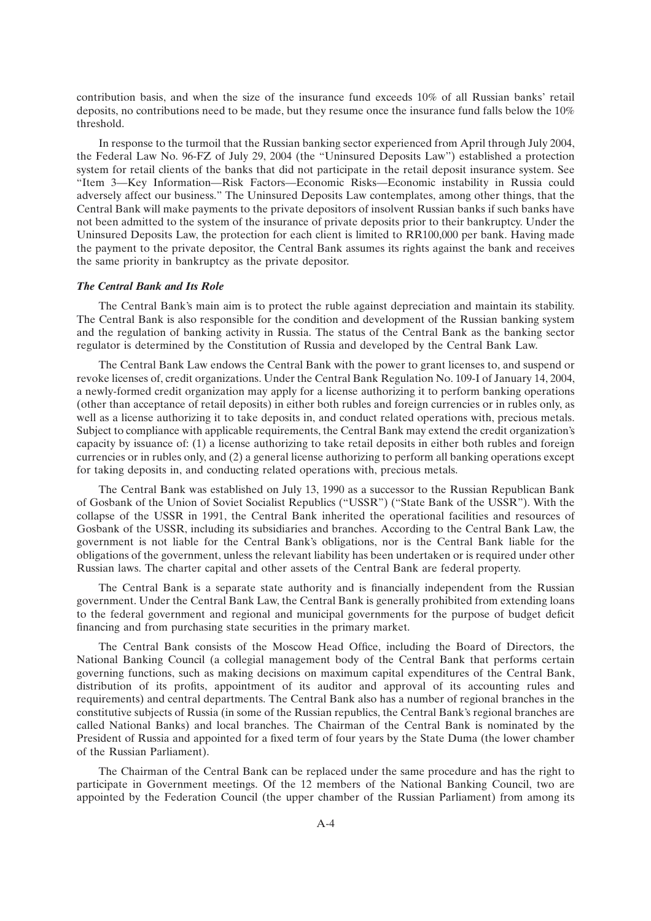contribution basis, and when the size of the insurance fund exceeds 10% of all Russian banks' retail deposits, no contributions need to be made, but they resume once the insurance fund falls below the 10% threshold.

In response to the turmoil that the Russian banking sector experienced from April through July 2004, the Federal Law No. 96-FZ of July 29, 2004 (the ''Uninsured Deposits Law'') established a protection system for retail clients of the banks that did not participate in the retail deposit insurance system. See ''Item 3—Key Information—Risk Factors—Economic Risks—Economic instability in Russia could adversely affect our business.'' The Uninsured Deposits Law contemplates, among other things, that the Central Bank will make payments to the private depositors of insolvent Russian banks if such banks have not been admitted to the system of the insurance of private deposits prior to their bankruptcy. Under the Uninsured Deposits Law, the protection for each client is limited to RR100,000 per bank. Having made the payment to the private depositor, the Central Bank assumes its rights against the bank and receives the same priority in bankruptcy as the private depositor.

#### *The Central Bank and Its Role*

The Central Bank's main aim is to protect the ruble against depreciation and maintain its stability. The Central Bank is also responsible for the condition and development of the Russian banking system and the regulation of banking activity in Russia. The status of the Central Bank as the banking sector regulator is determined by the Constitution of Russia and developed by the Central Bank Law.

The Central Bank Law endows the Central Bank with the power to grant licenses to, and suspend or revoke licenses of, credit organizations. Under the Central Bank Regulation No. 109-I of January 14, 2004, a newly-formed credit organization may apply for a license authorizing it to perform banking operations (other than acceptance of retail deposits) in either both rubles and foreign currencies or in rubles only, as well as a license authorizing it to take deposits in, and conduct related operations with, precious metals. Subject to compliance with applicable requirements, the Central Bank may extend the credit organization's capacity by issuance of: (1) a license authorizing to take retail deposits in either both rubles and foreign currencies or in rubles only, and (2) a general license authorizing to perform all banking operations except for taking deposits in, and conducting related operations with, precious metals.

The Central Bank was established on July 13, 1990 as a successor to the Russian Republican Bank of Gosbank of the Union of Soviet Socialist Republics (''USSR'') (''State Bank of the USSR''). With the collapse of the USSR in 1991, the Central Bank inherited the operational facilities and resources of Gosbank of the USSR, including its subsidiaries and branches. According to the Central Bank Law, the government is not liable for the Central Bank's obligations, nor is the Central Bank liable for the obligations of the government, unless the relevant liability has been undertaken or is required under other Russian laws. The charter capital and other assets of the Central Bank are federal property.

The Central Bank is a separate state authority and is financially independent from the Russian government. Under the Central Bank Law, the Central Bank is generally prohibited from extending loans to the federal government and regional and municipal governments for the purpose of budget deficit financing and from purchasing state securities in the primary market.

The Central Bank consists of the Moscow Head Office, including the Board of Directors, the National Banking Council (a collegial management body of the Central Bank that performs certain governing functions, such as making decisions on maximum capital expenditures of the Central Bank, distribution of its profits, appointment of its auditor and approval of its accounting rules and requirements) and central departments. The Central Bank also has a number of regional branches in the constitutive subjects of Russia (in some of the Russian republics, the Central Bank's regional branches are called National Banks) and local branches. The Chairman of the Central Bank is nominated by the President of Russia and appointed for a fixed term of four years by the State Duma (the lower chamber of the Russian Parliament).

The Chairman of the Central Bank can be replaced under the same procedure and has the right to participate in Government meetings. Of the 12 members of the National Banking Council, two are appointed by the Federation Council (the upper chamber of the Russian Parliament) from among its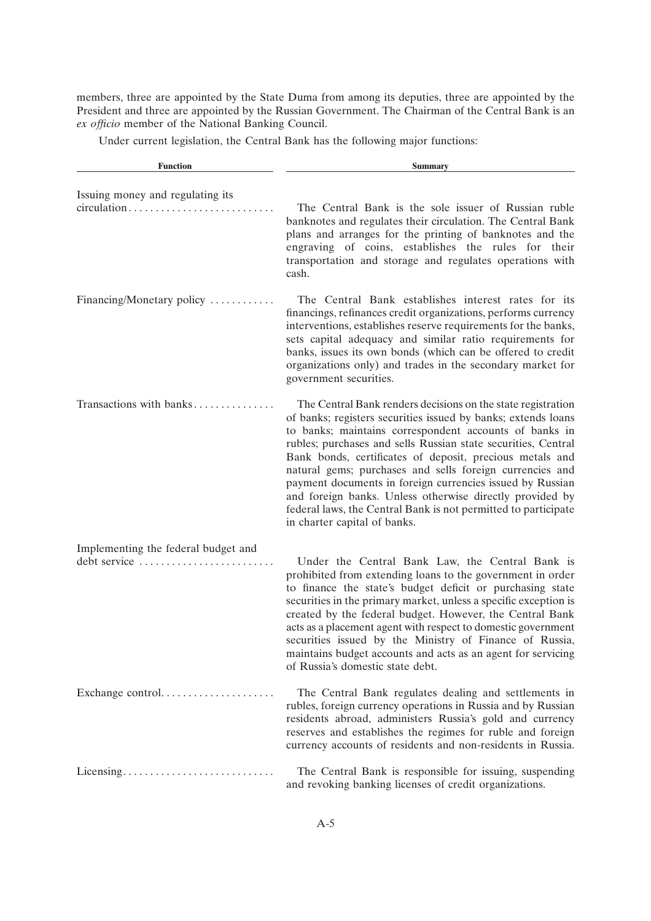members, three are appointed by the State Duma from among its deputies, three are appointed by the President and three are appointed by the Russian Government. The Chairman of the Central Bank is an *ex officio* member of the National Banking Council.

Under current legislation, the Central Bank has the following major functions:

| <b>Function</b>                                                                             | <b>Summary</b>                                                                                                                                                                                                                                                                                                                                                                                                                                                                                                                                                                                              |
|---------------------------------------------------------------------------------------------|-------------------------------------------------------------------------------------------------------------------------------------------------------------------------------------------------------------------------------------------------------------------------------------------------------------------------------------------------------------------------------------------------------------------------------------------------------------------------------------------------------------------------------------------------------------------------------------------------------------|
| Issuing money and regulating its<br>$circulation \ldots \ldots \ldots \ldots \ldots \ldots$ | The Central Bank is the sole issuer of Russian ruble<br>banknotes and regulates their circulation. The Central Bank<br>plans and arranges for the printing of banknotes and the<br>engraving of coins, establishes the rules for their<br>transportation and storage and regulates operations with<br>cash.                                                                                                                                                                                                                                                                                                 |
| Financing/Monetary policy                                                                   | The Central Bank establishes interest rates for its<br>financings, refinances credit organizations, performs currency<br>interventions, establishes reserve requirements for the banks,<br>sets capital adequacy and similar ratio requirements for<br>banks, issues its own bonds (which can be offered to credit<br>organizations only) and trades in the secondary market for<br>government securities.                                                                                                                                                                                                  |
| Transactions with banks                                                                     | The Central Bank renders decisions on the state registration<br>of banks; registers securities issued by banks; extends loans<br>to banks; maintains correspondent accounts of banks in<br>rubles; purchases and sells Russian state securities, Central<br>Bank bonds, certificates of deposit, precious metals and<br>natural gems; purchases and sells foreign currencies and<br>payment documents in foreign currencies issued by Russian<br>and foreign banks. Unless otherwise directly provided by<br>federal laws, the Central Bank is not permitted to participate<br>in charter capital of banks. |
| Implementing the federal budget and<br>debt service                                         | Under the Central Bank Law, the Central Bank is<br>prohibited from extending loans to the government in order<br>to finance the state's budget deficit or purchasing state<br>securities in the primary market, unless a specific exception is<br>created by the federal budget. However, the Central Bank<br>acts as a placement agent with respect to domestic government<br>securities issued by the Ministry of Finance of Russia,<br>maintains budget accounts and acts as an agent for servicing<br>of Russia's domestic state debt.                                                                  |
| Exchange control                                                                            | The Central Bank regulates dealing and settlements in<br>rubles, foreign currency operations in Russia and by Russian<br>residents abroad, administers Russia's gold and currency<br>reserves and establishes the regimes for ruble and foreign<br>currency accounts of residents and non-residents in Russia.                                                                                                                                                                                                                                                                                              |
| Licensing                                                                                   | The Central Bank is responsible for issuing, suspending<br>and revoking banking licenses of credit organizations.                                                                                                                                                                                                                                                                                                                                                                                                                                                                                           |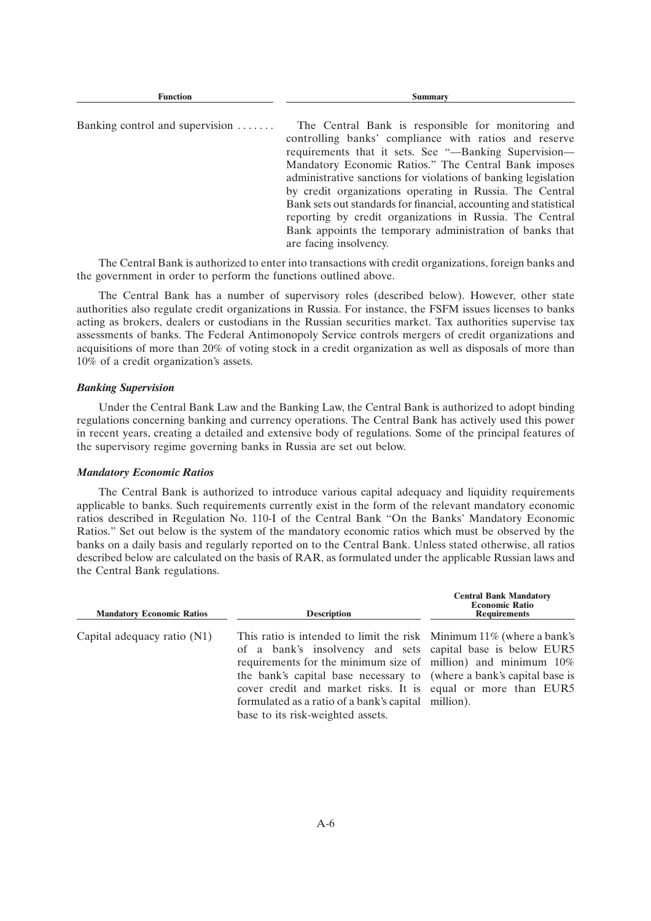| Banking control and supervision $\dots \dots$ | The Central Bank is responsible for monitoring and<br>controlling banks' compliance with ratios and reserve<br>requirements that it sets. See "-Banking Supervision-<br>Mandatory Economic Ratios." The Central Bank imposes<br>administrative sanctions for violations of banking legislation<br>by credit organizations operating in Russia. The Central |
|-----------------------------------------------|------------------------------------------------------------------------------------------------------------------------------------------------------------------------------------------------------------------------------------------------------------------------------------------------------------------------------------------------------------|
|                                               | Bank sets out standards for financial, accounting and statistical<br>reporting by credit organizations in Russia. The Central<br>Bank appoints the temporary administration of banks that<br>are facing insolvency.                                                                                                                                        |

**Function Summary**

The Central Bank is authorized to enter into transactions with credit organizations, foreign banks and the government in order to perform the functions outlined above.

The Central Bank has a number of supervisory roles (described below). However, other state authorities also regulate credit organizations in Russia. For instance, the FSFM issues licenses to banks acting as brokers, dealers or custodians in the Russian securities market. Tax authorities supervise tax assessments of banks. The Federal Antimonopoly Service controls mergers of credit organizations and acquisitions of more than 20% of voting stock in a credit organization as well as disposals of more than 10% of a credit organization's assets.

### *Banking Supervision*

Under the Central Bank Law and the Banking Law, the Central Bank is authorized to adopt binding regulations concerning banking and currency operations. The Central Bank has actively used this power in recent years, creating a detailed and extensive body of regulations. Some of the principal features of the supervisory regime governing banks in Russia are set out below.

### *Mandatory Economic Ratios*

The Central Bank is authorized to introduce various capital adequacy and liquidity requirements applicable to banks. Such requirements currently exist in the form of the relevant mandatory economic ratios described in Regulation No. 110-I of the Central Bank ''On the Banks' Mandatory Economic Ratios.'' Set out below is the system of the mandatory economic ratios which must be observed by the banks on a daily basis and regularly reported on to the Central Bank. Unless stated otherwise, all ratios described below are calculated on the basis of RAR, as formulated under the applicable Russian laws and the Central Bank regulations.

**Central Bank Mandatory**

| <b>Mandatory Economic Ratios</b> | <b>Description</b>                                                                                                                                                                                                                                                                                                                                                                                                                         | <b>Economic Ratio</b><br><b>Requirements</b> |  |  |
|----------------------------------|--------------------------------------------------------------------------------------------------------------------------------------------------------------------------------------------------------------------------------------------------------------------------------------------------------------------------------------------------------------------------------------------------------------------------------------------|----------------------------------------------|--|--|
| Capital adequacy ratio (N1)      | This ratio is intended to limit the risk Minimum 11% (where a bank's<br>of a bank's insolvency and sets capital base is below EUR5<br>requirements for the minimum size of million) and minimum $10\%$<br>the bank's capital base necessary to (where a bank's capital base is<br>cover credit and market risks. It is equal or more than EUR5<br>formulated as a ratio of a bank's capital million).<br>base to its risk-weighted assets. |                                              |  |  |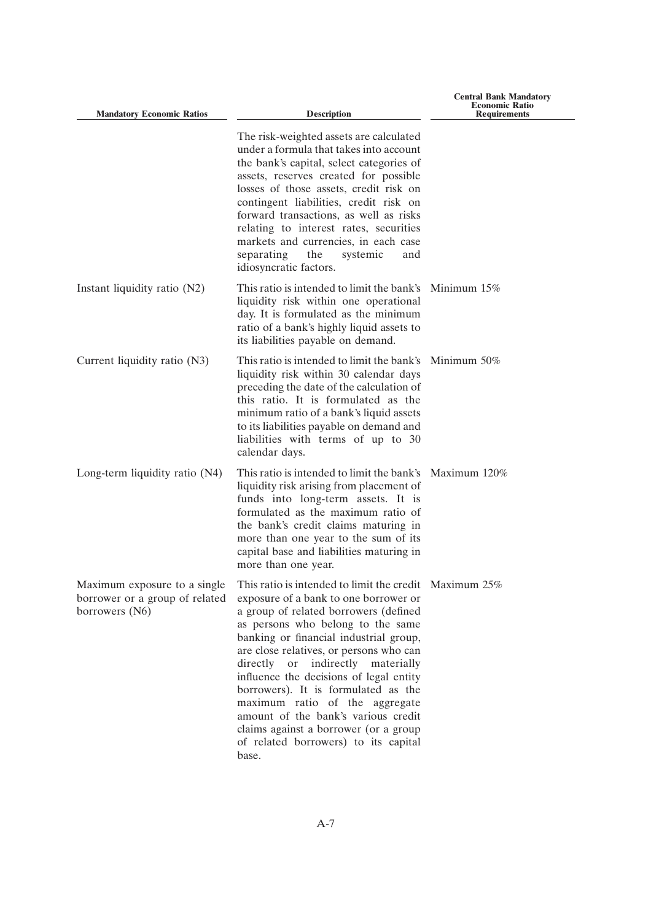| <b>Mandatory Economic Ratios</b>                                                 | <b>Description</b>                                                                                                                                                                                                                                                                                                                                                                                                                                                                                                                                              | <b>Economic Ratio</b><br><b>Requirements</b> |
|----------------------------------------------------------------------------------|-----------------------------------------------------------------------------------------------------------------------------------------------------------------------------------------------------------------------------------------------------------------------------------------------------------------------------------------------------------------------------------------------------------------------------------------------------------------------------------------------------------------------------------------------------------------|----------------------------------------------|
|                                                                                  | The risk-weighted assets are calculated<br>under a formula that takes into account<br>the bank's capital, select categories of<br>assets, reserves created for possible<br>losses of those assets, credit risk on<br>contingent liabilities, credit risk on<br>forward transactions, as well as risks<br>relating to interest rates, securities<br>markets and currencies, in each case<br>separating<br>the<br>systemic<br>and<br>idiosyncratic factors.                                                                                                       |                                              |
| Instant liquidity ratio (N2)                                                     | This ratio is intended to limit the bank's Minimum $15\%$<br>liquidity risk within one operational<br>day. It is formulated as the minimum<br>ratio of a bank's highly liquid assets to<br>its liabilities payable on demand.                                                                                                                                                                                                                                                                                                                                   |                                              |
| Current liquidity ratio (N3)                                                     | This ratio is intended to limit the bank's<br>liquidity risk within 30 calendar days<br>preceding the date of the calculation of<br>this ratio. It is formulated as the<br>minimum ratio of a bank's liquid assets<br>to its liabilities payable on demand and<br>liabilities with terms of up to 30<br>calendar days.                                                                                                                                                                                                                                          | Minimum $50\%$                               |
| Long-term liquidity ratio (N4)                                                   | This ratio is intended to limit the bank's Maximum 120%<br>liquidity risk arising from placement of<br>funds into long-term assets. It is<br>formulated as the maximum ratio of<br>the bank's credit claims maturing in<br>more than one year to the sum of its<br>capital base and liabilities maturing in<br>more than one year.                                                                                                                                                                                                                              |                                              |
| Maximum exposure to a single<br>borrower or a group of related<br>borrowers (N6) | This ratio is intended to limit the credit Maximum 25%<br>exposure of a bank to one borrower or<br>a group of related borrowers (defined<br>as persons who belong to the same<br>banking or financial industrial group,<br>are close relatives, or persons who can<br>indirectly materially<br>directly or<br>influence the decisions of legal entity<br>borrowers). It is formulated as the<br>maximum ratio of the aggregate<br>amount of the bank's various credit<br>claims against a borrower (or a group<br>of related borrowers) to its capital<br>base. |                                              |

**Central Bank Mandatory**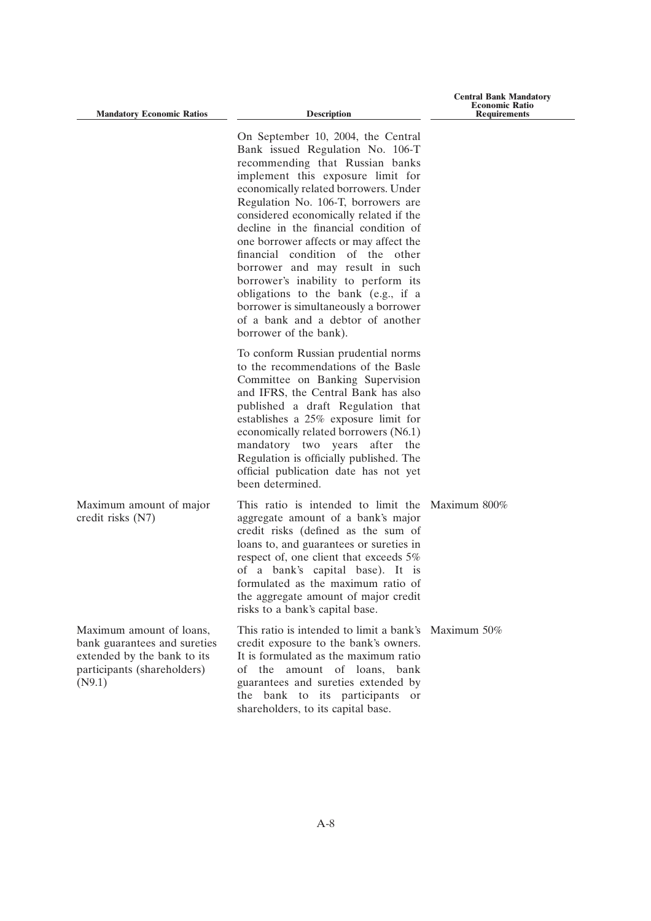**Mandatory Economic Ratios Description** 

**Central Bank Mandatory Economic Ratio Requirements**

|                                                                                                                                  | On September 10, 2004, the Central<br>Bank issued Regulation No. 106-T<br>recommending that Russian banks<br>implement this exposure limit for<br>economically related borrowers. Under<br>Regulation No. 106-T, borrowers are<br>considered economically related if the<br>decline in the financial condition of<br>one borrower affects or may affect the<br>financial condition of the other<br>borrower and may result in such<br>borrower's inability to perform its<br>obligations to the bank (e.g., if a<br>borrower is simultaneously a borrower<br>of a bank and a debtor of another<br>borrower of the bank). |  |
|----------------------------------------------------------------------------------------------------------------------------------|--------------------------------------------------------------------------------------------------------------------------------------------------------------------------------------------------------------------------------------------------------------------------------------------------------------------------------------------------------------------------------------------------------------------------------------------------------------------------------------------------------------------------------------------------------------------------------------------------------------------------|--|
|                                                                                                                                  | To conform Russian prudential norms<br>to the recommendations of the Basle<br>Committee on Banking Supervision<br>and IFRS, the Central Bank has also<br>published a draft Regulation that<br>establishes a 25% exposure limit for<br>economically related borrowers (N6.1)<br>mandatory two years after the<br>Regulation is officially published. The<br>official publication date has not yet<br>been determined.                                                                                                                                                                                                     |  |
| Maximum amount of major<br>credit risks (N7)                                                                                     | This ratio is intended to limit the Maximum 800%<br>aggregate amount of a bank's major<br>credit risks (defined as the sum of<br>loans to, and guarantees or sureties in<br>respect of, one client that exceeds 5%<br>of a bank's capital base). It is<br>formulated as the maximum ratio of<br>the aggregate amount of major credit<br>risks to a bank's capital base.                                                                                                                                                                                                                                                  |  |
| Maximum amount of loans,<br>bank guarantees and sureties<br>extended by the bank to its<br>participants (shareholders)<br>(N9.1) | This ratio is intended to limit a bank's Maximum 50%<br>credit exposure to the bank's owners.<br>It is formulated as the maximum ratio<br>amount of loans, bank<br>of the<br>guarantees and sureties extended by<br>bank to its participants or<br>the<br>shareholders, to its capital base.                                                                                                                                                                                                                                                                                                                             |  |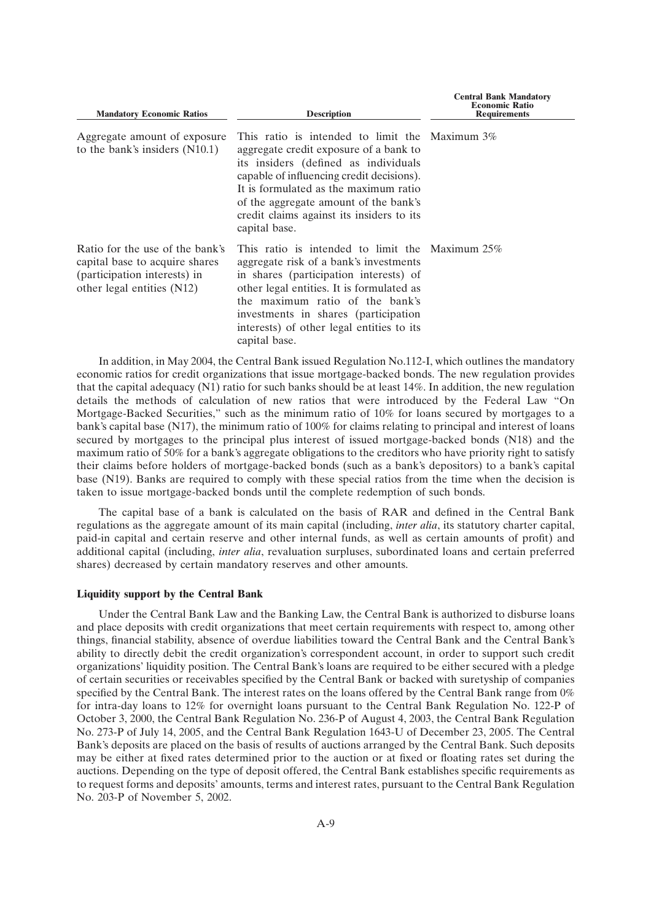| <b>Mandatory Economic Ratios</b>                                                                                                | <b>Description</b>                                                                                                                                                                                                                                                                                                               | <b>Central Bank Mandatory</b><br><b>Economic Ratio</b><br><b>Requirements</b> |  |  |
|---------------------------------------------------------------------------------------------------------------------------------|----------------------------------------------------------------------------------------------------------------------------------------------------------------------------------------------------------------------------------------------------------------------------------------------------------------------------------|-------------------------------------------------------------------------------|--|--|
| Aggregate amount of exposure<br>to the bank's insiders $(N10.1)$                                                                | This ratio is intended to limit the Maximum $3\%$<br>aggregate credit exposure of a bank to<br>its insiders (defined as individuals<br>capable of influencing credit decisions).<br>It is formulated as the maximum ratio<br>of the aggregate amount of the bank's<br>credit claims against its insiders to its<br>capital base. |                                                                               |  |  |
| Ratio for the use of the bank's<br>capital base to acquire shares<br>(participation interests) in<br>other legal entities (N12) | This ratio is intended to limit the Maximum $25\%$<br>aggregate risk of a bank's investments<br>in shares (participation interests) of<br>other legal entities. It is formulated as<br>the maximum ratio of the bank's<br>investments in shares (participation<br>interests) of other legal entities to its<br>capital base.     |                                                                               |  |  |

In addition, in May 2004, the Central Bank issued Regulation No.112-I, which outlines the mandatory economic ratios for credit organizations that issue mortgage-backed bonds. The new regulation provides that the capital adequacy (N1) ratio for such banks should be at least 14%. In addition, the new regulation details the methods of calculation of new ratios that were introduced by the Federal Law ''On Mortgage-Backed Securities," such as the minimum ratio of 10% for loans secured by mortgages to a bank's capital base (N17), the minimum ratio of 100% for claims relating to principal and interest of loans secured by mortgages to the principal plus interest of issued mortgage-backed bonds (N18) and the maximum ratio of 50% for a bank's aggregate obligations to the creditors who have priority right to satisfy their claims before holders of mortgage-backed bonds (such as a bank's depositors) to a bank's capital base (N19). Banks are required to comply with these special ratios from the time when the decision is taken to issue mortgage-backed bonds until the complete redemption of such bonds.

The capital base of a bank is calculated on the basis of RAR and defined in the Central Bank regulations as the aggregate amount of its main capital (including, *inter alia*, its statutory charter capital, paid-in capital and certain reserve and other internal funds, as well as certain amounts of profit) and additional capital (including, *inter alia*, revaluation surpluses, subordinated loans and certain preferred shares) decreased by certain mandatory reserves and other amounts.

#### **Liquidity support by the Central Bank**

Under the Central Bank Law and the Banking Law, the Central Bank is authorized to disburse loans and place deposits with credit organizations that meet certain requirements with respect to, among other things, financial stability, absence of overdue liabilities toward the Central Bank and the Central Bank's ability to directly debit the credit organization's correspondent account, in order to support such credit organizations' liquidity position. The Central Bank's loans are required to be either secured with a pledge of certain securities or receivables specified by the Central Bank or backed with suretyship of companies specified by the Central Bank. The interest rates on the loans offered by the Central Bank range from 0% for intra-day loans to 12% for overnight loans pursuant to the Central Bank Regulation No. 122-P of October 3, 2000, the Central Bank Regulation No. 236-P of August 4, 2003, the Central Bank Regulation No. 273-P of July 14, 2005, and the Central Bank Regulation 1643-U of December 23, 2005. The Central Bank's deposits are placed on the basis of results of auctions arranged by the Central Bank. Such deposits may be either at fixed rates determined prior to the auction or at fixed or floating rates set during the auctions. Depending on the type of deposit offered, the Central Bank establishes specific requirements as to request forms and deposits' amounts, terms and interest rates, pursuant to the Central Bank Regulation No. 203-P of November 5, 2002.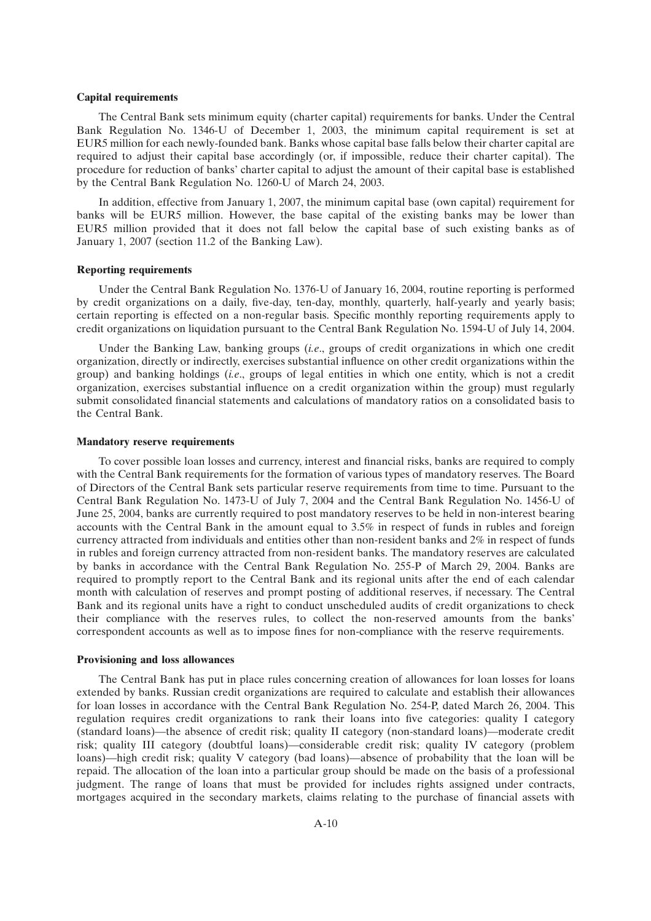#### **Capital requirements**

The Central Bank sets minimum equity (charter capital) requirements for banks. Under the Central Bank Regulation No. 1346-U of December 1, 2003, the minimum capital requirement is set at EUR5 million for each newly-founded bank. Banks whose capital base falls below their charter capital are required to adjust their capital base accordingly (or, if impossible, reduce their charter capital). The procedure for reduction of banks' charter capital to adjust the amount of their capital base is established by the Central Bank Regulation No. 1260-U of March 24, 2003.

In addition, effective from January 1, 2007, the minimum capital base (own capital) requirement for banks will be EUR5 million. However, the base capital of the existing banks may be lower than EUR5 million provided that it does not fall below the capital base of such existing banks as of January 1, 2007 (section 11.2 of the Banking Law).

#### **Reporting requirements**

Under the Central Bank Regulation No. 1376-U of January 16, 2004, routine reporting is performed by credit organizations on a daily, five-day, ten-day, monthly, quarterly, half-yearly and yearly basis; certain reporting is effected on a non-regular basis. Specific monthly reporting requirements apply to credit organizations on liquidation pursuant to the Central Bank Regulation No. 1594-U of July 14, 2004.

Under the Banking Law, banking groups (*i.e*., groups of credit organizations in which one credit organization, directly or indirectly, exercises substantial influence on other credit organizations within the group) and banking holdings (*i.e*., groups of legal entities in which one entity, which is not a credit organization, exercises substantial influence on a credit organization within the group) must regularly submit consolidated financial statements and calculations of mandatory ratios on a consolidated basis to the Central Bank.

#### **Mandatory reserve requirements**

To cover possible loan losses and currency, interest and financial risks, banks are required to comply with the Central Bank requirements for the formation of various types of mandatory reserves. The Board of Directors of the Central Bank sets particular reserve requirements from time to time. Pursuant to the Central Bank Regulation No. 1473-U of July 7, 2004 and the Central Bank Regulation No. 1456-U of June 25, 2004, banks are currently required to post mandatory reserves to be held in non-interest bearing accounts with the Central Bank in the amount equal to 3.5% in respect of funds in rubles and foreign currency attracted from individuals and entities other than non-resident banks and 2% in respect of funds in rubles and foreign currency attracted from non-resident banks. The mandatory reserves are calculated by banks in accordance with the Central Bank Regulation No. 255-P of March 29, 2004. Banks are required to promptly report to the Central Bank and its regional units after the end of each calendar month with calculation of reserves and prompt posting of additional reserves, if necessary. The Central Bank and its regional units have a right to conduct unscheduled audits of credit organizations to check their compliance with the reserves rules, to collect the non-reserved amounts from the banks' correspondent accounts as well as to impose fines for non-compliance with the reserve requirements.

#### **Provisioning and loss allowances**

The Central Bank has put in place rules concerning creation of allowances for loan losses for loans extended by banks. Russian credit organizations are required to calculate and establish their allowances for loan losses in accordance with the Central Bank Regulation No. 254-P, dated March 26, 2004. This regulation requires credit organizations to rank their loans into five categories: quality I category (standard loans)—the absence of credit risk; quality II category (non-standard loans)—moderate credit risk; quality III category (doubtful loans)—considerable credit risk; quality IV category (problem loans)—high credit risk; quality V category (bad loans)—absence of probability that the loan will be repaid. The allocation of the loan into a particular group should be made on the basis of a professional judgment. The range of loans that must be provided for includes rights assigned under contracts, mortgages acquired in the secondary markets, claims relating to the purchase of financial assets with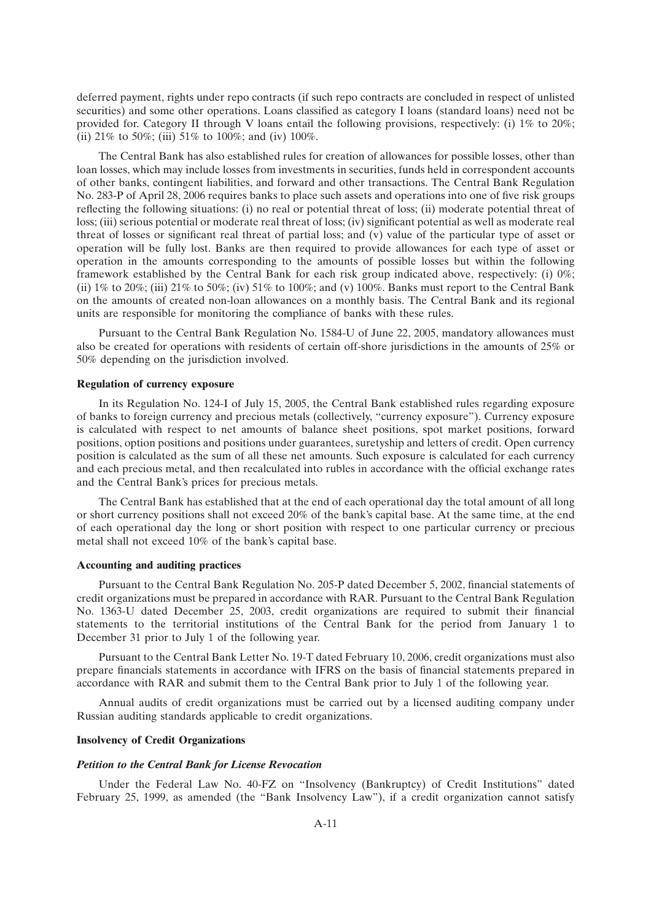deferred payment, rights under repo contracts (if such repo contracts are concluded in respect of unlisted securities) and some other operations. Loans classified as category I loans (standard loans) need not be provided for. Category II through V loans entail the following provisions, respectively: (i) 1% to 20%; (ii) 21% to 50%; (iii) 51% to 100%; and (iv) 100%.

The Central Bank has also established rules for creation of allowances for possible losses, other than loan losses, which may include losses from investments in securities, funds held in correspondent accounts of other banks, contingent liabilities, and forward and other transactions. The Central Bank Regulation No. 283-P of April 28, 2006 requires banks to place such assets and operations into one of five risk groups reflecting the following situations: (i) no real or potential threat of loss; (ii) moderate potential threat of loss; (iii) serious potential or moderate real threat of loss; (iv) significant potential as well as moderate real threat of losses or significant real threat of partial loss; and (v) value of the particular type of asset or operation will be fully lost. Banks are then required to provide allowances for each type of asset or operation in the amounts corresponding to the amounts of possible losses but within the following framework established by the Central Bank for each risk group indicated above, respectively: (i) 0%; (ii) 1% to 20%; (iii) 21% to 50%; (iv) 51% to 100%; and (v) 100%. Banks must report to the Central Bank on the amounts of created non-loan allowances on a monthly basis. The Central Bank and its regional units are responsible for monitoring the compliance of banks with these rules.

Pursuant to the Central Bank Regulation No. 1584-U of June 22, 2005, mandatory allowances must also be created for operations with residents of certain off-shore jurisdictions in the amounts of 25% or 50% depending on the jurisdiction involved.

### **Regulation of currency exposure**

In its Regulation No. 124-I of July 15, 2005, the Central Bank established rules regarding exposure of banks to foreign currency and precious metals (collectively, ''currency exposure''). Currency exposure is calculated with respect to net amounts of balance sheet positions, spot market positions, forward positions, option positions and positions under guarantees, suretyship and letters of credit. Open currency position is calculated as the sum of all these net amounts. Such exposure is calculated for each currency and each precious metal, and then recalculated into rubles in accordance with the official exchange rates and the Central Bank's prices for precious metals.

The Central Bank has established that at the end of each operational day the total amount of all long or short currency positions shall not exceed 20% of the bank's capital base. At the same time, at the end of each operational day the long or short position with respect to one particular currency or precious metal shall not exceed 10% of the bank's capital base.

#### **Accounting and auditing practices**

Pursuant to the Central Bank Regulation No. 205-P dated December 5, 2002, financial statements of credit organizations must be prepared in accordance with RAR. Pursuant to the Central Bank Regulation No. 1363-U dated December 25, 2003, credit organizations are required to submit their financial statements to the territorial institutions of the Central Bank for the period from January 1 to December 31 prior to July 1 of the following year.

Pursuant to the Central Bank Letter No. 19-T dated February 10, 2006, credit organizations must also prepare financials statements in accordance with IFRS on the basis of financial statements prepared in accordance with RAR and submit them to the Central Bank prior to July 1 of the following year.

Annual audits of credit organizations must be carried out by a licensed auditing company under Russian auditing standards applicable to credit organizations.

#### **Insolvency of Credit Organizations**

#### *Petition to the Central Bank for License Revocation*

Under the Federal Law No. 40-FZ on ''Insolvency (Bankruptcy) of Credit Institutions'' dated February 25, 1999, as amended (the "Bank Insolvency Law"), if a credit organization cannot satisfy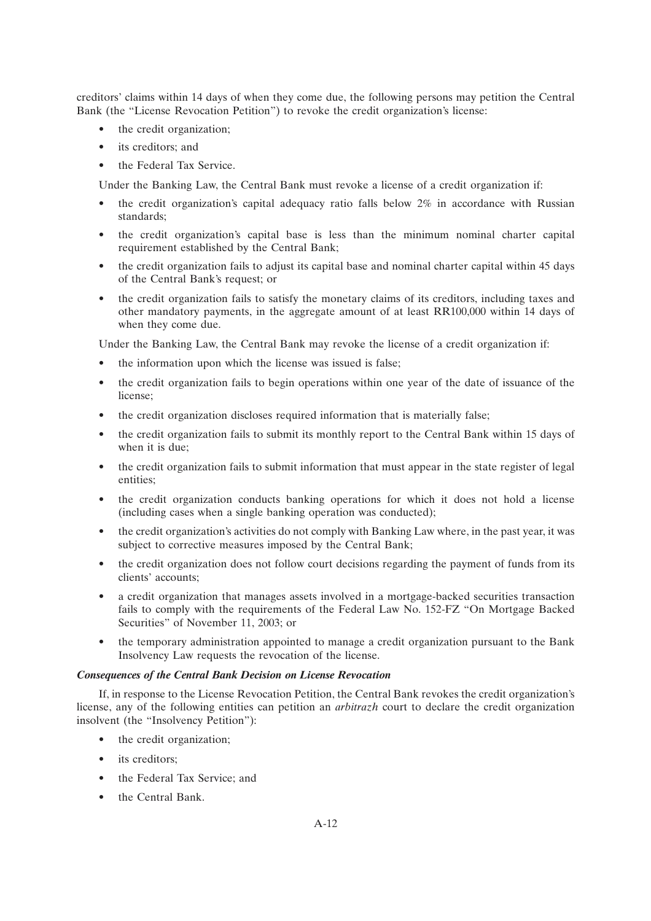creditors' claims within 14 days of when they come due, the following persons may petition the Central Bank (the "License Revocation Petition") to revoke the credit organization's license:

- the credit organization;
- its creditors; and
- the Federal Tax Service.

Under the Banking Law, the Central Bank must revoke a license of a credit organization if:

- the credit organization's capital adequacy ratio falls below 2% in accordance with Russian standards;
- the credit organization's capital base is less than the minimum nominal charter capital requirement established by the Central Bank;
- the credit organization fails to adjust its capital base and nominal charter capital within 45 days of the Central Bank's request; or
- the credit organization fails to satisfy the monetary claims of its creditors, including taxes and other mandatory payments, in the aggregate amount of at least RR100,000 within 14 days of when they come due.

Under the Banking Law, the Central Bank may revoke the license of a credit organization if:

- the information upon which the license was issued is false;
- the credit organization fails to begin operations within one year of the date of issuance of the license;
- the credit organization discloses required information that is materially false;
- the credit organization fails to submit its monthly report to the Central Bank within 15 days of when it is due;
- the credit organization fails to submit information that must appear in the state register of legal entities;
- the credit organization conducts banking operations for which it does not hold a license (including cases when a single banking operation was conducted);
- the credit organization's activities do not comply with Banking Law where, in the past year, it was subject to corrective measures imposed by the Central Bank;
- the credit organization does not follow court decisions regarding the payment of funds from its clients' accounts;
- a credit organization that manages assets involved in a mortgage-backed securities transaction fails to comply with the requirements of the Federal Law No. 152-FZ ''On Mortgage Backed Securities" of November 11, 2003; or
- the temporary administration appointed to manage a credit organization pursuant to the Bank Insolvency Law requests the revocation of the license.

### *Consequences of the Central Bank Decision on License Revocation*

If, in response to the License Revocation Petition, the Central Bank revokes the credit organization's license, any of the following entities can petition an *arbitrazh* court to declare the credit organization insolvent (the ''Insolvency Petition''):

- the credit organization:
- its creditors:
- the Federal Tax Service: and
- the Central Bank.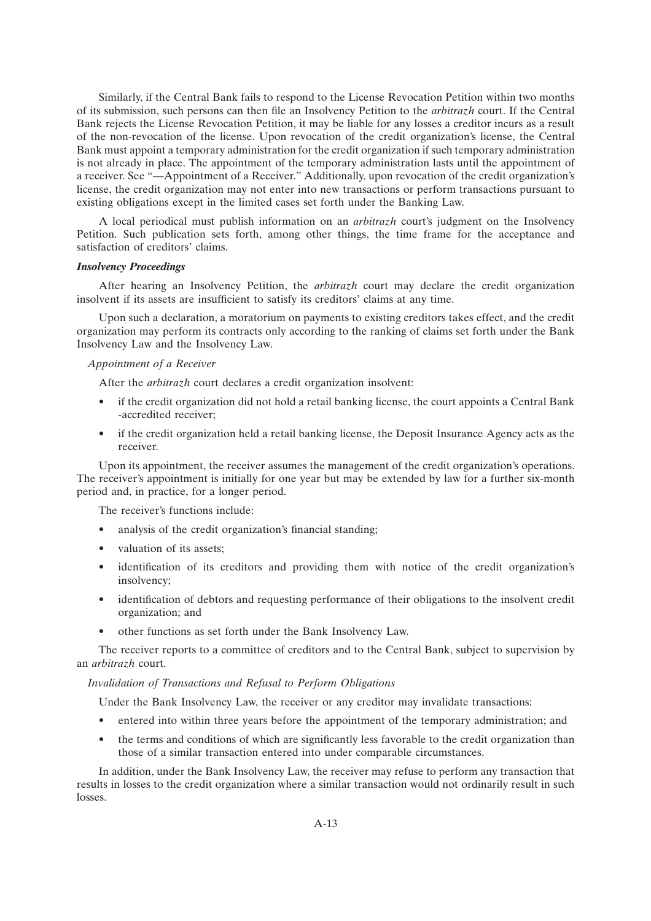Similarly, if the Central Bank fails to respond to the License Revocation Petition within two months of its submission, such persons can then file an Insolvency Petition to the *arbitrazh* court. If the Central Bank rejects the License Revocation Petition, it may be liable for any losses a creditor incurs as a result of the non-revocation of the license. Upon revocation of the credit organization's license, the Central Bank must appoint a temporary administration for the credit organization if such temporary administration is not already in place. The appointment of the temporary administration lasts until the appointment of a receiver. See ''—Appointment of a Receiver.'' Additionally, upon revocation of the credit organization's license, the credit organization may not enter into new transactions or perform transactions pursuant to existing obligations except in the limited cases set forth under the Banking Law.

A local periodical must publish information on an *arbitrazh* court's judgment on the Insolvency Petition. Such publication sets forth, among other things, the time frame for the acceptance and satisfaction of creditors' claims.

#### *Insolvency Proceedings*

After hearing an Insolvency Petition, the *arbitrazh* court may declare the credit organization insolvent if its assets are insufficient to satisfy its creditors' claims at any time.

Upon such a declaration, a moratorium on payments to existing creditors takes effect, and the credit organization may perform its contracts only according to the ranking of claims set forth under the Bank Insolvency Law and the Insolvency Law.

### *Appointment of a Receiver*

After the *arbitrazh* court declares a credit organization insolvent:

- if the credit organization did not hold a retail banking license, the court appoints a Central Bank -accredited receiver;
- if the credit organization held a retail banking license, the Deposit Insurance Agency acts as the receiver.

Upon its appointment, the receiver assumes the management of the credit organization's operations. The receiver's appointment is initially for one year but may be extended by law for a further six-month period and, in practice, for a longer period.

The receiver's functions include:

- analysis of the credit organization's financial standing;
- valuation of its assets;
- identification of its creditors and providing them with notice of the credit organization's insolvency;
- identification of debtors and requesting performance of their obligations to the insolvent credit organization; and
- other functions as set forth under the Bank Insolvency Law.

The receiver reports to a committee of creditors and to the Central Bank, subject to supervision by an *arbitrazh* court.

### *Invalidation of Transactions and Refusal to Perform Obligations*

Under the Bank Insolvency Law, the receiver or any creditor may invalidate transactions:

- entered into within three years before the appointment of the temporary administration; and
- the terms and conditions of which are significantly less favorable to the credit organization than those of a similar transaction entered into under comparable circumstances.

In addition, under the Bank Insolvency Law, the receiver may refuse to perform any transaction that results in losses to the credit organization where a similar transaction would not ordinarily result in such losses.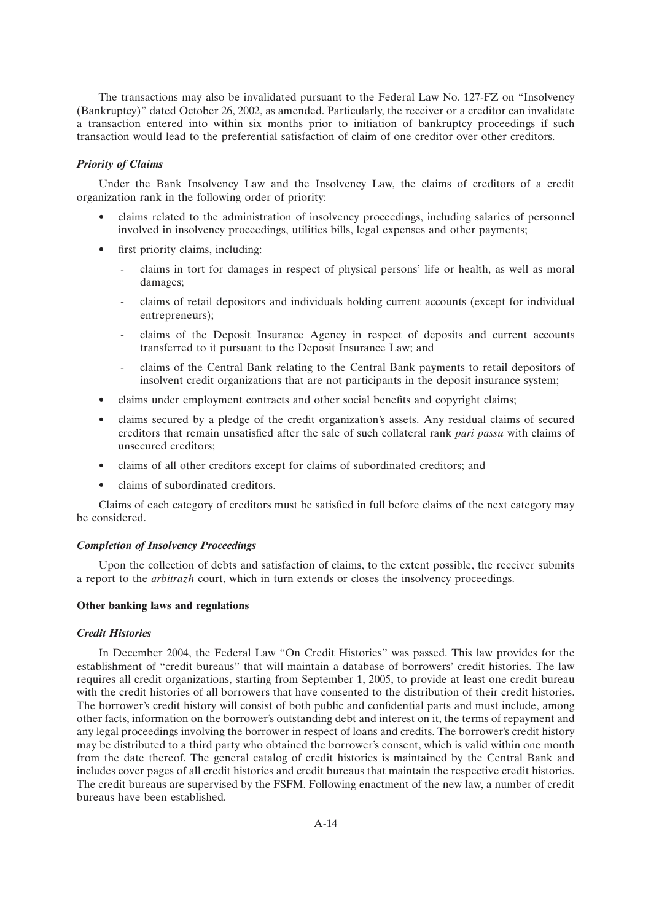The transactions may also be invalidated pursuant to the Federal Law No. 127-FZ on ''Insolvency (Bankruptcy)'' dated October 26, 2002, as amended. Particularly, the receiver or a creditor can invalidate a transaction entered into within six months prior to initiation of bankruptcy proceedings if such transaction would lead to the preferential satisfaction of claim of one creditor over other creditors.

### *Priority of Claims*

Under the Bank Insolvency Law and the Insolvency Law, the claims of creditors of a credit organization rank in the following order of priority:

- claims related to the administration of insolvency proceedings, including salaries of personnel involved in insolvency proceedings, utilities bills, legal expenses and other payments;
- first priority claims, including:
	- claims in tort for damages in respect of physical persons' life or health, as well as moral damages;
	- claims of retail depositors and individuals holding current accounts (except for individual entrepreneurs);
	- claims of the Deposit Insurance Agency in respect of deposits and current accounts transferred to it pursuant to the Deposit Insurance Law; and
	- claims of the Central Bank relating to the Central Bank payments to retail depositors of insolvent credit organizations that are not participants in the deposit insurance system;
- claims under employment contracts and other social benefits and copyright claims;
- claims secured by a pledge of the credit organization's assets. Any residual claims of secured creditors that remain unsatisfied after the sale of such collateral rank *pari passu* with claims of unsecured creditors;
- claims of all other creditors except for claims of subordinated creditors; and
- claims of subordinated creditors.

Claims of each category of creditors must be satisfied in full before claims of the next category may be considered.

#### *Completion of Insolvency Proceedings*

Upon the collection of debts and satisfaction of claims, to the extent possible, the receiver submits a report to the *arbitrazh* court, which in turn extends or closes the insolvency proceedings.

#### **Other banking laws and regulations**

#### *Credit Histories*

In December 2004, the Federal Law ''On Credit Histories'' was passed. This law provides for the establishment of "credit bureaus" that will maintain a database of borrowers' credit histories. The law requires all credit organizations, starting from September 1, 2005, to provide at least one credit bureau with the credit histories of all borrowers that have consented to the distribution of their credit histories. The borrower's credit history will consist of both public and confidential parts and must include, among other facts, information on the borrower's outstanding debt and interest on it, the terms of repayment and any legal proceedings involving the borrower in respect of loans and credits. The borrower's credit history may be distributed to a third party who obtained the borrower's consent, which is valid within one month from the date thereof. The general catalog of credit histories is maintained by the Central Bank and includes cover pages of all credit histories and credit bureaus that maintain the respective credit histories. The credit bureaus are supervised by the FSFM. Following enactment of the new law, a number of credit bureaus have been established.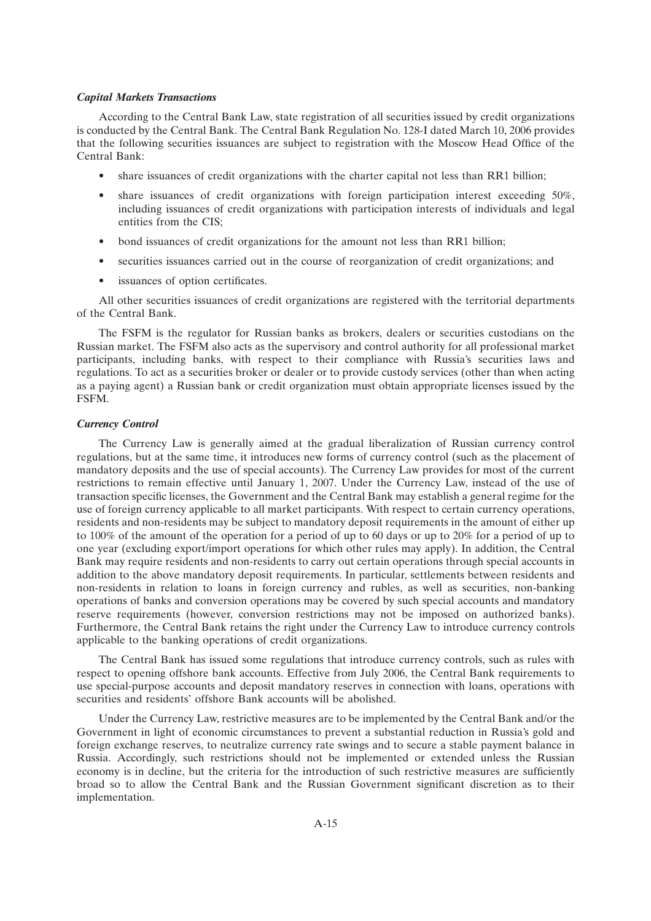#### *Capital Markets Transactions*

According to the Central Bank Law, state registration of all securities issued by credit organizations is conducted by the Central Bank. The Central Bank Regulation No. 128-I dated March 10, 2006 provides that the following securities issuances are subject to registration with the Moscow Head Office of the Central Bank:

- share issuances of credit organizations with the charter capital not less than RR1 billion;
- share issuances of credit organizations with foreign participation interest exceeding 50%, including issuances of credit organizations with participation interests of individuals and legal entities from the CIS;
- bond issuances of credit organizations for the amount not less than RR1 billion;
- securities issuances carried out in the course of reorganization of credit organizations; and
- issuances of option certificates.

All other securities issuances of credit organizations are registered with the territorial departments of the Central Bank.

The FSFM is the regulator for Russian banks as brokers, dealers or securities custodians on the Russian market. The FSFM also acts as the supervisory and control authority for all professional market participants, including banks, with respect to their compliance with Russia's securities laws and regulations. To act as a securities broker or dealer or to provide custody services (other than when acting as a paying agent) a Russian bank or credit organization must obtain appropriate licenses issued by the FSFM.

#### *Currency Control*

The Currency Law is generally aimed at the gradual liberalization of Russian currency control regulations, but at the same time, it introduces new forms of currency control (such as the placement of mandatory deposits and the use of special accounts). The Currency Law provides for most of the current restrictions to remain effective until January 1, 2007. Under the Currency Law, instead of the use of transaction specific licenses, the Government and the Central Bank may establish a general regime for the use of foreign currency applicable to all market participants. With respect to certain currency operations, residents and non-residents may be subject to mandatory deposit requirements in the amount of either up to 100% of the amount of the operation for a period of up to 60 days or up to 20% for a period of up to one year (excluding export/import operations for which other rules may apply). In addition, the Central Bank may require residents and non-residents to carry out certain operations through special accounts in addition to the above mandatory deposit requirements. In particular, settlements between residents and non-residents in relation to loans in foreign currency and rubles, as well as securities, non-banking operations of banks and conversion operations may be covered by such special accounts and mandatory reserve requirements (however, conversion restrictions may not be imposed on authorized banks). Furthermore, the Central Bank retains the right under the Currency Law to introduce currency controls applicable to the banking operations of credit organizations.

The Central Bank has issued some regulations that introduce currency controls, such as rules with respect to opening offshore bank accounts. Effective from July 2006, the Central Bank requirements to use special-purpose accounts and deposit mandatory reserves in connection with loans, operations with securities and residents' offshore Bank accounts will be abolished.

Under the Currency Law, restrictive measures are to be implemented by the Central Bank and/or the Government in light of economic circumstances to prevent a substantial reduction in Russia's gold and foreign exchange reserves, to neutralize currency rate swings and to secure a stable payment balance in Russia. Accordingly, such restrictions should not be implemented or extended unless the Russian economy is in decline, but the criteria for the introduction of such restrictive measures are sufficiently broad so to allow the Central Bank and the Russian Government significant discretion as to their implementation.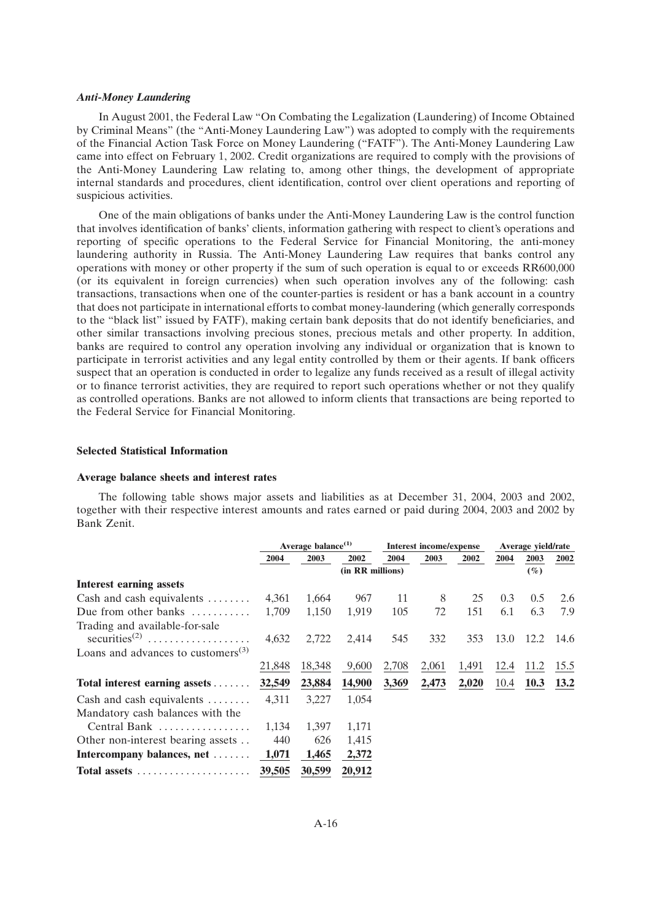#### *Anti-Money Laundering*

In August 2001, the Federal Law ''On Combating the Legalization (Laundering) of Income Obtained by Criminal Means'' (the ''Anti-Money Laundering Law'') was adopted to comply with the requirements of the Financial Action Task Force on Money Laundering (''FATF''). The Anti-Money Laundering Law came into effect on February 1, 2002. Credit organizations are required to comply with the provisions of the Anti-Money Laundering Law relating to, among other things, the development of appropriate internal standards and procedures, client identification, control over client operations and reporting of suspicious activities.

One of the main obligations of banks under the Anti-Money Laundering Law is the control function that involves identification of banks' clients, information gathering with respect to client's operations and reporting of specific operations to the Federal Service for Financial Monitoring, the anti-money laundering authority in Russia. The Anti-Money Laundering Law requires that banks control any operations with money or other property if the sum of such operation is equal to or exceeds RR600,000 (or its equivalent in foreign currencies) when such operation involves any of the following: cash transactions, transactions when one of the counter-parties is resident or has a bank account in a country that does not participate in international efforts to combat money-laundering (which generally corresponds to the ''black list'' issued by FATF), making certain bank deposits that do not identify beneficiaries, and other similar transactions involving precious stones, precious metals and other property. In addition, banks are required to control any operation involving any individual or organization that is known to participate in terrorist activities and any legal entity controlled by them or their agents. If bank officers suspect that an operation is conducted in order to legalize any funds received as a result of illegal activity or to finance terrorist activities, they are required to report such operations whether or not they qualify as controlled operations. Banks are not allowed to inform clients that transactions are being reported to the Federal Service for Financial Monitoring.

#### **Selected Statistical Information**

#### **Average balance sheets and interest rates**

The following table shows major assets and liabilities as at December 31, 2004, 2003 and 2002, together with their respective interest amounts and rates earned or paid during 2004, 2003 and 2002 by Bank Zenit.

|                                                             | Average balance <sup>(1)</sup> |        | <b>Interest income/expense</b> |       |       | Average yield/rate |      |             |             |
|-------------------------------------------------------------|--------------------------------|--------|--------------------------------|-------|-------|--------------------|------|-------------|-------------|
|                                                             | 2004                           | 2003   | 2002                           | 2004  | 2003  | 2002               | 2004 | 2003        | 2002        |
|                                                             |                                |        | (in RR millions)               |       |       |                    |      | $(\%)$      |             |
| <b>Interest earning assets</b>                              |                                |        |                                |       |       |                    |      |             |             |
| Cash and cash equivalents $\dots \dots$                     | 4,361                          | 1,664  | 967                            | 11    | 8     | 25                 | 0.3  | 0.5         | 2.6         |
| Due from other banks                                        | 1,709                          | 1,150  | 1,919                          | 105   | 72    | 151                | 6.1  | 6.3         | 7.9         |
| Trading and available-for-sale<br>securities <sup>(2)</sup> | 4,632                          | 2,722  | 2,414                          | 545   | 332   | 353                | 13.0 | 12.2        | 14.6        |
| Loans and advances to customers $^{(3)}$                    |                                |        |                                |       |       |                    |      |             |             |
|                                                             | 21,848                         | 18,348 | 9,600                          | 2,708 | 2,061 | 1,491              | 12.4 | 11.2        | 15.5        |
| Total interest earning assets $\dots \dots$                 | 32,549                         | 23,884 | 14,900                         | 3,369 | 2,473 | 2,020              | 10.4 | <b>10.3</b> | <b>13.2</b> |
| Cash and cash equivalents                                   | 4,311                          | 3,227  | 1,054                          |       |       |                    |      |             |             |
| Mandatory cash balances with the                            |                                |        |                                |       |       |                    |      |             |             |
| Central Bank                                                | 1.134                          | 1,397  | 1,171                          |       |       |                    |      |             |             |
| Other non-interest bearing assets                           | 440                            | 626    | 1,415                          |       |       |                    |      |             |             |
| Intercompany balances, net                                  | 1,071                          | 1,465  | 2,372                          |       |       |                    |      |             |             |
| Total assets                                                | 39,505                         | 30,599 | 20,912                         |       |       |                    |      |             |             |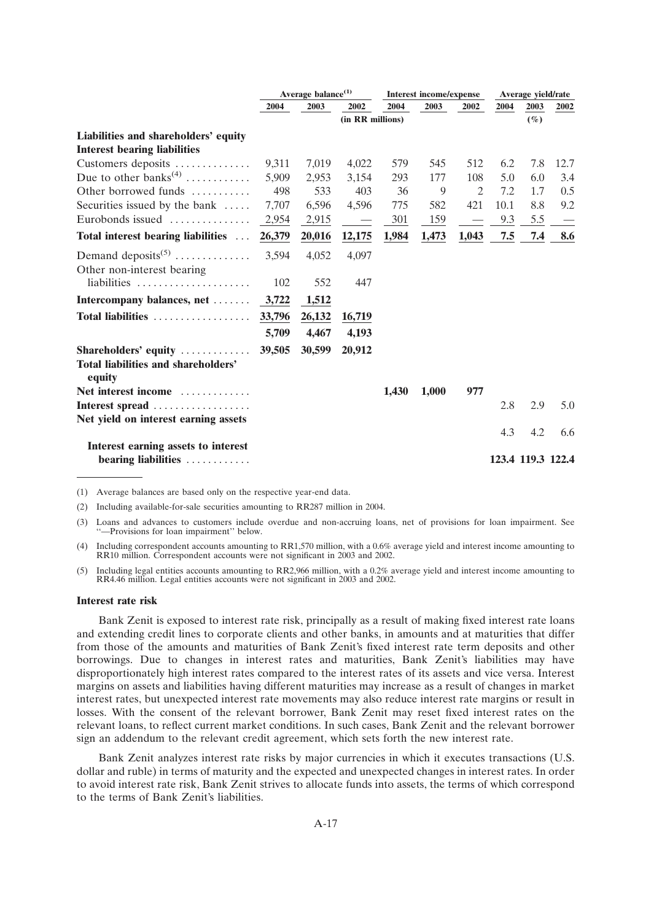|                                               | Average balance <sup>(1)</sup> |        | <b>Interest income/expense</b> |       |       | Average yield/rate       |      |                   |      |
|-----------------------------------------------|--------------------------------|--------|--------------------------------|-------|-------|--------------------------|------|-------------------|------|
|                                               | 2004                           | 2003   | 2002                           | 2004  | 2003  | 2002                     | 2004 | 2003              | 2002 |
|                                               |                                |        | (in RR millions)               |       |       |                          |      | $(\%)$            |      |
| Liabilities and shareholders' equity          |                                |        |                                |       |       |                          |      |                   |      |
| <b>Interest bearing liabilities</b>           |                                |        |                                |       |       |                          |      |                   |      |
| Customers deposits                            | 9,311                          | 7,019  | 4,022                          | 579   | 545   | 512                      | 6.2  | 7.8               | 12.7 |
| Due to other banks <sup>(4)</sup>             | 5,909                          | 2,953  | 3,154                          | 293   | 177   | 108                      | 5.0  | 6.0               | 3.4  |
| Other borrowed funds $\dots\dots\dots$        | 498                            | 533    | 403                            | 36    | 9     | $\overline{2}$           | 7.2  | 1.7               | 0.5  |
| Securities issued by the bank                 | 7,707                          | 6,596  | 4,596                          | 775   | 582   | 421                      | 10.1 | 8.8               | 9.2  |
| Eurobonds issued                              | 2,954                          | 2,915  |                                | 301   | 159   | $\overline{\phantom{a}}$ | 9.3  | 5.5               |      |
| Total interest bearing liabilities            | 26,379                         | 20,016 | 12,175                         | 1,984 | 1,473 | 1,043                    | 7.5  | 7.4               | 8.6  |
| Demand deposits <sup>(5)</sup>                | 3,594                          | 4,052  | 4,097                          |       |       |                          |      |                   |      |
| Other non-interest bearing                    |                                |        |                                |       |       |                          |      |                   |      |
| liabilities                                   | 102                            | 552    | 447                            |       |       |                          |      |                   |      |
| Intercompany balances, net                    | 3,722                          | 1,512  |                                |       |       |                          |      |                   |      |
| Total liabilities                             | 33,796                         | 26,132 | 16,719                         |       |       |                          |      |                   |      |
|                                               | 5,709                          | 4,467  | 4,193                          |       |       |                          |      |                   |      |
| Shareholders' equity $\dots\dots\dots\dots$   | 39,505                         | 30,599 | 20,912                         |       |       |                          |      |                   |      |
| Total liabilities and shareholders'<br>equity |                                |        |                                |       |       |                          |      |                   |      |
| Net interest income                           |                                |        |                                | 1,430 | 1,000 | 977                      |      |                   |      |
| Interest spread                               |                                |        |                                |       |       |                          | 2.8  | 2.9               | 5.0  |
| Net yield on interest earning assets          |                                |        |                                |       |       |                          |      |                   |      |
|                                               |                                |        |                                |       |       |                          | 4.3  | 4.2               | 6.6  |
| Interest earning assets to interest           |                                |        |                                |       |       |                          |      |                   |      |
| bearing liabilities                           |                                |        |                                |       |       |                          |      | 123.4 119.3 122.4 |      |

(1) Average balances are based only on the respective year-end data.

(2) Including available-for-sale securities amounting to RR287 million in 2004.

(3) Loans and advances to customers include overdue and non-accruing loans, net of provisions for loan impairment. See ''—Provisions for loan impairment'' below.

(4) Including correspondent accounts amounting to RR1,570 million, with a 0.6% average yield and interest income amounting to RR10 million. Correspondent accounts were not significant in 2003 and 2002.

(5) Including legal entities accounts amounting to RR2,966 million, with a 0.2% average yield and interest income amounting to RR4.46 million. Legal entities accounts were not significant in 2003 and 2002.

#### **Interest rate risk**

Bank Zenit is exposed to interest rate risk, principally as a result of making fixed interest rate loans and extending credit lines to corporate clients and other banks, in amounts and at maturities that differ from those of the amounts and maturities of Bank Zenit's fixed interest rate term deposits and other borrowings. Due to changes in interest rates and maturities, Bank Zenit's liabilities may have disproportionately high interest rates compared to the interest rates of its assets and vice versa. Interest margins on assets and liabilities having different maturities may increase as a result of changes in market interest rates, but unexpected interest rate movements may also reduce interest rate margins or result in losses. With the consent of the relevant borrower, Bank Zenit may reset fixed interest rates on the relevant loans, to reflect current market conditions. In such cases, Bank Zenit and the relevant borrower sign an addendum to the relevant credit agreement, which sets forth the new interest rate.

Bank Zenit analyzes interest rate risks by major currencies in which it executes transactions (U.S. dollar and ruble) in terms of maturity and the expected and unexpected changes in interest rates. In order to avoid interest rate risk, Bank Zenit strives to allocate funds into assets, the terms of which correspond to the terms of Bank Zenit's liabilities.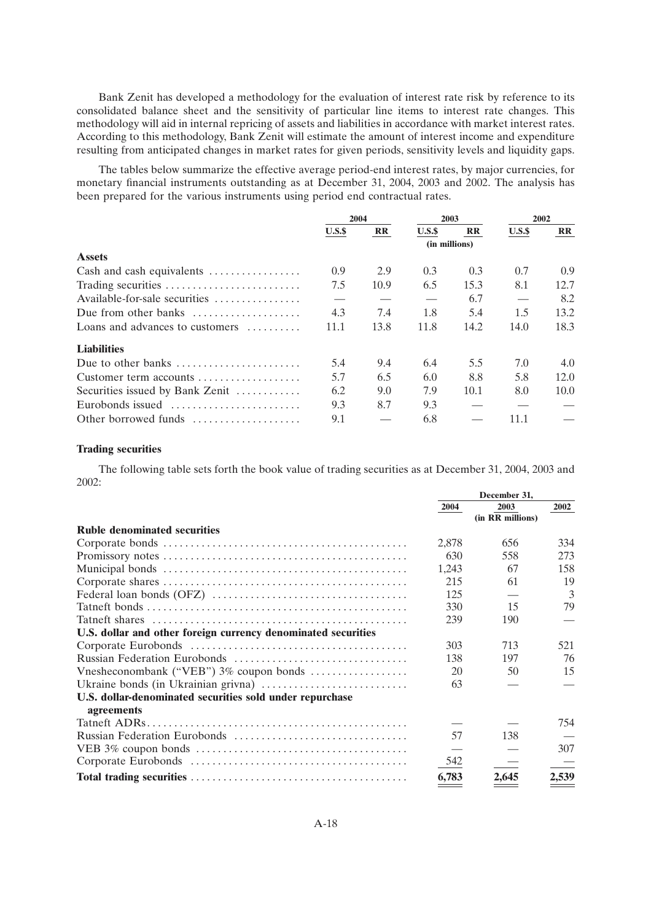Bank Zenit has developed a methodology for the evaluation of interest rate risk by reference to its consolidated balance sheet and the sensitivity of particular line items to interest rate changes. This methodology will aid in internal repricing of assets and liabilities in accordance with market interest rates. According to this methodology, Bank Zenit will estimate the amount of interest income and expenditure resulting from anticipated changes in market rates for given periods, sensitivity levels and liquidity gaps.

The tables below summarize the effective average period-end interest rates, by major currencies, for monetary financial instruments outstanding as at December 31, 2004, 2003 and 2002. The analysis has been prepared for the various instruments using period end contractual rates.

|                                                                | 2004  |              | 2003  |              | 2002  |                         |
|----------------------------------------------------------------|-------|--------------|-------|--------------|-------|-------------------------|
|                                                                | U.S.S | $\mathbf{R}$ | U.S.S | $\mathbf{R}$ | U.S.S | $\mathbf{R} \mathbf{R}$ |
|                                                                |       |              |       |              |       |                         |
| <b>Assets</b>                                                  |       |              |       |              |       |                         |
| Cash and cash equivalents $\dots\dots\dots\dots\dots$          | 0.9   | 2.9          | 0.3   | 0.3          | 0.7   | 0.9 <sup>°</sup>        |
|                                                                | 7.5   | 10.9         | 6.5   | 15.3         | 8.1   | 12.7                    |
| Available-for-sale securities                                  |       |              |       | 6.7          |       | 8.2                     |
| Due from other banks                                           | 4.3   | 7.4          | 1.8   | 5.4          | 1.5   | 13.2                    |
| Loans and advances to customers                                | 11.1  | 13.8         | 11.8  | 14.2         | 14.0  | 18.3                    |
| <b>Liabilities</b>                                             |       |              |       |              |       |                         |
| Due to other banks $\dots \dots \dots \dots \dots \dots \dots$ | 5.4   | 9.4          | 6.4   | 5.5          | 7.0   | 4.0                     |
| Customer term accounts                                         | 5.7   | 6.5          | 6.0   | 8.8          | 5.8   | 12.0                    |
| Securities issued by Bank Zenit                                | 6.2   | 9.0          | 7.9   | 10.1         | 8.0   | 10.0                    |
| Eurobonds issued                                               | 9.3   | 8.7          | 9.3   |              |       |                         |
| Other borrowed funds                                           | 9.1   |              | 6.8   |              | 11.1  |                         |

## **Trading securities**

The following table sets forth the book value of trading securities as at December 31, 2004, 2003 and 2002:

|                                                               | 2004  | 2003             | 2002  |
|---------------------------------------------------------------|-------|------------------|-------|
|                                                               |       | (in RR millions) |       |
| <b>Ruble denominated securities</b>                           |       |                  |       |
|                                                               | 2,878 | 656              | 334   |
|                                                               | 630   | 558              | 273   |
|                                                               | 1,243 | 67               | 158   |
|                                                               | 215   | 61               | 19    |
|                                                               | 125   |                  | 3     |
|                                                               | 330   | 15               | 79    |
|                                                               | 239   | 190              |       |
| U.S. dollar and other foreign currency denominated securities |       |                  |       |
|                                                               | 303   | 713              | 521   |
|                                                               | 138   | 197              | 76    |
|                                                               | 20    | 50               | 15    |
|                                                               | 63    |                  |       |
| U.S. dollar-denominated securities sold under repurchase      |       |                  |       |
| agreements                                                    |       |                  |       |
|                                                               |       |                  | 754   |
|                                                               | 57    | 138              |       |
|                                                               |       |                  | 307   |
|                                                               | 542   |                  |       |
|                                                               | 6,783 | 2,645            | 2,539 |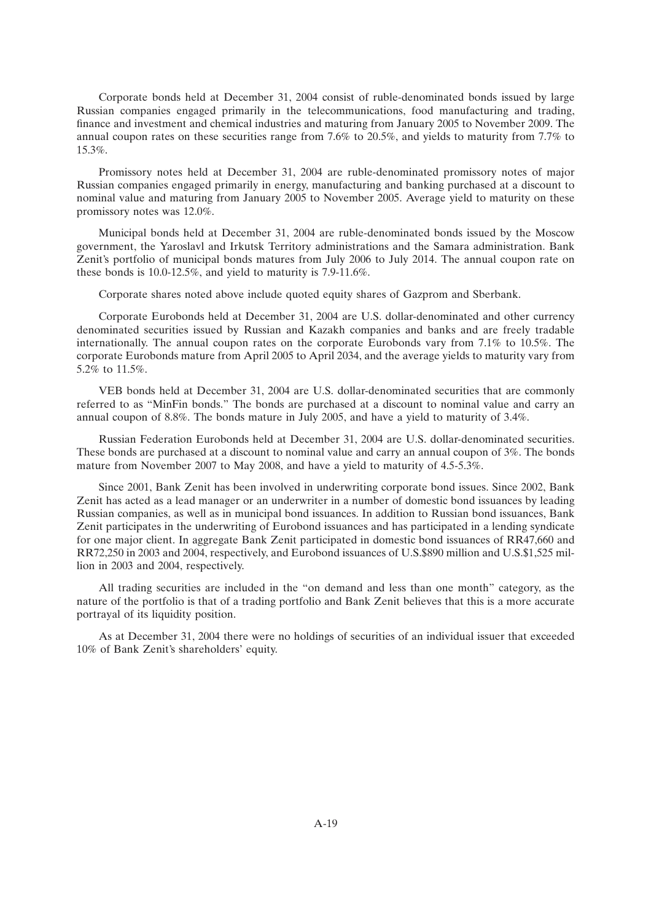Corporate bonds held at December 31, 2004 consist of ruble-denominated bonds issued by large Russian companies engaged primarily in the telecommunications, food manufacturing and trading, finance and investment and chemical industries and maturing from January 2005 to November 2009. The annual coupon rates on these securities range from 7.6% to 20.5%, and yields to maturity from 7.7% to 15.3%.

Promissory notes held at December 31, 2004 are ruble-denominated promissory notes of major Russian companies engaged primarily in energy, manufacturing and banking purchased at a discount to nominal value and maturing from January 2005 to November 2005. Average yield to maturity on these promissory notes was 12.0%.

Municipal bonds held at December 31, 2004 are ruble-denominated bonds issued by the Moscow government, the Yaroslavl and Irkutsk Territory administrations and the Samara administration. Bank Zenit's portfolio of municipal bonds matures from July 2006 to July 2014. The annual coupon rate on these bonds is 10.0-12.5%, and yield to maturity is 7.9-11.6%.

Corporate shares noted above include quoted equity shares of Gazprom and Sberbank.

Corporate Eurobonds held at December 31, 2004 are U.S. dollar-denominated and other currency denominated securities issued by Russian and Kazakh companies and banks and are freely tradable internationally. The annual coupon rates on the corporate Eurobonds vary from 7.1% to 10.5%. The corporate Eurobonds mature from April 2005 to April 2034, and the average yields to maturity vary from 5.2% to 11.5%.

VEB bonds held at December 31, 2004 are U.S. dollar-denominated securities that are commonly referred to as ''MinFin bonds.'' The bonds are purchased at a discount to nominal value and carry an annual coupon of 8.8%. The bonds mature in July 2005, and have a yield to maturity of 3.4%.

Russian Federation Eurobonds held at December 31, 2004 are U.S. dollar-denominated securities. These bonds are purchased at a discount to nominal value and carry an annual coupon of 3%. The bonds mature from November 2007 to May 2008, and have a yield to maturity of 4.5-5.3%.

Since 2001, Bank Zenit has been involved in underwriting corporate bond issues. Since 2002, Bank Zenit has acted as a lead manager or an underwriter in a number of domestic bond issuances by leading Russian companies, as well as in municipal bond issuances. In addition to Russian bond issuances, Bank Zenit participates in the underwriting of Eurobond issuances and has participated in a lending syndicate for one major client. In aggregate Bank Zenit participated in domestic bond issuances of RR47,660 and RR72,250 in 2003 and 2004, respectively, and Eurobond issuances of U.S.\$890 million and U.S.\$1,525 million in 2003 and 2004, respectively.

All trading securities are included in the ''on demand and less than one month'' category, as the nature of the portfolio is that of a trading portfolio and Bank Zenit believes that this is a more accurate portrayal of its liquidity position.

As at December 31, 2004 there were no holdings of securities of an individual issuer that exceeded 10% of Bank Zenit's shareholders' equity.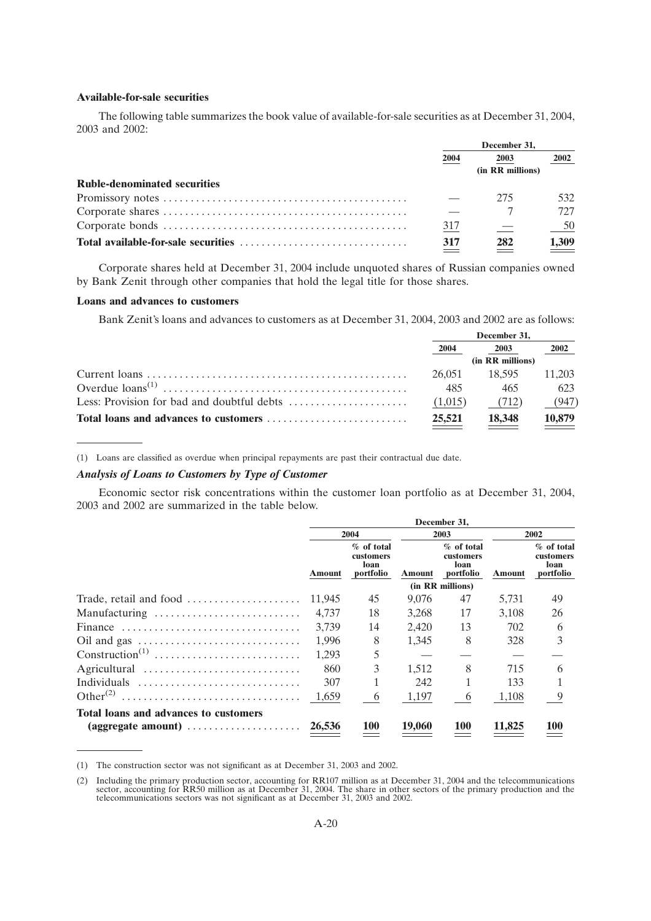#### **Available-for-sale securities**

The following table summarizes the book value of available-for-sale securities as at December 31, 2004, 2003 and 2002:

|                                     | December 31. |                  |                              |
|-------------------------------------|--------------|------------------|------------------------------|
|                                     | 2004         | 2003             | 2002                         |
|                                     |              | (in RR millions) |                              |
| <b>Ruble-denominated securities</b> |              |                  |                              |
|                                     |              | 275              | 532                          |
|                                     |              |                  | 727                          |
|                                     | 317          |                  | - 50                         |
|                                     | 317          | 282              | $\underline{\frac{1,309}{}}$ |

Corporate shares held at December 31, 2004 include unquoted shares of Russian companies owned by Bank Zenit through other companies that hold the legal title for those shares.

### **Loans and advances to customers**

Bank Zenit's loans and advances to customers as at December 31, 2004, 2003 and 2002 are as follows:

|                                                                                  | December 31. |                  |                      |
|----------------------------------------------------------------------------------|--------------|------------------|----------------------|
|                                                                                  | 2004         | 2003             | 2002                 |
|                                                                                  |              | (in RR millions) |                      |
|                                                                                  | 26.051       | 18.595           | 11.203               |
|                                                                                  | 485          | 465              | 623                  |
| Less: Provision for bad and doubtful debts $\dots\dots\dots\dots\dots\dots\dots$ | (1,015)      | (712)            | (947)                |
|                                                                                  | 25,521       | 18,348           | $\underline{10,879}$ |

(1) Loans are classified as overdue when principal repayments are past their contractual due date.

## *Analysis of Loans to Customers by Type of Customer*

Economic sector risk concentrations within the customer loan portfolio as at December 31, 2004, 2003 and 2002 are summarized in the table below.

|                                       | December 31, |                                              |        |                                                |               |                                              |
|---------------------------------------|--------------|----------------------------------------------|--------|------------------------------------------------|---------------|----------------------------------------------|
|                                       | 2004         |                                              | 2003   |                                                |               | 2002                                         |
|                                       | Amount       | % of total<br>customers<br>loan<br>portfolio | Amount | $%$ of total<br>customers<br>loan<br>portfolio | <b>Amount</b> | % of total<br>customers<br>loan<br>portfolio |
|                                       |              |                                              |        | (in RR millions)                               |               |                                              |
| Trade, retail and food                | 11,945       | 45                                           | 9,076  | 47                                             | 5,731         | 49                                           |
| Manufacturing                         | 4.737        | 18                                           | 3,268  | 17                                             | 3.108         | 26                                           |
| Finance                               | 3.739        | 14                                           | 2,420  | 13                                             | 702           | 6                                            |
|                                       | 1.996        | 8                                            | 1,345  | 8                                              | 328           | 3                                            |
| $Construction^{(1)}$                  | 1.293        | 5                                            |        |                                                |               |                                              |
| Agricultural                          | 860          | 3                                            | 1.512  | 8                                              | 715           | 6                                            |
| Individuals                           | 307          |                                              | 242    |                                                | 133           |                                              |
|                                       | 1,659        | 6                                            | 1,197  | 6                                              | 1,108         | 9                                            |
| Total loans and advances to customers |              |                                              |        |                                                |               |                                              |
|                                       | 26,536       | <b>100</b>                                   | 19,060 | <b>100</b>                                     | 11,825        | 100                                          |

<sup>(1)</sup> The construction sector was not significant as at December 31, 2003 and 2002.

<sup>(2)</sup> Including the primary production sector, accounting for RR107 million as at December 31, 2004 and the telecommunications sector, accounting for RR50 million as at December 31, 2004. The share in other sectors of the pr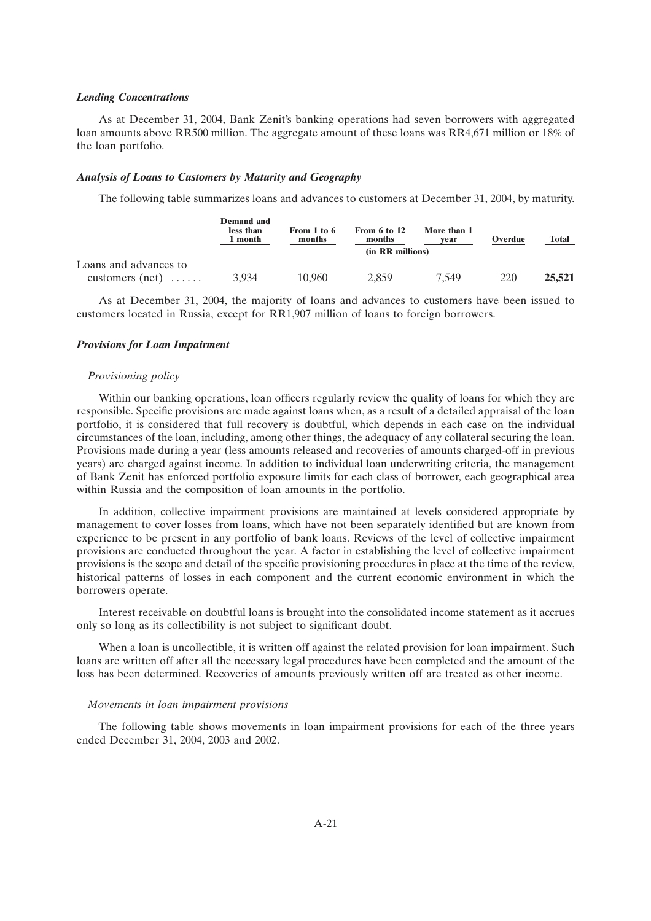#### *Lending Concentrations*

As at December 31, 2004, Bank Zenit's banking operations had seven borrowers with aggregated loan amounts above RR500 million. The aggregate amount of these loans was RR4,671 million or 18% of the loan portfolio.

### *Analysis of Loans to Customers by Maturity and Geography*

The following table summarizes loans and advances to customers at December 31, 2004, by maturity.

|                       | <b>Demand</b> and<br>less than<br>1 month | From 1 to 6<br>months | From 6 to 12<br>months | More than 1<br>vear | Overdue | <b>Total</b> |
|-----------------------|-------------------------------------------|-----------------------|------------------------|---------------------|---------|--------------|
|                       |                                           |                       | (in RR millions)       |                     |         |              |
| Loans and advances to |                                           |                       |                        |                     |         |              |
| customers $(net)$     | 3.934                                     | 10.960                | 2.859                  | 7.549               | 220     | 25,521       |

As at December 31, 2004, the majority of loans and advances to customers have been issued to customers located in Russia, except for RR1,907 million of loans to foreign borrowers.

### *Provisions for Loan Impairment*

### *Provisioning policy*

Within our banking operations, loan officers regularly review the quality of loans for which they are responsible. Specific provisions are made against loans when, as a result of a detailed appraisal of the loan portfolio, it is considered that full recovery is doubtful, which depends in each case on the individual circumstances of the loan, including, among other things, the adequacy of any collateral securing the loan. Provisions made during a year (less amounts released and recoveries of amounts charged-off in previous years) are charged against income. In addition to individual loan underwriting criteria, the management of Bank Zenit has enforced portfolio exposure limits for each class of borrower, each geographical area within Russia and the composition of loan amounts in the portfolio.

In addition, collective impairment provisions are maintained at levels considered appropriate by management to cover losses from loans, which have not been separately identified but are known from experience to be present in any portfolio of bank loans. Reviews of the level of collective impairment provisions are conducted throughout the year. A factor in establishing the level of collective impairment provisions is the scope and detail of the specific provisioning procedures in place at the time of the review, historical patterns of losses in each component and the current economic environment in which the borrowers operate.

Interest receivable on doubtful loans is brought into the consolidated income statement as it accrues only so long as its collectibility is not subject to significant doubt.

When a loan is uncollectible, it is written off against the related provision for loan impairment. Such loans are written off after all the necessary legal procedures have been completed and the amount of the loss has been determined. Recoveries of amounts previously written off are treated as other income.

#### *Movements in loan impairment provisions*

The following table shows movements in loan impairment provisions for each of the three years ended December 31, 2004, 2003 and 2002.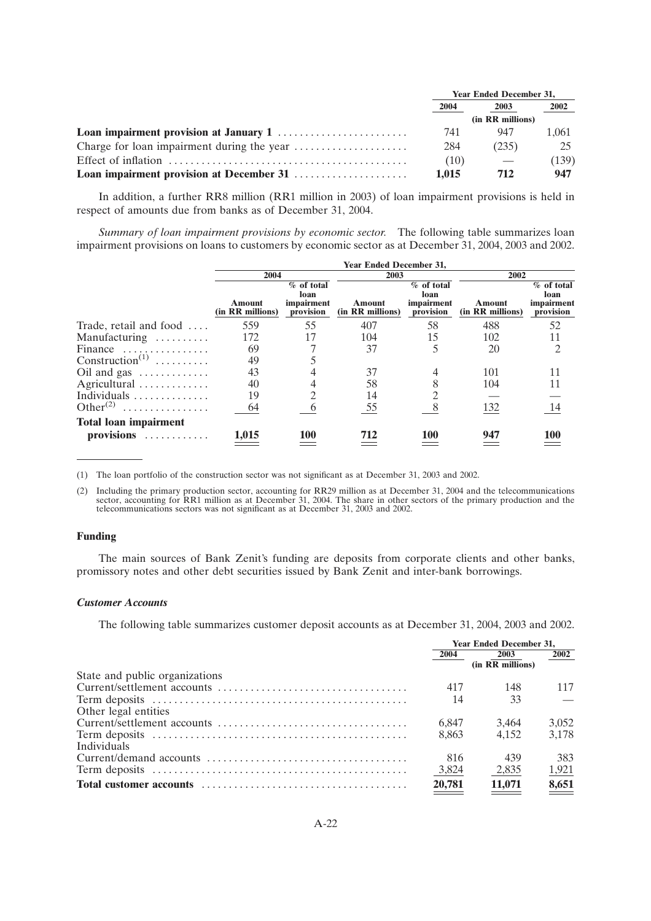| <b>Year Ended December 31,</b> |                  |       |  |
|--------------------------------|------------------|-------|--|
| 2004                           | 2003             | 2002  |  |
|                                | (in RR millions) |       |  |
| 741                            | 947              | 1.061 |  |
| 284                            | (235)            | 25    |  |
| (10)                           |                  | (139) |  |
| 1.015                          | 712              | 947   |  |

In addition, a further RR8 million (RR1 million in 2003) of loan impairment provisions is held in respect of amounts due from banks as of December 31, 2004.

*Summary of loan impairment provisions by economic sector.* The following table summarizes loan impairment provisions on loans to customers by economic sector as at December 31, 2004, 2003 and 2002.

|                                   |                            |                                                 | <b>Year Ended December 31,</b> |                                                 |                            |                                                 |
|-----------------------------------|----------------------------|-------------------------------------------------|--------------------------------|-------------------------------------------------|----------------------------|-------------------------------------------------|
|                                   | 2004                       |                                                 |                                | 2003                                            |                            | 2002                                            |
|                                   | Amount<br>(in RR millions) | $%$ of total<br>loan<br>impairment<br>provision | Amount<br>(in RR millions)     | $%$ of total<br>loan<br>impairment<br>provision | Amount<br>(in RR millions) | $%$ of total<br>loan<br>impairment<br>provision |
| Trade, retail and food $\dots$    | 559                        | 55                                              | 407                            | 58                                              | 488                        | 52                                              |
| Manufacturing                     | 172                        |                                                 | 104                            | 15                                              | 102                        | 11                                              |
| Finance                           | 69                         |                                                 | 37                             |                                                 | 20                         | $\mathfrak{D}$                                  |
| Construction <sup>(1)</sup>       | 49                         |                                                 |                                |                                                 |                            |                                                 |
| Oil and gas                       | 43                         |                                                 | 37                             |                                                 | 101                        |                                                 |
| Agricultural                      | 40                         |                                                 | 58                             |                                                 | 104                        | 11                                              |
| Individuals                       | 19                         |                                                 | 14                             |                                                 |                            |                                                 |
| Other <sup><math>(2)</math></sup> | 64                         |                                                 | 55                             |                                                 | 132                        | 14                                              |
| <b>Total loan impairment</b>      |                            |                                                 |                                |                                                 |                            |                                                 |
| provisions                        | 1,015                      | 100                                             | 712                            | 100                                             | 947                        |                                                 |

(1) The loan portfolio of the construction sector was not significant as at December 31, 2003 and 2002.

(2) Including the primary production sector, accounting for RR29 million as at December 31, 2004 and the telecommunications sector, accounting for RR1 million as at December 31, 2004. The share in other sectors of the prim telecommunications sectors was not significant as at December 31, 2003 and 2002.

### **Funding**

The main sources of Bank Zenit's funding are deposits from corporate clients and other banks, promissory notes and other debt securities issued by Bank Zenit and inter-bank borrowings.

#### *Customer Accounts*

The following table summarizes customer deposit accounts as at December 31, 2004, 2003 and 2002.

|                                | <b>Year Ended December 31.</b> |                  |       |
|--------------------------------|--------------------------------|------------------|-------|
|                                | 2004                           | 2003             | 2002  |
|                                |                                | (in RR millions) |       |
| State and public organizations |                                |                  |       |
|                                | 417                            | 148              | 117   |
|                                | 14                             | 33               |       |
| Other legal entities           |                                |                  |       |
|                                | 6.847                          | 3.464            | 3,052 |
|                                | 8.863                          | 4.152            | 3.178 |
| <b>Individuals</b>             |                                |                  |       |
|                                | 816                            | 439              | 383   |
|                                | 3,824                          | 2,835            | 1,921 |
|                                | 20,781                         | 11,071           | 8,651 |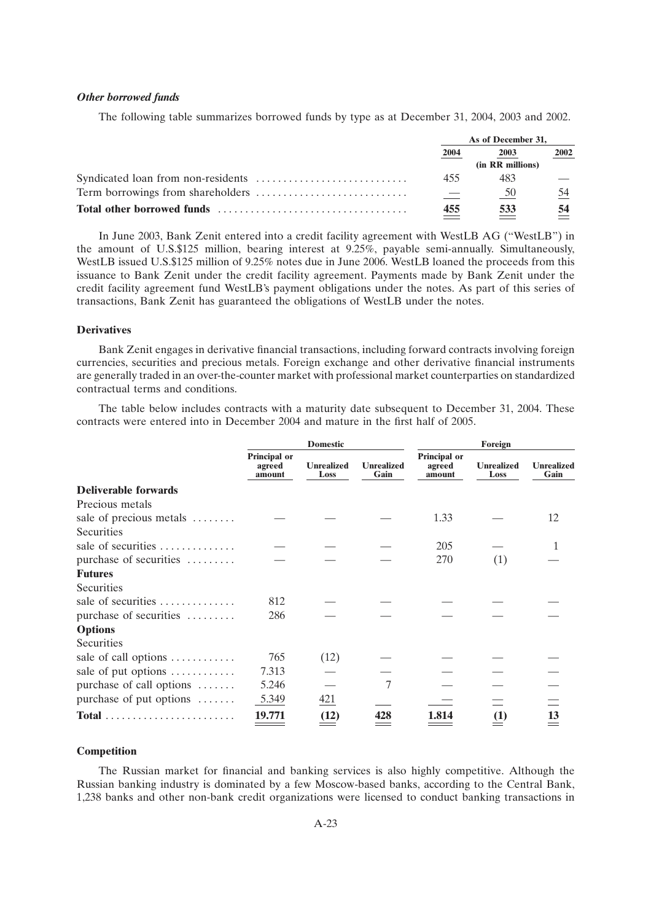#### *Other borrowed funds*

The following table summarizes borrowed funds by type as at December 31, 2004, 2003 and 2002.

| As of December 31, |                  |      |
|--------------------|------------------|------|
| 2004               | 2003             | 2002 |
|                    | (in RR millions) |      |
| 455                | 483              |      |
|                    | 50               | 54   |
| 455                | 533              | 54   |

In June 2003, Bank Zenit entered into a credit facility agreement with WestLB AG (''WestLB'') in the amount of U.S.\$125 million, bearing interest at 9.25%, payable semi-annually. Simultaneously, WestLB issued U.S.\$125 million of 9.25% notes due in June 2006. WestLB loaned the proceeds from this issuance to Bank Zenit under the credit facility agreement. Payments made by Bank Zenit under the credit facility agreement fund WestLB's payment obligations under the notes. As part of this series of transactions, Bank Zenit has guaranteed the obligations of WestLB under the notes.

## **Derivatives**

Bank Zenit engages in derivative financial transactions, including forward contracts involving foreign currencies, securities and precious metals. Foreign exchange and other derivative financial instruments are generally traded in an over-the-counter market with professional market counterparties on standardized contractual terms and conditions.

The table below includes contracts with a maturity date subsequent to December 31, 2004. These contracts were entered into in December 2004 and mature in the first half of 2005.

|                                                               |                                  | <b>Domestic</b>           |                           | Foreign                          |                           |                           |
|---------------------------------------------------------------|----------------------------------|---------------------------|---------------------------|----------------------------------|---------------------------|---------------------------|
|                                                               | Principal or<br>agreed<br>amount | <b>Unrealized</b><br>Loss | <b>Unrealized</b><br>Gain | Principal or<br>agreed<br>amount | <b>Unrealized</b><br>Loss | <b>Unrealized</b><br>Gain |
| <b>Deliverable forwards</b>                                   |                                  |                           |                           |                                  |                           |                           |
| Precious metals                                               |                                  |                           |                           |                                  |                           |                           |
| sale of precious metals                                       |                                  |                           |                           | 1.33                             |                           | 12                        |
| Securities                                                    |                                  |                           |                           |                                  |                           |                           |
| sale of securities                                            |                                  |                           |                           | 205                              |                           |                           |
| purchase of securities                                        |                                  |                           |                           | 270                              | (1)                       |                           |
| <b>Futures</b>                                                |                                  |                           |                           |                                  |                           |                           |
| Securities                                                    |                                  |                           |                           |                                  |                           |                           |
| sale of securities $\dots\dots\dots\dots$                     | 812                              |                           |                           |                                  |                           |                           |
| purchase of securities                                        | 286                              |                           |                           |                                  |                           |                           |
| <b>Options</b>                                                |                                  |                           |                           |                                  |                           |                           |
| Securities                                                    |                                  |                           |                           |                                  |                           |                           |
| sale of call options                                          | 765                              | (12)                      |                           |                                  |                           |                           |
| sale of put options $\dots \dots \dots$                       | 7.313                            |                           |                           |                                  |                           |                           |
| purchase of call options                                      | 5.246                            |                           | 7                         |                                  |                           |                           |
| purchase of put options $\dots$                               | 5.349                            | 421                       |                           |                                  |                           |                           |
| $Total \dots \dots \dots \dots \dots \dots \dots \dots \dots$ | 19.771                           | (12)                      | 428                       | 1.814                            | (1)                       | 13                        |

#### **Competition**

The Russian market for financial and banking services is also highly competitive. Although the Russian banking industry is dominated by a few Moscow-based banks, according to the Central Bank, 1,238 banks and other non-bank credit organizations were licensed to conduct banking transactions in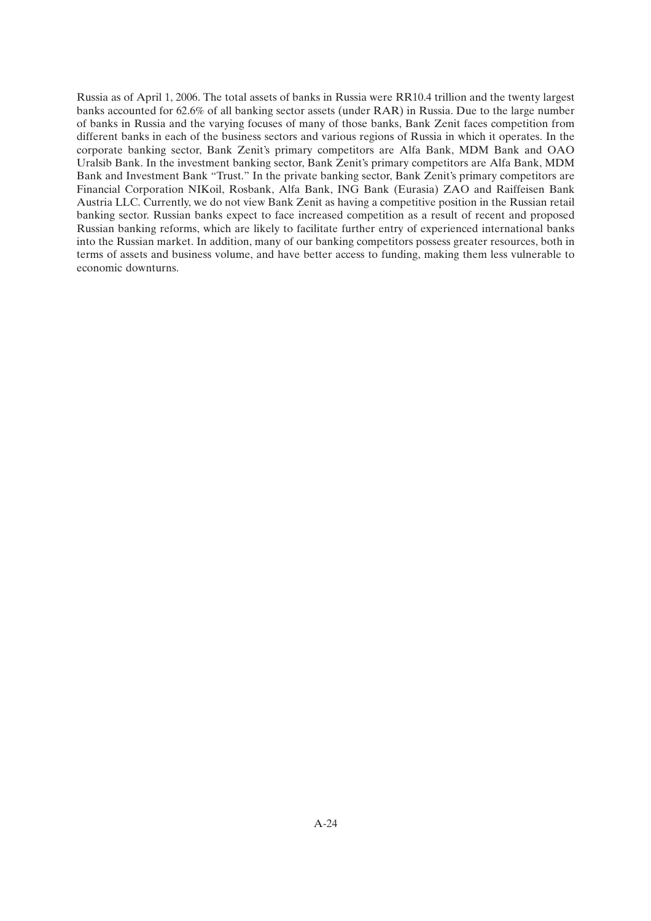Russia as of April 1, 2006. The total assets of banks in Russia were RR10.4 trillion and the twenty largest banks accounted for 62.6% of all banking sector assets (under RAR) in Russia. Due to the large number of banks in Russia and the varying focuses of many of those banks, Bank Zenit faces competition from different banks in each of the business sectors and various regions of Russia in which it operates. In the corporate banking sector, Bank Zenit's primary competitors are Alfa Bank, MDM Bank and OAO Uralsib Bank. In the investment banking sector, Bank Zenit's primary competitors are Alfa Bank, MDM Bank and Investment Bank "Trust." In the private banking sector, Bank Zenit's primary competitors are Financial Corporation NIKoil, Rosbank, Alfa Bank, ING Bank (Eurasia) ZAO and Raiffeisen Bank Austria LLC. Currently, we do not view Bank Zenit as having a competitive position in the Russian retail banking sector. Russian banks expect to face increased competition as a result of recent and proposed Russian banking reforms, which are likely to facilitate further entry of experienced international banks into the Russian market. In addition, many of our banking competitors possess greater resources, both in terms of assets and business volume, and have better access to funding, making them less vulnerable to economic downturns.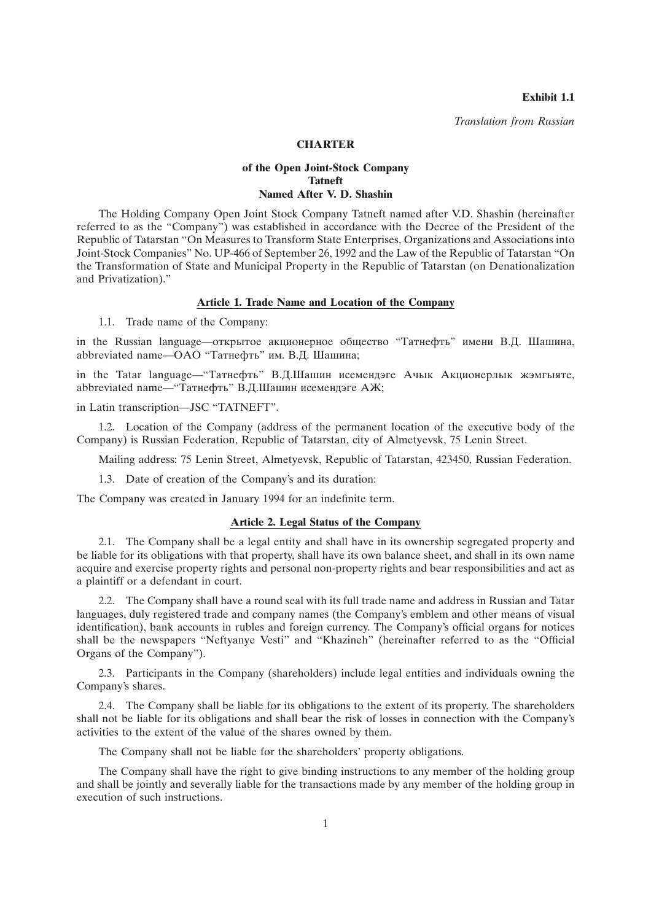**Exhibit 1.1**

*Translation from Russian*

## **CHARTER**

## **of the Open Joint-Stock Company Tatneft Named After V. D. Shashin**

The Holding Company Open Joint Stock Company Tatneft named after V.D. Shashin (hereinafter referred to as the "Company") was established in accordance with the Decree of the President of the Republic of Tatarstan ''On Measures to Transform State Enterprises, Organizations and Associations into Joint-Stock Companies'' No. UP-466 of September 26, 1992 and the Law of the Republic of Tatarstan ''On the Transformation of State and Municipal Property in the Republic of Tatarstan (on Denationalization and Privatization).''

## **Article 1. Trade Name and Location of the Company**

1.1. Trade name of the Company:

in the Russian language—oткрытое акционерное общество ''Татнефть'' имени В.Д. Шашина, abbreviated name—ОАО ''Татнефть'' им. В.Д. Шашина;

in the Tatar language—''Татнефть'' В.Д.Шашин исемендэге Ачык Акционерлык жэмгыяте, abbreviated name—''Татнефть'' В.Д.Шашин исемендэге АЖ;

in Latin transcription—JSC ''TATNEFT''.

1.2. Location of the Company (address of the permanent location of the executive body of the Company) is Russian Federation, Republic of Tatarstan, city of Almetyevsk, 75 Lenin Street.

Mailing address: 75 Lenin Street, Almetyevsk, Republic of Tatarstan, 423450, Russian Federation.

1.3. Date of creation of the Company's and its duration:

The Company was created in January 1994 for an indefinite term.

### **Article 2. Legal Status of the Company**

2.1. The Company shall be a legal entity and shall have in its ownership segregated property and be liable for its obligations with that property, shall have its own balance sheet, and shall in its own name acquire and exercise property rights and personal non-property rights and bear responsibilities and act as a plaintiff or a defendant in court.

2.2. The Company shall have a round seal with its full trade name and address in Russian and Tatar languages, duly registered trade and company names (the Company's emblem and other means of visual identification), bank accounts in rubles and foreign currency. The Company's official organs for notices shall be the newspapers "Neftyanye Vesti" and "Khazineh" (hereinafter referred to as the "Official Organs of the Company'').

2.3. Participants in the Company (shareholders) include legal entities and individuals owning the Company's shares.

2.4. The Company shall be liable for its obligations to the extent of its property. The shareholders shall not be liable for its obligations and shall bear the risk of losses in connection with the Company's activities to the extent of the value of the shares owned by them.

The Company shall not be liable for the shareholders' property obligations.

The Company shall have the right to give binding instructions to any member of the holding group and shall be jointly and severally liable for the transactions made by any member of the holding group in execution of such instructions.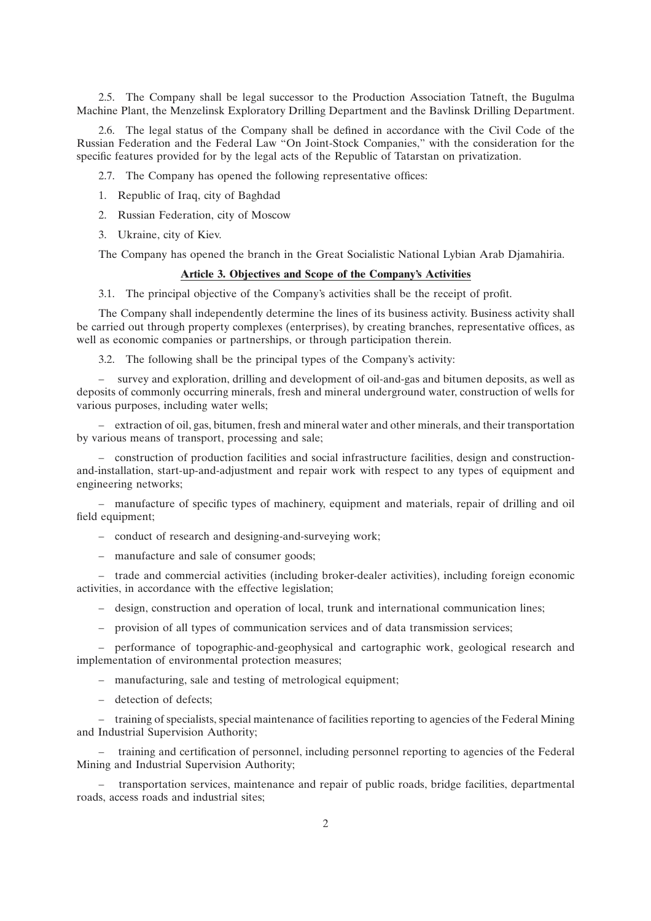2.5. The Company shall be legal successor to the Production Association Tatneft, the Bugulma Machine Plant, the Menzelinsk Exploratory Drilling Department and the Bavlinsk Drilling Department.

2.6. The legal status of the Company shall be defined in accordance with the Civil Code of the Russian Federation and the Federal Law ''On Joint-Stock Companies,'' with the consideration for the specific features provided for by the legal acts of the Republic of Tatarstan on privatization.

2.7. The Company has opened the following representative offices:

- 1. Republic of Iraq, city of Baghdad
- 2. Russian Federation, city of Moscow
- 3. Ukraine, city of Kiev.

The Company has opened the branch in the Great Socialistic National Lybian Arab Djamahiria.

## **Article 3. Objectives and Scope of the Company's Activities**

3.1. The principal objective of the Company's activities shall be the receipt of profit.

The Company shall independently determine the lines of its business activity. Business activity shall be carried out through property complexes (enterprises), by creating branches, representative offices, as well as economic companies or partnerships, or through participation therein.

3.2. The following shall be the principal types of the Company's activity:

– survey and exploration, drilling and development of oil-and-gas and bitumen deposits, as well as deposits of commonly occurring minerals, fresh and mineral underground water, construction of wells for various purposes, including water wells;

– extraction of oil, gas, bitumen, fresh and mineral water and other minerals, and their transportation by various means of transport, processing and sale;

– construction of production facilities and social infrastructure facilities, design and constructionand-installation, start-up-and-adjustment and repair work with respect to any types of equipment and engineering networks;

– manufacture of specific types of machinery, equipment and materials, repair of drilling and oil field equipment;

- conduct of research and designing-and-surveying work;
- manufacture and sale of consumer goods;

– trade and commercial activities (including broker-dealer activities), including foreign economic activities, in accordance with the effective legislation;

- design, construction and operation of local, trunk and international communication lines;
- provision of all types of communication services and of data transmission services;

– performance of topographic-and-geophysical and cartographic work, geological research and implementation of environmental protection measures;

– manufacturing, sale and testing of metrological equipment;

– detection of defects;

– training of specialists, special maintenance of facilities reporting to agencies of the Federal Mining and Industrial Supervision Authority;

– training and certification of personnel, including personnel reporting to agencies of the Federal Mining and Industrial Supervision Authority;

– transportation services, maintenance and repair of public roads, bridge facilities, departmental roads, access roads and industrial sites;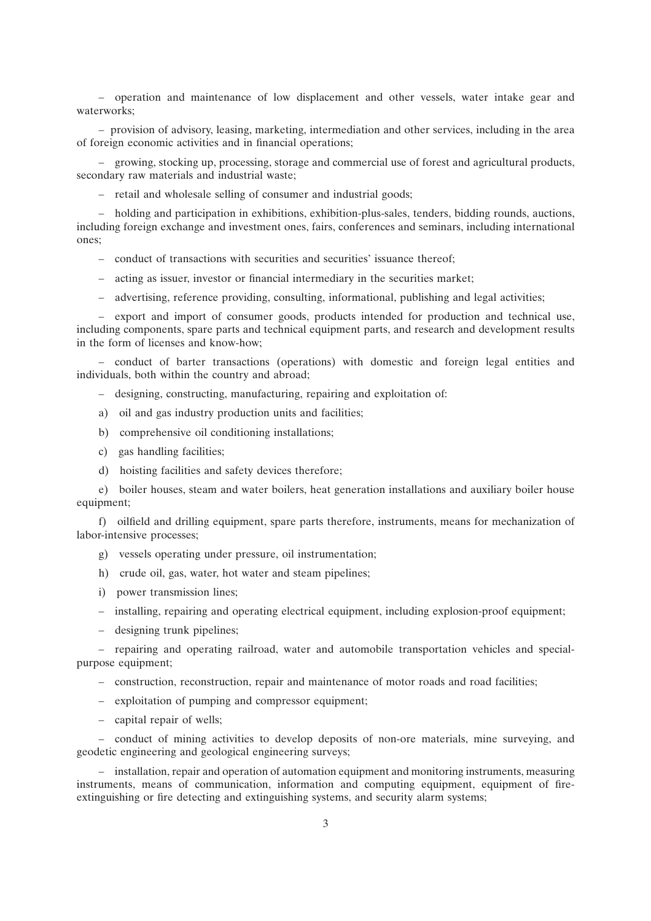– operation and maintenance of low displacement and other vessels, water intake gear and waterworks;

– provision of advisory, leasing, marketing, intermediation and other services, including in the area of foreign economic activities and in financial operations;

– growing, stocking up, processing, storage and commercial use of forest and agricultural products, secondary raw materials and industrial waste;

– retail and wholesale selling of consumer and industrial goods;

– holding and participation in exhibitions, exhibition-plus-sales, tenders, bidding rounds, auctions, including foreign exchange and investment ones, fairs, conferences and seminars, including international ones;

– conduct of transactions with securities and securities' issuance thereof;

- acting as issuer, investor or financial intermediary in the securities market;
- advertising, reference providing, consulting, informational, publishing and legal activities;

– export and import of consumer goods, products intended for production and technical use, including components, spare parts and technical equipment parts, and research and development results in the form of licenses and know-how;

– conduct of barter transactions (operations) with domestic and foreign legal entities and individuals, both within the country and abroad;

- designing, constructing, manufacturing, repairing and exploitation of:
- a) oil and gas industry production units and facilities;
- b) comprehensive oil conditioning installations;
- c) gas handling facilities;
- d) hoisting facilities and safety devices therefore;

e) boiler houses, steam and water boilers, heat generation installations and auxiliary boiler house equipment;

f) oilfield and drilling equipment, spare parts therefore, instruments, means for mechanization of labor-intensive processes;

- g) vessels operating under pressure, oil instrumentation;
- h) crude oil, gas, water, hot water and steam pipelines;
- i) power transmission lines;
- installing, repairing and operating electrical equipment, including explosion-proof equipment;
- designing trunk pipelines;

– repairing and operating railroad, water and automobile transportation vehicles and specialpurpose equipment;

– construction, reconstruction, repair and maintenance of motor roads and road facilities;

- exploitation of pumping and compressor equipment;
- capital repair of wells;

– conduct of mining activities to develop deposits of non-ore materials, mine surveying, and geodetic engineering and geological engineering surveys;

– installation, repair and operation of automation equipment and monitoring instruments, measuring instruments, means of communication, information and computing equipment, equipment of fireextinguishing or fire detecting and extinguishing systems, and security alarm systems;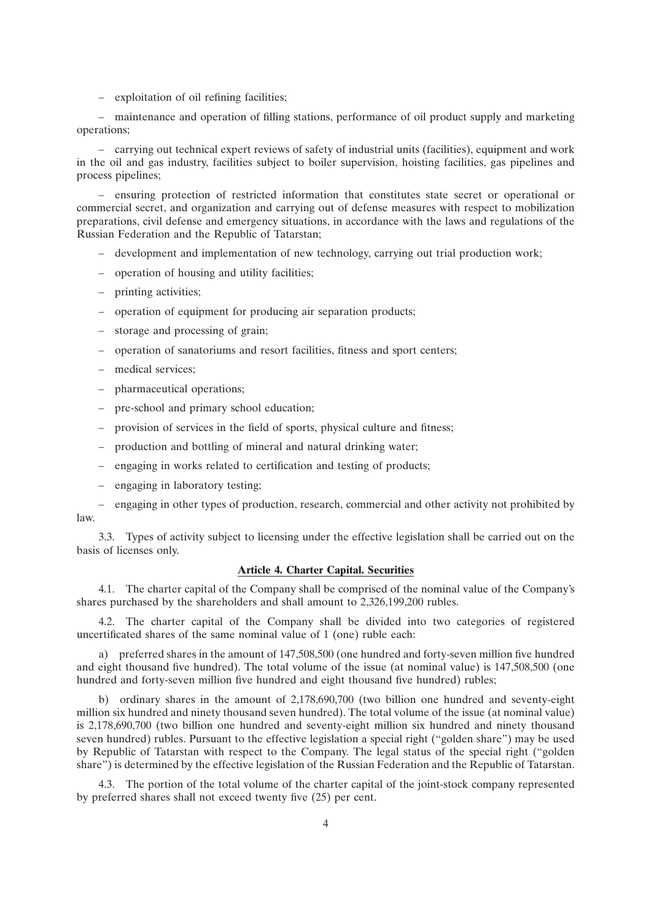– exploitation of oil refining facilities;

– maintenance and operation of filling stations, performance of oil product supply and marketing operations;

– carrying out technical expert reviews of safety of industrial units (facilities), equipment and work in the oil and gas industry, facilities subject to boiler supervision, hoisting facilities, gas pipelines and process pipelines;

– ensuring protection of restricted information that constitutes state secret or operational or commercial secret, and organization and carrying out of defense measures with respect to mobilization preparations, civil defense and emergency situations, in accordance with the laws and regulations of the Russian Federation and the Republic of Tatarstan;

- development and implementation of new technology, carrying out trial production work;
- operation of housing and utility facilities;
- printing activities;
- operation of equipment for producing air separation products;
- storage and processing of grain;
- operation of sanatoriums and resort facilities, fitness and sport centers;
- medical services;
- pharmaceutical operations;
- pre-school and primary school education;
- provision of services in the field of sports, physical culture and fitness;
- production and bottling of mineral and natural drinking water;
- engaging in works related to certification and testing of products;
- engaging in laboratory testing;
- engaging in other types of production, research, commercial and other activity not prohibited by law.

3.3. Types of activity subject to licensing under the effective legislation shall be carried out on the basis of licenses only.

# **Article 4. Charter Capital. Securities**

4.1. The charter capital of the Company shall be comprised of the nominal value of the Company's shares purchased by the shareholders and shall amount to 2,326,199,200 rubles.

4.2. The charter capital of the Company shall be divided into two categories of registered uncertificated shares of the same nominal value of 1 (one) ruble each:

a) preferred shares in the amount of 147,508,500 (one hundred and forty-seven million five hundred and eight thousand five hundred). The total volume of the issue (at nominal value) is 147,508,500 (one hundred and forty-seven million five hundred and eight thousand five hundred) rubles;

b) ordinary shares in the amount of 2,178,690,700 (two billion one hundred and seventy-eight million six hundred and ninety thousand seven hundred). The total volume of the issue (at nominal value) is 2,178,690,700 (two billion one hundred and seventy-eight million six hundred and ninety thousand seven hundred) rubles. Pursuant to the effective legislation a special right (''golden share'') may be used by Republic of Tatarstan with respect to the Company. The legal status of the special right (''golden share'') is determined by the effective legislation of the Russian Federation and the Republic of Tatarstan.

4.3. The portion of the total volume of the charter capital of the joint-stock company represented by preferred shares shall not exceed twenty five (25) per cent.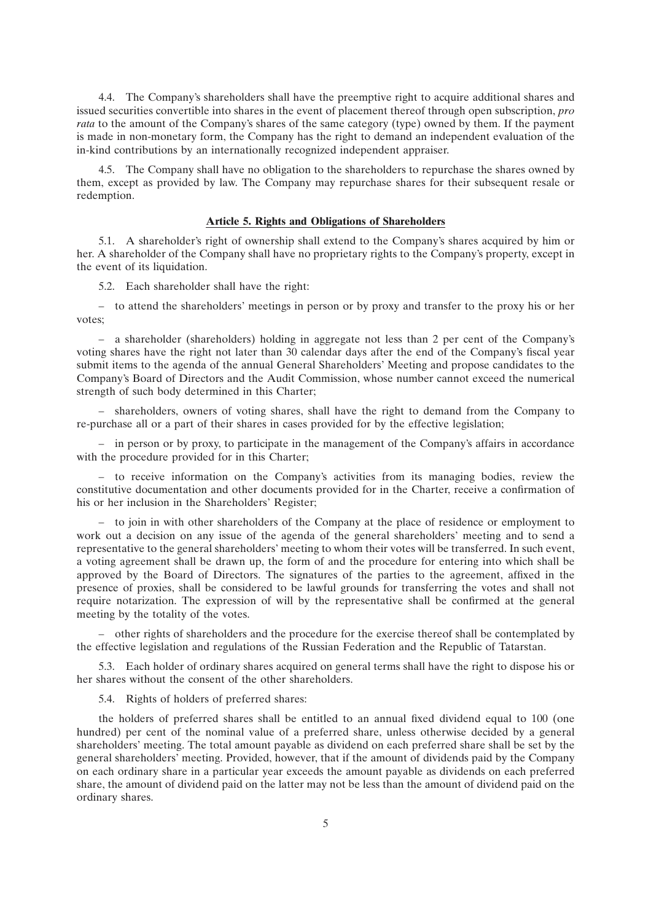4.4. The Company's shareholders shall have the preemptive right to acquire additional shares and issued securities convertible into shares in the event of placement thereof through open subscription, *pro rata* to the amount of the Company's shares of the same category (type) owned by them. If the payment is made in non-monetary form, the Company has the right to demand an independent evaluation of the in-kind contributions by an internationally recognized independent appraiser.

4.5. The Company shall have no obligation to the shareholders to repurchase the shares owned by them, except as provided by law. The Company may repurchase shares for their subsequent resale or redemption.

### **Article 5. Rights and Obligations of Shareholders**

5.1. A shareholder's right of ownership shall extend to the Company's shares acquired by him or her. A shareholder of the Company shall have no proprietary rights to the Company's property, except in the event of its liquidation.

5.2. Each shareholder shall have the right:

– to attend the shareholders' meetings in person or by proxy and transfer to the proxy his or her votes;

– a shareholder (shareholders) holding in aggregate not less than 2 per cent of the Company's voting shares have the right not later than 30 calendar days after the end of the Company's fiscal year submit items to the agenda of the annual General Shareholders' Meeting and propose candidates to the Company's Board of Directors and the Audit Commission, whose number cannot exceed the numerical strength of such body determined in this Charter;

– shareholders, owners of voting shares, shall have the right to demand from the Company to re-purchase all or a part of their shares in cases provided for by the effective legislation;

– in person or by proxy, to participate in the management of the Company's affairs in accordance with the procedure provided for in this Charter;

– to receive information on the Company's activities from its managing bodies, review the constitutive documentation and other documents provided for in the Charter, receive a confirmation of his or her inclusion in the Shareholders' Register;

– to join in with other shareholders of the Company at the place of residence or employment to work out a decision on any issue of the agenda of the general shareholders' meeting and to send a representative to the general shareholders' meeting to whom their votes will be transferred. In such event, a voting agreement shall be drawn up, the form of and the procedure for entering into which shall be approved by the Board of Directors. The signatures of the parties to the agreement, affixed in the presence of proxies, shall be considered to be lawful grounds for transferring the votes and shall not require notarization. The expression of will by the representative shall be confirmed at the general meeting by the totality of the votes.

– other rights of shareholders and the procedure for the exercise thereof shall be contemplated by the effective legislation and regulations of the Russian Federation and the Republic of Tatarstan.

5.3. Each holder of ordinary shares acquired on general terms shall have the right to dispose his or her shares without the consent of the other shareholders.

5.4. Rights of holders of preferred shares:

the holders of preferred shares shall be entitled to an annual fixed dividend equal to 100 (one hundred) per cent of the nominal value of a preferred share, unless otherwise decided by a general shareholders' meeting. The total amount payable as dividend on each preferred share shall be set by the general shareholders' meeting. Provided, however, that if the amount of dividends paid by the Company on each ordinary share in a particular year exceeds the amount payable as dividends on each preferred share, the amount of dividend paid on the latter may not be less than the amount of dividend paid on the ordinary shares.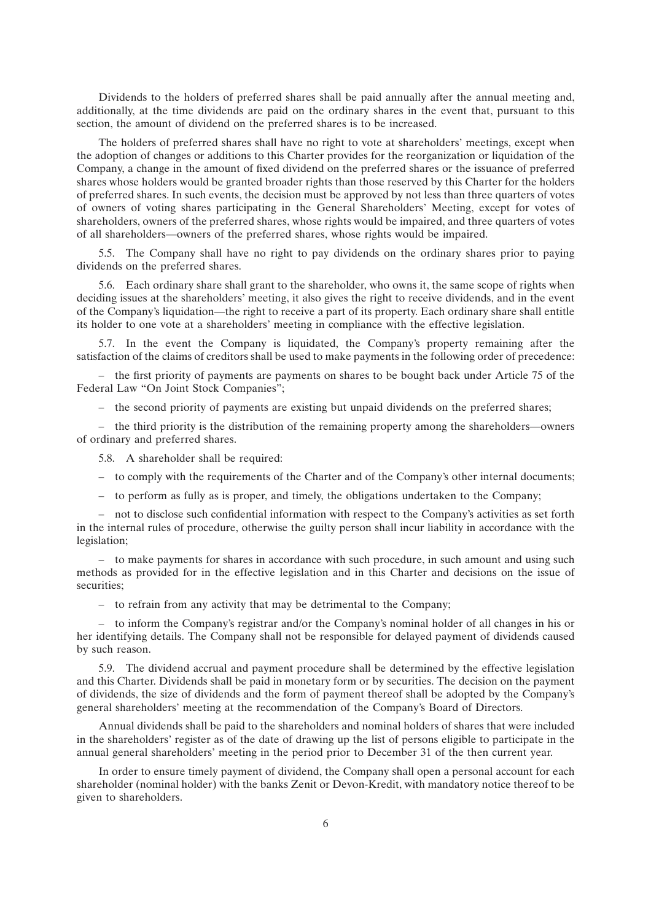Dividends to the holders of preferred shares shall be paid annually after the annual meeting and, additionally, at the time dividends are paid on the ordinary shares in the event that, pursuant to this section, the amount of dividend on the preferred shares is to be increased.

The holders of preferred shares shall have no right to vote at shareholders' meetings, except when the adoption of changes or additions to this Charter provides for the reorganization or liquidation of the Company, a change in the amount of fixed dividend on the preferred shares or the issuance of preferred shares whose holders would be granted broader rights than those reserved by this Charter for the holders of preferred shares. In such events, the decision must be approved by not less than three quarters of votes of owners of voting shares participating in the General Shareholders' Meeting, except for votes of shareholders, owners of the preferred shares, whose rights would be impaired, and three quarters of votes of all shareholders—owners of the preferred shares, whose rights would be impaired.

5.5. The Company shall have no right to pay dividends on the ordinary shares prior to paying dividends on the preferred shares.

5.6. Each ordinary share shall grant to the shareholder, who owns it, the same scope of rights when deciding issues at the shareholders' meeting, it also gives the right to receive dividends, and in the event of the Company's liquidation—the right to receive a part of its property. Each ordinary share shall entitle its holder to one vote at a shareholders' meeting in compliance with the effective legislation.

5.7. In the event the Company is liquidated, the Company's property remaining after the satisfaction of the claims of creditors shall be used to make payments in the following order of precedence:

– the first priority of payments are payments on shares to be bought back under Article 75 of the Federal Law "On Joint Stock Companies";

– the second priority of payments are existing but unpaid dividends on the preferred shares;

– the third priority is the distribution of the remaining property among the shareholders—owners of ordinary and preferred shares.

5.8. A shareholder shall be required:

- to comply with the requirements of the Charter and of the Company's other internal documents;
- to perform as fully as is proper, and timely, the obligations undertaken to the Company;

– not to disclose such confidential information with respect to the Company's activities as set forth in the internal rules of procedure, otherwise the guilty person shall incur liability in accordance with the legislation;

– to make payments for shares in accordance with such procedure, in such amount and using such methods as provided for in the effective legislation and in this Charter and decisions on the issue of securities;

– to refrain from any activity that may be detrimental to the Company;

– to inform the Company's registrar and/or the Company's nominal holder of all changes in his or her identifying details. The Company shall not be responsible for delayed payment of dividends caused by such reason.

5.9. The dividend accrual and payment procedure shall be determined by the effective legislation and this Charter. Dividends shall be paid in monetary form or by securities. The decision on the payment of dividends, the size of dividends and the form of payment thereof shall be adopted by the Company's general shareholders' meeting at the recommendation of the Company's Board of Directors.

Annual dividends shall be paid to the shareholders and nominal holders of shares that were included in the shareholders' register as of the date of drawing up the list of persons eligible to participate in the annual general shareholders' meeting in the period prior to December 31 of the then current year.

In order to ensure timely payment of dividend, the Company shall open a personal account for each shareholder (nominal holder) with the banks Zenit or Devon-Kredit, with mandatory notice thereof to be given to shareholders.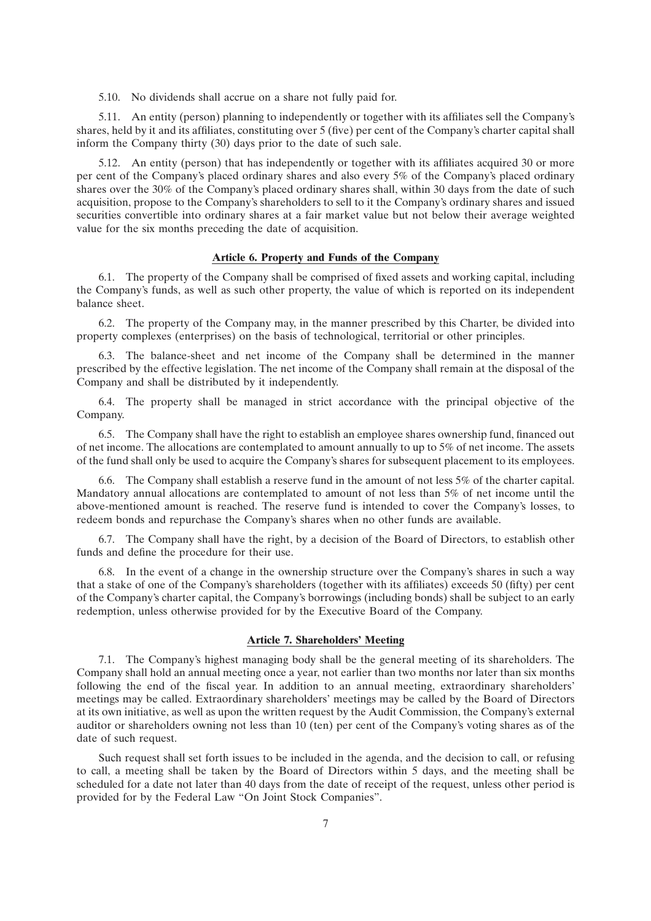5.10. No dividends shall accrue on a share not fully paid for.

5.11. An entity (person) planning to independently or together with its affiliates sell the Company's shares, held by it and its affiliates, constituting over 5 (five) per cent of the Company's charter capital shall inform the Company thirty (30) days prior to the date of such sale.

5.12. An entity (person) that has independently or together with its affiliates acquired 30 or more per cent of the Company's placed ordinary shares and also every 5% of the Company's placed ordinary shares over the 30% of the Company's placed ordinary shares shall, within 30 days from the date of such acquisition, propose to the Company's shareholders to sell to it the Company's ordinary shares and issued securities convertible into ordinary shares at a fair market value but not below their average weighted value for the six months preceding the date of acquisition.

## **Article 6. Property and Funds of the Company**

6.1. The property of the Company shall be comprised of fixed assets and working capital, including the Company's funds, as well as such other property, the value of which is reported on its independent balance sheet.

6.2. The property of the Company may, in the manner prescribed by this Charter, be divided into property complexes (enterprises) on the basis of technological, territorial or other principles.

6.3. The balance-sheet and net income of the Company shall be determined in the manner prescribed by the effective legislation. The net income of the Company shall remain at the disposal of the Company and shall be distributed by it independently.

6.4. The property shall be managed in strict accordance with the principal objective of the Company.

6.5. The Company shall have the right to establish an employee shares ownership fund, financed out of net income. The allocations are contemplated to amount annually to up to 5% of net income. The assets of the fund shall only be used to acquire the Company's shares for subsequent placement to its employees.

6.6. The Company shall establish a reserve fund in the amount of not less 5% of the charter capital. Mandatory annual allocations are contemplated to amount of not less than 5% of net income until the above-mentioned amount is reached. The reserve fund is intended to cover the Company's losses, to redeem bonds and repurchase the Company's shares when no other funds are available.

6.7. The Company shall have the right, by a decision of the Board of Directors, to establish other funds and define the procedure for their use.

6.8. In the event of a change in the ownership structure over the Company's shares in such a way that a stake of one of the Company's shareholders (together with its affiliates) exceeds 50 (fifty) per cent of the Company's charter capital, the Company's borrowings (including bonds) shall be subject to an early redemption, unless otherwise provided for by the Executive Board of the Company.

### **Article 7. Shareholders' Meeting**

7.1. The Company's highest managing body shall be the general meeting of its shareholders. The Company shall hold an annual meeting once a year, not earlier than two months nor later than six months following the end of the fiscal year. In addition to an annual meeting, extraordinary shareholders' meetings may be called. Extraordinary shareholders' meetings may be called by the Board of Directors at its own initiative, as well as upon the written request by the Audit Commission, the Company's external auditor or shareholders owning not less than 10 (ten) per cent of the Company's voting shares as of the date of such request.

Such request shall set forth issues to be included in the agenda, and the decision to call, or refusing to call, a meeting shall be taken by the Board of Directors within 5 days, and the meeting shall be scheduled for a date not later than 40 days from the date of receipt of the request, unless other period is provided for by the Federal Law ''On Joint Stock Companies''.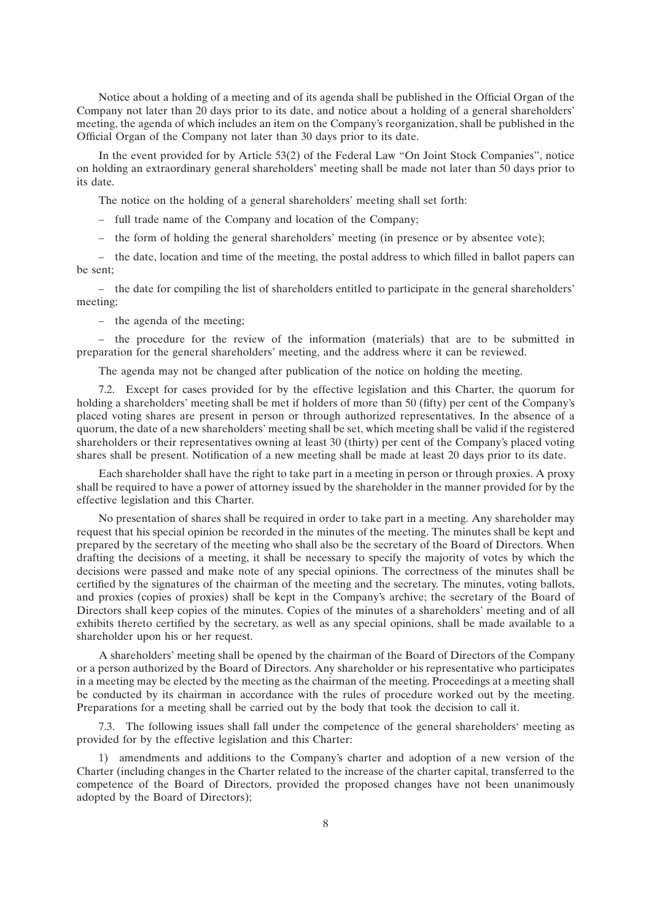Notice about a holding of a meeting and of its agenda shall be published in the Official Organ of the Company not later than 20 days prior to its date, and notice about a holding of a general shareholders' meeting, the agenda of which includes an item on the Company's reorganization, shall be published in the Official Organ of the Company not later than 30 days prior to its date.

In the event provided for by Article 53(2) of the Federal Law ''On Joint Stock Companies'', notice on holding an extraordinary general shareholders' meeting shall be made not later than 50 days prior to its date.

The notice on the holding of a general shareholders' meeting shall set forth:

– full trade name of the Company and location of the Company;

– the form of holding the general shareholders' meeting (in presence or by absentee vote);

– the date, location and time of the meeting, the postal address to which filled in ballot papers can be sent;

– the date for compiling the list of shareholders entitled to participate in the general shareholders' meeting;

– the agenda of the meeting;

– the procedure for the review of the information (materials) that are to be submitted in preparation for the general shareholders' meeting, and the address where it can be reviewed.

The agenda may not be changed after publication of the notice on holding the meeting.

7.2. Except for cases provided for by the effective legislation and this Charter, the quorum for holding a shareholders' meeting shall be met if holders of more than 50 (fifty) per cent of the Company's placed voting shares are present in person or through authorized representatives. In the absence of a quorum, the date of a new shareholders' meeting shall be set, which meeting shall be valid if the registered shareholders or their representatives owning at least 30 (thirty) per cent of the Company's placed voting shares shall be present. Notification of a new meeting shall be made at least 20 days prior to its date.

Each shareholder shall have the right to take part in a meeting in person or through proxies. A proxy shall be required to have a power of attorney issued by the shareholder in the manner provided for by the effective legislation and this Charter.

No presentation of shares shall be required in order to take part in a meeting. Any shareholder may request that his special opinion be recorded in the minutes of the meeting. The minutes shall be kept and prepared by the secretary of the meeting who shall also be the secretary of the Board of Directors. When drafting the decisions of a meeting, it shall be necessary to specify the majority of votes by which the decisions were passed and make note of any special opinions. The correctness of the minutes shall be certified by the signatures of the chairman of the meeting and the secretary. The minutes, voting ballots, and proxies (copies of proxies) shall be kept in the Company's archive; the secretary of the Board of Directors shall keep copies of the minutes. Copies of the minutes of a shareholders' meeting and of all exhibits thereto certified by the secretary, as well as any special opinions, shall be made available to a shareholder upon his or her request.

A shareholders' meeting shall be opened by the chairman of the Board of Directors of the Company or a person authorized by the Board of Directors. Any shareholder or his representative who participates in a meeting may be elected by the meeting as the chairman of the meeting. Proceedings at a meeting shall be conducted by its chairman in accordance with the rules of procedure worked out by the meeting. Preparations for a meeting shall be carried out by the body that took the decision to call it.

7.3. The following issues shall fall under the competence of the general shareholders' meeting as provided for by the effective legislation and this Charter:

1) amendments and additions to the Company's charter and adoption of a new version of the Charter (including changes in the Charter related to the increase of the charter capital, transferred to the competence of the Board of Directors, provided the proposed changes have not been unanimously adopted by the Board of Directors);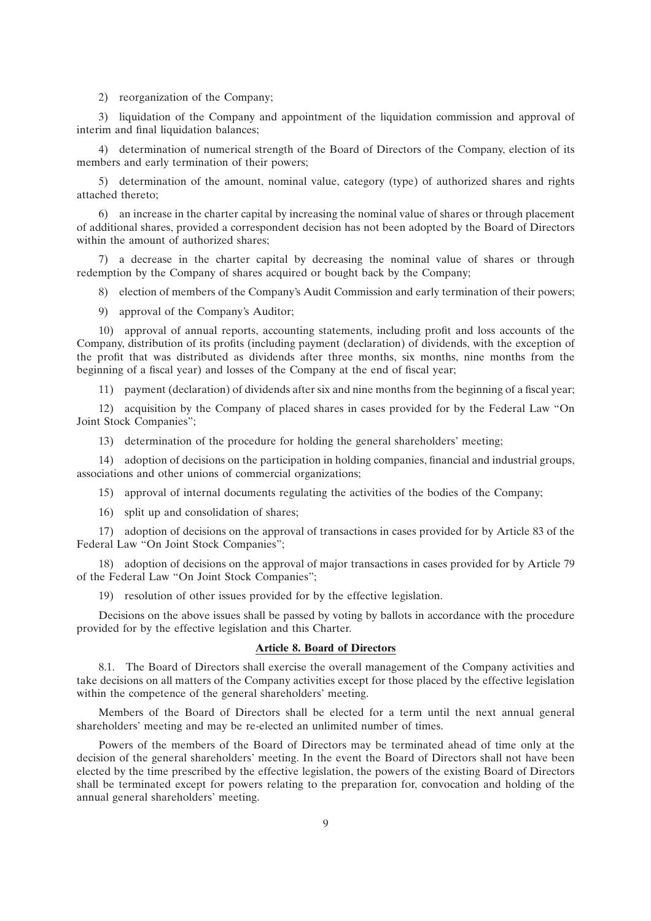#### 2) reorganization of the Company;

3) liquidation of the Company and appointment of the liquidation commission and approval of interim and final liquidation balances:

4) determination of numerical strength of the Board of Directors of the Company, election of its members and early termination of their powers;

5) determination of the amount, nominal value, category (type) of authorized shares and rights attached thereto;

6) an increase in the charter capital by increasing the nominal value of shares or through placement of additional shares, provided a correspondent decision has not been adopted by the Board of Directors within the amount of authorized shares:

7) a decrease in the charter capital by decreasing the nominal value of shares or through redemption by the Company of shares acquired or bought back by the Company;

8) election of members of the Company's Audit Commission and early termination of their powers;

9) approval of the Company's Auditor;

10) approval of annual reports, accounting statements, including profit and loss accounts of the Company, distribution of its profits (including payment (declaration) of dividends, with the exception of the profit that was distributed as dividends after three months, six months, nine months from the beginning of a fiscal year) and losses of the Company at the end of fiscal year;

11) payment (declaration) of dividends after six and nine months from the beginning of a fiscal year;

12) acquisition by the Company of placed shares in cases provided for by the Federal Law ''On Joint Stock Companies'';

13) determination of the procedure for holding the general shareholders' meeting;

14) adoption of decisions on the participation in holding companies, financial and industrial groups, associations and other unions of commercial organizations;

15) approval of internal documents regulating the activities of the bodies of the Company;

16) split up and consolidation of shares;

17) adoption of decisions on the approval of transactions in cases provided for by Article 83 of the Federal Law "On Joint Stock Companies";

18) adoption of decisions on the approval of major transactions in cases provided for by Article 79 of the Federal Law ''On Joint Stock Companies'';

19) resolution of other issues provided for by the effective legislation.

Decisions on the above issues shall be passed by voting by ballots in accordance with the procedure provided for by the effective legislation and this Charter.

## **Article 8. Board of Directors**

8.1. The Board of Directors shall exercise the overall management of the Company activities and take decisions on all matters of the Company activities except for those placed by the effective legislation within the competence of the general shareholders' meeting.

Members of the Board of Directors shall be elected for a term until the next annual general shareholders' meeting and may be re-elected an unlimited number of times.

Powers of the members of the Board of Directors may be terminated ahead of time only at the decision of the general shareholders' meeting. In the event the Board of Directors shall not have been elected by the time prescribed by the effective legislation, the powers of the existing Board of Directors shall be terminated except for powers relating to the preparation for, convocation and holding of the annual general shareholders' meeting.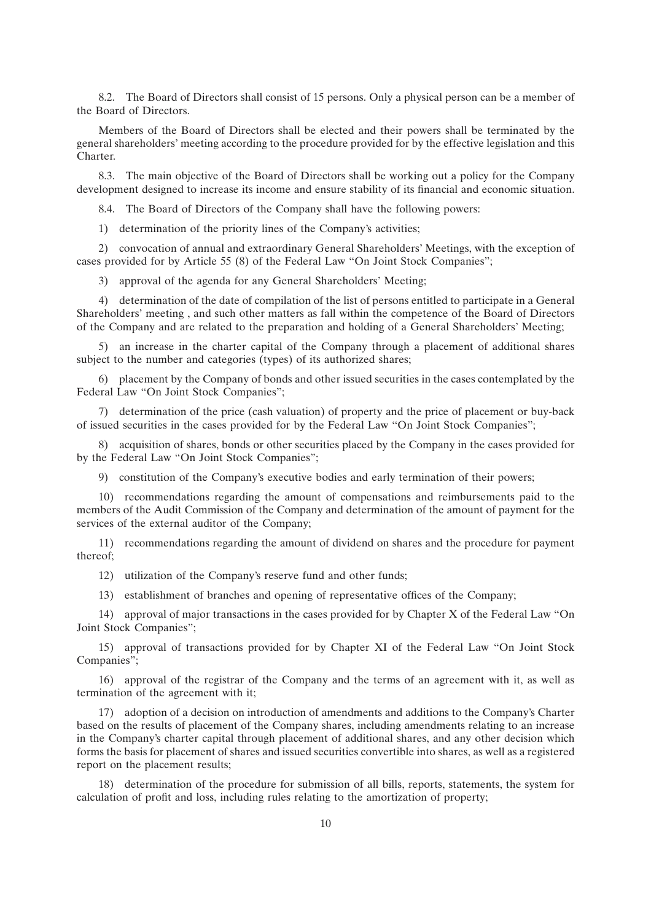8.2. The Board of Directors shall consist of 15 persons. Only a physical person can be a member of the Board of Directors.

Members of the Board of Directors shall be elected and their powers shall be terminated by the general shareholders' meeting according to the procedure provided for by the effective legislation and this Charter.

8.3. The main objective of the Board of Directors shall be working out a policy for the Company development designed to increase its income and ensure stability of its financial and economic situation.

8.4. The Board of Directors of the Company shall have the following powers:

1) determination of the priority lines of the Company's activities;

2) convocation of annual and extraordinary General Shareholders' Meetings, with the exception of cases provided for by Article 55 (8) of the Federal Law ''On Joint Stock Companies'';

3) approval of the agenda for any General Shareholders' Meeting;

4) determination of the date of compilation of the list of persons entitled to participate in a General Shareholders' meeting , and such other matters as fall within the competence of the Board of Directors of the Company and are related to the preparation and holding of a General Shareholders' Meeting;

5) an increase in the charter capital of the Company through a placement of additional shares subject to the number and categories (types) of its authorized shares;

6) placement by the Company of bonds and other issued securities in the cases contemplated by the Federal Law "On Joint Stock Companies";

7) determination of the price (cash valuation) of property and the price of placement or buy-back of issued securities in the cases provided for by the Federal Law ''On Joint Stock Companies'';

8) acquisition of shares, bonds or other securities placed by the Company in the cases provided for by the Federal Law ''On Joint Stock Companies'';

9) constitution of the Company's executive bodies and early termination of their powers;

10) recommendations regarding the amount of compensations and reimbursements paid to the members of the Audit Commission of the Company and determination of the amount of payment for the services of the external auditor of the Company;

11) recommendations regarding the amount of dividend on shares and the procedure for payment thereof;

12) utilization of the Company's reserve fund and other funds;

13) establishment of branches and opening of representative offices of the Company;

14) approval of major transactions in the cases provided for by Chapter Х of the Federal Law ''On Joint Stock Companies'';

15) approval of transactions provided for by Chapter XI of the Federal Law ''On Joint Stock Companies'';

16) approval of the registrar of the Company and the terms of an agreement with it, as well as termination of the agreement with it;

17) adoption of a decision on introduction of amendments and additions to the Company's Charter based on the results of placement of the Company shares, including amendments relating to an increase in the Company's charter capital through placement of additional shares, and any other decision which forms the basis for placement of shares and issued securities convertible into shares, as well as a registered report on the placement results;

18) determination of the procedure for submission of all bills, reports, statements, the system for calculation of profit and loss, including rules relating to the amortization of property;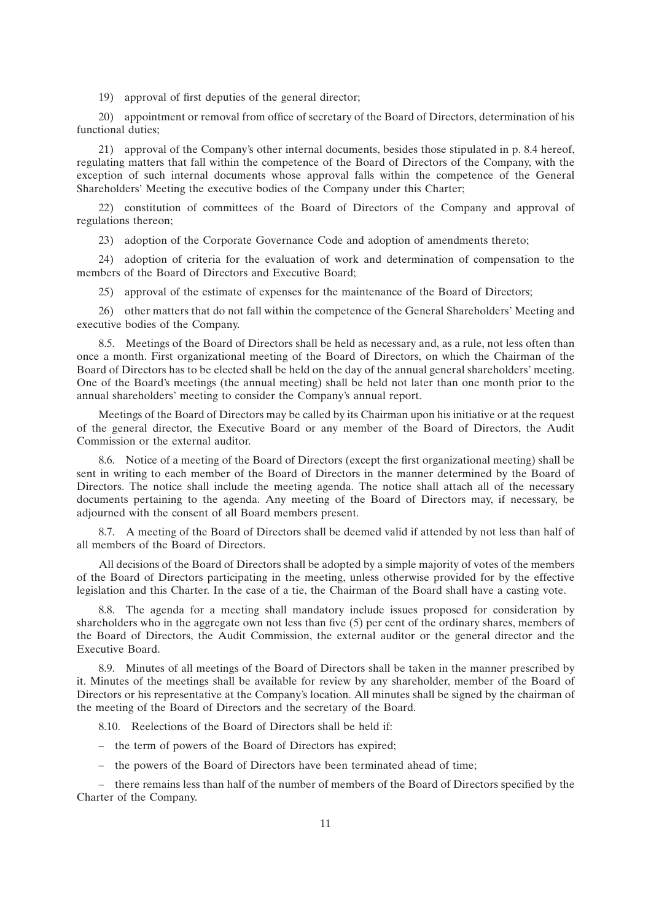19) approval of first deputies of the general director;

20) appointment or removal from office of secretary of the Board of Directors, determination of his functional duties;

21) approval of the Company's other internal documents, besides those stipulated in p. 8.4 hereof, regulating matters that fall within the competence of the Board of Directors of the Company, with the exception of such internal documents whose approval falls within the competence of the General Shareholders' Meeting the executive bodies of the Company under this Charter;

22) constitution of committees of the Board of Directors of the Company and approval of regulations thereon;

23) adoption of the Corporate Governance Code and adoption of amendments thereto;

24) adoption of criteria for the evaluation of work and determination of compensation to the members of the Board of Directors and Executive Board;

25) approval of the estimate of expenses for the maintenance of the Board of Directors;

26) other matters that do not fall within the competence of the General Shareholders' Meeting and executive bodies of the Company.

8.5. Meetings of the Board of Directors shall be held as necessary and, as a rule, not less often than once a month. First organizational meeting of the Board of Directors, on which the Chairman of the Board of Directors has to be elected shall be held on the day of the annual general shareholders' meeting. One of the Board's meetings (the annual meeting) shall be held not later than one month prior to the annual shareholders' meeting to consider the Company's annual report.

Meetings of the Board of Directors may be called by its Chairman upon his initiative or at the request of the general director, the Executive Board or any member of the Board of Directors, the Audit Commission or the external auditor.

8.6. Notice of a meeting of the Board of Directors (except the first organizational meeting) shall be sent in writing to each member of the Board of Directors in the manner determined by the Board of Directors. The notice shall include the meeting agenda. The notice shall attach all of the necessary documents pertaining to the agenda. Any meeting of the Board of Directors may, if necessary, be adjourned with the consent of all Board members present.

8.7. A meeting of the Board of Directors shall be deemed valid if attended by not less than half of all members of the Board of Directors.

All decisions of the Board of Directors shall be adopted by a simple majority of votes of the members of the Board of Directors participating in the meeting, unless otherwise provided for by the effective legislation and this Charter. In the case of a tie, the Chairman of the Board shall have a casting vote.

8.8. The agenda for a meeting shall mandatory include issues proposed for consideration by shareholders who in the aggregate own not less than five (5) per cent of the ordinary shares, members of the Board of Directors, the Audit Commission, the external auditor or the general director and the Executive Board.

8.9. Minutes of all meetings of the Board of Directors shall be taken in the manner prescribed by it. Minutes of the meetings shall be available for review by any shareholder, member of the Board of Directors or his representative at the Company's location. All minutes shall be signed by the chairman of the meeting of the Board of Directors and the secretary of the Board.

8.10. Reelections of the Board of Directors shall be held if:

- the term of powers of the Board of Directors has expired;
- the powers of the Board of Directors have been terminated ahead of time;

– there remains less than half of the number of members of the Board of Directors specified by the Charter of the Company.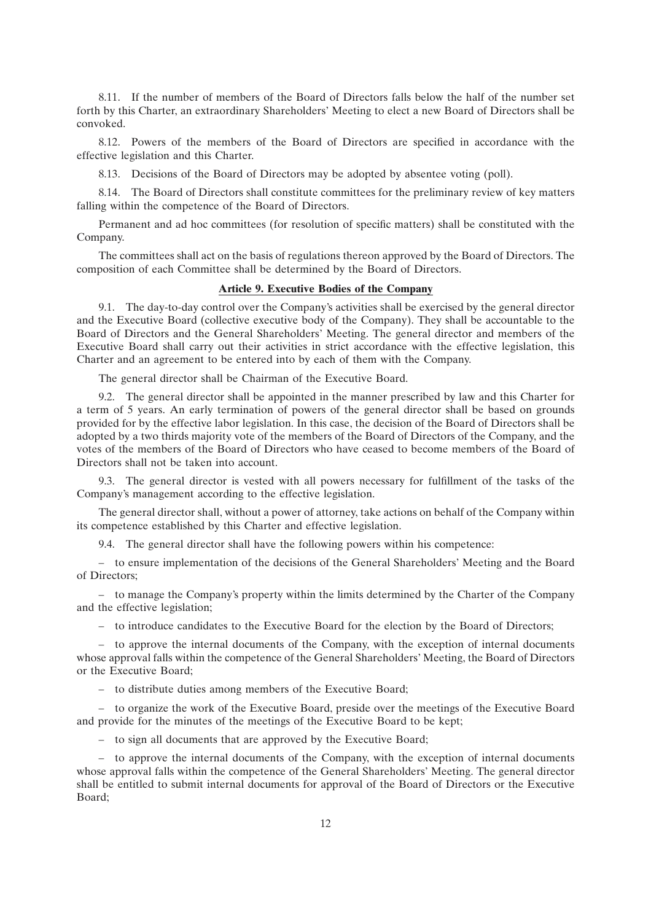8.11. If the number of members of the Board of Directors falls below the half of the number set forth by this Charter, an extraordinary Shareholders' Meeting to elect a new Board of Directors shall be convoked.

8.12. Powers of the members of the Board of Directors are specified in accordance with the effective legislation and this Charter.

8.13. Decisions of the Board of Directors may be adopted by absentee voting (poll).

8.14. The Board of Directors shall constitute committees for the preliminary review of key matters falling within the competence of the Board of Directors.

Permanent and ad hoc committees (for resolution of specific matters) shall be constituted with the Company.

The committees shall act on the basis of regulations thereon approved by the Board of Directors. The composition of each Committee shall be determined by the Board of Directors.

### **Article 9. Executive Bodies of the Company**

9.1. The day-to-day control over the Company's activities shall be exercised by the general director and the Executive Board (collective executive body of the Company). They shall be accountable to the Board of Directors and the General Shareholders' Meeting. The general director and members of the Executive Board shall carry out their activities in strict accordance with the effective legislation, this Charter and an agreement to be entered into by each of them with the Company.

The general director shall be Chairman of the Executive Board.

9.2. The general director shall be appointed in the manner prescribed by law and this Charter for a term of 5 years. An early termination of powers of the general director shall be based on grounds provided for by the effective labor legislation. In this case, the decision of the Board of Directors shall be adopted by a two thirds majority vote of the members of the Board of Directors of the Company, and the votes of the members of the Board of Directors who have ceased to become members of the Board of Directors shall not be taken into account.

9.3. The general director is vested with all powers necessary for fulfillment of the tasks of the Company's management according to the effective legislation.

The general director shall, without a power of attorney, take actions on behalf of the Company within its competence established by this Charter and effective legislation.

9.4. The general director shall have the following powers within his competence:

– to ensure implementation of the decisions of the General Shareholders' Meeting and the Board of Directors;

– to manage the Company's property within the limits determined by the Charter of the Company and the effective legislation;

– to introduce candidates to the Executive Board for the election by the Board of Directors;

– to approve the internal documents of the Company, with the exception of internal documents whose approval falls within the competence of the General Shareholders' Meeting, the Board of Directors or the Executive Board;

– to distribute duties among members of the Executive Board;

– to organize the work of the Executive Board, preside over the meetings of the Executive Board and provide for the minutes of the meetings of the Executive Board to be kept;

– to sign all documents that are approved by the Executive Board;

– to approve the internal documents of the Company, with the exception of internal documents whose approval falls within the competence of the General Shareholders' Meeting. The general director shall be entitled to submit internal documents for approval of the Board of Directors or the Executive Board;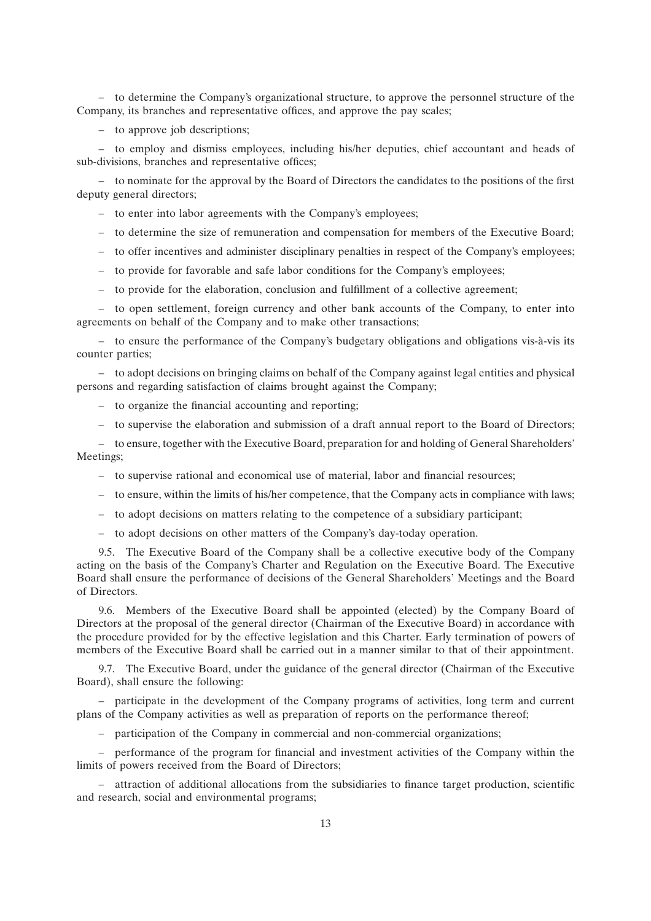– to determine the Company's organizational structure, to approve the personnel structure of the Company, its branches and representative offices, and approve the pay scales;

– to approve job descriptions;

– to employ and dismiss employees, including his/her deputies, chief accountant and heads of sub-divisions, branches and representative offices;

– to nominate for the approval by the Board of Directors the candidates to the positions of the first deputy general directors;

- to enter into labor agreements with the Company's employees;
- to determine the size of remuneration and compensation for members of the Executive Board;
- to offer incentives and administer disciplinary penalties in respect of the Company's employees;
- to provide for favorable and safe labor conditions for the Company's employees;
- to provide for the elaboration, conclusion and fulfillment of a collective agreement;

– to open settlement, foreign currency and other bank accounts of the Company, to enter into agreements on behalf of the Company and to make other transactions;

– to ensure the performance of the Company's budgetary obligations and obligations vis-à-vis its counter parties;

– to adopt decisions on bringing claims on behalf of the Company against legal entities and physical persons and regarding satisfaction of claims brought against the Company;

- to organize the financial accounting and reporting;
- to supervise the elaboration and submission of a draft annual report to the Board of Directors;

– to ensure, together with the Executive Board, preparation for and holding of General Shareholders' Meetings;

- to supervise rational and economical use of material, labor and financial resources;
- to ensure, within the limits of his/her competence, that the Company acts in compliance with laws;
- to adopt decisions on matters relating to the competence of a subsidiary participant;
- to adopt decisions on other matters of the Company's day-today operation.

9.5. The Executive Board of the Company shall be a collective executive body of the Company acting on the basis of the Company's Charter and Regulation on the Executive Board. The Executive Board shall ensure the performance of decisions of the General Shareholders' Meetings and the Board of Directors.

9.6. Members of the Executive Board shall be appointed (elected) by the Company Board of Directors at the proposal of the general director (Chairman of the Executive Board) in accordance with the procedure provided for by the effective legislation and this Charter. Early termination of powers of members of the Executive Board shall be carried out in a manner similar to that of their appointment.

9.7. The Executive Board, under the guidance of the general director (Chairman of the Executive Board), shall ensure the following:

– participate in the development of the Company programs of activities, long term and current plans of the Company activities as well as preparation of reports on the performance thereof;

– participation of the Company in commercial and non-commercial organizations;

– performance of the program for financial and investment activities of the Company within the limits of powers received from the Board of Directors;

– attraction of additional allocations from the subsidiaries to finance target production, scientific and research, social and environmental programs;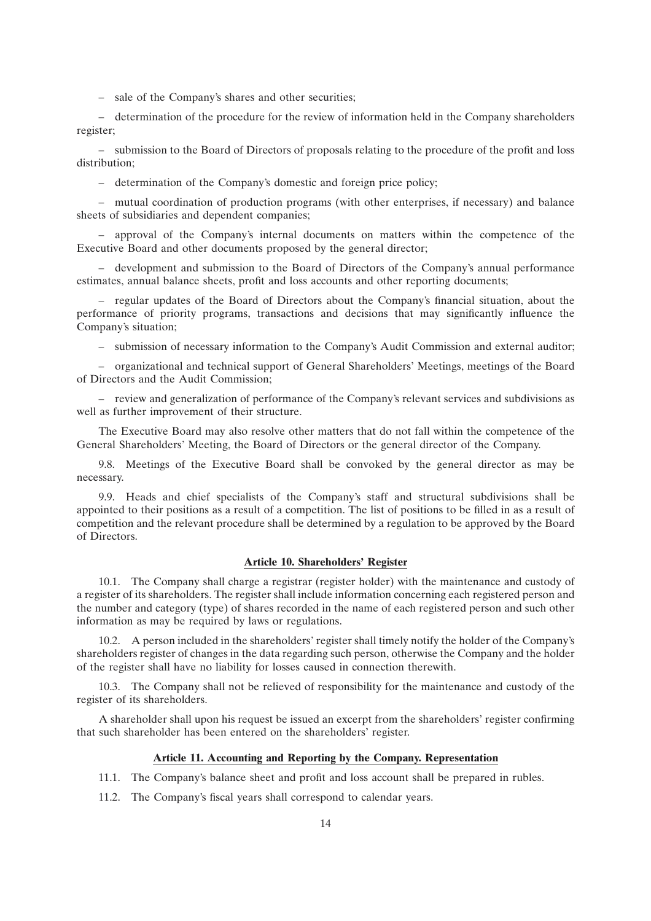– sale of the Company's shares and other securities;

– determination of the procedure for the review of information held in the Company shareholders register;

– submission to the Board of Directors of proposals relating to the procedure of the profit and loss distribution;

– determination of the Company's domestic and foreign price policy;

– mutual coordination of production programs (with other enterprises, if necessary) and balance sheets of subsidiaries and dependent companies;

– approval of the Company's internal documents on matters within the competence of the Executive Board and other documents proposed by the general director;

– development and submission to the Board of Directors of the Company's annual performance estimates, annual balance sheets, profit and loss accounts and other reporting documents;

– regular updates of the Board of Directors about the Company's financial situation, about the performance of priority programs, transactions and decisions that may significantly influence the Company's situation;

– submission of necessary information to the Company's Audit Commission and external auditor;

– organizational and technical support of General Shareholders' Meetings, meetings of the Board of Directors and the Audit Commission;

– review and generalization of performance of the Company's relevant services and subdivisions as well as further improvement of their structure.

The Executive Board may also resolve other matters that do not fall within the competence of the General Shareholders' Meeting, the Board of Directors or the general director of the Company.

9.8. Meetings of the Executive Board shall be convoked by the general director as may be necessary.

9.9. Heads and chief specialists of the Company's staff and structural subdivisions shall be appointed to their positions as a result of a competition. The list of positions to be filled in as a result of competition and the relevant procedure shall be determined by a regulation to be approved by the Board of Directors.

## **Article 10. Shareholders' Register**

10.1. The Company shall charge a registrar (register holder) with the maintenance and custody of a register of its shareholders. The register shall include information concerning each registered person and the number and category (type) of shares recorded in the name of each registered person and such other information as may be required by laws or regulations.

10.2. A person included in the shareholders' register shall timely notify the holder of the Company's shareholders register of changes in the data regarding such person, otherwise the Company and the holder of the register shall have no liability for losses caused in connection therewith.

10.3. The Company shall not be relieved of responsibility for the maintenance and custody of the register of its shareholders.

A shareholder shall upon his request be issued an excerpt from the shareholders' register confirming that such shareholder has been entered on the shareholders' register.

### **Article 11. Accounting and Reporting by the Company. Representation**

- 11.1. The Company's balance sheet and profit and loss account shall be prepared in rubles.
- 11.2. The Company's fiscal years shall correspond to calendar years.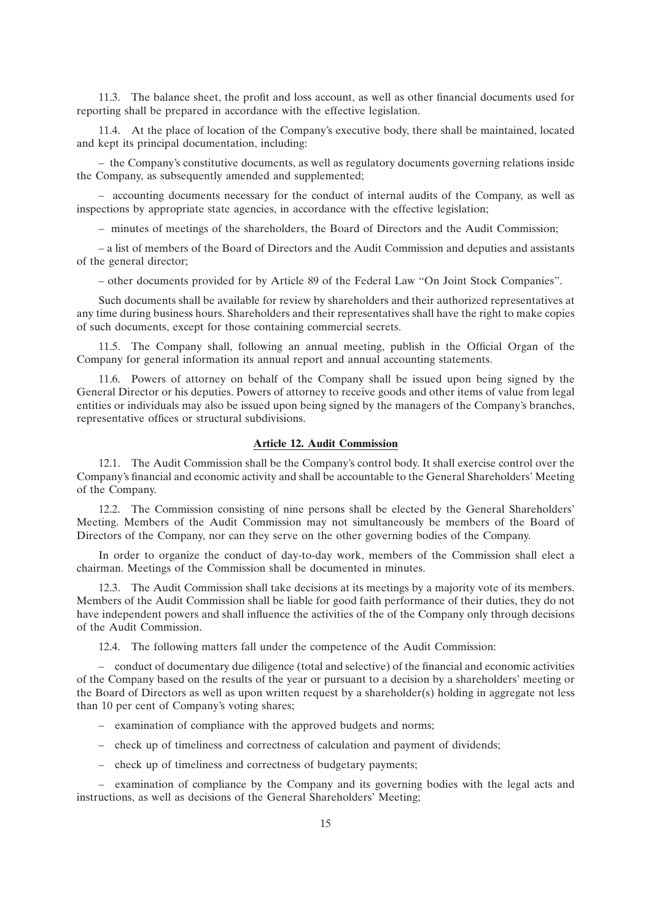11.3. The balance sheet, the profit and loss account, as well as other financial documents used for reporting shall be prepared in accordance with the effective legislation.

11.4. At the place of location of the Company's executive body, there shall be maintained, located and kept its principal documentation, including:

– the Company's constitutive documents, as well as regulatory documents governing relations inside the Company, as subsequently amended and supplemented;

– accounting documents necessary for the conduct of internal audits of the Company, as well as inspections by appropriate state agencies, in accordance with the effective legislation;

– minutes of meetings of the shareholders, the Board of Directors and the Audit Commission;

– a list of members of the Board of Directors and the Audit Commission and deputies and assistants of the general director;

– other documents provided for by Article 89 of the Federal Law ''On Joint Stock Companies''.

Such documents shall be available for review by shareholders and their authorized representatives at any time during business hours. Shareholders and their representatives shall have the right to make copies of such documents, except for those containing commercial secrets.

11.5. The Company shall, following an annual meeting, publish in the Official Organ of the Company for general information its annual report and annual accounting statements.

11.6. Powers of attorney on behalf of the Company shall be issued upon being signed by the General Director or his deputies. Powers of attorney to receive goods and other items of value from legal entities or individuals may also be issued upon being signed by the managers of the Company's branches, representative offices or structural subdivisions.

#### **Article 12. Audit Commission**

12.1. The Audit Commission shall be the Company's control body. It shall exercise control over the Company's financial and economic activity and shall be accountable to the General Shareholders' Meeting of the Company.

12.2. The Commission consisting of nine persons shall be elected by the General Shareholders' Meeting. Members of the Audit Commission may not simultaneously be members of the Board of Directors of the Company, nor can they serve on the other governing bodies of the Company.

In order to organize the conduct of day-to-day work, members of the Commission shall elect a chairman. Meetings of the Commission shall be documented in minutes.

12.3. The Audit Commission shall take decisions at its meetings by a majority vote of its members. Members of the Audit Commission shall be liable for good faith performance of their duties, they do not have independent powers and shall influence the activities of the of the Company only through decisions of the Audit Commission.

12.4. The following matters fall under the competence of the Audit Commission:

– conduct of documentary due diligence (total and selective) of the financial and economic activities of the Company based on the results of the year or pursuant to a decision by a shareholders' meeting or the Board of Directors as well as upon written request by a shareholder(s) holding in aggregate not less than 10 per cent of Company's voting shares;

- examination of compliance with the approved budgets and norms;
- check up of timeliness and correctness of calculation and payment of dividends;
- check up of timeliness and correctness of budgetary payments;

– examination of compliance by the Company and its governing bodies with the legal acts and instructions, as well as decisions of the General Shareholders' Meeting;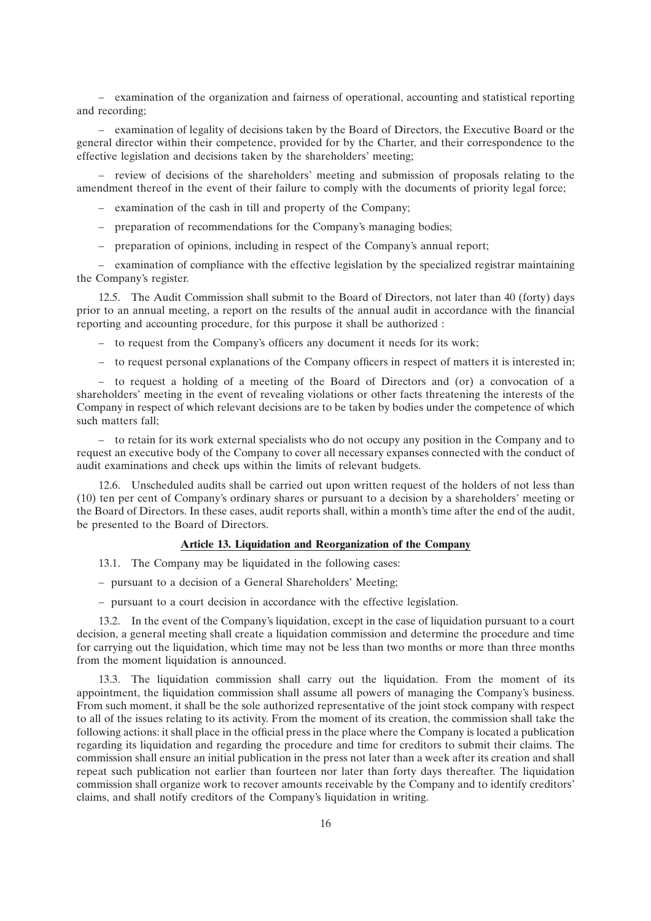– examination of the organization and fairness of operational, accounting and statistical reporting and recording;

– examination of legality of decisions taken by the Board of Directors, the Executive Board or the general director within their competence, provided for by the Charter, and their correspondence to the effective legislation and decisions taken by the shareholders' meeting;

– review of decisions of the shareholders' meeting and submission of proposals relating to the amendment thereof in the event of their failure to comply with the documents of priority legal force;

- examination of the cash in till and property of the Company;
- preparation of recommendations for the Company's managing bodies;
- preparation of opinions, including in respect of the Company's annual report;

– examination of compliance with the effective legislation by the specialized registrar maintaining the Company's register.

12.5. The Audit Commission shall submit to the Board of Directors, not later than 40 (forty) days prior to an annual meeting, a report on the results of the annual audit in accordance with the financial reporting and accounting procedure, for this purpose it shall be authorized :

- to request from the Company's officers any document it needs for its work;
- to request personal explanations of the Company officers in respect of matters it is interested in;

– to request a holding of a meeting of the Board of Directors and (or) a convocation of a shareholders' meeting in the event of revealing violations or other facts threatening the interests of the Company in respect of which relevant decisions are to be taken by bodies under the competence of which such matters fall;

– to retain for its work external specialists who do not occupy any position in the Company and to request an executive body of the Company to cover all necessary expanses connected with the conduct of audit examinations and check ups within the limits of relevant budgets.

12.6. Unscheduled audits shall be carried out upon written request of the holders of not less than (10) ten per cent of Company's ordinary shares or pursuant to a decision by a shareholders' meeting or the Board of Directors. In these cases, audit reports shall, within a month's time after the end of the audit, be presented to the Board of Directors.

## **Article 13. Liquidation and Reorganization of the Company**

- 13.1. The Company may be liquidated in the following cases:
- pursuant to a decision of a General Shareholders' Meeting;
- pursuant to a court decision in accordance with the effective legislation.

13.2. In the event of the Company's liquidation, except in the case of liquidation pursuant to a court decision, a general meeting shall create a liquidation commission and determine the procedure and time for carrying out the liquidation, which time may not be less than two months or more than three months from the moment liquidation is announced.

13.3. The liquidation commission shall carry out the liquidation. From the moment of its appointment, the liquidation commission shall assume all powers of managing the Company's business. From such moment, it shall be the sole authorized representative of the joint stock company with respect to all of the issues relating to its activity. From the moment of its creation, the commission shall take the following actions: it shall place in the official press in the place where the Company is located a publication regarding its liquidation and regarding the procedure and time for creditors to submit their claims. The commission shall ensure an initial publication in the press not later than a week after its creation and shall repeat such publication not earlier than fourteen nor later than forty days thereafter. The liquidation commission shall organize work to recover amounts receivable by the Company and to identify creditors' claims, and shall notify creditors of the Company's liquidation in writing.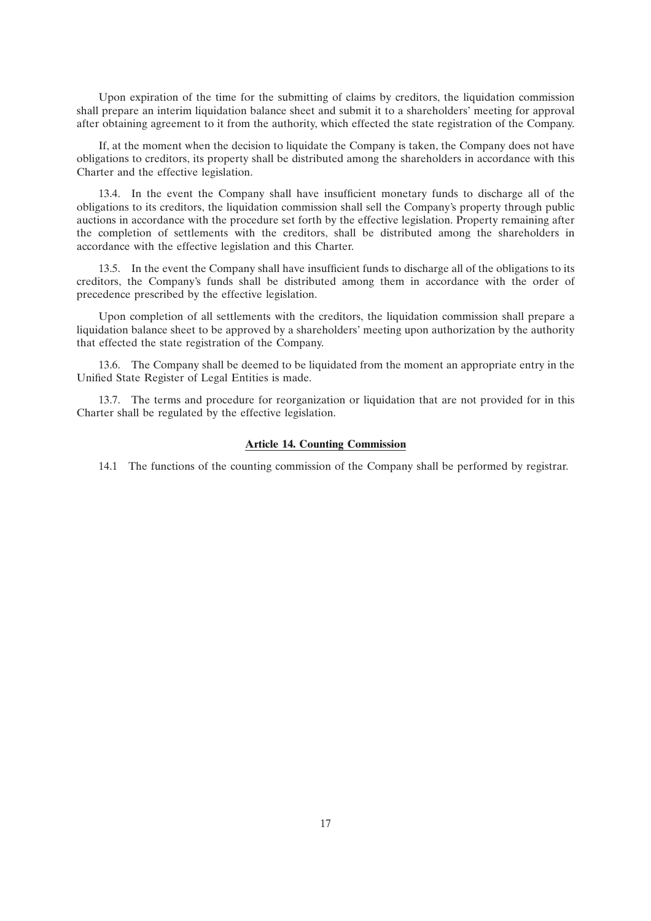Upon expiration of the time for the submitting of claims by creditors, the liquidation commission shall prepare an interim liquidation balance sheet and submit it to a shareholders' meeting for approval after obtaining agreement to it from the authority, which effected the state registration of the Company.

If, at the moment when the decision to liquidate the Company is taken, the Company does not have obligations to creditors, its property shall be distributed among the shareholders in accordance with this Charter and the effective legislation.

13.4. In the event the Company shall have insufficient monetary funds to discharge all of the obligations to its creditors, the liquidation commission shall sell the Company's property through public auctions in accordance with the procedure set forth by the effective legislation. Property remaining after the completion of settlements with the creditors, shall be distributed among the shareholders in accordance with the effective legislation and this Charter.

13.5. In the event the Company shall have insufficient funds to discharge all of the obligations to its creditors, the Company's funds shall be distributed among them in accordance with the order of precedence prescribed by the effective legislation.

Upon completion of all settlements with the creditors, the liquidation commission shall prepare a liquidation balance sheet to be approved by a shareholders' meeting upon authorization by the authority that effected the state registration of the Company.

13.6. The Company shall be deemed to be liquidated from the moment an appropriate entry in the Unified State Register of Legal Entities is made.

13.7. The terms and procedure for reorganization or liquidation that are not provided for in this Charter shall be regulated by the effective legislation.

#### **Article 14. Counting Commission**

14.1 The functions of the counting commission of the Company shall be performed by registrar.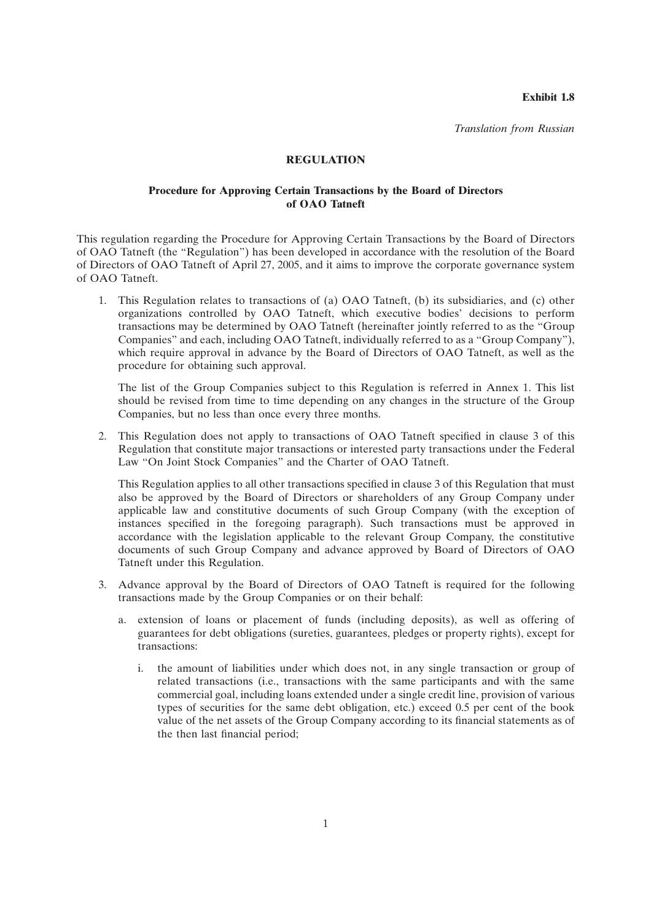**Exhibit 1.8**

*Translation from Russian*

#### **REGULATION**

## **Procedure for Approving Certain Transactions by the Board of Directors of OAO Tatneft**

This regulation regarding the Procedure for Approving Certain Transactions by the Board of Directors of OAO Tatneft (the ''Regulation'') has been developed in accordance with the resolution of the Board of Directors of OAO Tatneft of April 27, 2005, and it aims to improve the corporate governance system of OAO Tatneft.

1. This Regulation relates to transactions of (a) OAO Tatneft, (b) its subsidiaries, and (c) other organizations controlled by OAO Tatneft, which executive bodies' decisions to perform transactions may be determined by OAO Tatneft (hereinafter jointly referred to as the ''Group Companies'' and each, including OAO Tatneft, individually referred to as a ''Group Company''), which require approval in advance by the Board of Directors of OAO Tatneft, as well as the procedure for obtaining such approval.

The list of the Group Companies subject to this Regulation is referred in Annex 1. This list should be revised from time to time depending on any changes in the structure of the Group Companies, but no less than once every three months.

2. This Regulation does not apply to transactions of OAO Tatneft specified in clause 3 of this Regulation that constitute major transactions or interested party transactions under the Federal Law ''On Joint Stock Companies'' and the Charter of OAO Tatneft.

This Regulation applies to all other transactions specified in clause 3 of this Regulation that must also be approved by the Board of Directors or shareholders of any Group Company under applicable law and constitutive documents of such Group Company (with the exception of instances specified in the foregoing paragraph). Such transactions must be approved in accordance with the legislation applicable to the relevant Group Company, the constitutive documents of such Group Company and advance approved by Board of Directors of OAO Tatneft under this Regulation.

- 3. Advance approval by the Board of Directors of OAO Tatneft is required for the following transactions made by the Group Companies or on their behalf:
	- a. extension of loans or placement of funds (including deposits), as well as offering of guarantees for debt obligations (sureties, guarantees, pledges or property rights), except for transactions:
		- i. the amount of liabilities under which does not, in any single transaction or group of related transactions (i.e., transactions with the same participants and with the same commercial goal, including loans extended under a single credit line, provision of various types of securities for the same debt obligation, etc.) exceed 0.5 per cent of the book value of the net assets of the Group Company according to its financial statements as of the then last financial period;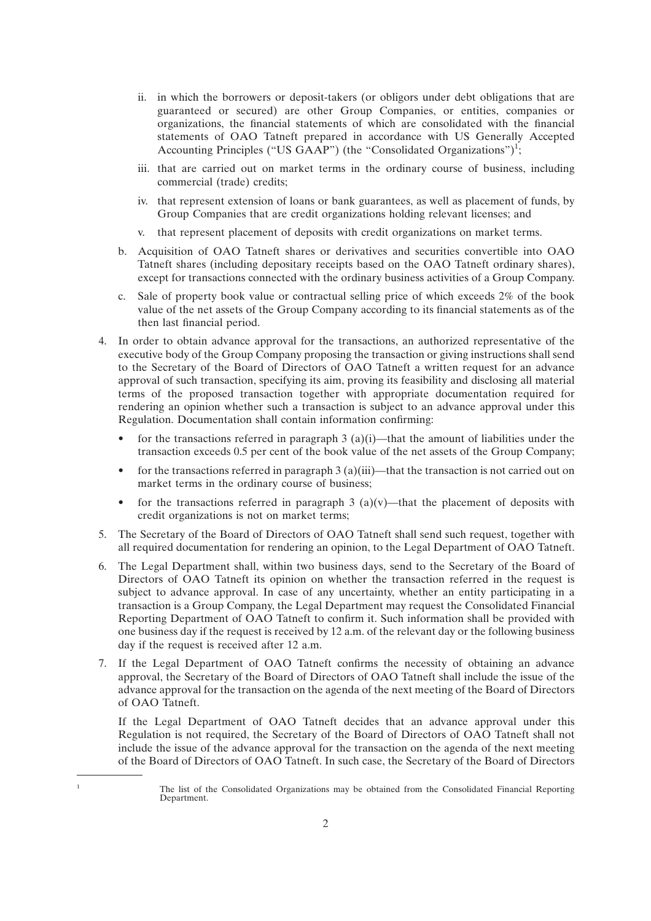- ii. in which the borrowers or deposit-takers (or obligors under debt obligations that are guaranteed or secured) are other Group Companies, or entities, companies or organizations, the financial statements of which are consolidated with the financial statements of OAO Tatneft prepared in accordance with US Generally Accepted Accounting Principles ("US GAAP") (the "Consolidated Organizations")<sup>1</sup>;
- iii. that are carried out on market terms in the ordinary course of business, including commercial (trade) credits;
- iv. that represent extension of loans or bank guarantees, as well as placement of funds, by Group Companies that are credit organizations holding relevant licenses; and
- v. that represent placement of deposits with credit organizations on market terms.
- b. Acquisition of OAO Tatneft shares or derivatives and securities convertible into OAO Tatneft shares (including depositary receipts based on the OAO Tatneft ordinary shares), except for transactions connected with the ordinary business activities of a Group Company.
- c. Sale of property book value or contractual selling price of which exceeds 2% of the book value of the net assets of the Group Company according to its financial statements as of the then last financial period.
- 4. In order to obtain advance approval for the transactions, an authorized representative of the executive body of the Group Company proposing the transaction or giving instructions shall send to the Secretary of the Board of Directors of OAO Tatneft a written request for an advance approval of such transaction, specifying its aim, proving its feasibility and disclosing all material terms of the proposed transaction together with appropriate documentation required for rendering an opinion whether such a transaction is subject to an advance approval under this Regulation. Documentation shall contain information confirming:
	- for the transactions referred in paragraph 3 (a)(i)—that the amount of liabilities under the transaction exceeds 0.5 per cent of the book value of the net assets of the Group Company;
	- for the transactions referred in paragraph  $3(a)(iii)$ —that the transaction is not carried out on market terms in the ordinary course of business;
	- for the transactions referred in paragraph 3 (a)(v)—that the placement of deposits with credit organizations is not on market terms;
- 5. The Secretary of the Board of Directors of OAO Tatneft shall send such request, together with all required documentation for rendering an opinion, to the Legal Department of OAO Tatneft.
- 6. The Legal Department shall, within two business days, send to the Secretary of the Board of Directors of OAO Tatneft its opinion on whether the transaction referred in the request is subject to advance approval. In case of any uncertainty, whether an entity participating in a transaction is a Group Company, the Legal Department may request the Consolidated Financial Reporting Department of OAO Tatneft to confirm it. Such information shall be provided with one business day if the request is received by 12 a.m. of the relevant day or the following business day if the request is received after 12 a.m.
- 7. If the Legal Department of OAO Tatneft confirms the necessity of obtaining an advance approval, the Secretary of the Board of Directors of OAO Tatneft shall include the issue of the advance approval for the transaction on the agenda of the next meeting of the Board of Directors of OAO Tatneft.

If the Legal Department of OAO Tatneft decides that an advance approval under this Regulation is not required, the Secretary of the Board of Directors of OAO Tatneft shall not include the issue of the advance approval for the transaction on the agenda of the next meeting of the Board of Directors of OAO Tatneft. In such case, the Secretary of the Board of Directors

<sup>1</sup> The list of the Consolidated Organizations may be obtained from the Consolidated Financial Reporting Department.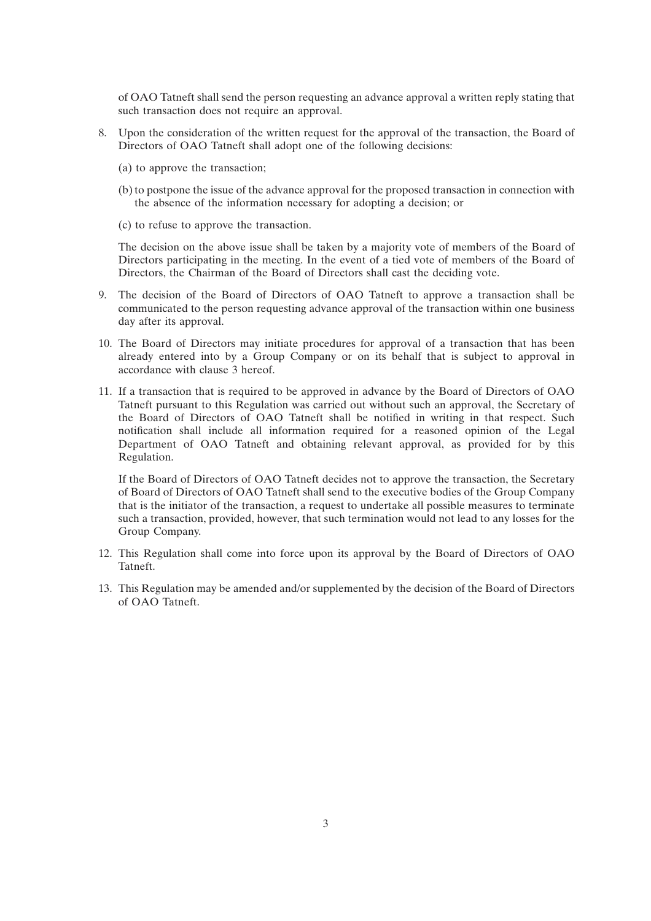of OAO Tatneft shall send the person requesting an advance approval a written reply stating that such transaction does not require an approval.

- 8. Upon the consideration of the written request for the approval of the transaction, the Board of Directors of OAO Tatneft shall adopt one of the following decisions:
	- (a) to approve the transaction;
	- (b) to postpone the issue of the advance approval for the proposed transaction in connection with the absence of the information necessary for adopting a decision; or
	- (c) to refuse to approve the transaction.

The decision on the above issue shall be taken by a majority vote of members of the Board of Directors participating in the meeting. In the event of a tied vote of members of the Board of Directors, the Chairman of the Board of Directors shall cast the deciding vote.

- 9. The decision of the Board of Directors of OAO Tatneft to approve a transaction shall be communicated to the person requesting advance approval of the transaction within one business day after its approval.
- 10. The Board of Directors may initiate procedures for approval of a transaction that has been already entered into by a Group Company or on its behalf that is subject to approval in accordance with clause 3 hereof.
- 11. If a transaction that is required to be approved in advance by the Board of Directors of OAO Tatneft pursuant to this Regulation was carried out without such an approval, the Secretary of the Board of Directors of OAO Tatneft shall be notified in writing in that respect. Such notification shall include all information required for a reasoned opinion of the Legal Department of OAO Tatneft and obtaining relevant approval, as provided for by this Regulation.

If the Board of Directors of OAO Tatneft decides not to approve the transaction, the Secretary of Board of Directors of OAO Tatneft shall send to the executive bodies of the Group Company that is the initiator of the transaction, a request to undertake all possible measures to terminate such a transaction, provided, however, that such termination would not lead to any losses for the Group Company.

- 12. This Regulation shall come into force upon its approval by the Board of Directors of OAO Tatneft.
- 13. This Regulation may be amended and/or supplemented by the decision of the Board of Directors of OAO Tatneft.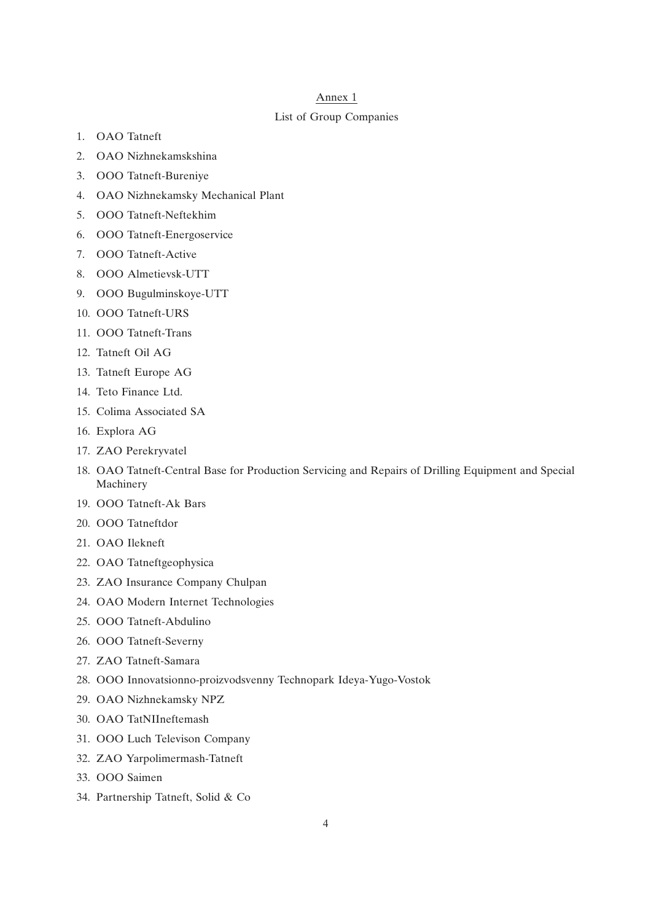### Annex 1

### List of Group Companies

- 1. OAO Tatneft
- 2. OAO Nizhnekamskshina
- 3. OOO Tatneft-Bureniye
- 4. OAO Nizhnekamsky Mechanical Plant
- 5. OOO Tatneft-Neftekhim
- 6. OOO Tatneft-Energoservice
- 7. OOO Tatneft-Active
- 8. OOO Almetievsk-UTT
- 9. OOO Bugulminskoye-UTT
- 10. OOO Tatneft-URS
- 11. OOO Tatneft-Trans
- 12. Tatneft Oil AG
- 13. Tatneft Europe AG
- 14. Teto Finance Ltd.
- 15. Colima Associated SA
- 16. Explora AG
- 17. ZAO Perekryvatel
- 18. OAO Tatneft-Central Base for Production Servicing and Repairs of Drilling Equipment and Special Machinery
- 19. OOO Tatneft-Ak Bars
- 20. OOO Tatneftdor
- 21. OAO Ilekneft
- 22. OAO Tatneftgeophysica
- 23. ZAO Insurance Company Chulpan
- 24. OAO Modern Internet Technologies
- 25. OOO Tatneft-Abdulino
- 26. OOO Tatneft-Severny
- 27. ZAO Tatneft-Samara
- 28. OOO Innovatsionno-proizvodsvenny Technopark Ideya-Yugo-Vostok
- 29. OAO Nizhnekamsky NPZ
- 30. OAO TatNIIneftemash
- 31. OOO Luch Televison Company
- 32. ZAO Yarpolimermash-Tatneft
- 33. OOO Saimen
- 34. Partnership Tatneft, Solid & Co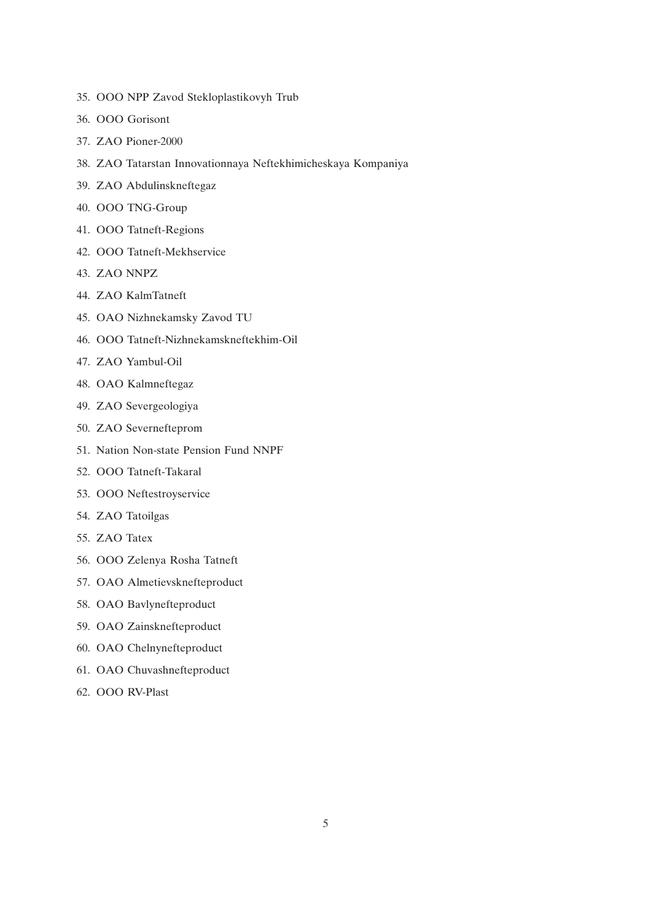- 35. OOO NPP Zavod Stekloplastikovyh Trub
- 36. OOO Gorisont
- 37. ZAO Pioner-2000
- 38. ZAO Tatarstan Innovationnaya Neftekhimicheskaya Kompaniya
- 39. ZAO Abdulinskneftegaz
- 40. OOO TNG-Group
- 41. OOO Tatneft-Regions
- 42. OOO Tatneft-Mekhservice
- 43. ZAO NNPZ
- 44. ZAO KalmTatneft
- 45. OAO Nizhnekamsky Zavod TU
- 46. OOO Tatneft-Nizhnekamskneftekhim-Oil
- 47. ZAO Yambul-Oil
- 48. OAO Kalmneftegaz
- 49. ZAO Severgeologiya
- 50. ZAO Severnefteprom
- 51. Nation Non-state Pension Fund NNPF
- 52. OOO Tatneft-Takaral
- 53. OOO Neftestroyservice
- 54. ZAO Tatoilgas
- 55. ZAO Tatex
- 56. OOO Zelenya Rosha Tatneft
- 57. OAO Almetievsknefteproduct
- 58. OAO Bavlynefteproduct
- 59. OAO Zainsknefteproduct
- 60. OAO Chelnynefteproduct
- 61. OAO Chuvashnefteproduct
- 62. OOO RV-Plast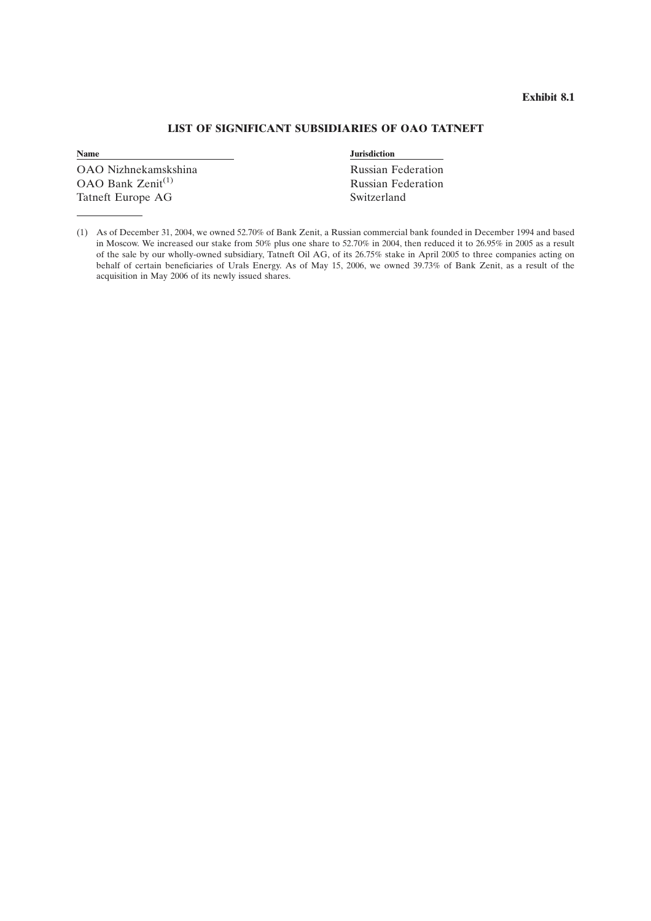## **Exhibit 8.1**

# **LIST OF SIGNIFICANT SUBSIDIARIES OF OAO TATNEFT**

**Name Jurisdiction** 

OAO Nizhnekamskshina Russian Federation OAO Bank Zenit<sup>(1)</sup> Russian Federation Tatneft Europe AG Switzerland

<sup>(1)</sup> As of December 31, 2004, we owned 52.70% of Bank Zenit, a Russian commercial bank founded in December 1994 and based in Moscow. We increased our stake from 50% plus one share to 52.70% in 2004, then reduced it to 26.95% in 2005 as a result of the sale by our wholly-owned subsidiary, Tatneft Oil AG, of its 26.75% stake in April 2005 to three companies acting on behalf of certain beneficiaries of Urals Energy. As of May 15, 2006, we owned 39.73% of Bank Zenit, as a result of the acquisition in May 2006 of its newly issued shares.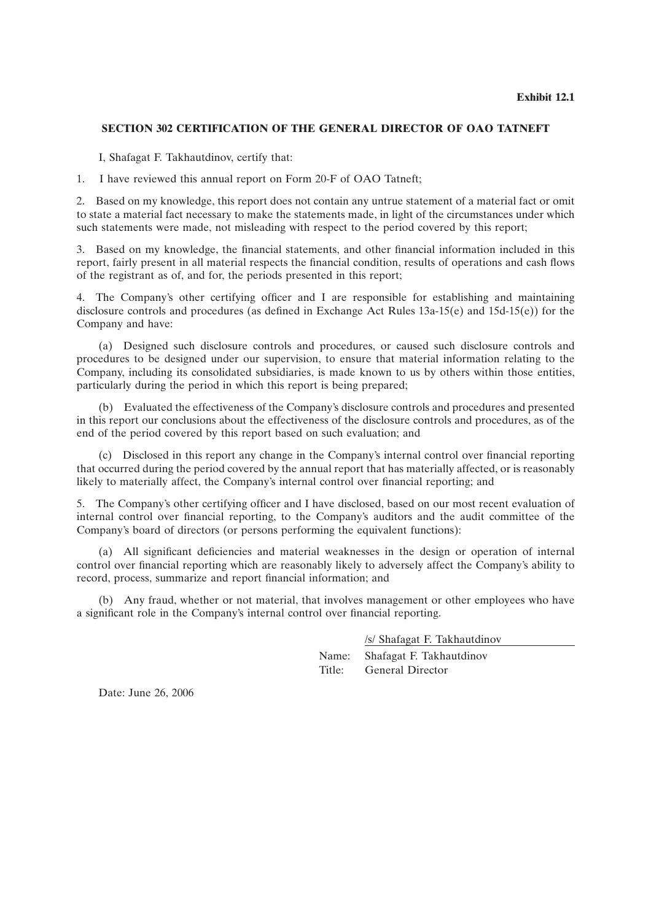# **SECTION 302 CERTIFICATION OF THE GENERAL DIRECTOR OF OAO TATNEFT**

I, Shafagat F. Takhautdinov, certify that:

1. I have reviewed this annual report on Form 20-F of OAO Tatneft;

2. Based on my knowledge, this report does not contain any untrue statement of a material fact or omit to state a material fact necessary to make the statements made, in light of the circumstances under which such statements were made, not misleading with respect to the period covered by this report;

3. Based on my knowledge, the financial statements, and other financial information included in this report, fairly present in all material respects the financial condition, results of operations and cash flows of the registrant as of, and for, the periods presented in this report;

4. The Company's other certifying officer and I are responsible for establishing and maintaining disclosure controls and procedures (as defined in Exchange Act Rules 13a-15(e) and 15d-15(e)) for the Company and have:

(a) Designed such disclosure controls and procedures, or caused such disclosure controls and procedures to be designed under our supervision, to ensure that material information relating to the Company, including its consolidated subsidiaries, is made known to us by others within those entities, particularly during the period in which this report is being prepared;

(b) Evaluated the effectiveness of the Company's disclosure controls and procedures and presented in this report our conclusions about the effectiveness of the disclosure controls and procedures, as of the end of the period covered by this report based on such evaluation; and

(c) Disclosed in this report any change in the Company's internal control over financial reporting that occurred during the period covered by the annual report that has materially affected, or is reasonably likely to materially affect, the Company's internal control over financial reporting; and

5. The Company's other certifying officer and I have disclosed, based on our most recent evaluation of internal control over financial reporting, to the Company's auditors and the audit committee of the Company's board of directors (or persons performing the equivalent functions):

(a) All significant deficiencies and material weaknesses in the design or operation of internal control over financial reporting which are reasonably likely to adversely affect the Company's ability to record, process, summarize and report financial information; and

(b) Any fraud, whether or not material, that involves management or other employees who have a significant role in the Company's internal control over financial reporting.

/s/ Shafagat F. Takhautdinov

Name: Shafagat F. Takhautdinov Title: General Director

Date: June 26, 2006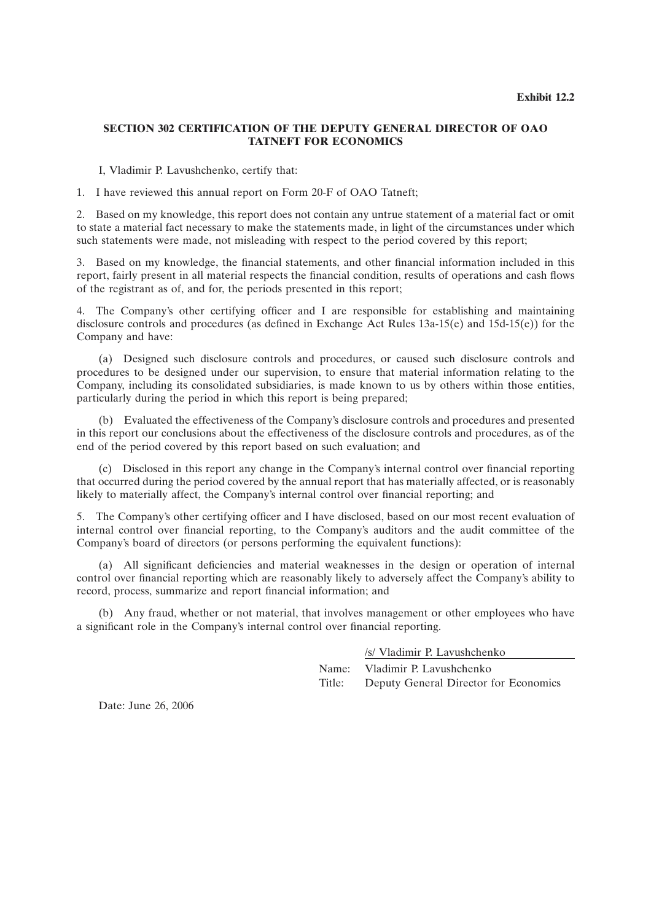# **SECTION 302 CERTIFICATION OF THE DEPUTY GENERAL DIRECTOR OF OAO TATNEFT FOR ECONOMICS**

I, Vladimir P. Lavushchenko, certify that:

1. I have reviewed this annual report on Form 20-F of OAO Tatneft;

2. Based on my knowledge, this report does not contain any untrue statement of a material fact or omit to state a material fact necessary to make the statements made, in light of the circumstances under which such statements were made, not misleading with respect to the period covered by this report;

3. Based on my knowledge, the financial statements, and other financial information included in this report, fairly present in all material respects the financial condition, results of operations and cash flows of the registrant as of, and for, the periods presented in this report;

4. The Company's other certifying officer and I are responsible for establishing and maintaining disclosure controls and procedures (as defined in Exchange Act Rules 13a-15(e) and 15d-15(e)) for the Company and have:

(a) Designed such disclosure controls and procedures, or caused such disclosure controls and procedures to be designed under our supervision, to ensure that material information relating to the Company, including its consolidated subsidiaries, is made known to us by others within those entities, particularly during the period in which this report is being prepared;

(b) Evaluated the effectiveness of the Company's disclosure controls and procedures and presented in this report our conclusions about the effectiveness of the disclosure controls and procedures, as of the end of the period covered by this report based on such evaluation; and

(c) Disclosed in this report any change in the Company's internal control over financial reporting that occurred during the period covered by the annual report that has materially affected, or is reasonably likely to materially affect, the Company's internal control over financial reporting; and

5. The Company's other certifying officer and I have disclosed, based on our most recent evaluation of internal control over financial reporting, to the Company's auditors and the audit committee of the Company's board of directors (or persons performing the equivalent functions):

(a) All significant deficiencies and material weaknesses in the design or operation of internal control over financial reporting which are reasonably likely to adversely affect the Company's ability to record, process, summarize and report financial information; and

(b) Any fraud, whether or not material, that involves management or other employees who have a significant role in the Company's internal control over financial reporting.

/s/ Vladimir P. Lavushchenko

Name: Vladimir P. Lavushchenko Title: Deputy General Director for Economics

Date: June 26, 2006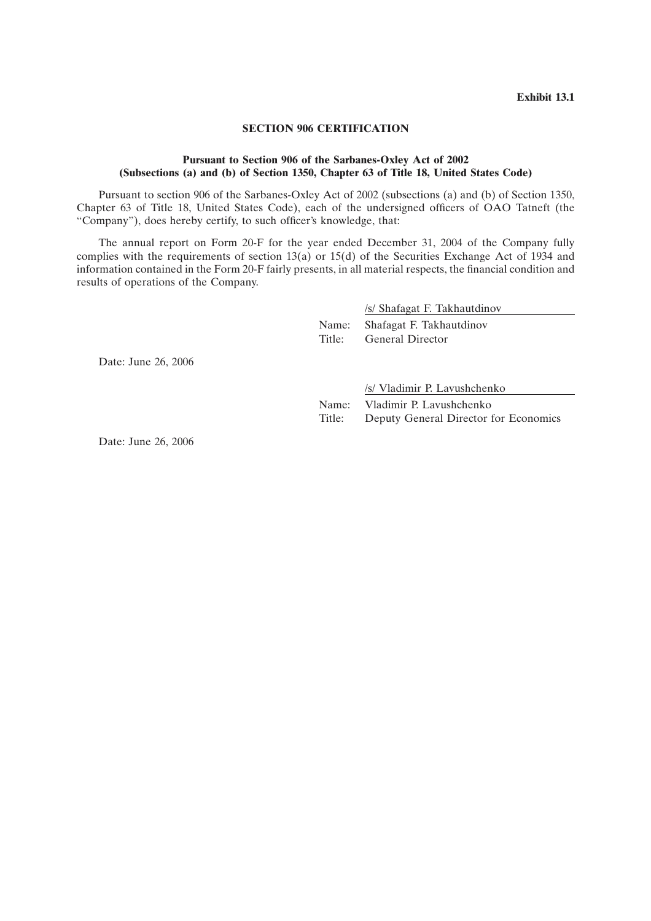## **SECTION 906 CERTIFICATION**

## **Pursuant to Section 906 of the Sarbanes-Oxley Act of 2002 (Subsections (a) and (b) of Section 1350, Chapter 63 of Title 18, United States Code)**

Pursuant to section 906 of the Sarbanes-Oxley Act of 2002 (subsections (a) and (b) of Section 1350, Chapter 63 of Title 18, United States Code), each of the undersigned officers of OAO Tatneft (the ''Company''), does hereby certify, to such officer's knowledge, that:

The annual report on Form 20-F for the year ended December 31, 2004 of the Company fully complies with the requirements of section 13(a) or 15(d) of the Securities Exchange Act of 1934 and information contained in the Form 20-F fairly presents, in all material respects, the financial condition and results of operations of the Company.

/s/ Shafagat F. Takhautdinov

Name: Shafagat F. Takhautdinov Title: General Director

Date: June 26, 2006

/s/ Vladimir P. Lavushchenko

Name: Vladimir P. Lavushchenko Title: Deputy General Director for Economics

Date: June 26, 2006